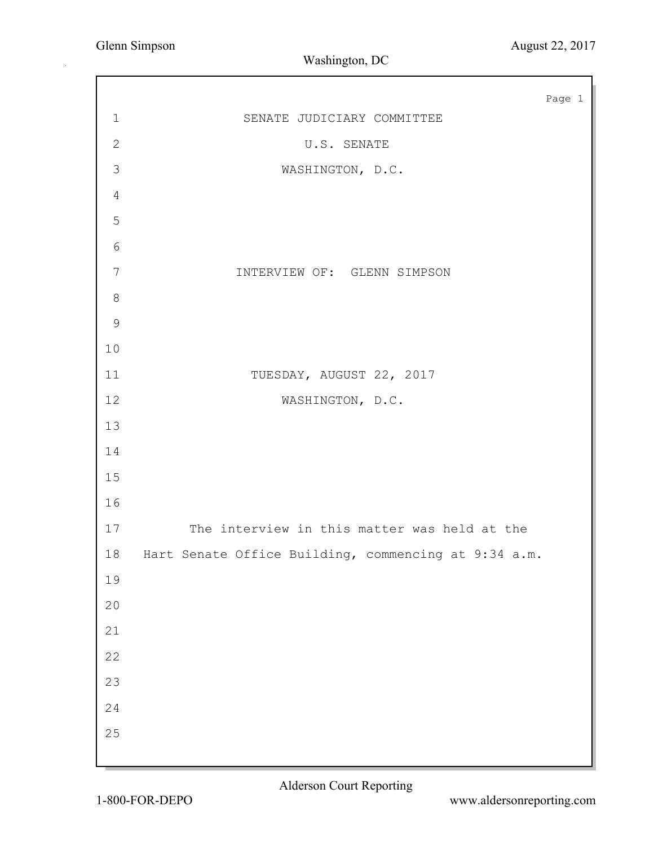|                |                                                      | Page 1 |
|----------------|------------------------------------------------------|--------|
| $\mathbf 1$    | SENATE JUDICIARY COMMITTEE                           |        |
| $\mathbf{2}$   | U.S. SENATE                                          |        |
| $\mathfrak{Z}$ | WASHINGTON, D.C.                                     |        |
| $\overline{4}$ |                                                      |        |
| 5              |                                                      |        |
| $\epsilon$     |                                                      |        |
| $\overline{7}$ | INTERVIEW OF: GLENN SIMPSON                          |        |
| $\,8\,$        |                                                      |        |
| $\mathsf 9$    |                                                      |        |
| $10$           |                                                      |        |
| 11             | TUESDAY, AUGUST 22, 2017                             |        |
| 12             | WASHINGTON, D.C.                                     |        |
| 13             |                                                      |        |
| 14             |                                                      |        |
| 15             |                                                      |        |
| 16             |                                                      |        |
| 17             | The interview in this matter was held at the         |        |
| 18             | Hart Senate Office Building, commencing at 9:34 a.m. |        |
| 19             |                                                      |        |
| $20$           |                                                      |        |
| 21             |                                                      |        |
| 22             |                                                      |        |
| 23             |                                                      |        |
| 24             |                                                      |        |
| 25             |                                                      |        |
|                |                                                      |        |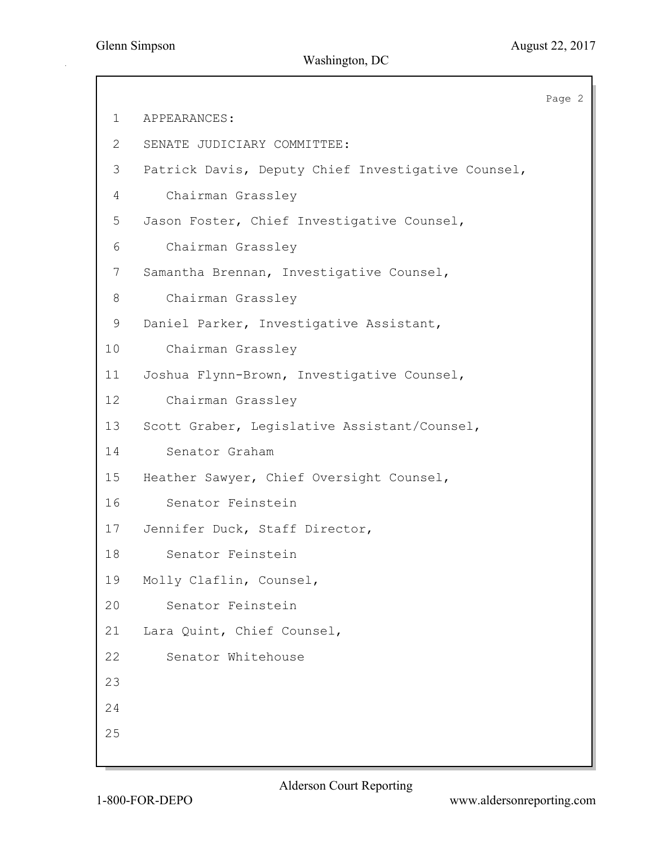Page 2 1 APPEARANCES: 2 SENATE JUDICIARY COMMITTEE: 3 Patrick Davis, Deputy Chief Investigative Counsel, 4 Chairman Grassley 5 Jason Foster, Chief Investigative Counsel, 6 Chairman Grassley 7 Samantha Brennan, Investigative Counsel, 8 Chairman Grassley 9 Daniel Parker, Investigative Assistant, 10 Chairman Grassley 11 Joshua Flynn-Brown, Investigative Counsel, 12 Chairman Grassley 13 Scott Graber, Legislative Assistant/Counsel, 14 Senator Graham 15 Heather Sawyer, Chief Oversight Counsel, 16 Senator Feinstein 17 Jennifer Duck, Staff Director, 18 Senator Feinstein 19 Molly Claflin, Counsel, 20 Senator Feinstein 21 Lara Quint, Chief Counsel, 22 Senator Whitehouse 23 24 25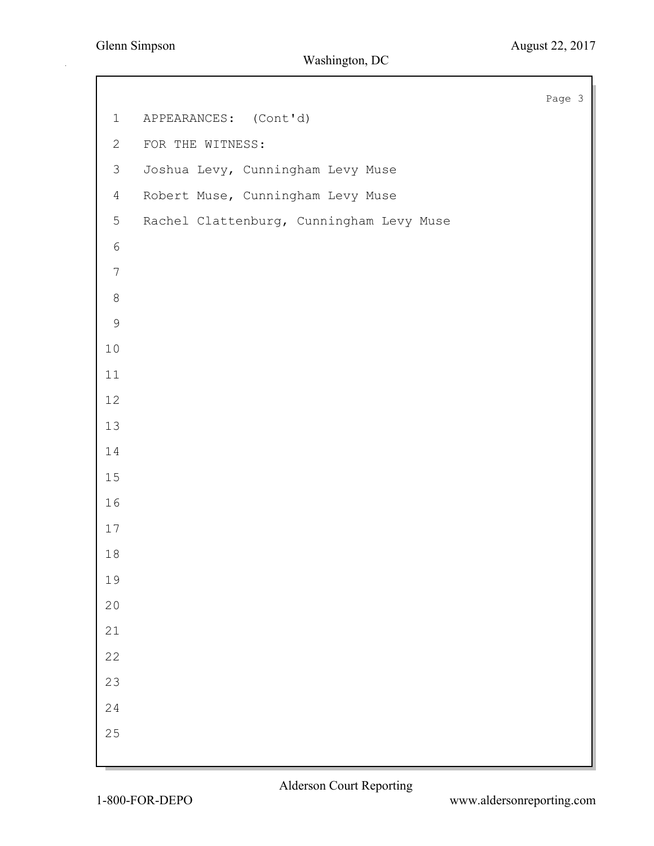Page 3 1 APPEARANCES: (Cont'd) 2 FOR THE WITNESS: 3 Joshua Levy, Cunningham Levy Muse 4 Robert Muse, Cunningham Levy Muse 5 Rachel Clattenburg, Cunningham Levy Muse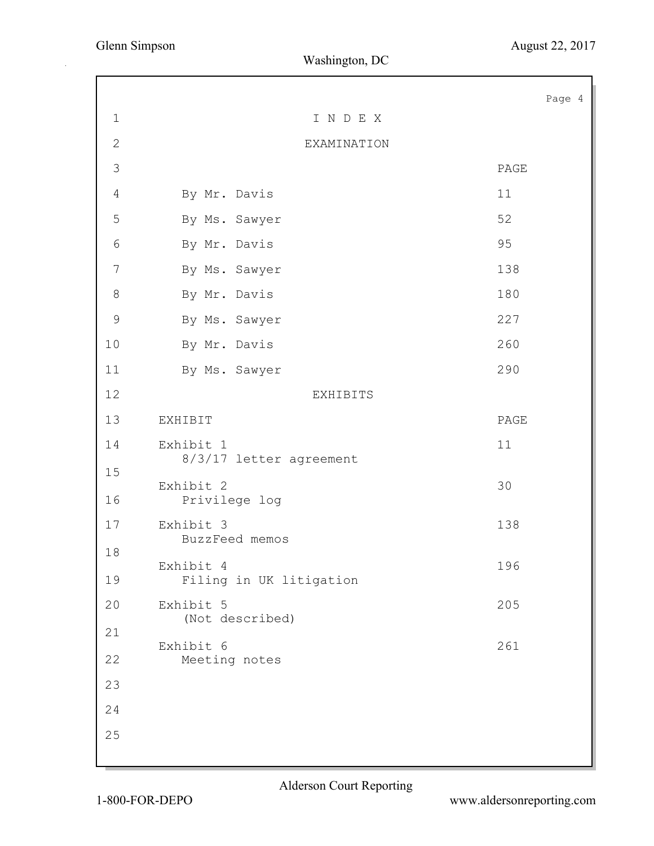|                |                                      | Page 4 |
|----------------|--------------------------------------|--------|
| $1\,$          | INDEX                                |        |
| $\mathbf{2}$   | EXAMINATION                          |        |
| 3              |                                      | PAGE   |
| $\overline{4}$ | By Mr. Davis                         | 11     |
| 5              | By Ms. Sawyer                        | 52     |
| 6              | By Mr. Davis                         | 95     |
| 7              | By Ms. Sawyer                        | 138    |
| $\,8\,$        | By Mr. Davis                         | 180    |
| $\mathcal{G}$  | By Ms. Sawyer                        | 227    |
| 10             | By Mr. Davis                         | 260    |
| 11             | By Ms. Sawyer                        | 290    |
| 12             | <b>EXHIBITS</b>                      |        |
| 13             | EXHIBIT                              | PAGE   |
| 14             | Exhibit 1<br>8/3/17 letter agreement | 11     |
| 15             | Exhibit 2                            | 30     |
| 16             | Privilege log                        |        |
| 17             | Exhibit 3<br>BuzzFeed memos          | 138    |
| 18             | Exhibit 4                            | 196    |
| 19             | Filing in UK litigation              |        |
| 20             | Exhibit 5<br>(Not described)         | 205    |
| 21             |                                      |        |
| 22             | Exhibit 6<br>Meeting notes           | 261    |
| 23             |                                      |        |
| 24             |                                      |        |
| 25             |                                      |        |
|                |                                      |        |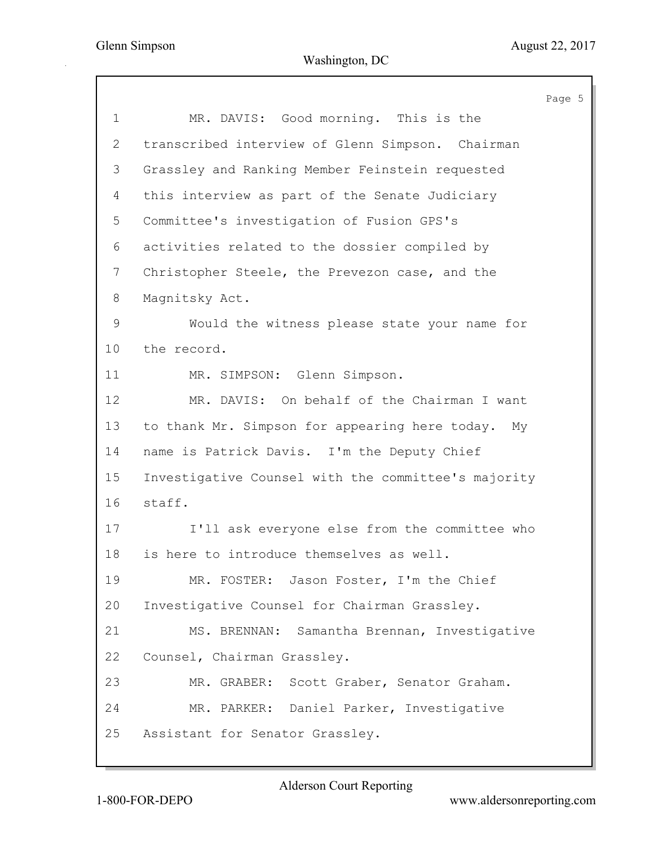|                |                                                     | Page 5 |
|----------------|-----------------------------------------------------|--------|
| 1              | MR. DAVIS: Good morning. This is the                |        |
| 2              | transcribed interview of Glenn Simpson. Chairman    |        |
| 3              | Grassley and Ranking Member Feinstein requested     |        |
| 4              | this interview as part of the Senate Judiciary      |        |
| 5              | Committee's investigation of Fusion GPS's           |        |
| 6              | activities related to the dossier compiled by       |        |
| $7\phantom{.}$ | Christopher Steele, the Prevezon case, and the      |        |
| 8              | Magnitsky Act.                                      |        |
| 9              | Would the witness please state your name for        |        |
| 10             | the record.                                         |        |
| 11             | MR. SIMPSON: Glenn Simpson.                         |        |
| 12             | MR. DAVIS: On behalf of the Chairman I want         |        |
| 13             | to thank Mr. Simpson for appearing here today. My   |        |
| 14             | name is Patrick Davis. I'm the Deputy Chief         |        |
| 15             | Investigative Counsel with the committee's majority |        |
| 16             | staff.                                              |        |
| 17             | I'll ask everyone else from the committee who       |        |
| 18             | is here to introduce themselves as well.            |        |
| 19             | MR. FOSTER: Jason Foster, I'm the Chief             |        |
| 20             | Investigative Counsel for Chairman Grassley.        |        |
| 21             | MS. BRENNAN: Samantha Brennan, Investigative        |        |
| 22             | Counsel, Chairman Grassley.                         |        |
| 23             | MR. GRABER: Scott Graber, Senator Graham.           |        |
| 24             | MR. PARKER: Daniel Parker, Investigative            |        |
| 25             | Assistant for Senator Grassley.                     |        |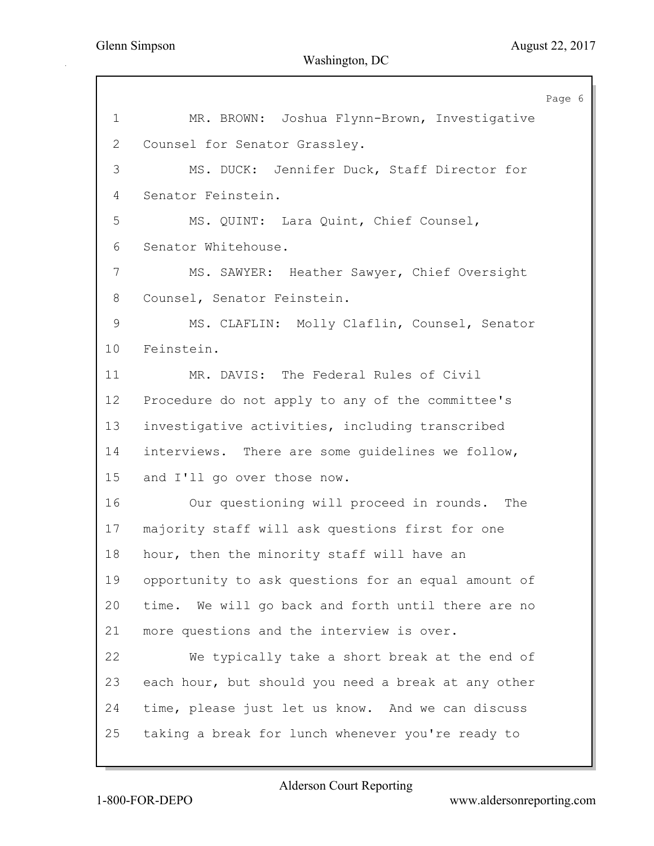Page 6 1 MR. BROWN: Joshua Flynn-Brown, Investigative 2 Counsel for Senator Grassley. 3 MS. DUCK: Jennifer Duck, Staff Director for 4 Senator Feinstein. 5 MS. QUINT: Lara Quint, Chief Counsel, 6 Senator Whitehouse. 7 MS. SAWYER: Heather Sawyer, Chief Oversight 8 Counsel, Senator Feinstein. 9 MS. CLAFLIN: Molly Claflin, Counsel, Senator 10 Feinstein. 11 MR. DAVIS: The Federal Rules of Civil 12 Procedure do not apply to any of the committee's 13 investigative activities, including transcribed 14 interviews. There are some guidelines we follow, 15 and I'll go over those now. 16 Our questioning will proceed in rounds. The 17 majority staff will ask questions first for one 18 hour, then the minority staff will have an 19 opportunity to ask questions for an equal amount of 20 time. We will go back and forth until there are no 21 more questions and the interview is over. 22 We typically take a short break at the end of 23 each hour, but should you need a break at any other 24 time, please just let us know. And we can discuss 25 taking a break for lunch whenever you're ready to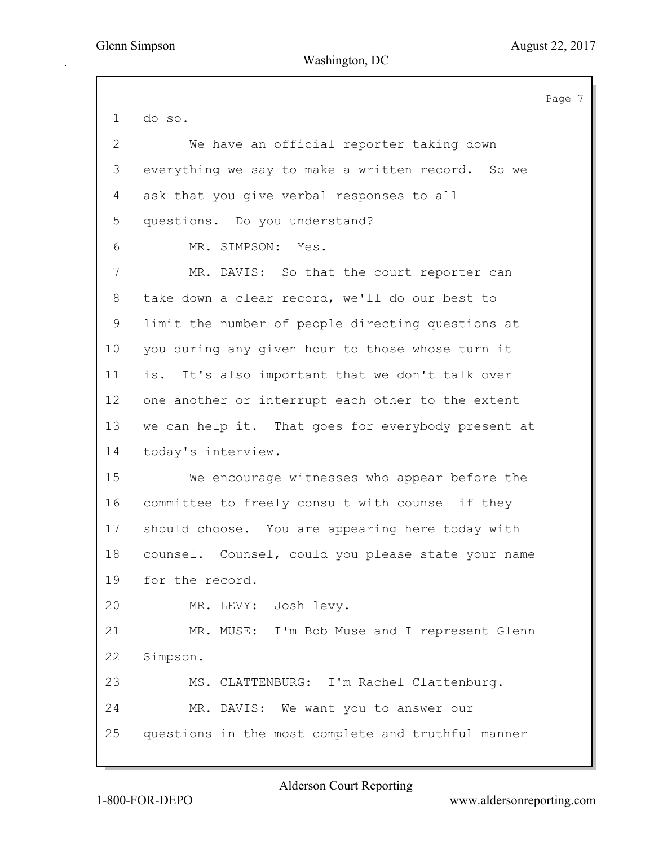Page 7 1 do so. 2 We have an official reporter taking down 3 everything we say to make a written record. So we 4 ask that you give verbal responses to all 5 questions. Do you understand? 6 MR. SIMPSON: Yes. 7 MR. DAVIS: So that the court reporter can 8 take down a clear record, we'll do our best to 9 limit the number of people directing questions at 10 you during any given hour to those whose turn it 11 is. It's also important that we don't talk over 12 one another or interrupt each other to the extent 13 we can help it. That goes for everybody present at 14 today's interview. 15 We encourage witnesses who appear before the 16 committee to freely consult with counsel if they 17 should choose. You are appearing here today with 18 counsel. Counsel, could you please state your name 19 for the record. 20 MR. LEVY: Josh levy. 21 MR. MUSE: I'm Bob Muse and I represent Glenn 22 Simpson. 23 MS. CLATTENBURG: I'm Rachel Clattenburg. 24 MR. DAVIS: We want you to answer our 25 questions in the most complete and truthful manner

Alderson Court Reporting

1-800-FOR-DEPO www.aldersonreporting.com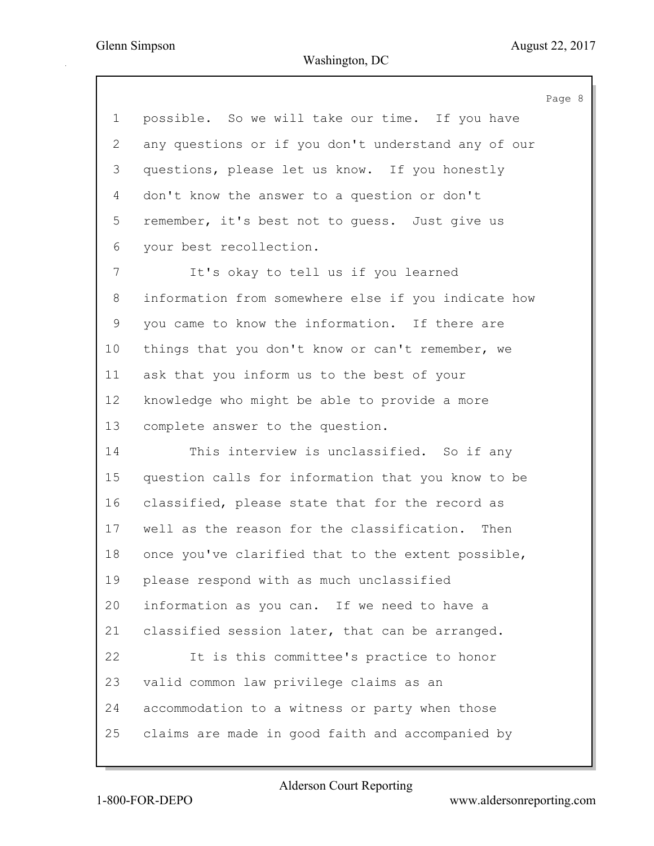|                           |                                                     | Page 8 |
|---------------------------|-----------------------------------------------------|--------|
| 1                         | possible. So we will take our time. If you have     |        |
| $\mathbf{2}^{\mathsf{I}}$ | any questions or if you don't understand any of our |        |
| 3                         | questions, please let us know. If you honestly      |        |
| 4                         | don't know the answer to a question or don't        |        |
| 5                         | remember, it's best not to quess. Just give us      |        |
| 6                         | your best recollection.                             |        |
| 7                         | It's okay to tell us if you learned                 |        |
| 8                         | information from somewhere else if you indicate how |        |
| 9                         | you came to know the information. If there are      |        |
| 10                        | things that you don't know or can't remember, we    |        |
| 11                        | ask that you inform us to the best of your          |        |
| 12                        | knowledge who might be able to provide a more       |        |
| 13                        | complete answer to the question.                    |        |
| 14                        | This interview is unclassified. So if any           |        |
| 15 <sub>2</sub>           | question calls for information that you know to be  |        |
| 16                        | classified, please state that for the record as     |        |
| 17                        | well as the reason for the classification. Then     |        |
| 18                        | once you've clarified that to the extent possible,  |        |
| 19                        | please respond with as much unclassified            |        |
| 20                        | information as you can. If we need to have a        |        |
| 21                        | classified session later, that can be arranged.     |        |
| 22                        | It is this committee's practice to honor            |        |
| 23                        | valid common law privilege claims as an             |        |
| 24                        | accommodation to a witness or party when those      |        |
| 25                        | claims are made in good faith and accompanied by    |        |
|                           |                                                     |        |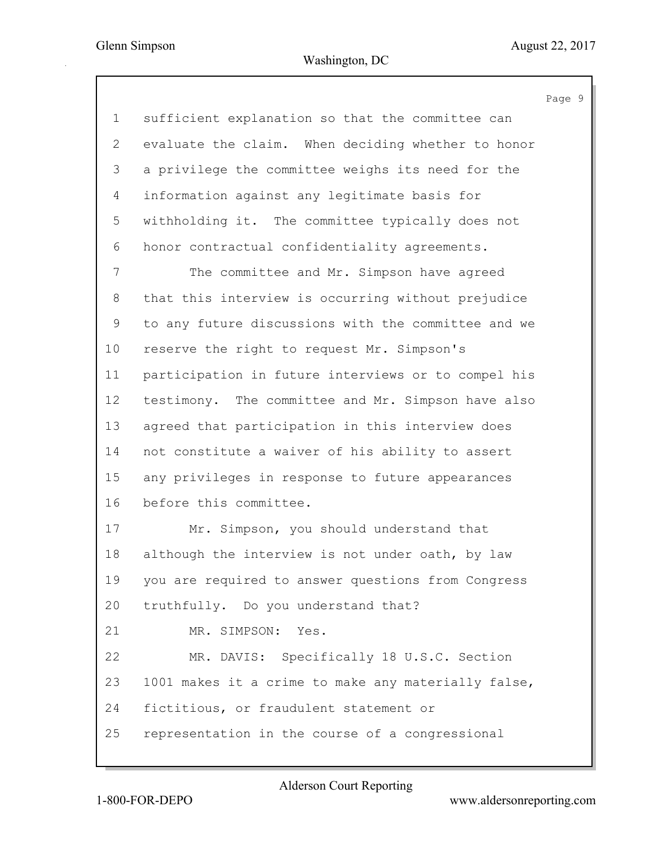Page 9 1 sufficient explanation so that the committee can 2 evaluate the claim. When deciding whether to honor 3 a privilege the committee weighs its need for the 4 information against any legitimate basis for 5 withholding it. The committee typically does not 6 honor contractual confidentiality agreements. 7 The committee and Mr. Simpson have agreed 8 that this interview is occurring without prejudice 9 to any future discussions with the committee and we 10 reserve the right to request Mr. Simpson's 11 participation in future interviews or to compel his 12 testimony. The committee and Mr. Simpson have also 13 agreed that participation in this interview does 14 not constitute a waiver of his ability to assert 15 any privileges in response to future appearances 16 before this committee. 17 Mr. Simpson, you should understand that 18 although the interview is not under oath, by law 19 you are required to answer questions from Congress 20 truthfully. Do you understand that? 21 MR. SIMPSON: Yes. 22 MR. DAVIS: Specifically 18 U.S.C. Section 23 1001 makes it a crime to make any materially false, 24 fictitious, or fraudulent statement or 25 representation in the course of a congressional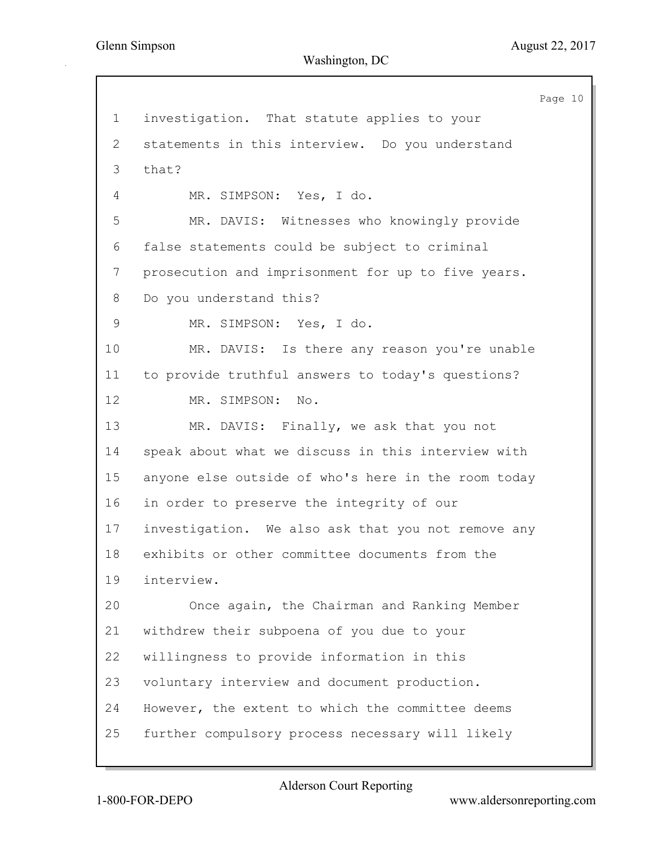Page 10 1 investigation. That statute applies to your 2 statements in this interview. Do you understand 3 that? 4 MR. SIMPSON: Yes, I do. 5 MR. DAVIS: Witnesses who knowingly provide 6 false statements could be subject to criminal 7 prosecution and imprisonment for up to five years. 8 Do you understand this? 9 MR. SIMPSON: Yes, I do. 10 MR. DAVIS: Is there any reason you're unable 11 to provide truthful answers to today's questions? 12 MR. SIMPSON: No. 13 MR. DAVIS: Finally, we ask that you not 14 speak about what we discuss in this interview with 15 anyone else outside of who's here in the room today 16 in order to preserve the integrity of our 17 investigation. We also ask that you not remove any 18 exhibits or other committee documents from the 19 interview. 20 Once again, the Chairman and Ranking Member 21 withdrew their subpoena of you due to your 22 willingness to provide information in this 23 voluntary interview and document production. 24 However, the extent to which the committee deems 25 further compulsory process necessary will likely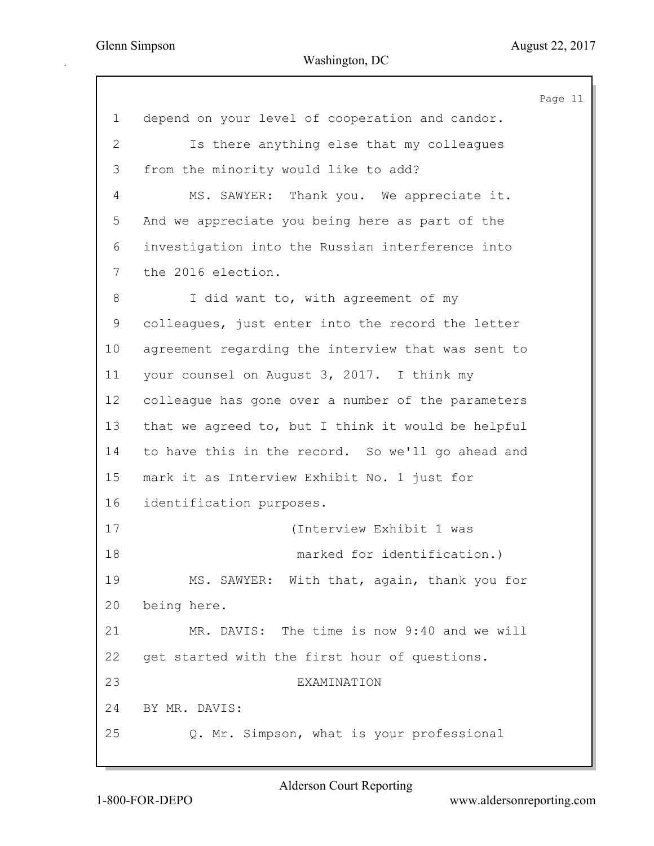$11$ 

|                |                                                    | Page |
|----------------|----------------------------------------------------|------|
| 1              | depend on your level of cooperation and candor.    |      |
| $\overline{2}$ | Is there anything else that my colleagues          |      |
| 3              | from the minority would like to add?               |      |
| 4              | MS. SAWYER: Thank you. We appreciate it.           |      |
| 5              | And we appreciate you being here as part of the    |      |
| 6              | investigation into the Russian interference into   |      |
| 7              | the 2016 election.                                 |      |
| 8              | I did want to, with agreement of my                |      |
| 9              | colleagues, just enter into the record the letter  |      |
| 10             | agreement regarding the interview that was sent to |      |
| 11             | your counsel on August 3, 2017. I think my         |      |
| 12             | colleague has gone over a number of the parameters |      |
| 13             | that we agreed to, but I think it would be helpful |      |
| 14             | to have this in the record. So we'll go ahead and  |      |
| 15             | mark it as Interview Exhibit No. 1 just for        |      |
| 16             | identification purposes.                           |      |
| 17             | (Interview Exhibit 1 was                           |      |
| 18             | marked for identification.)                        |      |
| 19             | MS. SAWYER: With that, again, thank you for        |      |
| 20             | being here.                                        |      |
| 21             | MR. DAVIS: The time is now 9:40 and we will        |      |
| 22             | get started with the first hour of questions.      |      |
| 23             | EXAMINATION                                        |      |
| 24             | BY MR. DAVIS:                                      |      |
| 25             | Q. Mr. Simpson, what is your professional          |      |
|                |                                                    |      |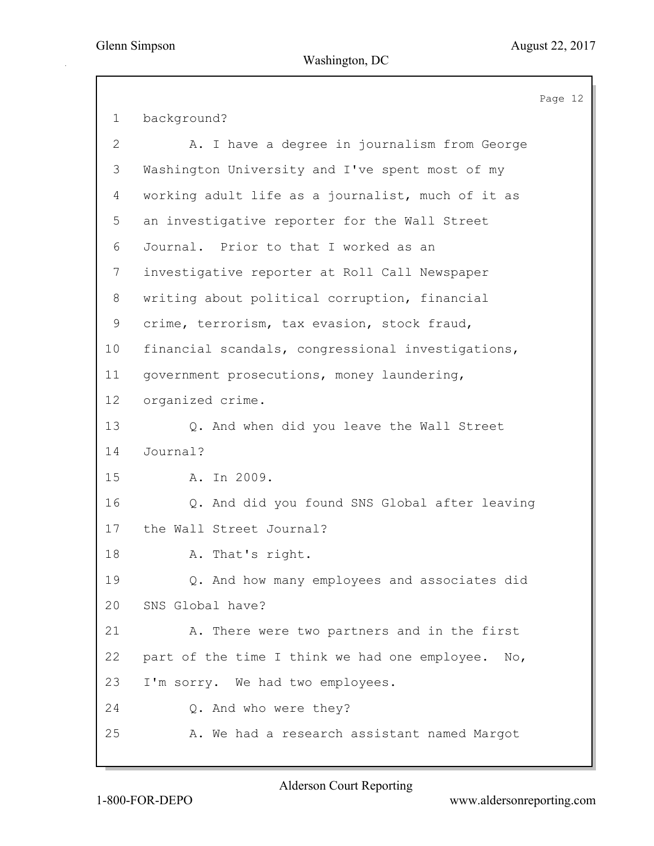Page 12 1 background? 2 A. I have a degree in journalism from George 3 Washington University and I've spent most of my 4 working adult life as a journalist, much of it as 5 an investigative reporter for the Wall Street 6 Journal. Prior to that I worked as an 7 investigative reporter at Roll Call Newspaper 8 writing about political corruption, financial 9 crime, terrorism, tax evasion, stock fraud, 10 financial scandals, congressional investigations, 11 government prosecutions, money laundering, 12 organized crime. 13 Q. And when did you leave the Wall Street 14 Journal? 15 A. In 2009. 16 Q. And did you found SNS Global after leaving 17 the Wall Street Journal? 18 A. That's right. 19 Q. And how many employees and associates did 20 SNS Global have? 21 A. There were two partners and in the first 22 part of the time I think we had one employee. No, 23 I'm sorry. We had two employees. 24 Q. And who were they? 25 A. We had a research assistant named Margot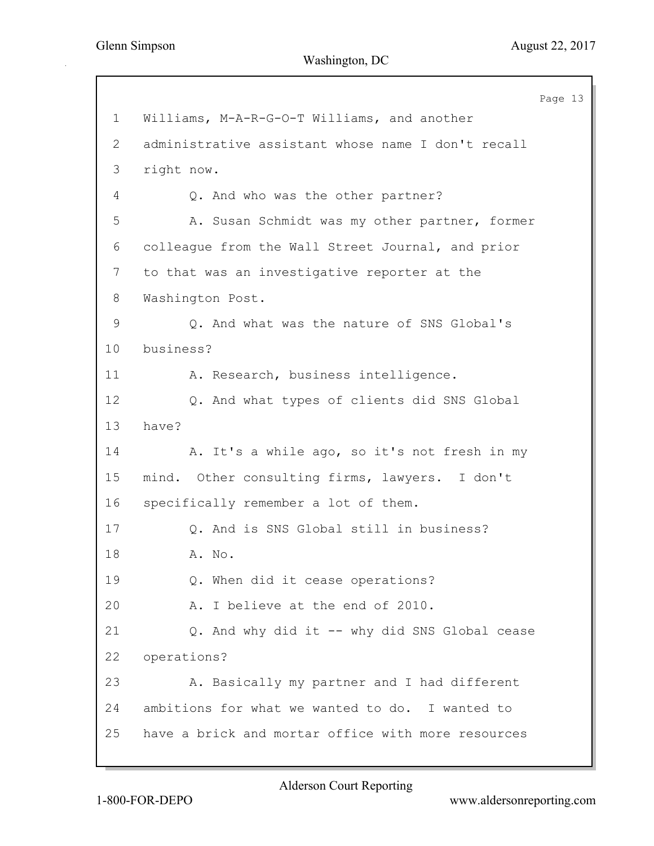Page 13 1 Williams, M-A-R-G-O-T Williams, and another 2 administrative assistant whose name I don't recall 3 right now. 4 Q. And who was the other partner? 5 A. Susan Schmidt was my other partner, former 6 colleague from the Wall Street Journal, and prior 7 to that was an investigative reporter at the 8 Washington Post. 9 Q. And what was the nature of SNS Global's 10 business? 11 A. Research, business intelligence. 12 Q. And what types of clients did SNS Global 13 have? 14 A. It's a while ago, so it's not fresh in my 15 mind. Other consulting firms, lawyers. I don't 16 specifically remember a lot of them. 17 Q. And is SNS Global still in business? 18 A. No. 19 Q. When did it cease operations? 20 A. I believe at the end of 2010. 21 Q. And why did it -- why did SNS Global cease 22 operations? 23 A. Basically my partner and I had different 24 ambitions for what we wanted to do. I wanted to 25 have a brick and mortar office with more resources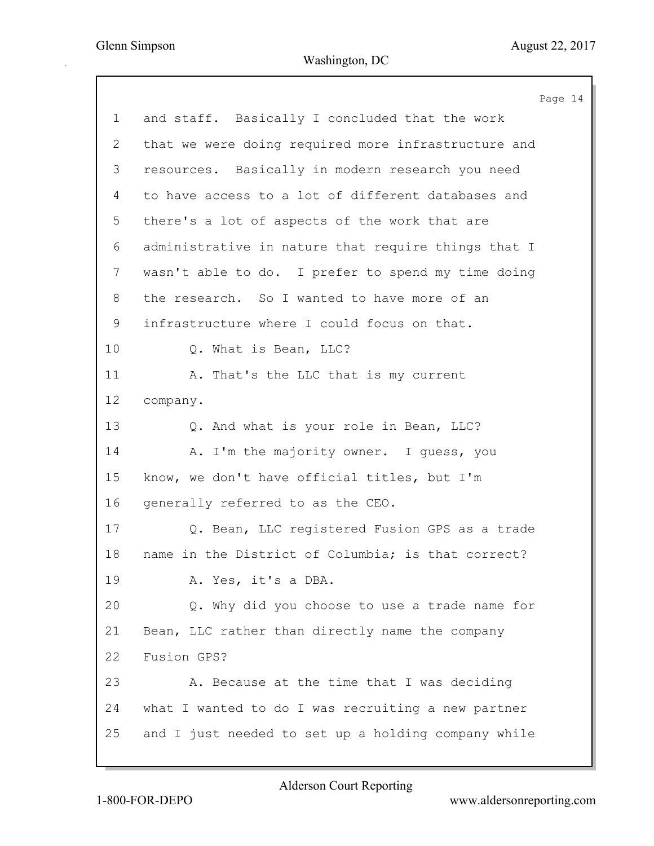Page 14 1 and staff. Basically I concluded that the work 2 that we were doing required more infrastructure and 3 resources. Basically in modern research you need 4 to have access to a lot of different databases and 5 there's a lot of aspects of the work that are 6 administrative in nature that require things that I 7 wasn't able to do. I prefer to spend my time doing 8 the research. So I wanted to have more of an 9 infrastructure where I could focus on that. 10 Q. What is Bean, LLC? 11 A. That's the LLC that is my current 12 company. 13 Q. And what is your role in Bean, LLC? 14 A. I'm the majority owner. I guess, you 15 know, we don't have official titles, but I'm 16 generally referred to as the CEO. 17 Q. Bean, LLC registered Fusion GPS as a trade 18 name in the District of Columbia; is that correct? 19 A. Yes, it's a DBA. 20 Q. Why did you choose to use a trade name for 21 Bean, LLC rather than directly name the company 22 Fusion GPS? 23 A. Because at the time that I was deciding 24 what I wanted to do I was recruiting a new partner 25 and I just needed to set up a holding company while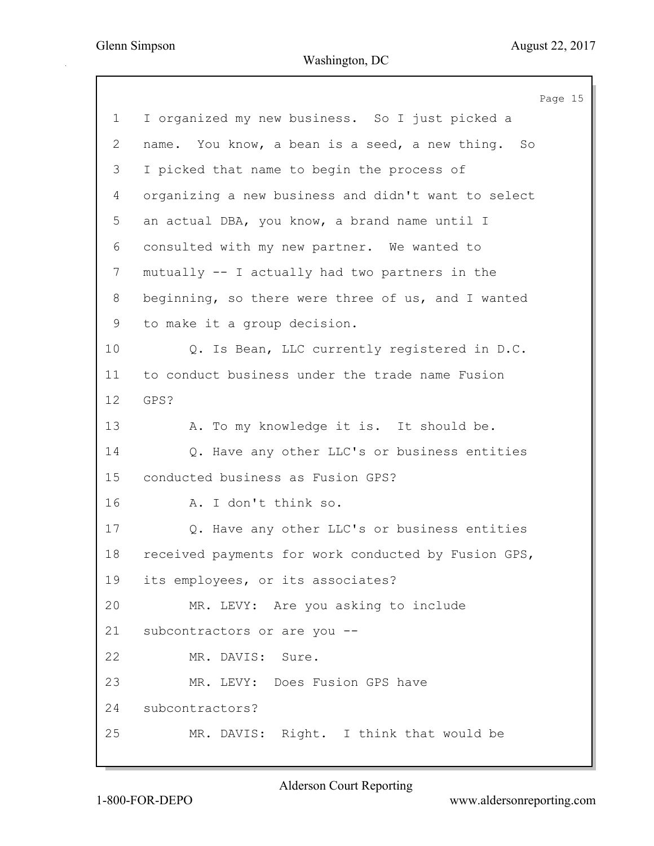Page 15 1 I organized my new business. So I just picked a 2 name. You know, a bean is a seed, a new thing. So 3 I picked that name to begin the process of 4 organizing a new business and didn't want to select 5 an actual DBA, you know, a brand name until I 6 consulted with my new partner. We wanted to 7 mutually -- I actually had two partners in the 8 beginning, so there were three of us, and I wanted 9 to make it a group decision. 10 Q. Is Bean, LLC currently registered in D.C. 11 to conduct business under the trade name Fusion 12 GPS? 13 A. To my knowledge it is. It should be. 14 Q. Have any other LLC's or business entities 15 conducted business as Fusion GPS? 16 A. I don't think so. 17 Q. Have any other LLC's or business entities 18 received payments for work conducted by Fusion GPS, 19 its employees, or its associates? 20 MR. LEVY: Are you asking to include 21 subcontractors or are you -- 22 MR. DAVIS: Sure. 23 MR. LEVY: Does Fusion GPS have 24 subcontractors? 25 MR. DAVIS: Right. I think that would be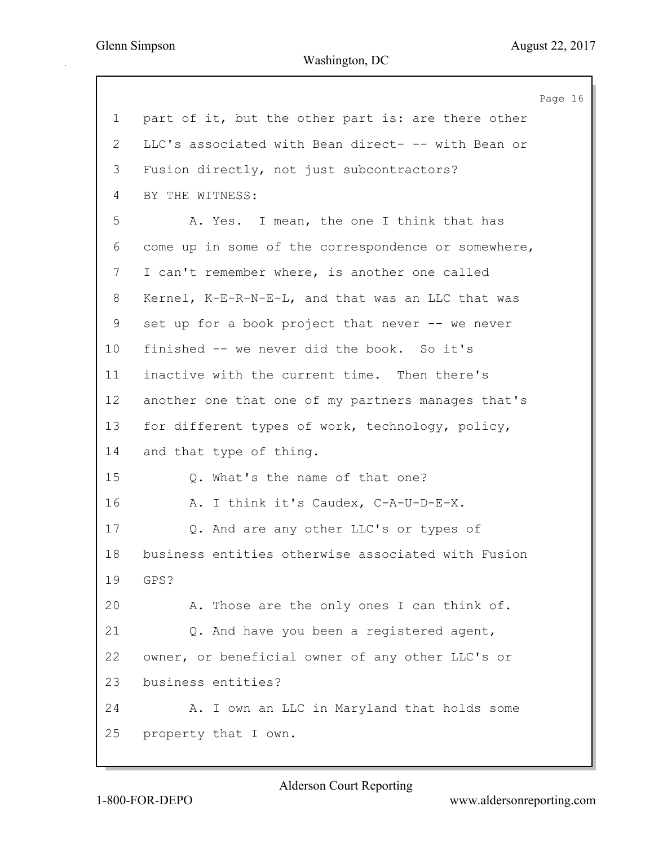Page 16 1 part of it, but the other part is: are there other 2 LLC's associated with Bean direct- -- with Bean or 3 Fusion directly, not just subcontractors? 4 BY THE WITNESS: 5 A. Yes. I mean, the one I think that has 6 come up in some of the correspondence or somewhere, 7 I can't remember where, is another one called 8 Kernel, K-E-R-N-E-L, and that was an LLC that was 9 set up for a book project that never -- we never 10 finished -- we never did the book. So it's 11 inactive with the current time. Then there's 12 another one that one of my partners manages that's 13 for different types of work, technology, policy, 14 and that type of thing. 15 Q. What's the name of that one? 16 A. I think it's Caudex, C-A-U-D-E-X. 17 Q. And are any other LLC's or types of 18 business entities otherwise associated with Fusion 19 GPS? 20 A. Those are the only ones I can think of. 21 Q. And have you been a registered agent, 22 owner, or beneficial owner of any other LLC's or 23 business entities? 24 A. I own an LLC in Maryland that holds some 25 property that I own.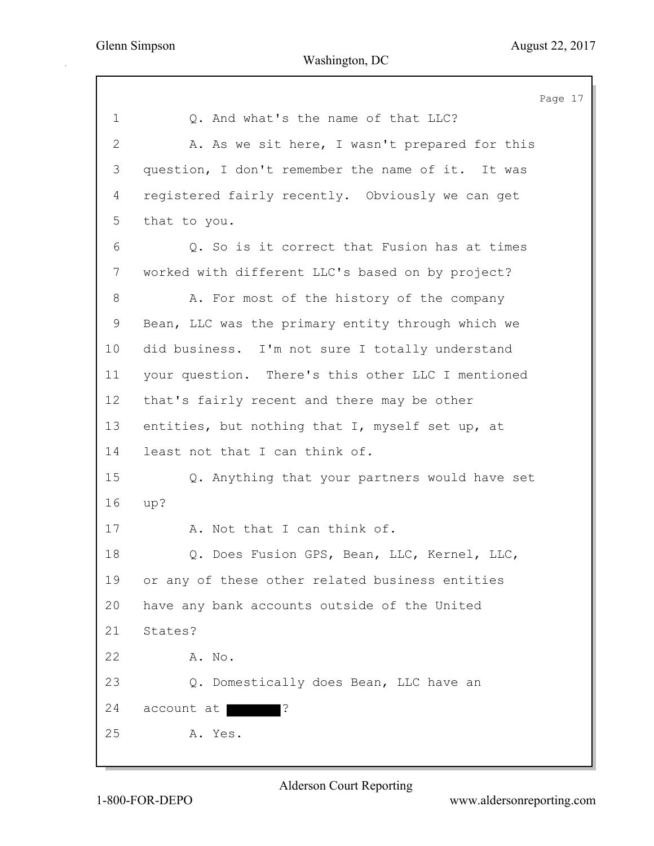|                | Page 17                                           |
|----------------|---------------------------------------------------|
| $\mathbf 1$    | Q. And what's the name of that LLC?               |
| $\overline{2}$ | A. As we sit here, I wasn't prepared for this     |
| 3              | question, I don't remember the name of it. It was |
| 4              | registered fairly recently. Obviously we can get  |
| 5              | that to you.                                      |
| 6              | Q. So is it correct that Fusion has at times      |
| $7\phantom{.}$ | worked with different LLC's based on by project?  |
| 8              | A. For most of the history of the company         |
| 9              | Bean, LLC was the primary entity through which we |
| 10             | did business. I'm not sure I totally understand   |
| 11             | your question. There's this other LLC I mentioned |
| 12             | that's fairly recent and there may be other       |
| 13             | entities, but nothing that I, myself set up, at   |
| 14             | least not that I can think of.                    |
| 15             | Q. Anything that your partners would have set     |
| 16             | up?                                               |
| 17             | A. Not that I can think of.                       |
| 18             | Q. Does Fusion GPS, Bean, LLC, Kernel, LLC,       |
| 19             | or any of these other related business entities   |
| 20             | have any bank accounts outside of the United      |
| 21             | States?                                           |
| 22             | A. No.                                            |
| 23             | Q. Domestically does Bean, LLC have an            |
| 24             | l.,<br>account at                                 |
| 25             | A. Yes.                                           |
|                |                                                   |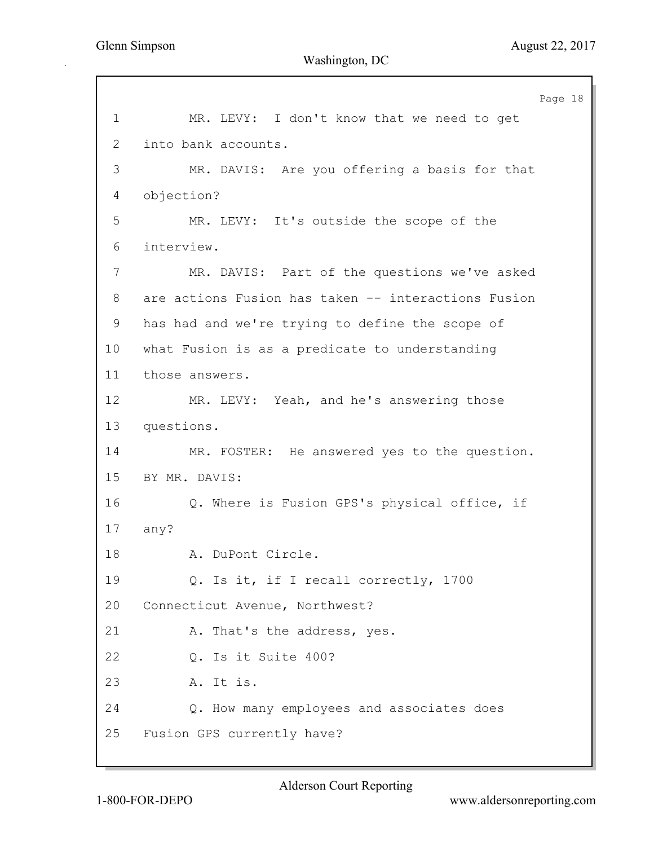Page 18 1 MR. LEVY: I don't know that we need to get 2 into bank accounts. 3 MR. DAVIS: Are you offering a basis for that 4 objection? 5 MR. LEVY: It's outside the scope of the 6 interview. 7 MR. DAVIS: Part of the questions we've asked 8 are actions Fusion has taken -- interactions Fusion 9 has had and we're trying to define the scope of 10 what Fusion is as a predicate to understanding 11 those answers. 12 MR. LEVY: Yeah, and he's answering those 13 questions. 14 MR. FOSTER: He answered yes to the question. 15 BY MR. DAVIS: 16 Q. Where is Fusion GPS's physical office, if 17 any? 18 A. DuPont Circle. 19 Q. Is it, if I recall correctly, 1700 20 Connecticut Avenue, Northwest? 21 A. That's the address, yes. 22 Q. Is it Suite 400? 23 A. It is. 24 Q. How many employees and associates does 25 Fusion GPS currently have?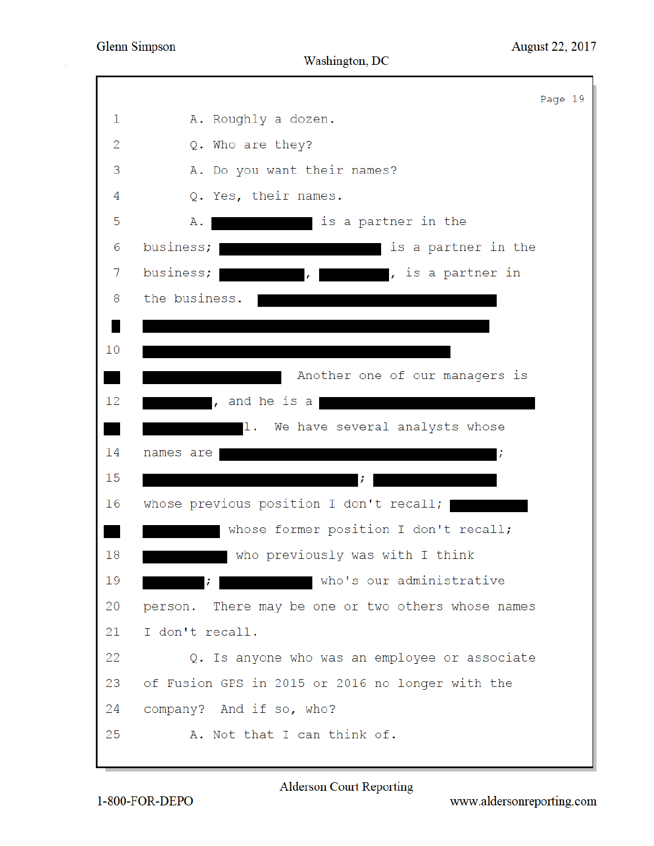|    | Page 19                                            |
|----|----------------------------------------------------|
| 1  | A. Roughly a dozen.                                |
| 2  | Q. Who are they?                                   |
| 3  | A. Do you want their names?                        |
| 4  | Q. Yes, their names.                               |
| 5  | is a partner in the<br>Α.                          |
| 6  | business;<br>is a partner in the                   |
| 7  | business;<br>, is a partner in<br>$\mathbf{r}$     |
| 8  | the business.                                      |
|    |                                                    |
| 10 |                                                    |
|    | Another one of our managers is                     |
| 12 | , and he is a                                      |
|    | 1. We have several analysts whose                  |
| 14 | names are                                          |
| 15 |                                                    |
| 16 | whose previous position I don't recall;            |
|    | whose former position I don't recall;              |
| 18 | who previously was with I think                    |
| 19 | who's our administrative                           |
| 20 | person. There may be one or two others whose names |
| 21 | I don't recall.                                    |
| 22 | Q. Is anyone who was an employee or associate      |
| 23 | of Fusion GPS in 2015 or 2016 no longer with the   |
| 24 | company? And if so, who?                           |
| 25 | A. Not that I can think of.                        |
|    |                                                    |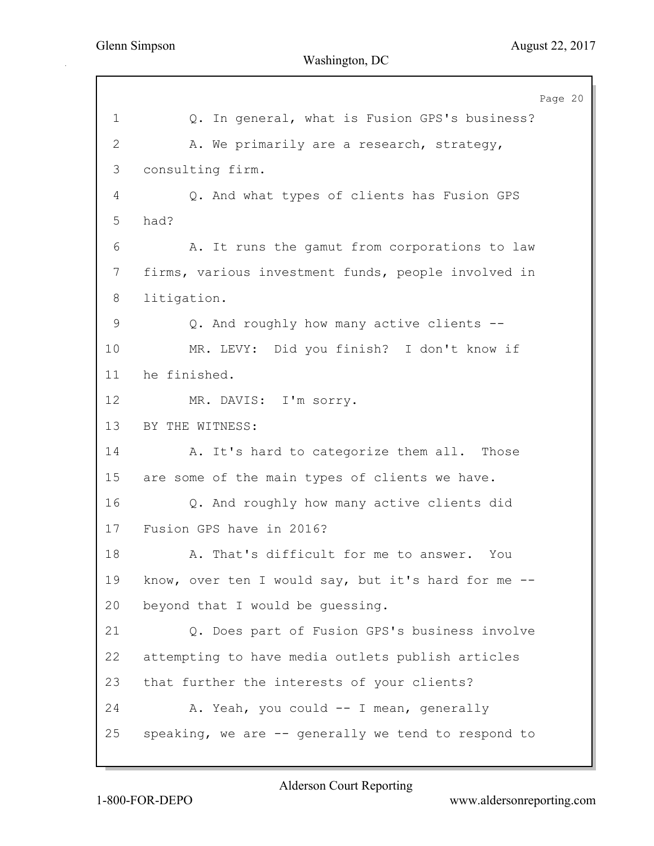Page 20 1 Q. In general, what is Fusion GPS's business? 2 A. We primarily are a research, strategy, 3 consulting firm. 4 Q. And what types of clients has Fusion GPS 5 had? 6 A. It runs the gamut from corporations to law 7 firms, various investment funds, people involved in 8 litigation. 9 Q. And roughly how many active clients --10 MR. LEVY: Did you finish? I don't know if 11 he finished. 12 MR. DAVIS: I'm sorry. 13 BY THE WITNESS: 14 A. It's hard to categorize them all. Those 15 are some of the main types of clients we have. 16 Q. And roughly how many active clients did 17 Fusion GPS have in 2016? 18 A. That's difficult for me to answer. You 19 know, over ten I would say, but it's hard for me -- 20 beyond that I would be guessing. 21 Q. Does part of Fusion GPS's business involve 22 attempting to have media outlets publish articles 23 that further the interests of your clients? 24 A. Yeah, you could -- I mean, generally 25 speaking, we are -- generally we tend to respond to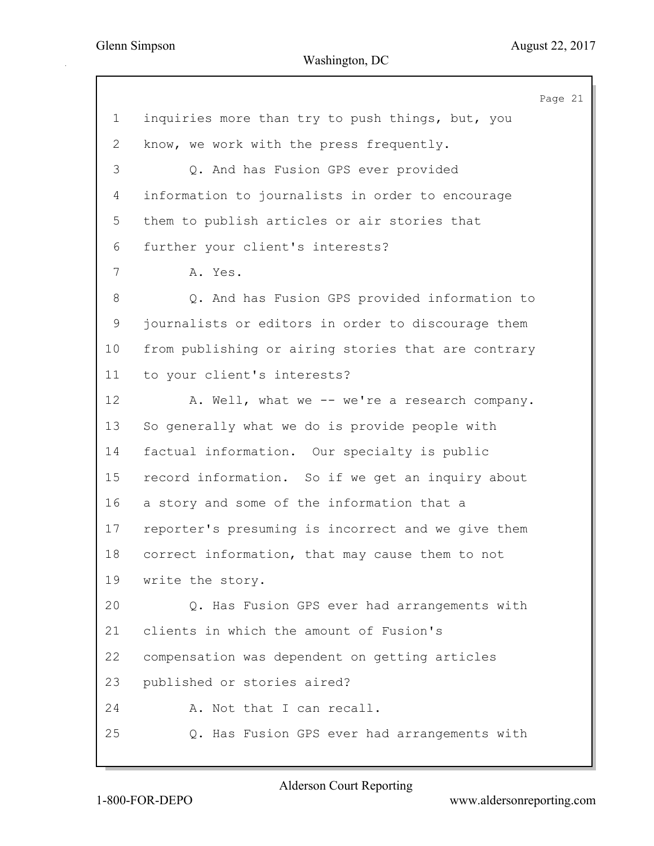Page 21 1 inquiries more than try to push things, but, you 2 know, we work with the press frequently. 3 Q. And has Fusion GPS ever provided 4 information to journalists in order to encourage 5 them to publish articles or air stories that 6 further your client's interests? 7 A. Yes. 8 Q. And has Fusion GPS provided information to 9 journalists or editors in order to discourage them 10 from publishing or airing stories that are contrary 11 to your client's interests? 12 A. Well, what we -- we're a research company. 13 So generally what we do is provide people with 14 factual information. Our specialty is public 15 record information. So if we get an inquiry about 16 a story and some of the information that a 17 reporter's presuming is incorrect and we give them 18 correct information, that may cause them to not 19 write the story. 20 Q. Has Fusion GPS ever had arrangements with 21 clients in which the amount of Fusion's 22 compensation was dependent on getting articles 23 published or stories aired? 24 A. Not that I can recall. 25 Q. Has Fusion GPS ever had arrangements with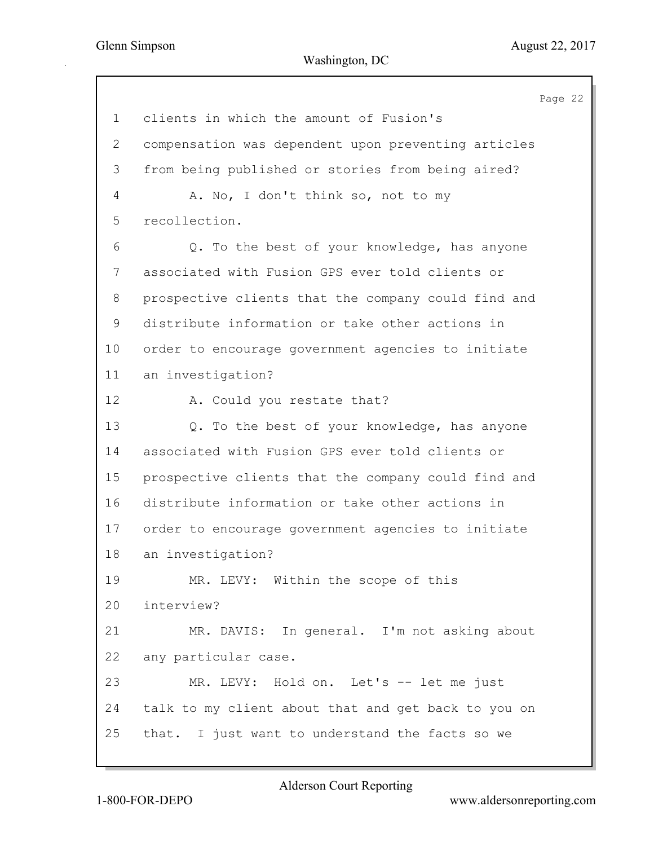Page 22 1 clients in which the amount of Fusion's 2 compensation was dependent upon preventing articles 3 from being published or stories from being aired? 4 A. No, I don't think so, not to my 5 recollection. 6 Q. To the best of your knowledge, has anyone 7 associated with Fusion GPS ever told clients or 8 prospective clients that the company could find and 9 distribute information or take other actions in 10 order to encourage government agencies to initiate 11 an investigation? 12 A. Could you restate that? 13 Q. To the best of your knowledge, has anyone 14 associated with Fusion GPS ever told clients or 15 prospective clients that the company could find and 16 distribute information or take other actions in 17 order to encourage government agencies to initiate 18 an investigation? 19 MR. LEVY: Within the scope of this 20 interview? 21 MR. DAVIS: In general. I'm not asking about 22 any particular case. 23 MR. LEVY: Hold on. Let's -- let me just 24 talk to my client about that and get back to you on 25 that. I just want to understand the facts so we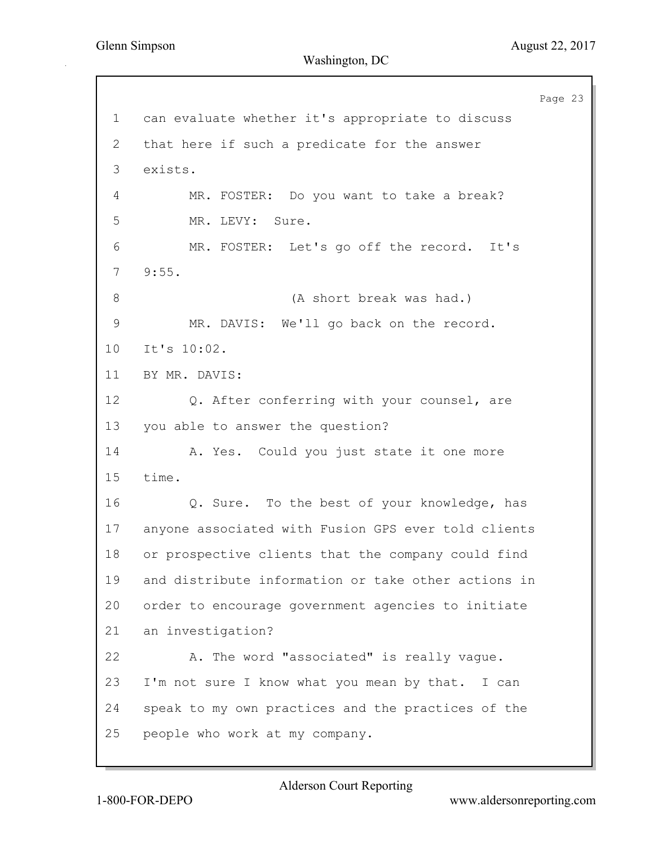Page 23 1 can evaluate whether it's appropriate to discuss 2 that here if such a predicate for the answer 3 exists. 4 MR. FOSTER: Do you want to take a break? 5 MR. LEVY: Sure. 6 MR. FOSTER: Let's go off the record. It's 7 9:55. 8 (A short break was had.) 9 MR. DAVIS: We'll go back on the record. 10 It's 10:02. 11 BY MR. DAVIS: 12 Q. After conferring with your counsel, are 13 you able to answer the question? 14 A. Yes. Could you just state it one more 15 time. 16 Q. Sure. To the best of your knowledge, has 17 anyone associated with Fusion GPS ever told clients 18 or prospective clients that the company could find 19 and distribute information or take other actions in 20 order to encourage government agencies to initiate 21 an investigation? 22 A. The word "associated" is really vague. 23 I'm not sure I know what you mean by that. I can 24 speak to my own practices and the practices of the 25 people who work at my company.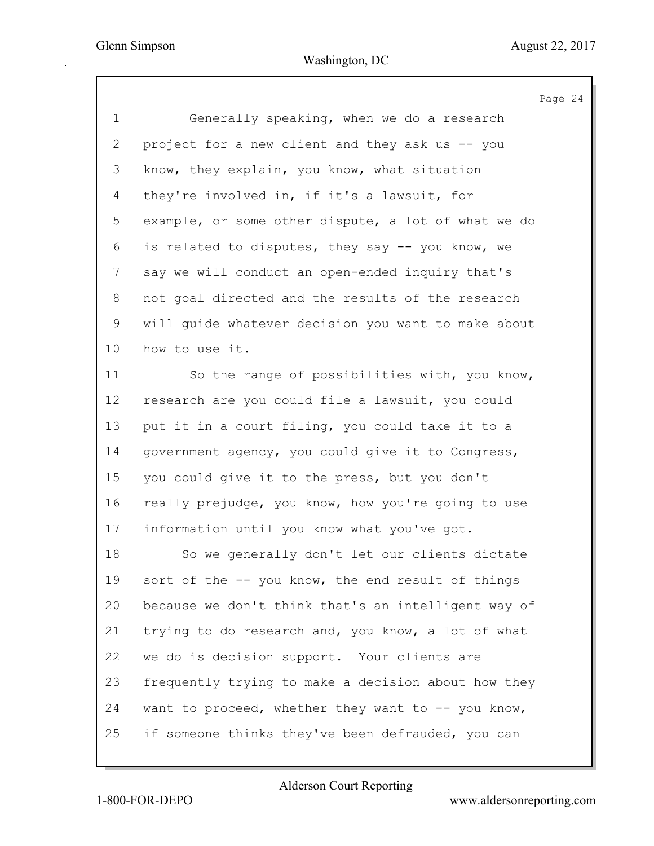|                 | Page 24                                             |
|-----------------|-----------------------------------------------------|
| $\mathbf 1$     | Generally speaking, when we do a research           |
| 2               | project for a new client and they ask us -- you     |
| 3               | know, they explain, you know, what situation        |
| 4               | they're involved in, if it's a lawsuit, for         |
| 5               | example, or some other dispute, a lot of what we do |
| 6               | is related to disputes, they say -- you know, we    |
| 7               | say we will conduct an open-ended inquiry that's    |
| 8               | not goal directed and the results of the research   |
| 9               | will quide whatever decision you want to make about |
| 10 <sub>o</sub> | how to use it.                                      |
| 11              | So the range of possibilities with, you know,       |
| 12              | research are you could file a lawsuit, you could    |
| 13              | put it in a court filing, you could take it to a    |
| 14              | government agency, you could give it to Congress,   |
| 15              | you could give it to the press, but you don't       |
| 16              | really prejudge, you know, how you're going to use  |
| 17              | information until you know what you've got.         |
| 18              | So we generally don't let our clients dictate       |
| 19              | sort of the -- you know, the end result of things   |
| 20              | because we don't think that's an intelligent way of |
| 21              | trying to do research and, you know, a lot of what  |
| 22              | we do is decision support. Your clients are         |
| 23              | frequently trying to make a decision about how they |
| 24              | want to proceed, whether they want to -- you know,  |

25 if someone thinks they've been defrauded, you can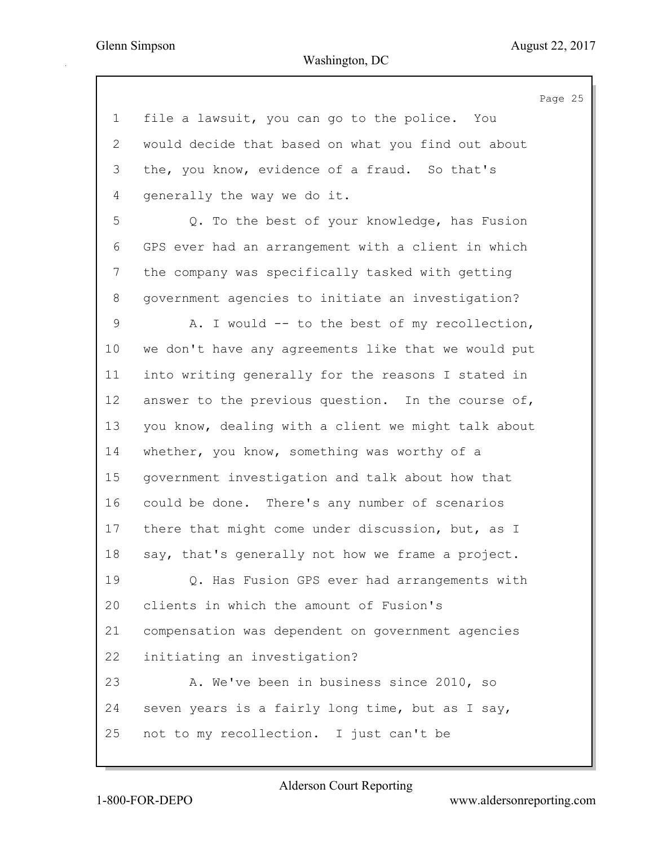Page 25 1 file a lawsuit, you can go to the police. You 2 would decide that based on what you find out about 3 the, you know, evidence of a fraud. So that's 4 generally the way we do it. 5 Q. To the best of your knowledge, has Fusion 6 GPS ever had an arrangement with a client in which 7 the company was specifically tasked with getting 8 government agencies to initiate an investigation? 9 A. I would -- to the best of my recollection, 10 we don't have any agreements like that we would put 11 into writing generally for the reasons I stated in 12 answer to the previous question. In the course of, 13 you know, dealing with a client we might talk about 14 whether, you know, something was worthy of a 15 government investigation and talk about how that 16 could be done. There's any number of scenarios 17 there that might come under discussion, but, as I 18 say, that's generally not how we frame a project. 19 Q. Has Fusion GPS ever had arrangements with 20 clients in which the amount of Fusion's 21 compensation was dependent on government agencies 22 initiating an investigation? 23 A. We've been in business since 2010, so 24 seven years is a fairly long time, but as I say, 25 not to my recollection. I just can't be

1-800-FOR-DEPO www.aldersonreporting.com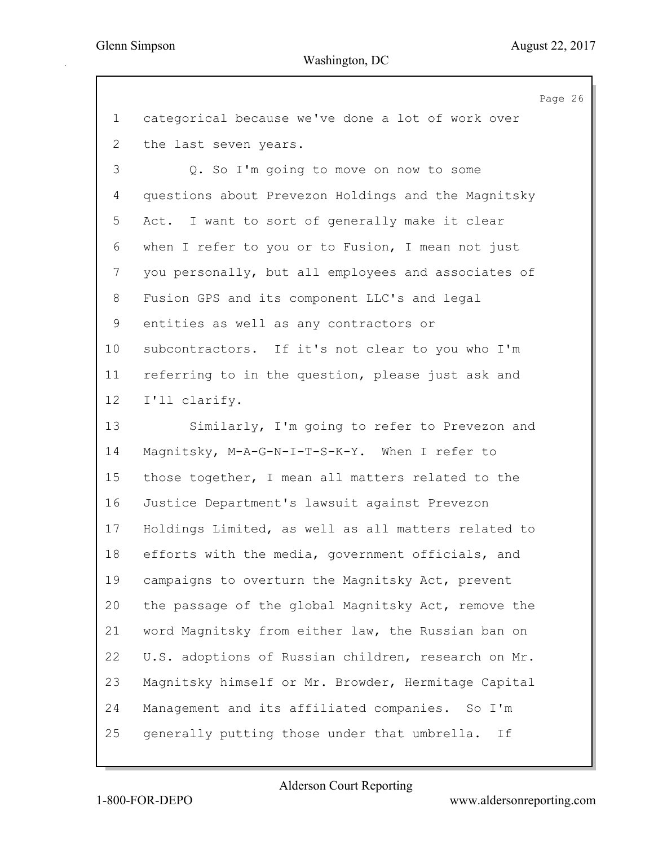Page 26 1 categorical because we've done a lot of work over 2 the last seven years. 3 Q. So I'm going to move on now to some 4 questions about Prevezon Holdings and the Magnitsky 5 Act. I want to sort of generally make it clear 6 when I refer to you or to Fusion, I mean not just 7 you personally, but all employees and associates of 8 Fusion GPS and its component LLC's and legal 9 entities as well as any contractors or 10 subcontractors. If it's not clear to you who I'm 11 referring to in the question, please just ask and 12 I'll clarify. 13 Similarly, I'm going to refer to Prevezon and 14 Magnitsky, M-A-G-N-I-T-S-K-Y. When I refer to 15 those together, I mean all matters related to the 16 Justice Department's lawsuit against Prevezon 17 Holdings Limited, as well as all matters related to 18 efforts with the media, government officials, and 19 campaigns to overturn the Magnitsky Act, prevent 20 the passage of the global Magnitsky Act, remove the 21 word Magnitsky from either law, the Russian ban on 22 U.S. adoptions of Russian children, research on Mr. 23 Magnitsky himself or Mr. Browder, Hermitage Capital 24 Management and its affiliated companies. So I'm 25 generally putting those under that umbrella. If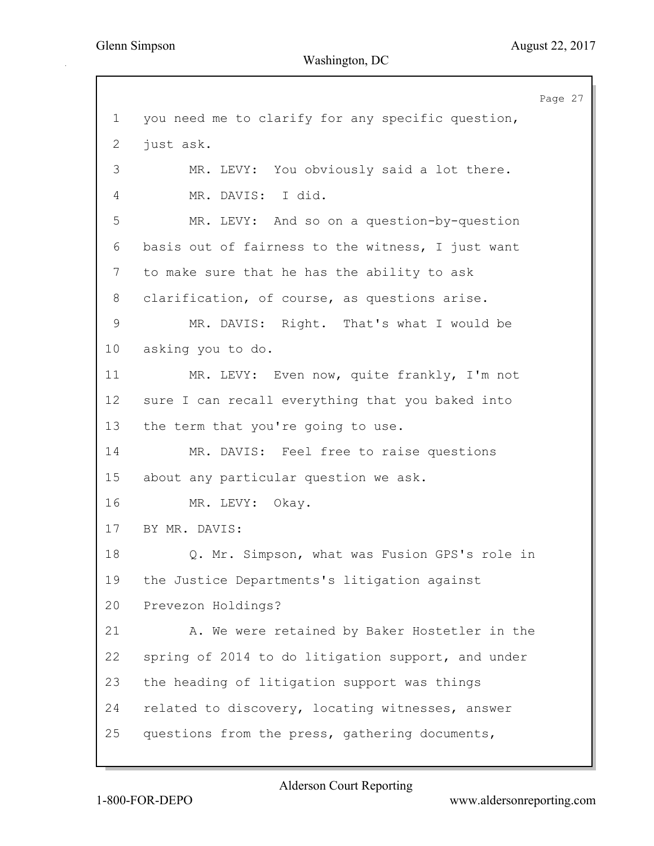Page 27 1 you need me to clarify for any specific question, 2 just ask. 3 MR. LEVY: You obviously said a lot there. 4 MR. DAVIS: I did. 5 MR. LEVY: And so on a question-by-question 6 basis out of fairness to the witness, I just want 7 to make sure that he has the ability to ask 8 clarification, of course, as questions arise. 9 MR. DAVIS: Right. That's what I would be 10 asking you to do. 11 MR. LEVY: Even now, quite frankly, I'm not 12 sure I can recall everything that you baked into 13 the term that you're going to use. 14 MR. DAVIS: Feel free to raise questions 15 about any particular question we ask. 16 MR. LEVY: Okay. 17 BY MR. DAVIS: 18 Q. Mr. Simpson, what was Fusion GPS's role in 19 the Justice Departments's litigation against 20 Prevezon Holdings? 21 A. We were retained by Baker Hostetler in the 22 spring of 2014 to do litigation support, and under 23 the heading of litigation support was things 24 related to discovery, locating witnesses, answer 25 questions from the press, gathering documents,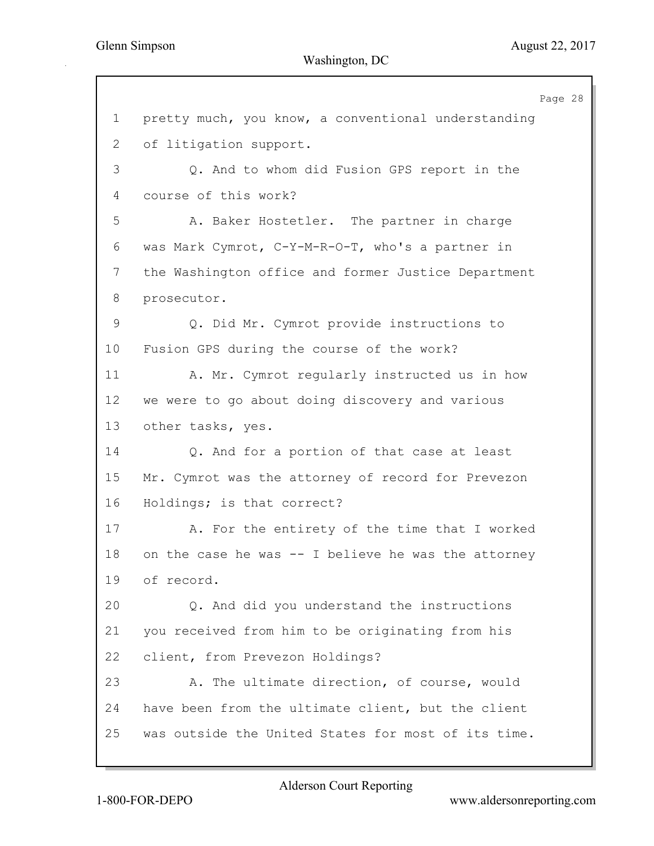Page 28 1 pretty much, you know, a conventional understanding 2 of litigation support. 3 Q. And to whom did Fusion GPS report in the 4 course of this work? 5 A. Baker Hostetler. The partner in charge 6 was Mark Cymrot, C-Y-M-R-O-T, who's a partner in 7 the Washington office and former Justice Department 8 prosecutor. 9 Q. Did Mr. Cymrot provide instructions to 10 Fusion GPS during the course of the work? 11 A. Mr. Cymrot regularly instructed us in how 12 we were to go about doing discovery and various 13 other tasks, yes. 14 Q. And for a portion of that case at least 15 Mr. Cymrot was the attorney of record for Prevezon 16 Holdings; is that correct? 17 A. For the entirety of the time that I worked 18 on the case he was -- I believe he was the attorney 19 of record. 20 Q. And did you understand the instructions 21 you received from him to be originating from his 22 client, from Prevezon Holdings? 23 A. The ultimate direction, of course, would 24 have been from the ultimate client, but the client 25 was outside the United States for most of its time.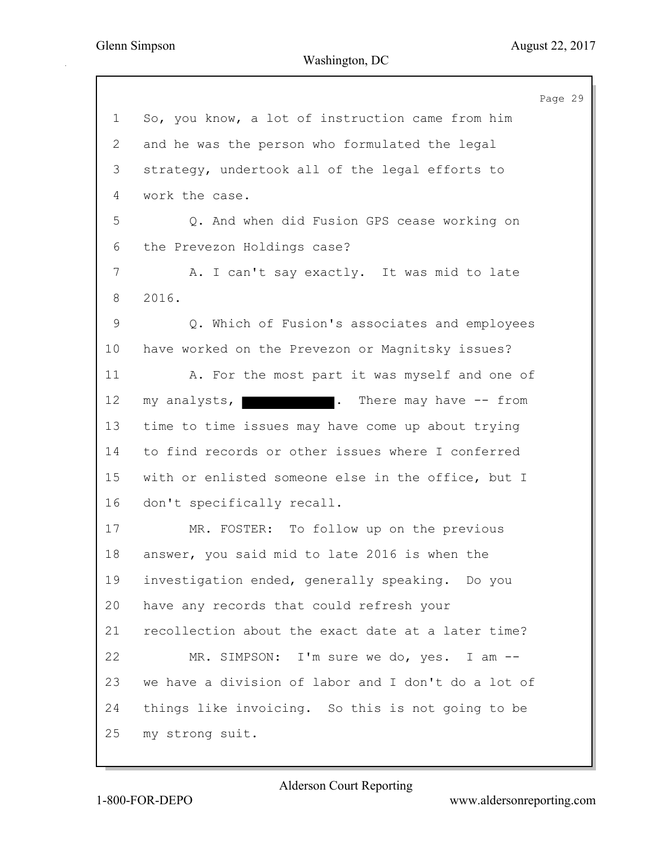Page 29 1 So, you know, a lot of instruction came from him 2 and he was the person who formulated the legal 3 strategy, undertook all of the legal efforts to 4 work the case. 5 Q. And when did Fusion GPS cease working on 6 the Prevezon Holdings case? 7 A. I can't say exactly. It was mid to late 8 2016. 9 Q. Which of Fusion's associates and employees 10 have worked on the Prevezon or Magnitsky issues? 11 A. For the most part it was myself and one of 12 my analysts, **... There may have -- from** 13 time to time issues may have come up about trying 14 to find records or other issues where I conferred 15 with or enlisted someone else in the office, but I 16 don't specifically recall. 17 MR. FOSTER: To follow up on the previous 18 answer, you said mid to late 2016 is when the 19 investigation ended, generally speaking. Do you 20 have any records that could refresh your 21 recollection about the exact date at a later time? 22 MR. SIMPSON: I'm sure we do, yes. I am -- 23 we have a division of labor and I don't do a lot of 24 things like invoicing. So this is not going to be 25 my strong suit.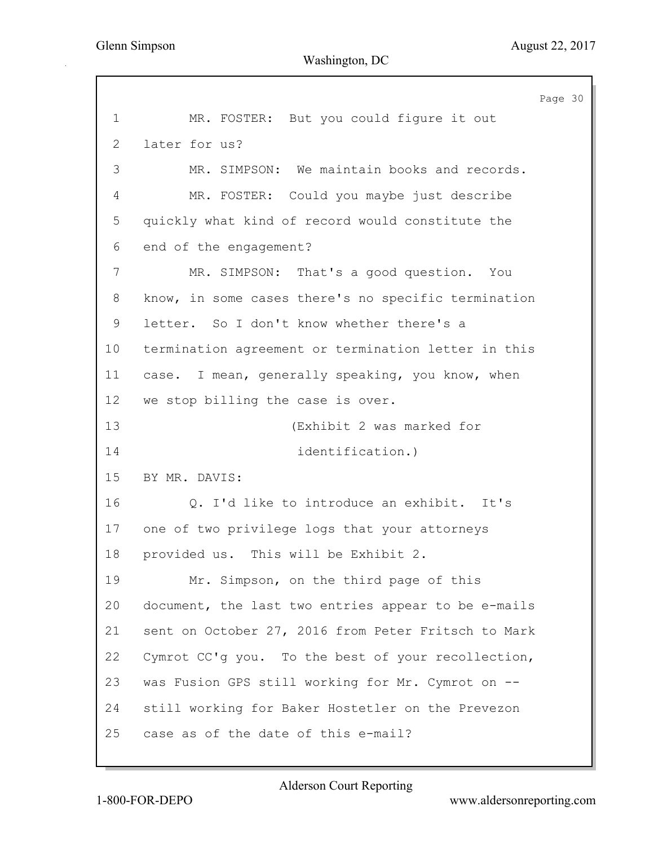Page 30 1 MR. FOSTER: But you could figure it out 2 later for us? 3 MR. SIMPSON: We maintain books and records. 4 MR. FOSTER: Could you maybe just describe 5 quickly what kind of record would constitute the 6 end of the engagement? 7 MR. SIMPSON: That's a good question. You 8 know, in some cases there's no specific termination 9 letter. So I don't know whether there's a 10 termination agreement or termination letter in this 11 case. I mean, generally speaking, you know, when 12 we stop billing the case is over. 13 (Exhibit 2 was marked for 14 identification.) 15 BY MR. DAVIS: 16 Q. I'd like to introduce an exhibit. It's 17 one of two privilege logs that your attorneys 18 provided us. This will be Exhibit 2. 19 Mr. Simpson, on the third page of this 20 document, the last two entries appear to be e-mails 21 sent on October 27, 2016 from Peter Fritsch to Mark 22 Cymrot CC'g you. To the best of your recollection, 23 was Fusion GPS still working for Mr. Cymrot on -- 24 still working for Baker Hostetler on the Prevezon 25 case as of the date of this e-mail?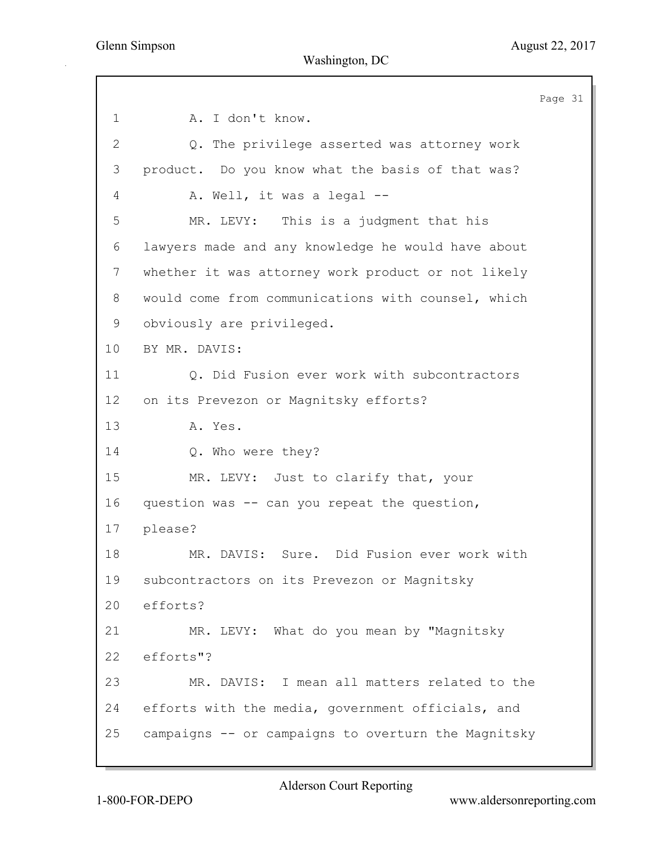Page 31 1 A. I don't know. 2 Q. The privilege asserted was attorney work 3 product. Do you know what the basis of that was? 4 A. Well, it was a legal --5 MR. LEVY: This is a judgment that his 6 lawyers made and any knowledge he would have about 7 whether it was attorney work product or not likely 8 would come from communications with counsel, which 9 obviously are privileged. 10 BY MR. DAVIS: 11 Q. Did Fusion ever work with subcontractors 12 on its Prevezon or Magnitsky efforts? 13 A. Yes. 14 Q. Who were they? 15 MR. LEVY: Just to clarify that, your 16 question was -- can you repeat the question, 17 please? 18 MR. DAVIS: Sure. Did Fusion ever work with 19 subcontractors on its Prevezon or Magnitsky 20 efforts? 21 MR. LEVY: What do you mean by "Magnitsky 22 efforts"? 23 MR. DAVIS: I mean all matters related to the 24 efforts with the media, government officials, and 25 campaigns -- or campaigns to overturn the Magnitsky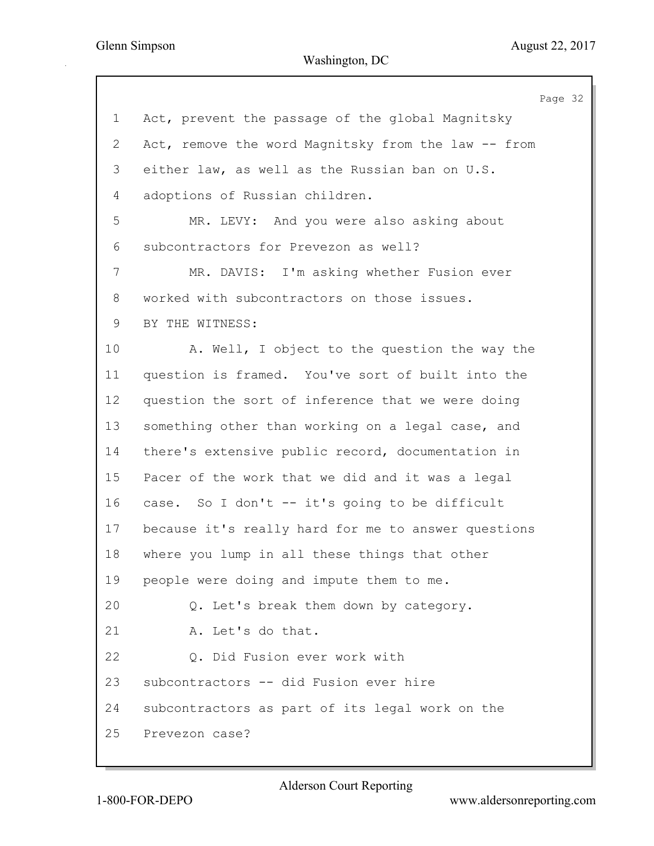|             | Page 32                                             |
|-------------|-----------------------------------------------------|
| $\mathbf 1$ | Act, prevent the passage of the global Magnitsky    |
| 2           | Act, remove the word Magnitsky from the law -- from |
| 3           | either law, as well as the Russian ban on U.S.      |
| 4           | adoptions of Russian children.                      |
| 5           | MR. LEVY: And you were also asking about            |
| 6           | subcontractors for Prevezon as well?                |
| 7           | MR. DAVIS: I'm asking whether Fusion ever           |
| 8           | worked with subcontractors on those issues.         |
| 9           | BY THE WITNESS:                                     |
| 10          | A. Well, I object to the question the way the       |
| 11          | question is framed. You've sort of built into the   |
| 12          | question the sort of inference that we were doing   |
| 13          | something other than working on a legal case, and   |
| 14          | there's extensive public record, documentation in   |
| 15          | Pacer of the work that we did and it was a legal    |
| 16          | case. So I don't -- it's going to be difficult      |
| 17          | because it's really hard for me to answer questions |
| 18          | where you lump in all these things that other       |
| 19          | people were doing and impute them to me.            |
| 20          | Q. Let's break them down by category.               |
| 21          | A. Let's do that.                                   |
| 22          | Q. Did Fusion ever work with                        |
| 23          | subcontractors -- did Fusion ever hire              |
| 24          | subcontractors as part of its legal work on the     |
| 25          | Prevezon case?                                      |
|             |                                                     |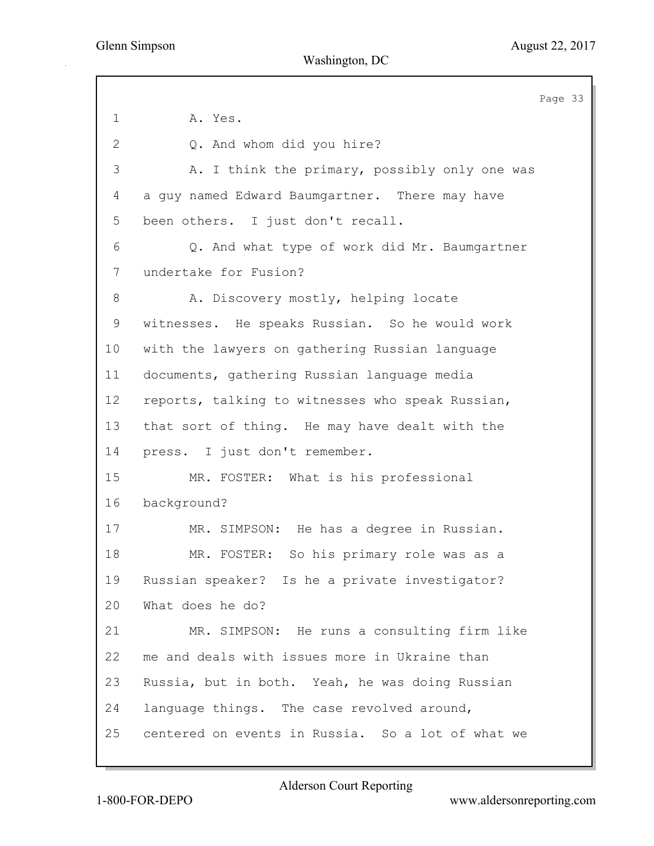Page 33 1 **A.** Yes. 2 Q. And whom did you hire? 3 A. I think the primary, possibly only one was 4 a guy named Edward Baumgartner. There may have 5 been others. I just don't recall. 6 Q. And what type of work did Mr. Baumgartner 7 undertake for Fusion? 8 A. Discovery mostly, helping locate 9 witnesses. He speaks Russian. So he would work 10 with the lawyers on gathering Russian language 11 documents, gathering Russian language media 12 reports, talking to witnesses who speak Russian, 13 that sort of thing. He may have dealt with the 14 press. I just don't remember. 15 MR. FOSTER: What is his professional 16 background? 17 MR. SIMPSON: He has a degree in Russian. 18 MR. FOSTER: So his primary role was as a 19 Russian speaker? Is he a private investigator? 20 What does he do? 21 MR. SIMPSON: He runs a consulting firm like 22 me and deals with issues more in Ukraine than 23 Russia, but in both. Yeah, he was doing Russian 24 language things. The case revolved around, 25 centered on events in Russia. So a lot of what we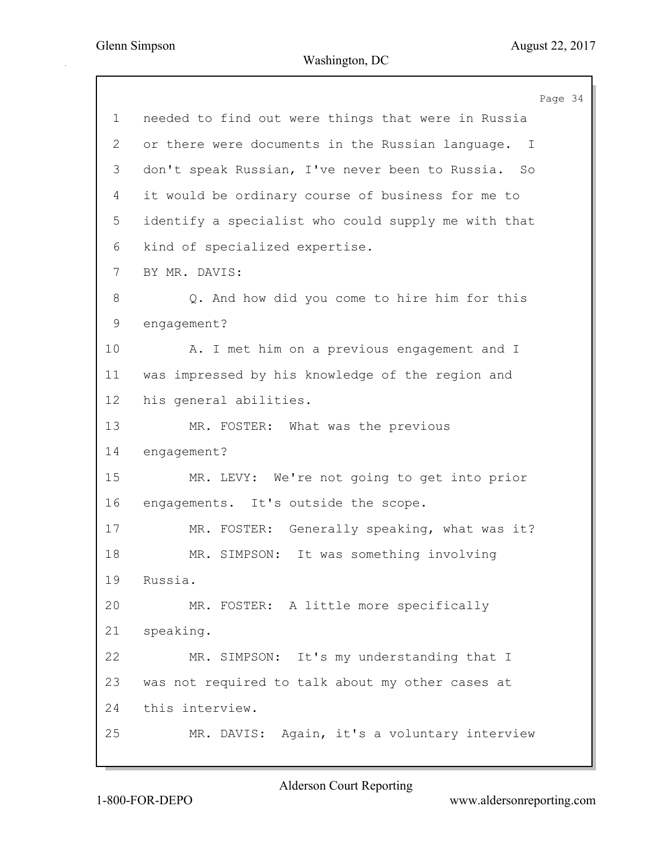Page 34 1 needed to find out were things that were in Russia 2 or there were documents in the Russian language. I 3 don't speak Russian, I've never been to Russia. So 4 it would be ordinary course of business for me to 5 identify a specialist who could supply me with that 6 kind of specialized expertise. 7 BY MR. DAVIS: 8 Q. And how did you come to hire him for this 9 engagement? 10 A. I met him on a previous engagement and I 11 was impressed by his knowledge of the region and 12 his general abilities. 13 MR. FOSTER: What was the previous 14 engagement? 15 MR. LEVY: We're not going to get into prior 16 engagements. It's outside the scope. 17 MR. FOSTER: Generally speaking, what was it? 18 MR. SIMPSON: It was something involving 19 Russia. 20 MR. FOSTER: A little more specifically 21 speaking. 22 MR. SIMPSON: It's my understanding that I 23 was not required to talk about my other cases at 24 this interview. 25 MR. DAVIS: Again, it's a voluntary interview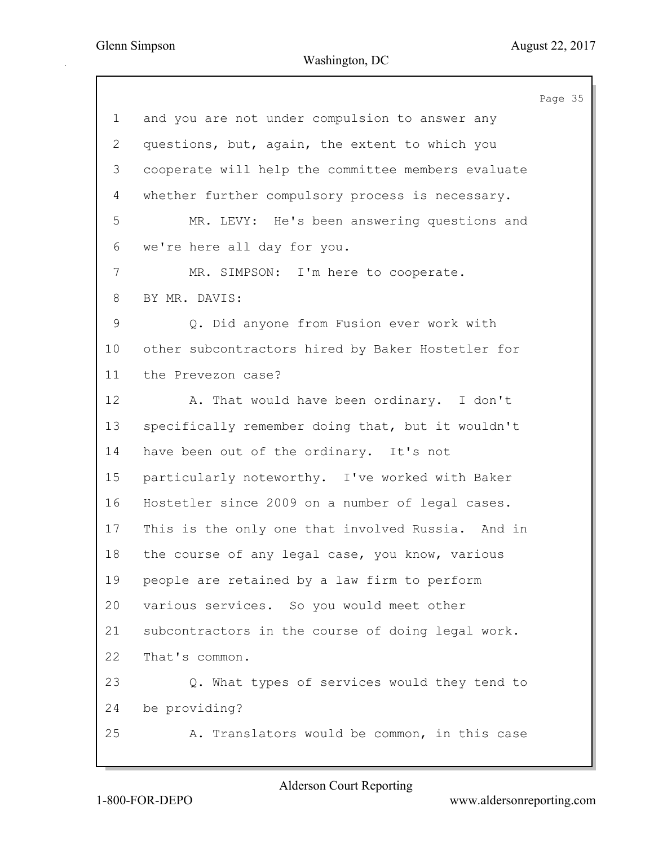|                |                                                    | Page 35 |  |
|----------------|----------------------------------------------------|---------|--|
| $\mathbf 1$    | and you are not under compulsion to answer any     |         |  |
| $\overline{2}$ | questions, but, again, the extent to which you     |         |  |
| 3              | cooperate will help the committee members evaluate |         |  |
| 4              | whether further compulsory process is necessary.   |         |  |
| 5              | MR. LEVY: He's been answering questions and        |         |  |
| 6              | we're here all day for you.                        |         |  |
| 7              | MR. SIMPSON: I'm here to cooperate.                |         |  |
| 8              | BY MR. DAVIS:                                      |         |  |
| $\mathsf{S}$   | Q. Did anyone from Fusion ever work with           |         |  |
| 10             | other subcontractors hired by Baker Hostetler for  |         |  |
| 11             | the Prevezon case?                                 |         |  |
| 12             | A. That would have been ordinary. I don't          |         |  |
| 13             | specifically remember doing that, but it wouldn't  |         |  |
| 14             | have been out of the ordinary. It's not            |         |  |
| 15             | particularly noteworthy. I've worked with Baker    |         |  |
| 16             | Hostetler since 2009 on a number of legal cases.   |         |  |
| 17             | This is the only one that involved Russia. And in  |         |  |
| 18             | the course of any legal case, you know, various    |         |  |
| 19             | people are retained by a law firm to perform       |         |  |
| 20             | various services. So you would meet other          |         |  |
| 21             | subcontractors in the course of doing legal work.  |         |  |
| 22             | That's common.                                     |         |  |
| 23             | Q. What types of services would they tend to       |         |  |
| 24             | be providing?                                      |         |  |
| 25             | A. Translators would be common, in this case       |         |  |
|                |                                                    |         |  |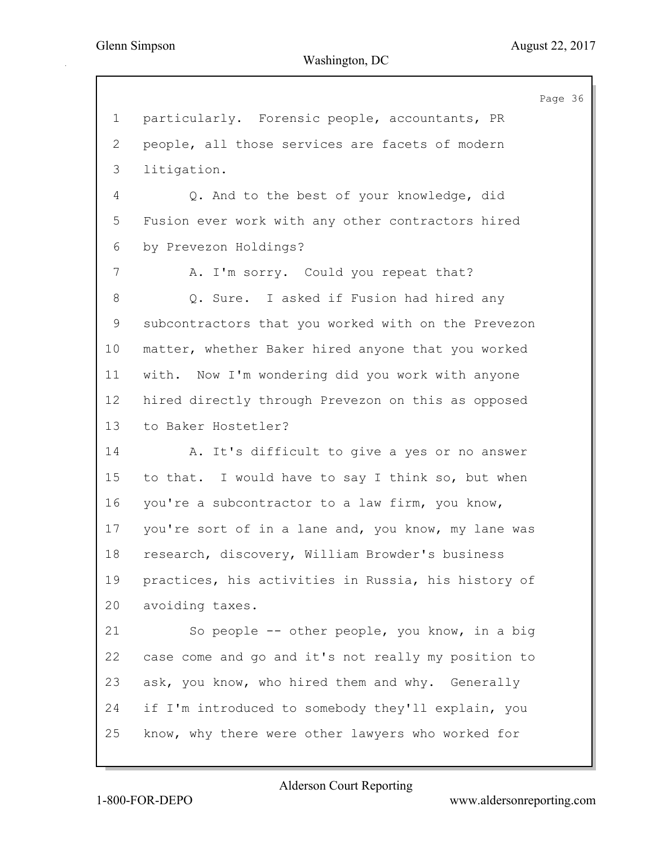|    |                                                     | Page 36 |
|----|-----------------------------------------------------|---------|
| 1  | particularly. Forensic people, accountants, PR      |         |
| 2  | people, all those services are facets of modern     |         |
| 3  | litigation.                                         |         |
| 4  | Q. And to the best of your knowledge, did           |         |
| 5  | Fusion ever work with any other contractors hired   |         |
| 6  | by Prevezon Holdings?                               |         |
| 7  | A. I'm sorry. Could you repeat that?                |         |
| 8  | Q. Sure. I asked if Fusion had hired any            |         |
| 9  | subcontractors that you worked with on the Prevezon |         |
| 10 | matter, whether Baker hired anyone that you worked  |         |
| 11 | with. Now I'm wondering did you work with anyone    |         |
| 12 | hired directly through Prevezon on this as opposed  |         |
| 13 | to Baker Hostetler?                                 |         |
| 14 | A. It's difficult to give a yes or no answer        |         |
| 15 | to that. I would have to say I think so, but when   |         |
| 16 | you're a subcontractor to a law firm, you know,     |         |
| 17 | you're sort of in a lane and, you know, my lane was |         |
| 18 | research, discovery, William Browder's business     |         |
| 19 | practices, his activities in Russia, his history of |         |
| 20 | avoiding taxes.                                     |         |
| 21 | So people -- other people, you know, in a big       |         |
| 22 | case come and go and it's not really my position to |         |
| 23 | ask, you know, who hired them and why. Generally    |         |
| 24 | if I'm introduced to somebody they'll explain, you  |         |
| 25 | know, why there were other lawyers who worked for   |         |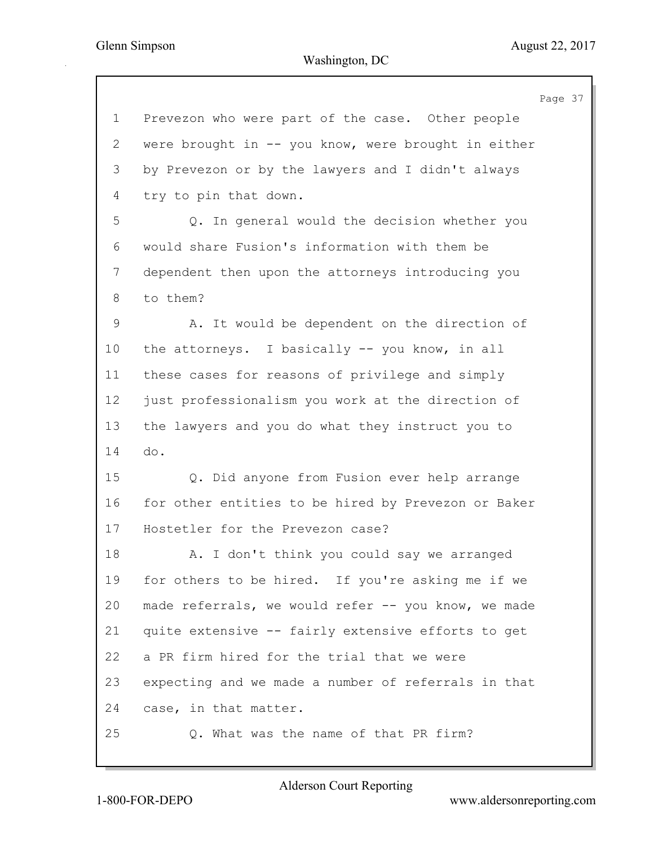37

|             | Page                                                |
|-------------|-----------------------------------------------------|
| $\mathbf 1$ | Prevezon who were part of the case. Other people    |
| 2           | were brought in -- you know, were brought in either |
| 3           | by Prevezon or by the lawyers and I didn't always   |
| 4           | try to pin that down.                               |
| 5           | Q. In general would the decision whether you        |
| 6           | would share Fusion's information with them be       |
| 7           | dependent then upon the attorneys introducing you   |
| 8           | to them?                                            |
| 9           | A. It would be dependent on the direction of        |
| 10          | the attorneys. I basically -- you know, in all      |
| 11          | these cases for reasons of privilege and simply     |
| 12          | just professionalism you work at the direction of   |
| 13          | the lawyers and you do what they instruct you to    |
| 14          | do.                                                 |
| 15          | Q. Did anyone from Fusion ever help arrange         |
| 16          | for other entities to be hired by Prevezon or Baker |
| 17          | Hostetler for the Prevezon case?                    |
| 18          | A. I don't think you could say we arranged          |
| 19          | for others to be hired. If you're asking me if we   |
| 20          | made referrals, we would refer -- you know, we made |
| 21          | quite extensive -- fairly extensive efforts to get  |
| 22          | a PR firm hired for the trial that we were          |
| 23          | expecting and we made a number of referrals in that |
| 24          | case, in that matter.                               |
| 25          | Q. What was the name of that PR firm?               |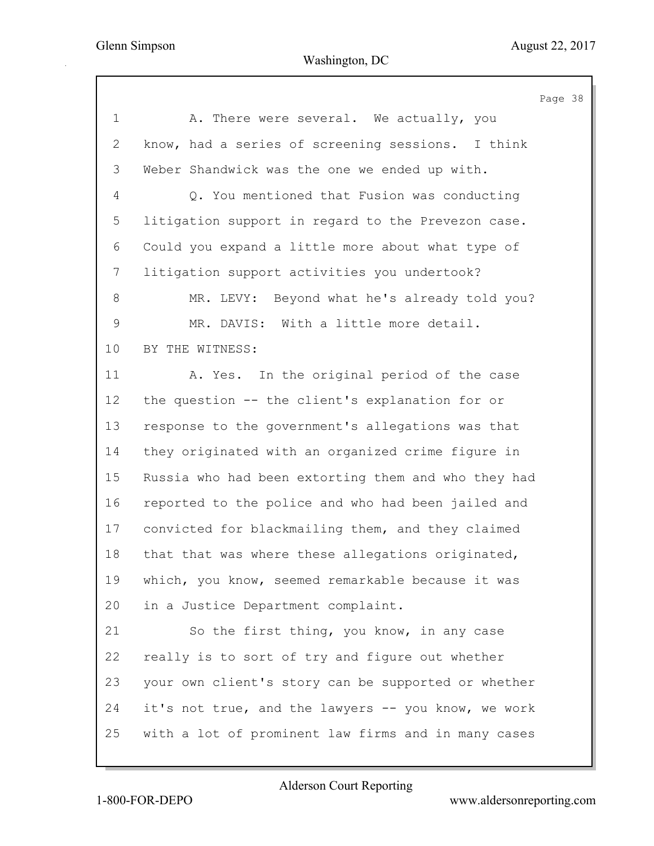Page 38 1 A. There were several. We actually, you 2 know, had a series of screening sessions. I think 3 Weber Shandwick was the one we ended up with. 4 Q. You mentioned that Fusion was conducting 5 litigation support in regard to the Prevezon case. 6 Could you expand a little more about what type of 7 litigation support activities you undertook? 8 MR. LEVY: Beyond what he's already told you? 9 MR. DAVIS: With a little more detail. 10 BY THE WITNESS: 11 A. Yes. In the original period of the case 12 the question -- the client's explanation for or 13 response to the government's allegations was that 14 they originated with an organized crime figure in 15 Russia who had been extorting them and who they had 16 reported to the police and who had been jailed and 17 convicted for blackmailing them, and they claimed 18 that that was where these allegations originated, 19 which, you know, seemed remarkable because it was 20 in a Justice Department complaint. 21 So the first thing, you know, in any case 22 really is to sort of try and figure out whether 23 your own client's story can be supported or whether 24 it's not true, and the lawyers -- you know, we work 25 with a lot of prominent law firms and in many cases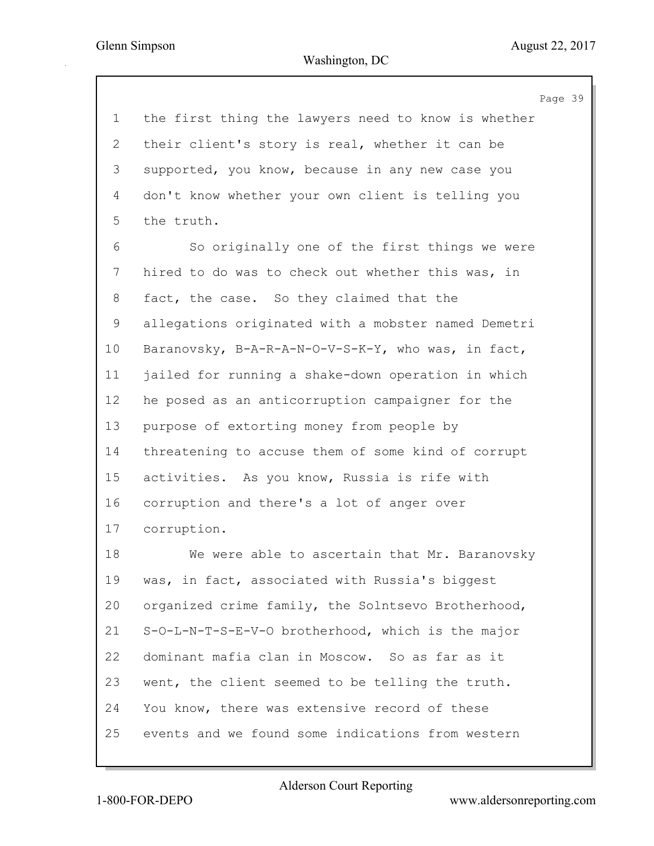Page 39 1 the first thing the lawyers need to know is whether 2 their client's story is real, whether it can be 3 supported, you know, because in any new case you 4 don't know whether your own client is telling you 5 the truth. 6 So originally one of the first things we were 7 hired to do was to check out whether this was, in 8 fact, the case. So they claimed that the 9 allegations originated with a mobster named Demetri 10 Baranovsky, B-A-R-A-N-O-V-S-K-Y, who was, in fact, 11 jailed for running a shake-down operation in which 12 he posed as an anticorruption campaigner for the 13 purpose of extorting money from people by 14 threatening to accuse them of some kind of corrupt 15 activities. As you know, Russia is rife with 16 corruption and there's a lot of anger over 17 corruption. 18 We were able to ascertain that Mr. Baranovsky 19 was, in fact, associated with Russia's biggest 20 organized crime family, the Solntsevo Brotherhood, 21 S-O-L-N-T-S-E-V-O brotherhood, which is the major 22 dominant mafia clan in Moscow. So as far as it 23 went, the client seemed to be telling the truth. 24 You know, there was extensive record of these 25 events and we found some indications from western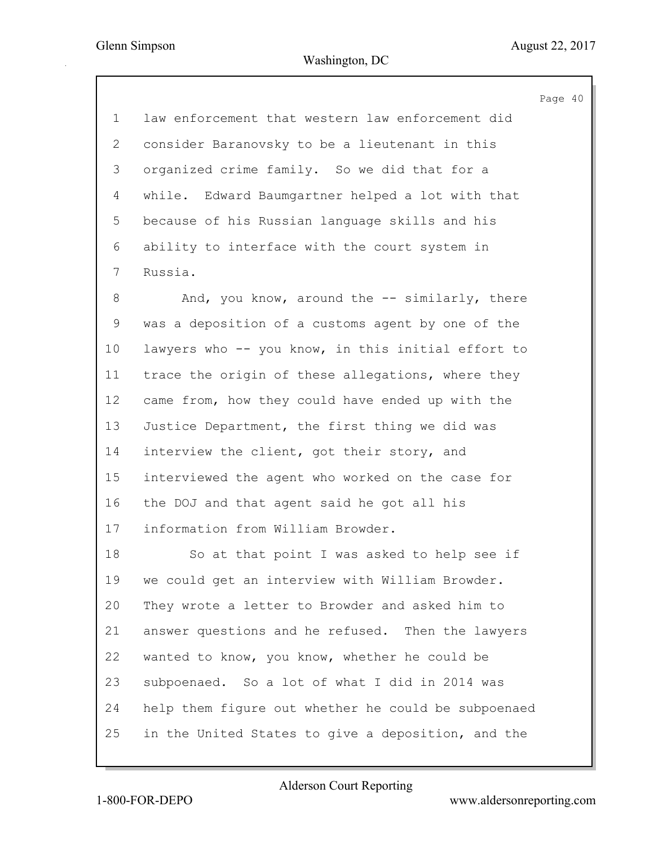Page 40 1 law enforcement that western law enforcement did 2 consider Baranovsky to be a lieutenant in this 3 organized crime family. So we did that for a 4 while. Edward Baumgartner helped a lot with that 5 because of his Russian language skills and his 6 ability to interface with the court system in 7 Russia. 8 And, you know, around the -- similarly, there 9 was a deposition of a customs agent by one of the 10 lawyers who -- you know, in this initial effort to 11 trace the origin of these allegations, where they 12 came from, how they could have ended up with the 13 Justice Department, the first thing we did was 14 interview the client, got their story, and 15 interviewed the agent who worked on the case for 16 the DOJ and that agent said he got all his 17 information from William Browder. 18 So at that point I was asked to help see if 19 we could get an interview with William Browder. 20 They wrote a letter to Browder and asked him to 21 answer questions and he refused. Then the lawyers 22 wanted to know, you know, whether he could be 23 subpoenaed. So a lot of what I did in 2014 was 24 help them figure out whether he could be subpoenaed 25 in the United States to give a deposition, and the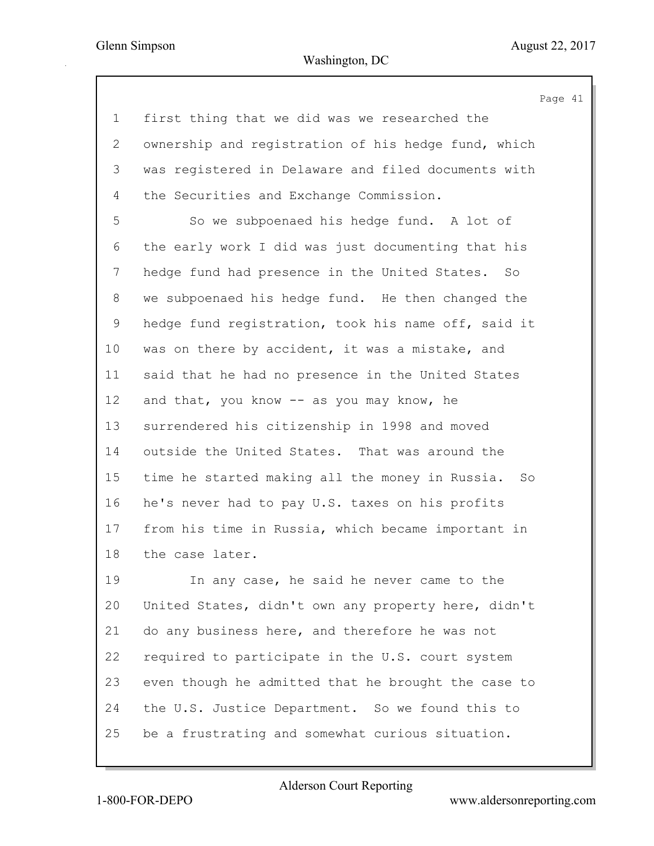Page 41 1 first thing that we did was we researched the 2 ownership and registration of his hedge fund, which 3 was registered in Delaware and filed documents with 4 the Securities and Exchange Commission. 5 So we subpoenaed his hedge fund. A lot of 6 the early work I did was just documenting that his 7 hedge fund had presence in the United States. So 8 we subpoenaed his hedge fund. He then changed the 9 hedge fund registration, took his name off, said it 10 was on there by accident, it was a mistake, and 11 said that he had no presence in the United States 12 and that, you know -- as you may know, he 13 surrendered his citizenship in 1998 and moved 14 outside the United States. That was around the 15 time he started making all the money in Russia. So 16 he's never had to pay U.S. taxes on his profits 17 from his time in Russia, which became important in 18 the case later. 19 In any case, he said he never came to the 20 United States, didn't own any property here, didn't 21 do any business here, and therefore he was not 22 required to participate in the U.S. court system 23 even though he admitted that he brought the case to

25 be a frustrating and somewhat curious situation.

24 the U.S. Justice Department. So we found this to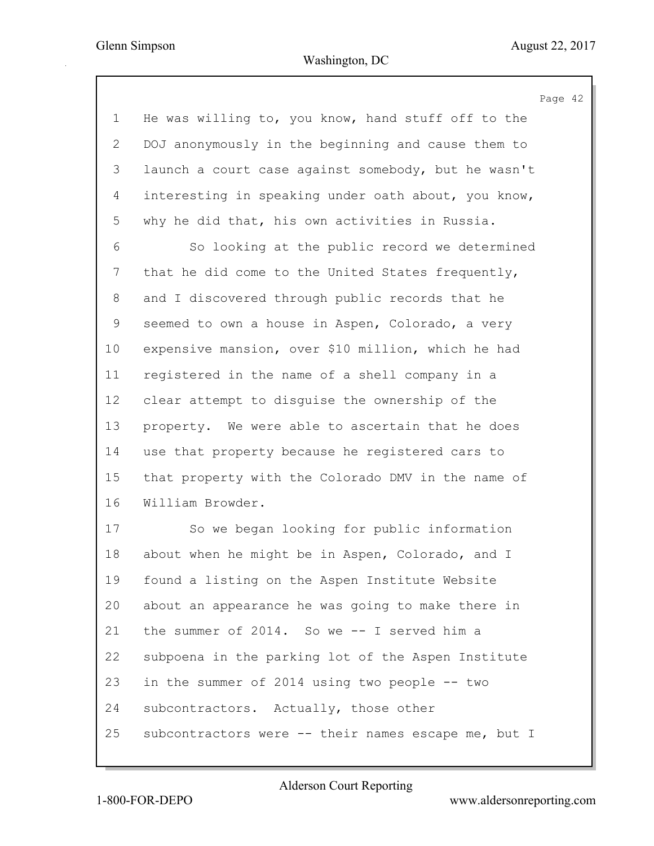Page 42 1 He was willing to, you know, hand stuff off to the 2 DOJ anonymously in the beginning and cause them to 3 launch a court case against somebody, but he wasn't 4 interesting in speaking under oath about, you know, 5 why he did that, his own activities in Russia. 6 So looking at the public record we determined 7 that he did come to the United States frequently, 8 and I discovered through public records that he 9 seemed to own a house in Aspen, Colorado, a very 10 expensive mansion, over \$10 million, which he had 11 registered in the name of a shell company in a 12 clear attempt to disguise the ownership of the 13 property. We were able to ascertain that he does 14 use that property because he registered cars to 15 that property with the Colorado DMV in the name of 16 William Browder. 17 So we began looking for public information 18 about when he might be in Aspen, Colorado, and I 19 found a listing on the Aspen Institute Website 20 about an appearance he was going to make there in 21 the summer of 2014. So we -- I served him a 22 subpoena in the parking lot of the Aspen Institute 23 in the summer of 2014 using two people -- two 24 subcontractors. Actually, those other 25 subcontractors were -- their names escape me, but I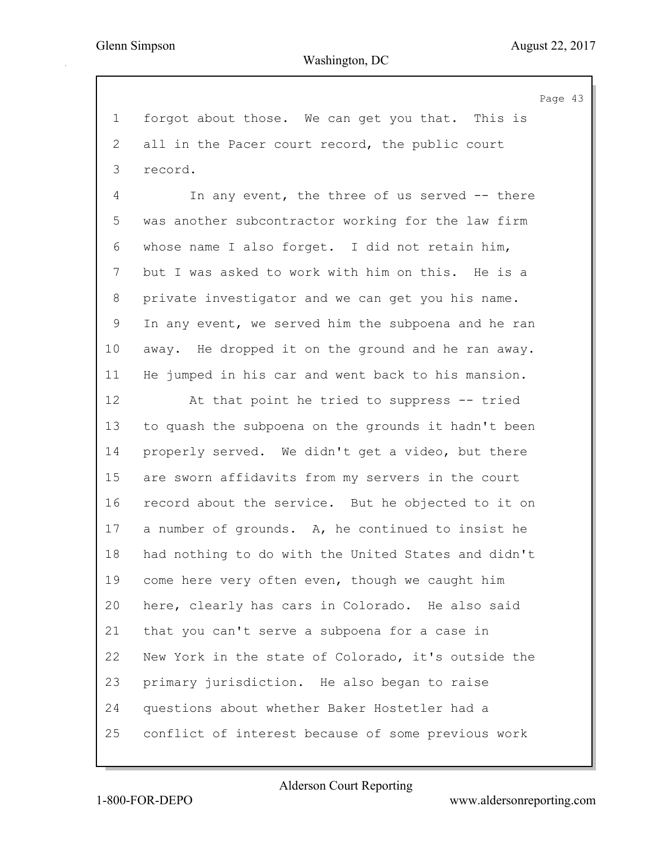Page 43 1 forgot about those. We can get you that. This is 2 all in the Pacer court record, the public court 3 record. 4 In any event, the three of us served -- there 5 was another subcontractor working for the law firm 6 whose name I also forget. I did not retain him, 7 but I was asked to work with him on this. He is a 8 private investigator and we can get you his name. 9 In any event, we served him the subpoena and he ran 10 away. He dropped it on the ground and he ran away. 11 He jumped in his car and went back to his mansion. 12 At that point he tried to suppress -- tried 13 to quash the subpoena on the grounds it hadn't been 14 properly served. We didn't get a video, but there 15 are sworn affidavits from my servers in the court 16 record about the service. But he objected to it on 17 a number of grounds. A, he continued to insist he 18 had nothing to do with the United States and didn't 19 come here very often even, though we caught him 20 here, clearly has cars in Colorado. He also said 21 that you can't serve a subpoena for a case in 22 New York in the state of Colorado, it's outside the 23 primary jurisdiction. He also began to raise 24 questions about whether Baker Hostetler had a 25 conflict of interest because of some previous work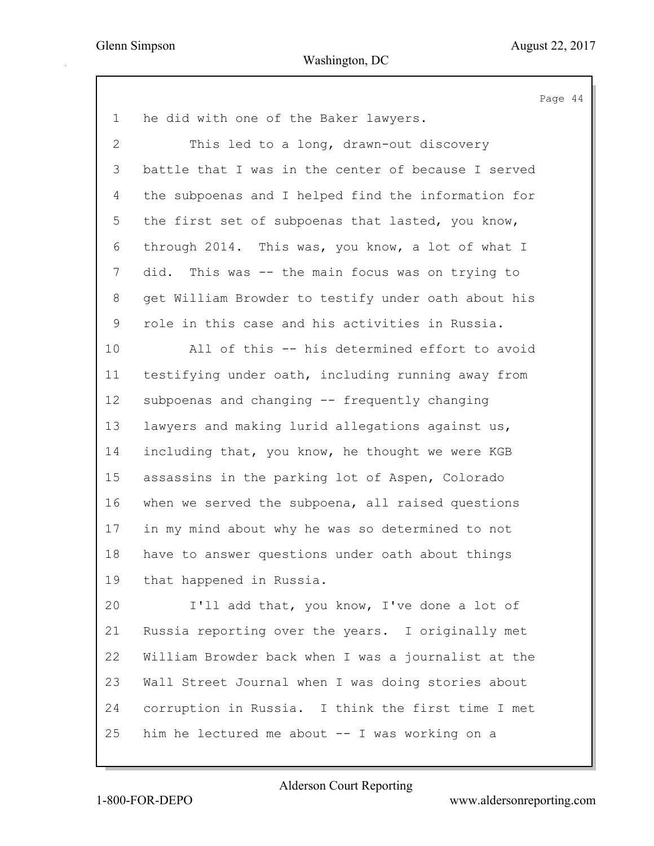Page 44 1 he did with one of the Baker lawyers. 2 This led to a long, drawn-out discovery 3 battle that I was in the center of because I served 4 the subpoenas and I helped find the information for 5 the first set of subpoenas that lasted, you know, 6 through 2014. This was, you know, a lot of what I 7 did. This was -- the main focus was on trying to 8 get William Browder to testify under oath about his 9 role in this case and his activities in Russia. 10 All of this -- his determined effort to avoid 11 testifying under oath, including running away from 12 subpoenas and changing -- frequently changing 13 lawyers and making lurid allegations against us, 14 including that, you know, he thought we were KGB 15 assassins in the parking lot of Aspen, Colorado 16 when we served the subpoena, all raised questions 17 in my mind about why he was so determined to not 18 have to answer questions under oath about things 19 that happened in Russia. 20 I'll add that, you know, I've done a lot of 21 Russia reporting over the years. I originally met 22 William Browder back when I was a journalist at the 23 Wall Street Journal when I was doing stories about 24 corruption in Russia. I think the first time I met 25 him he lectured me about -- I was working on a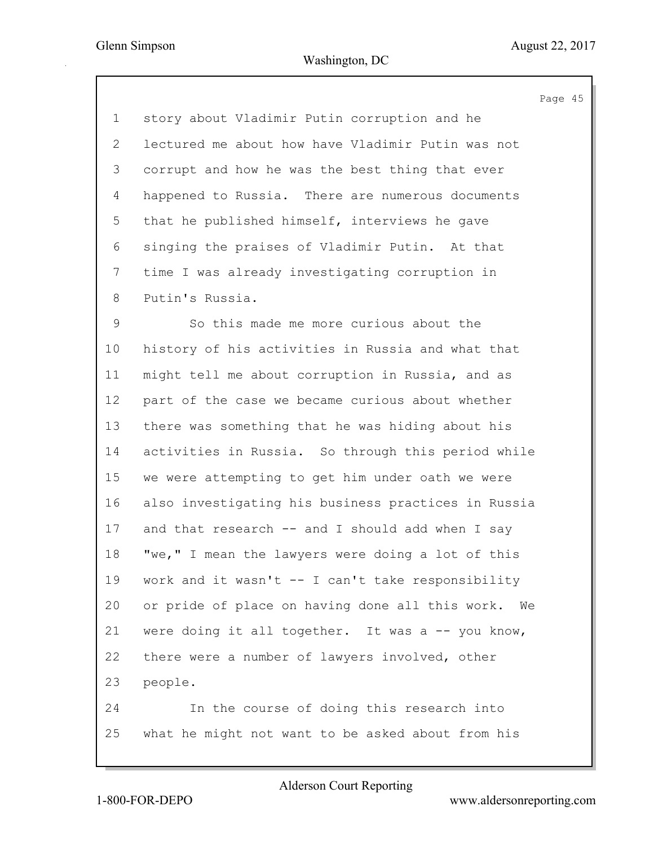Page 45 1 story about Vladimir Putin corruption and he 2 lectured me about how have Vladimir Putin was not 3 corrupt and how he was the best thing that ever 4 happened to Russia. There are numerous documents 5 that he published himself, interviews he gave 6 singing the praises of Vladimir Putin. At that 7 time I was already investigating corruption in 8 Putin's Russia. 9 So this made me more curious about the 10 history of his activities in Russia and what that 11 might tell me about corruption in Russia, and as 12 part of the case we became curious about whether 13 there was something that he was hiding about his 14 activities in Russia. So through this period while 15 we were attempting to get him under oath we were 16 also investigating his business practices in Russia 17 and that research -- and I should add when I say 18 "we," I mean the lawyers were doing a lot of this 19 work and it wasn't -- I can't take responsibility 20 or pride of place on having done all this work. We 21 were doing it all together. It was a -- you know, 22 there were a number of lawyers involved, other 23 people. 24 In the course of doing this research into 25 what he might not want to be asked about from his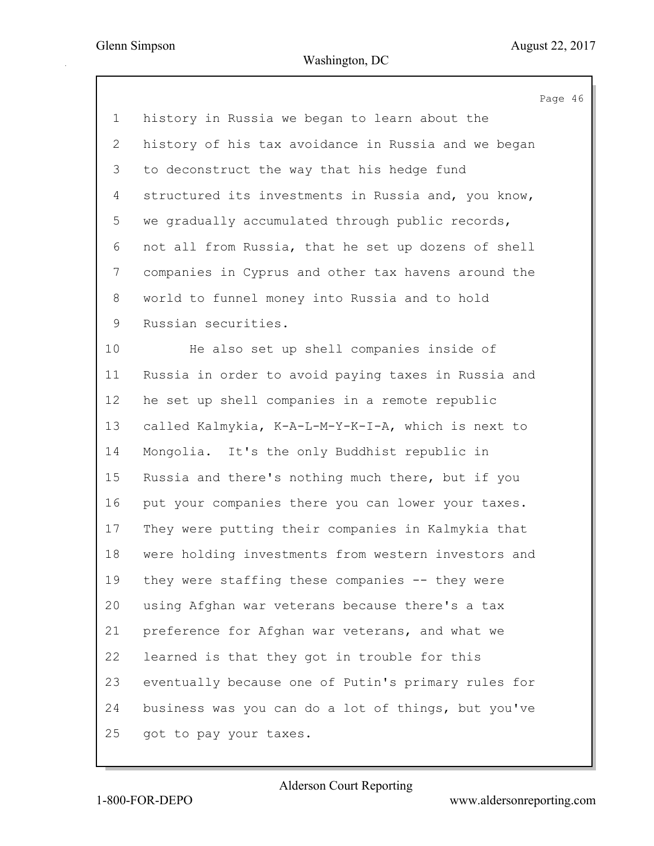Page 46 1 history in Russia we began to learn about the 2 history of his tax avoidance in Russia and we began 3 to deconstruct the way that his hedge fund 4 structured its investments in Russia and, you know, 5 we gradually accumulated through public records, 6 not all from Russia, that he set up dozens of shell 7 companies in Cyprus and other tax havens around the 8 world to funnel money into Russia and to hold 9 Russian securities. 10 He also set up shell companies inside of 11 Russia in order to avoid paying taxes in Russia and 12 he set up shell companies in a remote republic 13 called Kalmykia, K-A-L-M-Y-K-I-A, which is next to 14 Mongolia. It's the only Buddhist republic in 15 Russia and there's nothing much there, but if you 16 put your companies there you can lower your taxes. 17 They were putting their companies in Kalmykia that 18 were holding investments from western investors and 19 they were staffing these companies -- they were 20 using Afghan war veterans because there's a tax 21 preference for Afghan war veterans, and what we 22 learned is that they got in trouble for this 23 eventually because one of Putin's primary rules for 24 business was you can do a lot of things, but you've 25 got to pay your taxes.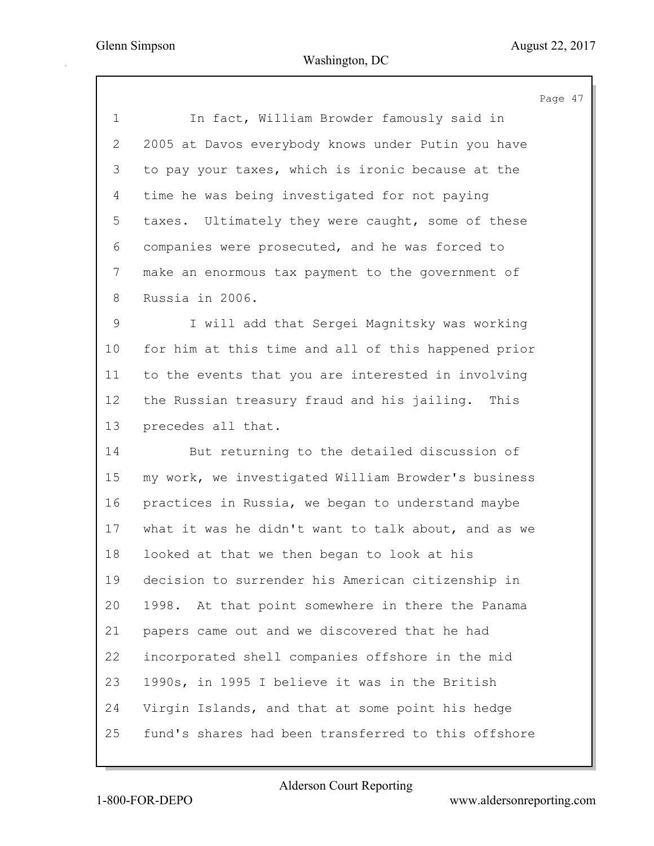|                | Page 47                                             |
|----------------|-----------------------------------------------------|
| $\mathbf 1$    | In fact, William Browder famously said in           |
| $\overline{2}$ | 2005 at Davos everybody knows under Putin you have  |
| 3              | to pay your taxes, which is ironic because at the   |
| 4              | time he was being investigated for not paying       |
| 5              | taxes. Ultimately they were caught, some of these   |
| 6              | companies were prosecuted, and he was forced to     |
| $7\phantom{.}$ | make an enormous tax payment to the government of   |
| 8              | Russia in 2006.                                     |
| 9              | I will add that Sergei Magnitsky was working        |
| 10             | for him at this time and all of this happened prior |
| 11             | to the events that you are interested in involving  |
| 12             | the Russian treasury fraud and his jailing. This    |
| 13             | precedes all that.                                  |
| 14             | But returning to the detailed discussion of         |
| 15             | my work, we investigated William Browder's business |
| 16             | practices in Russia, we began to understand maybe   |
| 17             | what it was he didn't want to talk about, and as we |
| 18             | looked at that we then began to look at his         |
| 19             | decision to surrender his American citizenship in   |
| 20             | 1998. At that point somewhere in there the Panama   |
| 21             | papers came out and we discovered that he had       |
| 22             | incorporated shell companies offshore in the mid    |
| 23             | 1990s, in 1995 I believe it was in the British      |
| 24             | Virgin Islands, and that at some point his hedge    |
| 25             | fund's shares had been transferred to this offshore |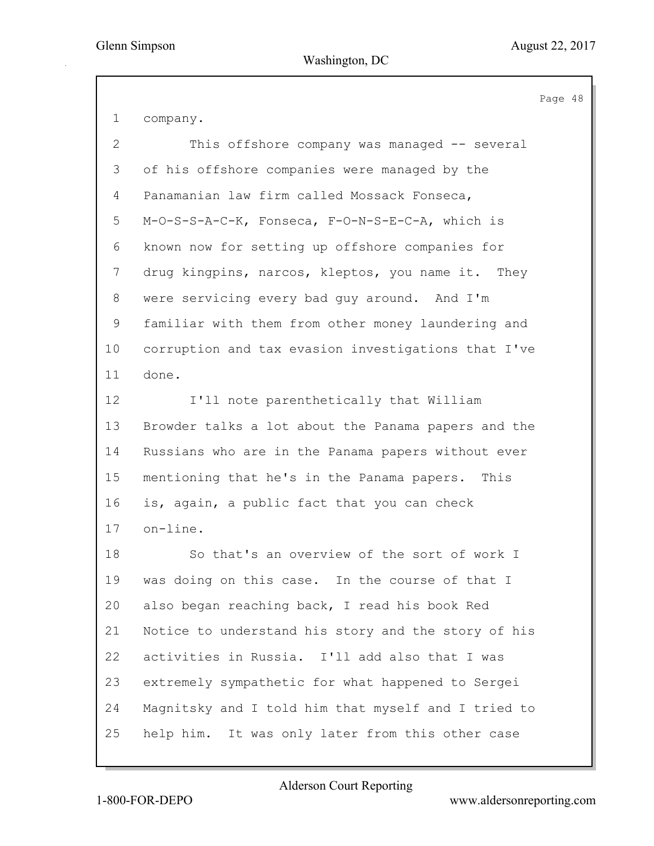Page 48

| 1            | company.                                            |
|--------------|-----------------------------------------------------|
| $\mathbf{2}$ | This offshore company was managed -- several        |
| 3            | of his offshore companies were managed by the       |
| 4            | Panamanian law firm called Mossack Fonseca,         |
| 5            | M-O-S-S-A-C-K, Fonseca, F-O-N-S-E-C-A, which is     |
| 6            | known now for setting up offshore companies for     |
| 7            | drug kingpins, narcos, kleptos, you name it. They   |
| 8            | were servicing every bad guy around. And I'm        |
| 9            | familiar with them from other money laundering and  |
| 10           | corruption and tax evasion investigations that I've |
| 11           | done.                                               |
| 12           | I'll note parenthetically that William              |
| 13           | Browder talks a lot about the Panama papers and the |
| 14           | Russians who are in the Panama papers without ever  |
| 15           | mentioning that he's in the Panama papers. This     |
| 16           | is, again, a public fact that you can check         |
| 17           | on-line.                                            |
| 18           | So that's an overview of the sort of work I         |
| 19           | was doing on this case. In the course of that I     |
| 20           | also began reaching back, I read his book Red       |
| 21           | Notice to understand his story and the story of his |
| 22           | activities in Russia. I'll add also that I was      |
| 23           | extremely sympathetic for what happened to Sergei   |
| 24           | Magnitsky and I told him that myself and I tried to |
| 25           | help him. It was only later from this other case    |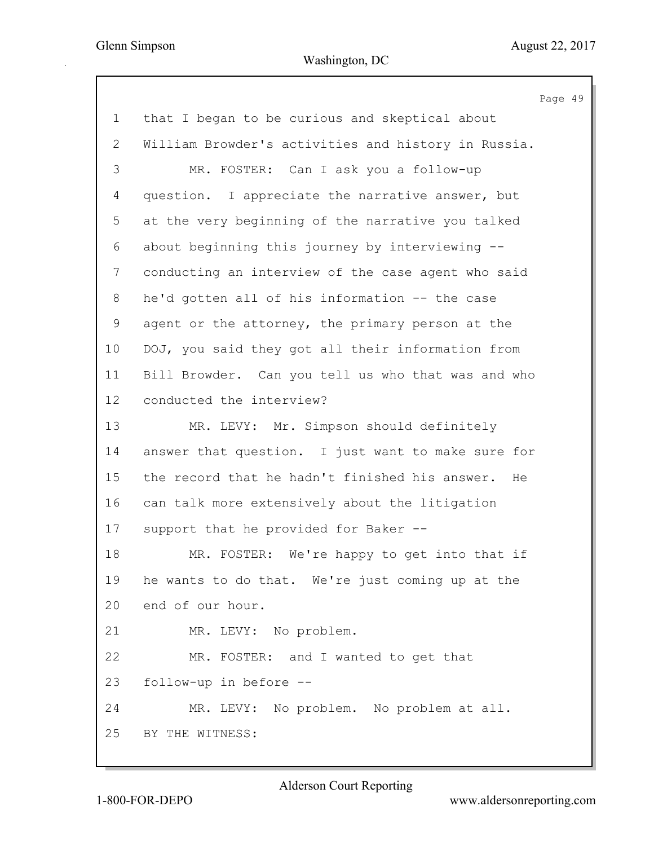Page 49 1 that I began to be curious and skeptical about 2 William Browder's activities and history in Russia. 3 MR. FOSTER: Can I ask you a follow-up 4 question. I appreciate the narrative answer, but 5 at the very beginning of the narrative you talked 6 about beginning this journey by interviewing -- 7 conducting an interview of the case agent who said 8 he'd gotten all of his information -- the case 9 agent or the attorney, the primary person at the 10 DOJ, you said they got all their information from 11 Bill Browder. Can you tell us who that was and who 12 conducted the interview? 13 MR. LEVY: Mr. Simpson should definitely 14 answer that question. I just want to make sure for 15 the record that he hadn't finished his answer. He 16 can talk more extensively about the litigation 17 support that he provided for Baker -- 18 MR. FOSTER: We're happy to get into that if 19 he wants to do that. We're just coming up at the 20 end of our hour. 21 MR. LEVY: No problem. 22 MR. FOSTER: and I wanted to get that 23 follow-up in before -- 24 MR. LEVY: No problem. No problem at all. 25 BY THE WITNESS: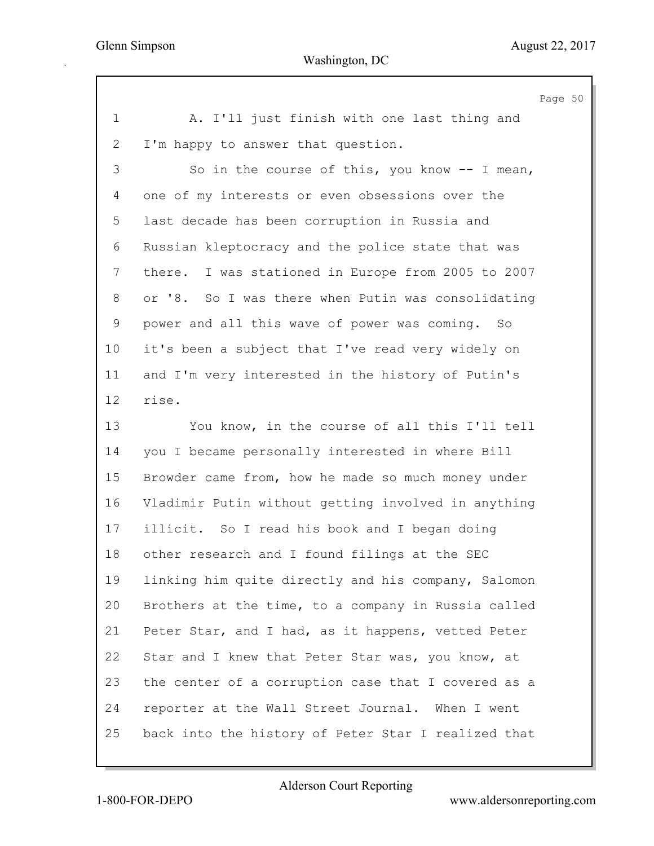|              |                                                       | Page 50 |  |
|--------------|-------------------------------------------------------|---------|--|
| $\mathbf 1$  | A. I'll just finish with one last thing and           |         |  |
| $\mathbf{2}$ | I'm happy to answer that question.                    |         |  |
| 3            | So in the course of this, you know $-$ - I mean,      |         |  |
| 4            | one of my interests or even obsessions over the       |         |  |
| 5            | last decade has been corruption in Russia and         |         |  |
| 6            | Russian kleptocracy and the police state that was     |         |  |
| 7            | I was stationed in Europe from 2005 to 2007<br>there. |         |  |
| 8            | or '8. So I was there when Putin was consolidating    |         |  |
| 9            | power and all this wave of power was coming. So       |         |  |
| 10           | it's been a subject that I've read very widely on     |         |  |
| 11           | and I'm very interested in the history of Putin's     |         |  |
| 12           | rise.                                                 |         |  |
| 13           | You know, in the course of all this I'll tell         |         |  |
| 14           | you I became personally interested in where Bill      |         |  |
| 15           | Browder came from, how he made so much money under    |         |  |
| 16           | Vladimir Putin without getting involved in anything   |         |  |
| 17           | illicit. So I read his book and I began doing         |         |  |
| 18           | other research and I found filings at the SEC         |         |  |
| 19           | linking him quite directly and his company, Salomon   |         |  |
| 20           | Brothers at the time, to a company in Russia called   |         |  |
| 21           | Peter Star, and I had, as it happens, vetted Peter    |         |  |
| 22           | Star and I knew that Peter Star was, you know, at     |         |  |
| 23           | the center of a corruption case that I covered as a   |         |  |
| 24           | reporter at the Wall Street Journal. When I went      |         |  |
| 25           | back into the history of Peter Star I realized that   |         |  |
|              |                                                       |         |  |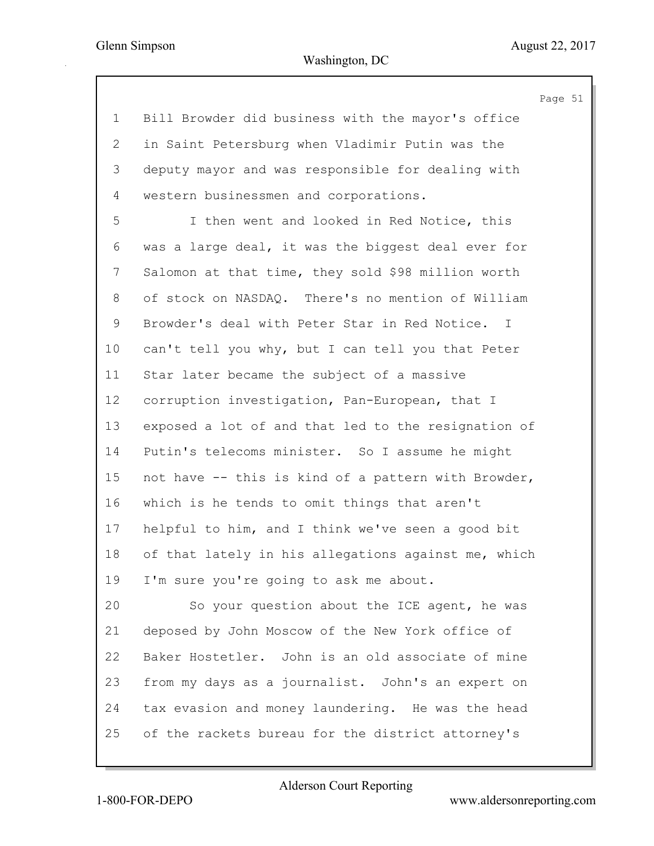Page 51

| $\mathbf 1$  | Bill Browder did business with the mayor's office   |
|--------------|-----------------------------------------------------|
| $\mathbf{2}$ | in Saint Petersburg when Vladimir Putin was the     |
| 3            | deputy mayor and was responsible for dealing with   |
| 4            | western businessmen and corporations.               |
| 5            | I then went and looked in Red Notice, this          |
| 6            | was a large deal, it was the biggest deal ever for  |
| 7            | Salomon at that time, they sold \$98 million worth  |
| 8            | of stock on NASDAQ. There's no mention of William   |
| $\mathsf 9$  | Browder's deal with Peter Star in Red Notice. I     |
| 10           | can't tell you why, but I can tell you that Peter   |
| 11           | Star later became the subject of a massive          |
| 12           | corruption investigation, Pan-European, that I      |
| 13           | exposed a lot of and that led to the resignation of |
| 14           | Putin's telecoms minister. So I assume he might     |
| 15           | not have -- this is kind of a pattern with Browder, |
| 16           | which is he tends to omit things that aren't        |
| 17           | helpful to him, and I think we've seen a good bit   |
| 18           | of that lately in his allegations against me, which |
| 19           | I'm sure you're going to ask me about.              |
| 20           | So your question about the ICE agent, he was        |
| 21           | deposed by John Moscow of the New York office of    |
| 22           | Baker Hostetler. John is an old associate of mine   |
| 23           | from my days as a journalist. John's an expert on   |
| 24           | tax evasion and money laundering. He was the head   |
| 25           | of the rackets bureau for the district attorney's   |
|              |                                                     |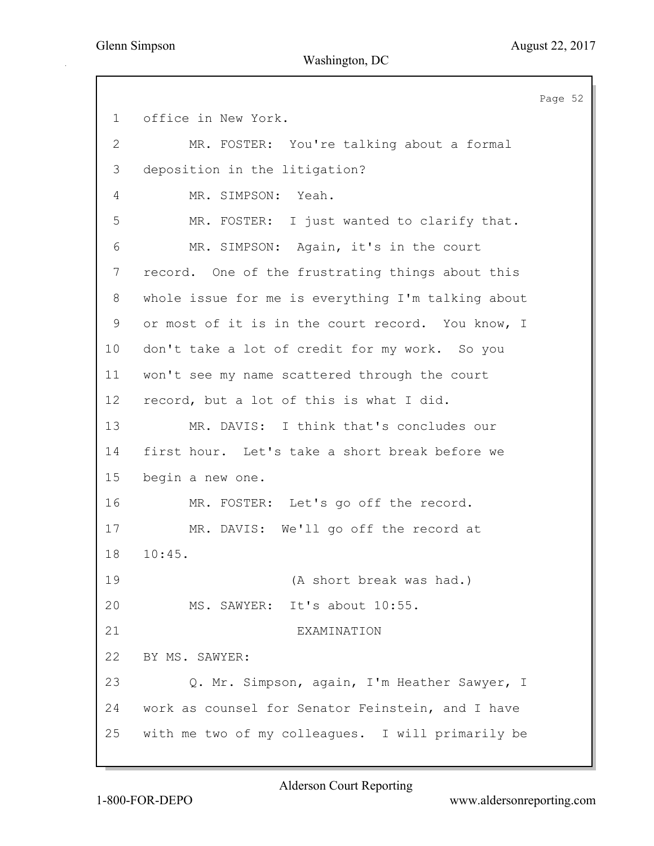Page 52 1 office in New York. 2 MR. FOSTER: You're talking about a formal 3 deposition in the litigation? 4 MR. SIMPSON: Yeah. 5 MR. FOSTER: I just wanted to clarify that. 6 MR. SIMPSON: Again, it's in the court 7 record. One of the frustrating things about this 8 whole issue for me is everything I'm talking about 9 or most of it is in the court record. You know, I 10 don't take a lot of credit for my work. So you 11 won't see my name scattered through the court 12 record, but a lot of this is what I did. 13 MR. DAVIS: I think that's concludes our 14 first hour. Let's take a short break before we 15 begin a new one. 16 MR. FOSTER: Let's go off the record. 17 MR. DAVIS: We'll go off the record at 18 10:45. 19 (A short break was had.) 20 MS. SAWYER: It's about 10:55. 21 EXAMINATION 22 BY MS. SAWYER: 23 Q. Mr. Simpson, again, I'm Heather Sawyer, I 24 work as counsel for Senator Feinstein, and I have 25 with me two of my colleagues. I will primarily be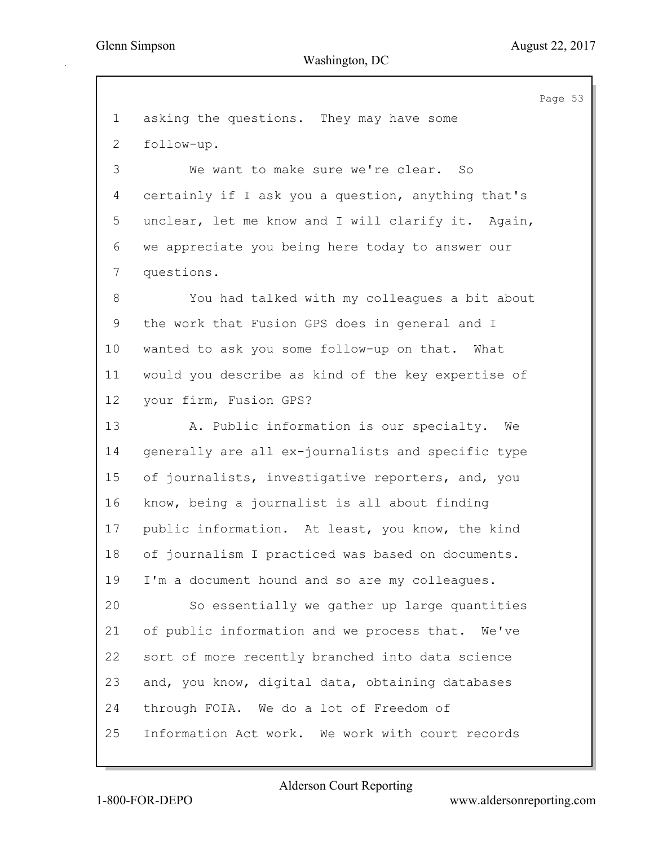Page 53 1 asking the questions. They may have some 2 follow-up. 3 We want to make sure we're clear. So 4 certainly if I ask you a question, anything that's 5 unclear, let me know and I will clarify it. Again, 6 we appreciate you being here today to answer our 7 questions. 8 You had talked with my colleagues a bit about 9 the work that Fusion GPS does in general and I 10 wanted to ask you some follow-up on that. What 11 would you describe as kind of the key expertise of 12 your firm, Fusion GPS? 13 A. Public information is our specialty. We 14 generally are all ex-journalists and specific type 15 of journalists, investigative reporters, and, you 16 know, being a journalist is all about finding 17 public information. At least, you know, the kind 18 of journalism I practiced was based on documents. 19 I'm a document hound and so are my colleagues. 20 So essentially we gather up large quantities 21 of public information and we process that. We've 22 sort of more recently branched into data science 23 and, you know, digital data, obtaining databases 24 through FOIA. We do a lot of Freedom of 25 Information Act work. We work with court records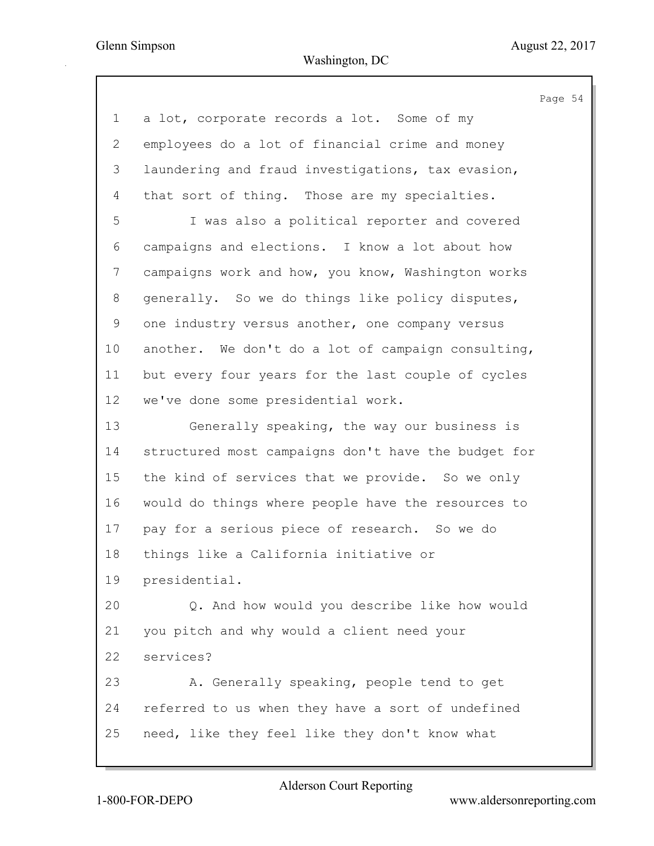|                 |                                                     | Page 54 |  |
|-----------------|-----------------------------------------------------|---------|--|
| $\mathbf 1$     | a lot, corporate records a lot. Some of my          |         |  |
| $\overline{2}$  | employees do a lot of financial crime and money     |         |  |
| 3               | laundering and fraud investigations, tax evasion,   |         |  |
| 4               | that sort of thing. Those are my specialties.       |         |  |
| 5               | I was also a political reporter and covered         |         |  |
| 6               | campaigns and elections. I know a lot about how     |         |  |
| 7               | campaigns work and how, you know, Washington works  |         |  |
| 8               | generally. So we do things like policy disputes,    |         |  |
| 9               | one industry versus another, one company versus     |         |  |
| 10              | another. We don't do a lot of campaign consulting,  |         |  |
| 11              | but every four years for the last couple of cycles  |         |  |
| 12 <sup>°</sup> | we've done some presidential work.                  |         |  |
| 13              | Generally speaking, the way our business is         |         |  |
| 14              | structured most campaigns don't have the budget for |         |  |
| 15              | the kind of services that we provide. So we only    |         |  |
| 16              | would do things where people have the resources to  |         |  |
| 17              | pay for a serious piece of research. So we do       |         |  |
| 18              | things like a California initiative or              |         |  |
| 19              | presidential.                                       |         |  |
| 20              | Q. And how would you describe like how would        |         |  |
| 21              | you pitch and why would a client need your          |         |  |
| 22              | services?                                           |         |  |
| 23              | A. Generally speaking, people tend to get           |         |  |
| 24              | referred to us when they have a sort of undefined   |         |  |
| 25              | need, like they feel like they don't know what      |         |  |
|                 |                                                     |         |  |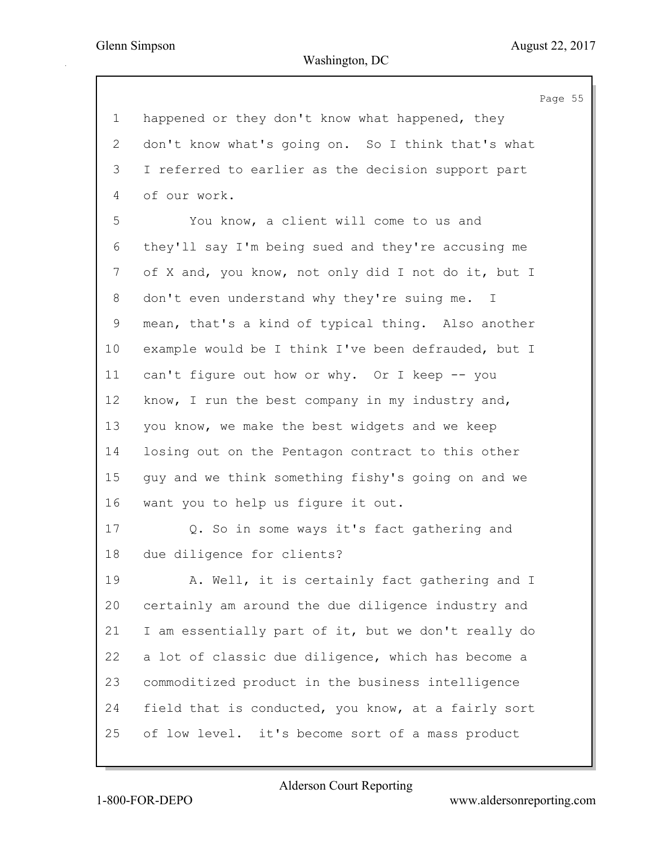Page 55 1 happened or they don't know what happened, they 2 don't know what's going on. So I think that's what 3 I referred to earlier as the decision support part 4 of our work. 5 You know, a client will come to us and 6 they'll say I'm being sued and they're accusing me 7 of X and, you know, not only did I not do it, but I 8 don't even understand why they're suing me. I 9 mean, that's a kind of typical thing. Also another 10 example would be I think I've been defrauded, but I 11 can't figure out how or why. Or I keep -- you 12 know, I run the best company in my industry and, 13 you know, we make the best widgets and we keep 14 losing out on the Pentagon contract to this other 15 guy and we think something fishy's going on and we 16 want you to help us figure it out. 17 Q. So in some ways it's fact gathering and 18 due diligence for clients? 19 A. Well, it is certainly fact gathering and I 20 certainly am around the due diligence industry and 21 I am essentially part of it, but we don't really do 22 a lot of classic due diligence, which has become a 23 commoditized product in the business intelligence 24 field that is conducted, you know, at a fairly sort 25 of low level. it's become sort of a mass product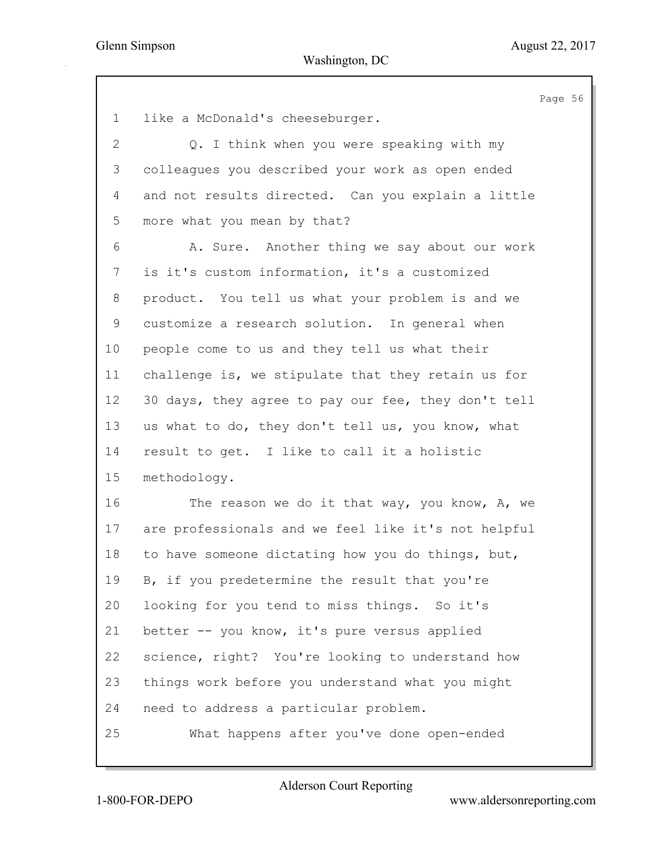Page 56 1 like a McDonald's cheeseburger. 2 Q. I think when you were speaking with my 3 colleagues you described your work as open ended 4 and not results directed. Can you explain a little 5 more what you mean by that? 6 A. Sure. Another thing we say about our work 7 is it's custom information, it's a customized 8 product. You tell us what your problem is and we 9 customize a research solution. In general when 10 people come to us and they tell us what their 11 challenge is, we stipulate that they retain us for 12 30 days, they agree to pay our fee, they don't tell 13 us what to do, they don't tell us, you know, what 14 result to get. I like to call it a holistic 15 methodology. 16 The reason we do it that way, you know, A, we 17 are professionals and we feel like it's not helpful 18 to have someone dictating how you do things, but, 19 B, if you predetermine the result that you're 20 looking for you tend to miss things. So it's 21 better -- you know, it's pure versus applied 22 science, right? You're looking to understand how 23 things work before you understand what you might 24 need to address a particular problem. 25 What happens after you've done open-ended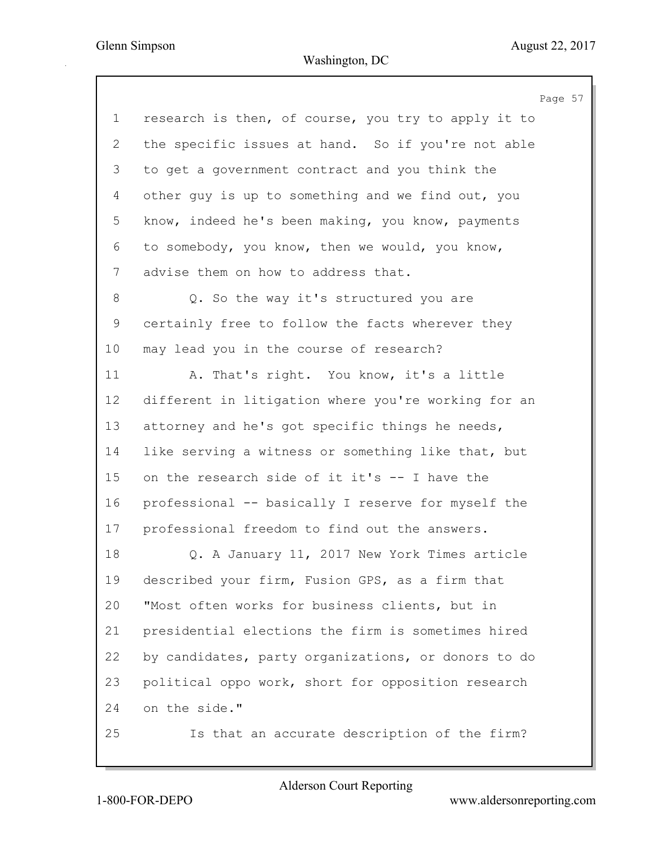| research is then, of course, you try to apply it to<br>$\mathbf 1$<br>the specific issues at hand. So if you're not able<br>$\mathbf{2}$<br>3<br>to get a government contract and you think the<br>other quy is up to something and we find out, you<br>4<br>know, indeed he's been making, you know, payments<br>5<br>to somebody, you know, then we would, you know,<br>6<br>7<br>advise them on how to address that. |  |
|-------------------------------------------------------------------------------------------------------------------------------------------------------------------------------------------------------------------------------------------------------------------------------------------------------------------------------------------------------------------------------------------------------------------------|--|
|                                                                                                                                                                                                                                                                                                                                                                                                                         |  |
|                                                                                                                                                                                                                                                                                                                                                                                                                         |  |
|                                                                                                                                                                                                                                                                                                                                                                                                                         |  |
|                                                                                                                                                                                                                                                                                                                                                                                                                         |  |
|                                                                                                                                                                                                                                                                                                                                                                                                                         |  |
|                                                                                                                                                                                                                                                                                                                                                                                                                         |  |
|                                                                                                                                                                                                                                                                                                                                                                                                                         |  |
| 8<br>Q. So the way it's structured you are                                                                                                                                                                                                                                                                                                                                                                              |  |
| $\mathsf 9$<br>certainly free to follow the facts wherever they                                                                                                                                                                                                                                                                                                                                                         |  |
| 10<br>may lead you in the course of research?                                                                                                                                                                                                                                                                                                                                                                           |  |
| A. That's right. You know, it's a little<br>11                                                                                                                                                                                                                                                                                                                                                                          |  |
| 12<br>different in litigation where you're working for an                                                                                                                                                                                                                                                                                                                                                               |  |
| attorney and he's got specific things he needs,<br>13                                                                                                                                                                                                                                                                                                                                                                   |  |
| like serving a witness or something like that, but<br>14                                                                                                                                                                                                                                                                                                                                                                |  |
| 15<br>on the research side of it it's -- I have the                                                                                                                                                                                                                                                                                                                                                                     |  |
| professional -- basically I reserve for myself the<br>16                                                                                                                                                                                                                                                                                                                                                                |  |
| 17<br>professional freedom to find out the answers.                                                                                                                                                                                                                                                                                                                                                                     |  |
| 18<br>Q. A January 11, 2017 New York Times article                                                                                                                                                                                                                                                                                                                                                                      |  |
| described your firm, Fusion GPS, as a firm that<br>19                                                                                                                                                                                                                                                                                                                                                                   |  |
| "Most often works for business clients, but in<br>20                                                                                                                                                                                                                                                                                                                                                                    |  |
| presidential elections the firm is sometimes hired<br>21                                                                                                                                                                                                                                                                                                                                                                |  |
| 22<br>by candidates, party organizations, or donors to do                                                                                                                                                                                                                                                                                                                                                               |  |
| 23<br>political oppo work, short for opposition research                                                                                                                                                                                                                                                                                                                                                                |  |
| 24<br>on the side."                                                                                                                                                                                                                                                                                                                                                                                                     |  |
| 25<br>Is that an accurate description of the firm?                                                                                                                                                                                                                                                                                                                                                                      |  |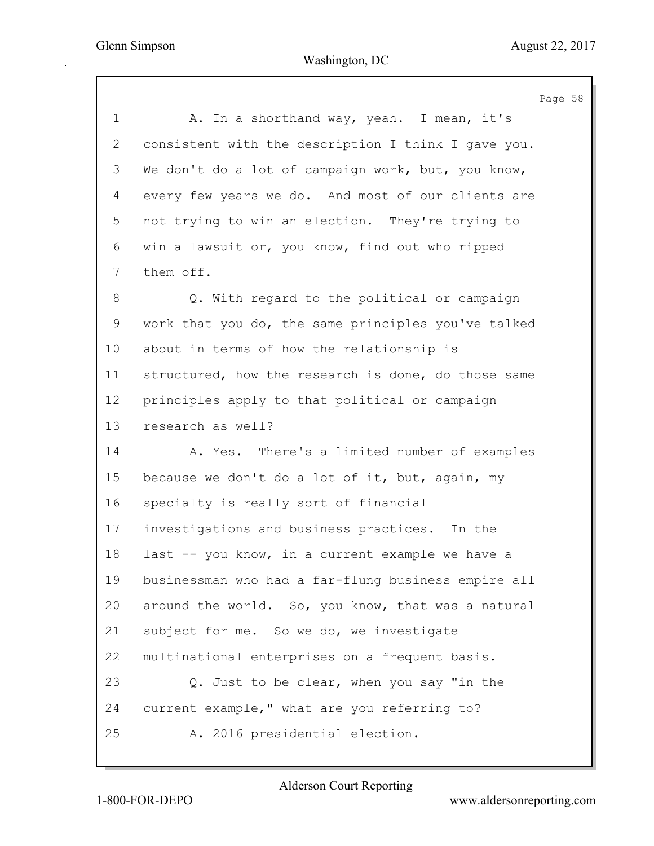Page 58 1 A. In a shorthand way, yeah. I mean, it's 2 consistent with the description I think I gave you. 3 We don't do a lot of campaign work, but, you know, 4 every few years we do. And most of our clients are 5 not trying to win an election. They're trying to 6 win a lawsuit or, you know, find out who ripped 7 them off. 8 Q. With regard to the political or campaign 9 work that you do, the same principles you've talked 10 about in terms of how the relationship is 11 structured, how the research is done, do those same 12 principles apply to that political or campaign 13 research as well? 14 A. Yes. There's a limited number of examples 15 because we don't do a lot of it, but, again, my 16 specialty is really sort of financial 17 investigations and business practices. In the 18 last -- you know, in a current example we have a 19 businessman who had a far-flung business empire all 20 around the world. So, you know, that was a natural 21 subject for me. So we do, we investigate 22 multinational enterprises on a frequent basis. 23 Q. Just to be clear, when you say "in the 24 current example," what are you referring to? 25 A. 2016 presidential election.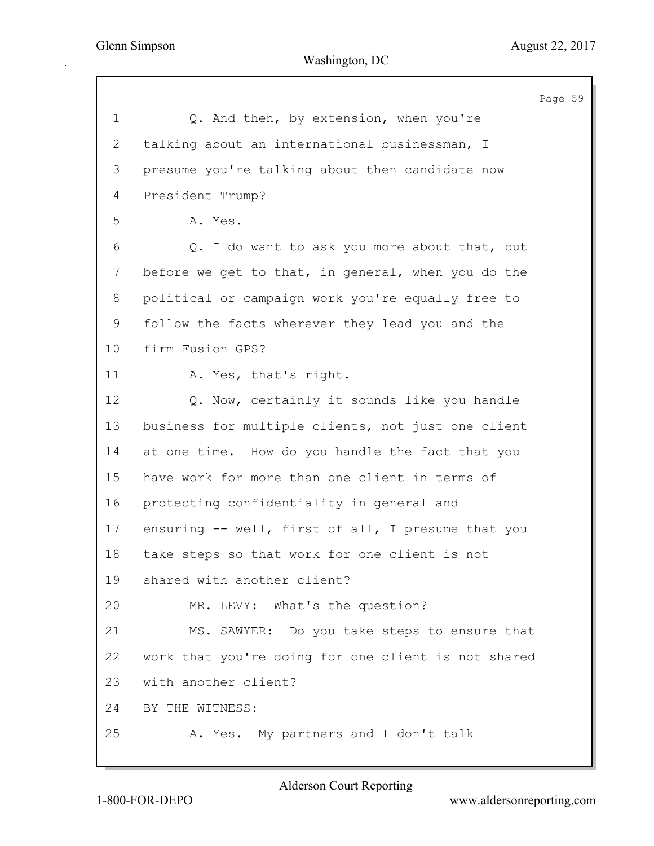Page 59 1 Q. And then, by extension, when you're 2 talking about an international businessman, I 3 presume you're talking about then candidate now 4 President Trump? 5 A. Yes. 6 Q. I do want to ask you more about that, but 7 before we get to that, in general, when you do the 8 political or campaign work you're equally free to 9 follow the facts wherever they lead you and the 10 firm Fusion GPS? 11 A. Yes, that's right. 12 Q. Now, certainly it sounds like you handle 13 business for multiple clients, not just one client 14 at one time. How do you handle the fact that you 15 have work for more than one client in terms of 16 protecting confidentiality in general and 17 ensuring -- well, first of all, I presume that you 18 take steps so that work for one client is not 19 shared with another client? 20 MR. LEVY: What's the question? 21 MS. SAWYER: Do you take steps to ensure that 22 work that you're doing for one client is not shared 23 with another client? 24 BY THE WITNESS: 25 A. Yes. My partners and I don't talk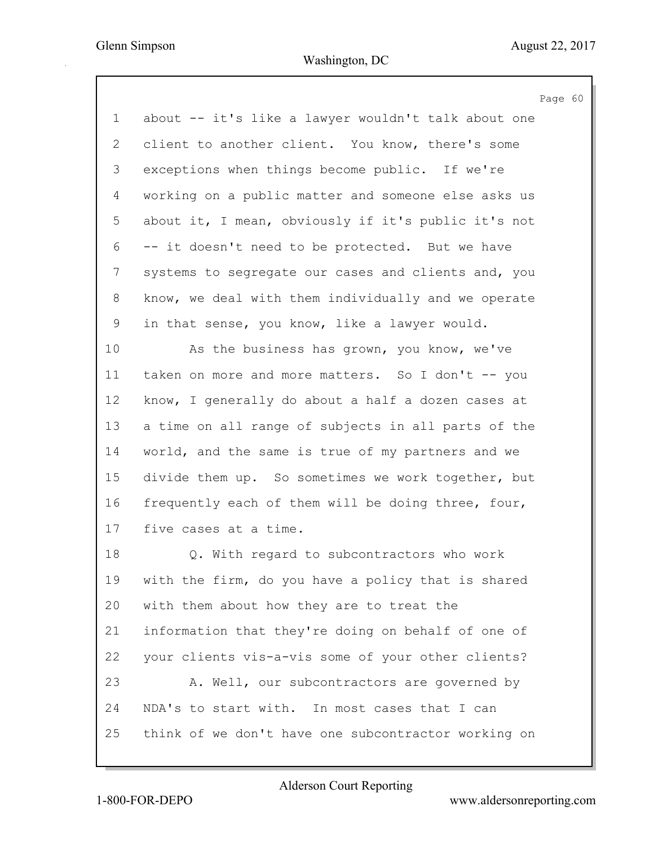Page 60 1 about -- it's like a lawyer wouldn't talk about one 2 client to another client. You know, there's some 3 exceptions when things become public. If we're 4 working on a public matter and someone else asks us 5 about it, I mean, obviously if it's public it's not 6 -- it doesn't need to be protected. But we have 7 systems to segregate our cases and clients and, you 8 know, we deal with them individually and we operate 9 in that sense, you know, like a lawyer would. 10 As the business has grown, you know, we've 11 taken on more and more matters. So I don't -- you 12 know, I generally do about a half a dozen cases at 13 a time on all range of subjects in all parts of the 14 world, and the same is true of my partners and we 15 divide them up. So sometimes we work together, but 16 frequently each of them will be doing three, four, 17 five cases at a time. 18 Q. With regard to subcontractors who work 19 with the firm, do you have a policy that is shared 20 with them about how they are to treat the 21 information that they're doing on behalf of one of 22 your clients vis-a-vis some of your other clients? 23 A. Well, our subcontractors are governed by 24 NDA's to start with. In most cases that I can 25 think of we don't have one subcontractor working on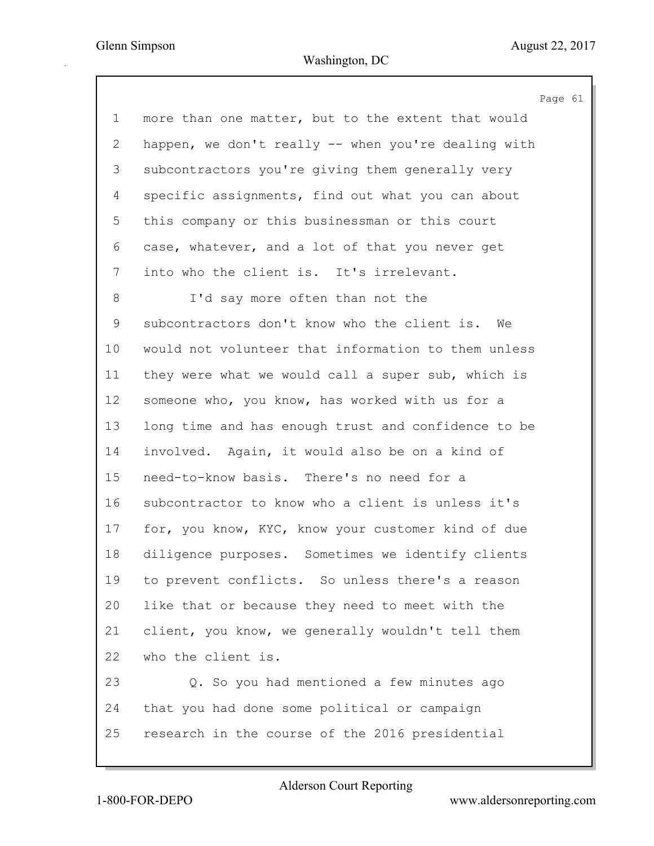Page 61 1 more than one matter, but to the extent that would 2 happen, we don't really -- when you're dealing with 3 subcontractors you're giving them generally very 4 specific assignments, find out what you can about 5 this company or this businessman or this court 6 case, whatever, and a lot of that you never get 7 into who the client is. It's irrelevant. 8 I'd say more often than not the 9 subcontractors don't know who the client is. We 10 would not volunteer that information to them unless 11 they were what we would call a super sub, which is 12 someone who, you know, has worked with us for a 13 long time and has enough trust and confidence to be 14 involved. Again, it would also be on a kind of 15 need-to-know basis. There's no need for a 16 subcontractor to know who a client is unless it's 17 for, you know, KYC, know your customer kind of due 18 diligence purposes. Sometimes we identify clients 19 to prevent conflicts. So unless there's a reason 20 like that or because they need to meet with the 21 client, you know, we generally wouldn't tell them 22 who the client is. 23 Q. So you had mentioned a few minutes ago 24 that you had done some political or campaign

25 research in the course of the 2016 presidential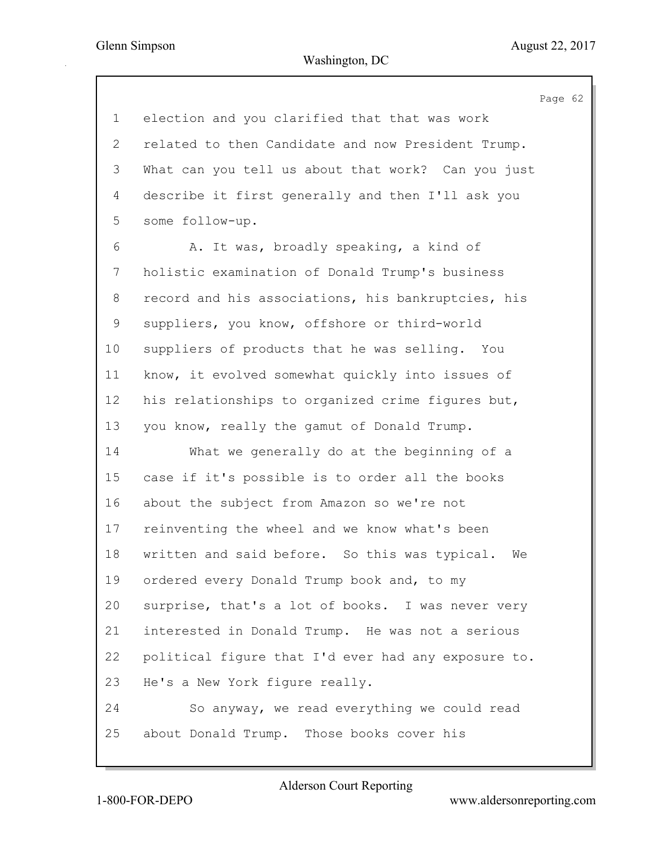| $\mathbf 1$               | election and you clarified that that was work       |  |
|---------------------------|-----------------------------------------------------|--|
| $\mathbf{2}^{\mathsf{I}}$ | related to then Candidate and now President Trump.  |  |
| 3                         | What can you tell us about that work? Can you just  |  |
| 4                         | describe it first generally and then I'll ask you   |  |
| 5                         | some follow-up.                                     |  |
| 6                         | A. It was, broadly speaking, a kind of              |  |
| 7                         | holistic examination of Donald Trump's business     |  |
| 8                         | record and his associations, his bankruptcies, his  |  |
| 9                         | suppliers, you know, offshore or third-world        |  |
| 10 <sub>o</sub>           | suppliers of products that he was selling. You      |  |
| 11                        | know, it evolved somewhat quickly into issues of    |  |
| 12                        | his relationships to organized crime figures but,   |  |
| 13                        | you know, really the gamut of Donald Trump.         |  |
| 14                        | What we generally do at the beginning of a          |  |
| 15                        | case if it's possible is to order all the books     |  |
| 16                        | about the subject from Amazon so we're not          |  |
| 17                        | reinventing the wheel and we know what's been       |  |
| 18                        | written and said before. So this was typical.<br>We |  |
| 19                        | ordered every Donald Trump book and, to my          |  |
| 20                        | surprise, that's a lot of books. I was never very   |  |
| 21                        | interested in Donald Trump. He was not a serious    |  |
| 22                        | political figure that I'd ever had any exposure to. |  |
| 23                        | He's a New York figure really.                      |  |
| 24                        | So anyway, we read everything we could read         |  |
| 25                        | about Donald Trump. Those books cover his           |  |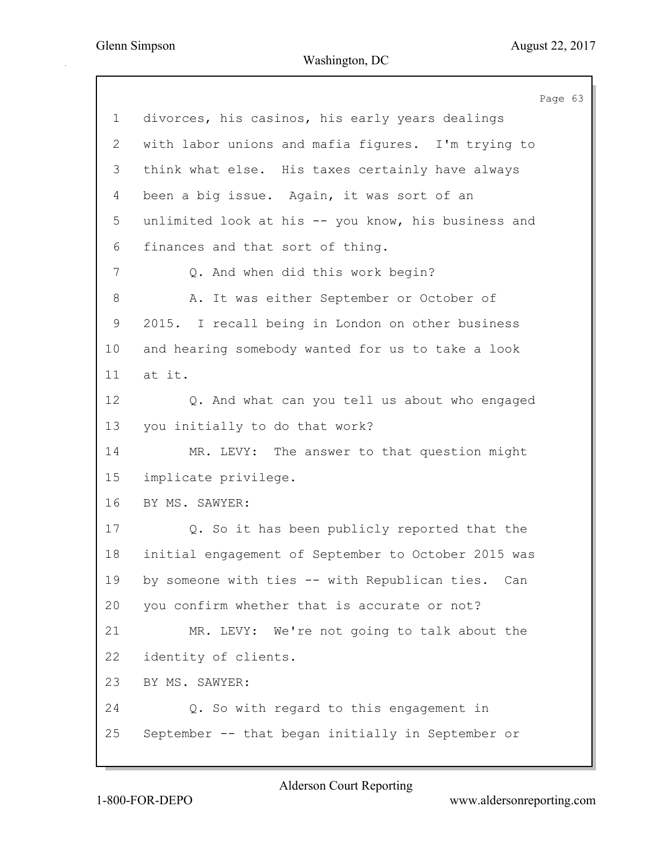Page 63 1 divorces, his casinos, his early years dealings 2 with labor unions and mafia figures. I'm trying to 3 think what else. His taxes certainly have always 4 been a big issue. Again, it was sort of an 5 unlimited look at his -- you know, his business and 6 finances and that sort of thing. 7 Q. And when did this work begin? 8 A. It was either September or October of 9 2015. I recall being in London on other business 10 and hearing somebody wanted for us to take a look 11 at it. 12 Q. And what can you tell us about who engaged 13 you initially to do that work? 14 MR. LEVY: The answer to that question might 15 implicate privilege. 16 BY MS. SAWYER: 17 Q. So it has been publicly reported that the 18 initial engagement of September to October 2015 was 19 by someone with ties -- with Republican ties. Can 20 you confirm whether that is accurate or not? 21 MR. LEVY: We're not going to talk about the 22 identity of clients. 23 BY MS. SAWYER: 24 Q. So with regard to this engagement in 25 September -- that began initially in September or

Alderson Court Reporting

1-800-FOR-DEPO www.aldersonreporting.com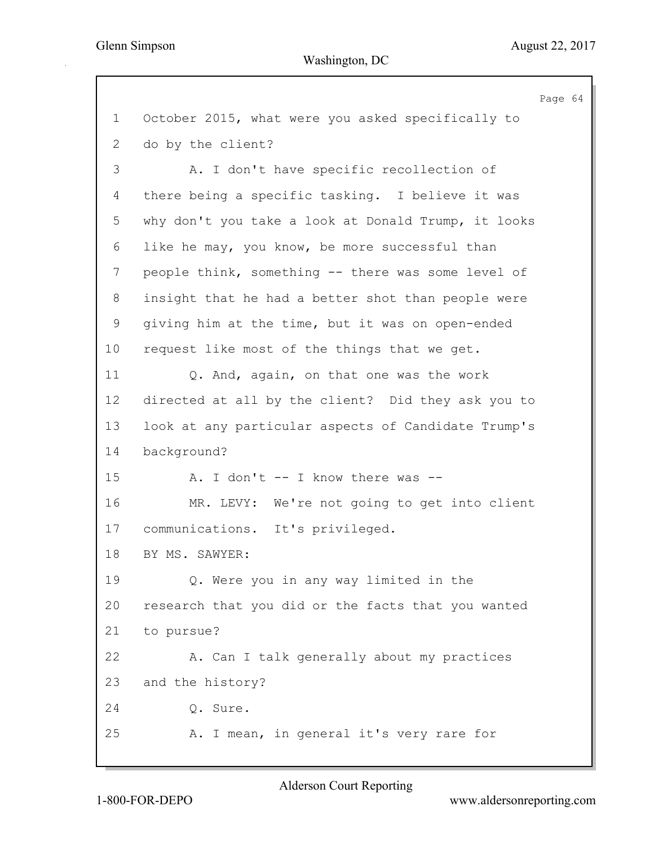|    | Page 64                                             |
|----|-----------------------------------------------------|
| 1  | October 2015, what were you asked specifically to   |
| 2  | do by the client?                                   |
| 3  | A. I don't have specific recollection of            |
| 4  | there being a specific tasking. I believe it was    |
| 5  | why don't you take a look at Donald Trump, it looks |
| 6  | like he may, you know, be more successful than      |
| 7  | people think, something -- there was some level of  |
| 8  | insight that he had a better shot than people were  |
| 9  | giving him at the time, but it was on open-ended    |
| 10 | request like most of the things that we get.        |
| 11 | Q. And, again, on that one was the work             |
| 12 | directed at all by the client? Did they ask you to  |
| 13 | look at any particular aspects of Candidate Trump's |
| 14 | background?                                         |
| 15 | A. I don't -- I know there was --                   |
| 16 | MR. LEVY: We're not going to get into client        |
| 17 | communications. It's privileged.                    |
| 18 | BY MS. SAWYER:                                      |
| 19 | Q. Were you in any way limited in the               |
| 20 | research that you did or the facts that you wanted  |
| 21 | to pursue?                                          |
| 22 | A. Can I talk generally about my practices          |
| 23 | and the history?                                    |
| 24 | Q. Sure.                                            |
| 25 | A. I mean, in general it's very rare for            |
|    |                                                     |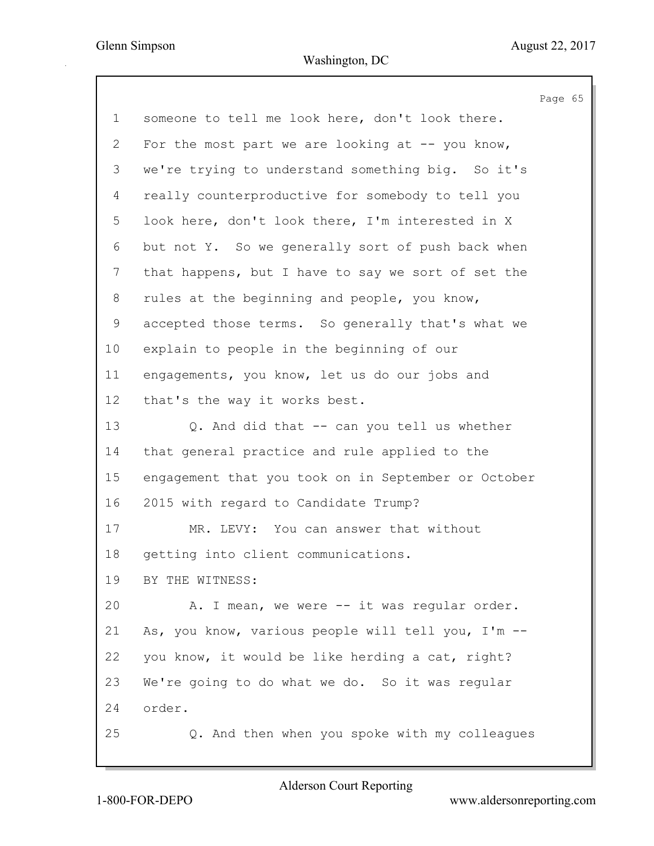Page 65 1 someone to tell me look here, don't look there. 2 For the most part we are looking at -- you know, 3 we're trying to understand something big. So it's 4 really counterproductive for somebody to tell you 5 look here, don't look there, I'm interested in X 6 but not Y. So we generally sort of push back when 7 that happens, but I have to say we sort of set the 8 rules at the beginning and people, you know, 9 accepted those terms. So generally that's what we 10 explain to people in the beginning of our 11 engagements, you know, let us do our jobs and 12 that's the way it works best. 13 Q. And did that -- can you tell us whether 14 that general practice and rule applied to the 15 engagement that you took on in September or October 16 2015 with regard to Candidate Trump? 17 MR. LEVY: You can answer that without 18 getting into client communications. 19 BY THE WITNESS: 20 A. I mean, we were -- it was regular order. 21 As, you know, various people will tell you, I'm -- 22 you know, it would be like herding a cat, right? 23 We're going to do what we do. So it was regular 24 order. 25 Q. And then when you spoke with my colleagues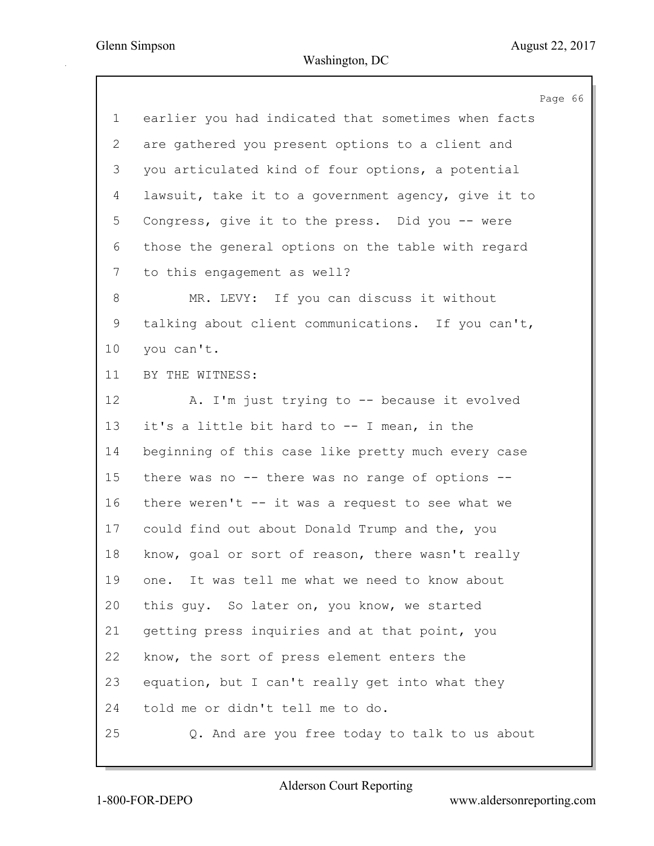|              |                                                     | Page 66 |  |
|--------------|-----------------------------------------------------|---------|--|
| $\mathbf 1$  | earlier you had indicated that sometimes when facts |         |  |
| $\mathbf{2}$ | are gathered you present options to a client and    |         |  |
| 3            | you articulated kind of four options, a potential   |         |  |
| 4            | lawsuit, take it to a government agency, give it to |         |  |
| 5            | Congress, give it to the press. Did you -- were     |         |  |
| 6            | those the general options on the table with regard  |         |  |
| 7            | to this engagement as well?                         |         |  |
| 8            | MR. LEVY: If you can discuss it without             |         |  |
| 9            | talking about client communications. If you can't,  |         |  |
| 10           | you can't.                                          |         |  |
| 11           | BY THE WITNESS:                                     |         |  |
| 12           | A. I'm just trying to -- because it evolved         |         |  |
| 13           | it's a little bit hard to -- I mean, in the         |         |  |
| 14           | beginning of this case like pretty much every case  |         |  |
| 15           | there was no -- there was no range of options --    |         |  |
| 16           | there weren't $-$ it was a request to see what we   |         |  |
| 17           | could find out about Donald Trump and the, you      |         |  |
| 18           | know, goal or sort of reason, there wasn't really   |         |  |
| 19           | one. It was tell me what we need to know about      |         |  |
| 20           | this guy. So later on, you know, we started         |         |  |
| 21           | getting press inquiries and at that point, you      |         |  |
| 22           | know, the sort of press element enters the          |         |  |
| 23           | equation, but I can't really get into what they     |         |  |
| 24           | told me or didn't tell me to do.                    |         |  |
| 25           | Q. And are you free today to talk to us about       |         |  |
|              |                                                     |         |  |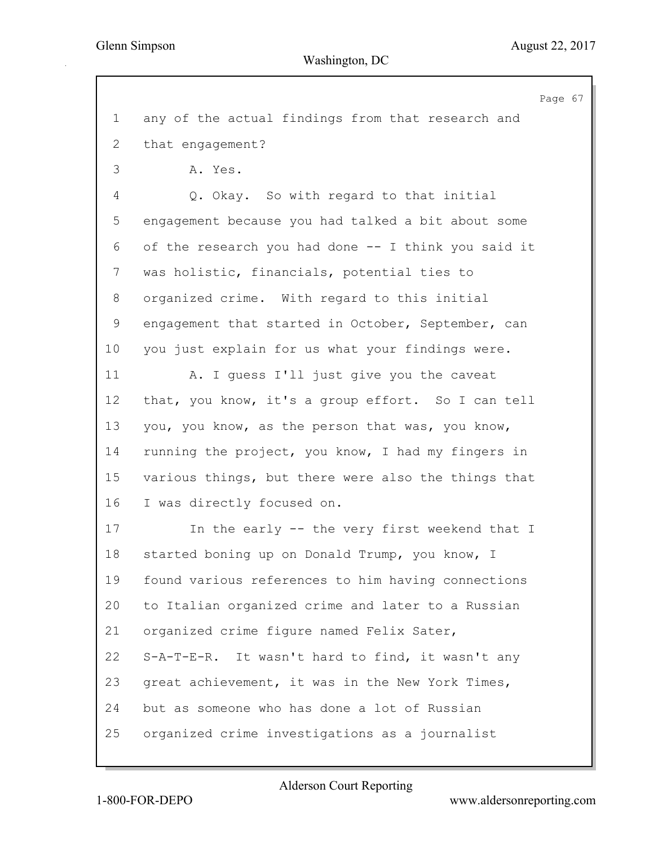Page 67 1 any of the actual findings from that research and 2 that engagement? 3 A. Yes. 4 Q. Okay. So with regard to that initial 5 engagement because you had talked a bit about some 6 of the research you had done -- I think you said it 7 was holistic, financials, potential ties to 8 organized crime. With regard to this initial 9 engagement that started in October, September, can 10 you just explain for us what your findings were. 11 A. I guess I'll just give you the caveat 12 that, you know, it's a group effort. So I can tell 13 you, you know, as the person that was, you know, 14 running the project, you know, I had my fingers in 15 various things, but there were also the things that 16 I was directly focused on. 17 In the early -- the very first weekend that I 18 started boning up on Donald Trump, you know, I 19 found various references to him having connections 20 to Italian organized crime and later to a Russian 21 organized crime figure named Felix Sater, 22 S-A-T-E-R. It wasn't hard to find, it wasn't any 23 great achievement, it was in the New York Times, 24 but as someone who has done a lot of Russian 25 organized crime investigations as a journalist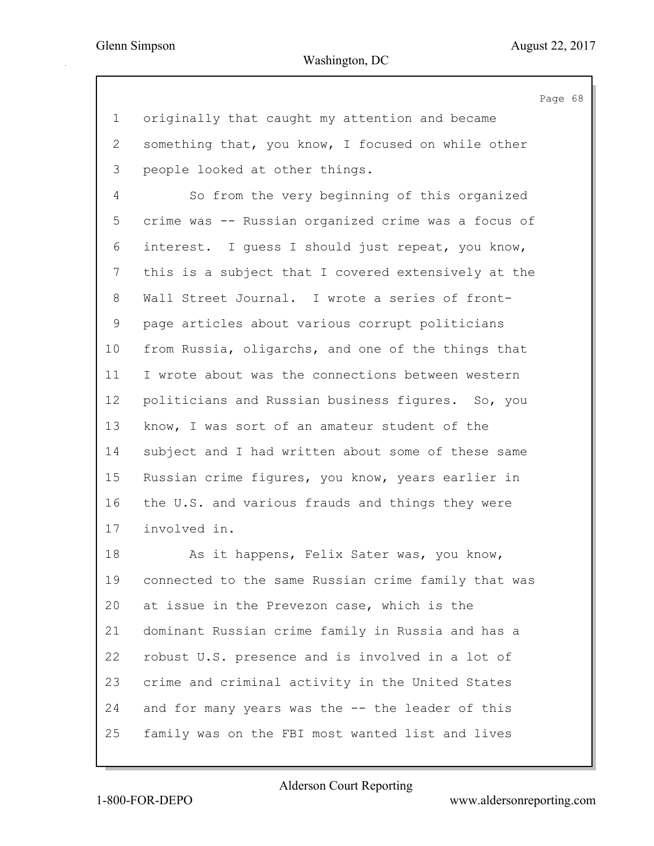Page 68 1 originally that caught my attention and became 2 something that, you know, I focused on while other 3 people looked at other things. 4 So from the very beginning of this organized 5 crime was -- Russian organized crime was a focus of 6 interest. I guess I should just repeat, you know, 7 this is a subject that I covered extensively at the 8 Wall Street Journal. I wrote a series of front-9 page articles about various corrupt politicians 10 from Russia, oligarchs, and one of the things that 11 I wrote about was the connections between western 12 politicians and Russian business figures. So, you 13 know, I was sort of an amateur student of the 14 subject and I had written about some of these same 15 Russian crime figures, you know, years earlier in 16 the U.S. and various frauds and things they were 17 involved in. 18 As it happens, Felix Sater was, you know, 19 connected to the same Russian crime family that was 20 at issue in the Prevezon case, which is the 21 dominant Russian crime family in Russia and has a 22 robust U.S. presence and is involved in a lot of 23 crime and criminal activity in the United States

25 family was on the FBI most wanted list and lives

24 and for many years was the -- the leader of this

Alderson Court Reporting

1-800-FOR-DEPO www.aldersonreporting.com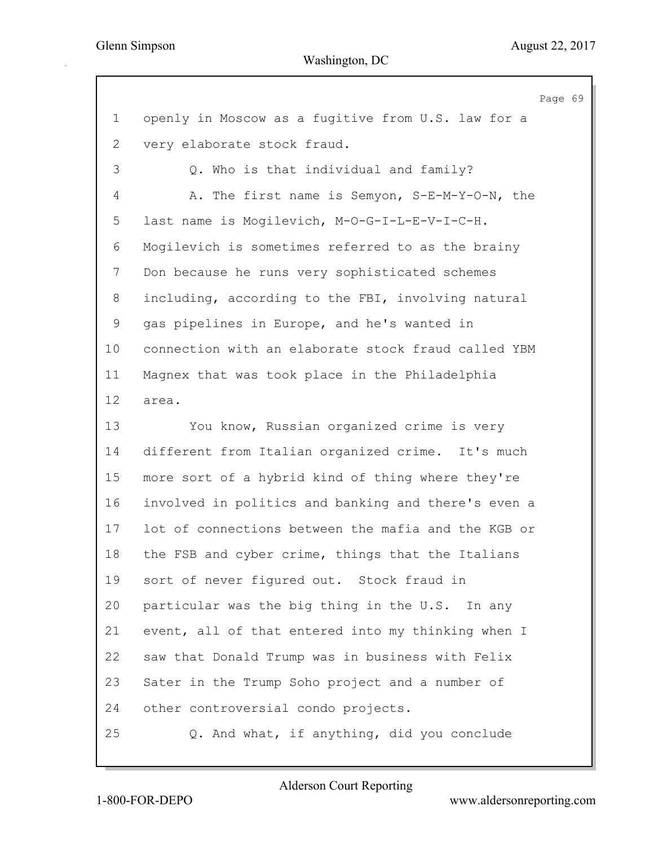Page 69 1 openly in Moscow as a fugitive from U.S. law for a 2 very elaborate stock fraud. 3 Q. Who is that individual and family? 4 A. The first name is Semyon, S-E-M-Y-O-N, the 5 last name is Mogilevich, M-O-G-I-L-E-V-I-C-H. 6 Mogilevich is sometimes referred to as the brainy 7 Don because he runs very sophisticated schemes 8 including, according to the FBI, involving natural 9 gas pipelines in Europe, and he's wanted in 10 connection with an elaborate stock fraud called YBM 11 Magnex that was took place in the Philadelphia 12 area. 13 You know, Russian organized crime is very 14 different from Italian organized crime. It's much 15 more sort of a hybrid kind of thing where they're 16 involved in politics and banking and there's even a 17 lot of connections between the mafia and the KGB or 18 the FSB and cyber crime, things that the Italians 19 sort of never figured out. Stock fraud in 20 particular was the big thing in the U.S. In any 21 event, all of that entered into my thinking when I 22 saw that Donald Trump was in business with Felix 23 Sater in the Trump Soho project and a number of 24 other controversial condo projects. 25 Q. And what, if anything, did you conclude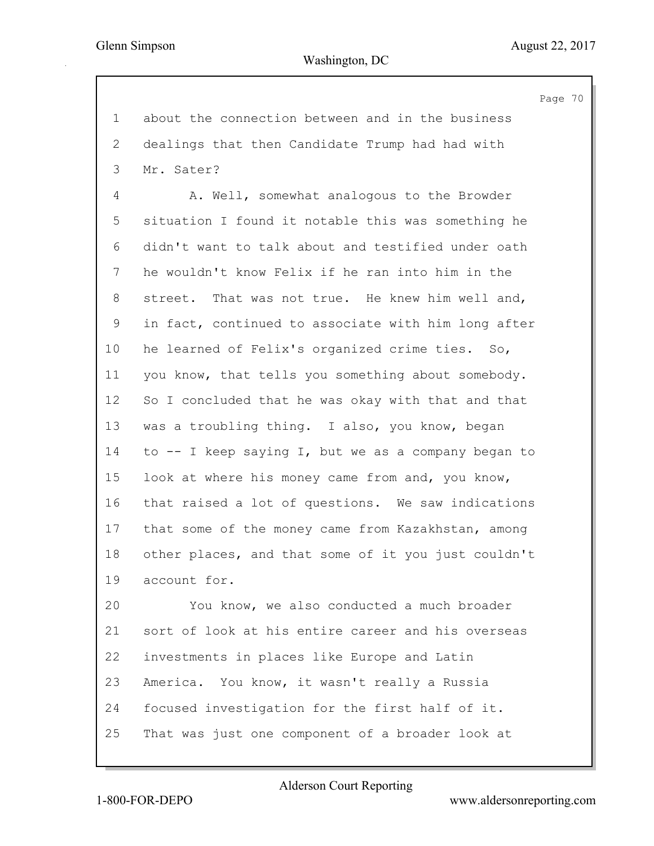Page 70 1 about the connection between and in the business 2 dealings that then Candidate Trump had had with 3 Mr. Sater? 4 A. Well, somewhat analogous to the Browder 5 situation I found it notable this was something he 6 didn't want to talk about and testified under oath 7 he wouldn't know Felix if he ran into him in the 8 street. That was not true. He knew him well and, 9 in fact, continued to associate with him long after 10 he learned of Felix's organized crime ties. So, 11 you know, that tells you something about somebody. 12 So I concluded that he was okay with that and that 13 was a troubling thing. I also, you know, began 14 to -- I keep saying I, but we as a company began to 15 look at where his money came from and, you know, 16 that raised a lot of questions. We saw indications 17 that some of the money came from Kazakhstan, among 18 other places, and that some of it you just couldn't 19 account for. 20 You know, we also conducted a much broader 21 sort of look at his entire career and his overseas 22 investments in places like Europe and Latin 23 America. You know, it wasn't really a Russia

24 focused investigation for the first half of it. 25 That was just one component of a broader look at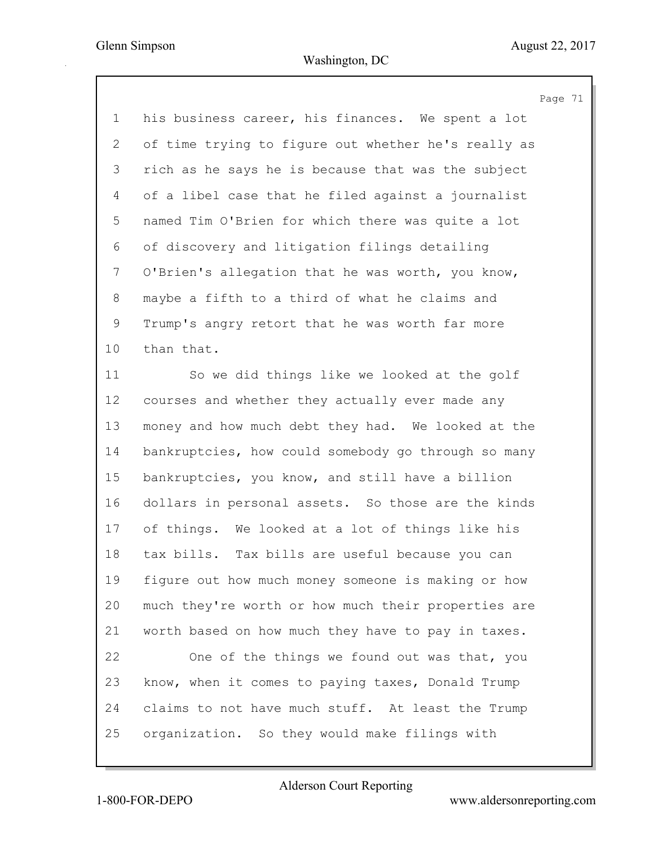|              | Page 71                                             |
|--------------|-----------------------------------------------------|
| $\mathbf 1$  | his business career, his finances. We spent a lot   |
| $\mathbf{2}$ | of time trying to figure out whether he's really as |
| 3            | rich as he says he is because that was the subject  |
| 4            | of a libel case that he filed against a journalist  |
| 5            | named Tim O'Brien for which there was quite a lot   |
| 6            | of discovery and litigation filings detailing       |
| 7            | O'Brien's allegation that he was worth, you know,   |
| 8            | maybe a fifth to a third of what he claims and      |
| 9            | Trump's angry retort that he was worth far more     |
| 10           | than that.                                          |
| 11           | So we did things like we looked at the golf         |
| 12           | courses and whether they actually ever made any     |
| 13           | money and how much debt they had. We looked at the  |
| 14           | bankruptcies, how could somebody go through so many |
| 15           | bankruptcies, you know, and still have a billion    |
| 16           | dollars in personal assets. So those are the kinds  |
| 17           | of things. We looked at a lot of things like his    |
| 18           | tax bills. Tax bills are useful because you can     |
| 19           | figure out how much money someone is making or how  |
| 20           | much they're worth or how much their properties are |
| 21           | worth based on how much they have to pay in taxes.  |
| 22           | One of the things we found out was that, you        |
| 23           | know, when it comes to paying taxes, Donald Trump   |
| 24           | claims to not have much stuff. At least the Trump   |
| 25           | organization. So they would make filings with       |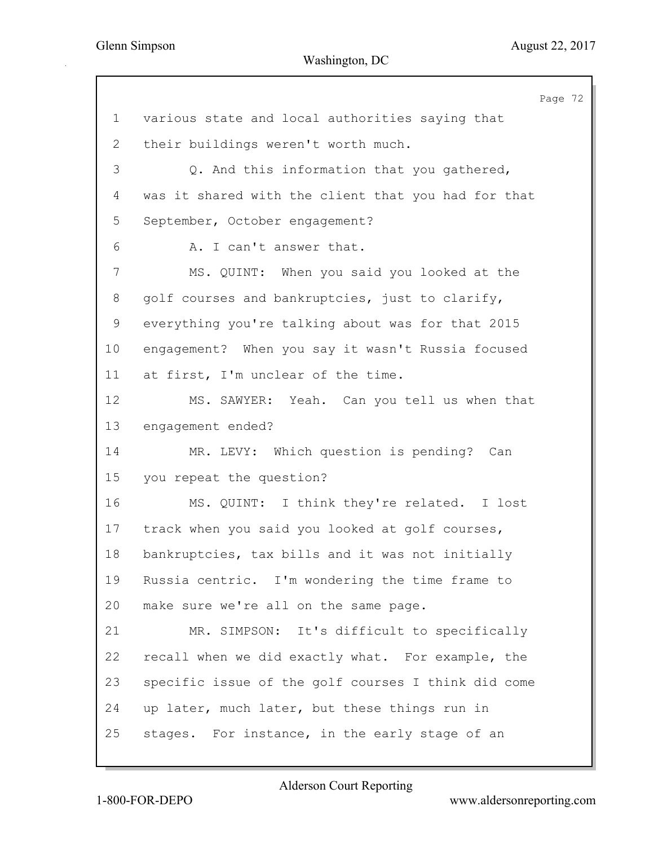|                |                                                     | Page 72 |  |
|----------------|-----------------------------------------------------|---------|--|
| $\mathbf 1$    | various state and local authorities saying that     |         |  |
| $\overline{2}$ | their buildings weren't worth much.                 |         |  |
| 3              | Q. And this information that you gathered,          |         |  |
| 4              | was it shared with the client that you had for that |         |  |
| 5              | September, October engagement?                      |         |  |
| 6              | A. I can't answer that.                             |         |  |
| 7              | MS. QUINT: When you said you looked at the          |         |  |
| 8              | golf courses and bankruptcies, just to clarify,     |         |  |
| 9              | everything you're talking about was for that 2015   |         |  |
| 10             | engagement? When you say it wasn't Russia focused   |         |  |
| 11             | at first, I'm unclear of the time.                  |         |  |
| 12             | Yeah. Can you tell us when that<br>MS. SAWYER:      |         |  |
| 13             | engagement ended?                                   |         |  |
| 14             | MR. LEVY: Which question is pending? Can            |         |  |
| 15             | you repeat the question?                            |         |  |
| 16             | MS. QUINT: I think they're related. I lost          |         |  |
| 17             | track when you said you looked at golf courses,     |         |  |
| 18             | bankruptcies, tax bills and it was not initially    |         |  |
| 19             | Russia centric. I'm wondering the time frame to     |         |  |
| 20             | make sure we're all on the same page.               |         |  |
| 21             | MR. SIMPSON: It's difficult to specifically         |         |  |
| 22             | recall when we did exactly what. For example, the   |         |  |
| 23             | specific issue of the golf courses I think did come |         |  |
| 24             | up later, much later, but these things run in       |         |  |
| 25             | stages. For instance, in the early stage of an      |         |  |
|                |                                                     |         |  |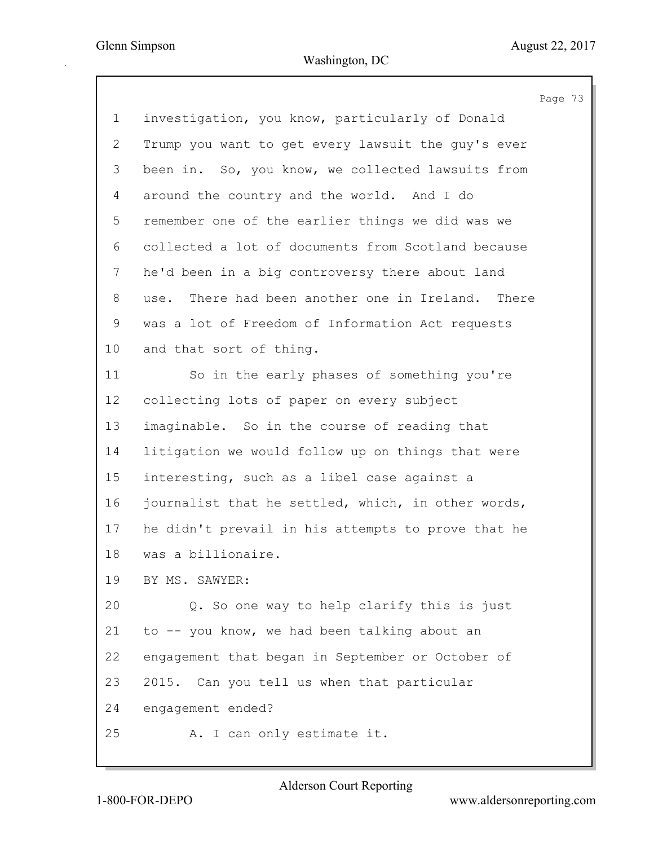|                           | Page 73                                            |
|---------------------------|----------------------------------------------------|
| $\mathbf 1$               | investigation, you know, particularly of Donald    |
| $\mathbf{2}^{\mathsf{I}}$ | Trump you want to get every lawsuit the guy's ever |
| 3                         | been in. So, you know, we collected lawsuits from  |
| 4                         | around the country and the world. And I do         |
| 5                         | remember one of the earlier things we did was we   |
| 6                         | collected a lot of documents from Scotland because |
| 7                         | he'd been in a big controversy there about land    |
| 8                         | use. There had been another one in Ireland. There  |
| 9                         | was a lot of Freedom of Information Act requests   |
| 10 <sub>o</sub>           | and that sort of thing.                            |
| 11                        | So in the early phases of something you're         |
| 12                        | collecting lots of paper on every subject          |
| 13                        | imaginable. So in the course of reading that       |
| 14                        | litigation we would follow up on things that were  |
| 15                        | interesting, such as a libel case against a        |
| 16                        | journalist that he settled, which, in other words, |
| 17                        | he didn't prevail in his attempts to prove that he |
| 18                        | was a billionaire.                                 |
| 19                        | BY MS. SAWYER:                                     |
| 20                        | Q. So one way to help clarify this is just         |
| 21                        | to -- you know, we had been talking about an       |
| 22                        | engagement that began in September or October of   |
| 23                        | 2015. Can you tell us when that particular         |
| 24                        | engagement ended?                                  |
| 25                        | A. I can only estimate it.                         |
|                           |                                                    |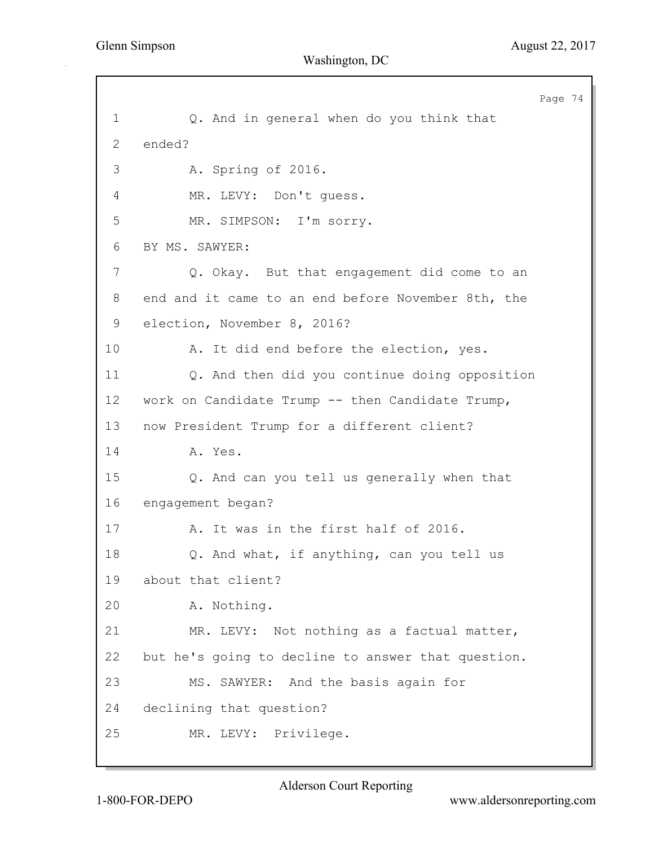Page 74 1 Q. And in general when do you think that 2 ended? 3 A. Spring of 2016. 4 MR. LEVY: Don't guess. 5 MR. SIMPSON: I'm sorry. 6 BY MS. SAWYER: 7 Q. Okay. But that engagement did come to an 8 end and it came to an end before November 8th, the 9 election, November 8, 2016? 10 A. It did end before the election, yes. 11 Q. And then did you continue doing opposition 12 work on Candidate Trump -- then Candidate Trump, 13 now President Trump for a different client? 14 **A.** Yes. 15 Q. And can you tell us generally when that 16 engagement began? 17 A. It was in the first half of 2016. 18 Q. And what, if anything, can you tell us 19 about that client? 20 A. Nothing. 21 MR. LEVY: Not nothing as a factual matter, 22 but he's going to decline to answer that question. 23 MS. SAWYER: And the basis again for 24 declining that question? 25 MR. LEVY: Privilege.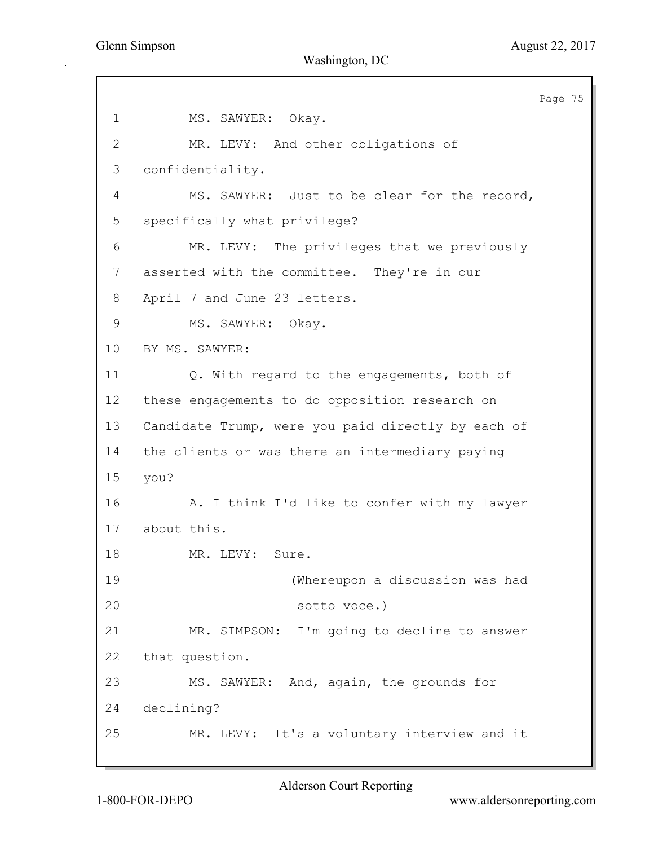Page 75 1 MS. SAWYER: Okay. 2 MR. LEVY: And other obligations of 3 confidentiality. 4 MS. SAWYER: Just to be clear for the record, 5 specifically what privilege? 6 MR. LEVY: The privileges that we previously 7 asserted with the committee. They're in our 8 April 7 and June 23 letters. 9 MS. SAWYER: Okay. 10 BY MS. SAWYER: 11 Q. With regard to the engagements, both of 12 these engagements to do opposition research on 13 Candidate Trump, were you paid directly by each of 14 the clients or was there an intermediary paying 15 you? 16 A. I think I'd like to confer with my lawyer 17 about this. 18 MR. LEVY: Sure. 19 (Whereupon a discussion was had 20 sotto voce.) 21 MR. SIMPSON: I'm going to decline to answer 22 that question. 23 MS. SAWYER: And, again, the grounds for 24 declining? 25 MR. LEVY: It's a voluntary interview and it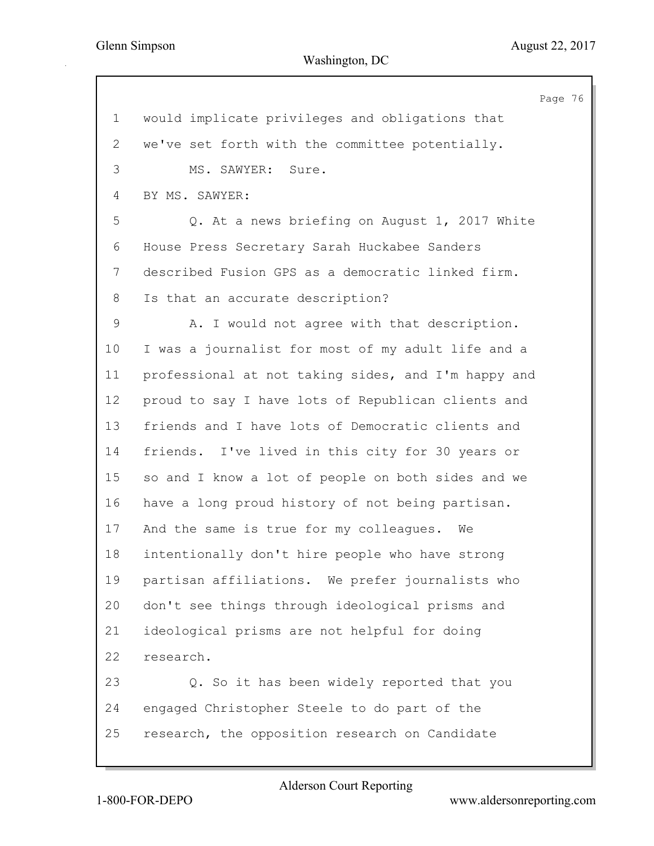Page 76 1 would implicate privileges and obligations that 2 we've set forth with the committee potentially. 3 MS. SAWYER: Sure. 4 BY MS. SAWYER: 5 Q. At a news briefing on August 1, 2017 White 6 House Press Secretary Sarah Huckabee Sanders 7 described Fusion GPS as a democratic linked firm. 8 Is that an accurate description? 9 A. I would not agree with that description. 10 I was a journalist for most of my adult life and a 11 professional at not taking sides, and I'm happy and 12 proud to say I have lots of Republican clients and 13 friends and I have lots of Democratic clients and 14 friends. I've lived in this city for 30 years or 15 so and I know a lot of people on both sides and we 16 have a long proud history of not being partisan. 17 And the same is true for my colleagues. We 18 intentionally don't hire people who have strong 19 partisan affiliations. We prefer journalists who 20 don't see things through ideological prisms and 21 ideological prisms are not helpful for doing 22 research. 23 Q. So it has been widely reported that you 24 engaged Christopher Steele to do part of the 25 research, the opposition research on Candidate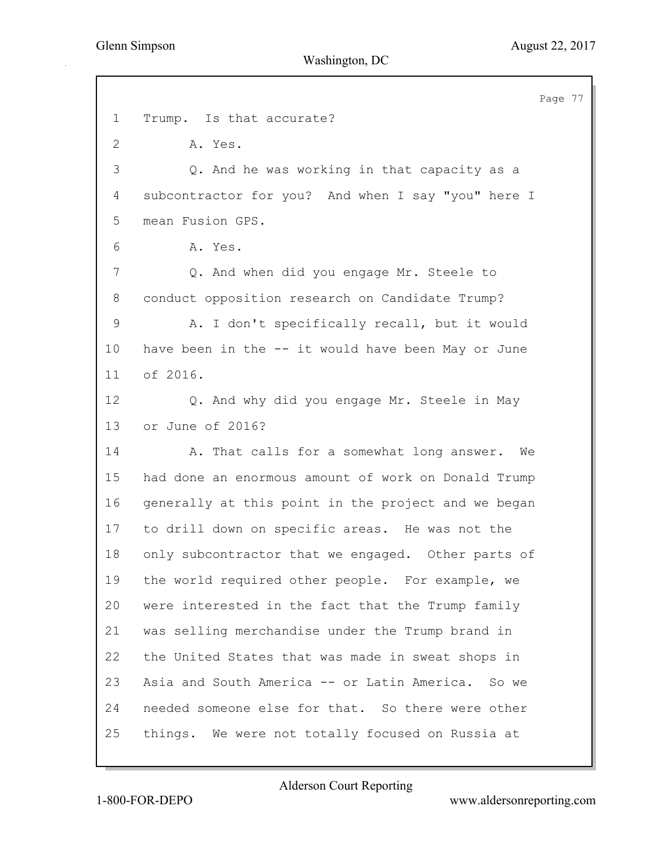Page 77 1 Trump. Is that accurate? 2 A. Yes. 3 Q. And he was working in that capacity as a 4 subcontractor for you? And when I say "you" here I 5 mean Fusion GPS. 6 A. Yes. 7 2. And when did you engage Mr. Steele to 8 conduct opposition research on Candidate Trump? 9 A. I don't specifically recall, but it would 10 have been in the -- it would have been May or June 11 of 2016. 12 Q. And why did you engage Mr. Steele in May 13 or June of 2016? 14 A. That calls for a somewhat long answer. We 15 had done an enormous amount of work on Donald Trump 16 generally at this point in the project and we began 17 to drill down on specific areas. He was not the 18 only subcontractor that we engaged. Other parts of 19 the world required other people. For example, we 20 were interested in the fact that the Trump family 21 was selling merchandise under the Trump brand in 22 the United States that was made in sweat shops in 23 Asia and South America -- or Latin America. So we 24 needed someone else for that. So there were other 25 things. We were not totally focused on Russia at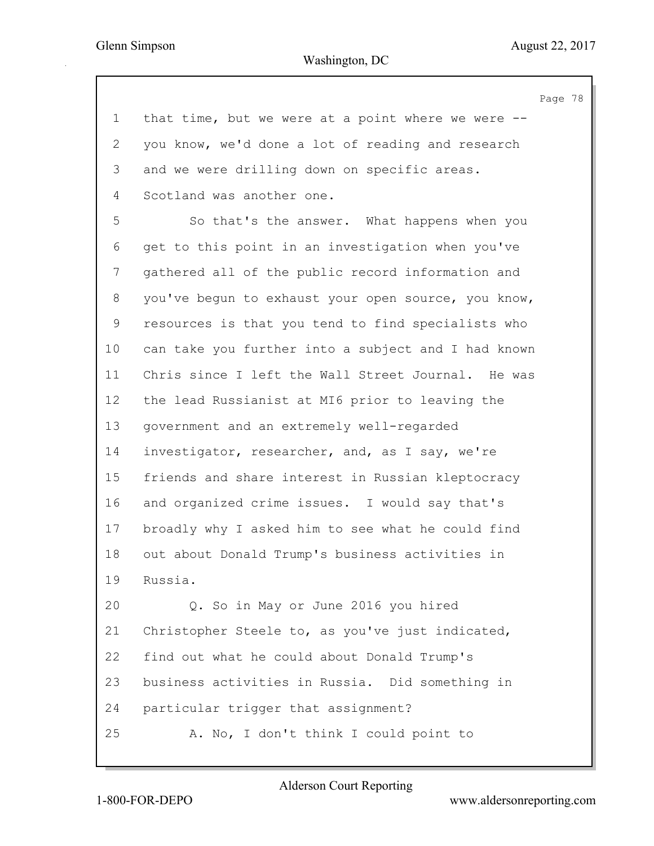Page 78

| $\mathbf 1$ | that time, but we were at a point where we were $-$ - |
|-------------|-------------------------------------------------------|
| 2           | you know, we'd done a lot of reading and research     |
| 3           | and we were drilling down on specific areas.          |
| 4           | Scotland was another one.                             |
| 5           | So that's the answer. What happens when you           |
| 6           | get to this point in an investigation when you've     |
| 7           | gathered all of the public record information and     |
| 8           | you've begun to exhaust your open source, you know,   |
| $\mathsf 9$ | resources is that you tend to find specialists who    |
| 10          | can take you further into a subject and I had known   |
| 11          | Chris since I left the Wall Street Journal. He was    |
| 12          | the lead Russianist at MI6 prior to leaving the       |
| 13          | government and an extremely well-regarded             |
| 14          | investigator, researcher, and, as I say, we're        |
| 15          | friends and share interest in Russian kleptocracy     |
| 16          | and organized crime issues. I would say that's        |
| 17          | broadly why I asked him to see what he could find     |
| 18          | out about Donald Trump's business activities in       |
| 19          | Russia.                                               |
| 20          | Q. So in May or June 2016 you hired                   |
| 21          | Christopher Steele to, as you've just indicated,      |
| 22          | find out what he could about Donald Trump's           |
| 23          | business activities in Russia. Did something in       |
| 24          | particular trigger that assignment?                   |
| 25          | A. No, I don't think I could point to                 |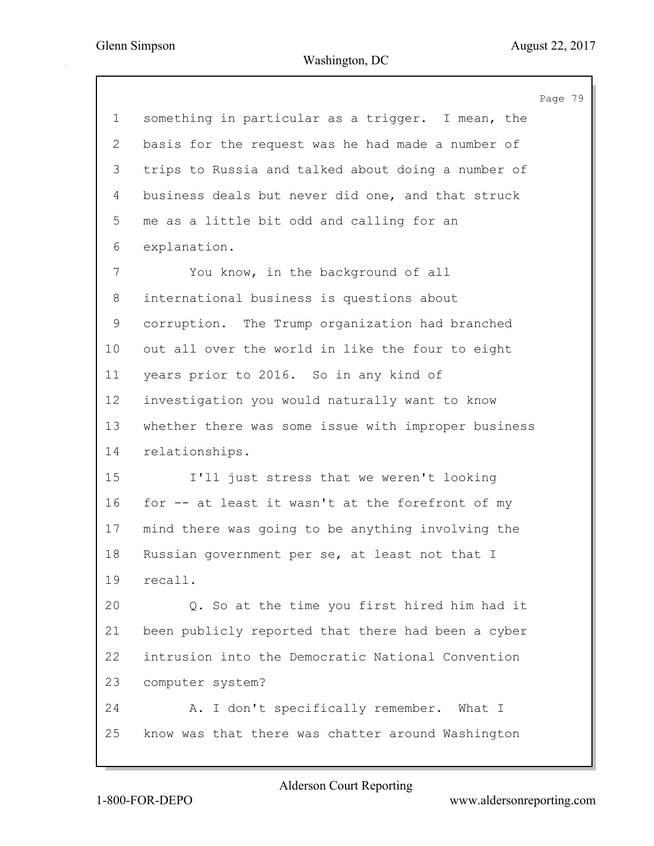|                | Page 79                                             |
|----------------|-----------------------------------------------------|
| $\mathbf 1$    | something in particular as a trigger. I mean, the   |
| $\overline{2}$ | basis for the request was he had made a number of   |
| 3              | trips to Russia and talked about doing a number of  |
| 4              | business deals but never did one, and that struck   |
| 5              | me as a little bit odd and calling for an           |
| 6              | explanation.                                        |
| 7              | You know, in the background of all                  |
| 8              | international business is questions about           |
| 9              | corruption. The Trump organization had branched     |
| 10             | out all over the world in like the four to eight    |
| 11             | years prior to 2016. So in any kind of              |
| 12             | investigation you would naturally want to know      |
| 13             | whether there was some issue with improper business |
| 14             | relationships.                                      |
| 15             | I'll just stress that we weren't looking            |
| 16             | for -- at least it wasn't at the forefront of my    |
| 17             | mind there was going to be anything involving the   |
| 18             | Russian government per se, at least not that I      |
| 19             | recall.                                             |
| 20             | Q. So at the time you first hired him had it        |
| 21             | been publicly reported that there had been a cyber  |
| 22             | intrusion into the Democratic National Convention   |
| 23             | computer system?                                    |
| 24             | A. I don't specifically remember. What I            |
| 25             | know was that there was chatter around Washington   |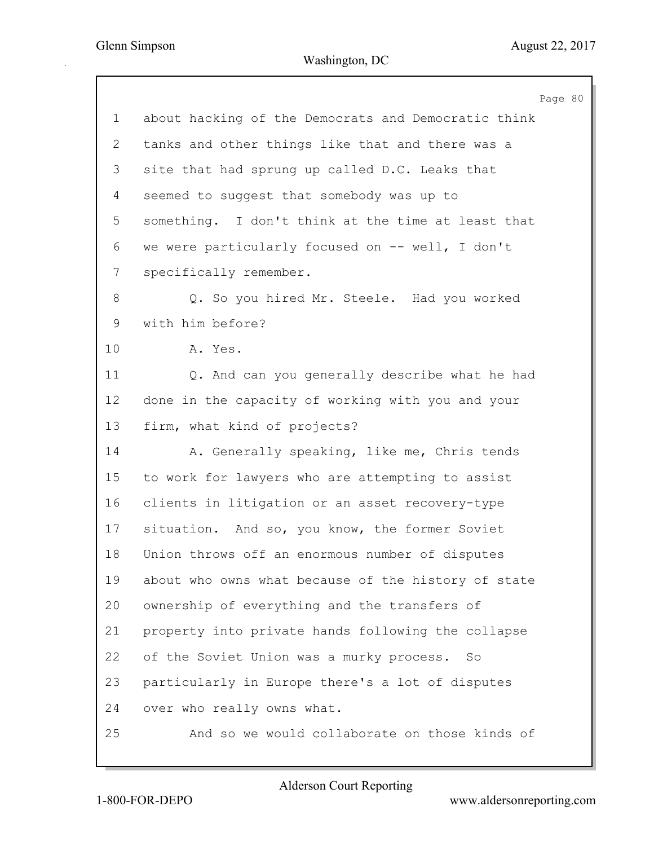|              |                                                     | Page 80 |  |
|--------------|-----------------------------------------------------|---------|--|
| 1            | about hacking of the Democrats and Democratic think |         |  |
| $\mathbf{2}$ | tanks and other things like that and there was a    |         |  |
| 3            | site that had sprung up called D.C. Leaks that      |         |  |
| 4            | seemed to suggest that somebody was up to           |         |  |
| 5            | something. I don't think at the time at least that  |         |  |
| 6            | we were particularly focused on -- well, I don't    |         |  |
| 7            | specifically remember.                              |         |  |
| 8            | Q. So you hired Mr. Steele. Had you worked          |         |  |
| 9            | with him before?                                    |         |  |
| 10           | A. Yes.                                             |         |  |
| 11           | Q. And can you generally describe what he had       |         |  |
| 12           | done in the capacity of working with you and your   |         |  |
| 13           | firm, what kind of projects?                        |         |  |
| 14           | A. Generally speaking, like me, Chris tends         |         |  |
| 15           | to work for lawyers who are attempting to assist    |         |  |
| 16           | clients in litigation or an asset recovery-type     |         |  |
| 17           | situation. And so, you know, the former Soviet      |         |  |
| 18           | Union throws off an enormous number of disputes     |         |  |
| 19           | about who owns what because of the history of state |         |  |
| 20           | ownership of everything and the transfers of        |         |  |
| 21           | property into private hands following the collapse  |         |  |
| 22           | of the Soviet Union was a murky process. So         |         |  |
| 23           | particularly in Europe there's a lot of disputes    |         |  |
| 24           | over who really owns what.                          |         |  |
| 25           | And so we would collaborate on those kinds of       |         |  |
|              |                                                     |         |  |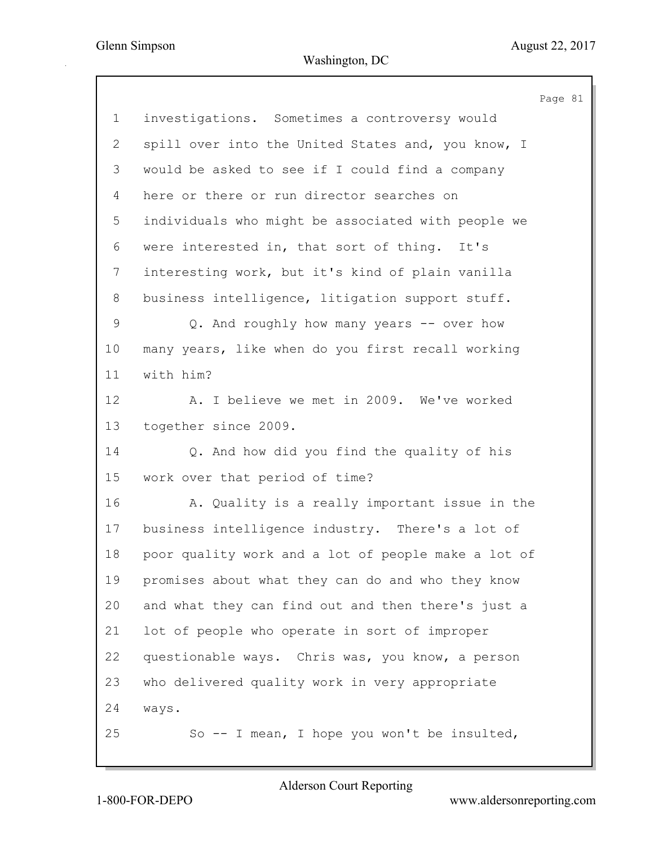|                 | Page 81                                             |
|-----------------|-----------------------------------------------------|
| $\mathbf 1$     | investigations. Sometimes a controversy would       |
| 2               | spill over into the United States and, you know, I  |
| 3               | would be asked to see if I could find a company     |
| 4               | here or there or run director searches on           |
| 5               | individuals who might be associated with people we  |
| 6               | were interested in, that sort of thing. It's        |
| $7\phantom{.}$  | interesting work, but it's kind of plain vanilla    |
| 8               | business intelligence, litigation support stuff.    |
| 9               | Q. And roughly how many years -- over how           |
| 10 <sub>o</sub> | many years, like when do you first recall working   |
| 11              | with him?                                           |
| 12              | A. I believe we met in 2009. We've worked           |
| 13              | together since 2009.                                |
| 14              | Q. And how did you find the quality of his          |
| 15              | work over that period of time?                      |
| 16              | A. Quality is a really important issue in the       |
| 17              | business intelligence industry. There's a lot of    |
| 18              | poor quality work and a lot of people make a lot of |
| 19              | promises about what they can do and who they know   |
| 20              | and what they can find out and then there's just a  |
| 21              | lot of people who operate in sort of improper       |
| 22              | questionable ways. Chris was, you know, a person    |
| 23              | who delivered quality work in very appropriate      |
| 24              | ways.                                               |
| 25              | So -- I mean, I hope you won't be insulted,         |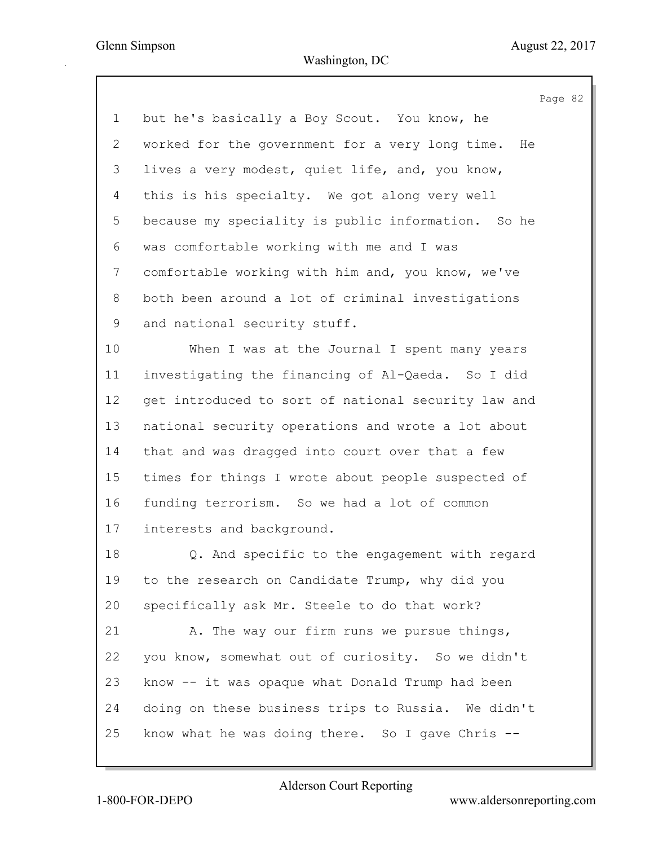Page 82 1 but he's basically a Boy Scout. You know, he 2 worked for the government for a very long time. He 3 lives a very modest, quiet life, and, you know, 4 this is his specialty. We got along very well 5 because my speciality is public information. So he 6 was comfortable working with me and I was 7 comfortable working with him and, you know, we've 8 both been around a lot of criminal investigations 9 and national security stuff. 10 When I was at the Journal I spent many years 11 investigating the financing of Al-Qaeda. So I did 12 get introduced to sort of national security law and 13 national security operations and wrote a lot about 14 that and was dragged into court over that a few 15 times for things I wrote about people suspected of 16 funding terrorism. So we had a lot of common 17 interests and background. 18 Q. And specific to the engagement with regard 19 to the research on Candidate Trump, why did you 20 specifically ask Mr. Steele to do that work? 21 A. The way our firm runs we pursue things, 22 you know, somewhat out of curiosity. So we didn't 23 know -- it was opaque what Donald Trump had been 24 doing on these business trips to Russia. We didn't 25 know what he was doing there. So I gave Chris --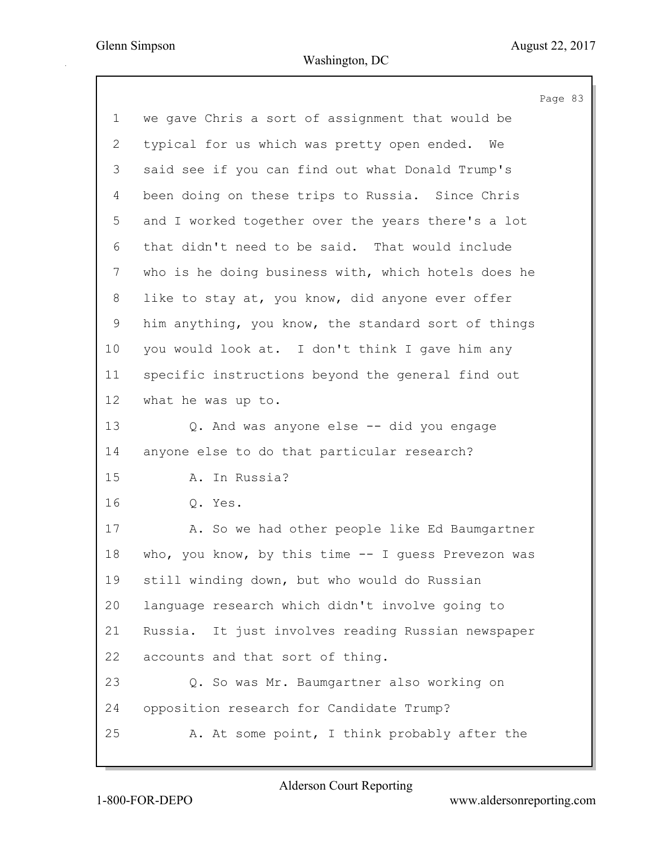Page 83 1 we gave Chris a sort of assignment that would be 2 typical for us which was pretty open ended. We 3 said see if you can find out what Donald Trump's 4 been doing on these trips to Russia. Since Chris 5 and I worked together over the years there's a lot 6 that didn't need to be said. That would include 7 who is he doing business with, which hotels does he 8 like to stay at, you know, did anyone ever offer 9 him anything, you know, the standard sort of things 10 you would look at. I don't think I gave him any 11 specific instructions beyond the general find out 12 what he was up to. 13 Q. And was anyone else -- did you engage 14 anyone else to do that particular research? 15 A. In Russia? 16 Q. Yes. 17 A. So we had other people like Ed Baumgartner 18 who, you know, by this time -- I guess Prevezon was 19 still winding down, but who would do Russian 20 language research which didn't involve going to 21 Russia. It just involves reading Russian newspaper 22 accounts and that sort of thing. 23 Q. So was Mr. Baumgartner also working on 24 opposition research for Candidate Trump? 25 A. At some point, I think probably after the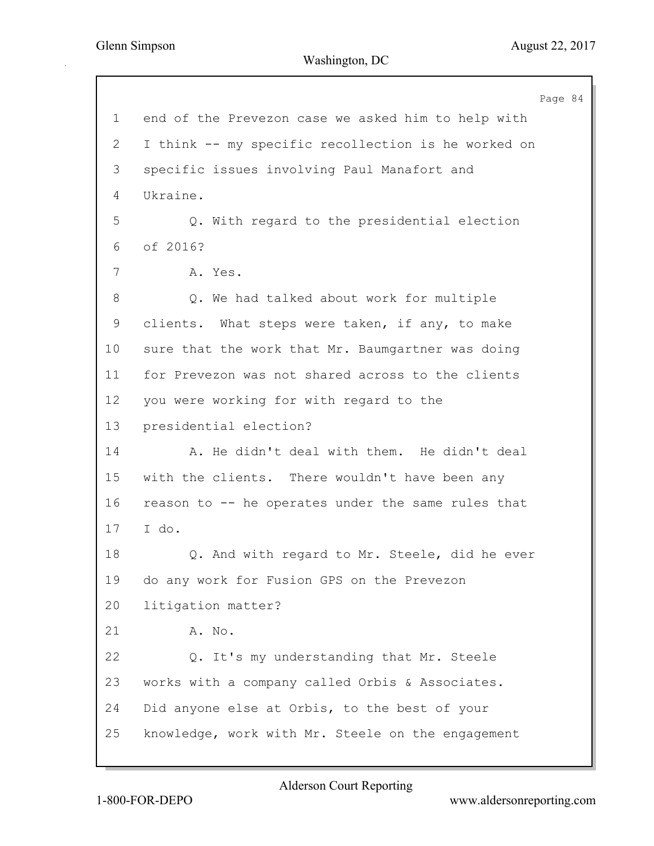Page 84 1 end of the Prevezon case we asked him to help with 2 I think -- my specific recollection is he worked on 3 specific issues involving Paul Manafort and 4 Ukraine. 5 Q. With regard to the presidential election 6 of 2016? 7 A. Yes. 8 Q. We had talked about work for multiple 9 clients. What steps were taken, if any, to make 10 sure that the work that Mr. Baumgartner was doing 11 for Prevezon was not shared across to the clients 12 you were working for with regard to the 13 presidential election? 14 A. He didn't deal with them. He didn't deal 15 with the clients. There wouldn't have been any 16 reason to -- he operates under the same rules that 17 I do. 18 **Q.** And with regard to Mr. Steele, did he ever 19 do any work for Fusion GPS on the Prevezon 20 litigation matter? 21 A. No. 22 Q. It's my understanding that Mr. Steele 23 works with a company called Orbis & Associates. 24 Did anyone else at Orbis, to the best of your 25 knowledge, work with Mr. Steele on the engagement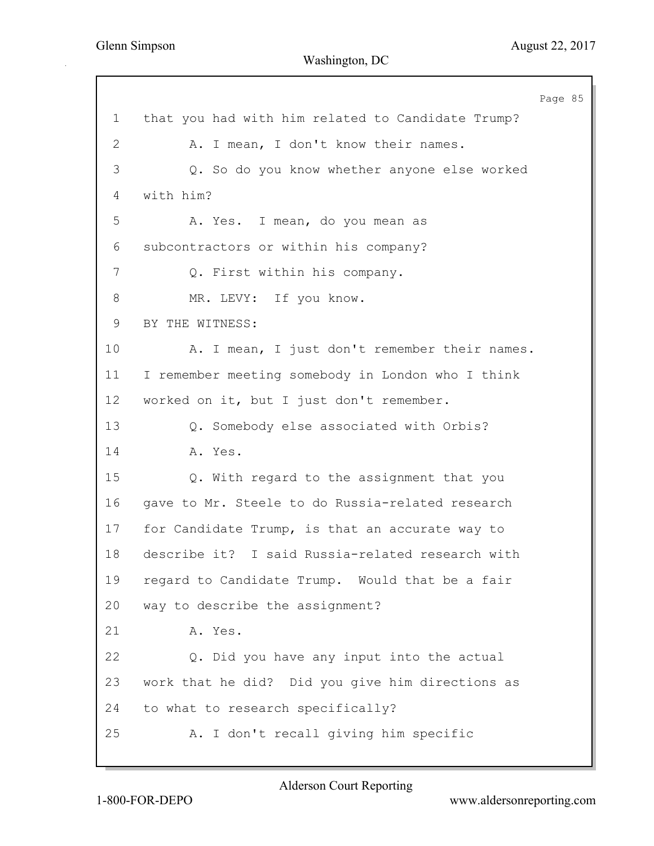Page 85 1 that you had with him related to Candidate Trump? 2 A. I mean, I don't know their names. 3 Q. So do you know whether anyone else worked 4 with him? 5 A. Yes. I mean, do you mean as 6 subcontractors or within his company? 7 Q. First within his company. 8 MR. LEVY: If you know. 9 BY THE WITNESS: 10 A. I mean, I just don't remember their names. 11 I remember meeting somebody in London who I think 12 worked on it, but I just don't remember. 13 Q. Somebody else associated with Orbis? 14 **A.** Yes. 15 Q. With regard to the assignment that you 16 gave to Mr. Steele to do Russia-related research 17 for Candidate Trump, is that an accurate way to 18 describe it? I said Russia-related research with 19 regard to Candidate Trump. Would that be a fair 20 way to describe the assignment? 21 A. Yes. 22 Q. Did you have any input into the actual 23 work that he did? Did you give him directions as 24 to what to research specifically? 25 A. I don't recall giving him specific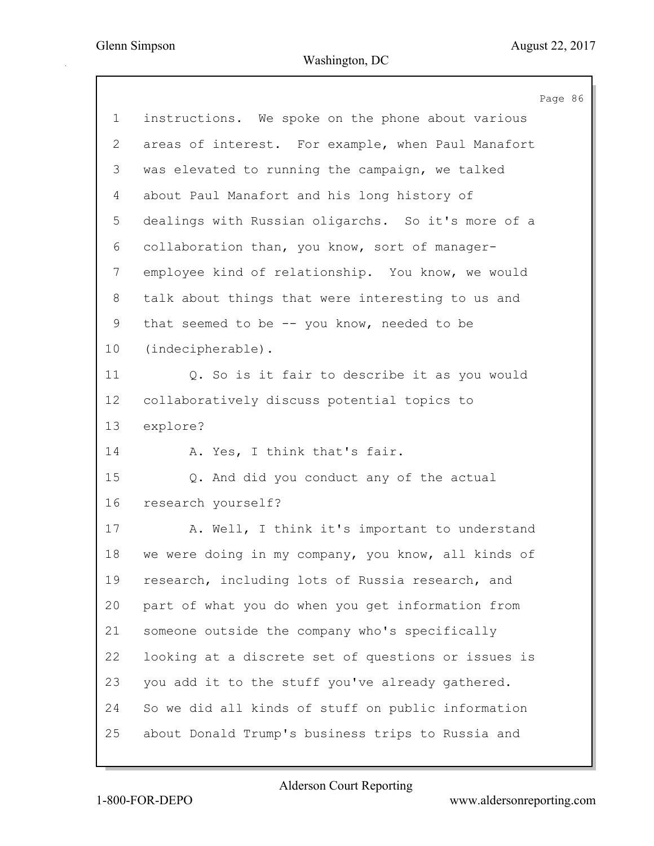Page 86 1 instructions. We spoke on the phone about various 2 areas of interest. For example, when Paul Manafort 3 was elevated to running the campaign, we talked 4 about Paul Manafort and his long history of 5 dealings with Russian oligarchs. So it's more of a 6 collaboration than, you know, sort of manager-7 employee kind of relationship. You know, we would 8 talk about things that were interesting to us and 9 that seemed to be -- you know, needed to be 10 (indecipherable). 11 Q. So is it fair to describe it as you would 12 collaboratively discuss potential topics to 13 explore? 14 A. Yes, I think that's fair. 15 Q. And did you conduct any of the actual 16 research yourself? 17 A. Well, I think it's important to understand 18 we were doing in my company, you know, all kinds of 19 research, including lots of Russia research, and 20 part of what you do when you get information from 21 someone outside the company who's specifically 22 looking at a discrete set of questions or issues is 23 you add it to the stuff you've already gathered. 24 So we did all kinds of stuff on public information 25 about Donald Trump's business trips to Russia and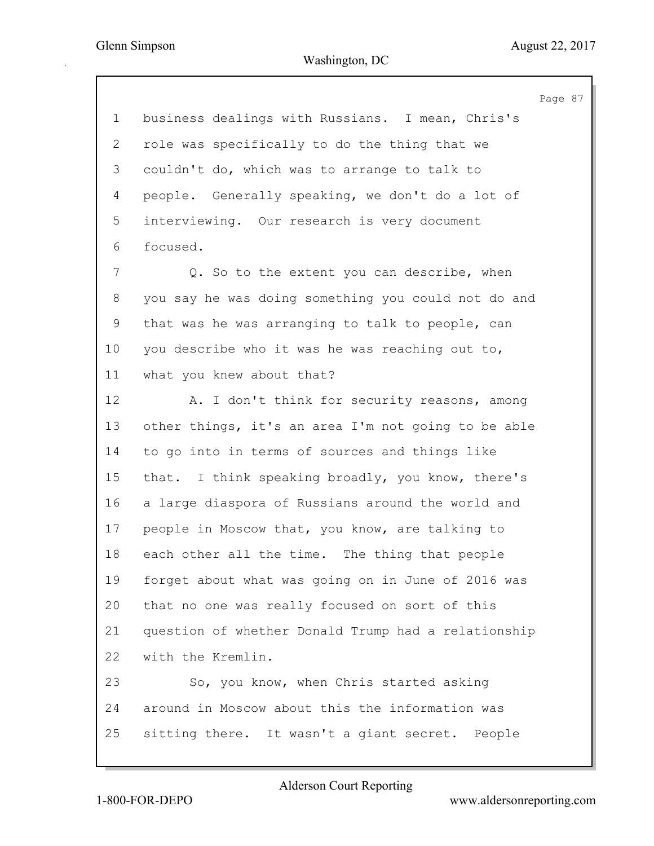Page 87 1 business dealings with Russians. I mean, Chris's 2 role was specifically to do the thing that we 3 couldn't do, which was to arrange to talk to 4 people. Generally speaking, we don't do a lot of 5 interviewing. Our research is very document 6 focused. 7 Q. So to the extent you can describe, when 8 you say he was doing something you could not do and 9 that was he was arranging to talk to people, can 10 you describe who it was he was reaching out to, 11 what you knew about that? 12 A. I don't think for security reasons, among 13 other things, it's an area I'm not going to be able 14 to go into in terms of sources and things like 15 that. I think speaking broadly, you know, there's 16 a large diaspora of Russians around the world and 17 people in Moscow that, you know, are talking to 18 each other all the time. The thing that people 19 forget about what was going on in June of 2016 was 20 that no one was really focused on sort of this 21 question of whether Donald Trump had a relationship 22 with the Kremlin. 23 So, you know, when Chris started asking 24 around in Moscow about this the information was 25 sitting there. It wasn't a giant secret. People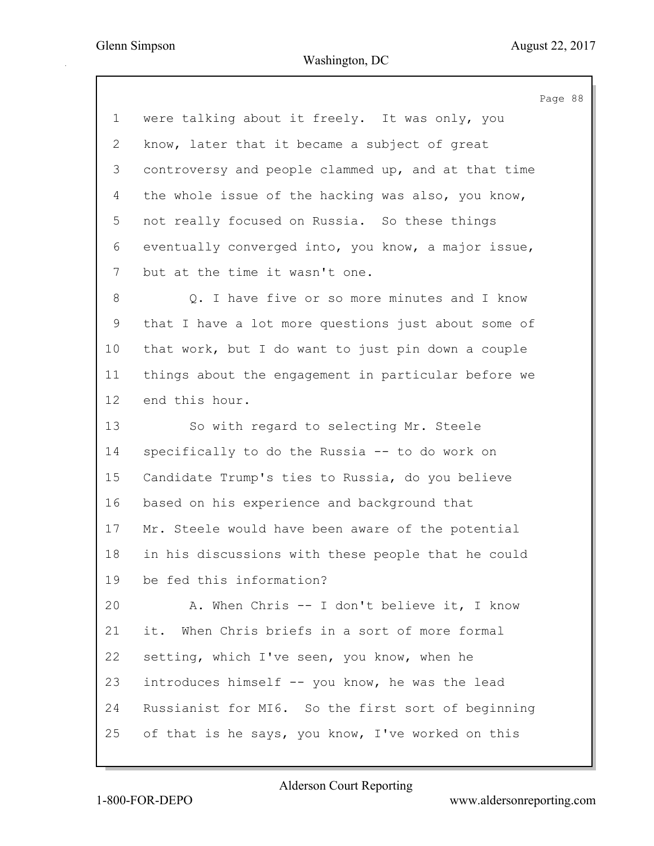|                 | Page 88                                             |  |
|-----------------|-----------------------------------------------------|--|
| $\mathbf 1$     | were talking about it freely. It was only, you      |  |
| 2               | know, later that it became a subject of great       |  |
| 3               | controversy and people clammed up, and at that time |  |
| 4               | the whole issue of the hacking was also, you know,  |  |
| 5               | not really focused on Russia. So these things       |  |
| 6               | eventually converged into, you know, a major issue, |  |
| 7               | but at the time it wasn't one.                      |  |
| 8               | Q. I have five or so more minutes and I know        |  |
| 9               | that I have a lot more questions just about some of |  |
| 10 <sub>o</sub> | that work, but I do want to just pin down a couple  |  |
| 11              | things about the engagement in particular before we |  |
| 12              | end this hour.                                      |  |
| 13              | So with regard to selecting Mr. Steele              |  |
| 14              | specifically to do the Russia -- to do work on      |  |
| 15              | Candidate Trump's ties to Russia, do you believe    |  |
| 16              | based on his experience and background that         |  |
| 17              | Mr. Steele would have been aware of the potential   |  |
| 18              | in his discussions with these people that he could  |  |
| 19              | be fed this information?                            |  |
| 20              | A. When Chris -- I don't believe it, I know         |  |
| 21              | it. When Chris briefs in a sort of more formal      |  |
| 22              | setting, which I've seen, you know, when he         |  |
| 23              | introduces himself -- you know, he was the lead     |  |
| 24              | Russianist for MI6. So the first sort of beginning  |  |
| 25              | of that is he says, you know, I've worked on this   |  |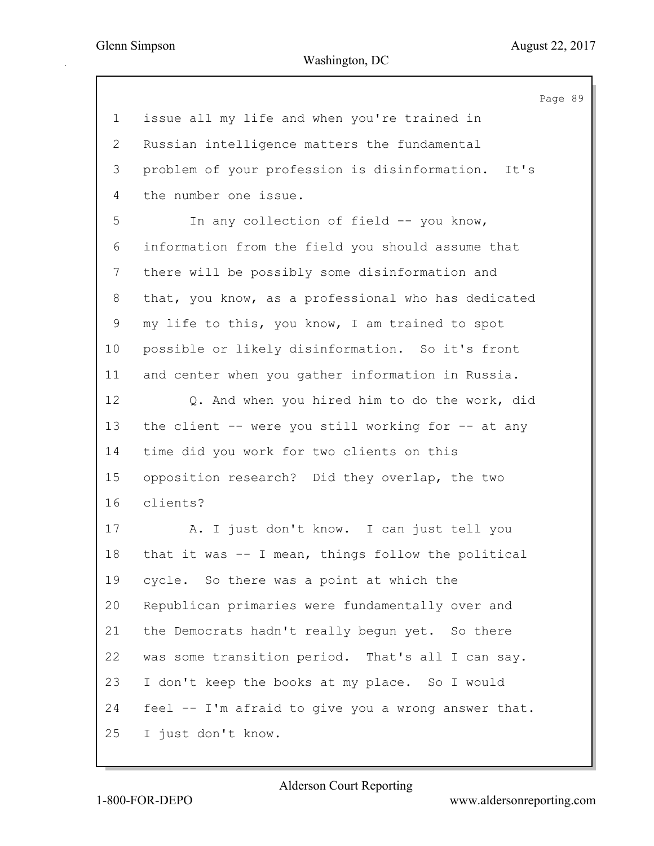|                 |                                                     | Page 89 |  |
|-----------------|-----------------------------------------------------|---------|--|
| $\mathbf 1$     | issue all my life and when you're trained in        |         |  |
| 2               | Russian intelligence matters the fundamental        |         |  |
| 3               | problem of your profession is disinformation. It's  |         |  |
| 4               | the number one issue.                               |         |  |
| 5               | In any collection of field -- you know,             |         |  |
| 6               | information from the field you should assume that   |         |  |
| 7               | there will be possibly some disinformation and      |         |  |
| 8               | that, you know, as a professional who has dedicated |         |  |
| 9               | my life to this, you know, I am trained to spot     |         |  |
| 10 <sub>o</sub> | possible or likely disinformation. So it's front    |         |  |
| 11              | and center when you gather information in Russia.   |         |  |
| 12              | Q. And when you hired him to do the work, did       |         |  |
| 13              | the client -- were you still working for -- at any  |         |  |
| 14              | time did you work for two clients on this           |         |  |
| 15              | opposition research? Did they overlap, the two      |         |  |
| 16              | clients?                                            |         |  |
| 17              | A. I just don't know. I can just tell you           |         |  |
| 18              | that it was -- I mean, things follow the political  |         |  |
| 19              | cycle. So there was a point at which the            |         |  |
| 20              | Republican primaries were fundamentally over and    |         |  |
| 21              | the Democrats hadn't really begun yet. So there     |         |  |
| 22              | was some transition period. That's all I can say.   |         |  |
| 23              | I don't keep the books at my place. So I would      |         |  |
| 24              | feel -- I'm afraid to give you a wrong answer that. |         |  |
| 25              | I just don't know.                                  |         |  |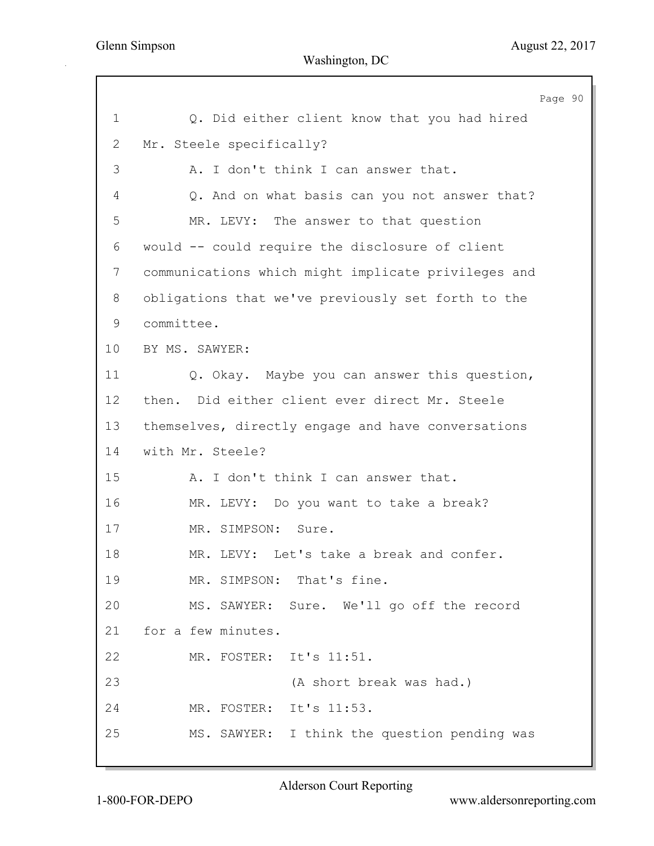Page 90 1 Q. Did either client know that you had hired 2 Mr. Steele specifically? 3 A. I don't think I can answer that. 4 Q. And on what basis can you not answer that? 5 MR. LEVY: The answer to that question 6 would -- could require the disclosure of client 7 communications which might implicate privileges and 8 obligations that we've previously set forth to the 9 committee. 10 BY MS. SAWYER: 11 Q. Okay. Maybe you can answer this question, 12 then. Did either client ever direct Mr. Steele 13 themselves, directly engage and have conversations 14 with Mr. Steele? 15 A. I don't think I can answer that. 16 MR. LEVY: Do you want to take a break? 17 MR. SIMPSON: Sure. 18 MR. LEVY: Let's take a break and confer. 19 MR. SIMPSON: That's fine. 20 MS. SAWYER: Sure. We'll go off the record 21 for a few minutes. 22 MR. FOSTER: It's 11:51. 23 (A short break was had.) 24 MR. FOSTER: It's 11:53. 25 MS. SAWYER: I think the question pending was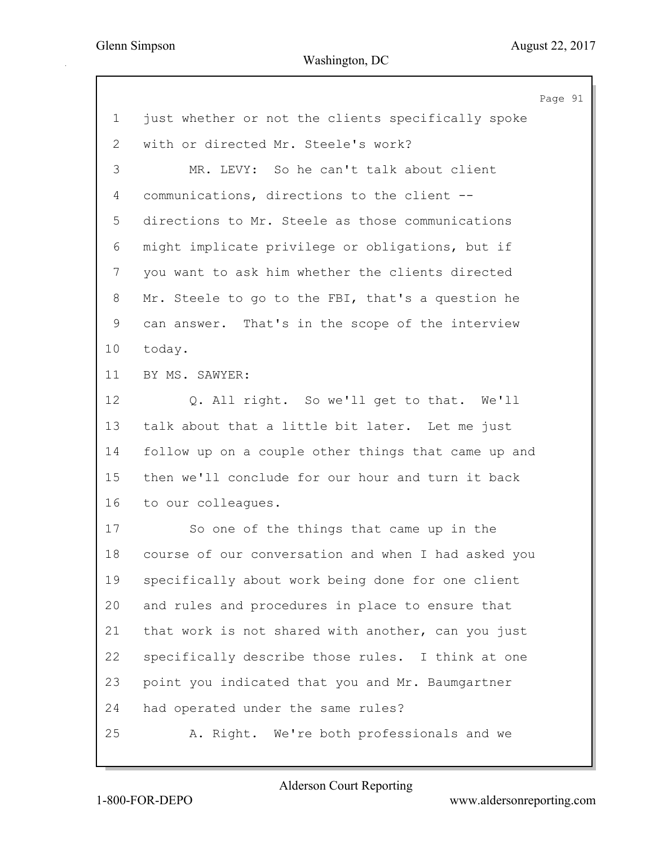|              |                                                     | Page 91 |  |
|--------------|-----------------------------------------------------|---------|--|
| $\mathbf{1}$ | just whether or not the clients specifically spoke  |         |  |
| 2            | with or directed Mr. Steele's work?                 |         |  |
| 3            | MR. LEVY: So he can't talk about client             |         |  |
| 4            | communications, directions to the client --         |         |  |
| 5            | directions to Mr. Steele as those communications    |         |  |
| 6            | might implicate privilege or obligations, but if    |         |  |
| 7            | you want to ask him whether the clients directed    |         |  |
| 8            | Mr. Steele to go to the FBI, that's a question he   |         |  |
| 9            | can answer. That's in the scope of the interview    |         |  |
| 10           | today.                                              |         |  |
| 11           | BY MS. SAWYER:                                      |         |  |
| 12           | Q. All right. So we'll get to that. We'll           |         |  |
| 13           | talk about that a little bit later. Let me just     |         |  |
| 14           | follow up on a couple other things that came up and |         |  |
| 15           | then we'll conclude for our hour and turn it back   |         |  |
| 16           | to our colleagues.                                  |         |  |
| 17           | So one of the things that came up in the            |         |  |
| 18           | course of our conversation and when I had asked you |         |  |
| 19           | specifically about work being done for one client   |         |  |
| 20           | and rules and procedures in place to ensure that    |         |  |
| 21           | that work is not shared with another, can you just  |         |  |
| 22           | specifically describe those rules. I think at one   |         |  |
| 23           | point you indicated that you and Mr. Baumgartner    |         |  |
| 24           | had operated under the same rules?                  |         |  |
| 25           | A. Right. We're both professionals and we           |         |  |
|              |                                                     |         |  |

1-800-FOR-DEPO www.aldersonreporting.com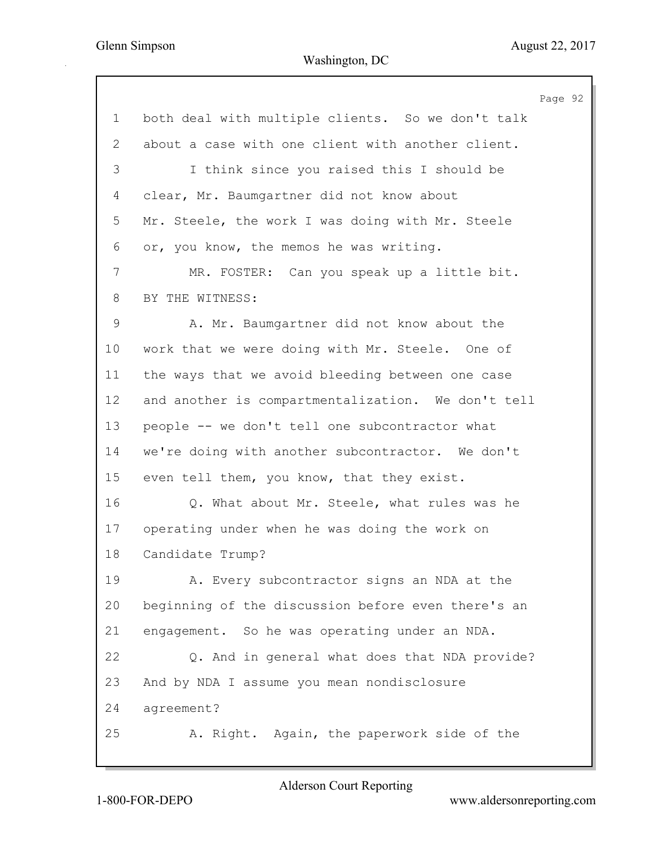|             |                                                    | Page 92 |  |
|-------------|----------------------------------------------------|---------|--|
| $\mathbf 1$ | both deal with multiple clients. So we don't talk  |         |  |
| 2           | about a case with one client with another client.  |         |  |
| 3           | I think since you raised this I should be          |         |  |
| 4           | clear, Mr. Baumgartner did not know about          |         |  |
| 5           | Mr. Steele, the work I was doing with Mr. Steele   |         |  |
| 6           | or, you know, the memos he was writing.            |         |  |
| 7           | MR. FOSTER: Can you speak up a little bit.         |         |  |
| 8           | BY THE WITNESS:                                    |         |  |
| 9           | A. Mr. Baumgartner did not know about the          |         |  |
| 10          | work that we were doing with Mr. Steele. One of    |         |  |
| 11          | the ways that we avoid bleeding between one case   |         |  |
| 12          | and another is compartmentalization. We don't tell |         |  |
| 13          | people -- we don't tell one subcontractor what     |         |  |
| 14          | we're doing with another subcontractor. We don't   |         |  |
| 15          | even tell them, you know, that they exist.         |         |  |
| 16          | Q. What about Mr. Steele, what rules was he        |         |  |
| 17          | operating under when he was doing the work on      |         |  |
| 18          | Candidate Trump?                                   |         |  |
| 19          | A. Every subcontractor signs an NDA at the         |         |  |
| 20          | beginning of the discussion before even there's an |         |  |
| 21          | engagement. So he was operating under an NDA.      |         |  |
| 22          | Q. And in general what does that NDA provide?      |         |  |
| 23          | And by NDA I assume you mean nondisclosure         |         |  |
| 24          | agreement?                                         |         |  |
| 25          | A. Right. Again, the paperwork side of the         |         |  |
|             |                                                    |         |  |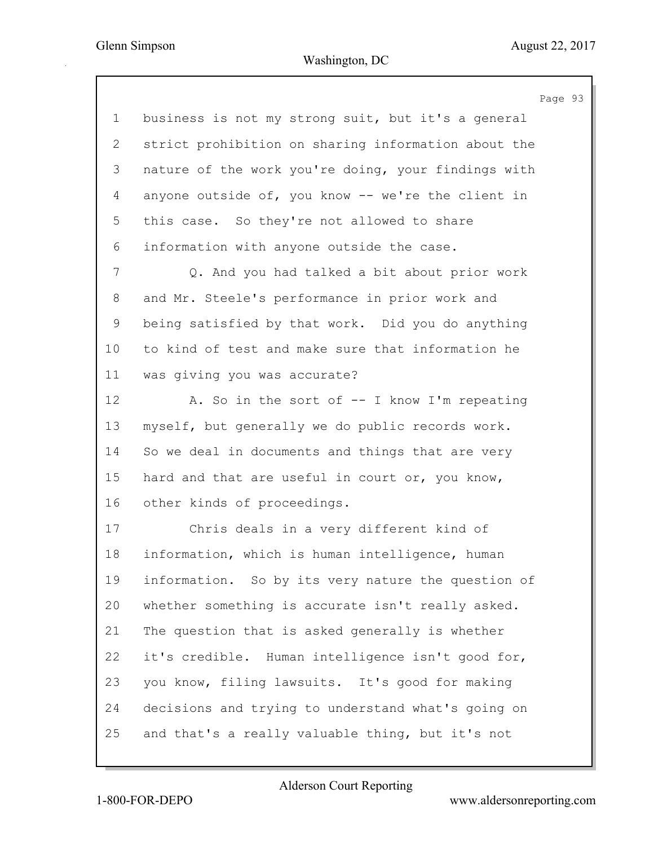|             | Page 93                                             |  |
|-------------|-----------------------------------------------------|--|
| $\mathbf 1$ | business is not my strong suit, but it's a general  |  |
| 2           | strict prohibition on sharing information about the |  |
| 3           | nature of the work you're doing, your findings with |  |
| 4           | anyone outside of, you know -- we're the client in  |  |
| 5           | this case. So they're not allowed to share          |  |
| 6           | information with anyone outside the case.           |  |
| 7           | Q. And you had talked a bit about prior work        |  |
| 8           | and Mr. Steele's performance in prior work and      |  |
| 9           | being satisfied by that work. Did you do anything   |  |
| 10          | to kind of test and make sure that information he   |  |
| 11          | was giving you was accurate?                        |  |
| 12          | A. So in the sort of -- I know I'm repeating        |  |
| 13          | myself, but generally we do public records work.    |  |
| 14          | So we deal in documents and things that are very    |  |
| 15          | hard and that are useful in court or, you know,     |  |
| 16          | other kinds of proceedings.                         |  |
| 17          | Chris deals in a very different kind of             |  |
| 18          | information, which is human intelligence, human     |  |
| 19          | information. So by its very nature the question of  |  |
| 20          | whether something is accurate isn't really asked.   |  |
| 21          | The question that is asked generally is whether     |  |
| 22          | it's credible. Human intelligence isn't good for,   |  |
| 23          | you know, filing lawsuits. It's good for making     |  |
| 24          | decisions and trying to understand what's going on  |  |
| 25          | and that's a really valuable thing, but it's not    |  |
|             |                                                     |  |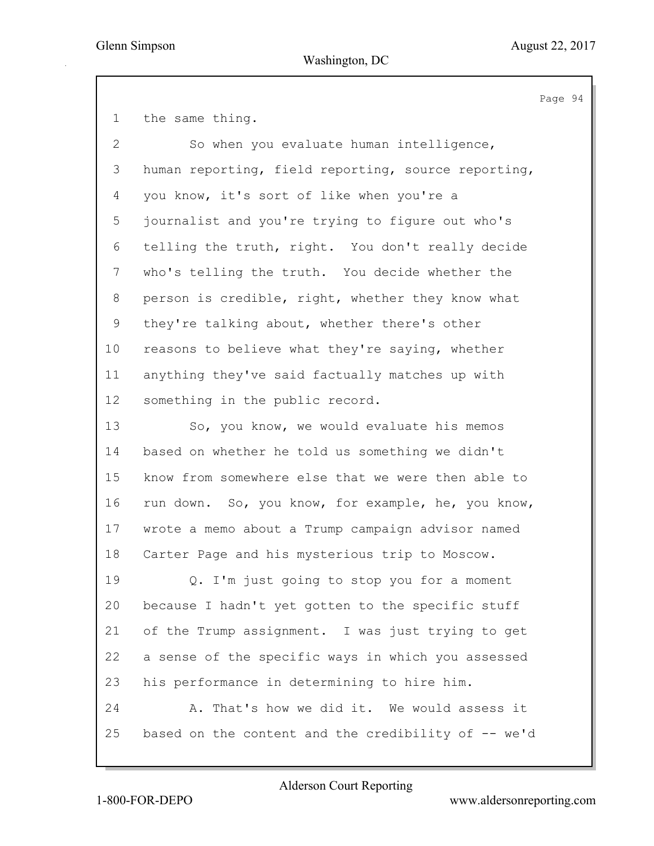Page 94

| the same thing. |  |
|-----------------|--|
|-----------------|--|

2 So when you evaluate human intelligence, 3 human reporting, field reporting, source reporting, 4 you know, it's sort of like when you're a 5 journalist and you're trying to figure out who's 6 telling the truth, right. You don't really decide 7 who's telling the truth. You decide whether the 8 person is credible, right, whether they know what 9 they're talking about, whether there's other 10 reasons to believe what they're saying, whether 11 anything they've said factually matches up with 12 something in the public record.

13 So, you know, we would evaluate his memos 14 based on whether he told us something we didn't 15 know from somewhere else that we were then able to 16 run down. So, you know, for example, he, you know, 17 wrote a memo about a Trump campaign advisor named 18 Carter Page and his mysterious trip to Moscow.

19 Q. I'm just going to stop you for a moment 20 because I hadn't yet gotten to the specific stuff 21 of the Trump assignment. I was just trying to get 22 a sense of the specific ways in which you assessed 23 his performance in determining to hire him. 24 A. That's how we did it. We would assess it 25 based on the content and the credibility of -- we'd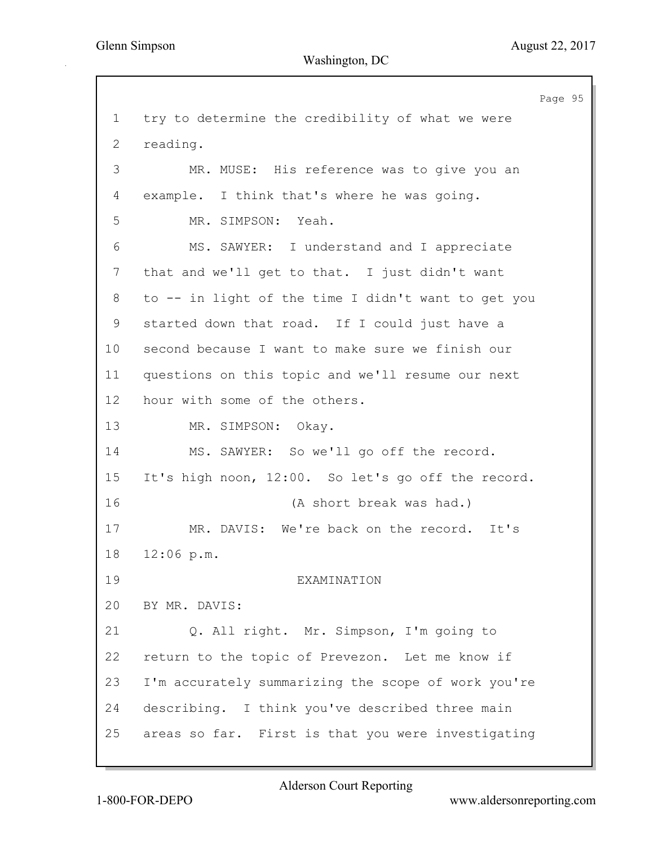Page 95 1 try to determine the credibility of what we were 2 reading. 3 MR. MUSE: His reference was to give you an 4 example. I think that's where he was going. 5 MR. SIMPSON: Yeah. 6 MS. SAWYER: I understand and I appreciate 7 that and we'll get to that. I just didn't want 8 to -- in light of the time I didn't want to get you 9 started down that road. If I could just have a 10 second because I want to make sure we finish our 11 questions on this topic and we'll resume our next 12 hour with some of the others. 13 MR. SIMPSON: Okay. 14 MS. SAWYER: So we'll go off the record. 15 It's high noon, 12:00. So let's go off the record. 16 (A short break was had.) 17 MR. DAVIS: We're back on the record. It's 18 12:06 p.m. 19 EXAMINATION 20 BY MR. DAVIS: 21 Q. All right. Mr. Simpson, I'm going to 22 return to the topic of Prevezon. Let me know if 23 I'm accurately summarizing the scope of work you're 24 describing. I think you've described three main 25 areas so far. First is that you were investigating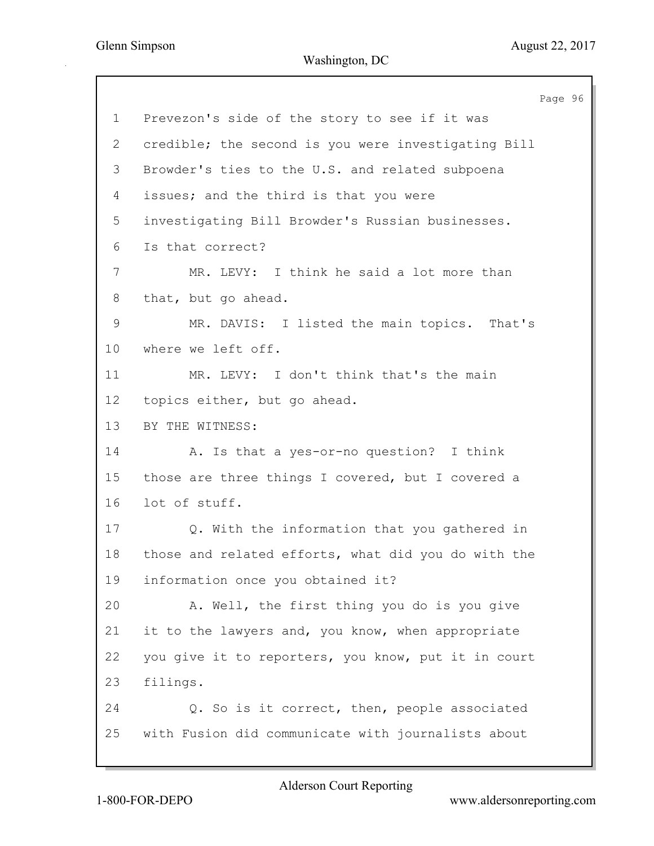Page 96 1 Prevezon's side of the story to see if it was 2 credible; the second is you were investigating Bill 3 Browder's ties to the U.S. and related subpoena 4 issues; and the third is that you were 5 investigating Bill Browder's Russian businesses. 6 Is that correct? 7 MR. LEVY: I think he said a lot more than 8 that, but go ahead. 9 MR. DAVIS: I listed the main topics. That's 10 where we left off. 11 MR. LEVY: I don't think that's the main 12 topics either, but go ahead. 13 BY THE WITNESS: 14 A. Is that a yes-or-no question? I think 15 those are three things I covered, but I covered a 16 lot of stuff. 17 Q. With the information that you gathered in 18 those and related efforts, what did you do with the 19 information once you obtained it? 20 A. Well, the first thing you do is you give 21 it to the lawyers and, you know, when appropriate 22 you give it to reporters, you know, put it in court 23 filings. 24 Q. So is it correct, then, people associated 25 with Fusion did communicate with journalists about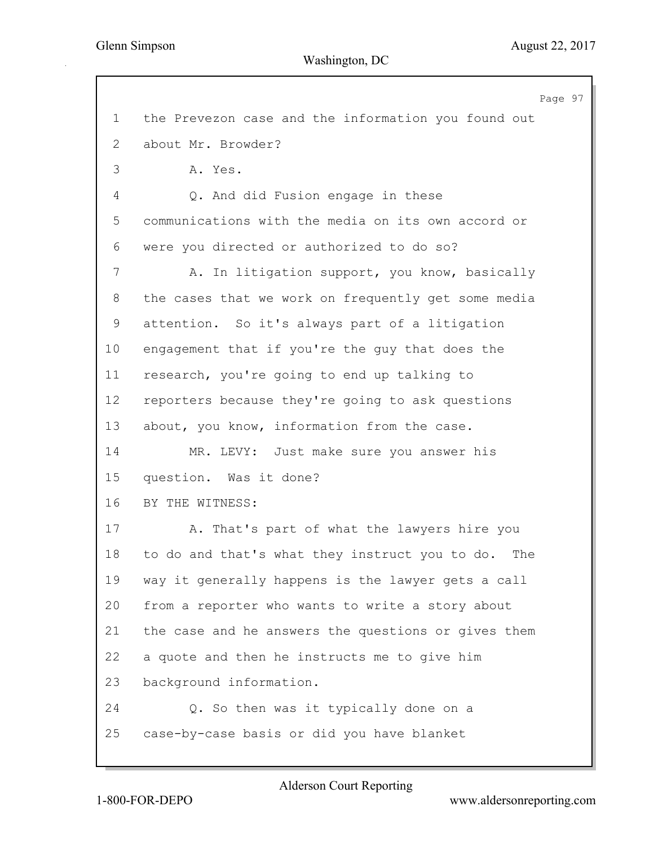Page 97 1 the Prevezon case and the information you found out 2 about Mr. Browder? 3 A. Yes. 4 Q. And did Fusion engage in these 5 communications with the media on its own accord or 6 were you directed or authorized to do so? 7 A. In litigation support, you know, basically 8 the cases that we work on frequently get some media 9 attention. So it's always part of a litigation 10 engagement that if you're the guy that does the 11 research, you're going to end up talking to 12 reporters because they're going to ask questions 13 about, you know, information from the case. 14 MR. LEVY: Just make sure you answer his 15 question. Was it done? 16 BY THE WITNESS: 17 A. That's part of what the lawyers hire you 18 to do and that's what they instruct you to do. The 19 way it generally happens is the lawyer gets a call 20 from a reporter who wants to write a story about 21 the case and he answers the questions or gives them 22 a quote and then he instructs me to give him 23 background information. 24 Q. So then was it typically done on a 25 case-by-case basis or did you have blanket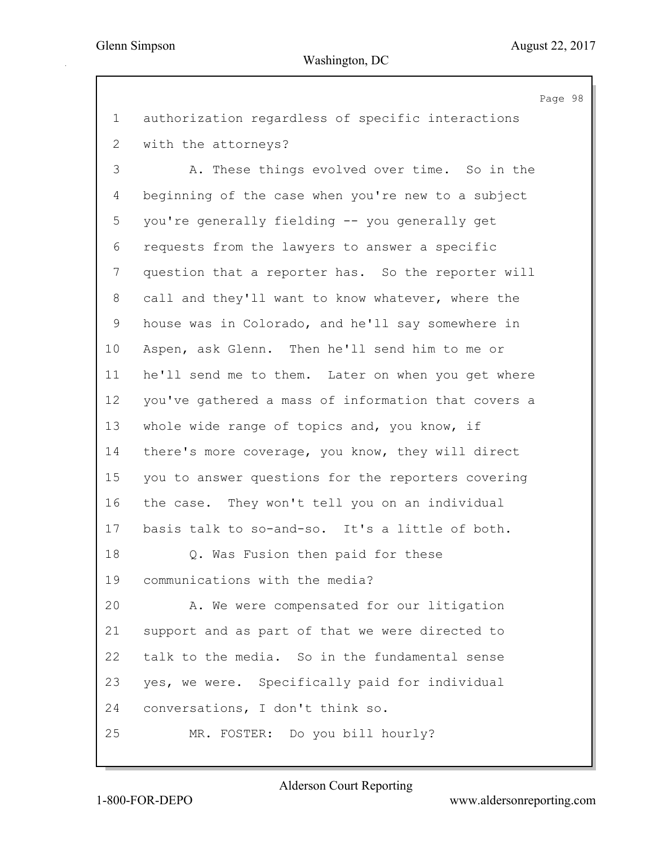Page 98 1 authorization regardless of specific interactions 2 with the attorneys? 3 A. These things evolved over time. So in the 4 beginning of the case when you're new to a subject 5 you're generally fielding -- you generally get 6 requests from the lawyers to answer a specific 7 question that a reporter has. So the reporter will 8 call and they'll want to know whatever, where the 9 house was in Colorado, and he'll say somewhere in 10 Aspen, ask Glenn. Then he'll send him to me or 11 he'll send me to them. Later on when you get where 12 you've gathered a mass of information that covers a 13 whole wide range of topics and, you know, if 14 there's more coverage, you know, they will direct 15 you to answer questions for the reporters covering 16 the case. They won't tell you on an individual 17 basis talk to so-and-so. It's a little of both. 18 Q. Was Fusion then paid for these 19 communications with the media? 20 A. We were compensated for our litigation 21 support and as part of that we were directed to 22 talk to the media. So in the fundamental sense 23 yes, we were. Specifically paid for individual 24 conversations, I don't think so. 25 MR. FOSTER: Do you bill hourly?

1-800-FOR-DEPO www.aldersonreporting.com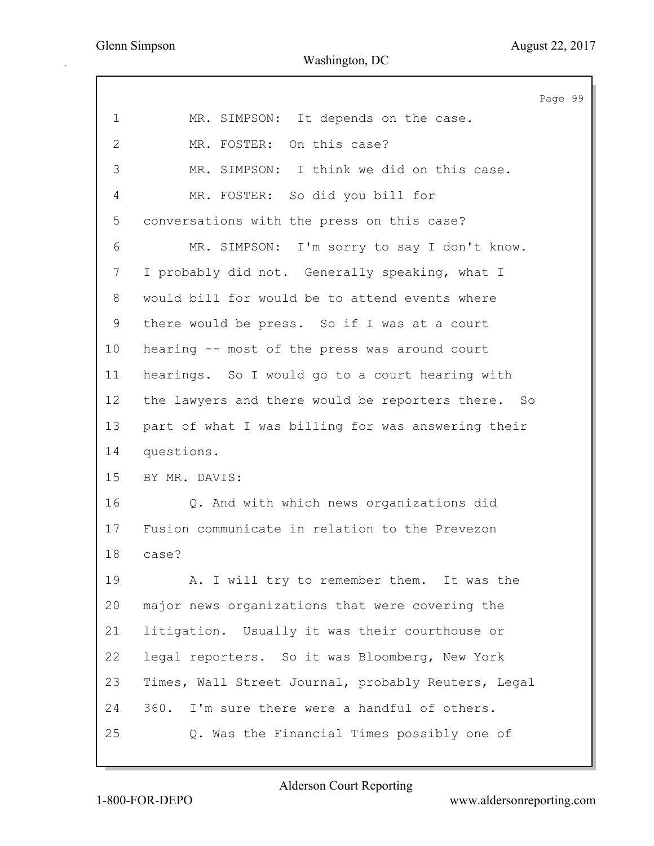|                |                                                     | Page 99 |  |
|----------------|-----------------------------------------------------|---------|--|
| 1              | MR. SIMPSON: It depends on the case.                |         |  |
| $\overline{2}$ | MR. FOSTER: On this case?                           |         |  |
| 3              | MR. SIMPSON: I think we did on this case.           |         |  |
| 4              | MR. FOSTER: So did you bill for                     |         |  |
| 5              | conversations with the press on this case?          |         |  |
| 6              | MR. SIMPSON: I'm sorry to say I don't know.         |         |  |
| 7              | I probably did not. Generally speaking, what I      |         |  |
| 8              | would bill for would be to attend events where      |         |  |
| 9              | there would be press. So if I was at a court        |         |  |
| 10             | hearing -- most of the press was around court       |         |  |
| 11             | hearings. So I would go to a court hearing with     |         |  |
| 12             | the lawyers and there would be reporters there. So  |         |  |
| 13             | part of what I was billing for was answering their  |         |  |
| 14             | questions.                                          |         |  |
| 15             | BY MR. DAVIS:                                       |         |  |
| 16             | Q. And with which news organizations did            |         |  |
| 17             | Fusion communicate in relation to the Prevezon      |         |  |
| 18             | case?                                               |         |  |
| 19             | A. I will try to remember them. It was the          |         |  |
| 20             | major news organizations that were covering the     |         |  |
| 21             | litigation. Usually it was their courthouse or      |         |  |
| 22             | legal reporters. So it was Bloomberg, New York      |         |  |
| 23             | Times, Wall Street Journal, probably Reuters, Legal |         |  |
| 24             | 360. I'm sure there were a handful of others.       |         |  |
| 25             | Q. Was the Financial Times possibly one of          |         |  |
|                |                                                     |         |  |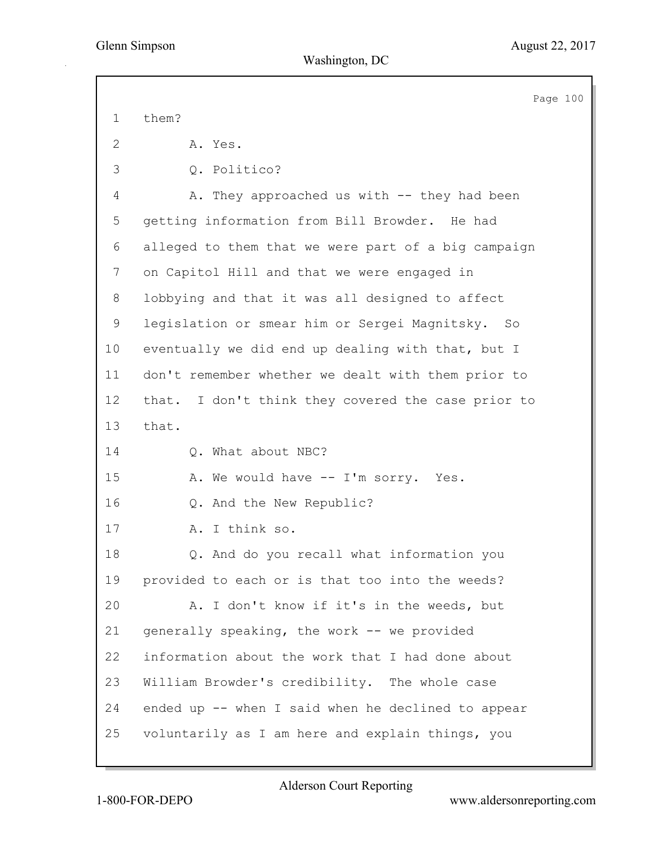|                | Page 100                                            |
|----------------|-----------------------------------------------------|
| $\mathbf 1$    | them?                                               |
| $\mathbf{2}$   | A. Yes.                                             |
| 3              | Q. Politico?                                        |
| $\overline{4}$ | A. They approached us with -- they had been         |
| 5              | getting information from Bill Browder. He had       |
| 6              | alleged to them that we were part of a big campaign |
| 7              | on Capitol Hill and that we were engaged in         |
| 8              | lobbying and that it was all designed to affect     |
| $\mathsf 9$    | legislation or smear him or Sergei Magnitsky.<br>So |
| 10             | eventually we did end up dealing with that, but I   |
| 11             | don't remember whether we dealt with them prior to  |
| 12             | that. I don't think they covered the case prior to  |
| 13             | that.                                               |
| 14             | Q. What about NBC?                                  |
| 15             | A. We would have -- I'm sorry. Yes.                 |
| 16             | Q. And the New Republic?                            |
| 17             | A. I think so.                                      |
| 18             | Q. And do you recall what information you           |
| 19             | provided to each or is that too into the weeds?     |
| 20             | A. I don't know if it's in the weeds, but           |
| 21             | generally speaking, the work -- we provided         |
| 22             | information about the work that I had done about    |
| 23             | William Browder's credibility. The whole case       |
| 24             | ended up -- when I said when he declined to appear  |
| 25             | voluntarily as I am here and explain things, you    |
|                |                                                     |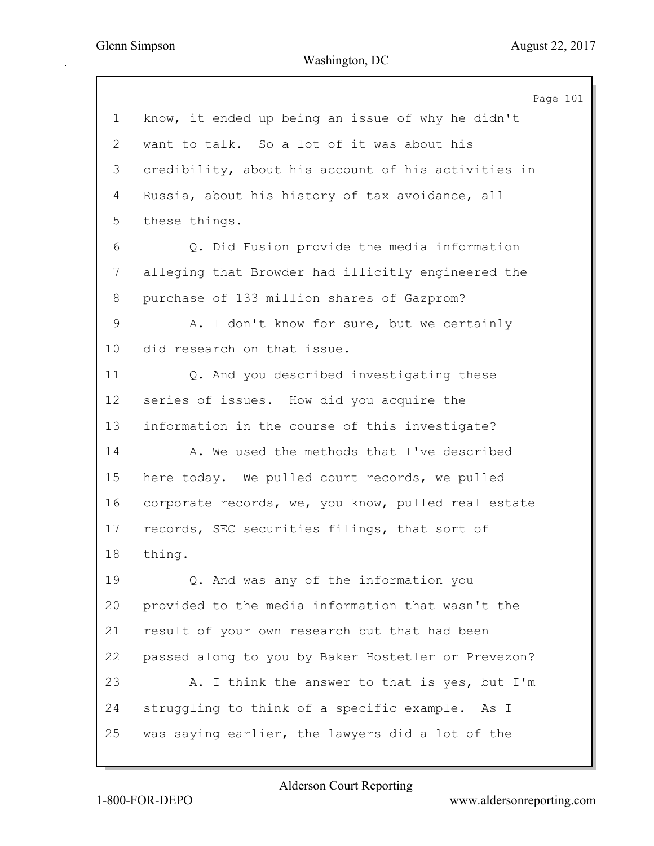Page 101 1 know, it ended up being an issue of why he didn't 2 want to talk. So a lot of it was about his 3 credibility, about his account of his activities in 4 Russia, about his history of tax avoidance, all 5 these things. 6 Q. Did Fusion provide the media information 7 alleging that Browder had illicitly engineered the 8 purchase of 133 million shares of Gazprom? 9 A. I don't know for sure, but we certainly 10 did research on that issue. 11 Q. And you described investigating these 12 series of issues. How did you acquire the 13 information in the course of this investigate? 14 A. We used the methods that I've described 15 here today. We pulled court records, we pulled 16 corporate records, we, you know, pulled real estate 17 records, SEC securities filings, that sort of 18 thing. 19 Q. And was any of the information you 20 provided to the media information that wasn't the 21 result of your own research but that had been 22 passed along to you by Baker Hostetler or Prevezon? 23 A. I think the answer to that is yes, but I'm 24 struggling to think of a specific example. As I 25 was saying earlier, the lawyers did a lot of the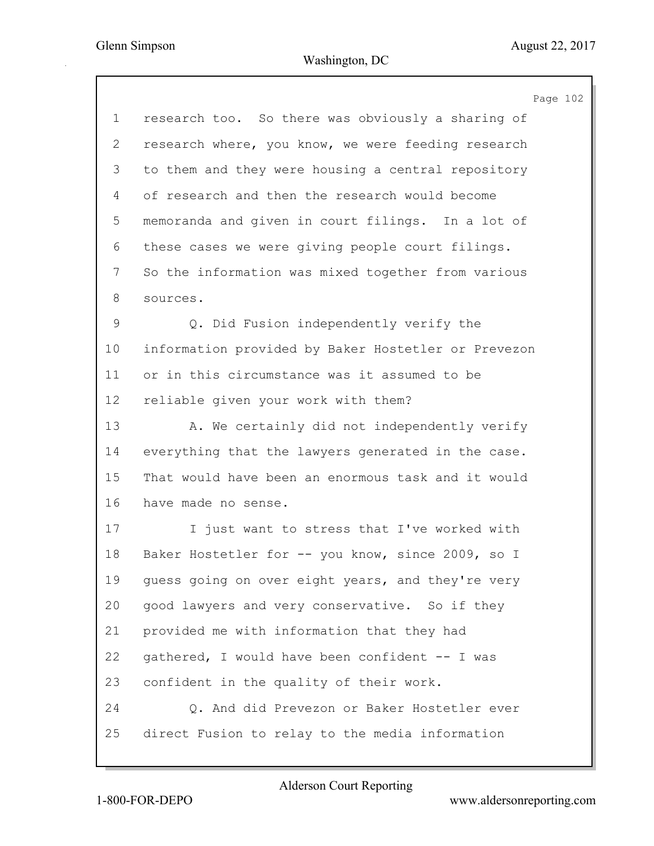|              | Page 102                                            |
|--------------|-----------------------------------------------------|
| $\mathbf 1$  | research too. So there was obviously a sharing of   |
| $\mathbf{2}$ | research where, you know, we were feeding research  |
| 3            | to them and they were housing a central repository  |
| 4            | of research and then the research would become      |
| 5            | memoranda and given in court filings. In a lot of   |
| 6            | these cases we were giving people court filings.    |
| 7            | So the information was mixed together from various  |
| 8            | sources.                                            |
| 9            | Q. Did Fusion independently verify the              |
| 10           | information provided by Baker Hostetler or Prevezon |
| 11           | or in this circumstance was it assumed to be        |
| 12           | reliable given your work with them?                 |
| 13           | A. We certainly did not independently verify        |
| 14           | everything that the lawyers generated in the case.  |
| 15           | That would have been an enormous task and it would  |
| 16           | have made no sense.                                 |
| 17           | I just want to stress that I've worked with         |
| 18           | Baker Hostetler for -- you know, since 2009, so I   |
| 19           | guess going on over eight years, and they're very   |
| 20           | good lawyers and very conservative. So if they      |
| 21           | provided me with information that they had          |
| 22           | gathered, I would have been confident -- I was      |
| 23           | confident in the quality of their work.             |
| 24           | Q. And did Prevezon or Baker Hostetler ever         |
| 25           | direct Fusion to relay to the media information     |
|              |                                                     |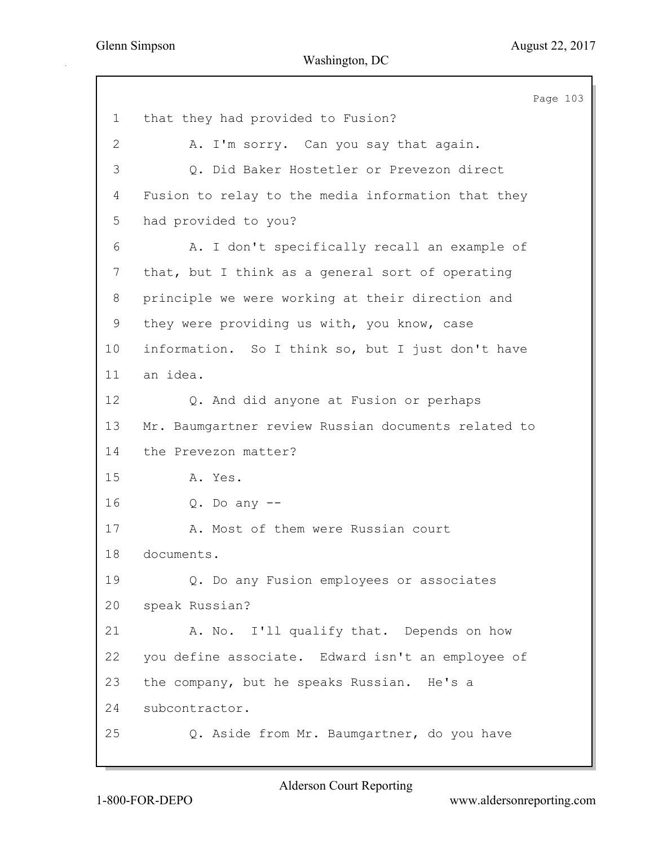Page 103 1 that they had provided to Fusion? 2 A. I'm sorry. Can you say that again. 3 Q. Did Baker Hostetler or Prevezon direct 4 Fusion to relay to the media information that they 5 had provided to you? 6 A. I don't specifically recall an example of 7 that, but I think as a general sort of operating 8 principle we were working at their direction and 9 they were providing us with, you know, case 10 information. So I think so, but I just don't have 11 an idea. 12 Q. And did anyone at Fusion or perhaps 13 Mr. Baumgartner review Russian documents related to 14 the Prevezon matter? 15 A. Yes. 16 Q. Do any -- 17 A. Most of them were Russian court 18 documents. 19 Q. Do any Fusion employees or associates 20 speak Russian? 21 A. No. I'll qualify that. Depends on how 22 you define associate. Edward isn't an employee of 23 the company, but he speaks Russian. He's a 24 subcontractor. 25 Q. Aside from Mr. Baumgartner, do you have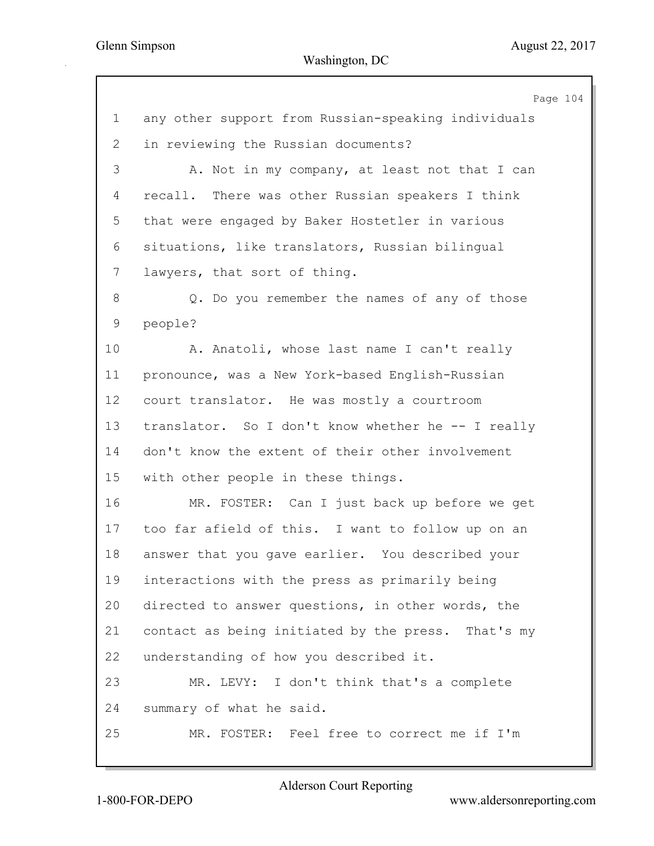|                |                                                     | Page 104 |
|----------------|-----------------------------------------------------|----------|
| $\mathbf 1$    | any other support from Russian-speaking individuals |          |
| $\overline{2}$ | in reviewing the Russian documents?                 |          |
| 3              | A. Not in my company, at least not that I can       |          |
| 4              | recall. There was other Russian speakers I think    |          |
| 5              | that were engaged by Baker Hostetler in various     |          |
| 6              | situations, like translators, Russian bilingual     |          |
| 7              | lawyers, that sort of thing.                        |          |
| 8              | Q. Do you remember the names of any of those        |          |
| 9              | people?                                             |          |
| 10             | A. Anatoli, whose last name I can't really          |          |
| 11             | pronounce, was a New York-based English-Russian     |          |
| 12             | court translator. He was mostly a courtroom         |          |
| 13             | translator. So I don't know whether he -- I really  |          |
| 14             | don't know the extent of their other involvement    |          |
| 15             | with other people in these things.                  |          |
| 16             | MR. FOSTER: Can I just back up before we get        |          |
| 17             | too far afield of this. I want to follow up on an   |          |
| 18             | answer that you gave earlier. You described your    |          |
| 19             | interactions with the press as primarily being      |          |
| 20             | directed to answer questions, in other words, the   |          |
| 21             | contact as being initiated by the press. That's my  |          |
| 22             | understanding of how you described it.              |          |
| 23             | MR. LEVY: I don't think that's a complete           |          |
| 24             | summary of what he said.                            |          |
| 25             | MR. FOSTER: Feel free to correct me if I'm          |          |
|                |                                                     |          |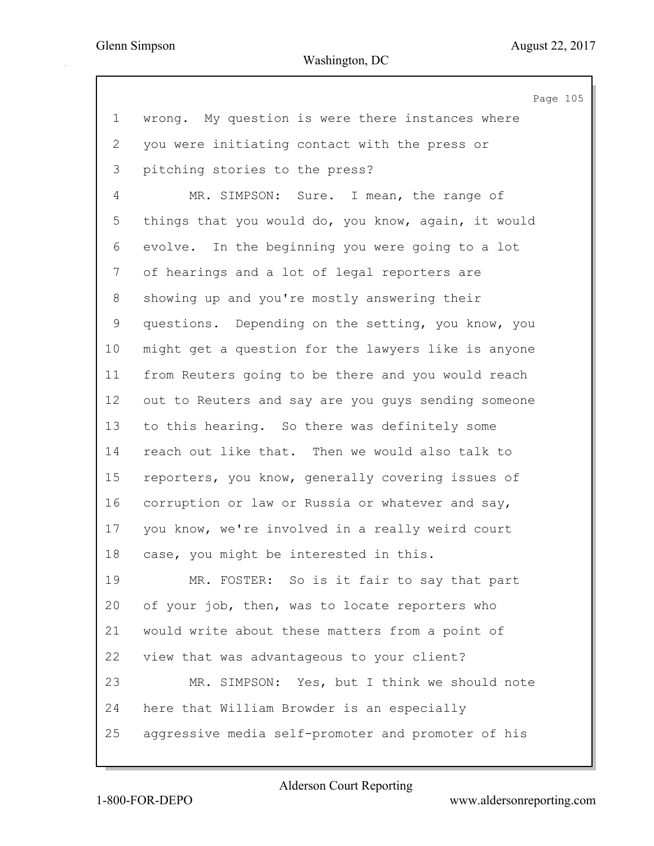|             | Page 105                                            |
|-------------|-----------------------------------------------------|
| $\mathbf 1$ | wrong. My question is were there instances where    |
| 2           | you were initiating contact with the press or       |
| 3           | pitching stories to the press?                      |
| 4           | MR. SIMPSON: Sure. I mean, the range of             |
| 5           | things that you would do, you know, again, it would |
| 6           | evolve. In the beginning you were going to a lot    |
| 7           | of hearings and a lot of legal reporters are        |
| 8           | showing up and you're mostly answering their        |
| 9           | questions. Depending on the setting, you know, you  |
| 10          | might get a question for the lawyers like is anyone |
| 11          | from Reuters going to be there and you would reach  |
| 12          | out to Reuters and say are you guys sending someone |
| 13          | to this hearing. So there was definitely some       |
| 14          | reach out like that. Then we would also talk to     |
| 15          | reporters, you know, generally covering issues of   |
| 16          | corruption or law or Russia or whatever and say,    |
| 17          | you know, we're involved in a really weird court    |
| 18          | case, you might be interested in this.              |
| 19          | MR. FOSTER: So is it fair to say that part          |
| 20          | of your job, then, was to locate reporters who      |
| 21          | would write about these matters from a point of     |
| 22          | view that was advantageous to your client?          |
| 23          | MR. SIMPSON: Yes, but I think we should note        |
| 24          | here that William Browder is an especially          |
| 25          | aggressive media self-promoter and promoter of his  |
|             |                                                     |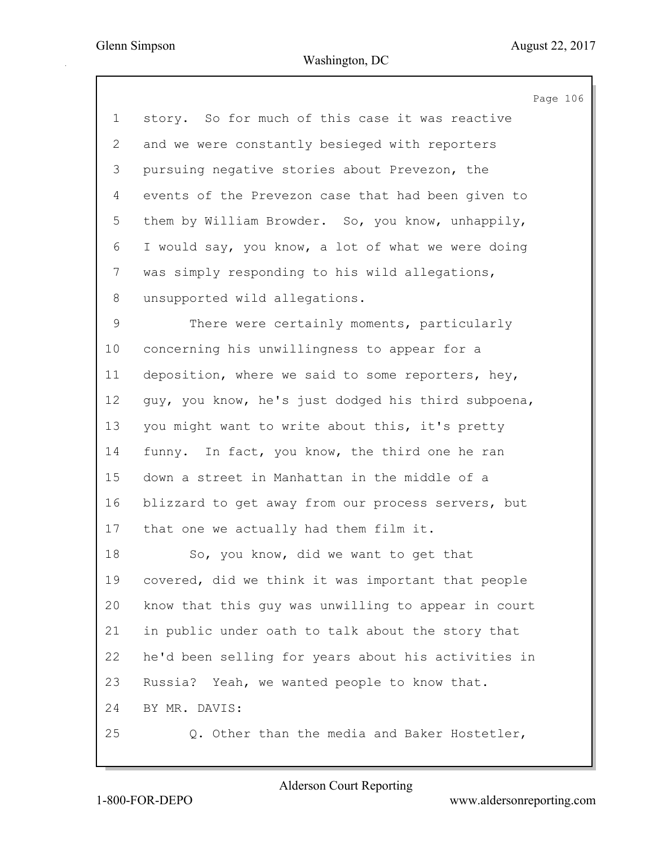|              | Page 106                                            |
|--------------|-----------------------------------------------------|
| $\mathbf{1}$ | story. So for much of this case it was reactive     |
| 2            | and we were constantly besieged with reporters      |
| 3            | pursuing negative stories about Prevezon, the       |
| 4            | events of the Prevezon case that had been given to  |
| 5            | them by William Browder. So, you know, unhappily,   |
| 6            | I would say, you know, a lot of what we were doing  |
| 7            | was simply responding to his wild allegations,      |
| 8            | unsupported wild allegations.                       |
| 9            | There were certainly moments, particularly          |
| 10           | concerning his unwillingness to appear for a        |
| 11           | deposition, where we said to some reporters, hey,   |
| 12           | guy, you know, he's just dodged his third subpoena, |
| 13           | you might want to write about this, it's pretty     |
| 14           | funny. In fact, you know, the third one he ran      |
| 15           | down a street in Manhattan in the middle of a       |
| 16           | blizzard to get away from our process servers, but  |
| 17           | that one we actually had them film it.              |
| 18           | So, you know, did we want to get that               |
| 19           | covered, did we think it was important that people  |
| 20           | know that this guy was unwilling to appear in court |
| 21           | in public under oath to talk about the story that   |
| 22           | he'd been selling for years about his activities in |
| 23           | Russia? Yeah, we wanted people to know that.        |
| 24           | BY MR. DAVIS:                                       |
| 25           | Q. Other than the media and Baker Hostetler,        |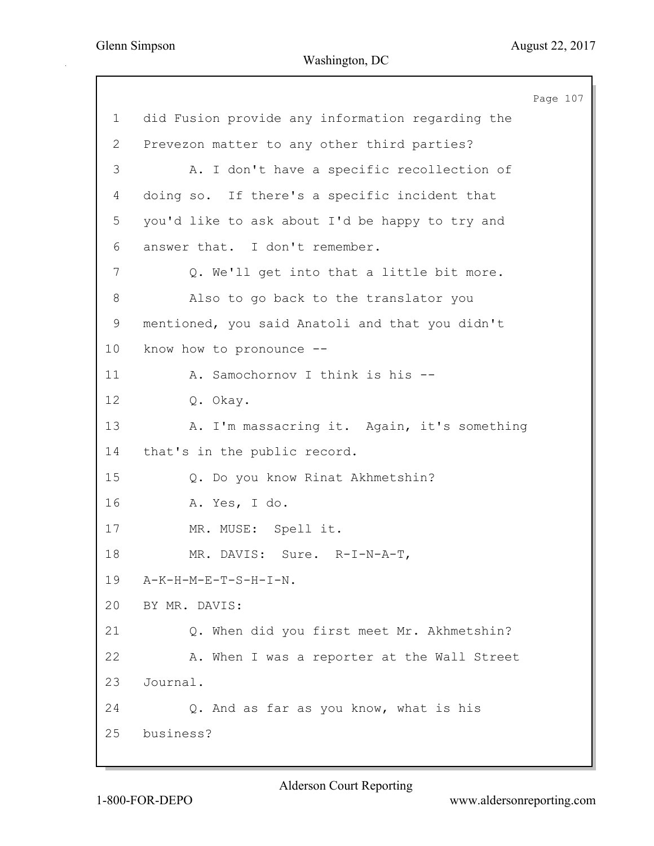Page 107 1 did Fusion provide any information regarding the 2 Prevezon matter to any other third parties? 3 A. I don't have a specific recollection of 4 doing so. If there's a specific incident that 5 you'd like to ask about I'd be happy to try and 6 answer that. I don't remember. 7 Q. We'll get into that a little bit more. 8 Also to go back to the translator you 9 mentioned, you said Anatoli and that you didn't 10 know how to pronounce -- 11 A. Samochornov I think is his -- 12 Q. Okay. 13 A. I'm massacring it. Again, it's something 14 that's in the public record. 15 Q. Do you know Rinat Akhmetshin? 16 A. Yes, I do. 17 MR. MUSE: Spell it. 18 MR. DAVIS: Sure. R-I-N-A-T, 19 A-K-H-M-E-T-S-H-I-N. 20 BY MR. DAVIS: 21 Q. When did you first meet Mr. Akhmetshin? 22 A. When I was a reporter at the Wall Street 23 Journal. 24 Q. And as far as you know, what is his 25 business?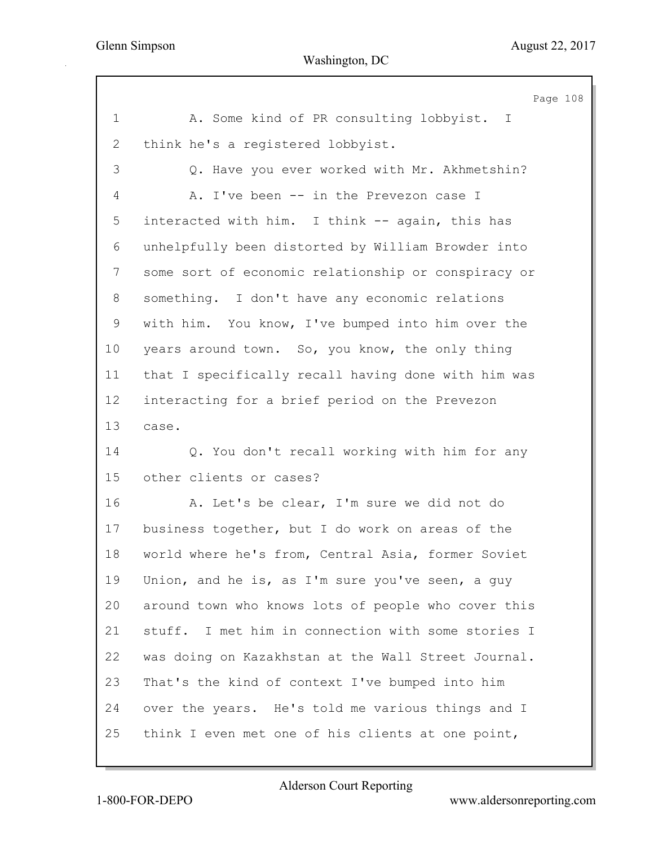|                | Page 108                                            |
|----------------|-----------------------------------------------------|
| $\mathbf 1$    | A. Some kind of PR consulting lobbyist. I           |
| $\overline{2}$ | think he's a registered lobbyist.                   |
| 3              | Q. Have you ever worked with Mr. Akhmetshin?        |
| 4              | A. I've been -- in the Prevezon case I              |
| 5              | interacted with him. I think -- again, this has     |
| 6              | unhelpfully been distorted by William Browder into  |
| 7              | some sort of economic relationship or conspiracy or |
| 8              | something. I don't have any economic relations      |
| 9              | with him. You know, I've bumped into him over the   |
| 10             | years around town. So, you know, the only thing     |
| 11             | that I specifically recall having done with him was |
| 12             | interacting for a brief period on the Prevezon      |
| 13             | case.                                               |
| 14             | Q. You don't recall working with him for any        |
| 15             | other clients or cases?                             |
| 16             | A. Let's be clear, I'm sure we did not do           |
| 17             | business together, but I do work on areas of the    |
| 18             | world where he's from, Central Asia, former Soviet  |
| 19             | Union, and he is, as I'm sure you've seen, a guy    |
| 20             | around town who knows lots of people who cover this |
| 21             | stuff. I met him in connection with some stories I  |
| 22             | was doing on Kazakhstan at the Wall Street Journal. |
| 23             | That's the kind of context I've bumped into him     |
| 24             | over the years. He's told me various things and I   |
| 25             | think I even met one of his clients at one point,   |
|                |                                                     |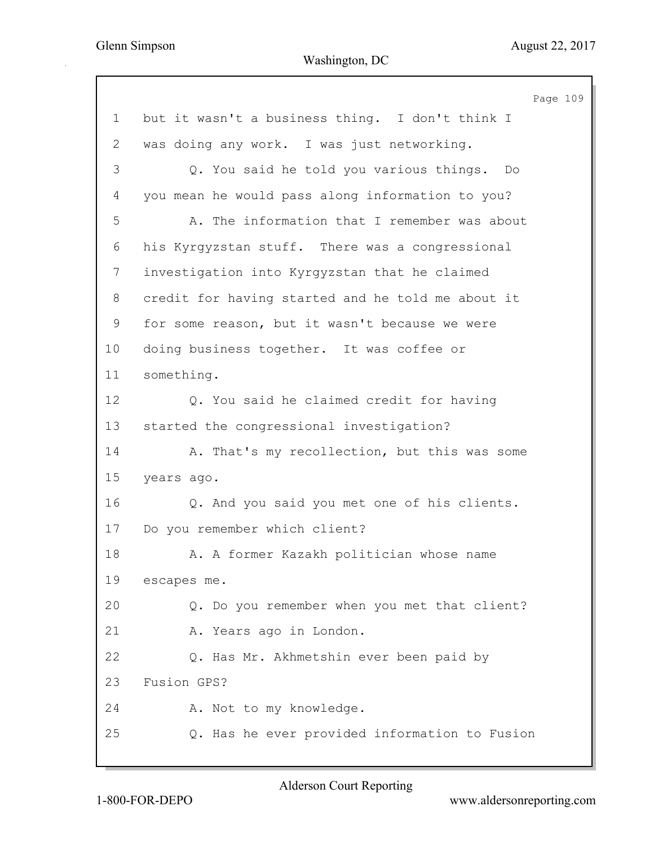|              | Page 109                                          |
|--------------|---------------------------------------------------|
| 1            | but it wasn't a business thing. I don't think I   |
| $\mathbf{2}$ | was doing any work. I was just networking.        |
| 3            | Q. You said he told you various things.<br>Do     |
| 4            | you mean he would pass along information to you?  |
| 5            | A. The information that I remember was about      |
| 6            | his Kyrgyzstan stuff. There was a congressional   |
| 7            | investigation into Kyrgyzstan that he claimed     |
| 8            | credit for having started and he told me about it |
| $\mathsf 9$  | for some reason, but it wasn't because we were    |
| 10           | doing business together. It was coffee or         |
| 11           | something.                                        |
| 12           | Q. You said he claimed credit for having          |
| 13           | started the congressional investigation?          |
| 14           | A. That's my recollection, but this was some      |
| 15           | years ago.                                        |
| 16           | Q. And you said you met one of his clients.       |
| 17           | Do you remember which client?                     |
| 18           | A. A former Kazakh politician whose name          |
| 19           | escapes me.                                       |
| 20           | Q. Do you remember when you met that client?      |
| 21           | A. Years ago in London.                           |
| 22           | Q. Has Mr. Akhmetshin ever been paid by           |
| 23           | Fusion GPS?                                       |
| 24           | A. Not to my knowledge.                           |
| 25           | Q. Has he ever provided information to Fusion     |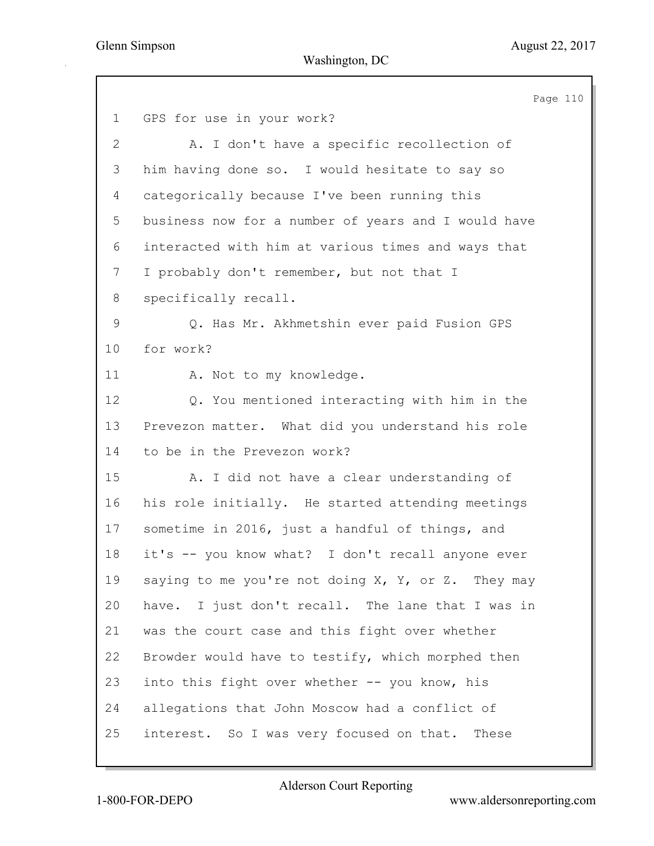Page 110 1 GPS for use in your work? 2 A. I don't have a specific recollection of 3 him having done so. I would hesitate to say so 4 categorically because I've been running this 5 business now for a number of years and I would have 6 interacted with him at various times and ways that 7 I probably don't remember, but not that I 8 specifically recall. 9 Q. Has Mr. Akhmetshin ever paid Fusion GPS 10 for work? 11 A. Not to my knowledge. 12 Q. You mentioned interacting with him in the 13 Prevezon matter. What did you understand his role 14 to be in the Prevezon work? 15 A. I did not have a clear understanding of 16 his role initially. He started attending meetings 17 sometime in 2016, just a handful of things, and 18 it's -- you know what? I don't recall anyone ever 19 saying to me you're not doing X, Y, or Z. They may 20 have. I just don't recall. The lane that I was in 21 was the court case and this fight over whether 22 Browder would have to testify, which morphed then 23 into this fight over whether -- you know, his 24 allegations that John Moscow had a conflict of 25 interest. So I was very focused on that. These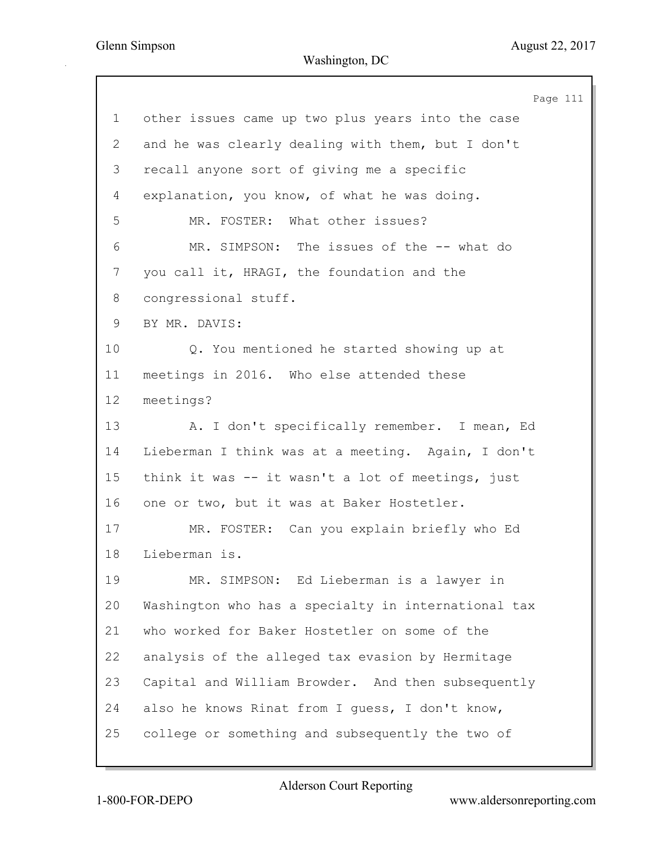Page 111 1 other issues came up two plus years into the case 2 and he was clearly dealing with them, but I don't 3 recall anyone sort of giving me a specific 4 explanation, you know, of what he was doing. 5 MR. FOSTER: What other issues? 6 MR. SIMPSON: The issues of the -- what do 7 you call it, HRAGI, the foundation and the 8 congressional stuff. 9 BY MR. DAVIS: 10 Q. You mentioned he started showing up at 11 meetings in 2016. Who else attended these 12 meetings? 13 A. I don't specifically remember. I mean, Ed 14 Lieberman I think was at a meeting. Again, I don't 15 think it was -- it wasn't a lot of meetings, just 16 one or two, but it was at Baker Hostetler. 17 MR. FOSTER: Can you explain briefly who Ed 18 Lieberman is. 19 MR. SIMPSON: Ed Lieberman is a lawyer in 20 Washington who has a specialty in international tax 21 who worked for Baker Hostetler on some of the 22 analysis of the alleged tax evasion by Hermitage 23 Capital and William Browder. And then subsequently 24 also he knows Rinat from I guess, I don't know, 25 college or something and subsequently the two of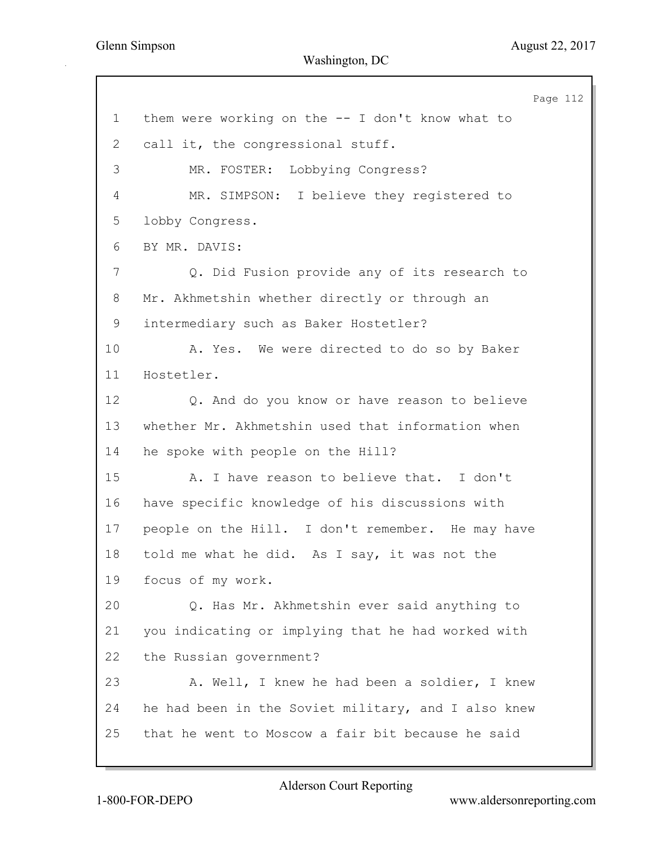Page 112 1 them were working on the -- I don't know what to 2 call it, the congressional stuff. 3 MR. FOSTER: Lobbying Congress? 4 MR. SIMPSON: I believe they registered to 5 lobby Congress. 6 BY MR. DAVIS: 7 Q. Did Fusion provide any of its research to 8 Mr. Akhmetshin whether directly or through an 9 intermediary such as Baker Hostetler? 10 A. Yes. We were directed to do so by Baker 11 Hostetler. 12 Q. And do you know or have reason to believe 13 whether Mr. Akhmetshin used that information when 14 he spoke with people on the Hill? 15 A. I have reason to believe that. I don't 16 have specific knowledge of his discussions with 17 people on the Hill. I don't remember. He may have 18 told me what he did. As I say, it was not the 19 focus of my work. 20 Q. Has Mr. Akhmetshin ever said anything to 21 you indicating or implying that he had worked with 22 the Russian government? 23 A. Well, I knew he had been a soldier, I knew 24 he had been in the Soviet military, and I also knew 25 that he went to Moscow a fair bit because he said

Alderson Court Reporting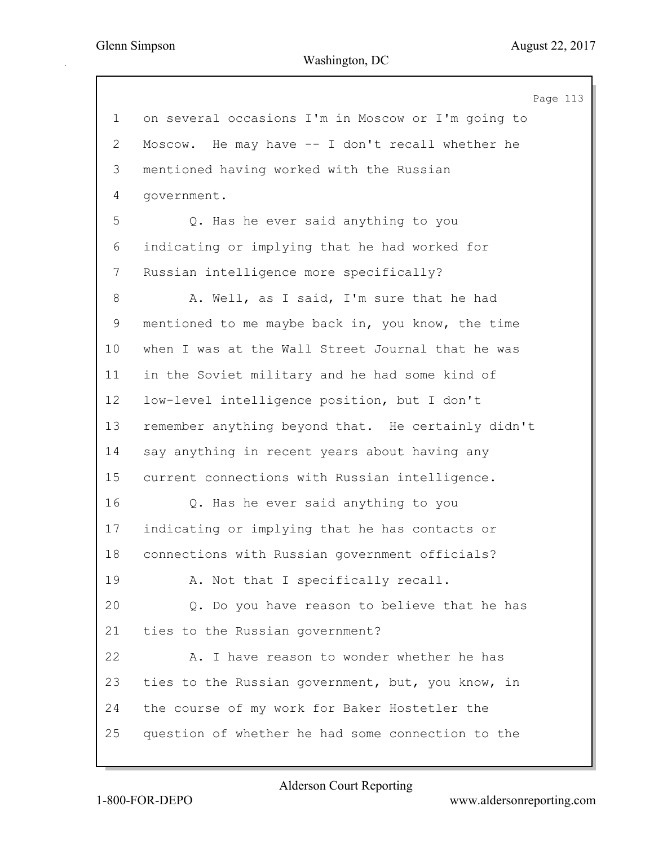Page 113 1 on several occasions I'm in Moscow or I'm going to 2 Moscow. He may have -- I don't recall whether he 3 mentioned having worked with the Russian 4 government. 5 Q. Has he ever said anything to you 6 indicating or implying that he had worked for 7 Russian intelligence more specifically? 8 A. Well, as I said, I'm sure that he had 9 mentioned to me maybe back in, you know, the time 10 when I was at the Wall Street Journal that he was 11 in the Soviet military and he had some kind of 12 low-level intelligence position, but I don't 13 remember anything beyond that. He certainly didn't 14 say anything in recent years about having any 15 current connections with Russian intelligence. 16 Q. Has he ever said anything to you 17 indicating or implying that he has contacts or 18 connections with Russian government officials? 19 A. Not that I specifically recall. 20 Q. Do you have reason to believe that he has 21 ties to the Russian government? 22 A. I have reason to wonder whether he has 23 ties to the Russian government, but, you know, in 24 the course of my work for Baker Hostetler the 25 question of whether he had some connection to the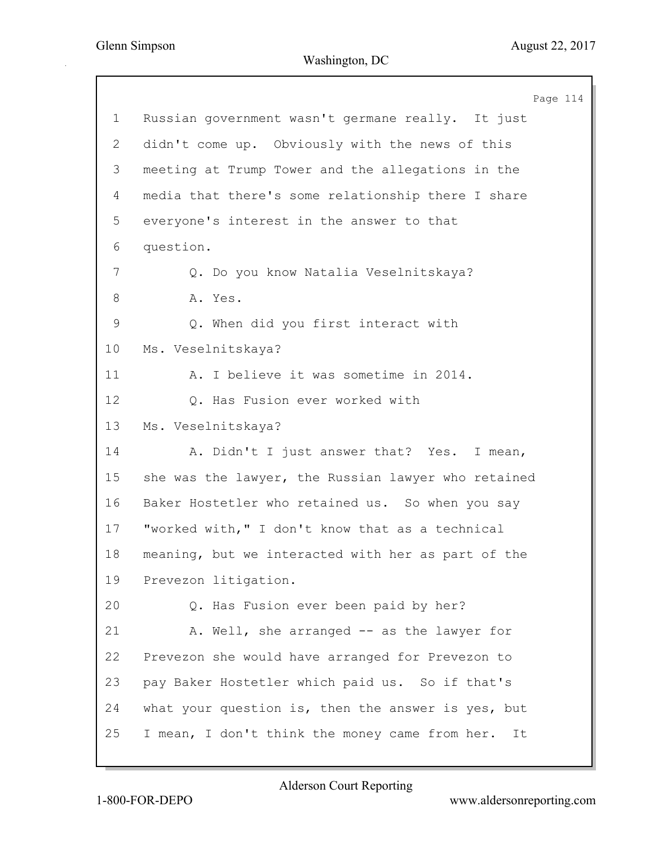Page 114 1 Russian government wasn't germane really. It just 2 didn't come up. Obviously with the news of this 3 meeting at Trump Tower and the allegations in the 4 media that there's some relationship there I share 5 everyone's interest in the answer to that 6 question. 7 Q. Do you know Natalia Veselnitskaya? 8 A. Yes. 9 Q. When did you first interact with 10 Ms. Veselnitskaya? 11 A. I believe it was sometime in 2014. 12 Q. Has Fusion ever worked with 13 Ms. Veselnitskaya? 14 A. Didn't I just answer that? Yes. I mean, 15 she was the lawyer, the Russian lawyer who retained 16 Baker Hostetler who retained us. So when you say 17 "worked with," I don't know that as a technical 18 meaning, but we interacted with her as part of the 19 Prevezon litigation. 20 Q. Has Fusion ever been paid by her? 21 A. Well, she arranged -- as the lawyer for 22 Prevezon she would have arranged for Prevezon to 23 pay Baker Hostetler which paid us. So if that's 24 what your question is, then the answer is yes, but 25 I mean, I don't think the money came from her. It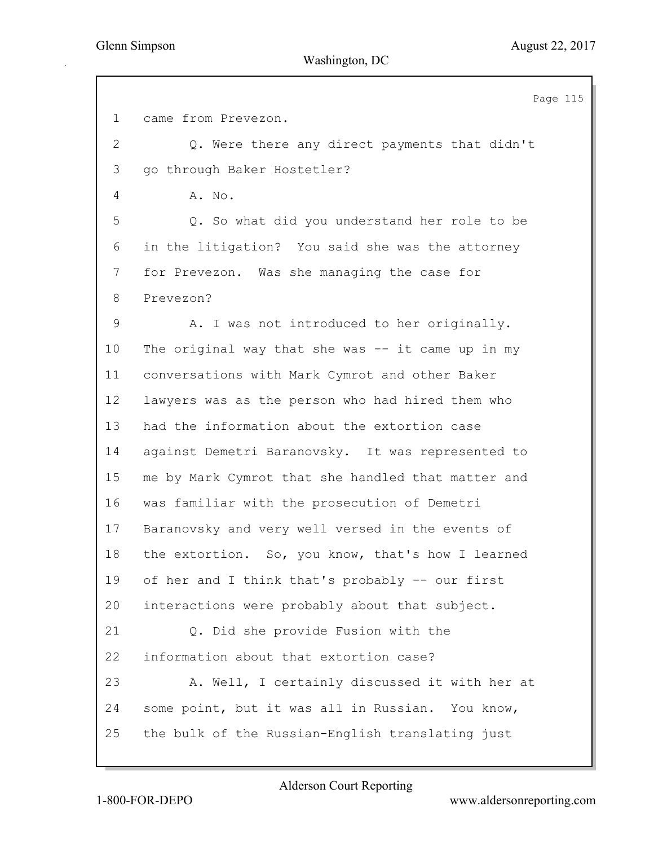Page 115 1 came from Prevezon. 2 Q. Were there any direct payments that didn't 3 go through Baker Hostetler? 4 A. No. 5 Q. So what did you understand her role to be 6 in the litigation? You said she was the attorney 7 for Prevezon. Was she managing the case for 8 Prevezon? 9 A. I was not introduced to her originally. 10 The original way that she was -- it came up in my 11 conversations with Mark Cymrot and other Baker 12 lawyers was as the person who had hired them who 13 had the information about the extortion case 14 against Demetri Baranovsky. It was represented to 15 me by Mark Cymrot that she handled that matter and 16 was familiar with the prosecution of Demetri 17 Baranovsky and very well versed in the events of 18 the extortion. So, you know, that's how I learned 19 of her and I think that's probably -- our first 20 interactions were probably about that subject. 21 Q. Did she provide Fusion with the 22 information about that extortion case? 23 A. Well, I certainly discussed it with her at 24 some point, but it was all in Russian. You know, 25 the bulk of the Russian-English translating just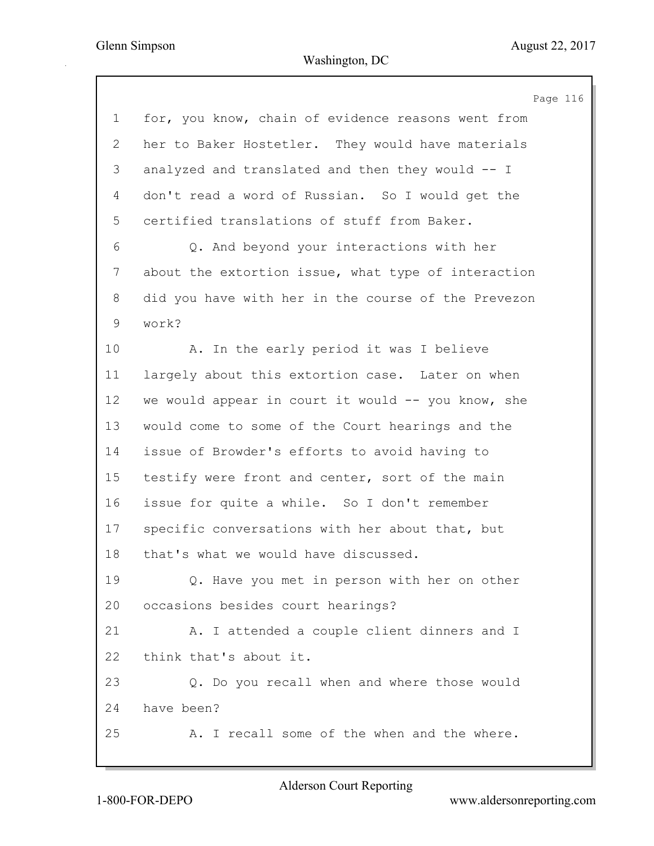Page 116 1 for, you know, chain of evidence reasons went from 2 her to Baker Hostetler. They would have materials 3 analyzed and translated and then they would -- I 4 don't read a word of Russian. So I would get the 5 certified translations of stuff from Baker. 6 Q. And beyond your interactions with her 7 about the extortion issue, what type of interaction 8 did you have with her in the course of the Prevezon 9 work? 10 A. In the early period it was I believe 11 largely about this extortion case. Later on when 12 we would appear in court it would -- you know, she 13 would come to some of the Court hearings and the 14 issue of Browder's efforts to avoid having to 15 testify were front and center, sort of the main 16 issue for quite a while. So I don't remember 17 specific conversations with her about that, but 18 that's what we would have discussed. 19 Q. Have you met in person with her on other 20 occasions besides court hearings? 21 A. I attended a couple client dinners and I 22 think that's about it. 23 Q. Do you recall when and where those would 24 have been? 25 A. I recall some of the when and the where.

1-800-FOR-DEPO www.aldersonreporting.com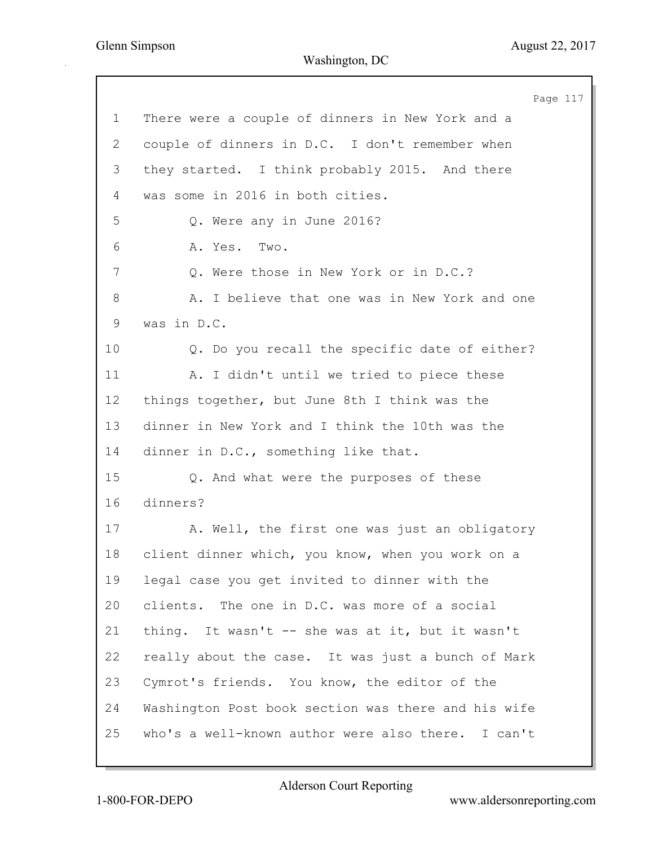|                 | Page 117                                            |
|-----------------|-----------------------------------------------------|
| $\mathbf 1$     | There were a couple of dinners in New York and a    |
| $\overline{2}$  | couple of dinners in D.C. I don't remember when     |
| 3               | they started. I think probably 2015. And there      |
| 4               | was some in 2016 in both cities.                    |
| 5               | Q. Were any in June 2016?                           |
| 6               | Two.<br>A. Yes.                                     |
| 7               | Q. Were those in New York or in D.C.?               |
| 8               | A. I believe that one was in New York and one       |
| 9               | was in D.C.                                         |
| 10 <sub>o</sub> | Q. Do you recall the specific date of either?       |
| 11              | A. I didn't until we tried to piece these           |
| 12              | things together, but June 8th I think was the       |
| 13              | dinner in New York and I think the 10th was the     |
| 14              | dinner in D.C., something like that.                |
| 15              | Q. And what were the purposes of these              |
| 16              | dinners?                                            |
| 17              | A. Well, the first one was just an obligatory       |
| 18              | client dinner which, you know, when you work on a   |
| 19              | legal case you get invited to dinner with the       |
| 20              | clients. The one in D.C. was more of a social       |
| 21              | thing. It wasn't -- she was at it, but it wasn't    |
| 22              | really about the case. It was just a bunch of Mark  |
| 23              | Cymrot's friends. You know, the editor of the       |
| 24              | Washington Post book section was there and his wife |
| 25              | who's a well-known author were also there. I can't  |
|                 |                                                     |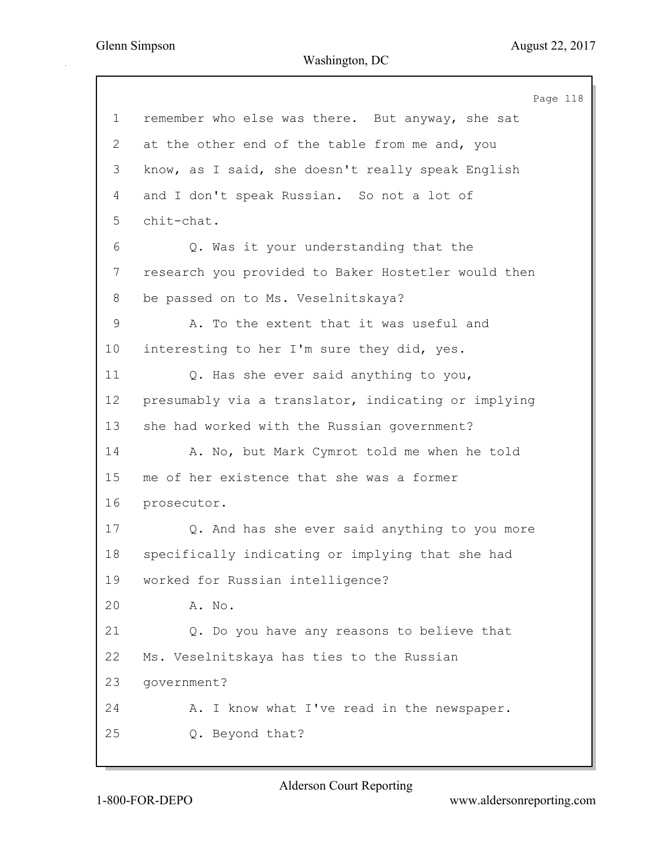Page 118 1 remember who else was there. But anyway, she sat 2 at the other end of the table from me and, you 3 know, as I said, she doesn't really speak English 4 and I don't speak Russian. So not a lot of 5 chit-chat. 6 Q. Was it your understanding that the 7 research you provided to Baker Hostetler would then 8 be passed on to Ms. Veselnitskaya? 9 A. To the extent that it was useful and 10 interesting to her I'm sure they did, yes. 11 Q. Has she ever said anything to you, 12 presumably via a translator, indicating or implying 13 she had worked with the Russian government? 14 A. No, but Mark Cymrot told me when he told 15 me of her existence that she was a former 16 prosecutor. 17 Q. And has she ever said anything to you more 18 specifically indicating or implying that she had 19 worked for Russian intelligence? 20 A. No. 21 Q. Do you have any reasons to believe that 22 Ms. Veselnitskaya has ties to the Russian 23 government? 24 A. I know what I've read in the newspaper. 25 Q. Beyond that?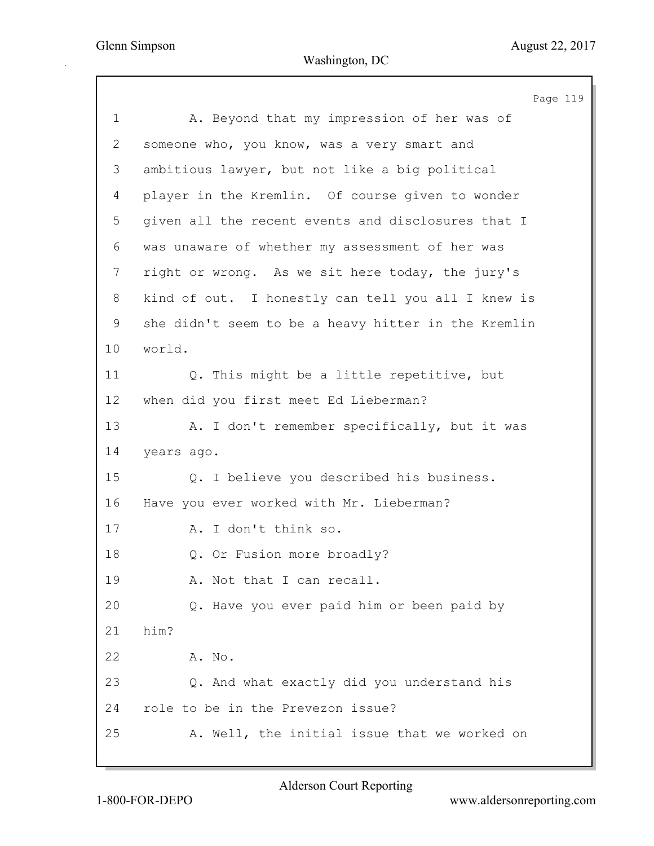Page 119

1 A. Beyond that my impression of her was of 2 someone who, you know, was a very smart and 3 ambitious lawyer, but not like a big political 4 player in the Kremlin. Of course given to wonder 5 given all the recent events and disclosures that I 6 was unaware of whether my assessment of her was 7 right or wrong. As we sit here today, the jury's 8 kind of out. I honestly can tell you all I knew is 9 she didn't seem to be a heavy hitter in the Kremlin 10 world. 11 Q. This might be a little repetitive, but 12 when did you first meet Ed Lieberman? 13 A. I don't remember specifically, but it was 14 years ago. 15 Q. I believe you described his business. 16 Have you ever worked with Mr. Lieberman? 17 A. I don't think so. 18 Q. Or Fusion more broadly? 19 A. Not that I can recall. 20 Q. Have you ever paid him or been paid by 21 him? 22 A. No. 23 Q. And what exactly did you understand his 24 role to be in the Prevezon issue? 25 A. Well, the initial issue that we worked on

Alderson Court Reporting

1-800-FOR-DEPO www.aldersonreporting.com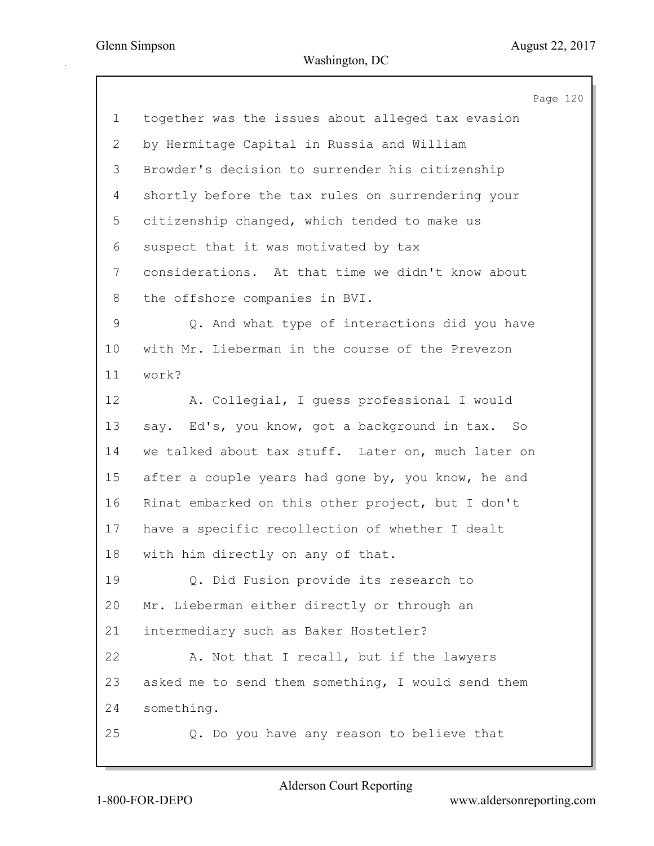|                | Page 120                                           |
|----------------|----------------------------------------------------|
| $\mathbf 1$    | together was the issues about alleged tax evasion  |
| $\mathbf{2}$   | by Hermitage Capital in Russia and William         |
| 3              | Browder's decision to surrender his citizenship    |
| 4              | shortly before the tax rules on surrendering your  |
| 5              | citizenship changed, which tended to make us       |
| 6              | suspect that it was motivated by tax               |
| $7\phantom{.}$ | considerations. At that time we didn't know about  |
| 8              | the offshore companies in BVI.                     |
| $\mathsf 9$    | Q. And what type of interactions did you have      |
| 10             | with Mr. Lieberman in the course of the Prevezon   |
| 11             | work?                                              |
| 12             | A. Collegial, I guess professional I would         |
| 13             | say. Ed's, you know, got a background in tax. So   |
| 14             | we talked about tax stuff. Later on, much later on |
| 15             | after a couple years had gone by, you know, he and |
| 16             | Rinat embarked on this other project, but I don't  |
| 17             | have a specific recollection of whether I dealt    |
| 18             | with him directly on any of that.                  |
| 19             | Q. Did Fusion provide its research to              |
| 20             | Mr. Lieberman either directly or through an        |
| 21             | intermediary such as Baker Hostetler?              |
| 22             | A. Not that I recall, but if the lawyers           |
| 23             | asked me to send them something, I would send them |
| 24             | something.                                         |
| 25             | Q. Do you have any reason to believe that          |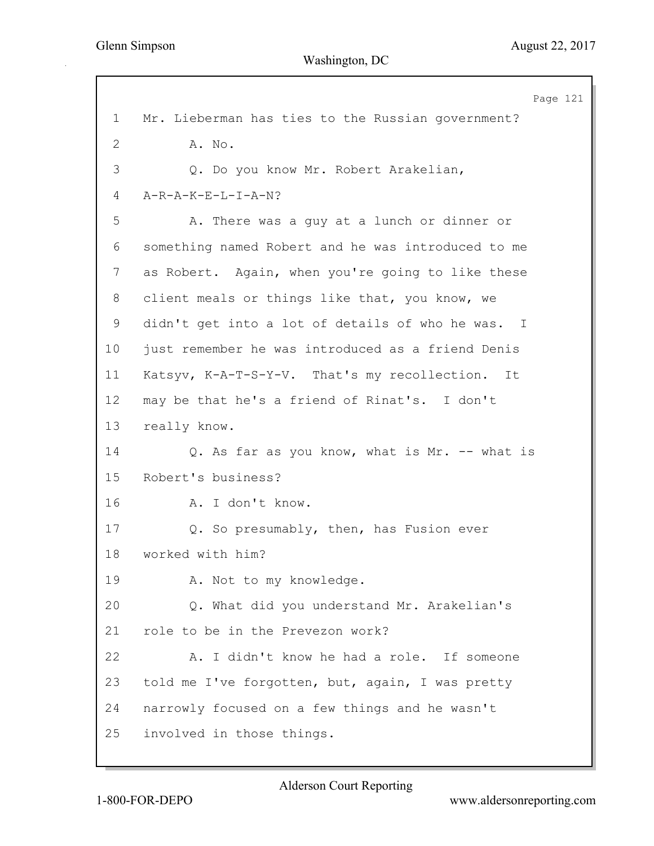Page 121 1 Mr. Lieberman has ties to the Russian government? 2 A. No. 3 Q. Do you know Mr. Robert Arakelian, 4 A-R-A-K-E-L-I-A-N? 5 A. There was a guy at a lunch or dinner or 6 something named Robert and he was introduced to me 7 as Robert. Again, when you're going to like these 8 client meals or things like that, you know, we 9 didn't get into a lot of details of who he was. I 10 just remember he was introduced as a friend Denis 11 Katsyv, K-A-T-S-Y-V. That's my recollection. It 12 may be that he's a friend of Rinat's. I don't 13 really know. 14 Q. As far as you know, what is Mr. -- what is 15 Robert's business? 16 A. I don't know. 17 Q. So presumably, then, has Fusion ever 18 worked with him? 19 A. Not to my knowledge. 20 Q. What did you understand Mr. Arakelian's 21 role to be in the Prevezon work? 22 A. I didn't know he had a role. If someone 23 told me I've forgotten, but, again, I was pretty 24 narrowly focused on a few things and he wasn't 25 involved in those things.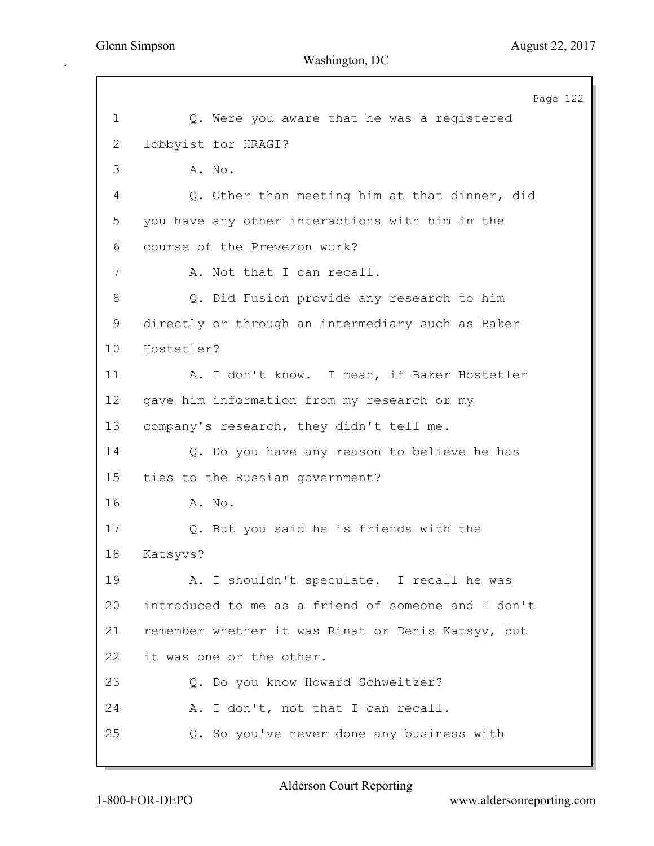Page 122 1 Q. Were you aware that he was a registered 2 lobbyist for HRAGI? 3 A. No. 4 Q. Other than meeting him at that dinner, did 5 you have any other interactions with him in the 6 course of the Prevezon work? 7 A. Not that I can recall. 8 Q. Did Fusion provide any research to him 9 directly or through an intermediary such as Baker 10 Hostetler? 11 A. I don't know. I mean, if Baker Hostetler 12 gave him information from my research or my 13 company's research, they didn't tell me. 14 Q. Do you have any reason to believe he has 15 ties to the Russian government? 16 A. No. 17 Q. But you said he is friends with the 18 Katsyvs? 19 A. I shouldn't speculate. I recall he was 20 introduced to me as a friend of someone and I don't 21 remember whether it was Rinat or Denis Katsyv, but 22 it was one or the other. 23 Q. Do you know Howard Schweitzer? 24 A. I don't, not that I can recall. 25 Q. So you've never done any business with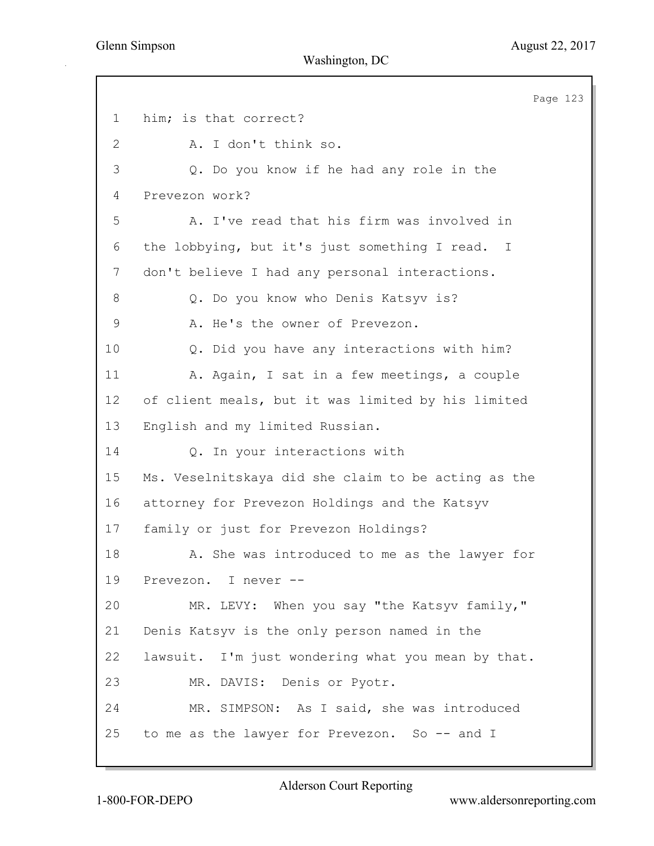Page 123 1 him; is that correct? 2 A. I don't think so. 3 Q. Do you know if he had any role in the 4 Prevezon work? 5 A. I've read that his firm was involved in 6 the lobbying, but it's just something I read. I 7 don't believe I had any personal interactions. 8 Q. Do you know who Denis Katsyv is? 9 A. He's the owner of Prevezon. 10 Q. Did you have any interactions with him? 11 A. Again, I sat in a few meetings, a couple 12 of client meals, but it was limited by his limited 13 English and my limited Russian. 14 Q. In your interactions with 15 Ms. Veselnitskaya did she claim to be acting as the 16 attorney for Prevezon Holdings and the Katsyv 17 family or just for Prevezon Holdings? 18 A. She was introduced to me as the lawyer for 19 Prevezon. I never -- 20 MR. LEVY: When you say "the Katsyv family," 21 Denis Katsyv is the only person named in the 22 lawsuit. I'm just wondering what you mean by that. 23 MR. DAVIS: Denis or Pyotr. 24 MR. SIMPSON: As I said, she was introduced 25 to me as the lawyer for Prevezon. So -- and I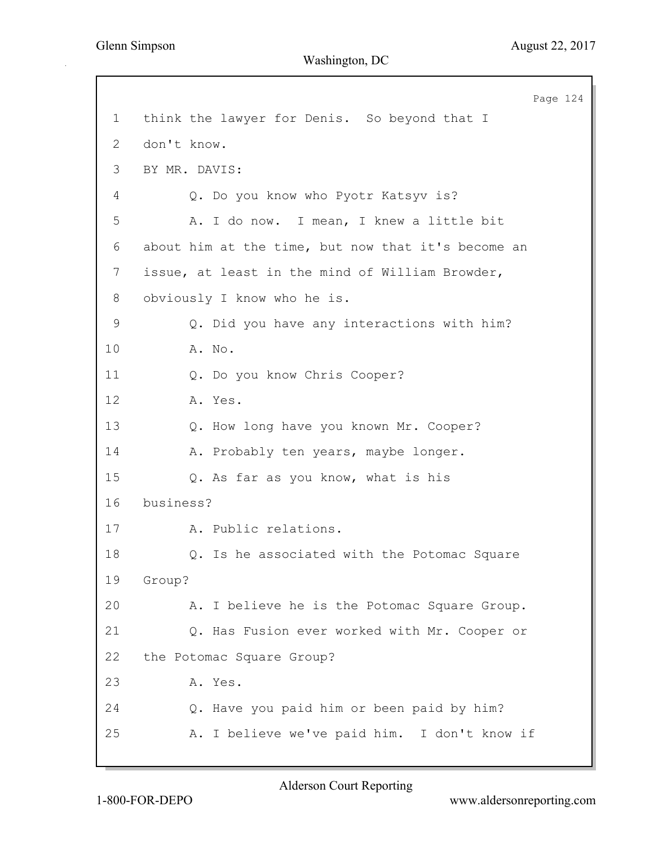Page 124 1 think the lawyer for Denis. So beyond that I 2 don't know. 3 BY MR. DAVIS: 4 Q. Do you know who Pyotr Katsyv is? 5 A. I do now. I mean, I knew a little bit 6 about him at the time, but now that it's become an 7 issue, at least in the mind of William Browder, 8 obviously I know who he is. 9 Q. Did you have any interactions with him? 10 A. No. 11 Q. Do you know Chris Cooper? 12 A. Yes. 13 Q. How long have you known Mr. Cooper? 14 A. Probably ten years, maybe longer. 15 Q. As far as you know, what is his 16 business? 17 A. Public relations. 18 Q. Is he associated with the Potomac Square 19 Group? 20 A. I believe he is the Potomac Square Group. 21 Q. Has Fusion ever worked with Mr. Cooper or 22 the Potomac Square Group? 23 A. Yes. 24 Q. Have you paid him or been paid by him? 25 A. I believe we've paid him. I don't know if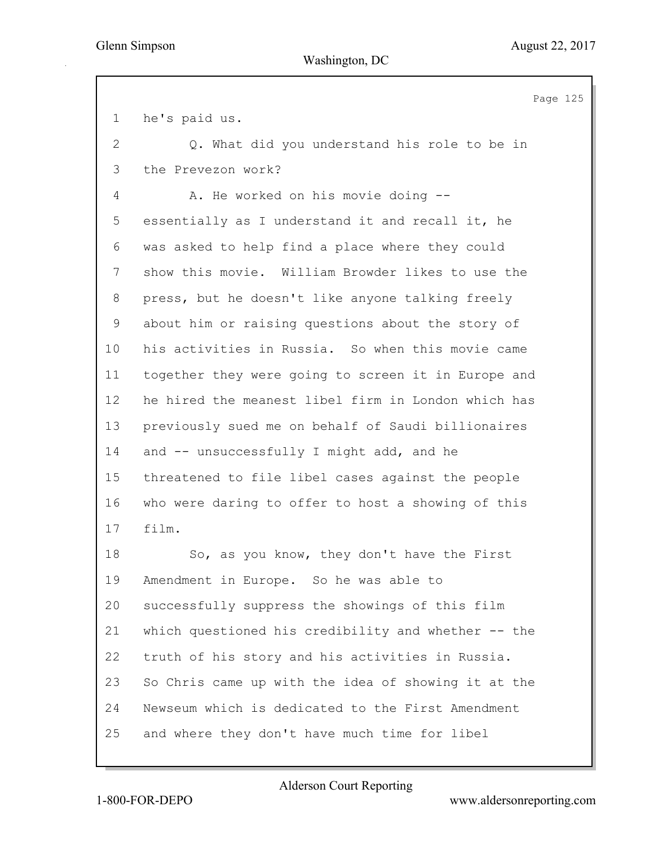Page 125 1 he's paid us. 2 Q. What did you understand his role to be in 3 the Prevezon work? 4 A. He worked on his movie doing --5 essentially as I understand it and recall it, he 6 was asked to help find a place where they could 7 show this movie. William Browder likes to use the 8 press, but he doesn't like anyone talking freely 9 about him or raising questions about the story of 10 his activities in Russia. So when this movie came 11 together they were going to screen it in Europe and 12 he hired the meanest libel firm in London which has 13 previously sued me on behalf of Saudi billionaires 14 and -- unsuccessfully I might add, and he 15 threatened to file libel cases against the people 16 who were daring to offer to host a showing of this 17 film. 18 So, as you know, they don't have the First 19 Amendment in Europe. So he was able to 20 successfully suppress the showings of this film 21 which questioned his credibility and whether -- the 22 truth of his story and his activities in Russia. 23 So Chris came up with the idea of showing it at the 24 Newseum which is dedicated to the First Amendment 25 and where they don't have much time for libel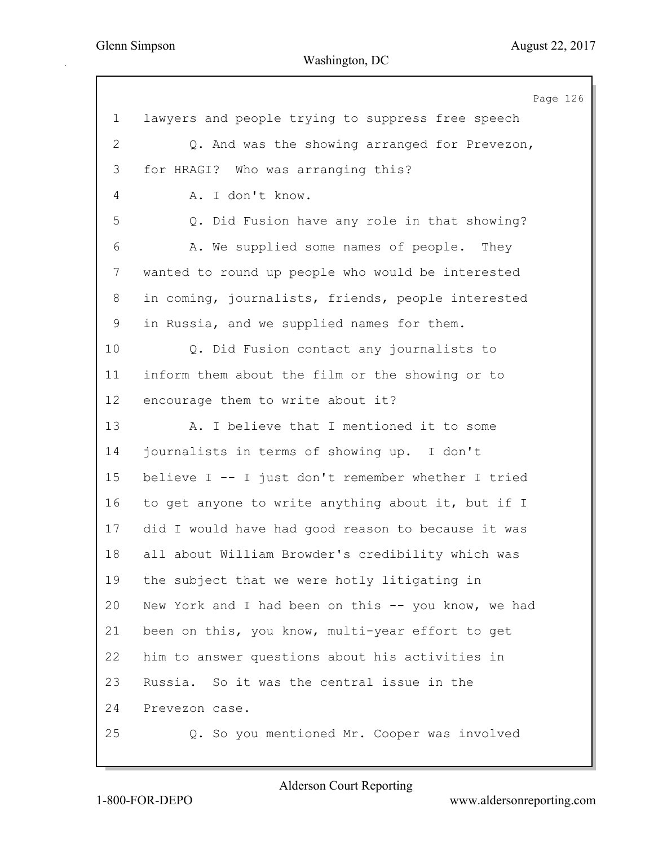|              | Page 126                                            |
|--------------|-----------------------------------------------------|
| $\mathbf 1$  | lawyers and people trying to suppress free speech   |
| $\mathbf{2}$ | Q. And was the showing arranged for Prevezon,       |
| 3            | for HRAGI? Who was arranging this?                  |
| 4            | A. I don't know.                                    |
| 5            | Q. Did Fusion have any role in that showing?        |
| 6            | A. We supplied some names of people. They           |
| 7            | wanted to round up people who would be interested   |
| 8            | in coming, journalists, friends, people interested  |
| 9            | in Russia, and we supplied names for them.          |
| 10           | Q. Did Fusion contact any journalists to            |
| 11           | inform them about the film or the showing or to     |
| 12           | encourage them to write about it?                   |
| 13           | A. I believe that I mentioned it to some            |
| 14           | journalists in terms of showing up. I don't         |
| 15           | believe I -- I just don't remember whether I tried  |
| 16           | to get anyone to write anything about it, but if I  |
| 17           | did I would have had good reason to because it was  |
| 18           | all about William Browder's credibility which was   |
| 19           | the subject that we were hotly litigating in        |
| 20           | New York and I had been on this -- you know, we had |
| 21           | been on this, you know, multi-year effort to get    |
| 22           | him to answer questions about his activities in     |
| 23           | Russia. So it was the central issue in the          |
| 24           | Prevezon case.                                      |
| 25           | Q. So you mentioned Mr. Cooper was involved         |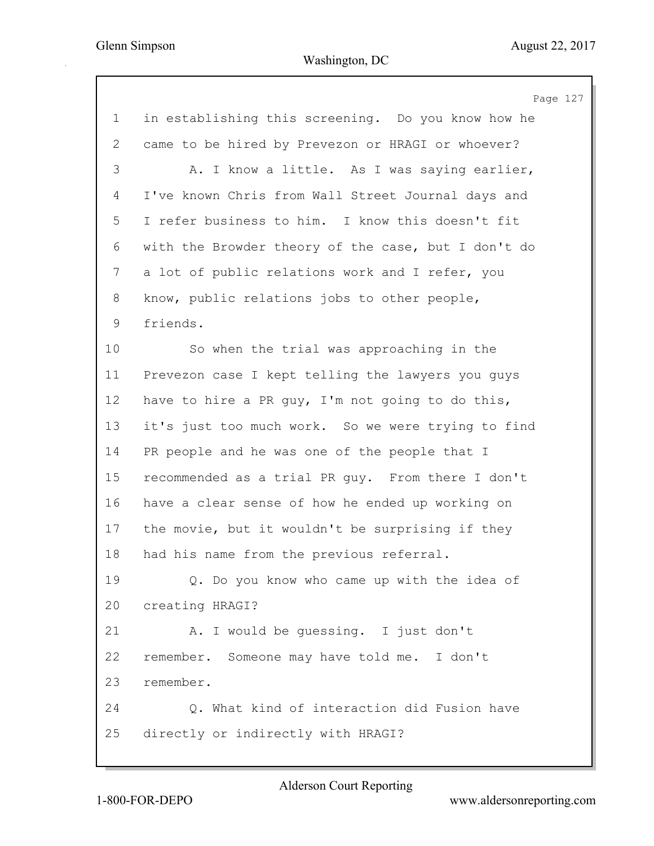Page 127 1 in establishing this screening. Do you know how he 2 came to be hired by Prevezon or HRAGI or whoever? 3 A. I know a little. As I was saying earlier, 4 I've known Chris from Wall Street Journal days and 5 I refer business to him. I know this doesn't fit 6 with the Browder theory of the case, but I don't do 7 a lot of public relations work and I refer, you 8 know, public relations jobs to other people, 9 friends. 10 So when the trial was approaching in the 11 Prevezon case I kept telling the lawyers you guys 12 have to hire a PR guy, I'm not going to do this, 13 it's just too much work. So we were trying to find 14 PR people and he was one of the people that I 15 recommended as a trial PR guy. From there I don't 16 have a clear sense of how he ended up working on 17 the movie, but it wouldn't be surprising if they 18 had his name from the previous referral. 19 Q. Do you know who came up with the idea of 20 creating HRAGI? 21 A. I would be guessing. I just don't 22 remember. Someone may have told me. I don't 23 remember. 24 Q. What kind of interaction did Fusion have 25 directly or indirectly with HRAGI?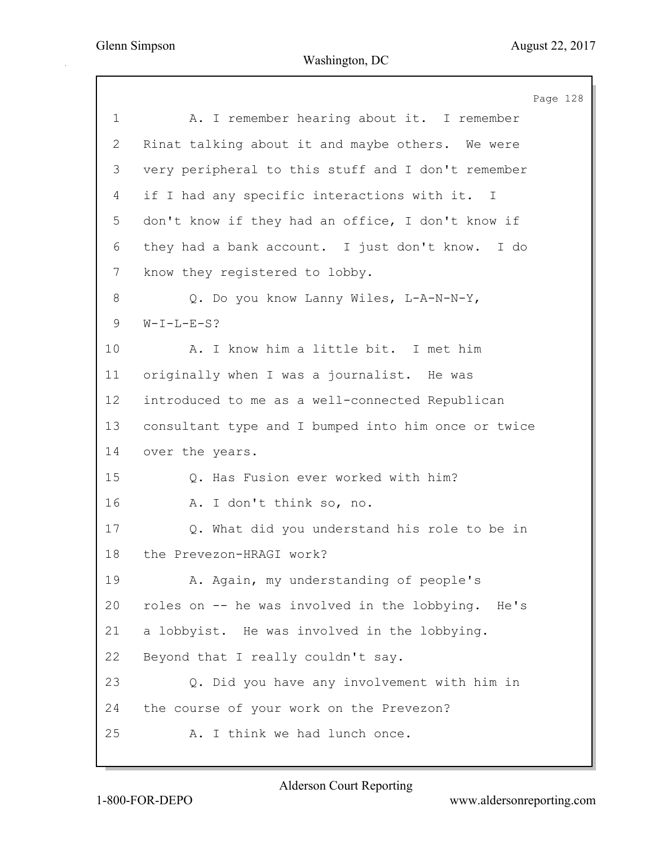Page 128 1 A. I remember hearing about it. I remember 2 Rinat talking about it and maybe others. We were 3 very peripheral to this stuff and I don't remember 4 if I had any specific interactions with it. I 5 don't know if they had an office, I don't know if 6 they had a bank account. I just don't know. I do 7 know they registered to lobby. 8 Q. Do you know Lanny Wiles, L-A-N-N-Y, 9 W-I-L-E-S? 10 A. I know him a little bit. I met him 11 originally when I was a journalist. He was 12 introduced to me as a well-connected Republican 13 consultant type and I bumped into him once or twice 14 over the years. 15 Q. Has Fusion ever worked with him? 16 A. I don't think so, no. 17 Q. What did you understand his role to be in 18 the Prevezon-HRAGI work? 19 A. Again, my understanding of people's 20 roles on -- he was involved in the lobbying. He's 21 a lobbyist. He was involved in the lobbying. 22 Beyond that I really couldn't say. 23 Q. Did you have any involvement with him in 24 the course of your work on the Prevezon? 25 A. I think we had lunch once.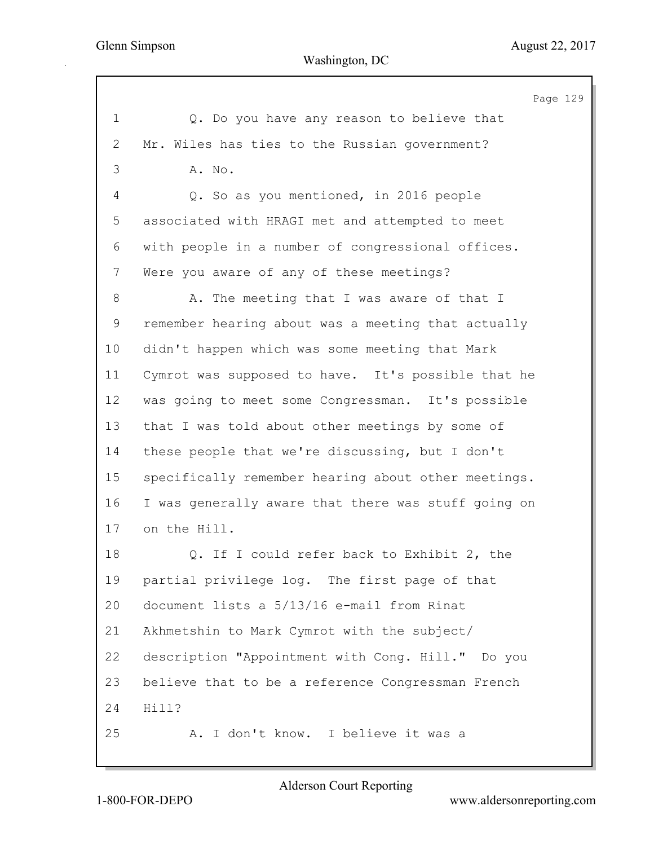129

|                | Page                                                |
|----------------|-----------------------------------------------------|
| $\mathbf 1$    | Q. Do you have any reason to believe that           |
| $\overline{2}$ | Mr. Wiles has ties to the Russian government?       |
| 3              | A. No.                                              |
| 4              | Q. So as you mentioned, in 2016 people              |
| 5              | associated with HRAGI met and attempted to meet     |
| 6              | with people in a number of congressional offices.   |
| 7              | Were you aware of any of these meetings?            |
| $8\,$          | A. The meeting that I was aware of that I           |
| 9              | remember hearing about was a meeting that actually  |
| 10             | didn't happen which was some meeting that Mark      |
| 11             | Cymrot was supposed to have. It's possible that he  |
| 12             | was going to meet some Congressman. It's possible   |
| 13             | that I was told about other meetings by some of     |
| 14             | these people that we're discussing, but I don't     |
| 15             | specifically remember hearing about other meetings. |
| 16             | I was generally aware that there was stuff going on |
| 17             | on the Hill.                                        |
| 18             | Q. If I could refer back to Exhibit 2, the          |
| 19             | partial privilege log. The first page of that       |
| 20             | document lists a 5/13/16 e-mail from Rinat          |
| 21             | Akhmetshin to Mark Cymrot with the subject/         |
| 22             | description "Appointment with Conq. Hill." Do you   |
| 23             | believe that to be a reference Congressman French   |
| 24             | Hill?                                               |
| 25             | A. I don't know. I believe it was a                 |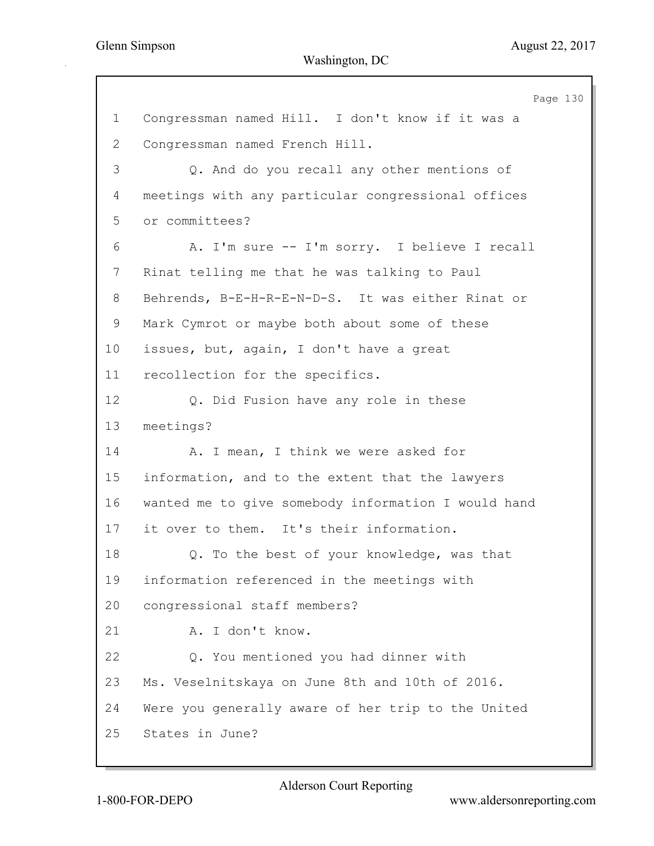Page 130 1 Congressman named Hill. I don't know if it was a 2 Congressman named French Hill. 3 Q. And do you recall any other mentions of 4 meetings with any particular congressional offices 5 or committees? 6 A. I'm sure -- I'm sorry. I believe I recall 7 Rinat telling me that he was talking to Paul 8 Behrends, B-E-H-R-E-N-D-S. It was either Rinat or 9 Mark Cymrot or maybe both about some of these 10 issues, but, again, I don't have a great 11 recollection for the specifics. 12 Q. Did Fusion have any role in these 13 meetings? 14 A. I mean, I think we were asked for 15 information, and to the extent that the lawyers 16 wanted me to give somebody information I would hand 17 it over to them. It's their information. 18 Q. To the best of your knowledge, was that 19 information referenced in the meetings with 20 congressional staff members? 21 A. I don't know. 22 Q. You mentioned you had dinner with 23 Ms. Veselnitskaya on June 8th and 10th of 2016. 24 Were you generally aware of her trip to the United 25 States in June?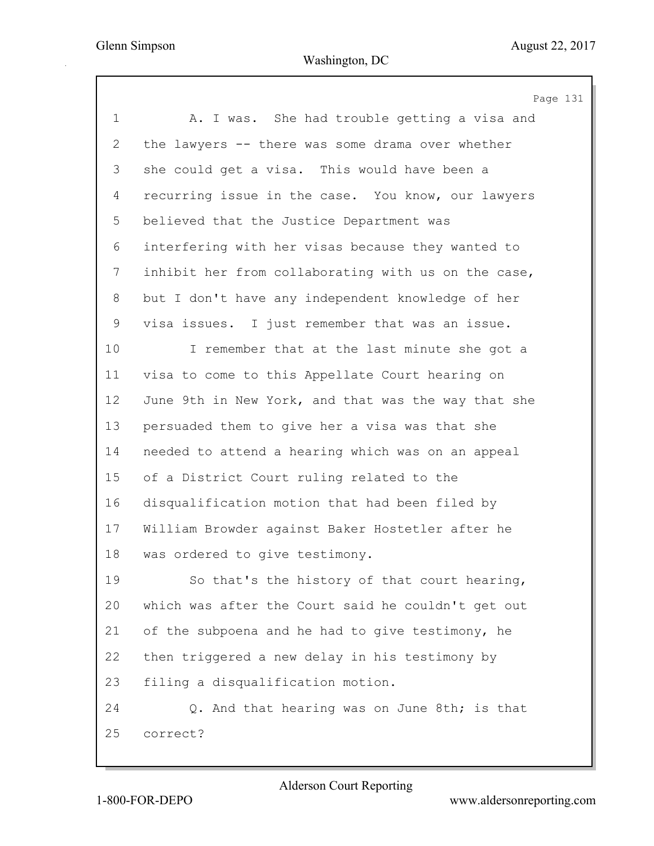Page 131 1 A. I was. She had trouble getting a visa and 2 the lawyers -- there was some drama over whether 3 she could get a visa. This would have been a 4 recurring issue in the case. You know, our lawyers 5 believed that the Justice Department was 6 interfering with her visas because they wanted to 7 inhibit her from collaborating with us on the case, 8 but I don't have any independent knowledge of her 9 visa issues. I just remember that was an issue. 10 I remember that at the last minute she got a 11 visa to come to this Appellate Court hearing on 12 June 9th in New York, and that was the way that she 13 persuaded them to give her a visa was that she 14 needed to attend a hearing which was on an appeal 15 of a District Court ruling related to the 16 disqualification motion that had been filed by 17 William Browder against Baker Hostetler after he 18 was ordered to give testimony. 19 So that's the history of that court hearing, 20 which was after the Court said he couldn't get out 21 of the subpoena and he had to give testimony, he 22 then triggered a new delay in his testimony by 23 filing a disqualification motion. 24 Q. And that hearing was on June 8th; is that 25 correct?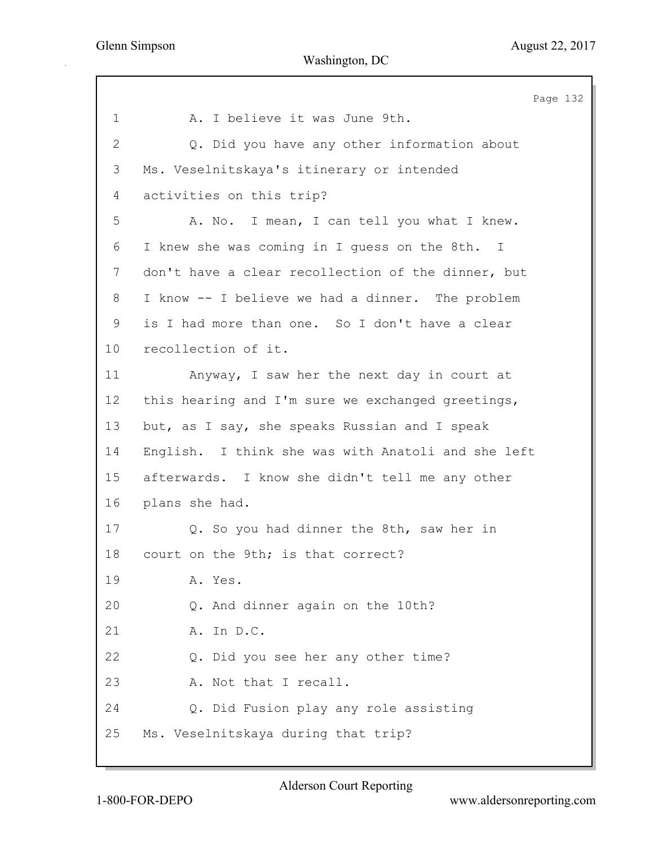Page 132 1 A. I believe it was June 9th. 2 Q. Did you have any other information about 3 Ms. Veselnitskaya's itinerary or intended 4 activities on this trip? 5 A. No. I mean, I can tell you what I knew. 6 I knew she was coming in I guess on the 8th. I 7 don't have a clear recollection of the dinner, but 8 I know -- I believe we had a dinner. The problem 9 is I had more than one. So I don't have a clear 10 recollection of it. 11 Anyway, I saw her the next day in court at 12 this hearing and I'm sure we exchanged greetings, 13 but, as I say, she speaks Russian and I speak 14 English. I think she was with Anatoli and she left 15 afterwards. I know she didn't tell me any other 16 plans she had. 17 Q. So you had dinner the 8th, saw her in 18 court on the 9th; is that correct? 19 A. Yes. 20 Q. And dinner again on the 10th? 21 A. In D.C. 22 Q. Did you see her any other time? 23 A. Not that I recall. 24 Q. Did Fusion play any role assisting 25 Ms. Veselnitskaya during that trip?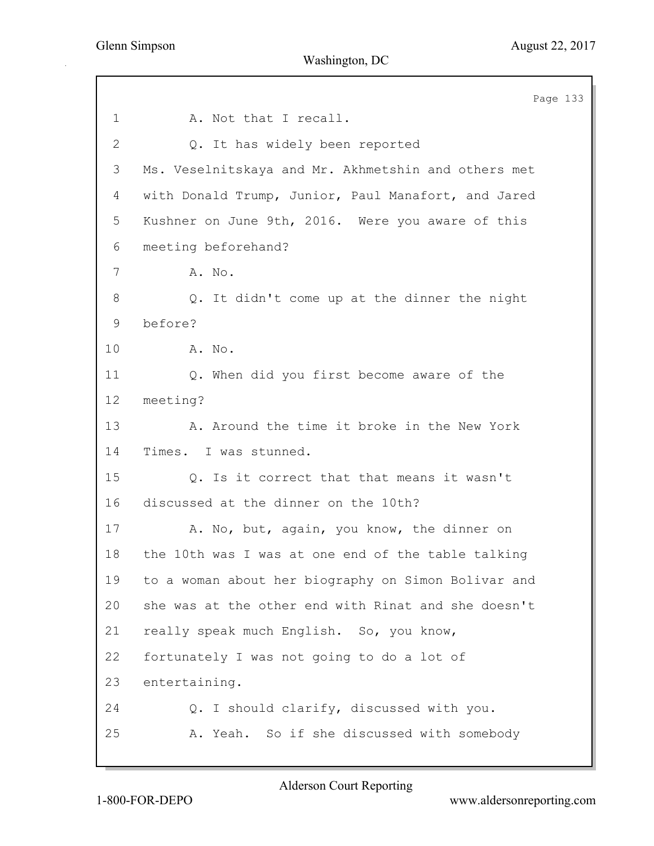Page 133 1 A. Not that I recall. 2 Q. It has widely been reported 3 Ms. Veselnitskaya and Mr. Akhmetshin and others met 4 with Donald Trump, Junior, Paul Manafort, and Jared 5 Kushner on June 9th, 2016. Were you aware of this 6 meeting beforehand? 7 A. No. 8 Q. It didn't come up at the dinner the night 9 before? 10 A. No. 11 Q. When did you first become aware of the 12 meeting? 13 A. Around the time it broke in the New York 14 Times. I was stunned. 15 Q. Is it correct that that means it wasn't 16 discussed at the dinner on the 10th? 17 A. No, but, again, you know, the dinner on 18 the 10th was I was at one end of the table talking 19 to a woman about her biography on Simon Bolivar and 20 she was at the other end with Rinat and she doesn't 21 really speak much English. So, you know, 22 fortunately I was not going to do a lot of 23 entertaining. 24 Q. I should clarify, discussed with you. 25 A. Yeah. So if she discussed with somebody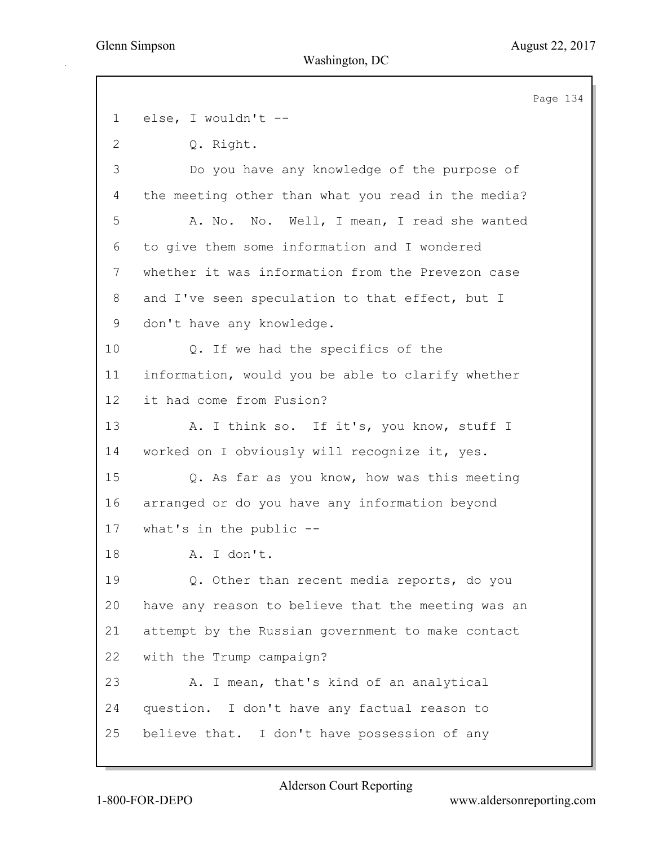Page 134 1 else, I wouldn't -- 2 Q. Right. 3 Do you have any knowledge of the purpose of 4 the meeting other than what you read in the media? 5 A. No. No. Well, I mean, I read she wanted 6 to give them some information and I wondered 7 whether it was information from the Prevezon case 8 and I've seen speculation to that effect, but I 9 don't have any knowledge. 10 Q. If we had the specifics of the 11 information, would you be able to clarify whether 12 it had come from Fusion? 13 A. I think so. If it's, you know, stuff I 14 worked on I obviously will recognize it, yes. 15 Q. As far as you know, how was this meeting 16 arranged or do you have any information beyond 17 what's in the public -- 18 A. I don't. 19 Q. Other than recent media reports, do you 20 have any reason to believe that the meeting was an 21 attempt by the Russian government to make contact 22 with the Trump campaign? 23 A. I mean, that's kind of an analytical 24 question. I don't have any factual reason to 25 believe that. I don't have possession of any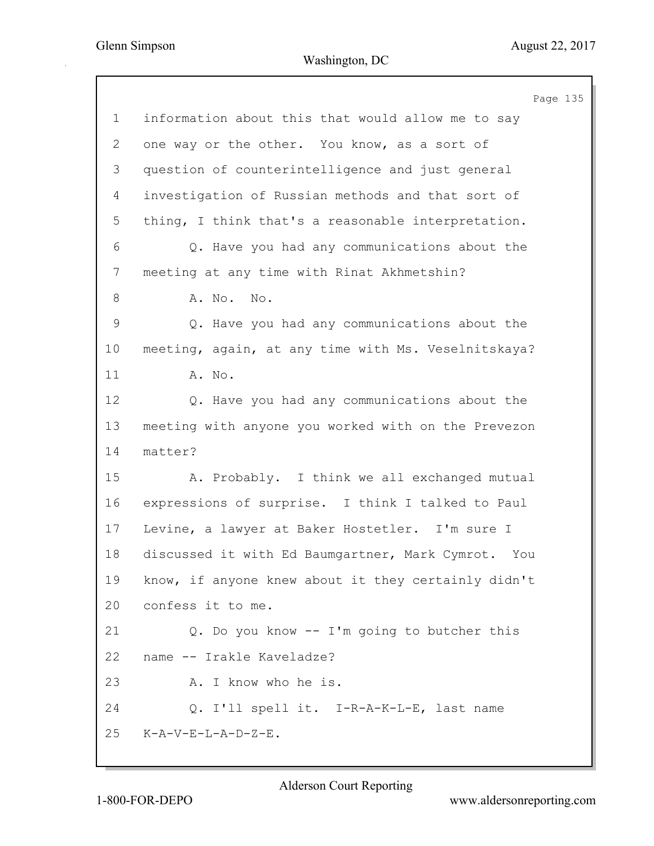|                | Page 135                                            |
|----------------|-----------------------------------------------------|
| $\mathbf 1$    | information about this that would allow me to say   |
| 2              | one way or the other. You know, as a sort of        |
| 3              | question of counterintelligence and just general    |
| $\overline{4}$ | investigation of Russian methods and that sort of   |
| 5              | thing, I think that's a reasonable interpretation.  |
| 6              | Q. Have you had any communications about the        |
| 7              | meeting at any time with Rinat Akhmetshin?          |
| 8              | A. No. No.                                          |
| $\mathsf 9$    | Q. Have you had any communications about the        |
| 10             | meeting, again, at any time with Ms. Veselnitskaya? |
| 11             | A. No.                                              |
| 12             | Q. Have you had any communications about the        |
| 13             | meeting with anyone you worked with on the Prevezon |
| 14             | matter?                                             |
| 15             | A. Probably. I think we all exchanged mutual        |
| 16             | expressions of surprise. I think I talked to Paul   |
| 17             | Levine, a lawyer at Baker Hostetler. I'm sure I     |
| 18             | discussed it with Ed Baumgartner, Mark Cymrot. You  |
| 19             | know, if anyone knew about it they certainly didn't |
| 20             | confess it to me.                                   |
| 21             | Q. Do you know -- I'm going to butcher this         |
| 22             | name -- Irakle Kaveladze?                           |
| 23             | A. I know who he is.                                |
| 24             | Q. I'll spell it. I-R-A-K-L-E, last name            |
| 25             | K-A-V-E-L-A-D-Z-E.                                  |
|                |                                                     |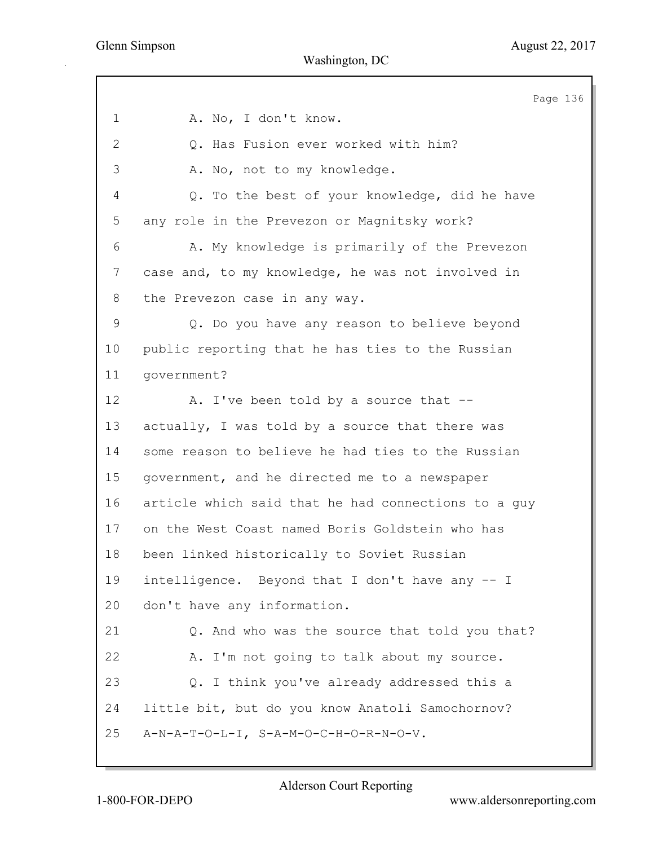Page 136 1 A. No, I don't know. 2 Q. Has Fusion ever worked with him? 3 A. No, not to my knowledge. 4 Q. To the best of your knowledge, did he have 5 any role in the Prevezon or Magnitsky work? 6 A. My knowledge is primarily of the Prevezon 7 case and, to my knowledge, he was not involved in 8 the Prevezon case in any way. 9 Q. Do you have any reason to believe beyond 10 public reporting that he has ties to the Russian 11 government? 12 A. I've been told by a source that --13 actually, I was told by a source that there was 14 some reason to believe he had ties to the Russian 15 government, and he directed me to a newspaper 16 article which said that he had connections to a guy 17 on the West Coast named Boris Goldstein who has 18 been linked historically to Soviet Russian 19 intelligence. Beyond that I don't have any -- I 20 don't have any information. 21 Q. And who was the source that told you that? 22 A. I'm not going to talk about my source. 23 Q. I think you've already addressed this a 24 little bit, but do you know Anatoli Samochornov? 25 A-N-A-T-O-L-I, S-A-M-O-C-H-O-R-N-O-V.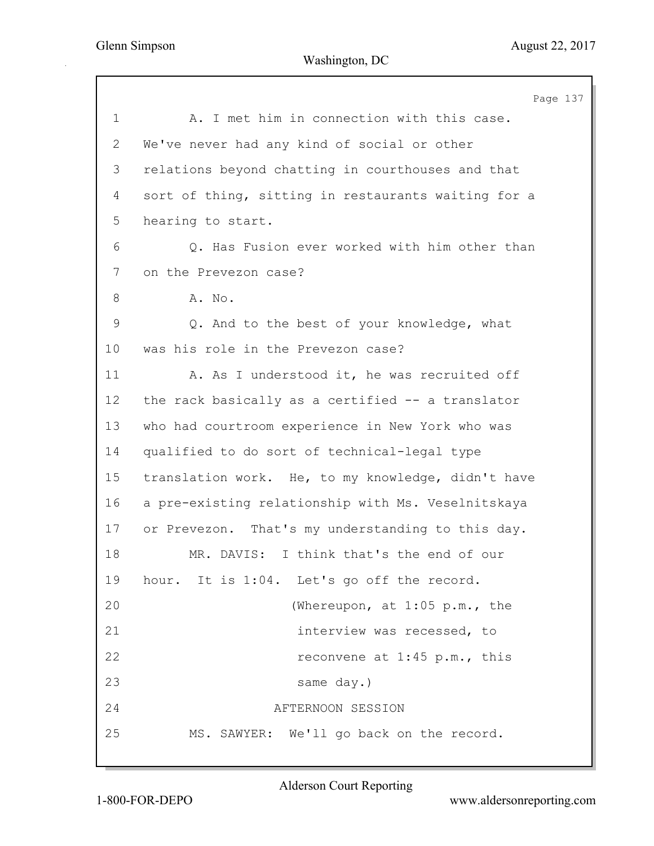|             | Page 137                                            |
|-------------|-----------------------------------------------------|
| $\mathbf 1$ | A. I met him in connection with this case.          |
| 2           | We've never had any kind of social or other         |
| 3           | relations beyond chatting in courthouses and that   |
| 4           | sort of thing, sitting in restaurants waiting for a |
| 5           | hearing to start.                                   |
| 6           | Q. Has Fusion ever worked with him other than       |
| 7           | on the Prevezon case?                               |
| 8           | A. No.                                              |
| $\mathsf 9$ | Q. And to the best of your knowledge, what          |
| 10          | was his role in the Prevezon case?                  |
| 11          | A. As I understood it, he was recruited off         |
| 12          | the rack basically as a certified -- a translator   |
| 13          | who had courtroom experience in New York who was    |
| 14          | qualified to do sort of technical-legal type        |
| 15          | translation work. He, to my knowledge, didn't have  |
| 16          | a pre-existing relationship with Ms. Veselnitskaya  |
| 17          | or Prevezon. That's my understanding to this day.   |
| 18          | I think that's the end of our<br>MR. DAVIS:         |
| 19          | hour. It is 1:04. Let's go off the record.          |
| 20          | (Whereupon, at 1:05 p.m., the                       |
| 21          | interview was recessed, to                          |
| 22          | reconvene at 1:45 p.m., this                        |
| 23          | same day.)                                          |
| 24          | AFTERNOON SESSION                                   |
| 25          | MS. SAWYER: We'll go back on the record.            |
|             |                                                     |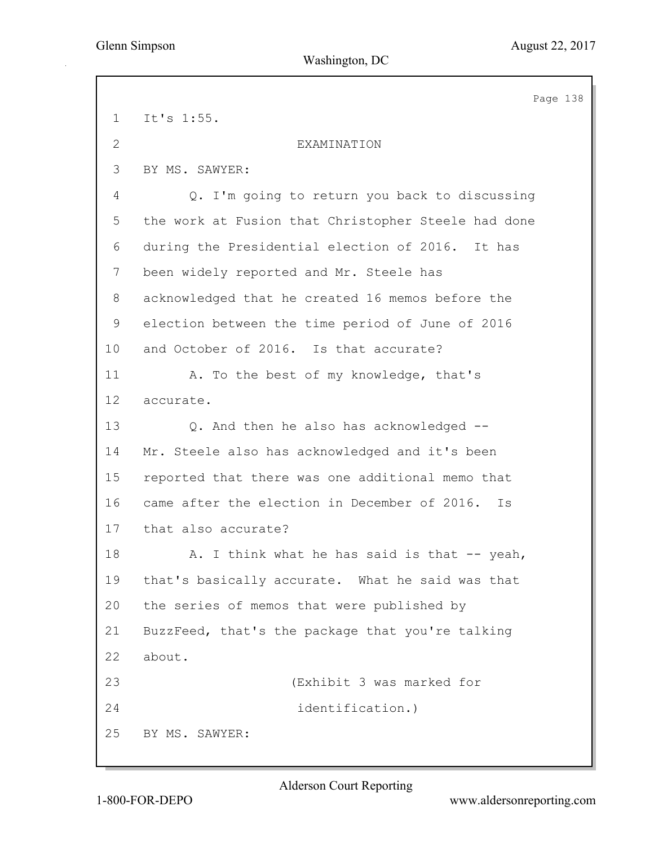|                | Page 138                                            |  |
|----------------|-----------------------------------------------------|--|
| $\mathbf 1$    | It's 1:55.                                          |  |
| $\overline{2}$ | EXAMINATION                                         |  |
| 3              | BY MS. SAWYER:                                      |  |
| 4              | Q. I'm going to return you back to discussing       |  |
| 5              | the work at Fusion that Christopher Steele had done |  |
| 6              | during the Presidential election of 2016.<br>It has |  |
| $7\phantom{.}$ | been widely reported and Mr. Steele has             |  |
| 8              | acknowledged that he created 16 memos before the    |  |
| 9              | election between the time period of June of 2016    |  |
| 10             | and October of 2016. Is that accurate?              |  |
| 11             | A. To the best of my knowledge, that's              |  |
| 12             | accurate.                                           |  |
| 13             | Q. And then he also has acknowledged --             |  |
| 14             | Mr. Steele also has acknowledged and it's been      |  |
| 15             | reported that there was one additional memo that    |  |
| 16             | came after the election in December of 2016.<br>Is  |  |
| 17             | that also accurate?                                 |  |
| 18             | A. I think what he has said is that -- yeah,        |  |
| 19             | that's basically accurate. What he said was that    |  |
| 20             | the series of memos that were published by          |  |
| 21             | BuzzFeed, that's the package that you're talking    |  |
| 22             | about.                                              |  |
| 23             | (Exhibit 3 was marked for                           |  |
| 24             | identification.)                                    |  |
| 25             | BY MS. SAWYER:                                      |  |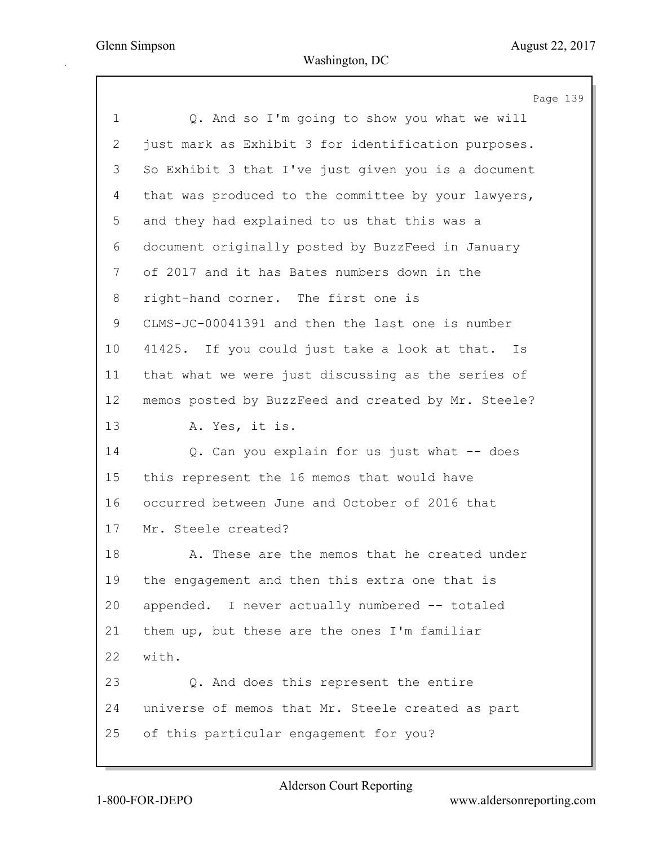|                | Page 139                                            |
|----------------|-----------------------------------------------------|
| $\mathbf 1$    | Q. And so I'm going to show you what we will        |
| $\overline{2}$ | just mark as Exhibit 3 for identification purposes. |
| 3              | So Exhibit 3 that I've just given you is a document |
| 4              | that was produced to the committee by your lawyers, |
| 5              | and they had explained to us that this was a        |
| 6              | document originally posted by BuzzFeed in January   |
| 7              | of 2017 and it has Bates numbers down in the        |
| 8              | right-hand corner. The first one is                 |
| 9              | CLMS-JC-00041391 and then the last one is number    |
| 10             | 41425. If you could just take a look at that. Is    |
| 11             | that what we were just discussing as the series of  |
| 12             | memos posted by BuzzFeed and created by Mr. Steele? |
| 13             | A. Yes, it is.                                      |
| 14             | Q. Can you explain for us just what -- does         |
| 15             | this represent the 16 memos that would have         |
| 16             | occurred between June and October of 2016 that      |
| 17             | Mr. Steele created?                                 |
| 18             | A. These are the memos that he created under        |
| 19             | the engagement and then this extra one that is      |
| 20             | appended. I never actually numbered -- totaled      |
| 21             | them up, but these are the ones I'm familiar        |
| 22             | with.                                               |
| 23             | Q. And does this represent the entire               |
| 24             | universe of memos that Mr. Steele created as part   |
| 25             | of this particular engagement for you?              |

Alderson Court Reporting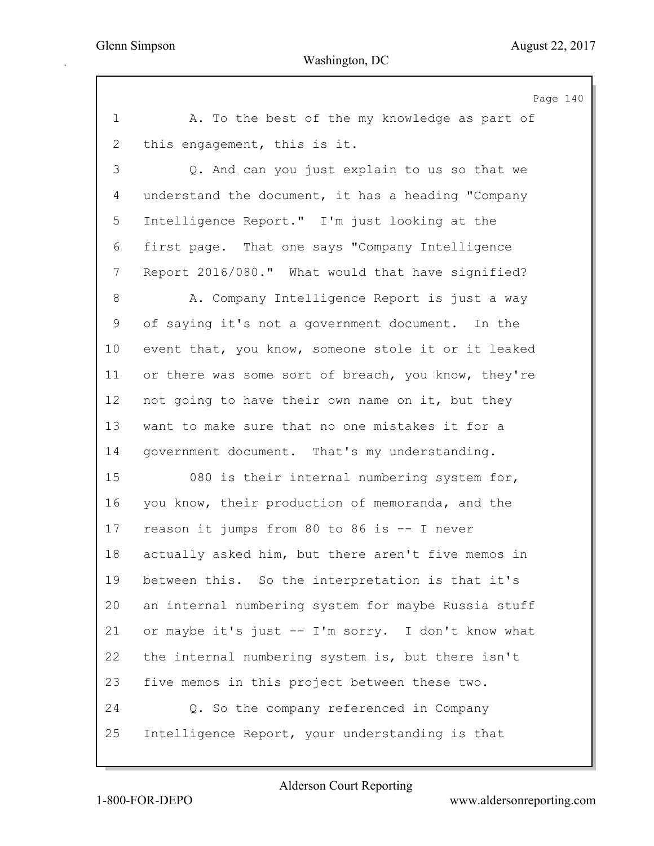Page 140 1 A. To the best of the my knowledge as part of 2 this engagement, this is it. 3 Q. And can you just explain to us so that we 4 understand the document, it has a heading "Company 5 Intelligence Report." I'm just looking at the 6 first page. That one says "Company Intelligence 7 Report 2016/080." What would that have signified? 8 A. Company Intelligence Report is just a way 9 of saying it's not a government document. In the 10 event that, you know, someone stole it or it leaked 11 or there was some sort of breach, you know, they're 12 not going to have their own name on it, but they 13 want to make sure that no one mistakes it for a 14 government document. That's my understanding. 15 080 is their internal numbering system for, 16 you know, their production of memoranda, and the 17 reason it jumps from 80 to 86 is -- I never 18 actually asked him, but there aren't five memos in 19 between this. So the interpretation is that it's 20 an internal numbering system for maybe Russia stuff 21 or maybe it's just -- I'm sorry. I don't know what 22 the internal numbering system is, but there isn't 23 five memos in this project between these two. 24 Q. So the company referenced in Company 25 Intelligence Report, your understanding is that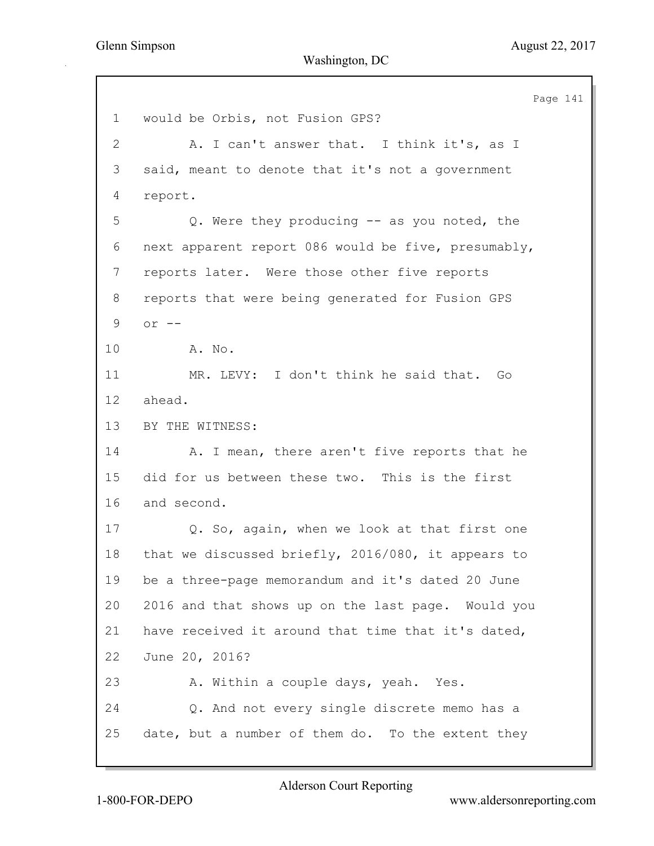Page 141 1 would be Orbis, not Fusion GPS? 2 A. I can't answer that. I think it's, as I 3 said, meant to denote that it's not a government 4 report. 5 Q. Were they producing -- as you noted, the 6 next apparent report 086 would be five, presumably, 7 reports later. Were those other five reports 8 reports that were being generated for Fusion GPS 9 or -- 10 A. No. 11 MR. LEVY: I don't think he said that. Go 12 ahead. 13 BY THE WITNESS: 14 A. I mean, there aren't five reports that he 15 did for us between these two. This is the first 16 and second. 17 Q. So, again, when we look at that first one 18 that we discussed briefly, 2016/080, it appears to 19 be a three-page memorandum and it's dated 20 June 20 2016 and that shows up on the last page. Would you 21 have received it around that time that it's dated, 22 June 20, 2016? 23 A. Within a couple days, yeah. Yes. 24 Q. And not every single discrete memo has a 25 date, but a number of them do. To the extent they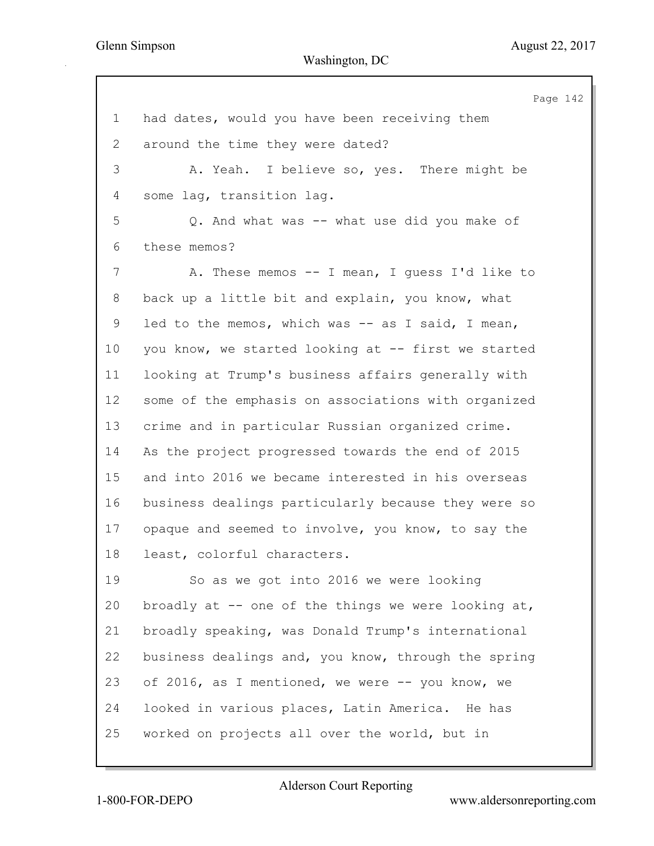Page 142 1 had dates, would you have been receiving them 2 around the time they were dated? 3 A. Yeah. I believe so, yes. There might be 4 some lag, transition lag. 5 Q. And what was -- what use did you make of 6 these memos? 7 A. These memos -- I mean, I guess I'd like to 8 back up a little bit and explain, you know, what 9 led to the memos, which was -- as I said, I mean, 10 you know, we started looking at -- first we started 11 looking at Trump's business affairs generally with 12 some of the emphasis on associations with organized 13 crime and in particular Russian organized crime. 14 As the project progressed towards the end of 2015 15 and into 2016 we became interested in his overseas 16 business dealings particularly because they were so 17 opaque and seemed to involve, you know, to say the 18 least, colorful characters. 19 So as we got into 2016 we were looking 20 broadly at -- one of the things we were looking at, 21 broadly speaking, was Donald Trump's international 22 business dealings and, you know, through the spring 23 of 2016, as I mentioned, we were -- you know, we 24 looked in various places, Latin America. He has 25 worked on projects all over the world, but in

Alderson Court Reporting

1-800-FOR-DEPO www.aldersonreporting.com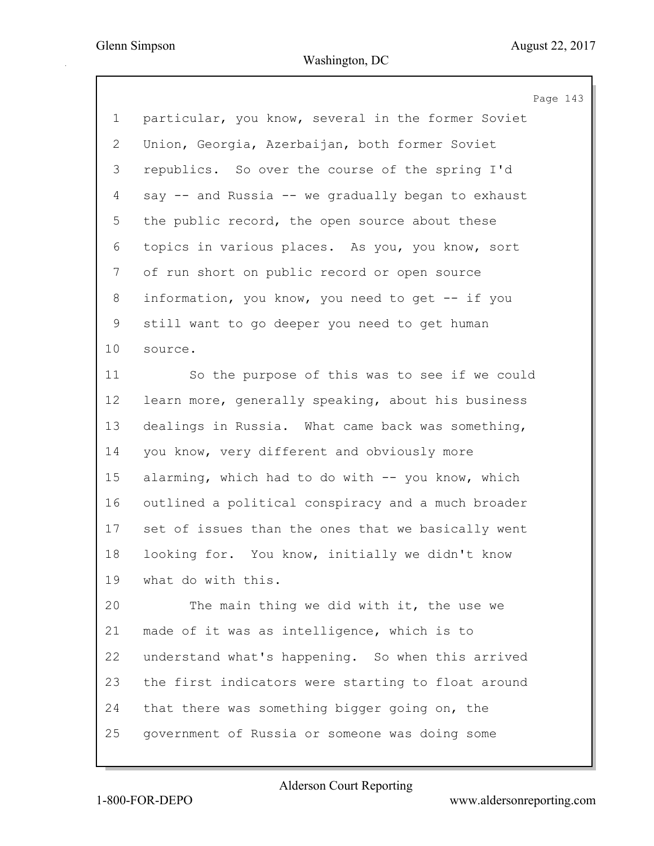Page 143 1 particular, you know, several in the former Soviet 2 Union, Georgia, Azerbaijan, both former Soviet 3 republics. So over the course of the spring I'd 4 say -- and Russia -- we gradually began to exhaust 5 the public record, the open source about these 6 topics in various places. As you, you know, sort 7 of run short on public record or open source 8 information, you know, you need to get -- if you 9 still want to go deeper you need to get human 10 source. 11 So the purpose of this was to see if we could 12 learn more, generally speaking, about his business 13 dealings in Russia. What came back was something, 14 you know, very different and obviously more 15 alarming, which had to do with -- you know, which 16 outlined a political conspiracy and a much broader 17 set of issues than the ones that we basically went 18 looking for. You know, initially we didn't know 19 what do with this. 20 The main thing we did with it, the use we 21 made of it was as intelligence, which is to 22 understand what's happening. So when this arrived 23 the first indicators were starting to float around 24 that there was something bigger going on, the 25 government of Russia or someone was doing some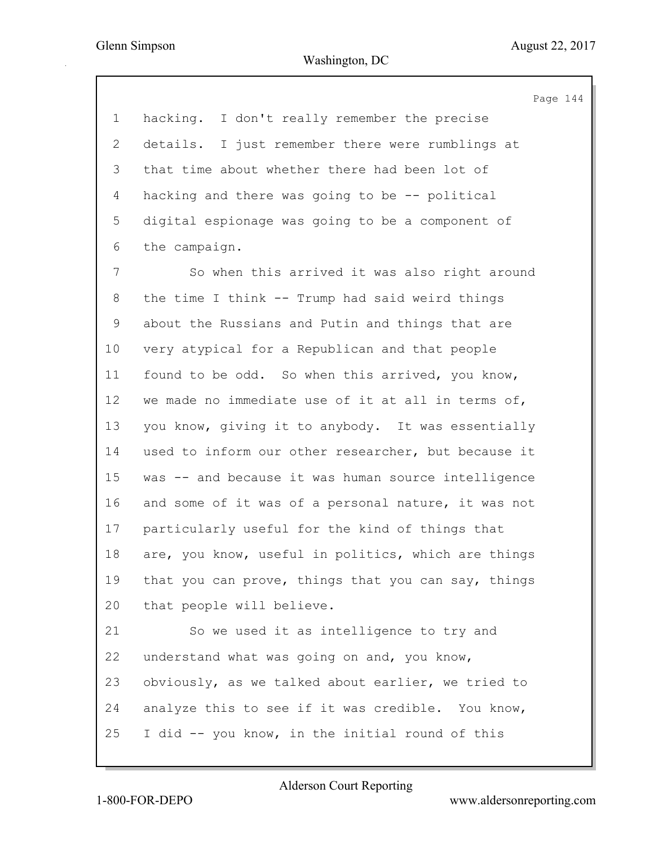$44$ 

|             | Page 1                                              |
|-------------|-----------------------------------------------------|
| 1           | hacking. I don't really remember the precise        |
| 2           | details. I just remember there were rumblings at    |
| 3           | that time about whether there had been lot of       |
| 4           | hacking and there was going to be -- political      |
| 5           | digital espionage was going to be a component of    |
| 6           | the campaign.                                       |
| 7           | So when this arrived it was also right around       |
| 8           | the time I think -- Trump had said weird things     |
| $\mathsf 9$ | about the Russians and Putin and things that are    |
| 10          | very atypical for a Republican and that people      |
| 11          | found to be odd. So when this arrived, you know,    |
| 12          | we made no immediate use of it at all in terms of,  |
| 13          | you know, giving it to anybody. It was essentially  |
| 14          | used to inform our other researcher, but because it |
| 15          | was -- and because it was human source intelligence |
| 16          | and some of it was of a personal nature, it was not |
| 17          | particularly useful for the kind of things that     |
| 18          | are, you know, useful in politics, which are things |
| 19          | that you can prove, things that you can say, things |
| 20          | that people will believe.                           |
| 21          | So we used it as intelligence to try and            |
| 22          | understand what was going on and, you know,         |
| 23          | obviously, as we talked about earlier, we tried to  |
| 24          | analyze this to see if it was credible. You know,   |
| 25          | I did -- you know, in the initial round of this     |
|             |                                                     |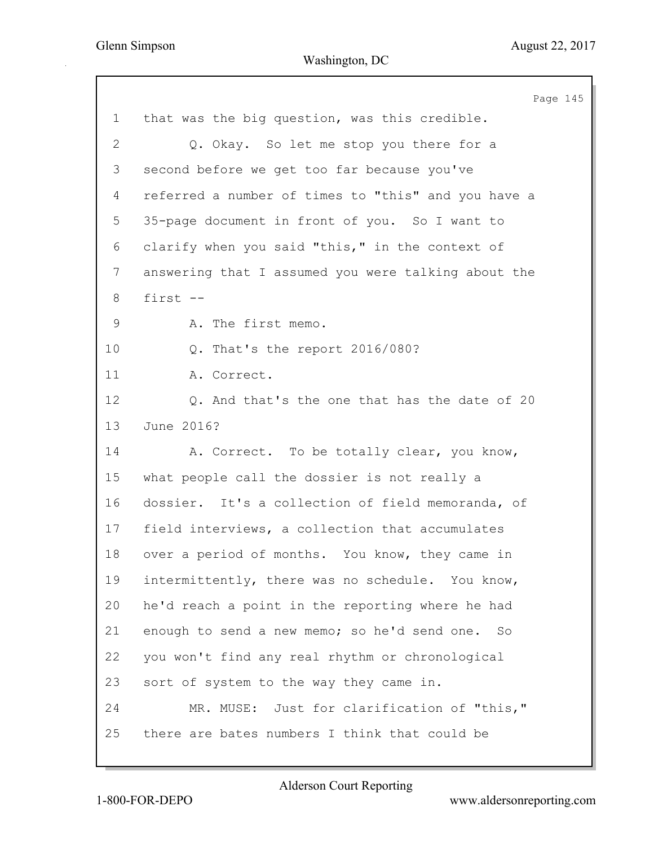|             | Page 145                                            |
|-------------|-----------------------------------------------------|
| $\mathbf 1$ | that was the big question, was this credible.       |
| 2           | Q. Okay. So let me stop you there for a             |
| 3           | second before we get too far because you've         |
| 4           | referred a number of times to "this" and you have a |
| 5           | 35-page document in front of you. So I want to      |
| 6           | clarify when you said "this," in the context of     |
| 7           | answering that I assumed you were talking about the |
| 8           | first --                                            |
| 9           | A. The first memo.                                  |
| 10          | Q. That's the report 2016/080?                      |
| 11          | A. Correct.                                         |
| 12          | Q. And that's the one that has the date of 20       |
| 13          | June 2016?                                          |
| 14          | A. Correct. To be totally clear, you know,          |
| 15          | what people call the dossier is not really a        |
| 16          | dossier. It's a collection of field memoranda, of   |
| 17          | field interviews, a collection that accumulates     |
| 18          | over a period of months. You know, they came in     |
| 19          | intermittently, there was no schedule. You know,    |
| 20          | he'd reach a point in the reporting where he had    |
| 21          | enough to send a new memo; so he'd send one. So     |
| 22          | you won't find any real rhythm or chronological     |
| 23          | sort of system to the way they came in.             |
| 24          | MR. MUSE: Just for clarification of "this,"         |
| 25          | there are bates numbers I think that could be       |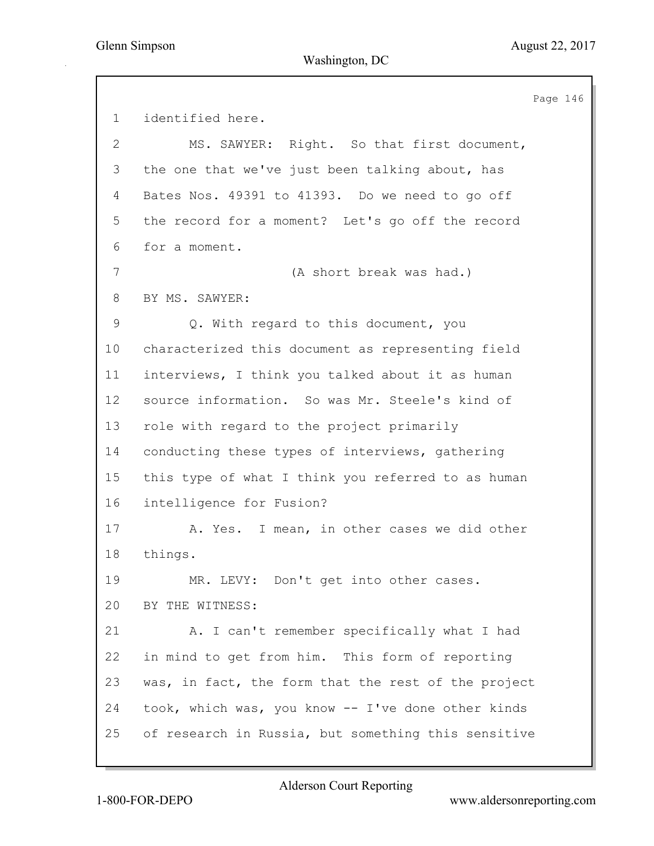Page 146 1 identified here. 2 MS. SAWYER: Right. So that first document, 3 the one that we've just been talking about, has 4 Bates Nos. 49391 to 41393. Do we need to go off 5 the record for a moment? Let's go off the record 6 for a moment. 7 (A short break was had.) 8 BY MS. SAWYER: 9 Q. With regard to this document, you 10 characterized this document as representing field 11 interviews, I think you talked about it as human 12 source information. So was Mr. Steele's kind of 13 role with regard to the project primarily 14 conducting these types of interviews, gathering 15 this type of what I think you referred to as human 16 intelligence for Fusion? 17 A. Yes. I mean, in other cases we did other 18 things. 19 MR. LEVY: Don't get into other cases. 20 BY THE WITNESS: 21 A. I can't remember specifically what I had 22 in mind to get from him. This form of reporting 23 was, in fact, the form that the rest of the project 24 took, which was, you know -- I've done other kinds 25 of research in Russia, but something this sensitive

Alderson Court Reporting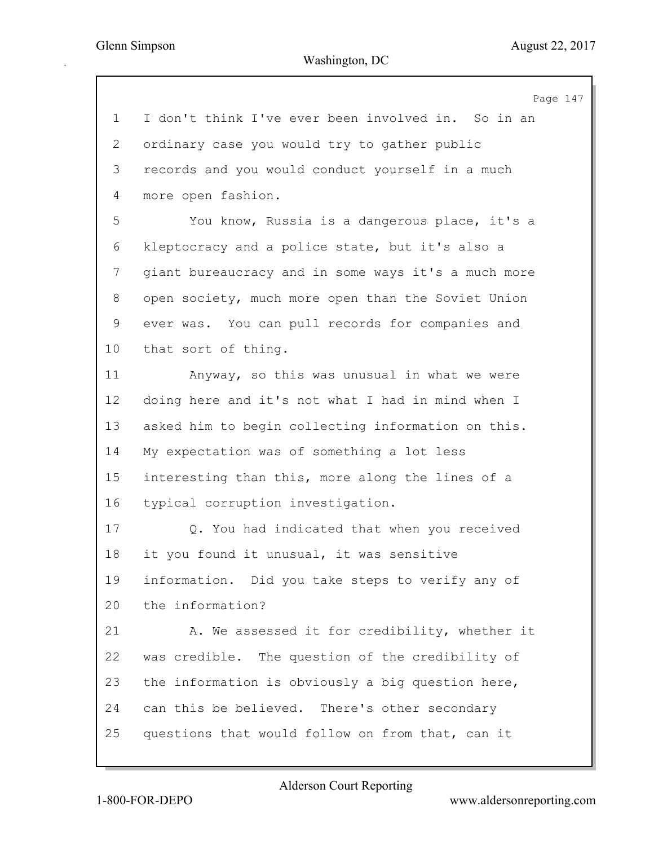Page 147 1 I don't think I've ever been involved in. So in an 2 ordinary case you would try to gather public 3 records and you would conduct yourself in a much 4 more open fashion. 5 You know, Russia is a dangerous place, it's a 6 kleptocracy and a police state, but it's also a 7 giant bureaucracy and in some ways it's a much more 8 open society, much more open than the Soviet Union 9 ever was. You can pull records for companies and 10 that sort of thing. 11 Anyway, so this was unusual in what we were 12 doing here and it's not what I had in mind when I 13 asked him to begin collecting information on this. 14 My expectation was of something a lot less 15 interesting than this, more along the lines of a 16 typical corruption investigation. 17 Q. You had indicated that when you received 18 it you found it unusual, it was sensitive 19 information. Did you take steps to verify any of 20 the information? 21 A. We assessed it for credibility, whether it 22 was credible. The question of the credibility of 23 the information is obviously a big question here, 24 can this be believed. There's other secondary 25 questions that would follow on from that, can it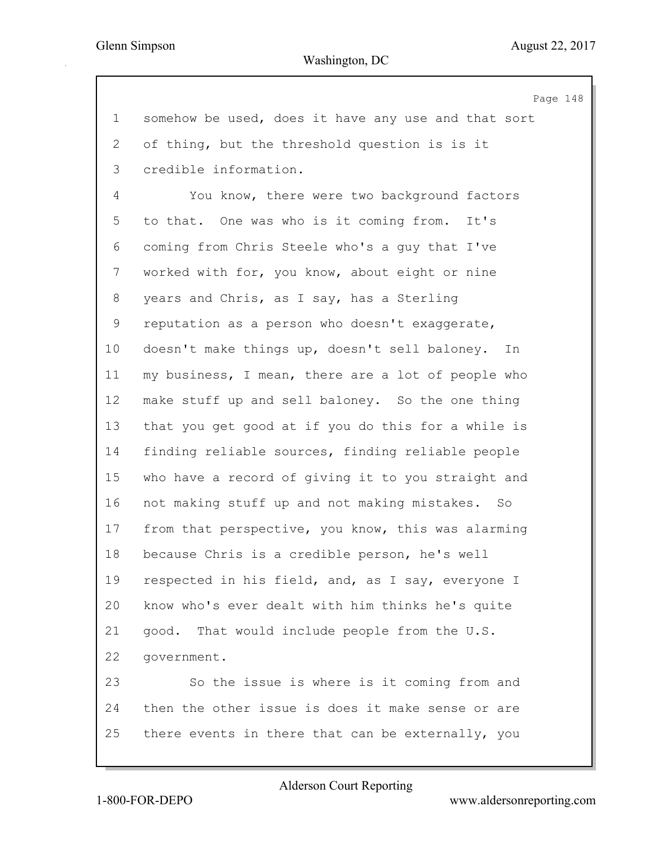Page 148 1 somehow be used, does it have any use and that sort 2 of thing, but the threshold question is is it 3 credible information. 4 You know, there were two background factors 5 to that. One was who is it coming from. It's 6 coming from Chris Steele who's a guy that I've 7 worked with for, you know, about eight or nine 8 years and Chris, as I say, has a Sterling 9 reputation as a person who doesn't exaggerate, 10 doesn't make things up, doesn't sell baloney. In 11 my business, I mean, there are a lot of people who 12 make stuff up and sell baloney. So the one thing 13 that you get good at if you do this for a while is 14 finding reliable sources, finding reliable people 15 who have a record of giving it to you straight and 16 not making stuff up and not making mistakes. So 17 from that perspective, you know, this was alarming 18 because Chris is a credible person, he's well 19 respected in his field, and, as I say, everyone I 20 know who's ever dealt with him thinks he's quite 21 good. That would include people from the U.S. 22 government. 23 So the issue is where is it coming from and 24 then the other issue is does it make sense or are 25 there events in there that can be externally, you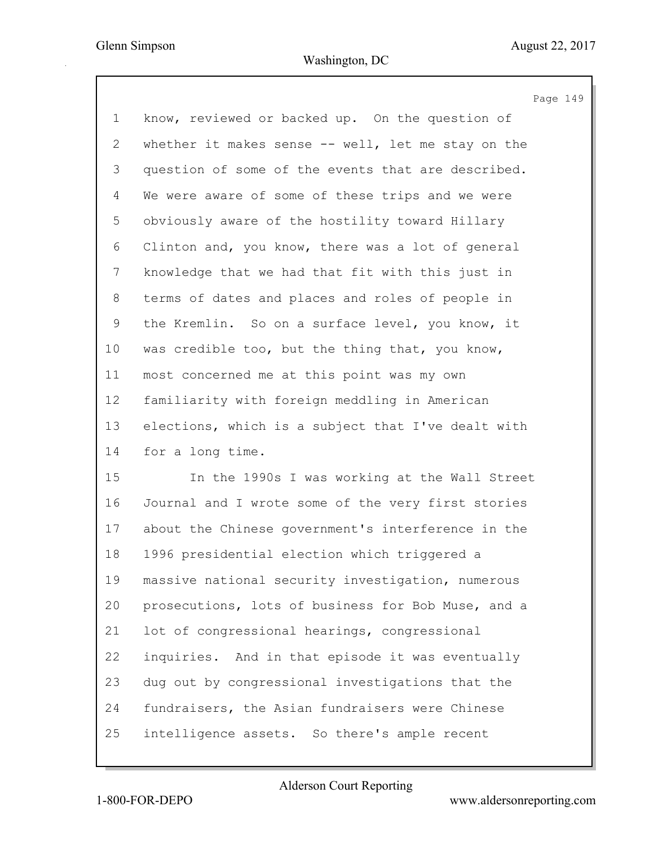|                 | Page 149                                           |
|-----------------|----------------------------------------------------|
| $\mathbf 1$     | know, reviewed or backed up. On the question of    |
| $\overline{2}$  | whether it makes sense -- well, let me stay on the |
| 3               | question of some of the events that are described. |
| 4               | We were aware of some of these trips and we were   |
| 5               | obviously aware of the hostility toward Hillary    |
| 6               | Clinton and, you know, there was a lot of general  |
| 7               | knowledge that we had that fit with this just in   |
| 8               | terms of dates and places and roles of people in   |
| 9               | the Kremlin. So on a surface level, you know, it   |
| 10              | was credible too, but the thing that, you know,    |
| 11              | most concerned me at this point was my own         |
| 12 <sup>°</sup> | familiarity with foreign meddling in American      |
| 13              | elections, which is a subject that I've dealt with |
| 14              | for a long time.                                   |
| 15              | In the 1990s I was working at the Wall Street      |
| 16              | Journal and I wrote some of the very first stories |
| 17              | about the Chinese government's interference in the |
| 18              | 1996 presidential election which triggered a       |
| 19              | massive national security investigation, numerous  |
| 20              | prosecutions, lots of business for Bob Muse, and a |
| 21              | lot of congressional hearings, congressional       |
| 22              | inquiries. And in that episode it was eventually   |
| 23              | dug out by congressional investigations that the   |
| 24              | fundraisers, the Asian fundraisers were Chinese    |
| 25              | intelligence assets. So there's ample recent       |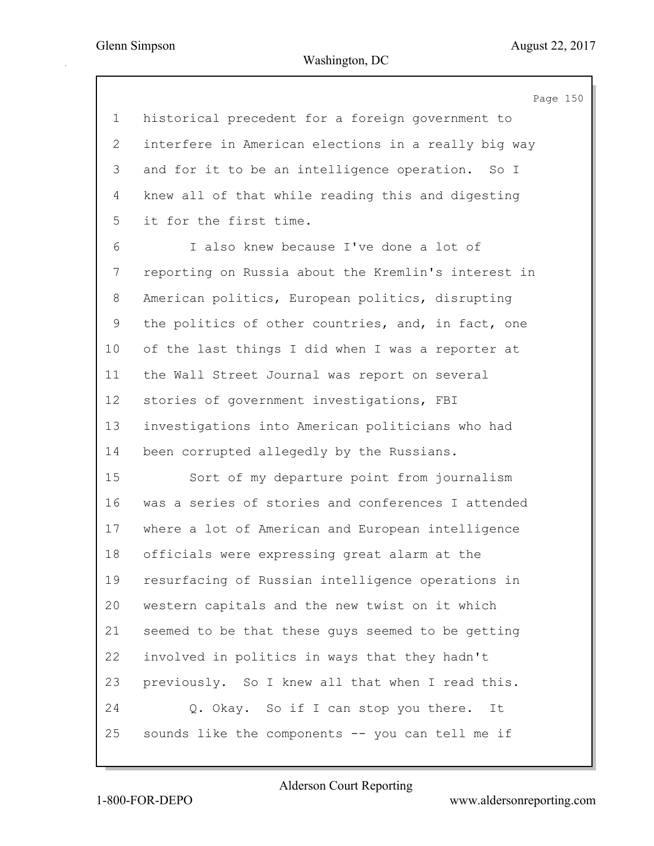Page 150 1 historical precedent for a foreign government to 2 interfere in American elections in a really big way 3 and for it to be an intelligence operation. So I 4 knew all of that while reading this and digesting 5 it for the first time. 6 I also knew because I've done a lot of 7 reporting on Russia about the Kremlin's interest in 8 American politics, European politics, disrupting 9 the politics of other countries, and, in fact, one 10 of the last things I did when I was a reporter at 11 the Wall Street Journal was report on several 12 stories of government investigations, FBI 13 investigations into American politicians who had 14 been corrupted allegedly by the Russians. 15 Sort of my departure point from journalism 16 was a series of stories and conferences I attended 17 where a lot of American and European intelligence 18 officials were expressing great alarm at the 19 resurfacing of Russian intelligence operations in 20 western capitals and the new twist on it which 21 seemed to be that these guys seemed to be getting 22 involved in politics in ways that they hadn't 23 previously. So I knew all that when I read this. 24 Q. Okay. So if I can stop you there. It 25 sounds like the components -- you can tell me if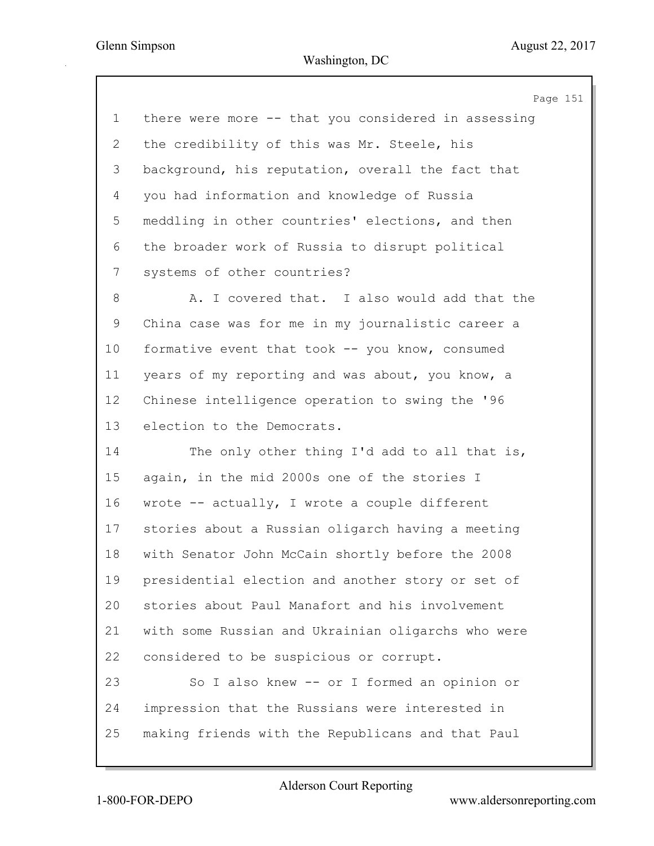Page 151 1 there were more -- that you considered in assessing 2 the credibility of this was Mr. Steele, his 3 background, his reputation, overall the fact that 4 you had information and knowledge of Russia 5 meddling in other countries' elections, and then 6 the broader work of Russia to disrupt political 7 systems of other countries? 8 A. I covered that. I also would add that the 9 China case was for me in my journalistic career a 10 formative event that took -- you know, consumed 11 years of my reporting and was about, you know, a 12 Chinese intelligence operation to swing the '96 13 election to the Democrats. 14 The only other thing I'd add to all that is, 15 again, in the mid 2000s one of the stories I 16 wrote -- actually, I wrote a couple different 17 stories about a Russian oligarch having a meeting 18 with Senator John McCain shortly before the 2008 19 presidential election and another story or set of 20 stories about Paul Manafort and his involvement 21 with some Russian and Ukrainian oligarchs who were 22 considered to be suspicious or corrupt. 23 So I also knew -- or I formed an opinion or 24 impression that the Russians were interested in 25 making friends with the Republicans and that Paul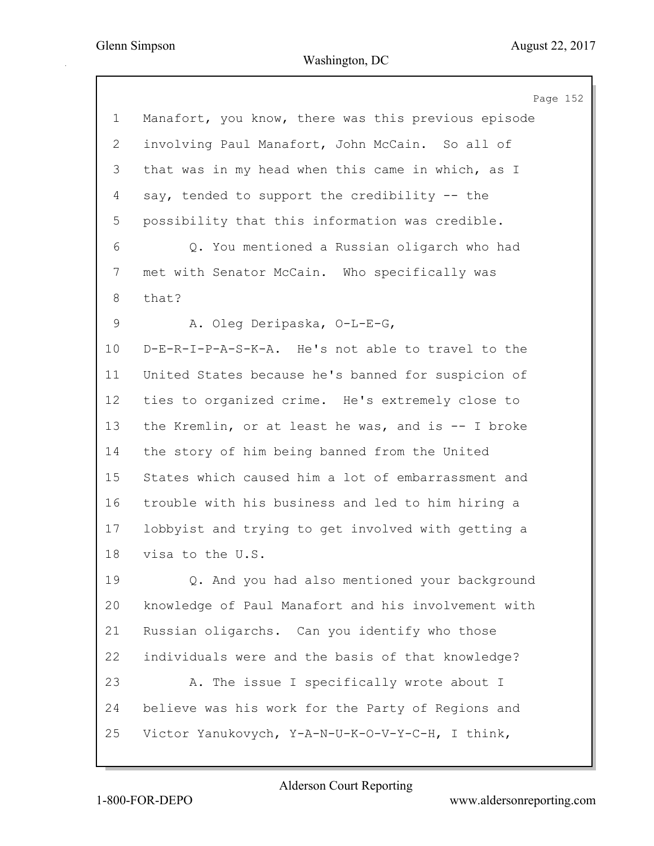|             | Page 152                                            |
|-------------|-----------------------------------------------------|
| $\mathbf 1$ | Manafort, you know, there was this previous episode |
| 2           | involving Paul Manafort, John McCain. So all of     |
| 3           | that was in my head when this came in which, as I   |
| 4           | say, tended to support the credibility -- the       |
| 5           | possibility that this information was credible.     |
| 6           | Q. You mentioned a Russian oligarch who had         |
| 7           | met with Senator McCain. Who specifically was       |
| 8           | that?                                               |
| 9           | A. Oleg Deripaska, O-L-E-G,                         |
| 10          | D-E-R-I-P-A-S-K-A. He's not able to travel to the   |
| 11          | United States because he's banned for suspicion of  |
| 12          | ties to organized crime. He's extremely close to    |
| 13          | the Kremlin, or at least he was, and is $-$ I broke |
| 14          | the story of him being banned from the United       |
| 15          | States which caused him a lot of embarrassment and  |
| 16          | trouble with his business and led to him hiring a   |
| 17          | lobbyist and trying to get involved with getting a  |
| 18          | visa to the U.S.                                    |
| 19          | Q. And you had also mentioned your background       |
| 20          | knowledge of Paul Manafort and his involvement with |
| 21          | Russian oligarchs. Can you identify who those       |
| 22          | individuals were and the basis of that knowledge?   |
| 23          | A. The issue I specifically wrote about I           |
| 24          | believe was his work for the Party of Regions and   |
| 25          | Victor Yanukovych, Y-A-N-U-K-O-V-Y-C-H, I think,    |
|             |                                                     |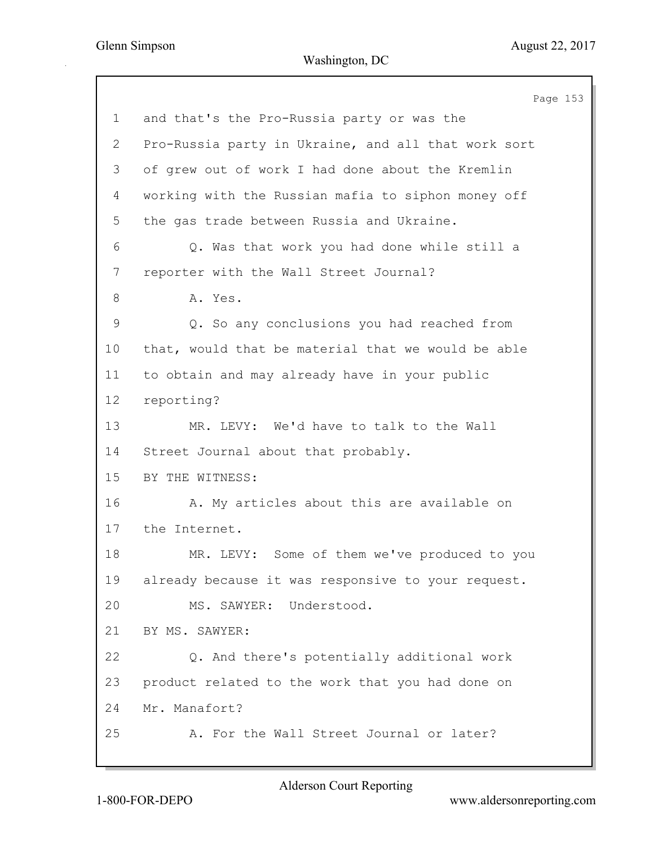Page 153 1 and that's the Pro-Russia party or was the 2 Pro-Russia party in Ukraine, and all that work sort 3 of grew out of work I had done about the Kremlin 4 working with the Russian mafia to siphon money off 5 the gas trade between Russia and Ukraine. 6 Q. Was that work you had done while still a 7 reporter with the Wall Street Journal? 8 A. Yes. 9 Q. So any conclusions you had reached from 10 that, would that be material that we would be able 11 to obtain and may already have in your public 12 reporting? 13 MR. LEVY: We'd have to talk to the Wall 14 Street Journal about that probably. 15 BY THE WITNESS: 16 A. My articles about this are available on 17 the Internet. 18 MR. LEVY: Some of them we've produced to you 19 already because it was responsive to your request. 20 MS. SAWYER: Understood. 21 BY MS. SAWYER: 22 Q. And there's potentially additional work 23 product related to the work that you had done on 24 Mr. Manafort? 25 A. For the Wall Street Journal or later?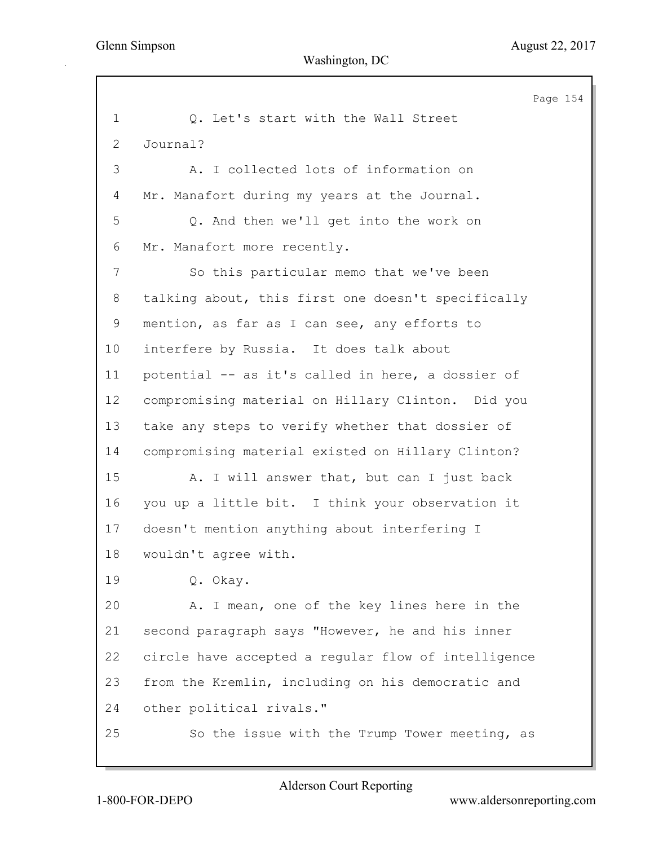Page 154 1 O. Let's start with the Wall Street 2 Journal? 3 A. I collected lots of information on 4 Mr. Manafort during my years at the Journal. 5 Q. And then we'll get into the work on 6 Mr. Manafort more recently. 7 So this particular memo that we've been 8 talking about, this first one doesn't specifically 9 mention, as far as I can see, any efforts to 10 interfere by Russia. It does talk about 11 potential -- as it's called in here, a dossier of 12 compromising material on Hillary Clinton. Did you 13 take any steps to verify whether that dossier of 14 compromising material existed on Hillary Clinton? 15 A. I will answer that, but can I just back 16 you up a little bit. I think your observation it 17 doesn't mention anything about interfering I 18 wouldn't agree with. 19 Q. Okay. 20 A. I mean, one of the key lines here in the 21 second paragraph says "However, he and his inner 22 circle have accepted a regular flow of intelligence 23 from the Kremlin, including on his democratic and 24 other political rivals." 25 So the issue with the Trump Tower meeting, as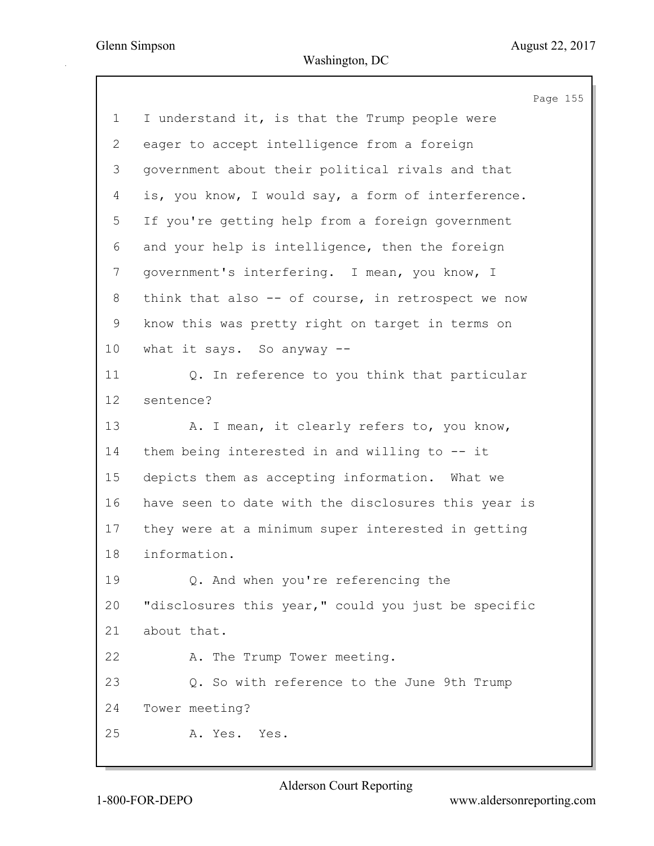|                | Page 155                                            |
|----------------|-----------------------------------------------------|
| $\mathbf{1}$   | I understand it, is that the Trump people were      |
| $\overline{2}$ | eager to accept intelligence from a foreign         |
| 3              | government about their political rivals and that    |
| 4              | is, you know, I would say, a form of interference.  |
| 5              | If you're getting help from a foreign government    |
| 6              | and your help is intelligence, then the foreign     |
| 7              | government's interfering. I mean, you know, I       |
| 8              | think that also -- of course, in retrospect we now  |
| 9              | know this was pretty right on target in terms on    |
| 10             | what it says. So anyway --                          |
| 11             | Q. In reference to you think that particular        |
| 12             | sentence?                                           |
| 13             | A. I mean, it clearly refers to, you know,          |
| 14             | them being interested in and willing to -- it       |
| 15             | depicts them as accepting information. What we      |
| 16             | have seen to date with the disclosures this year is |
| 17             | they were at a minimum super interested in getting  |
| 18             | information.                                        |
| 19             | Q. And when you're referencing the                  |
| 20             | "disclosures this year," could you just be specific |
| 21             | about that.                                         |
| 22             | A. The Trump Tower meeting.                         |
| 23             | Q. So with reference to the June 9th Trump          |
| 24             | Tower meeting?                                      |
| 25             | A. Yes. Yes.                                        |
|                |                                                     |

1-800-FOR-DEPO www.aldersonreporting.com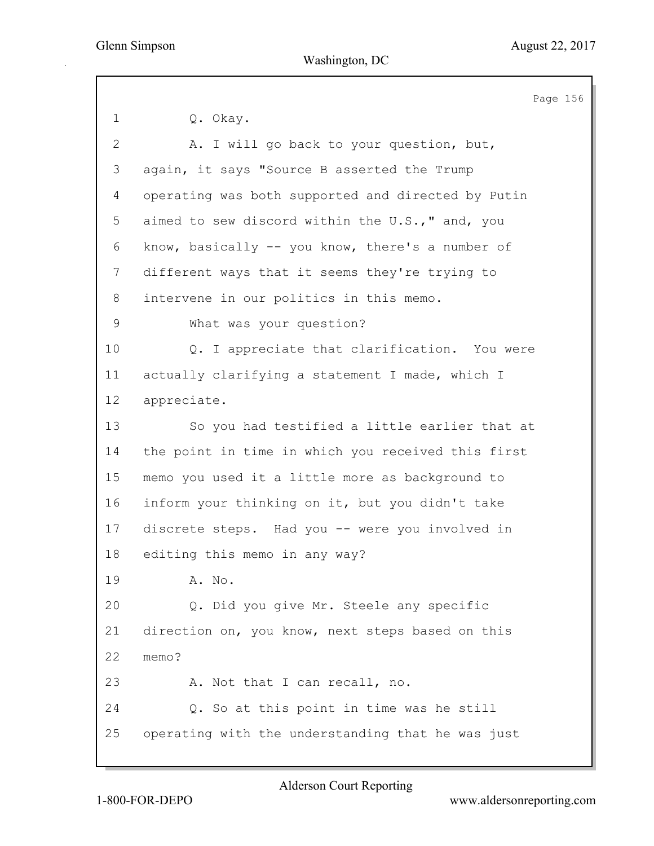Page 156 1 Q. Okay. 2 A. I will go back to your question, but, 3 again, it says "Source B asserted the Trump 4 operating was both supported and directed by Putin 5 aimed to sew discord within the U.S.," and, you 6 know, basically -- you know, there's a number of 7 different ways that it seems they're trying to 8 intervene in our politics in this memo. 9 What was your question? 10 Q. I appreciate that clarification. You were 11 actually clarifying a statement I made, which I 12 appreciate. 13 So you had testified a little earlier that at 14 the point in time in which you received this first 15 memo you used it a little more as background to 16 inform your thinking on it, but you didn't take 17 discrete steps. Had you -- were you involved in 18 editing this memo in any way? 19 A. No. 20 Q. Did you give Mr. Steele any specific 21 direction on, you know, next steps based on this 22 memo? 23 A. Not that I can recall, no. 24 Q. So at this point in time was he still 25 operating with the understanding that he was just

Alderson Court Reporting

1-800-FOR-DEPO www.aldersonreporting.com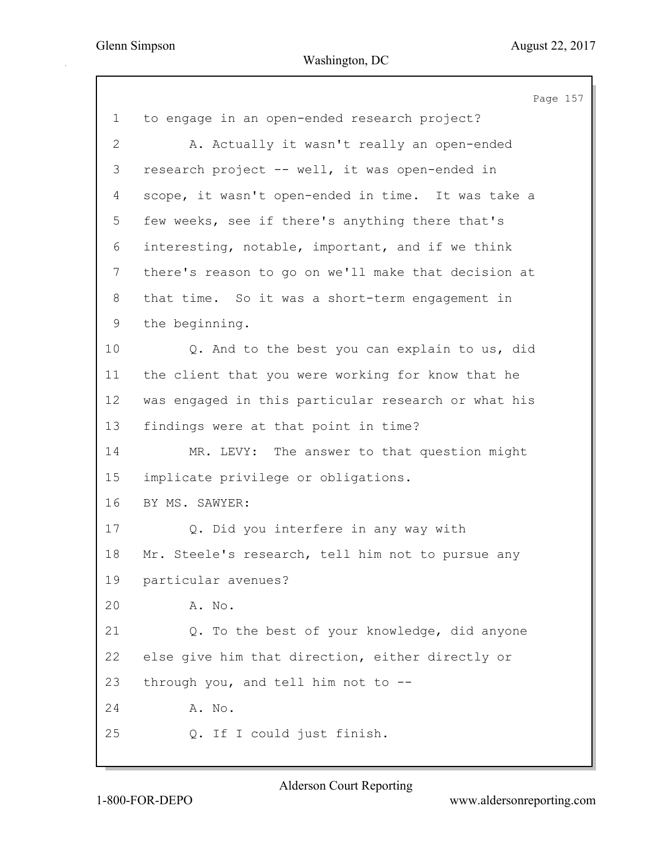|                | Page 157                                            |
|----------------|-----------------------------------------------------|
| $\mathbf 1$    | to engage in an open-ended research project?        |
| $\overline{2}$ | A. Actually it wasn't really an open-ended          |
| 3              | research project -- well, it was open-ended in      |
| 4              | scope, it wasn't open-ended in time. It was take a  |
| 5              | few weeks, see if there's anything there that's     |
| 6              | interesting, notable, important, and if we think    |
| 7              | there's reason to go on we'll make that decision at |
| 8              | that time. So it was a short-term engagement in     |
| 9              | the beginning.                                      |
| 10             | Q. And to the best you can explain to us, did       |
| 11             | the client that you were working for know that he   |
| 12             | was engaged in this particular research or what his |
| 13             | findings were at that point in time?                |
| 14             | MR. LEVY: The answer to that question might         |
| 15             | implicate privilege or obligations.                 |
| 16             | BY MS. SAWYER:                                      |
| 17             | Q. Did you interfere in any way with                |
| 18             | Mr. Steele's research, tell him not to pursue any   |
| 19             | particular avenues?                                 |
| 20             | A. No.                                              |
| 21             | Q. To the best of your knowledge, did anyone        |
| 22             | else give him that direction, either directly or    |
| 23             | through you, and tell him not to --                 |
| 24             | A. No.                                              |
| 25             | Q. If I could just finish.                          |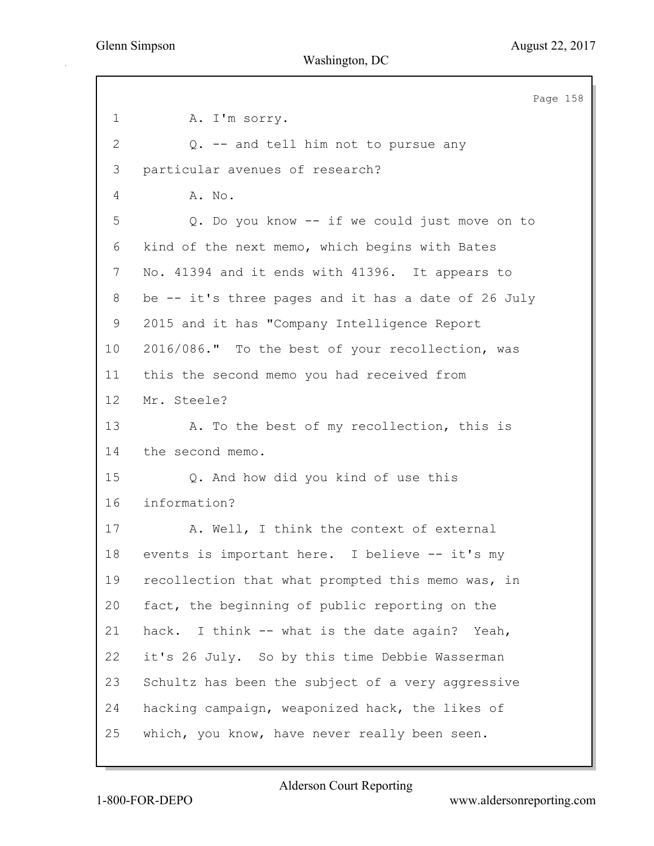Page 158 1 A. I'm sorry. 2 Q. -- and tell him not to pursue any 3 particular avenues of research? 4 A. No. 5 Q. Do you know -- if we could just move on to 6 kind of the next memo, which begins with Bates 7 No. 41394 and it ends with 41396. It appears to 8 be -- it's three pages and it has a date of 26 July 9 2015 and it has "Company Intelligence Report 10 2016/086." To the best of your recollection, was 11 this the second memo you had received from 12 Mr. Steele? 13 A. To the best of my recollection, this is 14 the second memo. 15 Q. And how did you kind of use this 16 information? 17 A. Well, I think the context of external 18 events is important here. I believe -- it's my 19 recollection that what prompted this memo was, in 20 fact, the beginning of public reporting on the 21 hack. I think -- what is the date again? Yeah, 22 it's 26 July. So by this time Debbie Wasserman 23 Schultz has been the subject of a very aggressive 24 hacking campaign, weaponized hack, the likes of 25 which, you know, have never really been seen.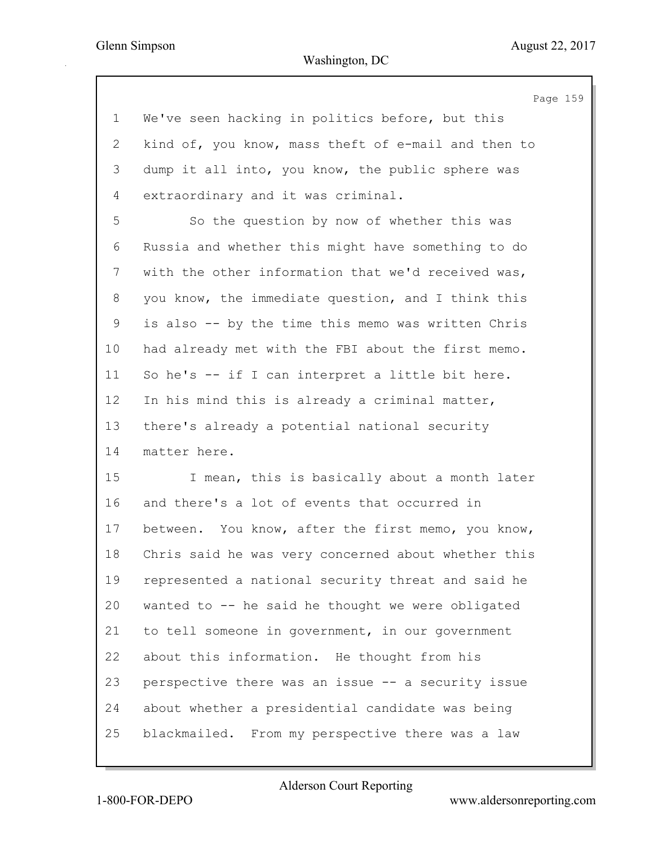Page 159 1 We've seen hacking in politics before, but this 2 kind of, you know, mass theft of e-mail and then to 3 dump it all into, you know, the public sphere was 4 extraordinary and it was criminal. 5 So the question by now of whether this was 6 Russia and whether this might have something to do 7 with the other information that we'd received was, 8 you know, the immediate question, and I think this 9 is also -- by the time this memo was written Chris 10 had already met with the FBI about the first memo. 11 So he's -- if I can interpret a little bit here. 12 In his mind this is already a criminal matter, 13 there's already a potential national security 14 matter here. 15 I mean, this is basically about a month later 16 and there's a lot of events that occurred in 17 between. You know, after the first memo, you know, 18 Chris said he was very concerned about whether this 19 represented a national security threat and said he 20 wanted to -- he said he thought we were obligated 21 to tell someone in government, in our government 22 about this information. He thought from his 23 perspective there was an issue -- a security issue

24 about whether a presidential candidate was being 25 blackmailed. From my perspective there was a law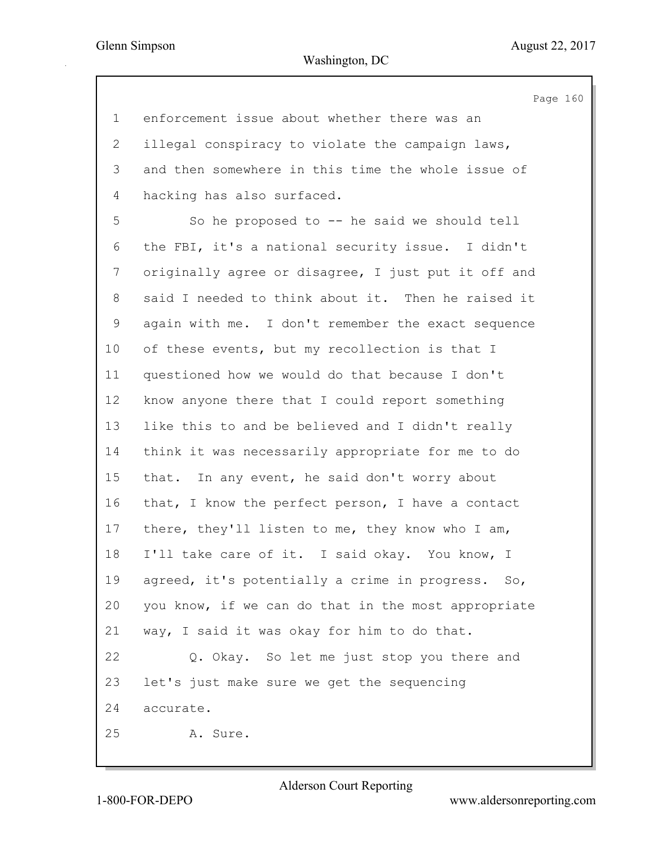160

|             | Page                                                |
|-------------|-----------------------------------------------------|
| $\mathbf 1$ | enforcement issue about whether there was an        |
| 2           | illegal conspiracy to violate the campaign laws,    |
| 3           | and then somewhere in this time the whole issue of  |
| 4           | hacking has also surfaced.                          |
| 5           | So he proposed to -- he said we should tell         |
| 6           | the FBI, it's a national security issue. I didn't   |
| 7           | originally agree or disagree, I just put it off and |
| 8           | said I needed to think about it. Then he raised it  |
| 9           | again with me. I don't remember the exact sequence  |
| 10          | of these events, but my recollection is that I      |
| 11          | questioned how we would do that because I don't     |
| 12          | know anyone there that I could report something     |
| 13          | like this to and be believed and I didn't really    |
| 14          | think it was necessarily appropriate for me to do   |
| 15          | that. In any event, he said don't worry about       |
| 16          | that, I know the perfect person, I have a contact   |
| 17          | there, they'll listen to me, they know who I am,    |
| 18          | I'll take care of it. I said okay. You know, I      |
| 19          | agreed, it's potentially a crime in progress. So,   |
| 20          | you know, if we can do that in the most appropriate |
| 21          | way, I said it was okay for him to do that.         |
| 22          | Q. Okay. So let me just stop you there and          |
| 23          | let's just make sure we get the sequencing          |
| 24          | accurate.                                           |
| 25          | A. Sure.                                            |
|             |                                                     |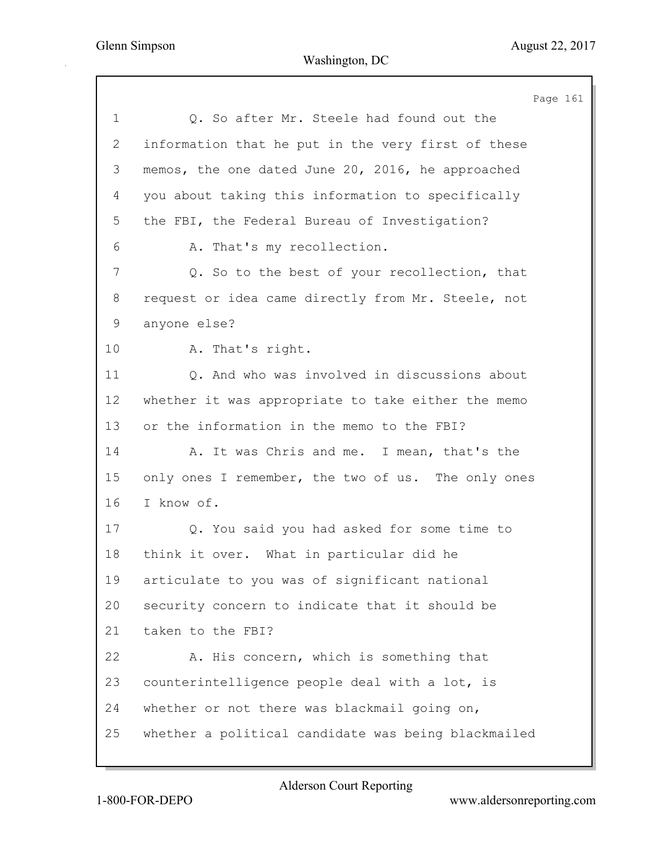Page 161 1 Q. So after Mr. Steele had found out the 2 information that he put in the very first of these 3 memos, the one dated June 20, 2016, he approached 4 you about taking this information to specifically 5 the FBI, the Federal Bureau of Investigation? 6 A. That's my recollection. 7 Q. So to the best of your recollection, that 8 request or idea came directly from Mr. Steele, not 9 anyone else? 10 A. That's right. 11 Q. And who was involved in discussions about 12 whether it was appropriate to take either the memo 13 or the information in the memo to the FBI? 14 A. It was Chris and me. I mean, that's the 15 only ones I remember, the two of us. The only ones 16 I know of. 17 Q. You said you had asked for some time to 18 think it over. What in particular did he 19 articulate to you was of significant national 20 security concern to indicate that it should be 21 taken to the FBI? 22 A. His concern, which is something that 23 counterintelligence people deal with a lot, is 24 whether or not there was blackmail going on, 25 whether a political candidate was being blackmailed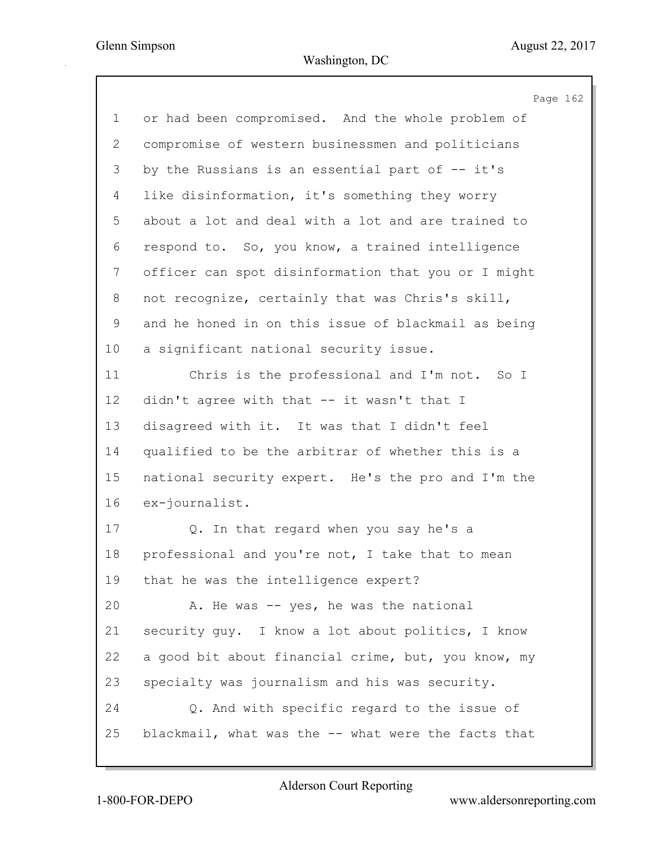| $\mathbf 1$    | or had been compromised. And the whole problem of   |
|----------------|-----------------------------------------------------|
| $\overline{2}$ | compromise of western businessmen and politicians   |
| 3              | by the Russians is an essential part of -- it's     |
| 4              | like disinformation, it's something they worry      |
| 5              | about a lot and deal with a lot and are trained to  |
| 6              | respond to. So, you know, a trained intelligence    |
| $\overline{7}$ | officer can spot disinformation that you or I might |
| 8              | not recognize, certainly that was Chris's skill,    |
| 9              | and he honed in on this issue of blackmail as being |
| 10             | a significant national security issue.              |
| 11             | Chris is the professional and I'm not. So I         |
| 12             | didn't agree with that -- it wasn't that I          |
| 13             | disagreed with it. It was that I didn't feel        |
| 14             | qualified to be the arbitrar of whether this is a   |
| 15             | national security expert. He's the pro and I'm the  |
| 16             | ex-journalist.                                      |
| 17             | Q. In that regard when you say he's a               |
| 18             | professional and you're not, I take that to mean    |
| 19             | that he was the intelligence expert?                |
| 20             | A. He was -- yes, he was the national               |
| 21             | security guy. I know a lot about politics, I know   |
| 22             | a good bit about financial crime, but, you know, my |
| 23             | specialty was journalism and his was security.      |
| 24             | Q. And with specific regard to the issue of         |
| 25             | blackmail, what was the -- what were the facts that |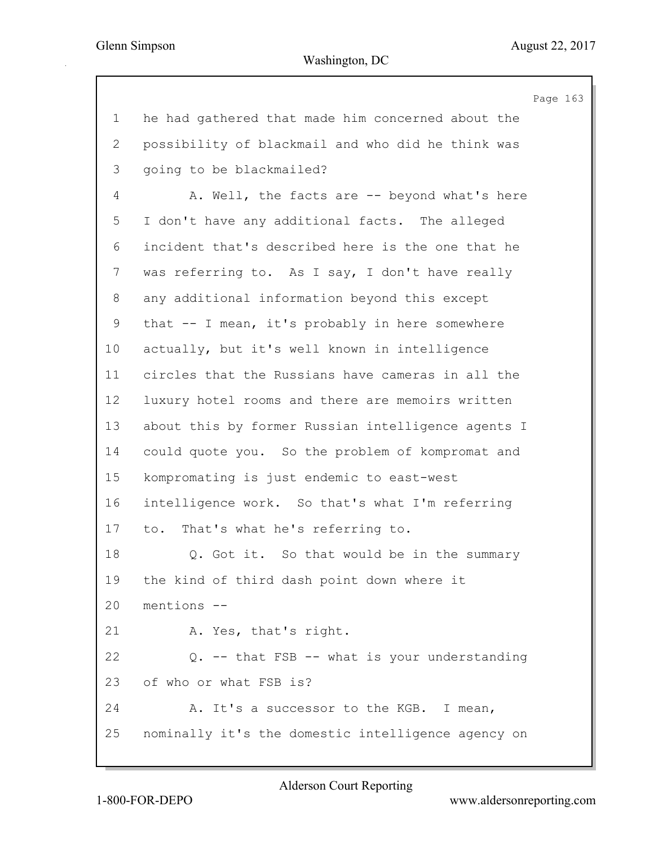Page 163 1 he had gathered that made him concerned about the 2 possibility of blackmail and who did he think was 3 going to be blackmailed? 4 A. Well, the facts are -- beyond what's here 5 I don't have any additional facts. The alleged 6 incident that's described here is the one that he 7 was referring to. As I say, I don't have really 8 any additional information beyond this except 9 that -- I mean, it's probably in here somewhere 10 actually, but it's well known in intelligence 11 circles that the Russians have cameras in all the 12 luxury hotel rooms and there are memoirs written 13 about this by former Russian intelligence agents I 14 could quote you. So the problem of kompromat and 15 kompromating is just endemic to east-west 16 intelligence work. So that's what I'm referring 17 to. That's what he's referring to. 18 Q. Got it. So that would be in the summary 19 the kind of third dash point down where it 20 mentions -- 21 A. Yes, that's right. 22 Q. -- that FSB -- what is your understanding 23 of who or what FSB is? 24 A. It's a successor to the KGB. I mean, 25 nominally it's the domestic intelligence agency on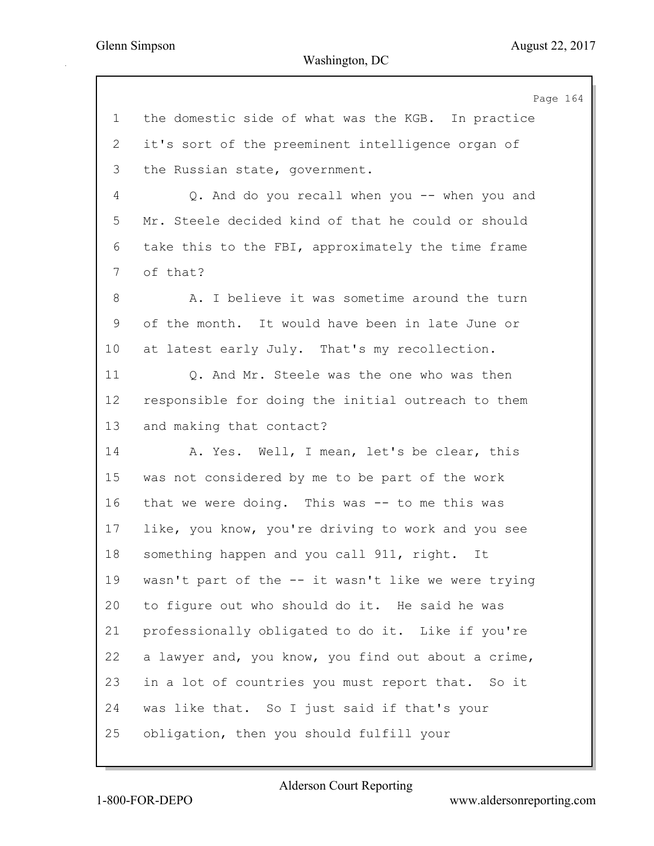|             | Page 164                                            |
|-------------|-----------------------------------------------------|
| $\mathbf 1$ | the domestic side of what was the KGB. In practice  |
| 2           | it's sort of the preeminent intelligence organ of   |
| 3           | the Russian state, government.                      |
| 4           | Q. And do you recall when you -- when you and       |
| 5           | Mr. Steele decided kind of that he could or should  |
| 6           | take this to the FBI, approximately the time frame  |
| 7           | of that?                                            |
| 8           | A. I believe it was sometime around the turn        |
| 9           | of the month. It would have been in late June or    |
| 10          | at latest early July. That's my recollection.       |
| 11          | Q. And Mr. Steele was the one who was then          |
| 12          | responsible for doing the initial outreach to them  |
| 13          | and making that contact?                            |
| 14          | A. Yes. Well, I mean, let's be clear, this          |
| 15          | was not considered by me to be part of the work     |
| 16          | that we were doing. This was -- to me this was      |
| 17          | like, you know, you're driving to work and you see  |
| 18          | something happen and you call 911, right.<br>It     |
| 19          | wasn't part of the -- it wasn't like we were trying |
| 20          | to figure out who should do it. He said he was      |
| 21          | professionally obligated to do it. Like if you're   |
| 22          | a lawyer and, you know, you find out about a crime, |
| 23          | in a lot of countries you must report that. So it   |
| 24          | was like that. So I just said if that's your        |
| 25          | obligation, then you should fulfill your            |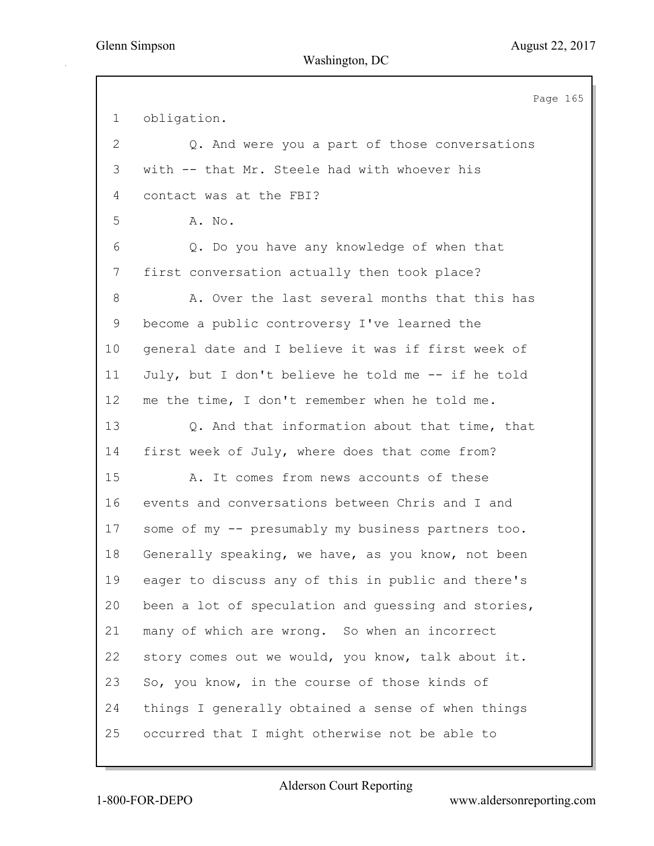Page 165 1 obligation. 2 Q. And were you a part of those conversations 3 with -- that Mr. Steele had with whoever his 4 contact was at the FBI? 5 A. No. 6 Q. Do you have any knowledge of when that 7 first conversation actually then took place? 8 A. Over the last several months that this has 9 become a public controversy I've learned the 10 general date and I believe it was if first week of 11 July, but I don't believe he told me -- if he told 12 me the time, I don't remember when he told me. 13 Q. And that information about that time, that 14 first week of July, where does that come from? 15 A. It comes from news accounts of these 16 events and conversations between Chris and I and 17 some of my -- presumably my business partners too. 18 Generally speaking, we have, as you know, not been 19 eager to discuss any of this in public and there's 20 been a lot of speculation and guessing and stories, 21 many of which are wrong. So when an incorrect 22 story comes out we would, you know, talk about it. 23 So, you know, in the course of those kinds of 24 things I generally obtained a sense of when things 25 occurred that I might otherwise not be able to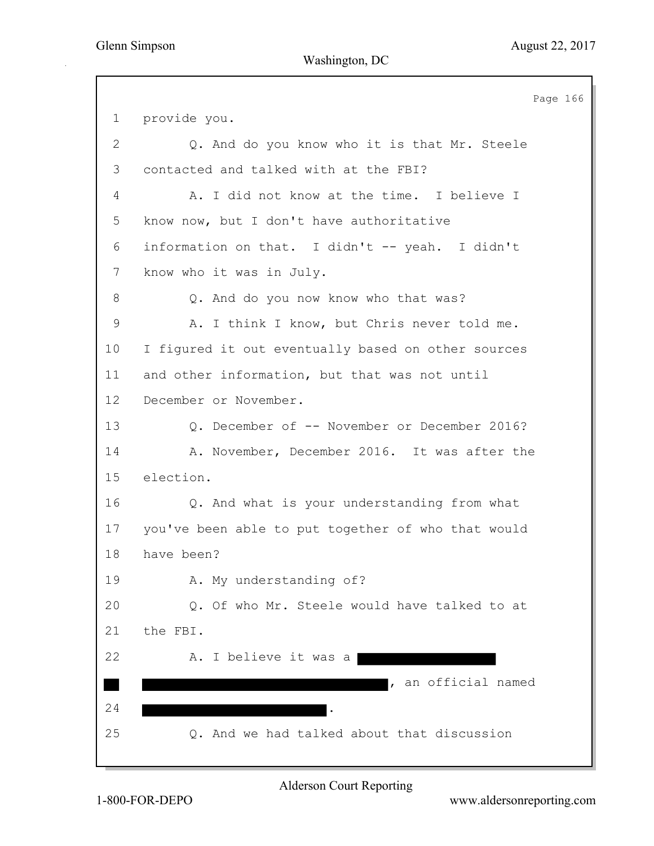|                | Page 166                                           |
|----------------|----------------------------------------------------|
| $\mathbf 1$    | provide you.                                       |
| $\overline{2}$ | Q. And do you know who it is that Mr. Steele       |
| 3              | contacted and talked with at the FBI?              |
| 4              | A. I did not know at the time. I believe I         |
| 5              | know now, but I don't have authoritative           |
| 6              | information on that. I didn't -- yeah. I didn't    |
| 7              | know who it was in July.                           |
| 8              | Q. And do you now know who that was?               |
| 9              | A. I think I know, but Chris never told me.        |
| 10             | I figured it out eventually based on other sources |
| 11             | and other information, but that was not until      |
| 12             | December or November.                              |
| 13             | Q. December of -- November or December 2016?       |
| 14             | A. November, December 2016. It was after the       |
| 15             | election.                                          |
| 16             | Q. And what is your understanding from what        |
| 17             | you've been able to put together of who that would |
| 18             | have been?                                         |
| 19             | A. My understanding of?                            |
| 20             | Q. Of who Mr. Steele would have talked to at       |
| 21             | the FBI.                                           |
| 22             | A. I believe it was a                              |
|                | an official named                                  |
| 24             | $\bullet$                                          |
| 25             | Q. And we had talked about that discussion         |
|                |                                                    |

Alderson Court Reporting

1-800-FOR-DEPO www.aldersonreporting.com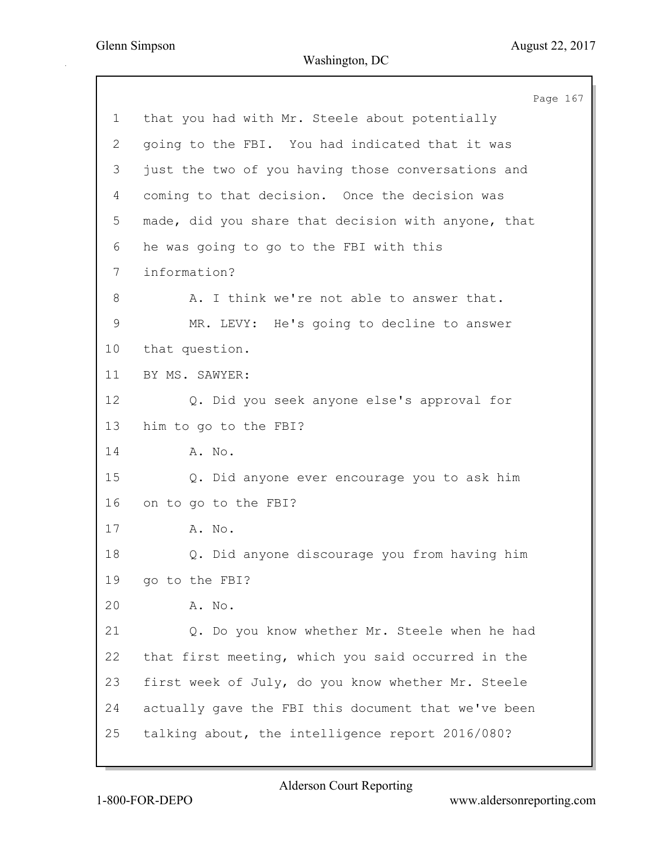|                | Page 167                                            |
|----------------|-----------------------------------------------------|
| $\mathbf 1$    | that you had with Mr. Steele about potentially      |
| $\overline{2}$ | going to the FBI. You had indicated that it was     |
| 3              | just the two of you having those conversations and  |
| 4              | coming to that decision. Once the decision was      |
| 5              | made, did you share that decision with anyone, that |
| 6              | he was going to go to the FBI with this             |
| 7              | information?                                        |
| 8              | A. I think we're not able to answer that.           |
| 9              | MR. LEVY: He's going to decline to answer           |
| 10             | that question.                                      |
| 11             | BY MS. SAWYER:                                      |
| 12             | Q. Did you seek anyone else's approval for          |
| 13             | him to go to the FBI?                               |
| 14             | A. No.                                              |
| 15             | Q. Did anyone ever encourage you to ask him         |
| 16             | on to go to the FBI?                                |
| 17             | A. No.                                              |
| 18             | Q. Did anyone discourage you from having him        |
| 19             | go to the FBI?                                      |
| 20             | A. No.                                              |
| 21             | Q. Do you know whether Mr. Steele when he had       |
| 22             | that first meeting, which you said occurred in the  |
| 23             | first week of July, do you know whether Mr. Steele  |
| 24             | actually gave the FBI this document that we've been |
| 25             | talking about, the intelligence report 2016/080?    |
|                |                                                     |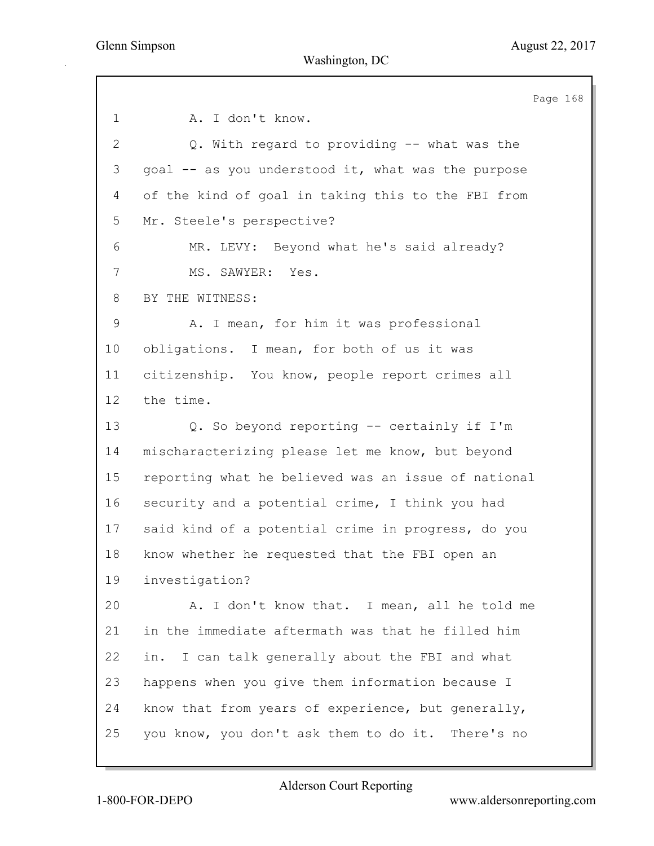Page 168 1 A. I don't know. 2 Q. With regard to providing -- what was the 3 goal -- as you understood it, what was the purpose 4 of the kind of goal in taking this to the FBI from 5 Mr. Steele's perspective? 6 MR. LEVY: Beyond what he's said already? 7 MS. SAWYER: Yes. 8 BY THE WITNESS: 9 A. I mean, for him it was professional 10 obligations. I mean, for both of us it was 11 citizenship. You know, people report crimes all 12 the time. 13 Q. So beyond reporting -- certainly if I'm 14 mischaracterizing please let me know, but beyond 15 reporting what he believed was an issue of national 16 security and a potential crime, I think you had 17 said kind of a potential crime in progress, do you 18 know whether he requested that the FBI open an 19 investigation? 20 A. I don't know that. I mean, all he told me 21 in the immediate aftermath was that he filled him 22 in. I can talk generally about the FBI and what 23 happens when you give them information because I 24 know that from years of experience, but generally, 25 you know, you don't ask them to do it. There's no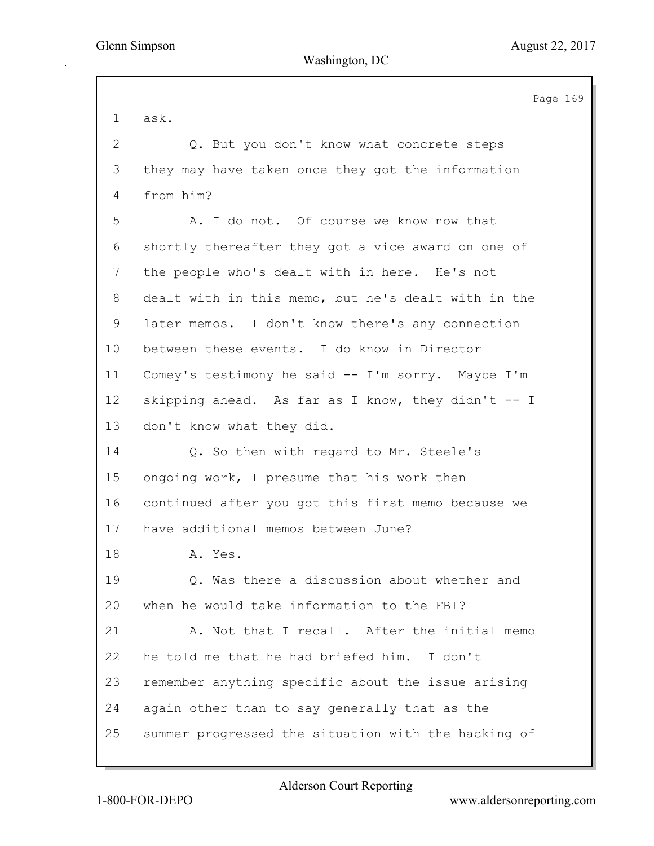Page 169 1 ask. 2 Q. But you don't know what concrete steps 3 they may have taken once they got the information 4 from him? 5 A. I do not. Of course we know now that 6 shortly thereafter they got a vice award on one of 7 the people who's dealt with in here. He's not 8 dealt with in this memo, but he's dealt with in the 9 later memos. I don't know there's any connection 10 between these events. I do know in Director 11 Comey's testimony he said -- I'm sorry. Maybe I'm 12 skipping ahead. As far as I know, they didn't -- I 13 don't know what they did. 14 Q. So then with regard to Mr. Steele's 15 ongoing work, I presume that his work then 16 continued after you got this first memo because we 17 have additional memos between June? 18 A. Yes. 19 Q. Was there a discussion about whether and 20 when he would take information to the FBI? 21 A. Not that I recall. After the initial memo 22 he told me that he had briefed him. I don't 23 remember anything specific about the issue arising 24 again other than to say generally that as the 25 summer progressed the situation with the hacking of

Alderson Court Reporting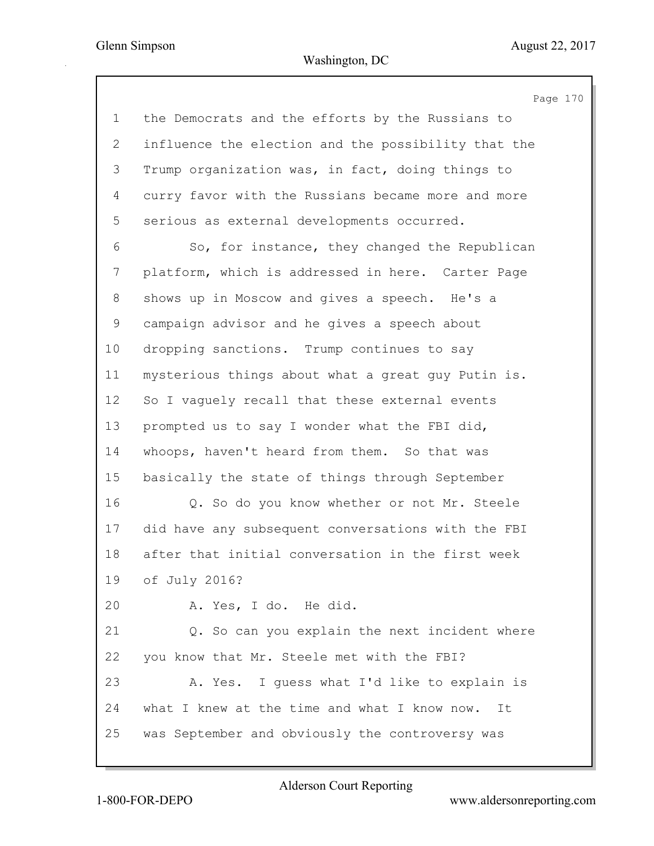Page 170 1 the Democrats and the efforts by the Russians to 2 influence the election and the possibility that the 3 Trump organization was, in fact, doing things to 4 curry favor with the Russians became more and more 5 serious as external developments occurred. 6 So, for instance, they changed the Republican 7 platform, which is addressed in here. Carter Page 8 shows up in Moscow and gives a speech. He's a 9 campaign advisor and he gives a speech about 10 dropping sanctions. Trump continues to say 11 mysterious things about what a great guy Putin is. 12 So I vaguely recall that these external events 13 prompted us to say I wonder what the FBI did, 14 whoops, haven't heard from them. So that was 15 basically the state of things through September 16 Q. So do you know whether or not Mr. Steele 17 did have any subsequent conversations with the FBI 18 after that initial conversation in the first week 19 of July 2016? 20 A. Yes, I do. He did. 21 Q. So can you explain the next incident where 22 you know that Mr. Steele met with the FBI? 23 A. Yes. I guess what I'd like to explain is 24 what I knew at the time and what I know now. It 25 was September and obviously the controversy was

1-800-FOR-DEPO www.aldersonreporting.com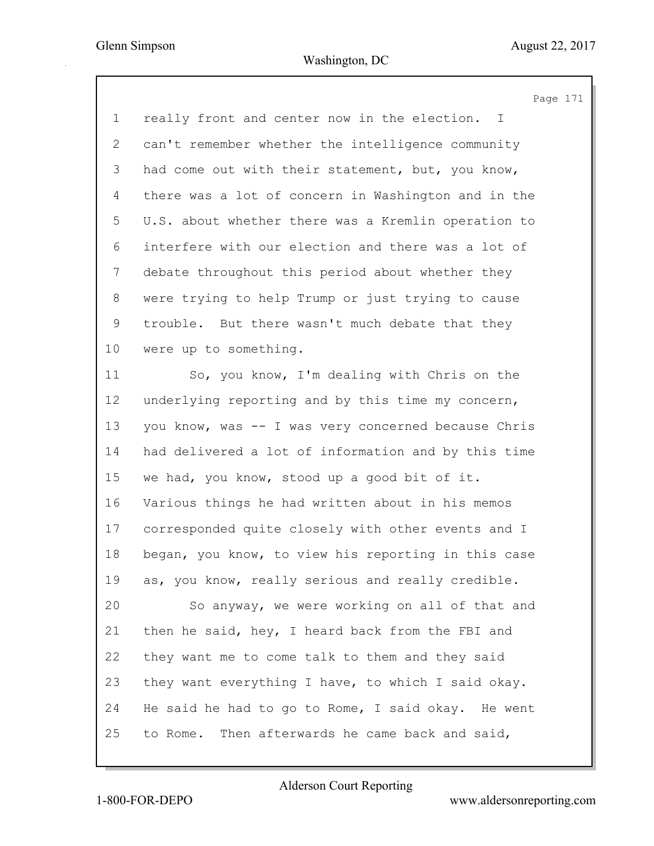|                | Page 171                                            |
|----------------|-----------------------------------------------------|
| $\mathbf 1$    | really front and center now in the election.<br>I.  |
| $\mathbf{2}$   | can't remember whether the intelligence community   |
| 3              | had come out with their statement, but, you know,   |
| 4              | there was a lot of concern in Washington and in the |
| 5              | U.S. about whether there was a Kremlin operation to |
| 6              | interfere with our election and there was a lot of  |
| $\overline{7}$ | debate throughout this period about whether they    |
| 8              | were trying to help Trump or just trying to cause   |
| 9              | trouble. But there wasn't much debate that they     |
| 10             | were up to something.                               |
| 11             | So, you know, I'm dealing with Chris on the         |
| 12             | underlying reporting and by this time my concern,   |
| 13             | you know, was -- I was very concerned because Chris |
| 14             | had delivered a lot of information and by this time |
| 15             | we had, you know, stood up a good bit of it.        |
| 16             | Various things he had written about in his memos    |
| 17             | corresponded quite closely with other events and I  |
| 18             | began, you know, to view his reporting in this case |
| 19             | as, you know, really serious and really credible.   |
| 20             | So anyway, we were working on all of that and       |
| 21             | then he said, hey, I heard back from the FBI and    |
| 22             | they want me to come talk to them and they said     |
| 23             | they want everything I have, to which I said okay.  |
| 24             | He said he had to go to Rome, I said okay. He went  |
| 25             | to Rome. Then afterwards he came back and said,     |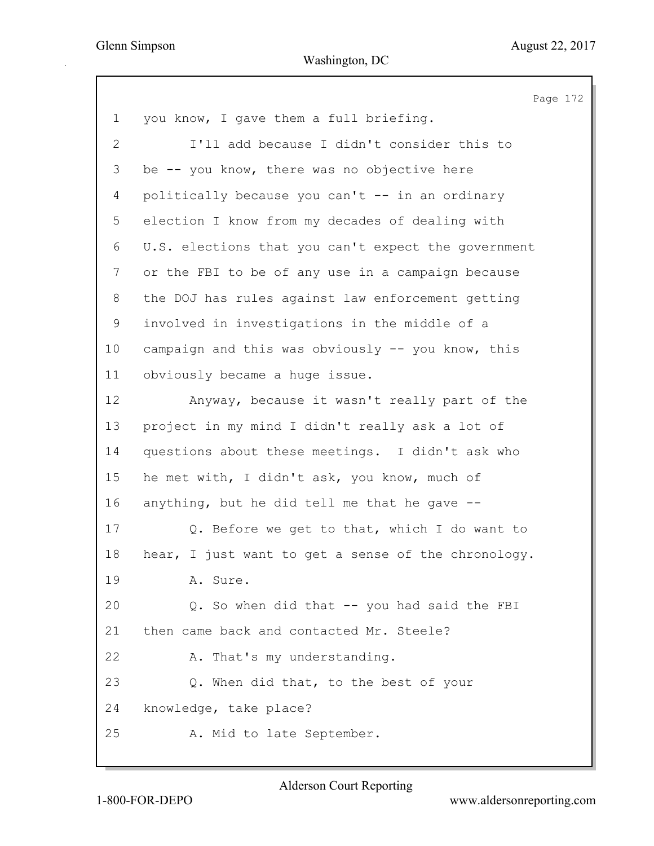| U.S. elections that you can't expect the government |  |
|-----------------------------------------------------|--|
|                                                     |  |
|                                                     |  |
|                                                     |  |
|                                                     |  |
|                                                     |  |
|                                                     |  |
|                                                     |  |
|                                                     |  |
|                                                     |  |
|                                                     |  |
|                                                     |  |
|                                                     |  |
|                                                     |  |
|                                                     |  |
|                                                     |  |
|                                                     |  |
|                                                     |  |
|                                                     |  |
|                                                     |  |
|                                                     |  |
|                                                     |  |
|                                                     |  |
|                                                     |  |
|                                                     |  |
|                                                     |  |
| hear, I just want to get a sense of the chronology. |  |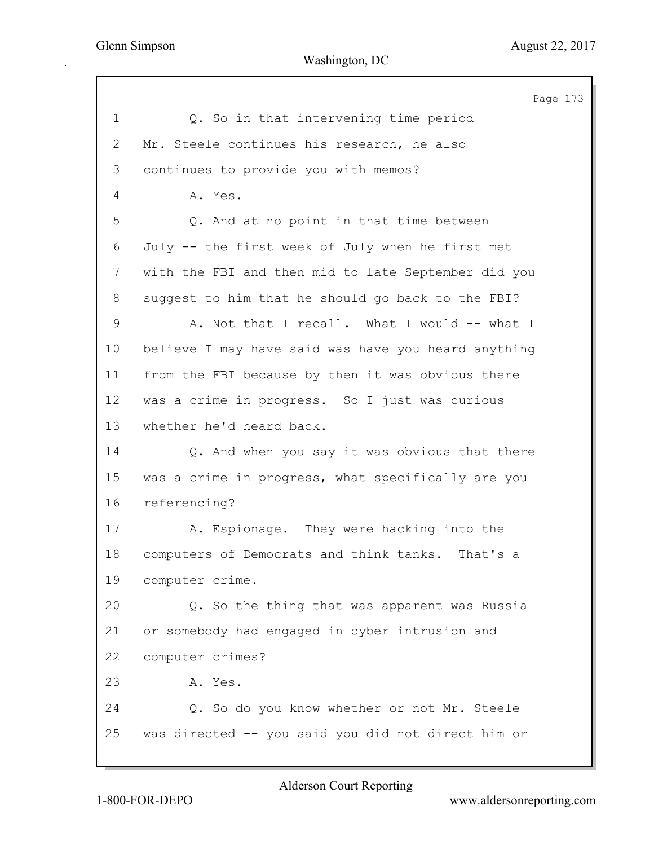Page 173 1 Q. So in that intervening time period 2 Mr. Steele continues his research, he also 3 continues to provide you with memos? 4 A. Yes. 5 Q. And at no point in that time between 6 July -- the first week of July when he first met 7 with the FBI and then mid to late September did you 8 suggest to him that he should go back to the FBI? 9 A. Not that I recall. What I would -- what I 10 believe I may have said was have you heard anything 11 from the FBI because by then it was obvious there 12 was a crime in progress. So I just was curious 13 whether he'd heard back. 14 Q. And when you say it was obvious that there 15 was a crime in progress, what specifically are you 16 referencing? 17 A. Espionage. They were hacking into the 18 computers of Democrats and think tanks. That's a 19 computer crime. 20 Q. So the thing that was apparent was Russia 21 or somebody had engaged in cyber intrusion and 22 computer crimes? 23 A. Yes. 24 Q. So do you know whether or not Mr. Steele 25 was directed -- you said you did not direct him or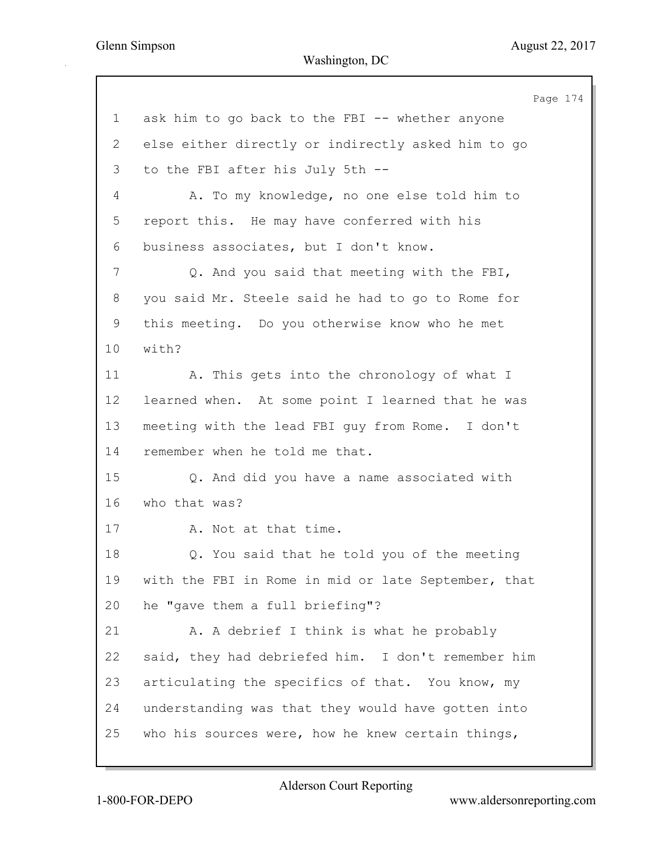Page 174 1 ask him to go back to the FBI -- whether anyone 2 else either directly or indirectly asked him to go 3 to the FBI after his July 5th -- 4 A. To my knowledge, no one else told him to 5 report this. He may have conferred with his 6 business associates, but I don't know. 7 Q. And you said that meeting with the FBI, 8 you said Mr. Steele said he had to go to Rome for 9 this meeting. Do you otherwise know who he met 10 with? 11 A. This gets into the chronology of what I 12 learned when. At some point I learned that he was 13 meeting with the lead FBI guy from Rome. I don't 14 remember when he told me that. 15 Q. And did you have a name associated with 16 who that was? 17 A. Not at that time. 18 Q. You said that he told you of the meeting 19 with the FBI in Rome in mid or late September, that 20 he "gave them a full briefing"? 21 A. A debrief I think is what he probably 22 said, they had debriefed him. I don't remember him 23 articulating the specifics of that. You know, my 24 understanding was that they would have gotten into 25 who his sources were, how he knew certain things,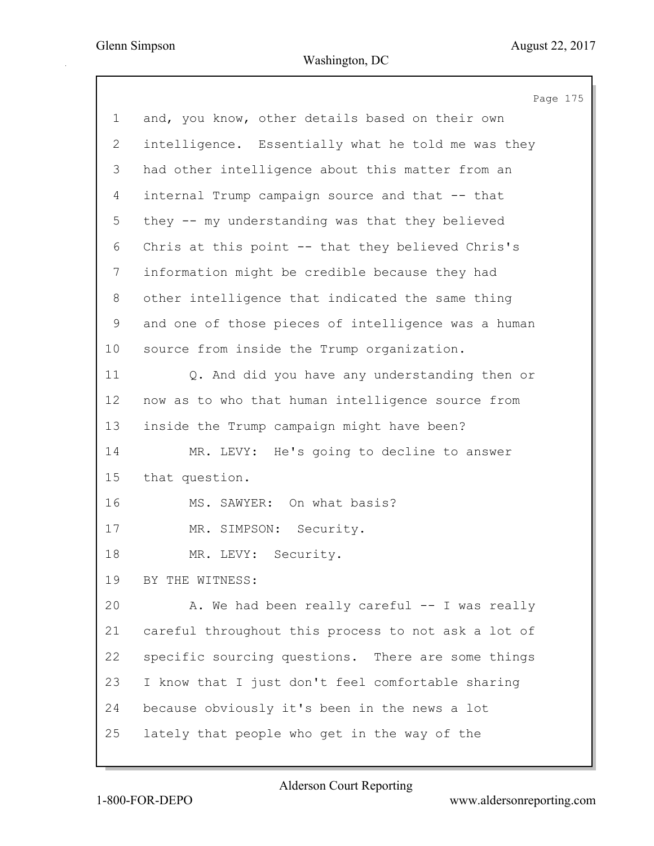Page 175 1 and, you know, other details based on their own 2 intelligence. Essentially what he told me was they 3 had other intelligence about this matter from an 4 internal Trump campaign source and that -- that 5 they -- my understanding was that they believed 6 Chris at this point -- that they believed Chris's 7 information might be credible because they had 8 other intelligence that indicated the same thing 9 and one of those pieces of intelligence was a human 10 source from inside the Trump organization. 11 Q. And did you have any understanding then or 12 now as to who that human intelligence source from 13 inside the Trump campaign might have been? 14 MR. LEVY: He's going to decline to answer 15 that question. 16 MS. SAWYER: On what basis? 17 MR. SIMPSON: Security. 18 MR. LEVY: Security. 19 BY THE WITNESS: 20 A. We had been really careful -- I was really 21 careful throughout this process to not ask a lot of 22 specific sourcing questions. There are some things 23 I know that I just don't feel comfortable sharing 24 because obviously it's been in the news a lot 25 lately that people who get in the way of the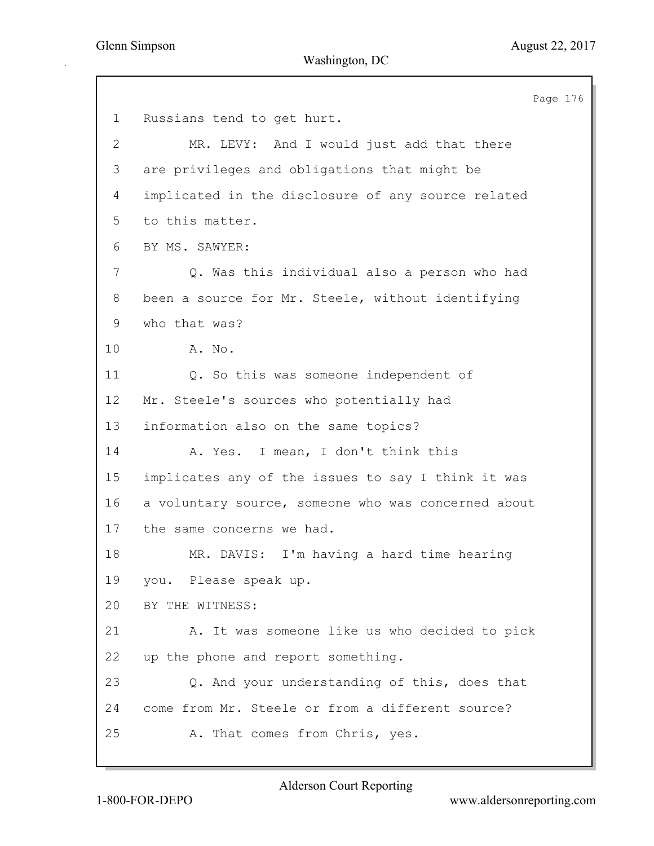Page 176 1 Russians tend to get hurt. 2 MR. LEVY: And I would just add that there 3 are privileges and obligations that might be 4 implicated in the disclosure of any source related 5 to this matter. 6 BY MS. SAWYER: 7 Q. Was this individual also a person who had 8 been a source for Mr. Steele, without identifying 9 who that was? 10 A. No. 11 Q. So this was someone independent of 12 Mr. Steele's sources who potentially had 13 information also on the same topics? 14 A. Yes. I mean, I don't think this 15 implicates any of the issues to say I think it was 16 a voluntary source, someone who was concerned about 17 the same concerns we had. 18 MR. DAVIS: I'm having a hard time hearing 19 you. Please speak up. 20 BY THE WITNESS: 21 A. It was someone like us who decided to pick 22 up the phone and report something. 23 Q. And your understanding of this, does that 24 come from Mr. Steele or from a different source? 25 A. That comes from Chris, yes.

Alderson Court Reporting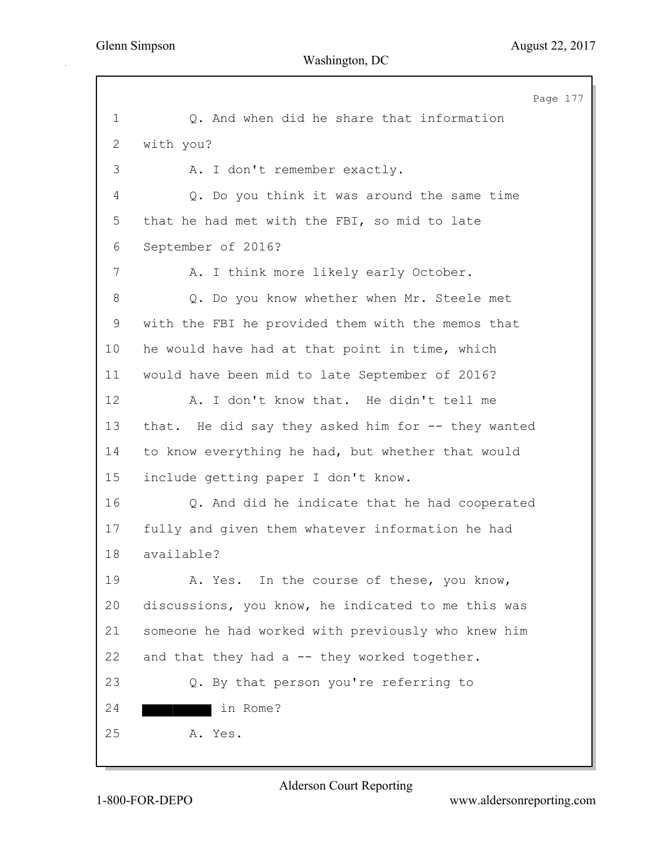Page 177 1 Q. And when did he share that information 2 with you? 3 A. I don't remember exactly. 4 Q. Do you think it was around the same time 5 that he had met with the FBI, so mid to late 6 September of 2016? 7 A. I think more likely early October. 8 Q. Do you know whether when Mr. Steele met 9 with the FBI he provided them with the memos that 10 he would have had at that point in time, which 11 would have been mid to late September of 2016? 12 A. I don't know that. He didn't tell me 13 that. He did say they asked him for -- they wanted 14 to know everything he had, but whether that would 15 include getting paper I don't know. 16 Q. And did he indicate that he had cooperated 17 fully and given them whatever information he had 18 available? 19 A. Yes. In the course of these, you know, 20 discussions, you know, he indicated to me this was 21 someone he had worked with previously who knew him 22 and that they had a -- they worked together. 23 Q. By that person you're referring to 24 in Rome? 25 A. Yes.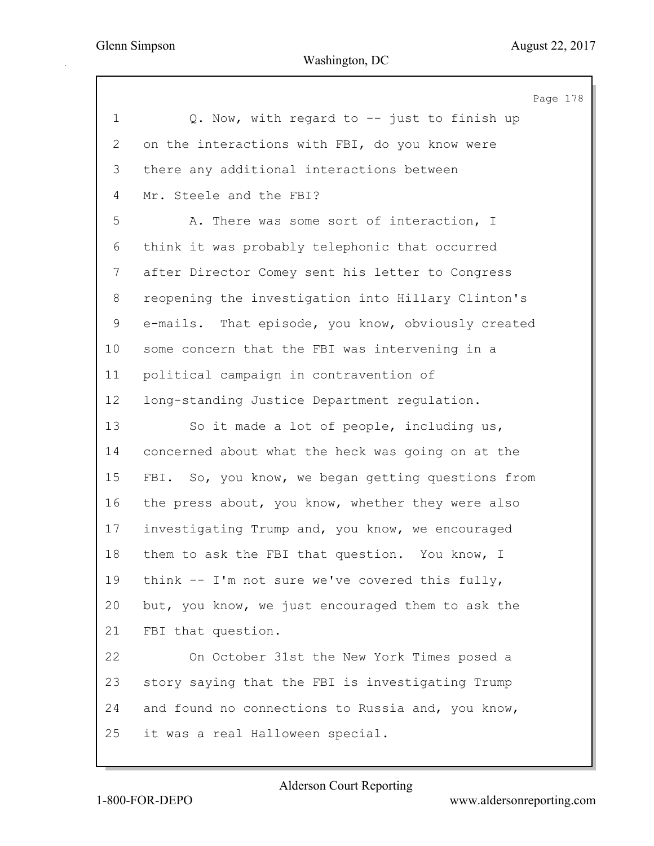|              | Page 178                                           |
|--------------|----------------------------------------------------|
| $\mathbf 1$  | Q. Now, with regard to -- just to finish up        |
| $\mathbf{2}$ | on the interactions with FBI, do you know were     |
| 3            | there any additional interactions between          |
| 4            | Mr. Steele and the FBI?                            |
| 5            | A. There was some sort of interaction, I           |
| 6            | think it was probably telephonic that occurred     |
| 7            | after Director Comey sent his letter to Congress   |
| 8            | reopening the investigation into Hillary Clinton's |
| 9            | e-mails. That episode, you know, obviously created |
| 10           | some concern that the FBI was intervening in a     |
| 11           | political campaign in contravention of             |
| 12           | long-standing Justice Department regulation.       |
| 13           | So it made a lot of people, including us,          |
| 14           | concerned about what the heck was going on at the  |
| 15           | FBI. So, you know, we began getting questions from |
| 16           | the press about, you know, whether they were also  |
| 17           | investigating Trump and, you know, we encouraged   |
| 18           | them to ask the FBI that question. You know, I     |
| 19           | think -- I'm not sure we've covered this fully,    |
| 20           | but, you know, we just encouraged them to ask the  |
| 21           | FBI that question.                                 |
| 22           | On October 31st the New York Times posed a         |
| 23           | story saying that the FBI is investigating Trump   |
| 24           | and found no connections to Russia and, you know,  |
| 25           | it was a real Halloween special.                   |
|              |                                                    |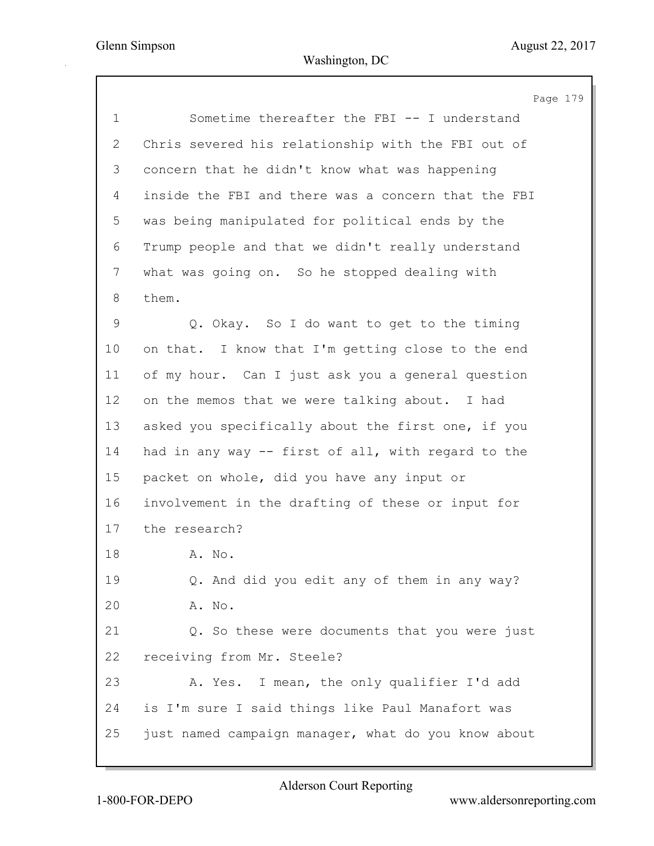Page 179 1 Sometime thereafter the FBI -- I understand 2 Chris severed his relationship with the FBI out of 3 concern that he didn't know what was happening 4 inside the FBI and there was a concern that the FBI 5 was being manipulated for political ends by the 6 Trump people and that we didn't really understand 7 what was going on. So he stopped dealing with 8 them. 9 Q. Okay. So I do want to get to the timing 10 on that. I know that I'm getting close to the end 11 of my hour. Can I just ask you a general question 12 on the memos that we were talking about. I had 13 asked you specifically about the first one, if you 14 had in any way -- first of all, with regard to the 15 packet on whole, did you have any input or 16 involvement in the drafting of these or input for 17 the research? 18 A. No. 19 Q. And did you edit any of them in any way? 20 A. No. 21 Q. So these were documents that you were just 22 receiving from Mr. Steele? 23 A. Yes. I mean, the only qualifier I'd add 24 is I'm sure I said things like Paul Manafort was 25 just named campaign manager, what do you know about

Alderson Court Reporting

1-800-FOR-DEPO www.aldersonreporting.com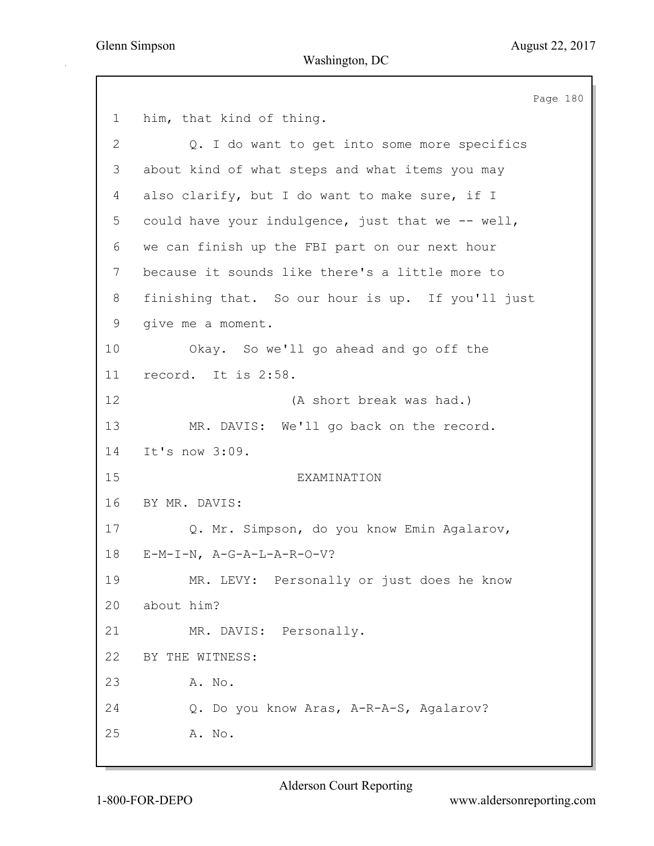Page 180 1 him, that kind of thing. 2 2. I do want to get into some more specifics 3 about kind of what steps and what items you may 4 also clarify, but I do want to make sure, if I 5 could have your indulgence, just that we -- well, 6 we can finish up the FBI part on our next hour 7 because it sounds like there's a little more to 8 finishing that. So our hour is up. If you'll just 9 give me a moment. 10 Okay. So we'll go ahead and go off the 11 record. It is 2:58. 12 (A short break was had.) 13 MR. DAVIS: We'll go back on the record. 14 It's now 3:09. 15 EXAMINATION 16 BY MR. DAVIS: 17 Q. Mr. Simpson, do you know Emin Agalarov, 18 E-M-I-N, A-G-A-L-A-R-O-V? 19 MR. LEVY: Personally or just does he know 20 about him? 21 MR. DAVIS: Personally. 22 BY THE WITNESS: 23 A. No. 24 Q. Do you know Aras, A-R-A-S, Agalarov? 25 A. No.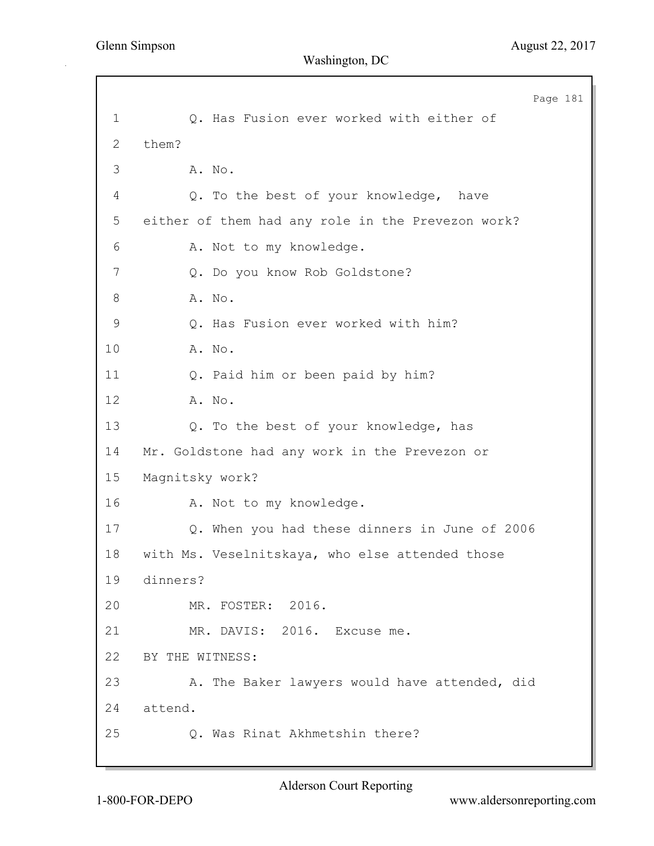Page 181 1 Q. Has Fusion ever worked with either of 2 them? 3 A. No. 4 Q. To the best of your knowledge, have 5 either of them had any role in the Prevezon work? 6 A. Not to my knowledge. 7 Q. Do you know Rob Goldstone? 8 A. No. 9 Q. Has Fusion ever worked with him? 10 A. No. 11 Q. Paid him or been paid by him? 12 A. No. 13 Q. To the best of your knowledge, has 14 Mr. Goldstone had any work in the Prevezon or 15 Magnitsky work? 16 A. Not to my knowledge. 17 Q. When you had these dinners in June of 2006 18 with Ms. Veselnitskaya, who else attended those 19 dinners? 20 MR. FOSTER: 2016. 21 MR. DAVIS: 2016. Excuse me. 22 BY THE WITNESS: 23 A. The Baker lawyers would have attended, did 24 attend. 25 Q. Was Rinat Akhmetshin there?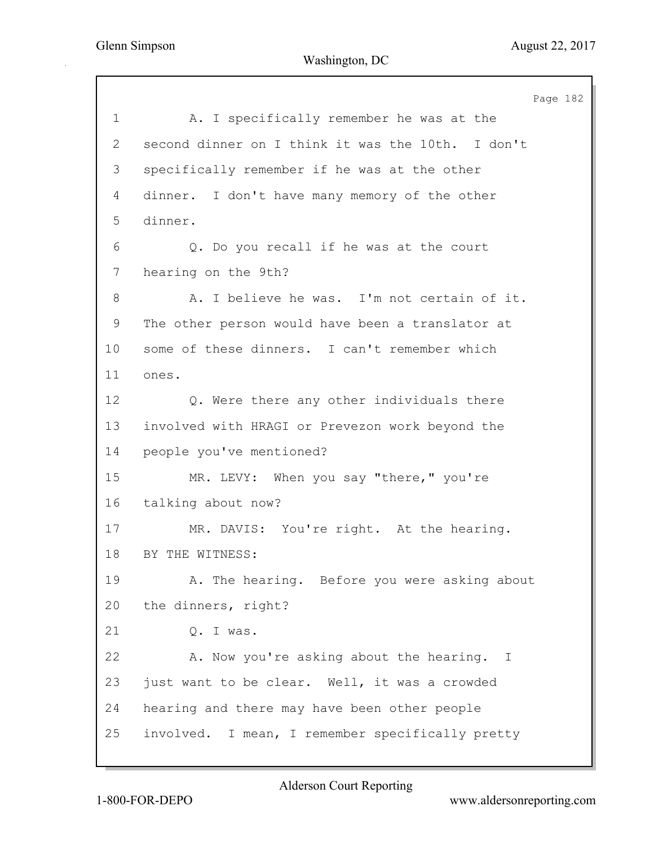Page 182 1 A. I specifically remember he was at the 2 second dinner on I think it was the 10th. I don't 3 specifically remember if he was at the other 4 dinner. I don't have many memory of the other 5 dinner. 6 Q. Do you recall if he was at the court 7 hearing on the 9th? 8 A. I believe he was. I'm not certain of it. 9 The other person would have been a translator at 10 some of these dinners. I can't remember which 11 ones. 12 Q. Were there any other individuals there 13 involved with HRAGI or Prevezon work beyond the 14 people you've mentioned? 15 MR. LEVY: When you say "there," you're 16 talking about now? 17 MR. DAVIS: You're right. At the hearing. 18 BY THE WITNESS: 19 A. The hearing. Before you were asking about 20 the dinners, right? 21 Q. I was. 22 A. Now you're asking about the hearing. I 23 just want to be clear. Well, it was a crowded 24 hearing and there may have been other people 25 involved. I mean, I remember specifically pretty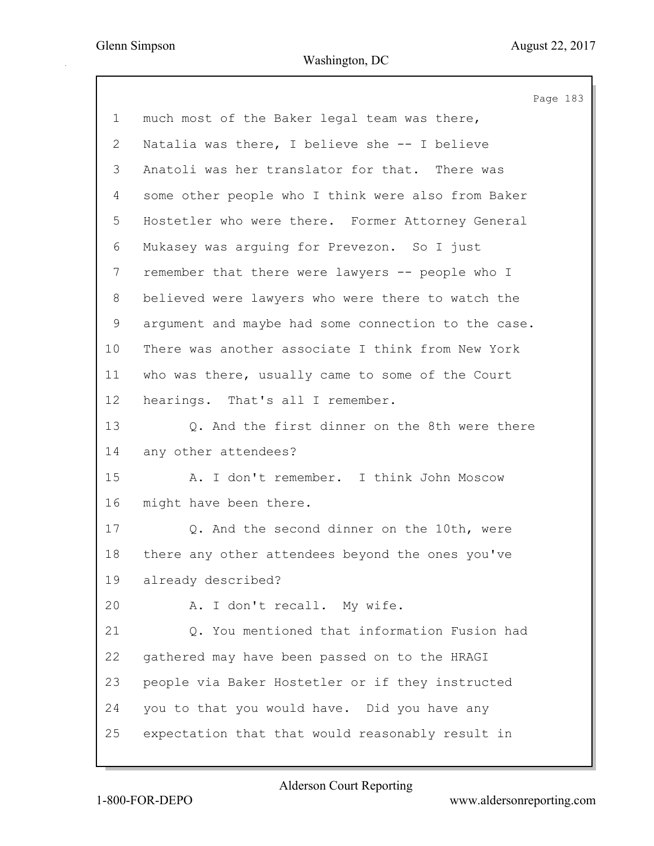Page 183 1 much most of the Baker legal team was there, 2 Natalia was there, I believe she -- I believe 3 Anatoli was her translator for that. There was 4 some other people who I think were also from Baker 5 Hostetler who were there. Former Attorney General 6 Mukasey was arguing for Prevezon. So I just 7 remember that there were lawyers -- people who I 8 believed were lawyers who were there to watch the 9 argument and maybe had some connection to the case. 10 There was another associate I think from New York 11 who was there, usually came to some of the Court 12 hearings. That's all I remember. 13 Q. And the first dinner on the 8th were there 14 any other attendees? 15 A. I don't remember. I think John Moscow 16 might have been there. 17 Q. And the second dinner on the 10th, were 18 there any other attendees beyond the ones you've 19 already described? 20 A. I don't recall. My wife. 21 Q. You mentioned that information Fusion had 22 gathered may have been passed on to the HRAGI 23 people via Baker Hostetler or if they instructed 24 you to that you would have. Did you have any 25 expectation that that would reasonably result in

Alderson Court Reporting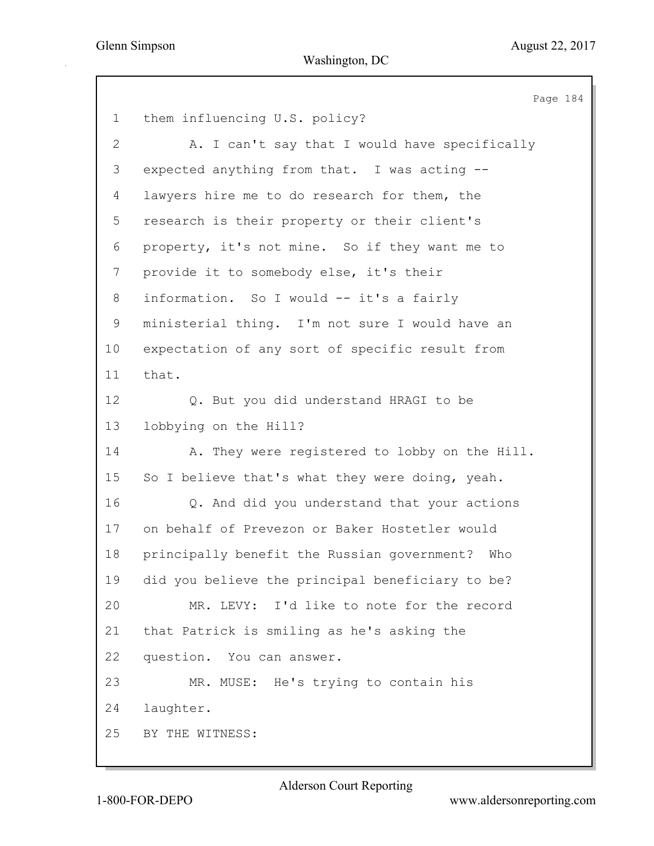|                | Page 184                                           |
|----------------|----------------------------------------------------|
| $\mathbf 1$    | them influencing U.S. policy?                      |
| 2              | A. I can't say that I would have specifically      |
| 3              | expected anything from that. I was acting --       |
| 4              | lawyers hire me to do research for them, the       |
| 5              | research is their property or their client's       |
| 6              | property, it's not mine. So if they want me to     |
| $\overline{7}$ | provide it to somebody else, it's their            |
| 8              | information. So I would -- it's a fairly           |
| 9              | ministerial thing. I'm not sure I would have an    |
| 10             | expectation of any sort of specific result from    |
| 11             | that.                                              |
| 12             | Q. But you did understand HRAGI to be              |
| 13             | lobbying on the Hill?                              |
| 14             | A. They were registered to lobby on the Hill.      |
| 15             | So I believe that's what they were doing, yeah.    |
| 16             | Q. And did you understand that your actions        |
| 17             | on behalf of Prevezon or Baker Hostetler would     |
| 18             | principally benefit the Russian government?<br>Who |
| 19             | did you believe the principal beneficiary to be?   |
| 20             | MR. LEVY: I'd like to note for the record          |
| 21             | that Patrick is smiling as he's asking the         |
| 22             | question. You can answer.                          |
| 23             | MR. MUSE: He's trying to contain his               |
| 24             | laughter.                                          |
| 25             | BY THE WITNESS:                                    |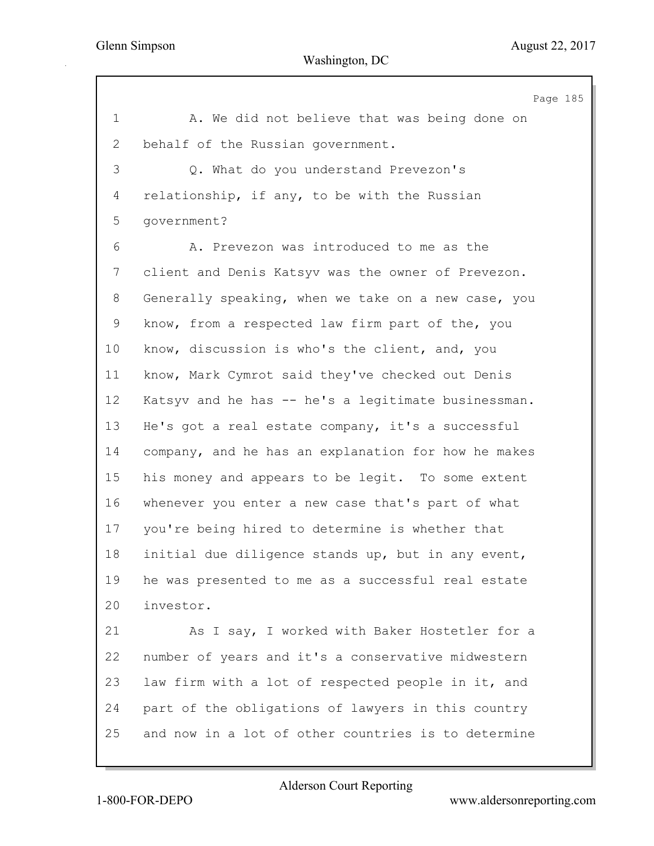Page 185 1 A. We did not believe that was being done on 2 behalf of the Russian government. 3 Q. What do you understand Prevezon's 4 relationship, if any, to be with the Russian 5 government? 6 A. Prevezon was introduced to me as the 7 client and Denis Katsyv was the owner of Prevezon. 8 Generally speaking, when we take on a new case, you 9 know, from a respected law firm part of the, you 10 know, discussion is who's the client, and, you 11 know, Mark Cymrot said they've checked out Denis 12 Katsyv and he has -- he's a legitimate businessman. 13 He's got a real estate company, it's a successful 14 company, and he has an explanation for how he makes 15 his money and appears to be legit. To some extent 16 whenever you enter a new case that's part of what 17 you're being hired to determine is whether that 18 initial due diligence stands up, but in any event, 19 he was presented to me as a successful real estate 20 investor. 21 As I say, I worked with Baker Hostetler for a 22 number of years and it's a conservative midwestern 23 law firm with a lot of respected people in it, and 24 part of the obligations of lawyers in this country 25 and now in a lot of other countries is to determine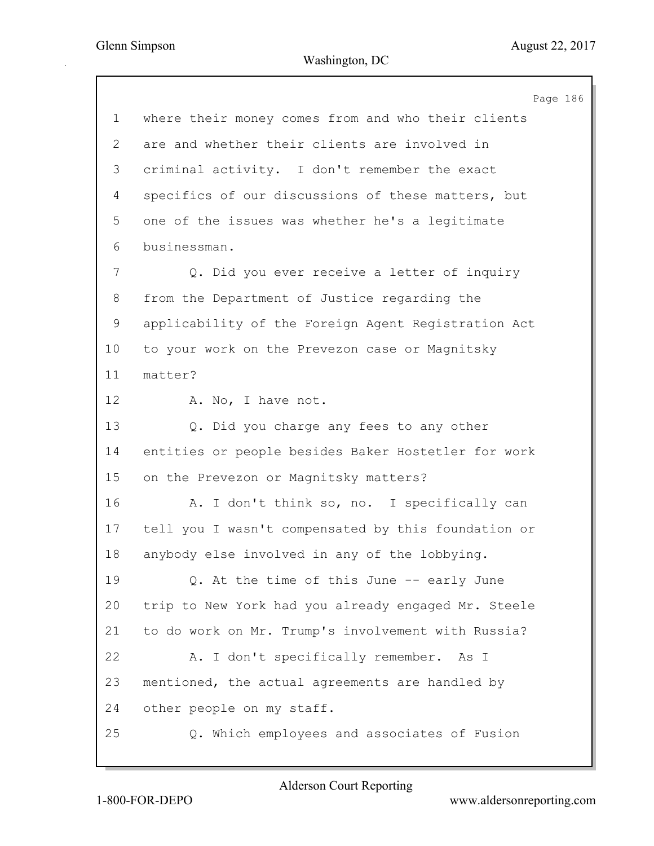Page 186 1 where their money comes from and who their clients 2 are and whether their clients are involved in 3 criminal activity. I don't remember the exact 4 specifics of our discussions of these matters, but 5 one of the issues was whether he's a legitimate 6 businessman. 7 Q. Did you ever receive a letter of inquiry 8 from the Department of Justice regarding the 9 applicability of the Foreign Agent Registration Act 10 to your work on the Prevezon case or Magnitsky 11 matter? 12 A. No, I have not. 13 Q. Did you charge any fees to any other 14 entities or people besides Baker Hostetler for work 15 on the Prevezon or Magnitsky matters? 16 A. I don't think so, no. I specifically can 17 tell you I wasn't compensated by this foundation or 18 anybody else involved in any of the lobbying. 19 Q. At the time of this June -- early June 20 trip to New York had you already engaged Mr. Steele 21 to do work on Mr. Trump's involvement with Russia? 22 A. I don't specifically remember. As I 23 mentioned, the actual agreements are handled by 24 other people on my staff. 25 Q. Which employees and associates of Fusion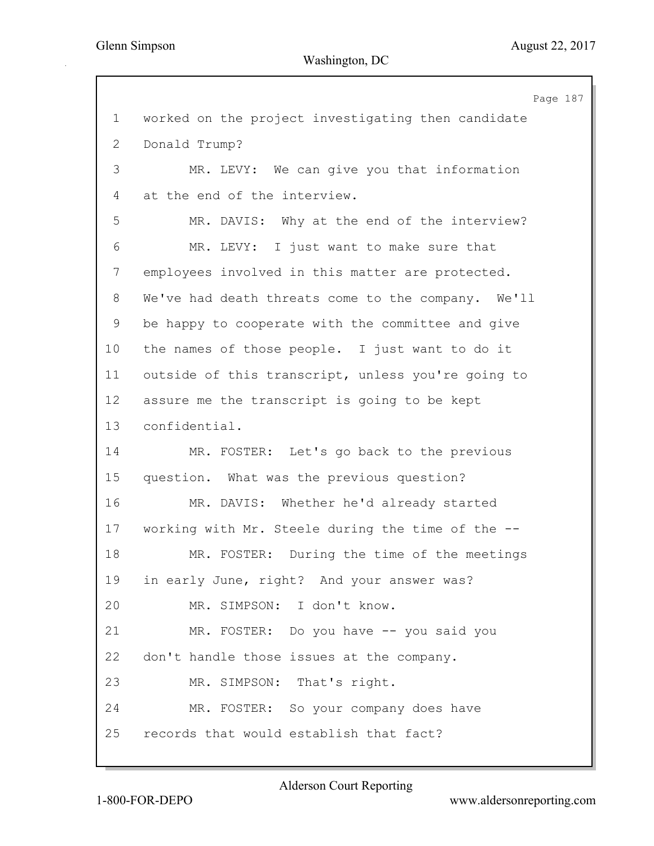Page 187 1 worked on the project investigating then candidate 2 Donald Trump? 3 MR. LEVY: We can give you that information 4 at the end of the interview. 5 MR. DAVIS: Why at the end of the interview? 6 MR. LEVY: I just want to make sure that 7 employees involved in this matter are protected. 8 We've had death threats come to the company. We'll 9 be happy to cooperate with the committee and give 10 the names of those people. I just want to do it 11 outside of this transcript, unless you're going to 12 assure me the transcript is going to be kept 13 confidential. 14 MR. FOSTER: Let's go back to the previous 15 question. What was the previous question? 16 MR. DAVIS: Whether he'd already started 17 working with Mr. Steele during the time of the -- 18 MR. FOSTER: During the time of the meetings 19 in early June, right? And your answer was? 20 MR. SIMPSON: I don't know. 21 MR. FOSTER: Do you have -- you said you 22 don't handle those issues at the company. 23 MR. SIMPSON: That's right. 24 MR. FOSTER: So your company does have 25 records that would establish that fact?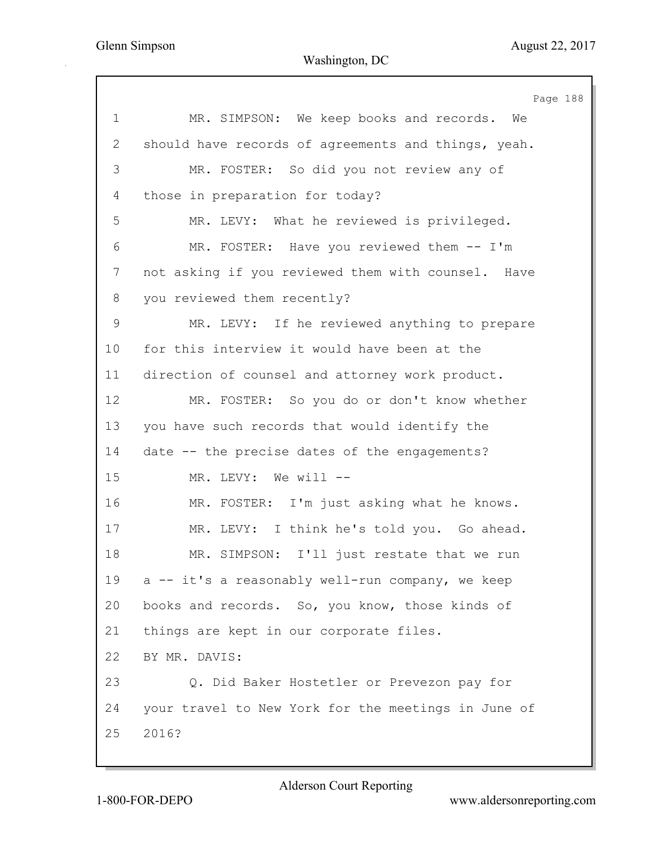|               | Page 188                                            |
|---------------|-----------------------------------------------------|
| $\mathbf 1$   | MR. SIMPSON: We keep books and records. We          |
| $\mathbf{2}$  | should have records of agreements and things, yeah. |
| 3             | MR. FOSTER: So did you not review any of            |
| 4             | those in preparation for today?                     |
| 5             | MR. LEVY: What he reviewed is privileged.           |
| 6             | MR. FOSTER: Have you reviewed them -- I'm           |
| 7             | not asking if you reviewed them with counsel. Have  |
| 8             | you reviewed them recently?                         |
| $\mathcal{G}$ | MR. LEVY: If he reviewed anything to prepare        |
| 10            | for this interview it would have been at the        |
| 11            | direction of counsel and attorney work product.     |
| 12            | MR. FOSTER: So you do or don't know whether         |
| 13            | you have such records that would identify the       |
| 14            | date -- the precise dates of the engagements?       |
| 15            | MR. LEVY: We will --                                |
| 16            | MR. FOSTER: I'm just asking what he knows.          |
| 17            | MR. LEVY: I think he's told you. Go ahead.          |
| 18            | MR. SIMPSON: I'll just restate that we run          |
| 19            | a -- it's a reasonably well-run company, we keep    |
| 20            | books and records. So, you know, those kinds of     |
| 21            | things are kept in our corporate files.             |
| 22            | BY MR. DAVIS:                                       |
| 23            | Q. Did Baker Hostetler or Prevezon pay for          |
| 24            | your travel to New York for the meetings in June of |
| 25            | 2016?                                               |
|               |                                                     |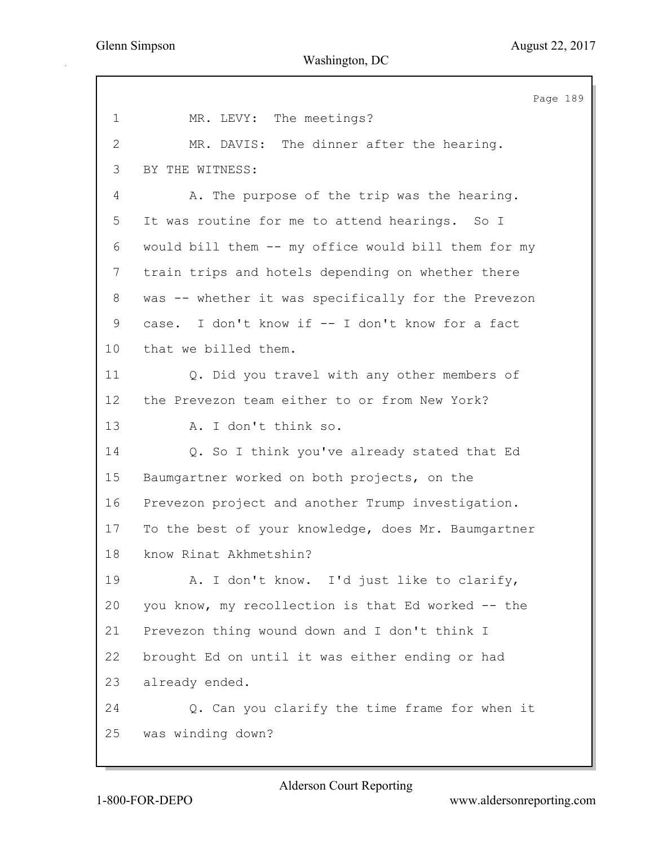Page 189 1 MR. LEVY: The meetings? 2 MR. DAVIS: The dinner after the hearing. 3 BY THE WITNESS: 4 A. The purpose of the trip was the hearing. 5 It was routine for me to attend hearings. So I 6 would bill them -- my office would bill them for my 7 train trips and hotels depending on whether there 8 was -- whether it was specifically for the Prevezon 9 case. I don't know if -- I don't know for a fact 10 that we billed them. 11 Q. Did you travel with any other members of 12 the Prevezon team either to or from New York? 13 A. I don't think so. 14 Q. So I think you've already stated that Ed 15 Baumgartner worked on both projects, on the 16 Prevezon project and another Trump investigation. 17 To the best of your knowledge, does Mr. Baumgartner 18 know Rinat Akhmetshin? 19 A. I don't know. I'd just like to clarify, 20 you know, my recollection is that Ed worked -- the 21 Prevezon thing wound down and I don't think I 22 brought Ed on until it was either ending or had 23 already ended. 24 Q. Can you clarify the time frame for when it 25 was winding down?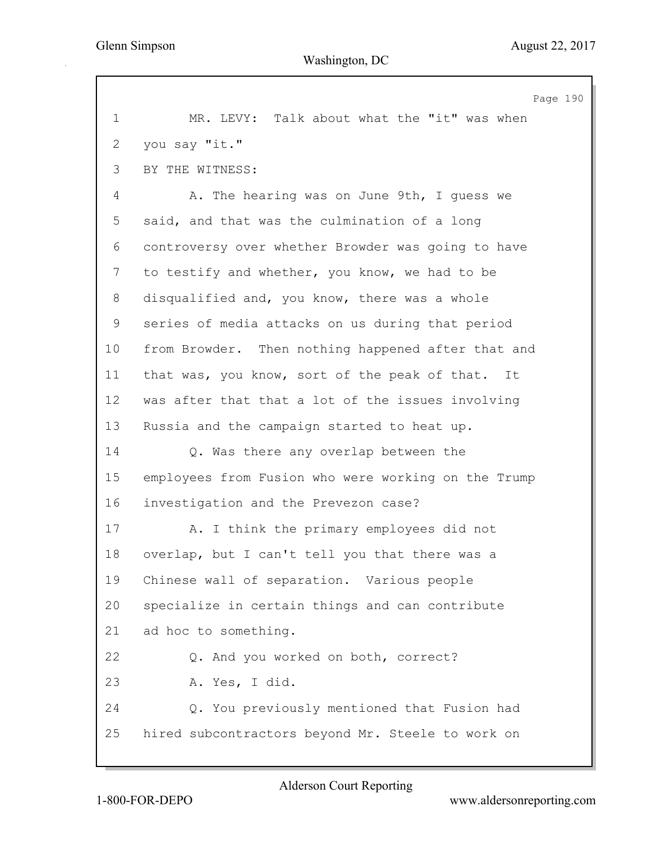Page 190 1 MR. LEVY: Talk about what the "it" was when 2 you say "it." 3 BY THE WITNESS: 4 A. The hearing was on June 9th, I guess we 5 said, and that was the culmination of a long 6 controversy over whether Browder was going to have 7 to testify and whether, you know, we had to be 8 disqualified and, you know, there was a whole 9 series of media attacks on us during that period 10 from Browder. Then nothing happened after that and 11 that was, you know, sort of the peak of that. It 12 was after that that a lot of the issues involving 13 Russia and the campaign started to heat up. 14 Q. Was there any overlap between the 15 employees from Fusion who were working on the Trump 16 investigation and the Prevezon case? 17 A. I think the primary employees did not 18 overlap, but I can't tell you that there was a 19 Chinese wall of separation. Various people 20 specialize in certain things and can contribute 21 ad hoc to something. 22 Q. And you worked on both, correct? 23 A. Yes, I did. 24 Q. You previously mentioned that Fusion had 25 hired subcontractors beyond Mr. Steele to work on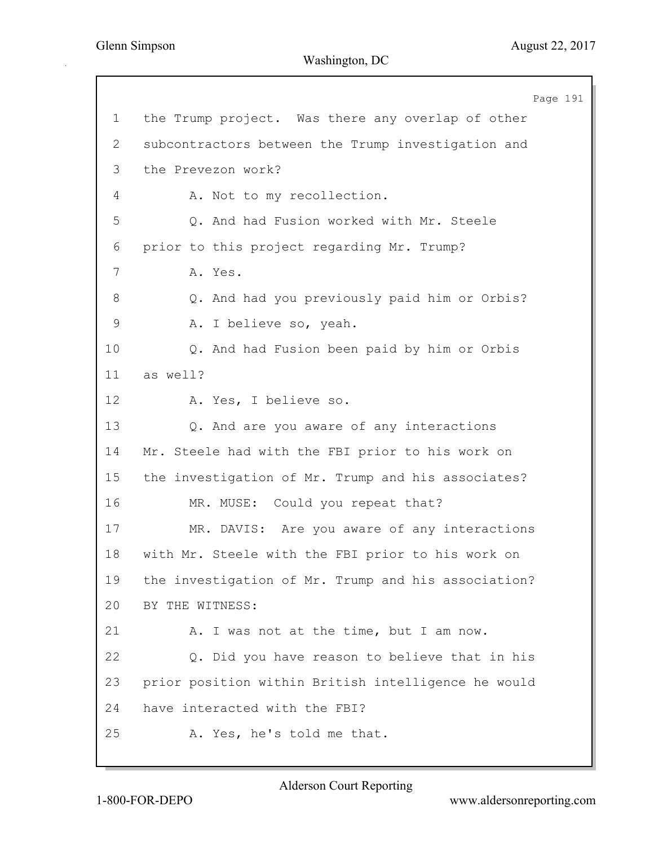Page 191 1 the Trump project. Was there any overlap of other 2 subcontractors between the Trump investigation and 3 the Prevezon work? 4 A. Not to my recollection. 5 Q. And had Fusion worked with Mr. Steele 6 prior to this project regarding Mr. Trump? 7 A. Yes. 8 Q. And had you previously paid him or Orbis? 9 A. I believe so, yeah. 10 Q. And had Fusion been paid by him or Orbis 11 as well? 12 A. Yes, I believe so. 13 Q. And are you aware of any interactions 14 Mr. Steele had with the FBI prior to his work on 15 the investigation of Mr. Trump and his associates? 16 MR. MUSE: Could you repeat that? 17 MR. DAVIS: Are you aware of any interactions 18 with Mr. Steele with the FBI prior to his work on 19 the investigation of Mr. Trump and his association? 20 BY THE WITNESS: 21 A. I was not at the time, but I am now. 22 Q. Did you have reason to believe that in his 23 prior position within British intelligence he would 24 have interacted with the FBI? 25 A. Yes, he's told me that.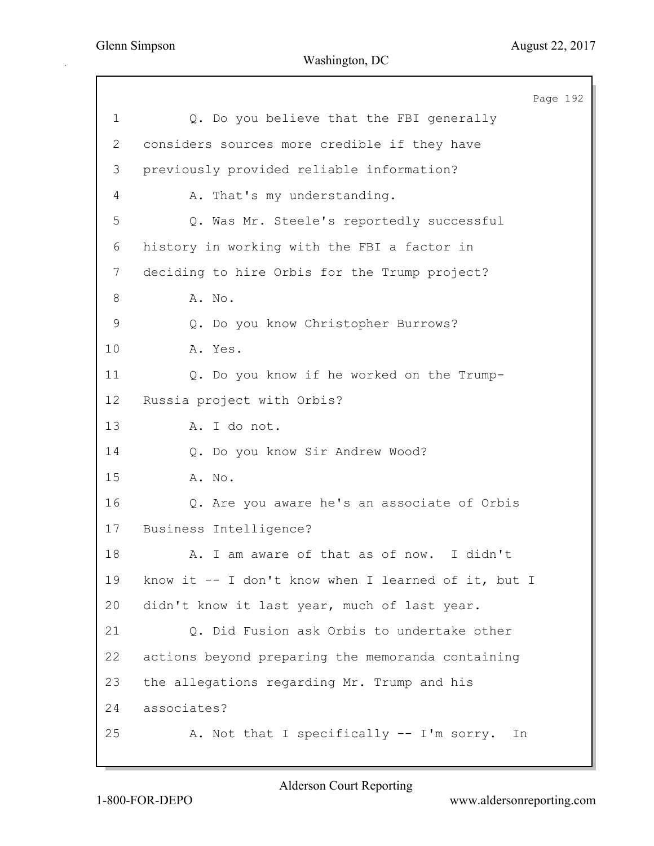|              | Page 192                                            |
|--------------|-----------------------------------------------------|
| 1            | Q. Do you believe that the FBI generally            |
| $\mathbf{2}$ | considers sources more credible if they have        |
| 3            | previously provided reliable information?           |
| 4            | A. That's my understanding.                         |
| 5            | Q. Was Mr. Steele's reportedly successful           |
| 6            | history in working with the FBI a factor in         |
| 7            | deciding to hire Orbis for the Trump project?       |
| 8            | A. No.                                              |
| $\mathsf 9$  | Q. Do you know Christopher Burrows?                 |
| 10           | A. Yes.                                             |
| 11           | Q. Do you know if he worked on the Trump-           |
| 12           | Russia project with Orbis?                          |
| 13           | A. I do not.                                        |
| 14           | Q. Do you know Sir Andrew Wood?                     |
| 15           | A. No.                                              |
| 16           | Q. Are you aware he's an associate of Orbis         |
| 17           | Business Intelligence?                              |
| 18           | A. I am aware of that as of now. I didn't           |
| 19           | know it -- I don't know when I learned of it, but I |
| 20           | didn't know it last year, much of last year.        |
| 21           | Q. Did Fusion ask Orbis to undertake other          |
| 22           | actions beyond preparing the memoranda containing   |
| 23           | the allegations regarding Mr. Trump and his         |
| 24           | associates?                                         |
| 25           | A. Not that I specifically -- I'm sorry.<br>In      |
|              |                                                     |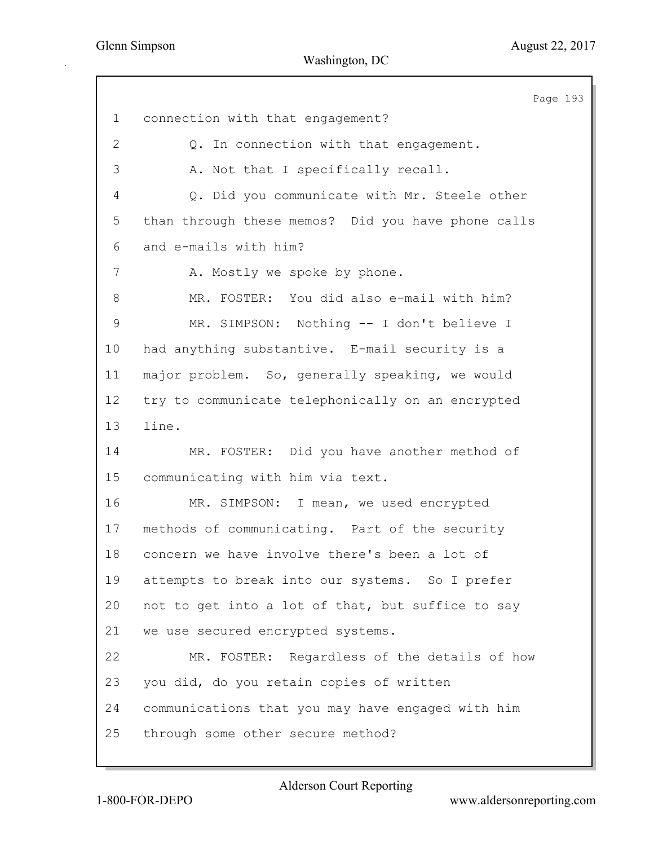|              | Page 193                                           |
|--------------|----------------------------------------------------|
| $\mathbf 1$  | connection with that engagement?                   |
| $\mathbf{2}$ | Q. In connection with that engagement.             |
| 3            | A. Not that I specifically recall.                 |
| 4            | Q. Did you communicate with Mr. Steele other       |
| 5            | than through these memos? Did you have phone calls |
| 6            | and e-mails with him?                              |
| 7            | A. Mostly we spoke by phone.                       |
| 8            | MR. FOSTER: You did also e-mail with him?          |
| $\mathsf 9$  | MR. SIMPSON: Nothing -- I don't believe I          |
| 10           | had anything substantive. E-mail security is a     |
| 11           | major problem. So, generally speaking, we would    |
| 12           | try to communicate telephonically on an encrypted  |
| 13           | line.                                              |
| 14           | MR. FOSTER: Did you have another method of         |
| 15           | communicating with him via text.                   |
| 16           | MR. SIMPSON: I mean, we used encrypted             |
| 17           | methods of communicating. Part of the security     |
| 18           | concern we have involve there's been a lot of      |
| 19           | attempts to break into our systems. So I prefer    |
| 20           | not to get into a lot of that, but suffice to say  |
| 21           | we use secured encrypted systems.                  |
| 22           | MR. FOSTER: Regardless of the details of how       |
| 23           | you did, do you retain copies of written           |
| 24           | communications that you may have engaged with him  |
| 25           | through some other secure method?                  |
|              |                                                    |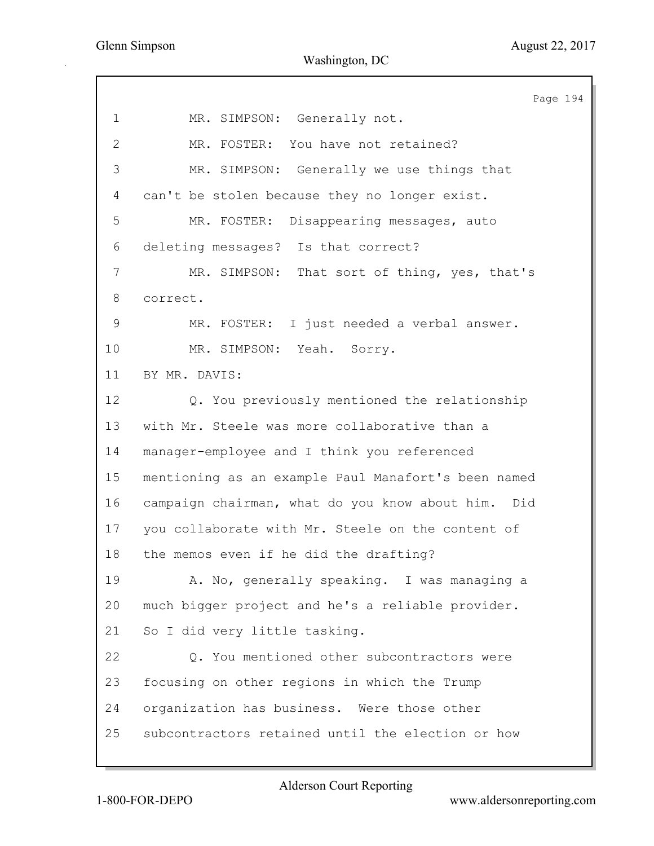Page 194 1 MR. SIMPSON: Generally not. 2 MR. FOSTER: You have not retained? 3 MR. SIMPSON: Generally we use things that 4 can't be stolen because they no longer exist. 5 MR. FOSTER: Disappearing messages, auto 6 deleting messages? Is that correct? 7 MR. SIMPSON: That sort of thing, yes, that's 8 correct. 9 MR. FOSTER: I just needed a verbal answer. 10 MR. SIMPSON: Yeah. Sorry. 11 BY MR. DAVIS: 12 Q. You previously mentioned the relationship 13 with Mr. Steele was more collaborative than a 14 manager-employee and I think you referenced 15 mentioning as an example Paul Manafort's been named 16 campaign chairman, what do you know about him. Did 17 you collaborate with Mr. Steele on the content of 18 the memos even if he did the drafting? 19 A. No, generally speaking. I was managing a 20 much bigger project and he's a reliable provider. 21 So I did very little tasking. 22 Q. You mentioned other subcontractors were 23 focusing on other regions in which the Trump 24 organization has business. Were those other 25 subcontractors retained until the election or how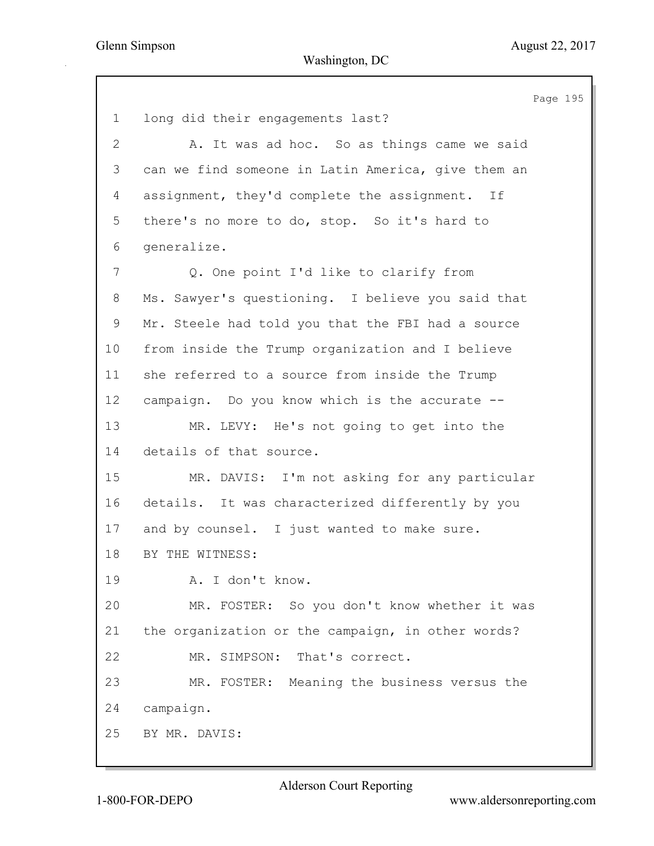Page 195 1 long did their engagements last? 2 A. It was ad hoc. So as things came we said 3 can we find someone in Latin America, give them an 4 assignment, they'd complete the assignment. If 5 there's no more to do, stop. So it's hard to 6 generalize. 7 Q. One point I'd like to clarify from 8 Ms. Sawyer's questioning. I believe you said that 9 Mr. Steele had told you that the FBI had a source 10 from inside the Trump organization and I believe 11 she referred to a source from inside the Trump 12 campaign. Do you know which is the accurate -- 13 MR. LEVY: He's not going to get into the 14 details of that source. 15 MR. DAVIS: I'm not asking for any particular 16 details. It was characterized differently by you 17 and by counsel. I just wanted to make sure. 18 BY THE WITNESS: 19 A. I don't know. 20 MR. FOSTER: So you don't know whether it was 21 the organization or the campaign, in other words? 22 MR. SIMPSON: That's correct. 23 MR. FOSTER: Meaning the business versus the 24 campaign. 25 BY MR. DAVIS: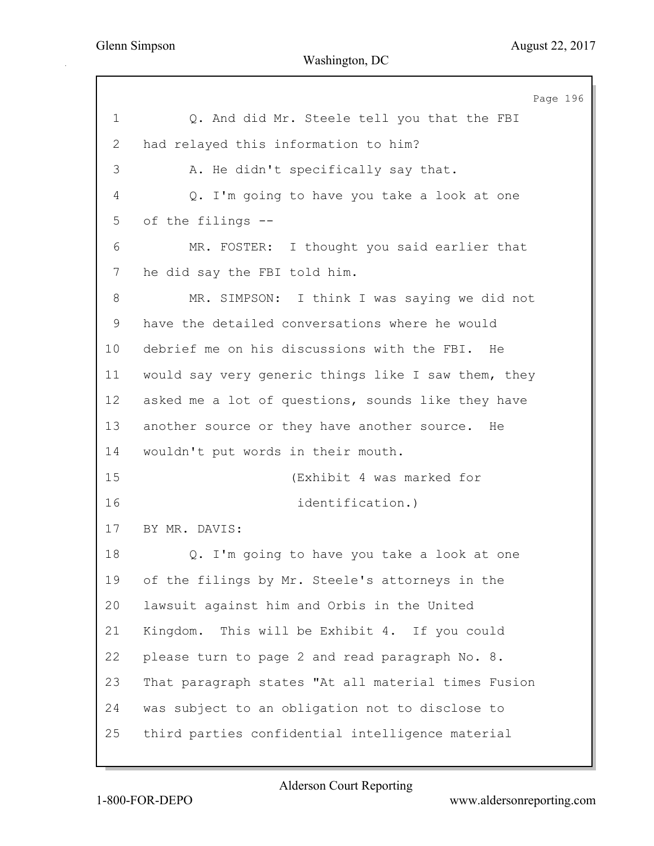Page 196 1 Q. And did Mr. Steele tell you that the FBI 2 had relayed this information to him? 3 A. He didn't specifically say that. 4 Q. I'm going to have you take a look at one 5 of the filings -- 6 MR. FOSTER: I thought you said earlier that 7 he did say the FBI told him. 8 MR. SIMPSON: I think I was saying we did not 9 have the detailed conversations where he would 10 debrief me on his discussions with the FBI. He 11 would say very generic things like I saw them, they 12 asked me a lot of questions, sounds like they have 13 another source or they have another source. He 14 wouldn't put words in their mouth. 15 (Exhibit 4 was marked for 16 identification.) 17 BY MR. DAVIS: 18 Q. I'm going to have you take a look at one 19 of the filings by Mr. Steele's attorneys in the 20 lawsuit against him and Orbis in the United 21 Kingdom. This will be Exhibit 4. If you could 22 please turn to page 2 and read paragraph No. 8. 23 That paragraph states "At all material times Fusion 24 was subject to an obligation not to disclose to 25 third parties confidential intelligence material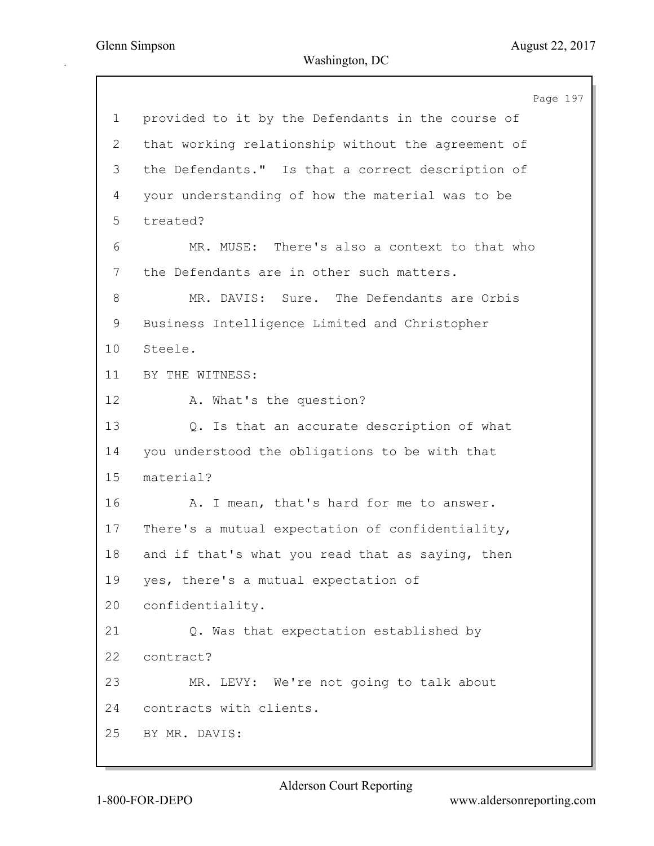Page 197 1 provided to it by the Defendants in the course of 2 that working relationship without the agreement of 3 the Defendants." Is that a correct description of 4 your understanding of how the material was to be 5 treated? 6 MR. MUSE: There's also a context to that who 7 the Defendants are in other such matters. 8 MR. DAVIS: Sure. The Defendants are Orbis 9 Business Intelligence Limited and Christopher 10 Steele. 11 BY THE WITNESS: 12 A. What's the question? 13 Q. Is that an accurate description of what 14 you understood the obligations to be with that 15 material? 16 A. I mean, that's hard for me to answer. 17 There's a mutual expectation of confidentiality, 18 and if that's what you read that as saying, then 19 yes, there's a mutual expectation of 20 confidentiality. 21 Q. Was that expectation established by 22 contract? 23 MR. LEVY: We're not going to talk about 24 contracts with clients. 25 BY MR. DAVIS: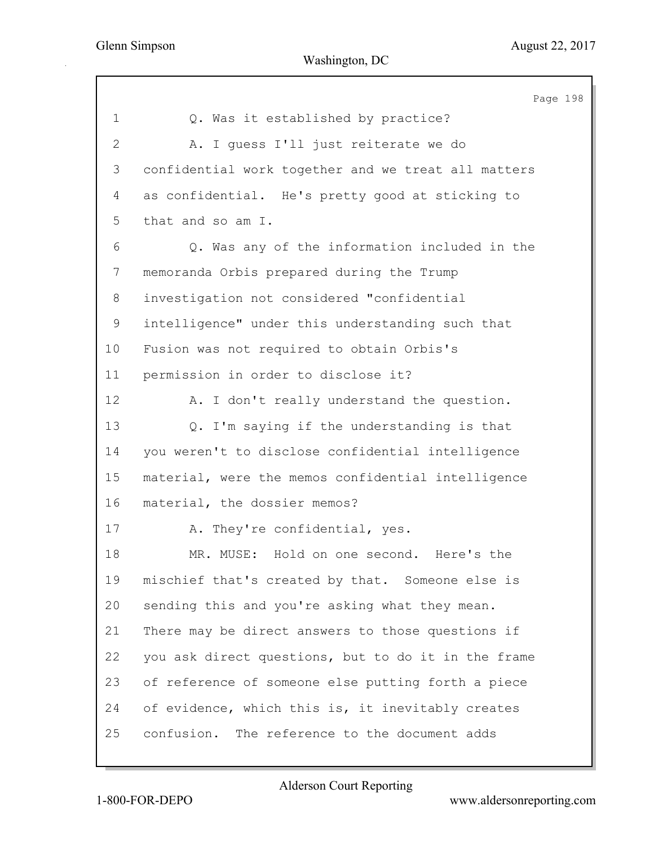|                | Page 198                                            |
|----------------|-----------------------------------------------------|
| $\mathbf 1$    | Q. Was it established by practice?                  |
| $\overline{2}$ | A. I quess I'll just reiterate we do                |
| 3              | confidential work together and we treat all matters |
| 4              | as confidential. He's pretty good at sticking to    |
| 5              | that and so am I.                                   |
| 6              | Q. Was any of the information included in the       |
| $\overline{7}$ | memoranda Orbis prepared during the Trump           |
| 8              | investigation not considered "confidential          |
| 9              | intelligence" under this understanding such that    |
| 10             | Fusion was not required to obtain Orbis's           |
| 11             | permission in order to disclose it?                 |
| 12             | A. I don't really understand the question.          |
| 13             | Q. I'm saying if the understanding is that          |
| 14             | you weren't to disclose confidential intelligence   |
| 15             | material, were the memos confidential intelligence  |
| 16             | material, the dossier memos?                        |
| 17             | A. They're confidential, yes.                       |
| 18             | MR. MUSE: Hold on one second.<br>Here's the         |
| 19             | mischief that's created by that. Someone else is    |
| 20             | sending this and you're asking what they mean.      |
| 21             | There may be direct answers to those questions if   |
| 22             | you ask direct questions, but to do it in the frame |
| 23             | of reference of someone else putting forth a piece  |
| 24             | of evidence, which this is, it inevitably creates   |
| 25             | confusion. The reference to the document adds       |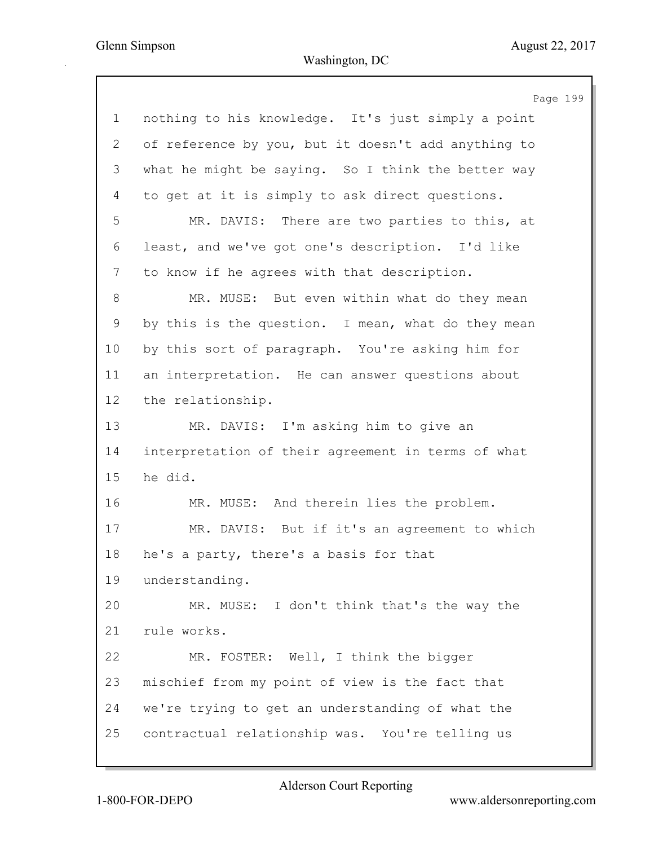Page 199 1 nothing to his knowledge. It's just simply a point 2 of reference by you, but it doesn't add anything to 3 what he might be saying. So I think the better way 4 to get at it is simply to ask direct questions. 5 MR. DAVIS: There are two parties to this, at 6 least, and we've got one's description. I'd like 7 to know if he agrees with that description. 8 MR. MUSE: But even within what do they mean 9 by this is the question. I mean, what do they mean 10 by this sort of paragraph. You're asking him for 11 an interpretation. He can answer questions about 12 the relationship. 13 MR. DAVIS: I'm asking him to give an 14 interpretation of their agreement in terms of what 15 he did. 16 MR. MUSE: And therein lies the problem. 17 MR. DAVIS: But if it's an agreement to which 18 he's a party, there's a basis for that 19 understanding. 20 MR. MUSE: I don't think that's the way the 21 rule works. 22 MR. FOSTER: Well, I think the bigger 23 mischief from my point of view is the fact that 24 we're trying to get an understanding of what the 25 contractual relationship was. You're telling us

Alderson Court Reporting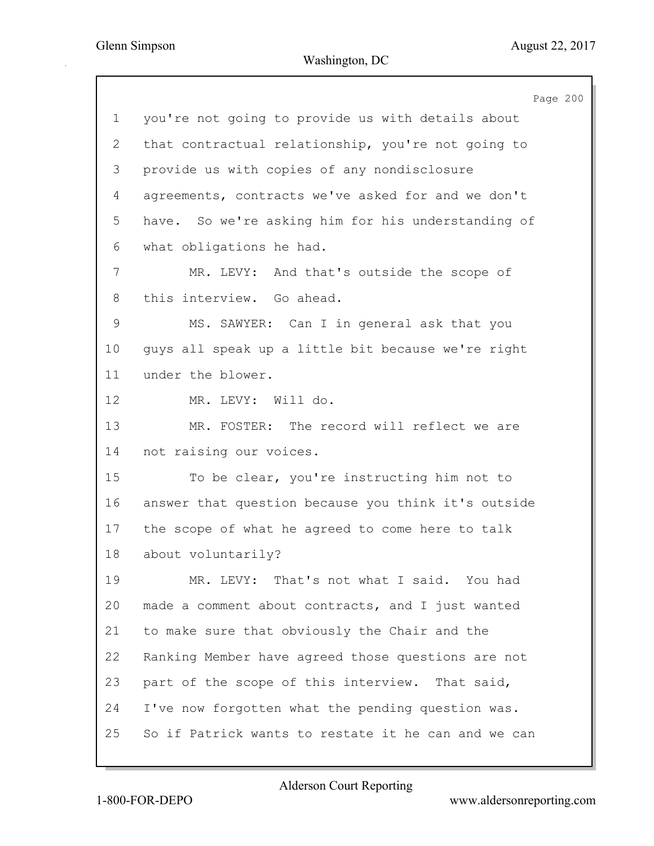|                           | Page 200                                            |
|---------------------------|-----------------------------------------------------|
| $\mathbf 1$               | you're not going to provide us with details about   |
| $\mathbf{2}^{\mathsf{I}}$ | that contractual relationship, you're not going to  |
| 3                         | provide us with copies of any nondisclosure         |
| 4                         | agreements, contracts we've asked for and we don't  |
| 5                         | have. So we're asking him for his understanding of  |
| 6                         | what obligations he had.                            |
| $\overline{7}$            | MR. LEVY: And that's outside the scope of           |
| 8                         | this interview. Go ahead.                           |
| $\mathsf 9$               | MS. SAWYER: Can I in general ask that you           |
| 10                        | guys all speak up a little bit because we're right  |
| 11                        | under the blower.                                   |
| 12                        | MR. LEVY: Will do.                                  |
| 13                        | MR. FOSTER: The record will reflect we are          |
| 14                        | not raising our voices.                             |
| 15                        | To be clear, you're instructing him not to          |
| 16                        | answer that question because you think it's outside |
| 17                        | the scope of what he agreed to come here to talk    |
| 18                        | about voluntarily?                                  |
| 19                        | MR. LEVY: That's not what I said. You had           |
| 20                        | made a comment about contracts, and I just wanted   |
| 21                        | to make sure that obviously the Chair and the       |
| 22                        | Ranking Member have agreed those questions are not  |
| 23                        | part of the scope of this interview. That said,     |
| 24                        | I've now forgotten what the pending question was.   |
| 25                        | So if Patrick wants to restate it he can and we can |
|                           |                                                     |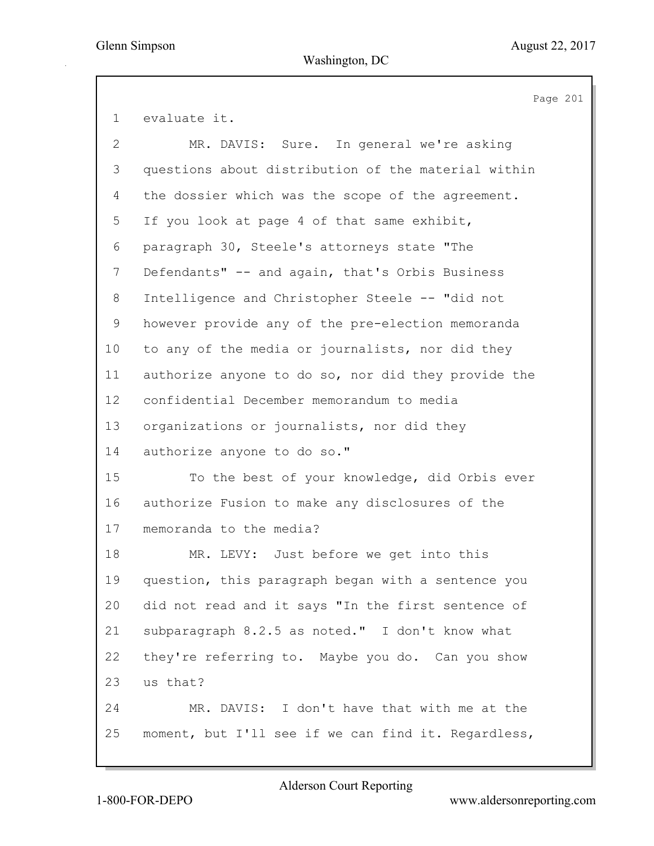Page 201 1 evaluate it. 2 MR. DAVIS: Sure. In general we're asking 3 questions about distribution of the material within 4 the dossier which was the scope of the agreement. 5 If you look at page 4 of that same exhibit, 6 paragraph 30, Steele's attorneys state "The 7 Defendants" -- and again, that's Orbis Business 8 Intelligence and Christopher Steele -- "did not 9 however provide any of the pre-election memoranda 10 to any of the media or journalists, nor did they 11 authorize anyone to do so, nor did they provide the 12 confidential December memorandum to media 13 organizations or journalists, nor did they 14 authorize anyone to do so." 15 To the best of your knowledge, did Orbis ever 16 authorize Fusion to make any disclosures of the 17 memoranda to the media? 18 MR. LEVY: Just before we get into this 19 question, this paragraph began with a sentence you 20 did not read and it says "In the first sentence of 21 subparagraph 8.2.5 as noted." I don't know what 22 they're referring to. Maybe you do. Can you show 23 us that? 24 MR. DAVIS: I don't have that with me at the 25 moment, but I'll see if we can find it. Regardless,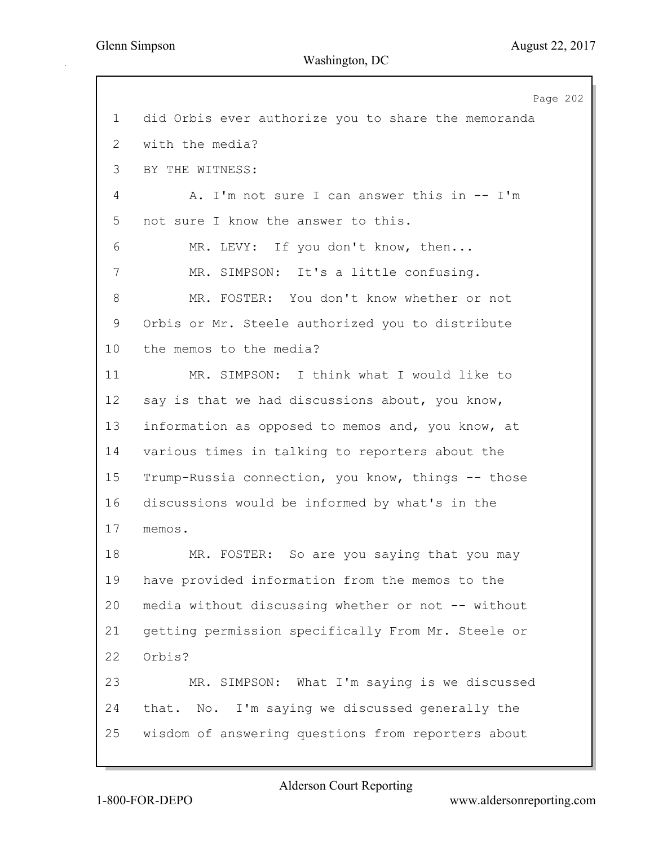Page 202 1 did Orbis ever authorize you to share the memoranda 2 with the media? 3 BY THE WITNESS: 4 A. I'm not sure I can answer this in -- I'm 5 not sure I know the answer to this. 6 MR. LEVY: If you don't know, then... 7 MR. SIMPSON: It's a little confusing. 8 MR. FOSTER: You don't know whether or not 9 Orbis or Mr. Steele authorized you to distribute 10 the memos to the media? 11 MR. SIMPSON: I think what I would like to 12 say is that we had discussions about, you know, 13 information as opposed to memos and, you know, at 14 various times in talking to reporters about the 15 Trump-Russia connection, you know, things -- those 16 discussions would be informed by what's in the 17 memos. 18 MR. FOSTER: So are you saying that you may 19 have provided information from the memos to the 20 media without discussing whether or not -- without 21 getting permission specifically From Mr. Steele or 22 Orbis? 23 MR. SIMPSON: What I'm saying is we discussed 24 that. No. I'm saying we discussed generally the 25 wisdom of answering questions from reporters about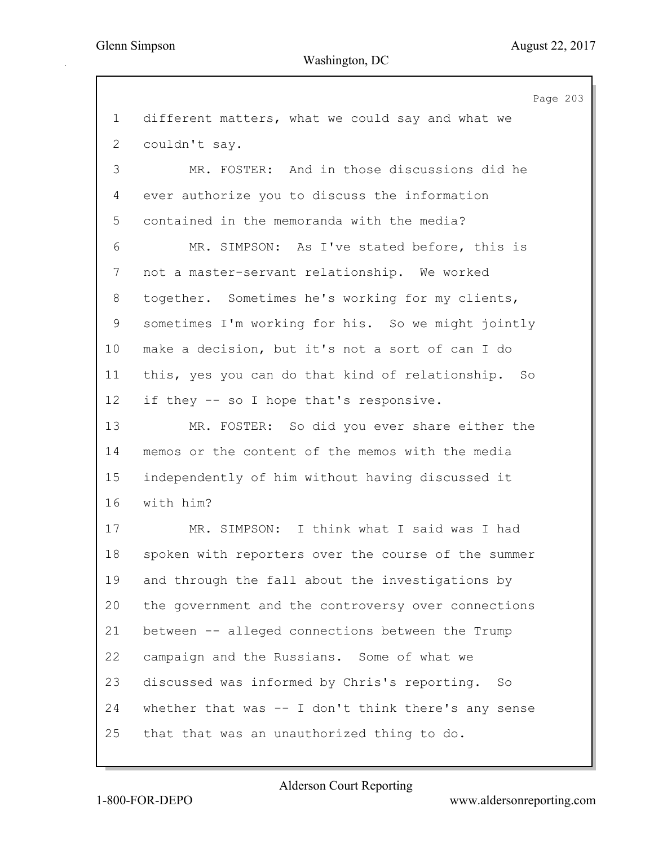Page 203 1 different matters, what we could say and what we 2 couldn't say. 3 MR. FOSTER: And in those discussions did he 4 ever authorize you to discuss the information 5 contained in the memoranda with the media? 6 MR. SIMPSON: As I've stated before, this is 7 not a master-servant relationship. We worked 8 together. Sometimes he's working for my clients, 9 sometimes I'm working for his. So we might jointly 10 make a decision, but it's not a sort of can I do 11 this, yes you can do that kind of relationship. So 12 if they -- so I hope that's responsive. 13 MR. FOSTER: So did you ever share either the 14 memos or the content of the memos with the media 15 independently of him without having discussed it 16 with him? 17 MR. SIMPSON: I think what I said was I had 18 spoken with reporters over the course of the summer 19 and through the fall about the investigations by 20 the government and the controversy over connections 21 between -- alleged connections between the Trump 22 campaign and the Russians. Some of what we 23 discussed was informed by Chris's reporting. So 24 whether that was -- I don't think there's any sense 25 that that was an unauthorized thing to do.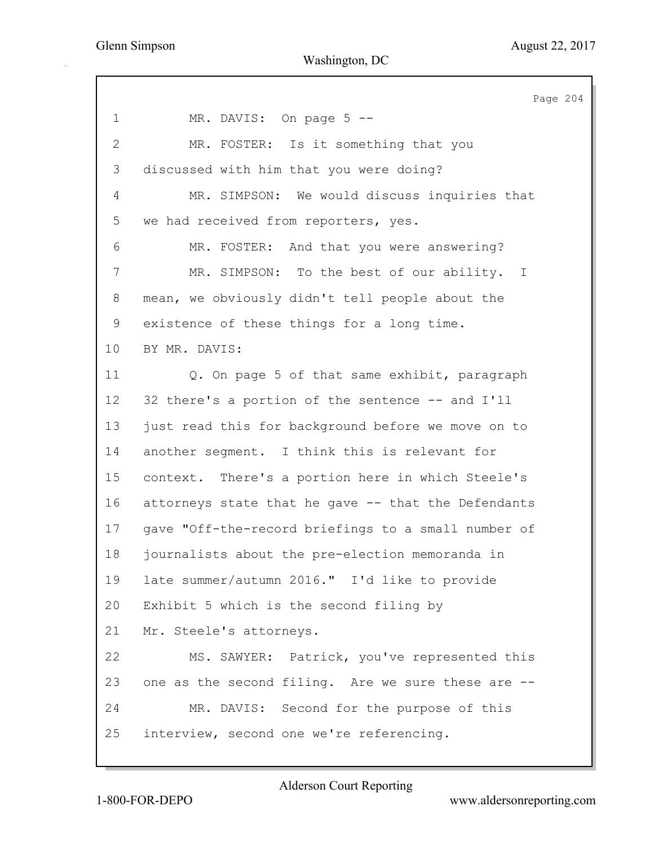Page 204 1 MR. DAVIS: On page 5 --2 MR. FOSTER: Is it something that you 3 discussed with him that you were doing? 4 MR. SIMPSON: We would discuss inquiries that 5 we had received from reporters, yes. 6 MR. FOSTER: And that you were answering? 7 MR. SIMPSON: To the best of our ability. I 8 mean, we obviously didn't tell people about the 9 existence of these things for a long time. 10 BY MR. DAVIS: 11 Q. On page 5 of that same exhibit, paragraph 12 32 there's a portion of the sentence -- and I'll 13 just read this for background before we move on to 14 another segment. I think this is relevant for 15 context. There's a portion here in which Steele's 16 attorneys state that he gave -- that the Defendants 17 gave "Off-the-record briefings to a small number of 18 journalists about the pre-election memoranda in 19 late summer/autumn 2016." I'd like to provide 20 Exhibit 5 which is the second filing by 21 Mr. Steele's attorneys. 22 MS. SAWYER: Patrick, you've represented this 23 one as the second filing. Are we sure these are -- 24 MR. DAVIS: Second for the purpose of this 25 interview, second one we're referencing.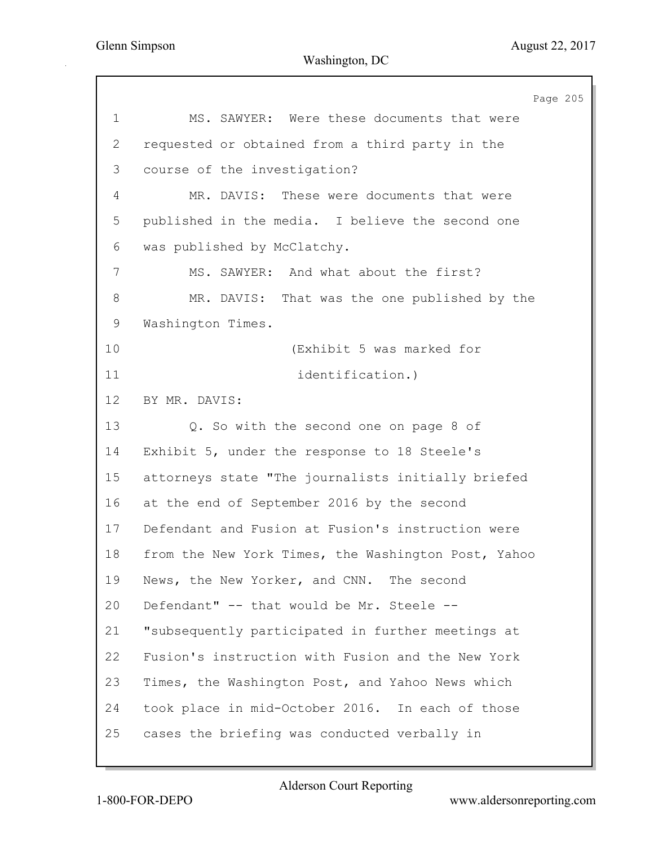|                | Page 205                                            |
|----------------|-----------------------------------------------------|
| $\mathbf 1$    | MS. SAWYER: Were these documents that were          |
| $\overline{2}$ | requested or obtained from a third party in the     |
| 3              | course of the investigation?                        |
| 4              | MR. DAVIS: These were documents that were           |
| 5              | published in the media. I believe the second one    |
| 6              | was published by McClatchy.                         |
| 7              | MS. SAWYER: And what about the first?               |
| 8              | MR. DAVIS: That was the one published by the        |
| 9              | Washington Times.                                   |
| 10             | (Exhibit 5 was marked for                           |
| 11             | identification.)                                    |
| 12             | BY MR. DAVIS:                                       |
| 13             | Q. So with the second one on page 8 of              |
| 14             | Exhibit 5, under the response to 18 Steele's        |
| 15             | attorneys state "The journalists initially briefed  |
| 16             | at the end of September 2016 by the second          |
| 17             | Defendant and Fusion at Fusion's instruction were   |
| 18             | from the New York Times, the Washington Post, Yahoo |
| 19             | News, the New Yorker, and CNN. The second           |
| 20             | Defendant" -- that would be Mr. Steele --           |
| 21             | "subsequently participated in further meetings at   |
| 22             | Fusion's instruction with Fusion and the New York   |
| 23             | Times, the Washington Post, and Yahoo News which    |
| 24             | took place in mid-October 2016. In each of those    |
| 25             | cases the briefing was conducted verbally in        |
|                |                                                     |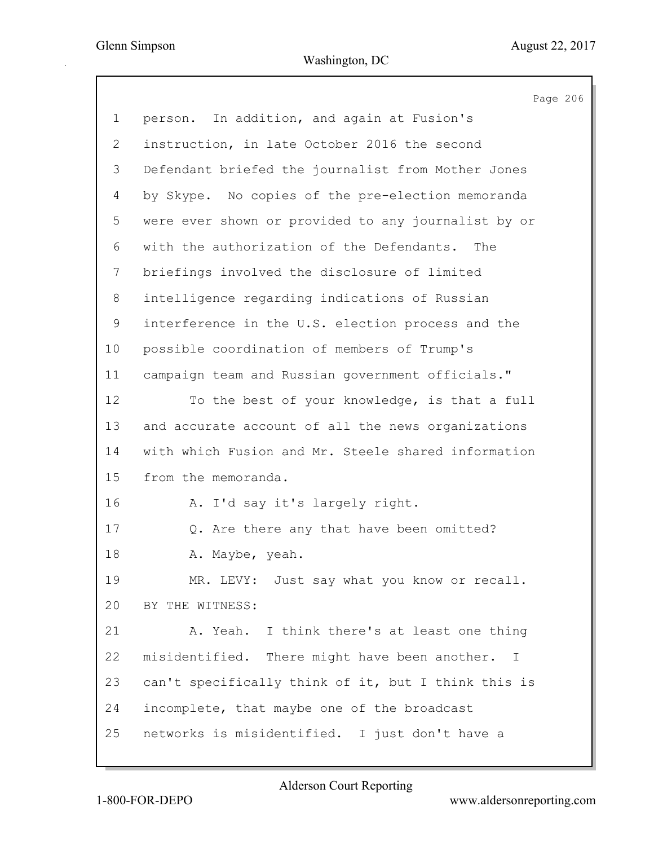|                 | Page 206                                            |
|-----------------|-----------------------------------------------------|
| $\mathbf 1$     | person. In addition, and again at Fusion's          |
| $\mathbf{2}$    | instruction, in late October 2016 the second        |
| 3               | Defendant briefed the journalist from Mother Jones  |
| 4               | by Skype. No copies of the pre-election memoranda   |
| 5               | were ever shown or provided to any journalist by or |
| 6               | with the authorization of the Defendants.<br>The    |
| 7               | briefings involved the disclosure of limited        |
| 8               | intelligence regarding indications of Russian       |
| 9               | interference in the U.S. election process and the   |
| 10 <sub>o</sub> | possible coordination of members of Trump's         |
| 11              | campaign team and Russian government officials."    |
| 12              | To the best of your knowledge, is that a full       |
| 13              | and accurate account of all the news organizations  |
| 14              | with which Fusion and Mr. Steele shared information |
| 15              | from the memoranda.                                 |
| 16              | A. I'd say it's largely right.                      |
| 17              | Q. Are there any that have been omitted?            |
| 18              | A. Maybe, yeah.                                     |
| 19              | MR. LEVY: Just say what you know or recall.         |
| 20              | BY THE WITNESS:                                     |
| 21              | A. Yeah. I think there's at least one thing         |
| 22              | misidentified. There might have been another. I     |
| 23              | can't specifically think of it, but I think this is |
| 24              | incomplete, that maybe one of the broadcast         |
| 25              | networks is misidentified. I just don't have a      |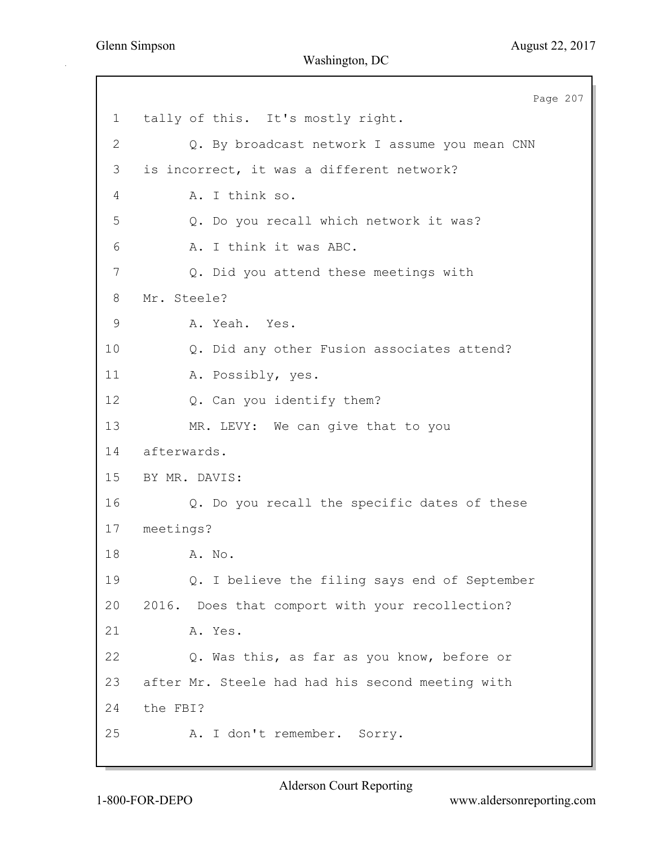Page 207 1 tally of this. It's mostly right. 2 Q. By broadcast network I assume you mean CNN 3 is incorrect, it was a different network? 4 A. I think so. 5 Q. Do you recall which network it was? 6 A. I think it was ABC. 7 Q. Did you attend these meetings with 8 Mr. Steele? 9 A. Yeah. Yes. 10 Q. Did any other Fusion associates attend? 11 A. Possibly, yes. 12 Q. Can you identify them? 13 MR. LEVY: We can give that to you 14 afterwards. 15 BY MR. DAVIS: 16 Q. Do you recall the specific dates of these 17 meetings? 18 A. No. 19 Q. I believe the filing says end of September 20 2016. Does that comport with your recollection? 21 A. Yes. 22 Q. Was this, as far as you know, before or 23 after Mr. Steele had had his second meeting with 24 the FBI? 25 A. I don't remember. Sorry.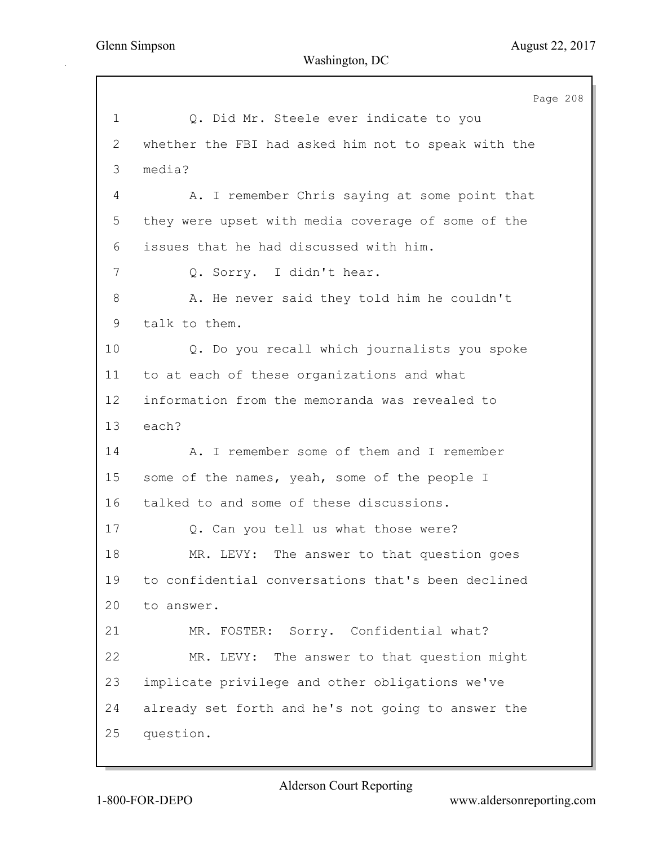Page 208 1 Q. Did Mr. Steele ever indicate to you 2 whether the FBI had asked him not to speak with the 3 media? 4 A. I remember Chris saying at some point that 5 they were upset with media coverage of some of the 6 issues that he had discussed with him. 7 Q. Sorry. I didn't hear. 8 A. He never said they told him he couldn't 9 talk to them. 10 Q. Do you recall which journalists you spoke 11 to at each of these organizations and what 12 information from the memoranda was revealed to 13 each? 14 A. I remember some of them and I remember 15 some of the names, yeah, some of the people I 16 talked to and some of these discussions. 17 Q. Can you tell us what those were? 18 MR. LEVY: The answer to that question goes 19 to confidential conversations that's been declined 20 to answer. 21 MR. FOSTER: Sorry. Confidential what? 22 MR. LEVY: The answer to that question might 23 implicate privilege and other obligations we've 24 already set forth and he's not going to answer the 25 question.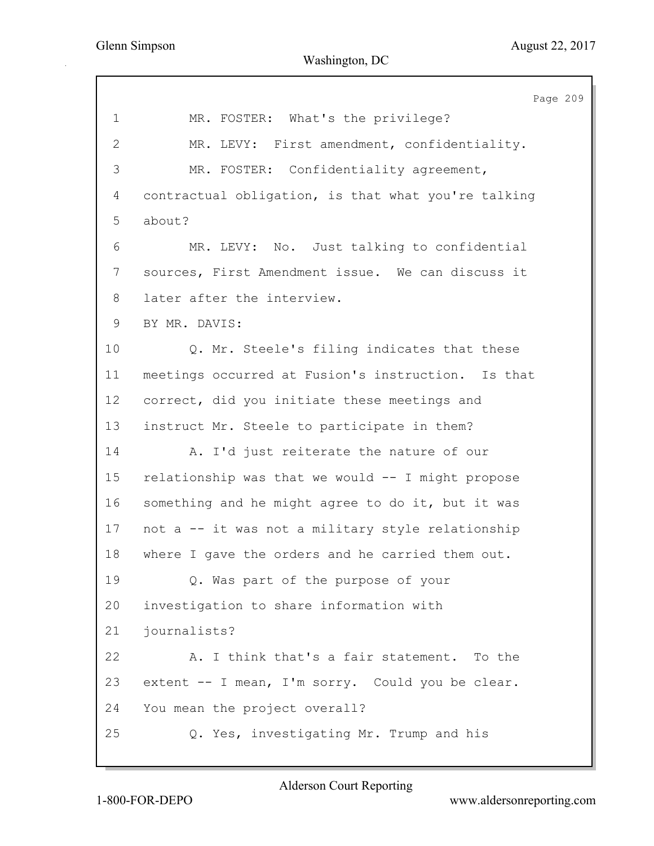Page 209 1 MR. FOSTER: What's the privilege? 2 MR. LEVY: First amendment, confidentiality. 3 MR. FOSTER: Confidentiality agreement, 4 contractual obligation, is that what you're talking 5 about? 6 MR. LEVY: No. Just talking to confidential 7 sources, First Amendment issue. We can discuss it 8 later after the interview. 9 BY MR. DAVIS: 10 Q. Mr. Steele's filing indicates that these 11 meetings occurred at Fusion's instruction. Is that 12 correct, did you initiate these meetings and 13 instruct Mr. Steele to participate in them? 14 A. I'd just reiterate the nature of our 15 relationship was that we would -- I might propose 16 something and he might agree to do it, but it was 17 not a -- it was not a military style relationship 18 where I gave the orders and he carried them out. 19 Q. Was part of the purpose of your 20 investigation to share information with 21 journalists? 22 A. I think that's a fair statement. To the 23 extent -- I mean, I'm sorry. Could you be clear. 24 You mean the project overall? 25 Q. Yes, investigating Mr. Trump and his

Alderson Court Reporting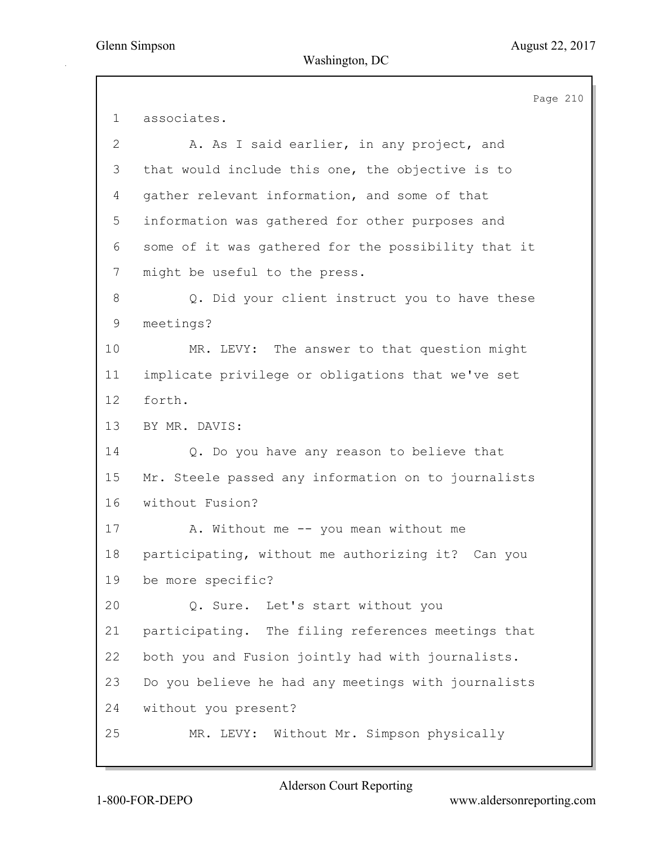|              | Page 210                                            |
|--------------|-----------------------------------------------------|
| $\mathbf 1$  | associates.                                         |
| $\mathbf{2}$ | A. As I said earlier, in any project, and           |
| 3            | that would include this one, the objective is to    |
| 4            | gather relevant information, and some of that       |
| 5            | information was gathered for other purposes and     |
| 6            | some of it was gathered for the possibility that it |
| 7            | might be useful to the press.                       |
| 8            | Q. Did your client instruct you to have these       |
| 9            | meetings?                                           |
| 10           | MR. LEVY: The answer to that question might         |
| 11           | implicate privilege or obligations that we've set   |
| 12           | forth.                                              |
| 13           | BY MR. DAVIS:                                       |
| 14           | Q. Do you have any reason to believe that           |
| 15           | Mr. Steele passed any information on to journalists |
| 16           | without Fusion?                                     |
| 17           | A. Without me -- you mean without me                |
| 18           | participating, without me authorizing it? Can you   |
| 19           | be more specific?                                   |
| 20           | Q. Sure. Let's start without you                    |
| 21           | participating. The filing references meetings that  |
| 22           | both you and Fusion jointly had with journalists.   |
| 23           | Do you believe he had any meetings with journalists |
| 24           | without you present?                                |
| 25           | MR. LEVY: Without Mr. Simpson physically            |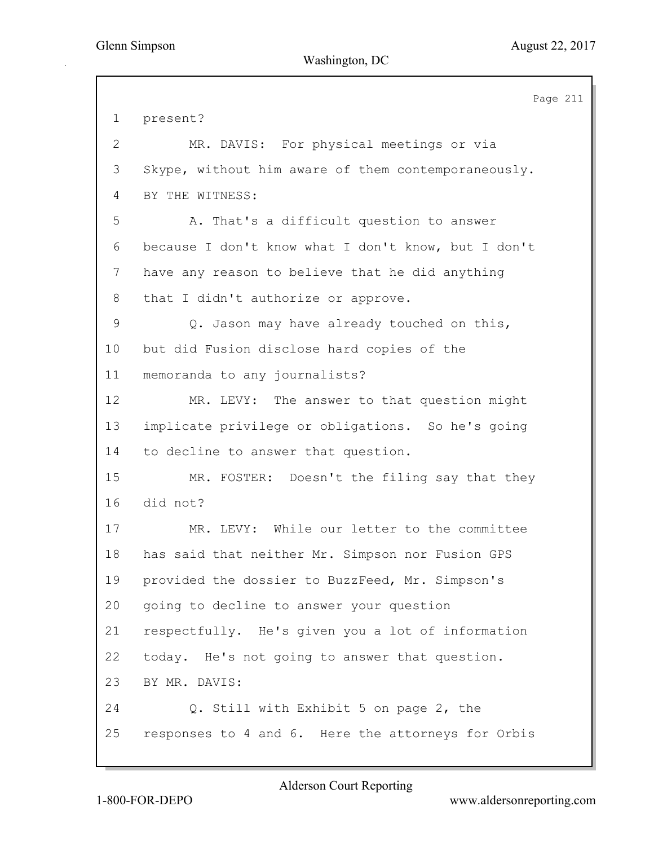Page 211 1 present? 2 MR. DAVIS: For physical meetings or via 3 Skype, without him aware of them contemporaneously. 4 BY THE WITNESS: 5 A. That's a difficult question to answer 6 because I don't know what I don't know, but I don't 7 have any reason to believe that he did anything 8 that I didn't authorize or approve. 9 Q. Jason may have already touched on this, 10 but did Fusion disclose hard copies of the 11 memoranda to any journalists? 12 MR. LEVY: The answer to that question might 13 implicate privilege or obligations. So he's going 14 to decline to answer that question. 15 MR. FOSTER: Doesn't the filing say that they 16 did not? 17 MR. LEVY: While our letter to the committee 18 has said that neither Mr. Simpson nor Fusion GPS 19 provided the dossier to BuzzFeed, Mr. Simpson's 20 going to decline to answer your question 21 respectfully. He's given you a lot of information 22 today. He's not going to answer that question. 23 BY MR. DAVIS: 24 Q. Still with Exhibit 5 on page 2, the 25 responses to 4 and 6. Here the attorneys for Orbis

Alderson Court Reporting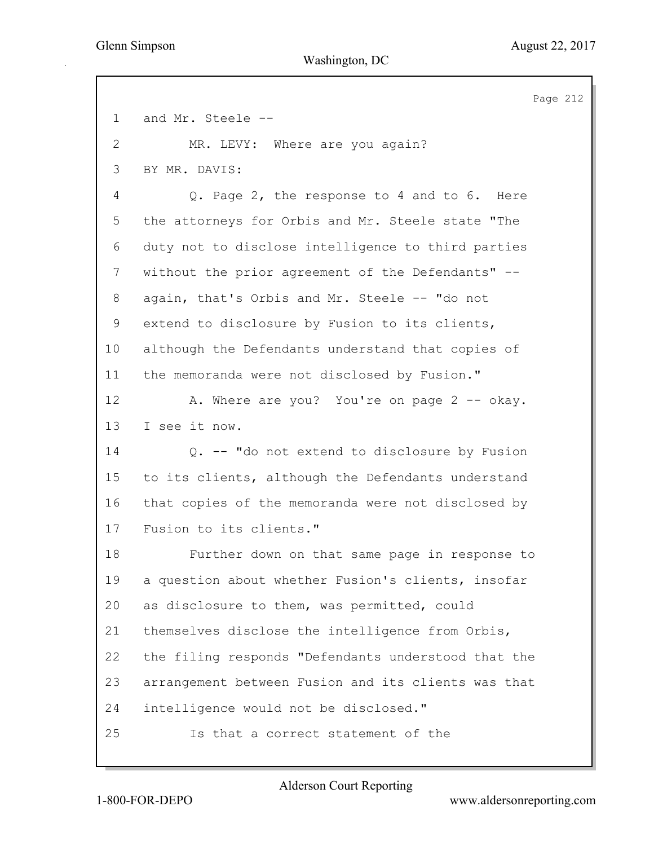Page 212 1 and Mr. Steele -- 2 MR. LEVY: Where are you again? 3 BY MR. DAVIS: 4 Q. Page 2, the response to 4 and to 6. Here 5 the attorneys for Orbis and Mr. Steele state "The 6 duty not to disclose intelligence to third parties 7 without the prior agreement of the Defendants" --8 again, that's Orbis and Mr. Steele -- "do not 9 extend to disclosure by Fusion to its clients, 10 although the Defendants understand that copies of 11 the memoranda were not disclosed by Fusion." 12 A. Where are you? You're on page 2 -- okay. 13 I see it now. 14 Q. -- "do not extend to disclosure by Fusion 15 to its clients, although the Defendants understand 16 that copies of the memoranda were not disclosed by 17 Fusion to its clients." 18 Further down on that same page in response to 19 a question about whether Fusion's clients, insofar 20 as disclosure to them, was permitted, could 21 themselves disclose the intelligence from Orbis, 22 the filing responds "Defendants understood that the 23 arrangement between Fusion and its clients was that 24 intelligence would not be disclosed." 25 Is that a correct statement of the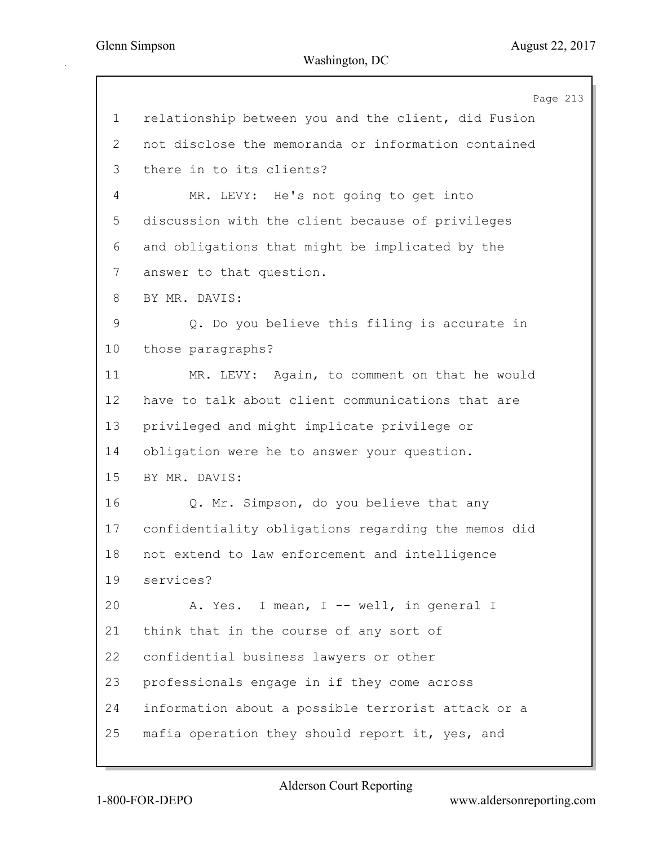|                 | Page 213                                            |
|-----------------|-----------------------------------------------------|
| $\mathbf 1$     | relationship between you and the client, did Fusion |
| 2               | not disclose the memoranda or information contained |
| 3               | there in to its clients?                            |
| 4               | MR. LEVY: He's not going to get into                |
| 5               | discussion with the client because of privileges    |
| 6               | and obligations that might be implicated by the     |
| 7               | answer to that question.                            |
| 8               | BY MR. DAVIS:                                       |
| 9               | Q. Do you believe this filing is accurate in        |
| 10 <sub>o</sub> | those paragraphs?                                   |
| 11              | MR. LEVY: Again, to comment on that he would        |
| 12              | have to talk about client communications that are   |
| 13              | privileged and might implicate privilege or         |
| 14              | obligation were he to answer your question.         |
| 15              | BY MR. DAVIS:                                       |
| 16              | Q. Mr. Simpson, do you believe that any             |
| 17              | confidentiality obligations regarding the memos did |
| 18              | not extend to law enforcement and intelligence      |
| 19              | services?                                           |
| 20              | A. Yes. I mean, I -- well, in general I             |
| 21              | think that in the course of any sort of             |
| 22              | confidential business lawyers or other              |
| 23              | professionals engage in if they come across         |
| 24              | information about a possible terrorist attack or a  |
| 25              | mafia operation they should report it, yes, and     |
|                 |                                                     |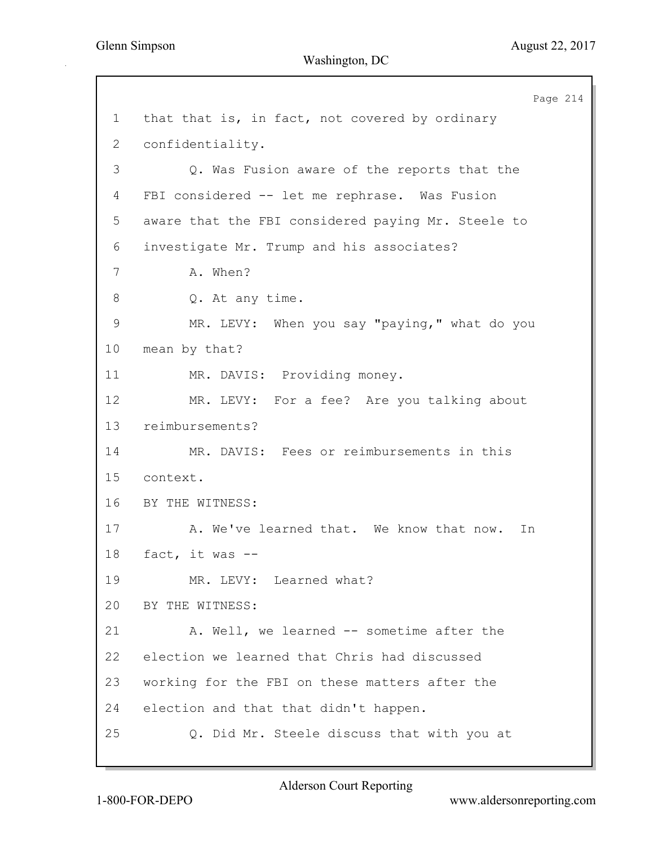Page 214 1 that that is, in fact, not covered by ordinary 2 confidentiality. 3 Q. Was Fusion aware of the reports that the 4 FBI considered -- let me rephrase. Was Fusion 5 aware that the FBI considered paying Mr. Steele to 6 investigate Mr. Trump and his associates? 7 A. When? 8 Q. At any time. 9 MR. LEVY: When you say "paying," what do you 10 mean by that? 11 MR. DAVIS: Providing money. 12 MR. LEVY: For a fee? Are you talking about 13 reimbursements? 14 MR. DAVIS: Fees or reimbursements in this 15 context. 16 BY THE WITNESS: 17 A. We've learned that. We know that now. In 18 fact, it was -- 19 MR. LEVY: Learned what? 20 BY THE WITNESS: 21 A. Well, we learned -- sometime after the 22 election we learned that Chris had discussed 23 working for the FBI on these matters after the 24 election and that that didn't happen. 25 Q. Did Mr. Steele discuss that with you at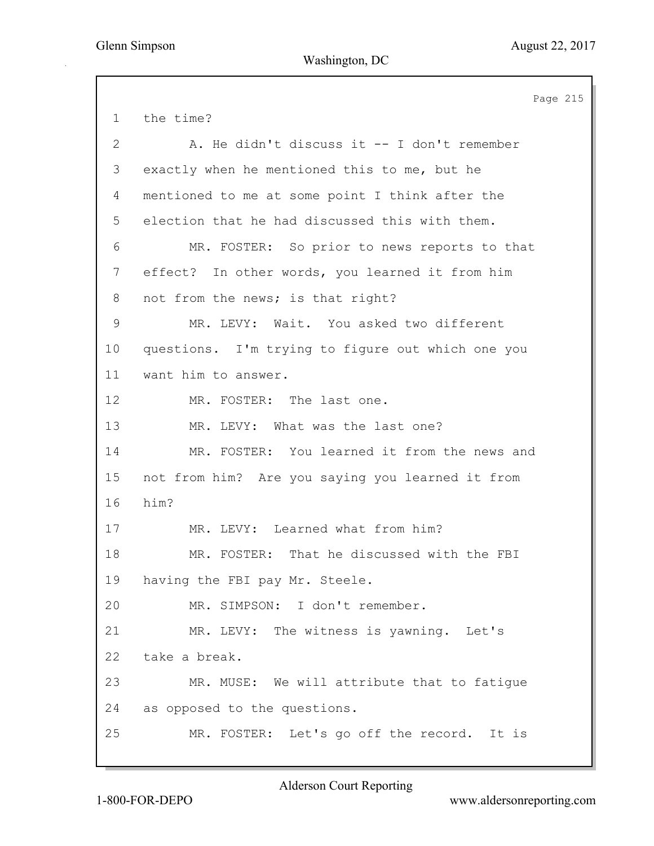Page 215 1 the time? 2 A. He didn't discuss it -- I don't remember 3 exactly when he mentioned this to me, but he 4 mentioned to me at some point I think after the 5 election that he had discussed this with them. 6 MR. FOSTER: So prior to news reports to that 7 effect? In other words, you learned it from him 8 not from the news; is that right? 9 MR. LEVY: Wait. You asked two different 10 questions. I'm trying to figure out which one you 11 want him to answer. 12 MR. FOSTER: The last one. 13 MR. LEVY: What was the last one? 14 MR. FOSTER: You learned it from the news and 15 not from him? Are you saying you learned it from 16 him? 17 MR. LEVY: Learned what from him? 18 MR. FOSTER: That he discussed with the FBI 19 having the FBI pay Mr. Steele. 20 MR. SIMPSON: I don't remember. 21 MR. LEVY: The witness is yawning. Let's 22 take a break. 23 MR. MUSE: We will attribute that to fatigue 24 as opposed to the questions. 25 MR. FOSTER: Let's go off the record. It is

Alderson Court Reporting

1-800-FOR-DEPO www.aldersonreporting.com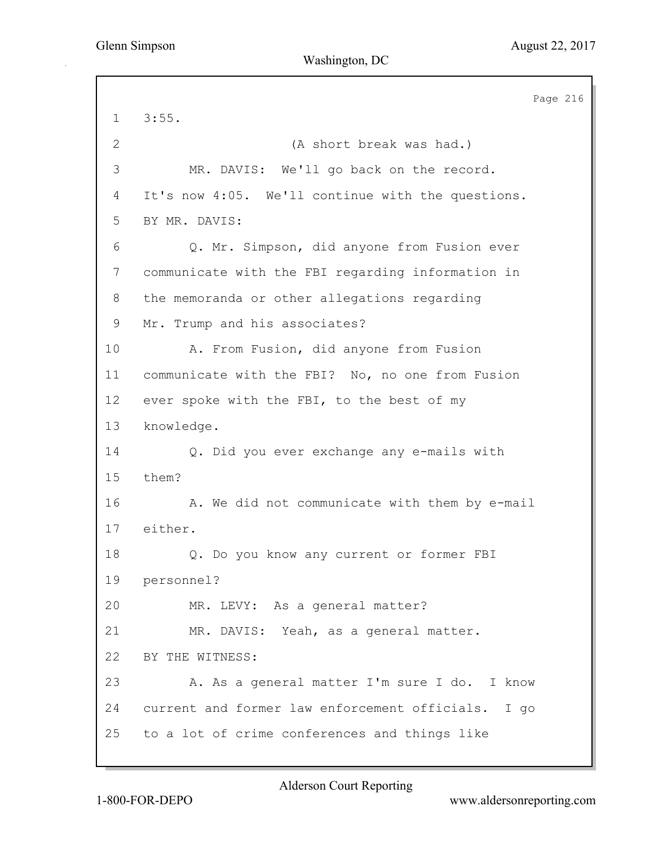Page 216 1 3:55. 2 (A short break was had.) 3 MR. DAVIS: We'll go back on the record. 4 It's now 4:05. We'll continue with the questions. 5 BY MR. DAVIS: 6 Q. Mr. Simpson, did anyone from Fusion ever 7 communicate with the FBI regarding information in 8 the memoranda or other allegations regarding 9 Mr. Trump and his associates? 10 A. From Fusion, did anyone from Fusion 11 communicate with the FBI? No, no one from Fusion 12 ever spoke with the FBI, to the best of my 13 knowledge. 14 Q. Did you ever exchange any e-mails with 15 them? 16 A. We did not communicate with them by e-mail 17 either. 18 Q. Do you know any current or former FBI 19 personnel? 20 MR. LEVY: As a general matter? 21 MR. DAVIS: Yeah, as a general matter. 22 BY THE WITNESS: 23 A. As a general matter I'm sure I do. I know 24 current and former law enforcement officials. I go 25 to a lot of crime conferences and things like

Alderson Court Reporting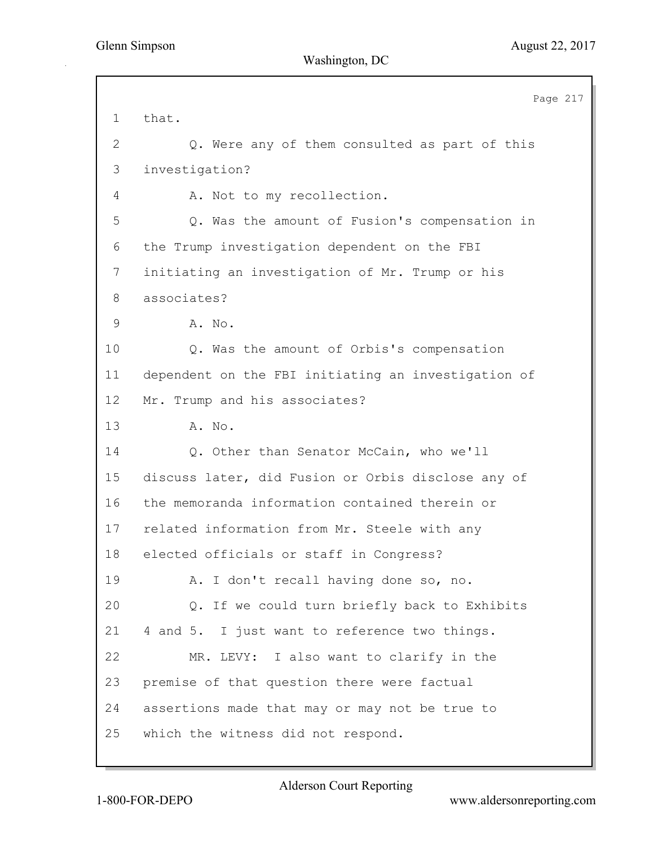Page 217 1 that. 2 Q. Were any of them consulted as part of this 3 investigation? 4 A. Not to my recollection. 5 Q. Was the amount of Fusion's compensation in 6 the Trump investigation dependent on the FBI 7 initiating an investigation of Mr. Trump or his 8 associates? 9 A. No. 10 Q. Was the amount of Orbis's compensation 11 dependent on the FBI initiating an investigation of 12 Mr. Trump and his associates? 13 A. No. 14 Q. Other than Senator McCain, who we'll 15 discuss later, did Fusion or Orbis disclose any of 16 the memoranda information contained therein or 17 related information from Mr. Steele with any 18 elected officials or staff in Congress? 19 A. I don't recall having done so, no. 20 Q. If we could turn briefly back to Exhibits 21 4 and 5. I just want to reference two things. 22 MR. LEVY: I also want to clarify in the 23 premise of that question there were factual 24 assertions made that may or may not be true to 25 which the witness did not respond.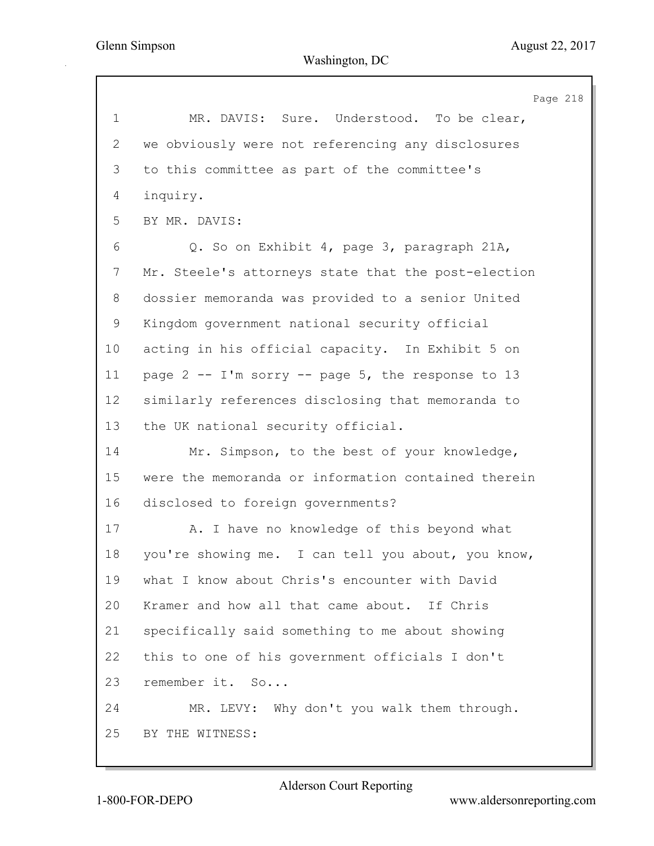Page 218 1 MR. DAVIS: Sure. Understood. To be clear, 2 we obviously were not referencing any disclosures 3 to this committee as part of the committee's 4 inquiry. 5 BY MR. DAVIS: 6 Q. So on Exhibit 4, page 3, paragraph 21A, 7 Mr. Steele's attorneys state that the post-election 8 dossier memoranda was provided to a senior United 9 Kingdom government national security official 10 acting in his official capacity. In Exhibit 5 on 11 page 2 -- I'm sorry -- page 5, the response to 13 12 similarly references disclosing that memoranda to 13 the UK national security official. 14 Mr. Simpson, to the best of your knowledge, 15 were the memoranda or information contained therein 16 disclosed to foreign governments? 17 A. I have no knowledge of this beyond what 18 you're showing me. I can tell you about, you know, 19 what I know about Chris's encounter with David 20 Kramer and how all that came about. If Chris 21 specifically said something to me about showing 22 this to one of his government officials I don't 23 remember it. So... 24 MR. LEVY: Why don't you walk them through. 25 BY THE WITNESS: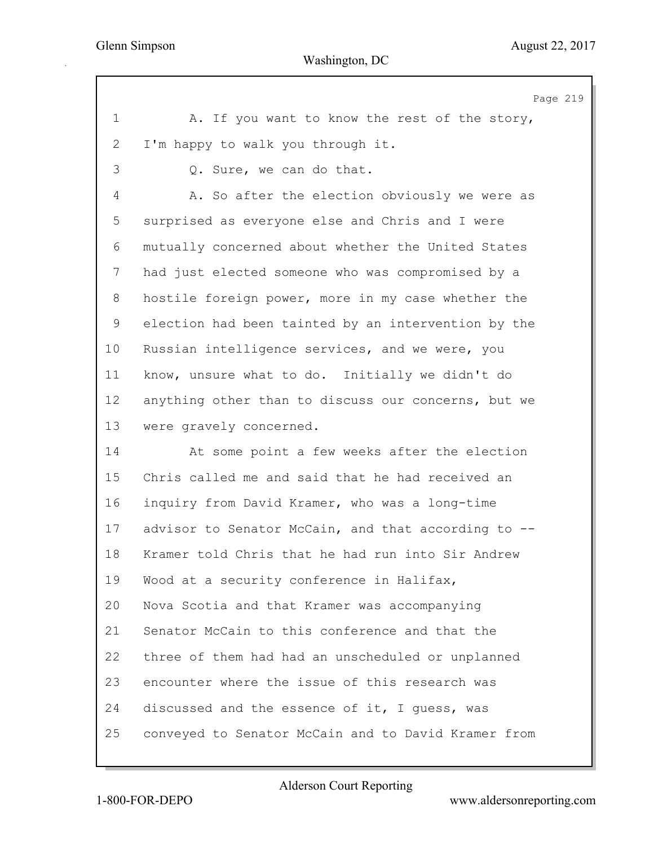Page 219 1 A. If you want to know the rest of the story, 2 I'm happy to walk you through it. 3 Q. Sure, we can do that. 4 A. So after the election obviously we were as 5 surprised as everyone else and Chris and I were 6 mutually concerned about whether the United States 7 had just elected someone who was compromised by a 8 hostile foreign power, more in my case whether the 9 election had been tainted by an intervention by the 10 Russian intelligence services, and we were, you 11 know, unsure what to do. Initially we didn't do 12 anything other than to discuss our concerns, but we 13 were gravely concerned. 14 At some point a few weeks after the election 15 Chris called me and said that he had received an 16 inquiry from David Kramer, who was a long-time 17 advisor to Senator McCain, and that according to -- 18 Kramer told Chris that he had run into Sir Andrew 19 Wood at a security conference in Halifax, 20 Nova Scotia and that Kramer was accompanying 21 Senator McCain to this conference and that the 22 three of them had had an unscheduled or unplanned 23 encounter where the issue of this research was 24 discussed and the essence of it, I guess, was 25 conveyed to Senator McCain and to David Kramer from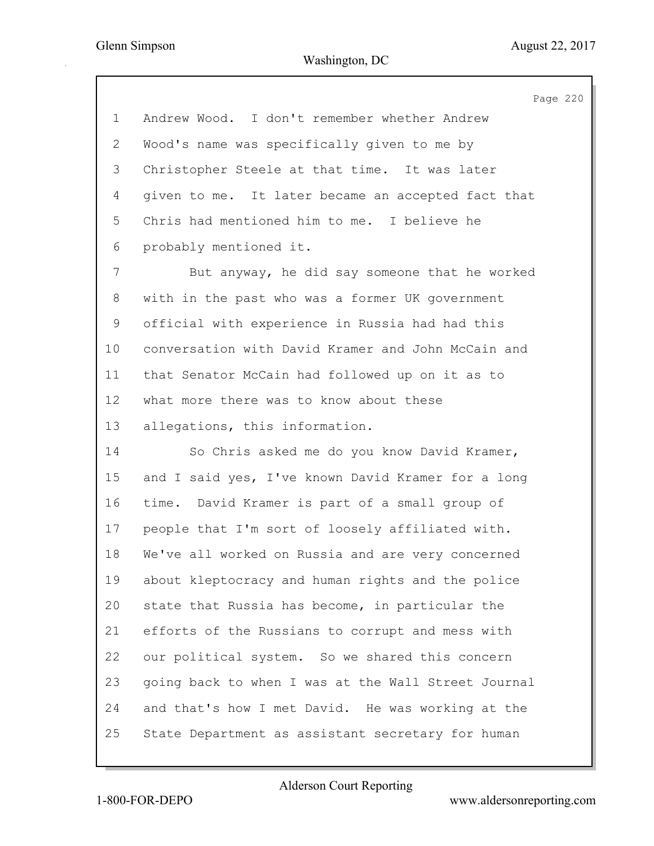Page 220 1 Andrew Wood. I don't remember whether Andrew 2 Wood's name was specifically given to me by 3 Christopher Steele at that time. It was later 4 given to me. It later became an accepted fact that 5 Chris had mentioned him to me. I believe he 6 probably mentioned it. 7 But anyway, he did say someone that he worked 8 with in the past who was a former UK government 9 official with experience in Russia had had this 10 conversation with David Kramer and John McCain and 11 that Senator McCain had followed up on it as to 12 what more there was to know about these 13 allegations, this information. 14 So Chris asked me do you know David Kramer, 15 and I said yes, I've known David Kramer for a long 16 time. David Kramer is part of a small group of 17 people that I'm sort of loosely affiliated with. 18 We've all worked on Russia and are very concerned 19 about kleptocracy and human rights and the police 20 state that Russia has become, in particular the 21 efforts of the Russians to corrupt and mess with 22 our political system. So we shared this concern 23 going back to when I was at the Wall Street Journal 24 and that's how I met David. He was working at the 25 State Department as assistant secretary for human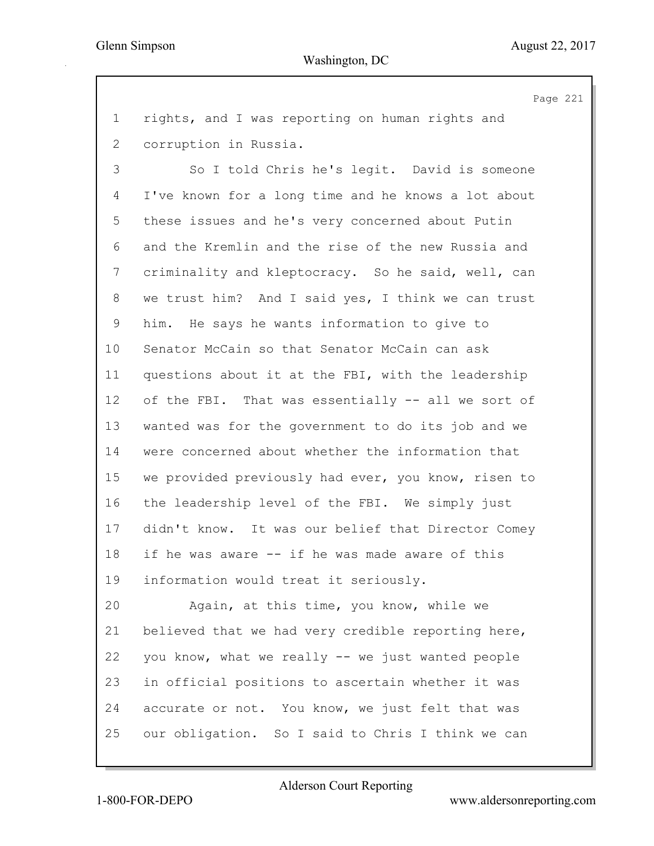Page 221

1 rights, and I was reporting on human rights and 2 corruption in Russia.

3 So I told Chris he's legit. David is someone 4 I've known for a long time and he knows a lot about 5 these issues and he's very concerned about Putin 6 and the Kremlin and the rise of the new Russia and 7 criminality and kleptocracy. So he said, well, can 8 we trust him? And I said yes, I think we can trust 9 him. He says he wants information to give to 10 Senator McCain so that Senator McCain can ask 11 questions about it at the FBI, with the leadership 12 of the FBI. That was essentially -- all we sort of 13 wanted was for the government to do its job and we 14 were concerned about whether the information that 15 we provided previously had ever, you know, risen to 16 the leadership level of the FBI. We simply just 17 didn't know. It was our belief that Director Comey 18 if he was aware -- if he was made aware of this 19 information would treat it seriously.

20 Again, at this time, you know, while we 21 believed that we had very credible reporting here, 22 you know, what we really -- we just wanted people 23 in official positions to ascertain whether it was 24 accurate or not. You know, we just felt that was 25 our obligation. So I said to Chris I think we can

Alderson Court Reporting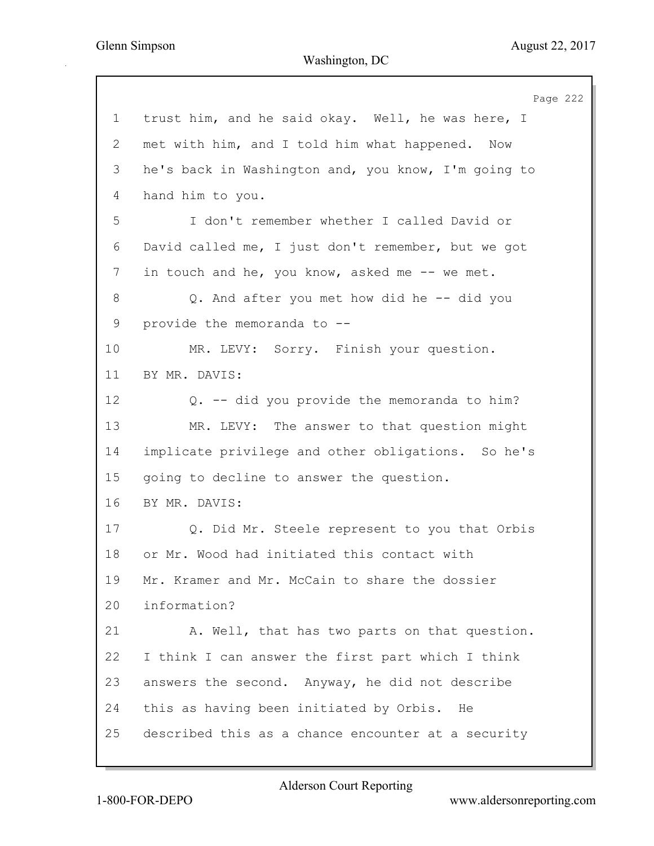Page 222 1 trust him, and he said okay. Well, he was here, I 2 met with him, and I told him what happened. Now 3 he's back in Washington and, you know, I'm going to 4 hand him to you. 5 I don't remember whether I called David or 6 David called me, I just don't remember, but we got 7 in touch and he, you know, asked me -- we met. 8 Q. And after you met how did he -- did you 9 provide the memoranda to -- 10 MR. LEVY: Sorry. Finish your question. 11 BY MR. DAVIS: 12 Q. -- did you provide the memoranda to him? 13 MR. LEVY: The answer to that question might 14 implicate privilege and other obligations. So he's 15 going to decline to answer the question. 16 BY MR. DAVIS: 17 Q. Did Mr. Steele represent to you that Orbis 18 or Mr. Wood had initiated this contact with 19 Mr. Kramer and Mr. McCain to share the dossier 20 information? 21 A. Well, that has two parts on that question. 22 I think I can answer the first part which I think 23 answers the second. Anyway, he did not describe 24 this as having been initiated by Orbis. He 25 described this as a chance encounter at a security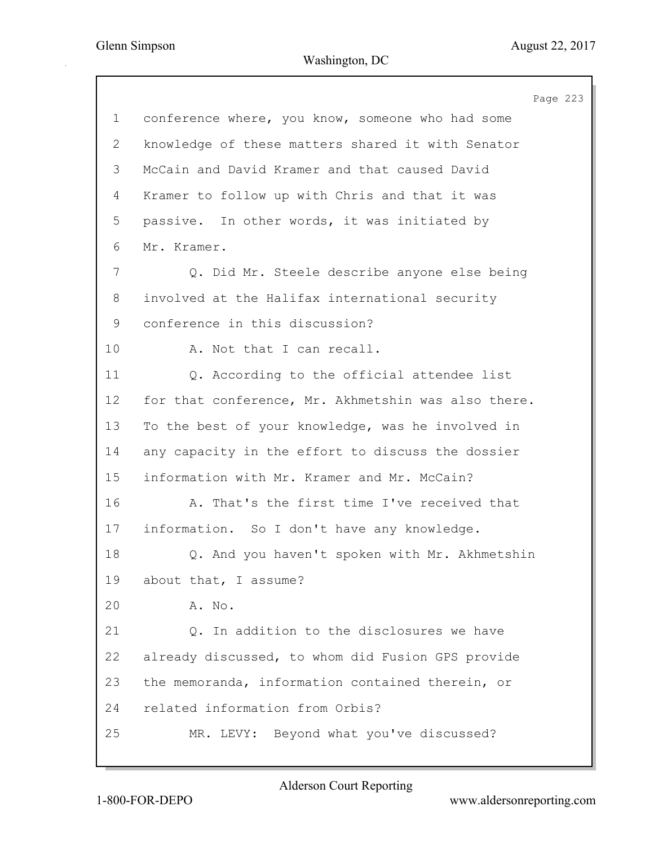Page 223 1 conference where, you know, someone who had some 2 knowledge of these matters shared it with Senator 3 McCain and David Kramer and that caused David 4 Kramer to follow up with Chris and that it was 5 passive. In other words, it was initiated by 6 Mr. Kramer. 7 Q. Did Mr. Steele describe anyone else being 8 involved at the Halifax international security 9 conference in this discussion? 10 A. Not that I can recall. 11 Q. According to the official attendee list 12 for that conference, Mr. Akhmetshin was also there. 13 To the best of your knowledge, was he involved in 14 any capacity in the effort to discuss the dossier 15 information with Mr. Kramer and Mr. McCain? 16 A. That's the first time I've received that 17 information. So I don't have any knowledge. 18 Q. And you haven't spoken with Mr. Akhmetshin 19 about that, I assume? 20 A. No. 21 Q. In addition to the disclosures we have 22 already discussed, to whom did Fusion GPS provide 23 the memoranda, information contained therein, or 24 related information from Orbis? 25 MR. LEVY: Beyond what you've discussed?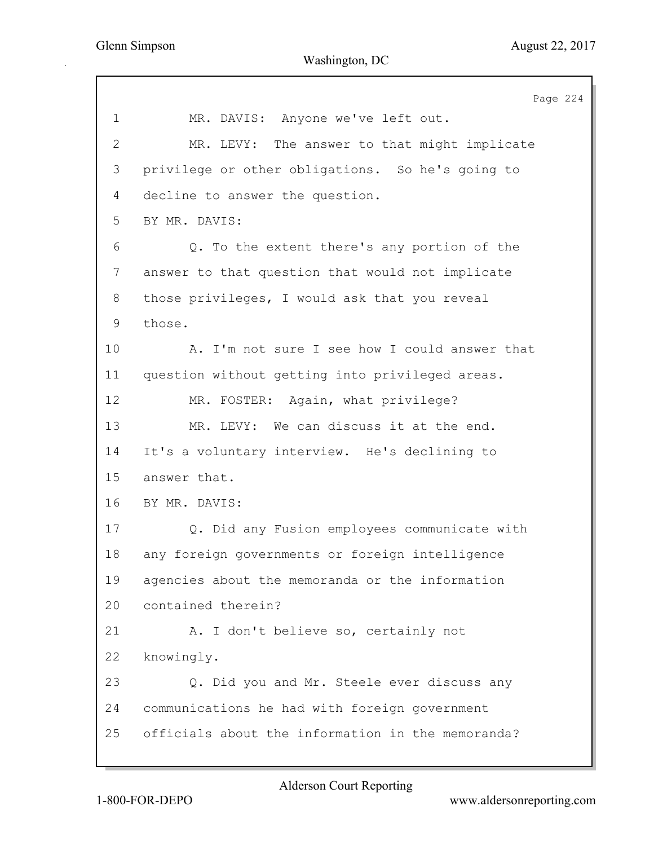Page 224 1 MR. DAVIS: Anyone we've left out. 2 MR. LEVY: The answer to that might implicate 3 privilege or other obligations. So he's going to 4 decline to answer the question. 5 BY MR. DAVIS: 6 Q. To the extent there's any portion of the 7 answer to that question that would not implicate 8 those privileges, I would ask that you reveal 9 those. 10 A. I'm not sure I see how I could answer that 11 question without getting into privileged areas. 12 MR. FOSTER: Again, what privilege? 13 MR. LEVY: We can discuss it at the end. 14 It's a voluntary interview. He's declining to 15 answer that. 16 BY MR. DAVIS: 17 Q. Did any Fusion employees communicate with 18 any foreign governments or foreign intelligence 19 agencies about the memoranda or the information 20 contained therein? 21 A. I don't believe so, certainly not 22 knowingly. 23 Q. Did you and Mr. Steele ever discuss any 24 communications he had with foreign government 25 officials about the information in the memoranda?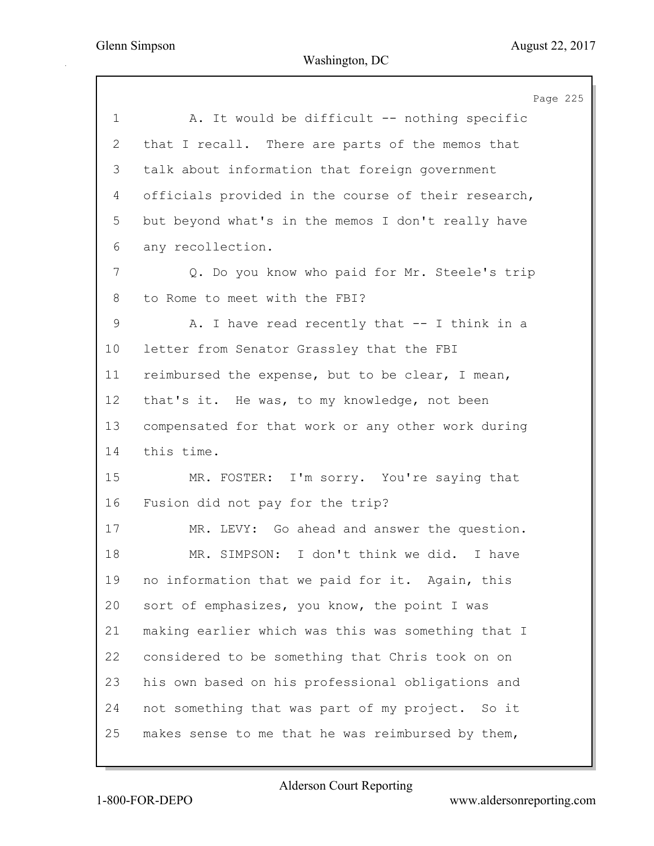Page 225 1 A. It would be difficult -- nothing specific 2 that I recall. There are parts of the memos that 3 talk about information that foreign government 4 officials provided in the course of their research, 5 but beyond what's in the memos I don't really have 6 any recollection. 7 Q. Do you know who paid for Mr. Steele's trip 8 to Rome to meet with the FBI? 9 A. I have read recently that -- I think in a 10 letter from Senator Grassley that the FBI 11 reimbursed the expense, but to be clear, I mean, 12 that's it. He was, to my knowledge, not been 13 compensated for that work or any other work during 14 this time. 15 MR. FOSTER: I'm sorry. You're saying that 16 Fusion did not pay for the trip? 17 MR. LEVY: Go ahead and answer the question. 18 MR. SIMPSON: I don't think we did. I have 19 no information that we paid for it. Again, this 20 sort of emphasizes, you know, the point I was 21 making earlier which was this was something that I 22 considered to be something that Chris took on on 23 his own based on his professional obligations and 24 not something that was part of my project. So it 25 makes sense to me that he was reimbursed by them,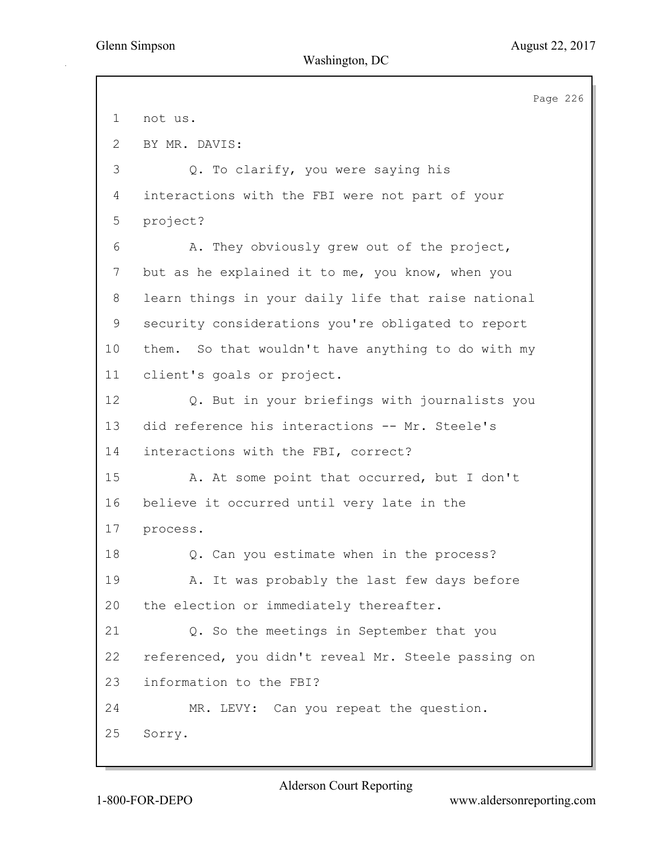Page 226 1 not us. 2 BY MR. DAVIS: 3 Q. To clarify, you were saying his 4 interactions with the FBI were not part of your 5 project? 6 A. They obviously grew out of the project, 7 but as he explained it to me, you know, when you 8 learn things in your daily life that raise national 9 security considerations you're obligated to report 10 them. So that wouldn't have anything to do with my 11 client's goals or project. 12 Q. But in your briefings with journalists you 13 did reference his interactions -- Mr. Steele's 14 interactions with the FBI, correct? 15 A. At some point that occurred, but I don't 16 believe it occurred until very late in the 17 process. 18 Q. Can you estimate when in the process? 19 A. It was probably the last few days before 20 the election or immediately thereafter. 21 Q. So the meetings in September that you 22 referenced, you didn't reveal Mr. Steele passing on 23 information to the FBI? 24 MR. LEVY: Can you repeat the question. 25 Sorry.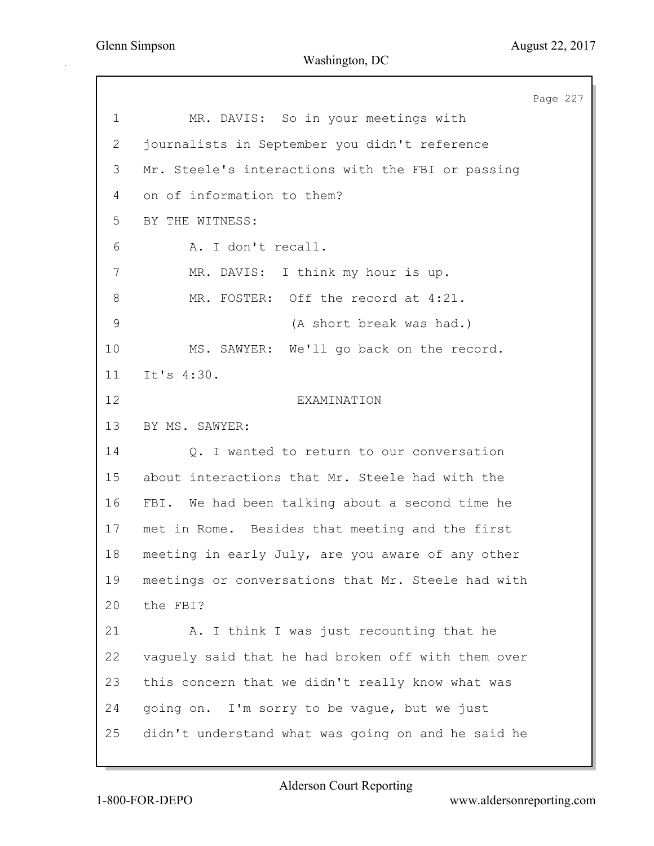Page 227 1 MR. DAVIS: So in your meetings with 2 journalists in September you didn't reference 3 Mr. Steele's interactions with the FBI or passing 4 on of information to them? 5 BY THE WITNESS: 6 A. I don't recall. 7 MR. DAVIS: I think my hour is up. 8 MR. FOSTER: Off the record at 4:21. 9 (A short break was had.) 10 MS. SAWYER: We'll go back on the record. 11 It's 4:30. 12 EXAMINATION 13 BY MS. SAWYER: 14 Q. I wanted to return to our conversation 15 about interactions that Mr. Steele had with the 16 FBI. We had been talking about a second time he 17 met in Rome. Besides that meeting and the first 18 meeting in early July, are you aware of any other 19 meetings or conversations that Mr. Steele had with 20 the FBI? 21 A. I think I was just recounting that he 22 vaguely said that he had broken off with them over 23 this concern that we didn't really know what was 24 going on. I'm sorry to be vague, but we just 25 didn't understand what was going on and he said he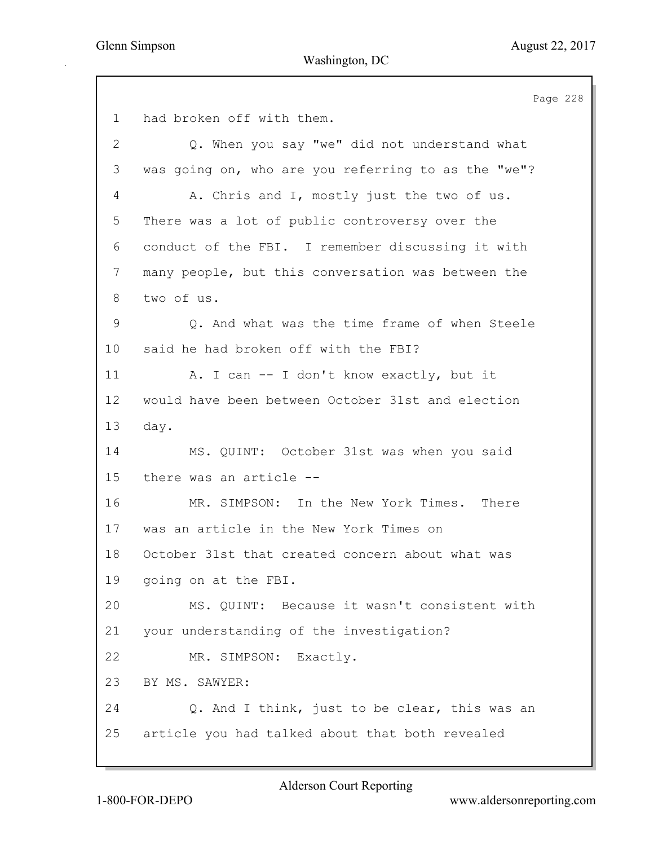Page 228 1 had broken off with them. 2 Q. When you say "we" did not understand what 3 was going on, who are you referring to as the "we"? 4 A. Chris and I, mostly just the two of us. 5 There was a lot of public controversy over the 6 conduct of the FBI. I remember discussing it with 7 many people, but this conversation was between the 8 two of us. 9 Q. And what was the time frame of when Steele 10 said he had broken off with the FBI? 11 A. I can -- I don't know exactly, but it 12 would have been between October 31st and election 13 day. 14 MS. QUINT: October 31st was when you said 15 there was an article -- 16 MR. SIMPSON: In the New York Times. There 17 was an article in the New York Times on 18 October 31st that created concern about what was 19 going on at the FBI. 20 MS. QUINT: Because it wasn't consistent with 21 your understanding of the investigation? 22 MR. SIMPSON: Exactly. 23 BY MS. SAWYER: 24 Q. And I think, just to be clear, this was an 25 article you had talked about that both revealed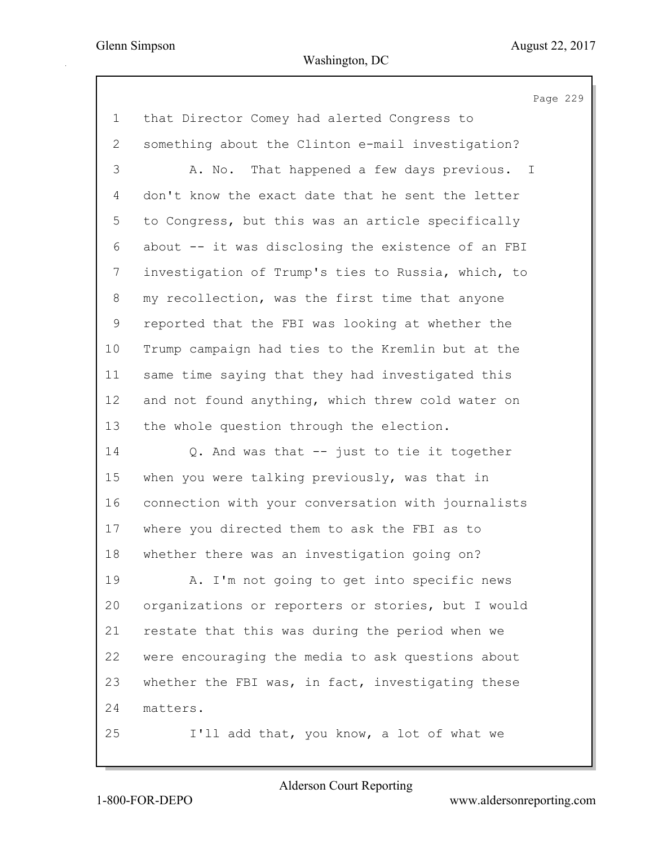|             | Page 229                                           |
|-------------|----------------------------------------------------|
| $\mathbf 1$ | that Director Comey had alerted Congress to        |
| 2           | something about the Clinton e-mail investigation?  |
| 3           | That happened a few days previous. I<br>A. No.     |
| 4           | don't know the exact date that he sent the letter  |
| 5           | to Congress, but this was an article specifically  |
| 6           | about -- it was disclosing the existence of an FBI |
| 7           | investigation of Trump's ties to Russia, which, to |
| 8           | my recollection, was the first time that anyone    |
| 9           | reported that the FBI was looking at whether the   |
| 10          | Trump campaign had ties to the Kremlin but at the  |
| 11          | same time saying that they had investigated this   |
| 12          | and not found anything, which threw cold water on  |
| 13          | the whole question through the election.           |
| 14          | Q. And was that -- just to tie it together         |
| 15          | when you were talking previously, was that in      |
| 16          | connection with your conversation with journalists |
| 17          | where you directed them to ask the FBI as to       |
| 18          | whether there was an investigation going on?       |
| 19          | A. I'm not going to get into specific news         |
| 20          | organizations or reporters or stories, but I would |
| 21          | restate that this was during the period when we    |
| 22          | were encouraging the media to ask questions about  |
| 23          | whether the FBI was, in fact, investigating these  |
| 24          | matters.                                           |
| 25          | I'll add that, you know, a lot of what we          |
|             |                                                    |

Alderson Court Reporting

1-800-FOR-DEPO www.aldersonreporting.com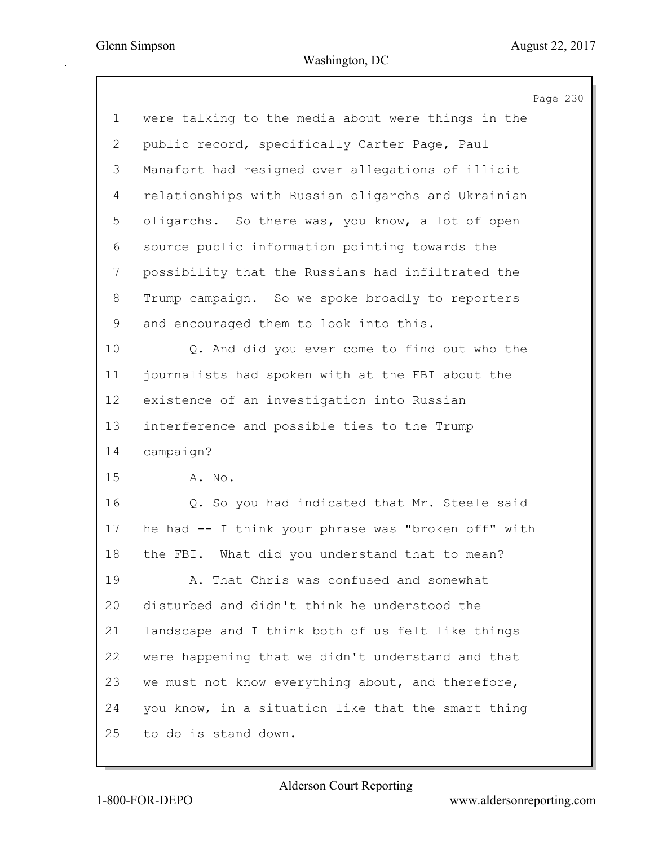|                           | Page 230                                            |
|---------------------------|-----------------------------------------------------|
| $\mathbf 1$               | were talking to the media about were things in the  |
| $\mathbf{2}^{\mathsf{I}}$ | public record, specifically Carter Page, Paul       |
| 3                         | Manafort had resigned over allegations of illicit   |
| 4                         | relationships with Russian oligarchs and Ukrainian  |
| 5                         | oligarchs. So there was, you know, a lot of open    |
| 6                         | source public information pointing towards the      |
| 7                         | possibility that the Russians had infiltrated the   |
| 8                         | Trump campaign. So we spoke broadly to reporters    |
| 9                         | and encouraged them to look into this.              |
| 10                        | Q. And did you ever come to find out who the        |
| 11                        | journalists had spoken with at the FBI about the    |
| 12                        | existence of an investigation into Russian          |
| 13                        | interference and possible ties to the Trump         |
| 14                        | campaign?                                           |
| 15                        | A. No.                                              |
| 16                        | Q. So you had indicated that Mr. Steele said        |
| 17                        | he had -- I think your phrase was "broken off" with |
| 18                        | What did you understand that to mean?<br>the FBI.   |
| 19                        | A. That Chris was confused and somewhat             |
| 20                        | disturbed and didn't think he understood the        |
| 21                        | landscape and I think both of us felt like things   |
| 22                        | were happening that we didn't understand and that   |
| 23                        | we must not know everything about, and therefore,   |
| 24                        | you know, in a situation like that the smart thing  |
| 25                        | to do is stand down.                                |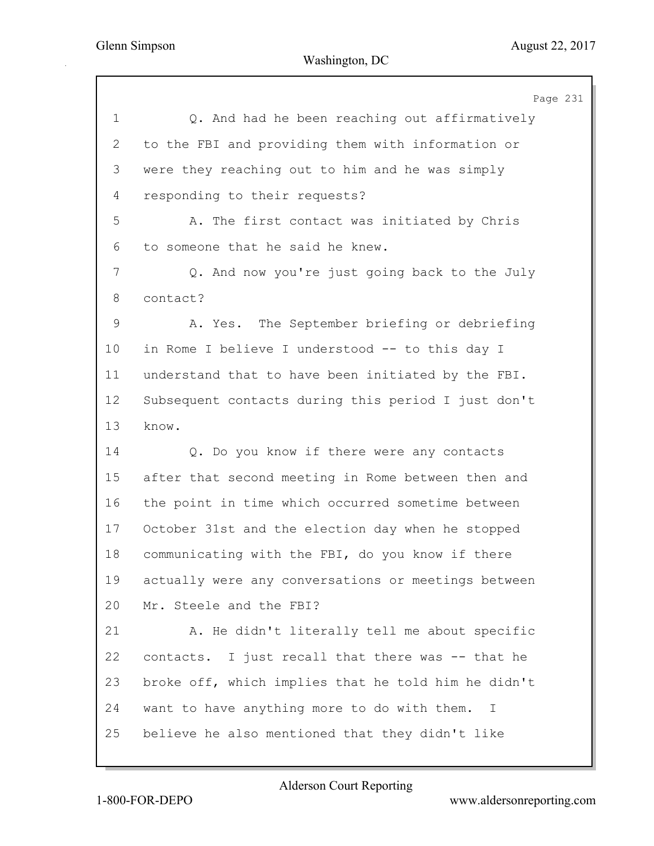|                | Page 231                                            |
|----------------|-----------------------------------------------------|
| $\mathbf 1$    | Q. And had he been reaching out affirmatively       |
| $\overline{2}$ | to the FBI and providing them with information or   |
| 3              | were they reaching out to him and he was simply     |
| 4              | responding to their requests?                       |
| 5              | A. The first contact was initiated by Chris         |
| 6              | to someone that he said he knew.                    |
| $7\phantom{.}$ | Q. And now you're just going back to the July       |
| 8              | contact?                                            |
| $\mathsf 9$    | A. Yes. The September briefing or debriefing        |
| 10             | in Rome I believe I understood -- to this day I     |
| 11             | understand that to have been initiated by the FBI.  |
| 12             | Subsequent contacts during this period I just don't |
| 13             | know.                                               |
| 14             | Q. Do you know if there were any contacts           |
| 15             | after that second meeting in Rome between then and  |
| 16             | the point in time which occurred sometime between   |
| 17             | October 31st and the election day when he stopped   |
| 18             | communicating with the FBI, do you know if there    |
| 19             | actually were any conversations or meetings between |
| 20             | Mr. Steele and the FBI?                             |
| 21             | A. He didn't literally tell me about specific       |
| 22             | contacts. I just recall that there was -- that he   |
| 23             | broke off, which implies that he told him he didn't |
| 24             | want to have anything more to do with them. I       |
| 25             | believe he also mentioned that they didn't like     |
|                |                                                     |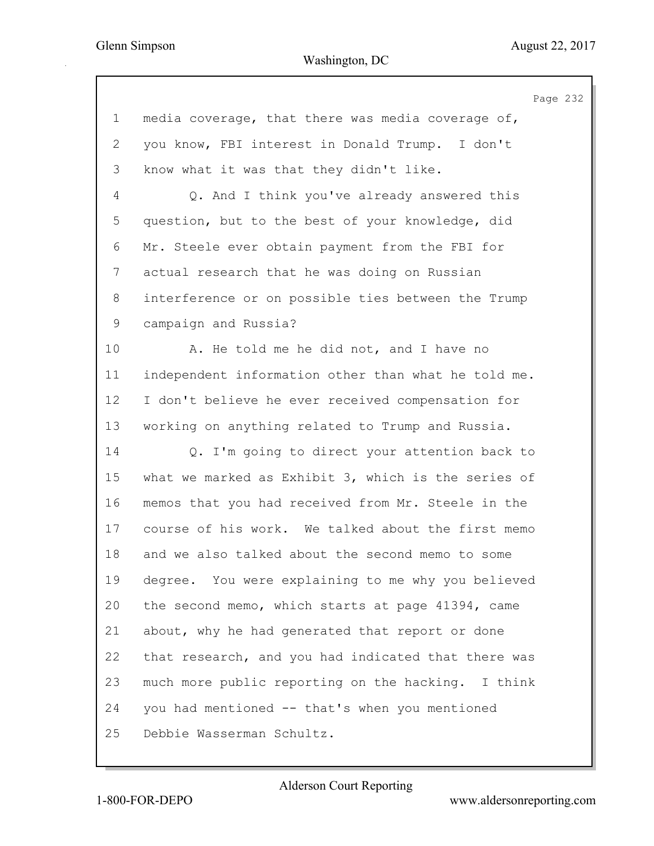|                | Page 232                                            |
|----------------|-----------------------------------------------------|
| $\mathbf 1$    | media coverage, that there was media coverage of,   |
| $\overline{2}$ | you know, FBI interest in Donald Trump. I don't     |
| 3              | know what it was that they didn't like.             |
| 4              | Q. And I think you've already answered this         |
| 5              | question, but to the best of your knowledge, did    |
| 6              | Mr. Steele ever obtain payment from the FBI for     |
| 7              | actual research that he was doing on Russian        |
| 8              | interference or on possible ties between the Trump  |
| 9              | campaign and Russia?                                |
| 10             | A. He told me he did not, and I have no             |
| 11             | independent information other than what he told me. |
| 12             | I don't believe he ever received compensation for   |
| 13             | working on anything related to Trump and Russia.    |
| 14             | Q. I'm going to direct your attention back to       |
| 15             | what we marked as Exhibit 3, which is the series of |
| 16             | memos that you had received from Mr. Steele in the  |
| 17             | course of his work. We talked about the first memo  |
| 18             | and we also talked about the second memo to some    |
| 19             | degree. You were explaining to me why you believed  |

17 course of 18 and we al 19 degree. 20 the second memo, which starts at page 41394, came 21 about, why he had generated that report or done 22 that research, and you had indicated that there was 23 much more public reporting on the hacking. I think 24 you had mentioned -- that's when you mentioned 25 Debbie Wasserman Schultz.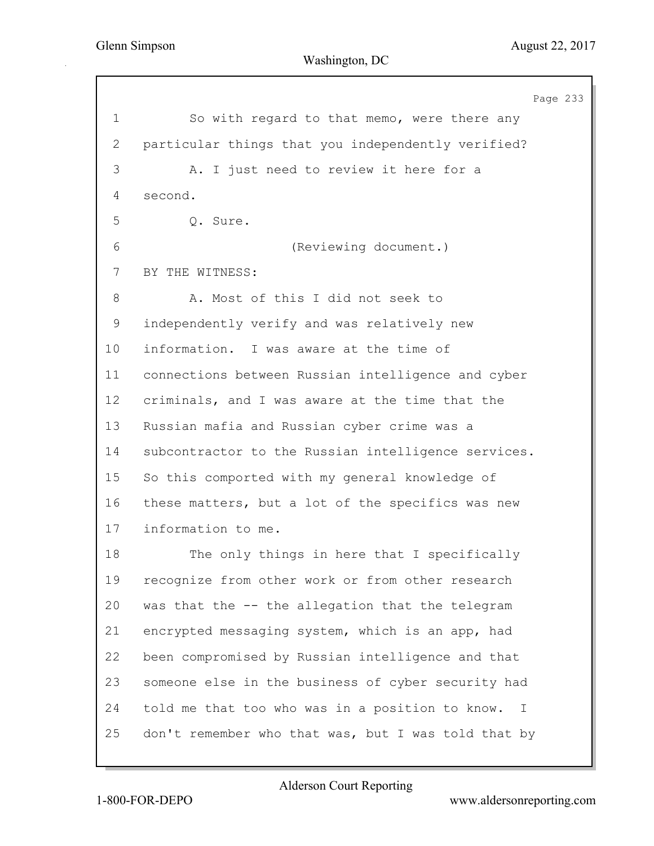Page 233 1 So with regard to that memo, were there any 2 particular things that you independently verified? 3 A. I just need to review it here for a 4 second. 5 Q. Sure. 6 (Reviewing document.) 7 BY THE WITNESS: 8 A. Most of this I did not seek to 9 independently verify and was relatively new 10 information. I was aware at the time of 11 connections between Russian intelligence and cyber 12 criminals, and I was aware at the time that the 13 Russian mafia and Russian cyber crime was a 14 subcontractor to the Russian intelligence services. 15 So this comported with my general knowledge of 16 these matters, but a lot of the specifics was new 17 information to me. 18 The only things in here that I specifically 19 recognize from other work or from other research 20 was that the -- the allegation that the telegram 21 encrypted messaging system, which is an app, had 22 been compromised by Russian intelligence and that 23 someone else in the business of cyber security had 24 told me that too who was in a position to know. I 25 don't remember who that was, but I was told that by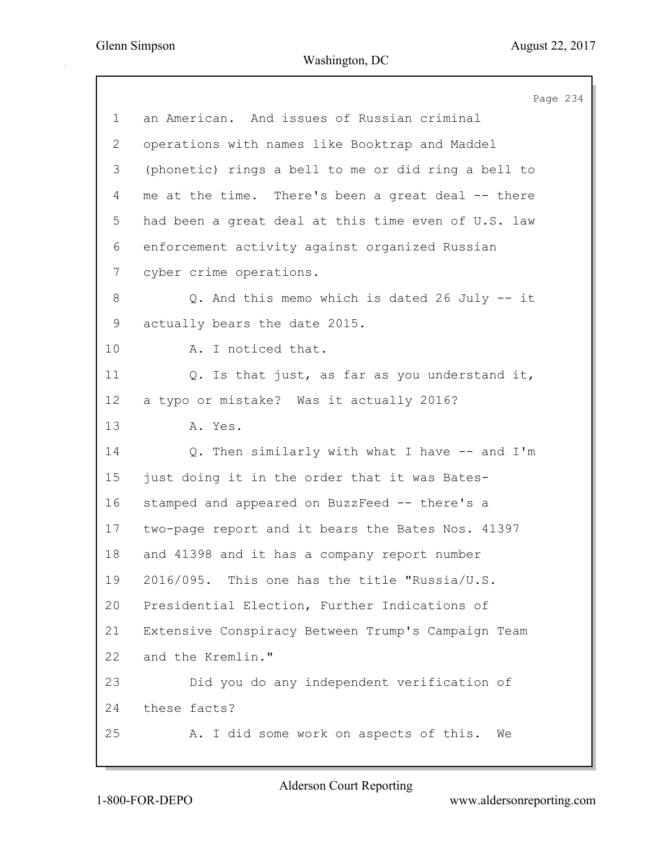|             | Page 234                                            |
|-------------|-----------------------------------------------------|
| $\mathbf 1$ | an American. And issues of Russian criminal         |
| 2           | operations with names like Booktrap and Maddel      |
| 3           | (phonetic) rings a bell to me or did ring a bell to |
| 4           | me at the time. There's been a great deal -- there  |
| 5           | had been a great deal at this time even of U.S. law |
| 6           | enforcement activity against organized Russian      |
| 7           | cyber crime operations.                             |
| 8           | Q. And this memo which is dated 26 July -- it       |
| 9           | actually bears the date 2015.                       |
| 10          | A. I noticed that.                                  |
| 11          | Q. Is that just, as far as you understand it,       |
| 12          | a typo or mistake? Was it actually 2016?            |
| 13          | A. Yes.                                             |
| 14          | Q. Then similarly with what I have -- and I'm       |
| 15          | just doing it in the order that it was Bates-       |
| 16          | stamped and appeared on BuzzFeed -- there's a       |
| 17          | two-page report and it bears the Bates Nos. 41397   |
| 18          | and 41398 and it has a company report number        |
| 19          | 2016/095. This one has the title "Russia/U.S.       |
| 20          | Presidential Election, Further Indications of       |
| 21          | Extensive Conspiracy Between Trump's Campaign Team  |
| 22          | and the Kremlin."                                   |
| 23          | Did you do any independent verification of          |
| 24          | these facts?                                        |
| 25          | A. I did some work on aspects of this.<br>We        |
|             |                                                     |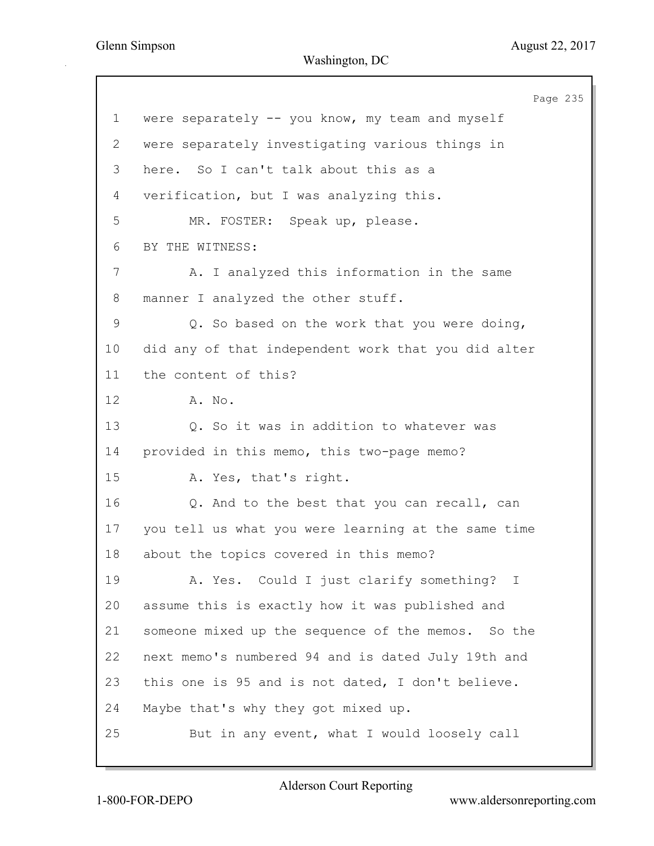Page 235 1 were separately -- you know, my team and myself 2 were separately investigating various things in 3 here. So I can't talk about this as a 4 verification, but I was analyzing this. 5 MR. FOSTER: Speak up, please. 6 BY THE WITNESS: 7 A. I analyzed this information in the same 8 manner I analyzed the other stuff. 9 Q. So based on the work that you were doing, 10 did any of that independent work that you did alter 11 the content of this? 12 A. No. 13 Q. So it was in addition to whatever was 14 provided in this memo, this two-page memo? 15 A. Yes, that's right. 16 Q. And to the best that you can recall, can 17 you tell us what you were learning at the same time 18 about the topics covered in this memo? 19 A. Yes. Could I just clarify something? I 20 assume this is exactly how it was published and 21 someone mixed up the sequence of the memos. So the 22 next memo's numbered 94 and is dated July 19th and 23 this one is 95 and is not dated, I don't believe. 24 Maybe that's why they got mixed up. 25 But in any event, what I would loosely call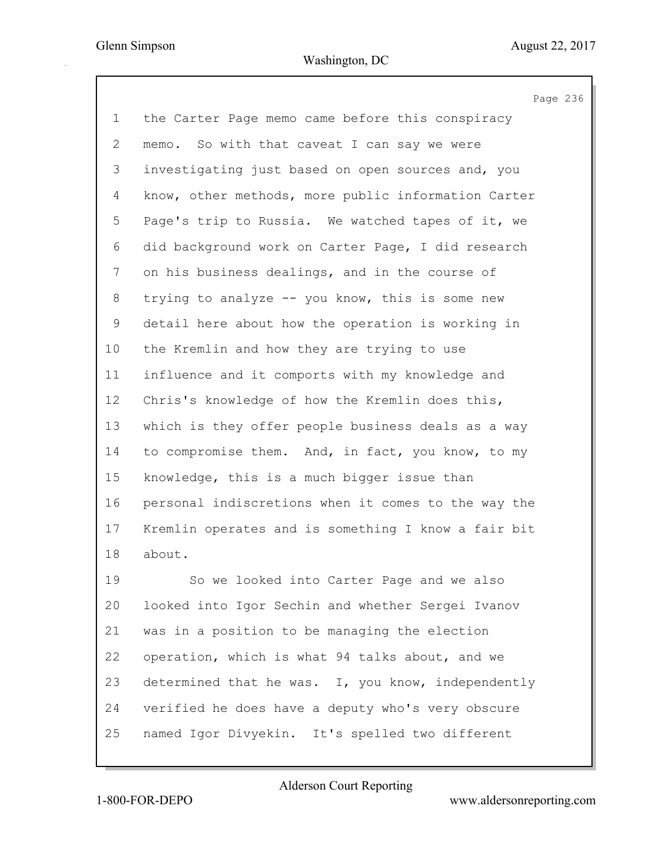Page 236 1 the Carter Page memo came before this conspiracy 2 memo. So with that caveat I can say we were 3 investigating just based on open sources and, you 4 know, other methods, more public information Carter 5 Page's trip to Russia. We watched tapes of it, we 6 did background work on Carter Page, I did research 7 on his business dealings, and in the course of 8 trying to analyze -- you know, this is some new 9 detail here about how the operation is working in 10 the Kremlin and how they are trying to use 11 influence and it comports with my knowledge and 12 Chris's knowledge of how the Kremlin does this, 13 which is they offer people business deals as a way 14 to compromise them. And, in fact, you know, to my 15 knowledge, this is a much bigger issue than 16 personal indiscretions when it comes to the way the 17 Kremlin operates and is something I know a fair bit 18 about. 19 So we looked into Carter Page and we also 20 looked into Igor Sechin and whether Sergei Ivanov 21 was in a position to be managing the election 22 operation, which is what 94 talks about, and we

23 determined that he was. I, you know, independently 24 verified he does have a deputy who's very obscure 25 named Igor Divyekin. It's spelled two different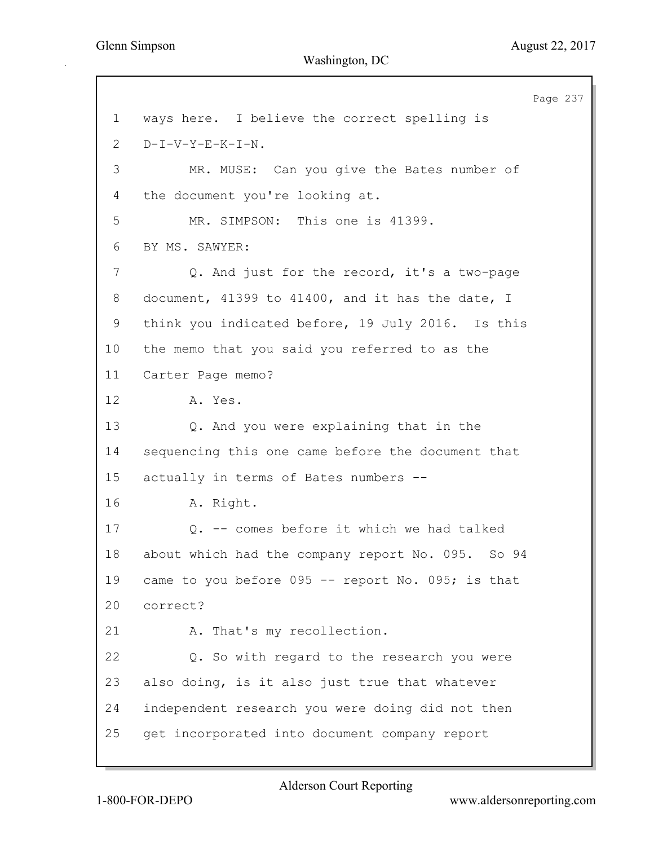Page 237 1 ways here. I believe the correct spelling is 2 D-I-V-Y-E-K-I-N. 3 MR. MUSE: Can you give the Bates number of 4 the document you're looking at. 5 MR. SIMPSON: This one is 41399. 6 BY MS. SAWYER: 7 Q. And just for the record, it's a two-page 8 document, 41399 to 41400, and it has the date, I 9 think you indicated before, 19 July 2016. Is this 10 the memo that you said you referred to as the 11 Carter Page memo? 12 A. Yes. 13 Q. And you were explaining that in the 14 sequencing this one came before the document that 15 actually in terms of Bates numbers -- 16 A. Right. 17 Q. -- comes before it which we had talked 18 about which had the company report No. 095. So 94 19 came to you before 095 -- report No. 095; is that 20 correct? 21 A. That's my recollection. 22 Q. So with regard to the research you were 23 also doing, is it also just true that whatever 24 independent research you were doing did not then 25 get incorporated into document company report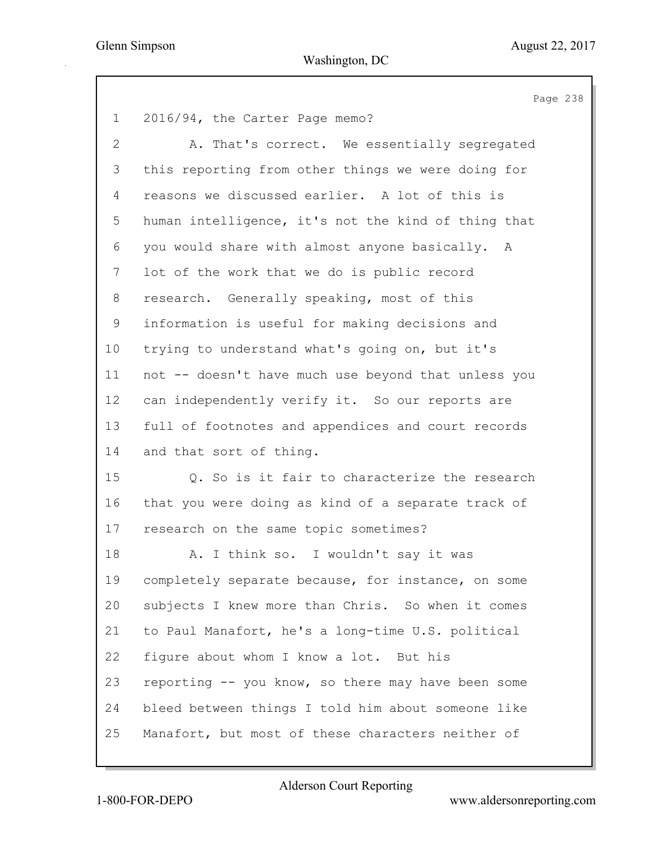Page 238 1 2016/94, the Carter Page memo? 2 A. That's correct. We essentially segregated 3 this reporting from other things we were doing for 4 reasons we discussed earlier. A lot of this is 5 human intelligence, it's not the kind of thing that 6 you would share with almost anyone basically. A 7 lot of the work that we do is public record 8 research. Generally speaking, most of this 9 information is useful for making decisions and 10 trying to understand what's going on, but it's 11 not -- doesn't have much use beyond that unless you 12 can independently verify it. So our reports are 13 full of footnotes and appendices and court records 14 and that sort of thing. 15 Q. So is it fair to characterize the research 16 that you were doing as kind of a separate track of 17 research on the same topic sometimes? 18 A. I think so. I wouldn't say it was 19 completely separate because, for instance, on some 20 subjects I knew more than Chris. So when it comes 21 to Paul Manafort, he's a long-time U.S. political 22 figure about whom I know a lot. But his 23 reporting -- you know, so there may have been some 24 bleed between things I told him about someone like 25 Manafort, but most of these characters neither of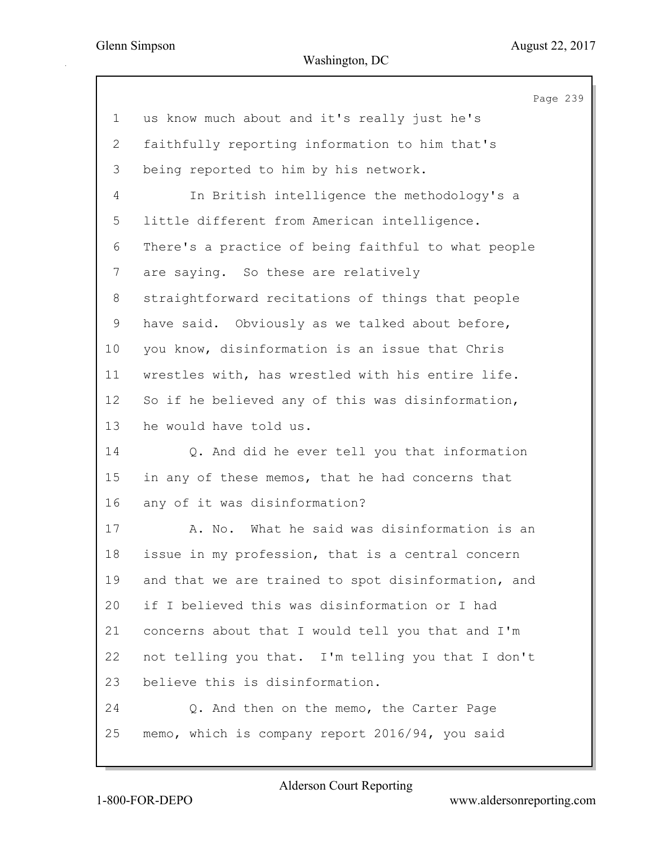|                | Page 239                                            |
|----------------|-----------------------------------------------------|
| $\mathbf 1$    | us know much about and it's really just he's        |
| $\overline{2}$ | faithfully reporting information to him that's      |
| 3              | being reported to him by his network.               |
| 4              | In British intelligence the methodology's a         |
| 5              | little different from American intelligence.        |
| 6              | There's a practice of being faithful to what people |
| 7              | are saying. So these are relatively                 |
| 8              | straightforward recitations of things that people   |
| 9              | have said. Obviously as we talked about before,     |
| 10             | you know, disinformation is an issue that Chris     |
| 11             | wrestles with, has wrestled with his entire life.   |
| 12             | So if he believed any of this was disinformation,   |
| 13             | he would have told us.                              |
| 14             | Q. And did he ever tell you that information        |
| 15             | in any of these memos, that he had concerns that    |
| 16             | any of it was disinformation?                       |
| 17             | A. No. What he said was disinformation is an        |
| 18             | issue in my profession, that is a central concern   |
| 19             | and that we are trained to spot disinformation, and |
| 20             | if I believed this was disinformation or I had      |
| 21             | concerns about that I would tell you that and I'm   |
| 22             | not telling you that. I'm telling you that I don't  |
| 23             | believe this is disinformation.                     |
| 24             | Q. And then on the memo, the Carter Page            |
| 25             | memo, which is company report 2016/94, you said     |
|                |                                                     |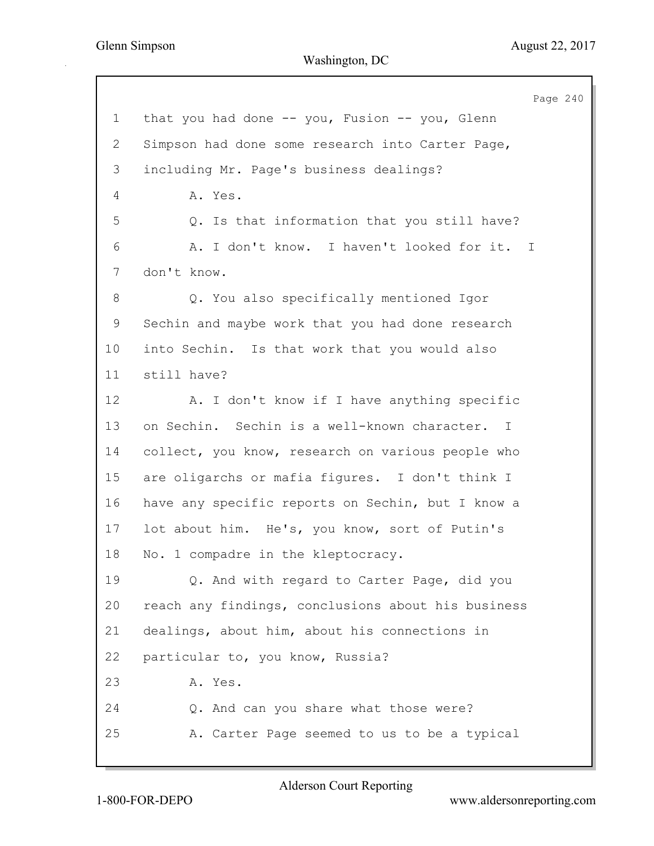Page 240 1 that you had done -- you, Fusion -- you, Glenn 2 Simpson had done some research into Carter Page, 3 including Mr. Page's business dealings? 4 A. Yes. 5 Q. Is that information that you still have? 6 A. I don't know. I haven't looked for it. I 7 don't know. 8 Q. You also specifically mentioned Igor 9 Sechin and maybe work that you had done research 10 into Sechin. Is that work that you would also 11 still have? 12 A. I don't know if I have anything specific 13 on Sechin. Sechin is a well-known character. I 14 collect, you know, research on various people who 15 are oligarchs or mafia figures. I don't think I 16 have any specific reports on Sechin, but I know a 17 lot about him. He's, you know, sort of Putin's 18 No. 1 compadre in the kleptocracy. 19 Q. And with regard to Carter Page, did you 20 reach any findings, conclusions about his business 21 dealings, about him, about his connections in 22 particular to, you know, Russia? 23 A. Yes. 24 Q. And can you share what those were? 25 A. Carter Page seemed to us to be a typical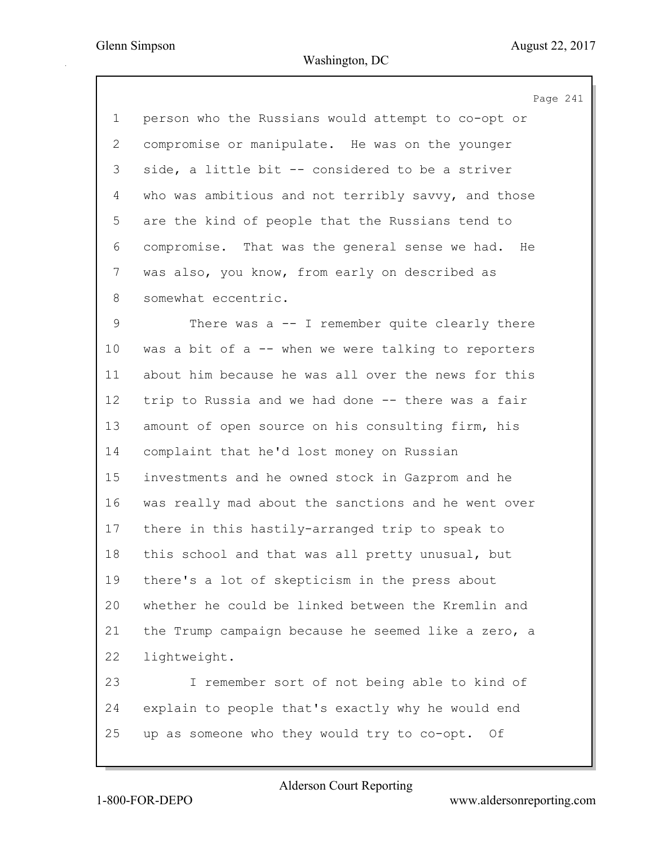|                 | Page 241                                            |
|-----------------|-----------------------------------------------------|
| $\mathbf 1$     | person who the Russians would attempt to co-opt or  |
| 2               | compromise or manipulate. He was on the younger     |
| 3               | side, a little bit -- considered to be a striver    |
| 4               | who was ambitious and not terribly savvy, and those |
| 5               | are the kind of people that the Russians tend to    |
| 6               | compromise. That was the general sense we had. He   |
| $\overline{7}$  | was also, you know, from early on described as      |
| 8               | somewhat eccentric.                                 |
| 9               | There was $a -1$ remember quite clearly there       |
| 10 <sub>o</sub> | was a bit of a -- when we were talking to reporters |
| 11              | about him because he was all over the news for this |
| 12              | trip to Russia and we had done -- there was a fair  |
| 13              | amount of open source on his consulting firm, his   |
| 14              | complaint that he'd lost money on Russian           |
| 15              | investments and he owned stock in Gazprom and he    |
| 16              | was really mad about the sanctions and he went over |
| 17              | there in this hastily-arranged trip to speak to     |
| 18              | this school and that was all pretty unusual, but    |
| 19              | there's a lot of skepticism in the press about      |
| 20              | whether he could be linked between the Kremlin and  |
| 21              | the Trump campaign because he seemed like a zero, a |
| 22              | lightweight.                                        |
| 23              | I remember sort of not being able to kind of        |
| 24              | explain to people that's exactly why he would end   |
| 25              | up as someone who they would try to co-opt. Of      |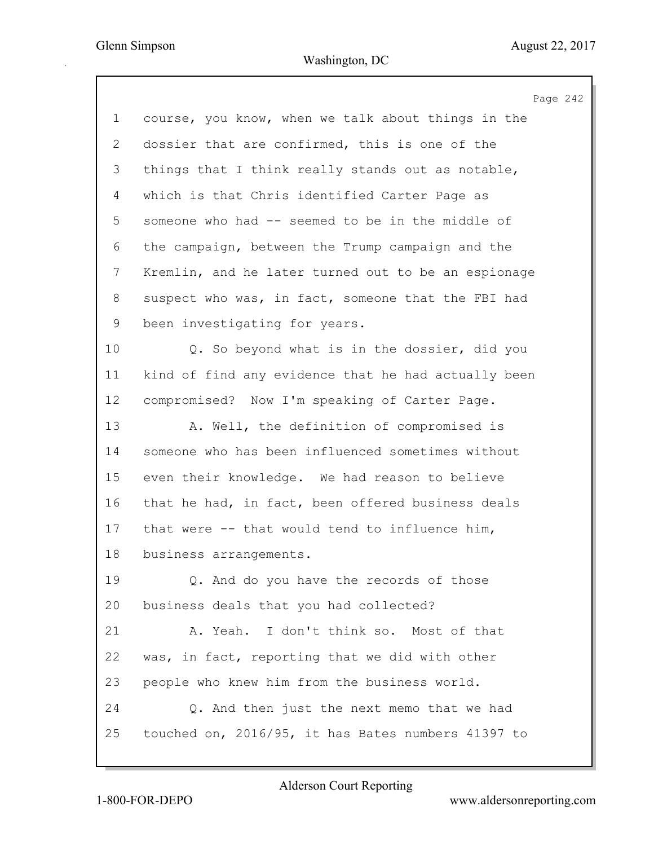Page 242 1 course, you know, when we talk about things in the 2 dossier that are confirmed, this is one of the 3 things that I think really stands out as notable, 4 which is that Chris identified Carter Page as 5 someone who had -- seemed to be in the middle of 6 the campaign, between the Trump campaign and the 7 Kremlin, and he later turned out to be an espionage 8 suspect who was, in fact, someone that the FBI had 9 been investigating for years. 10 Q. So beyond what is in the dossier, did you 11 kind of find any evidence that he had actually been 12 compromised? Now I'm speaking of Carter Page. 13 A. Well, the definition of compromised is 14 someone who has been influenced sometimes without 15 even their knowledge. We had reason to believe 16 that he had, in fact, been offered business deals 17 that were -- that would tend to influence him, 18 business arrangements. 19 Q. And do you have the records of those 20 business deals that you had collected? 21 A. Yeah. I don't think so. Most of that 22 was, in fact, reporting that we did with other 23 people who knew him from the business world. 24 Q. And then just the next memo that we had 25 touched on, 2016/95, it has Bates numbers 41397 to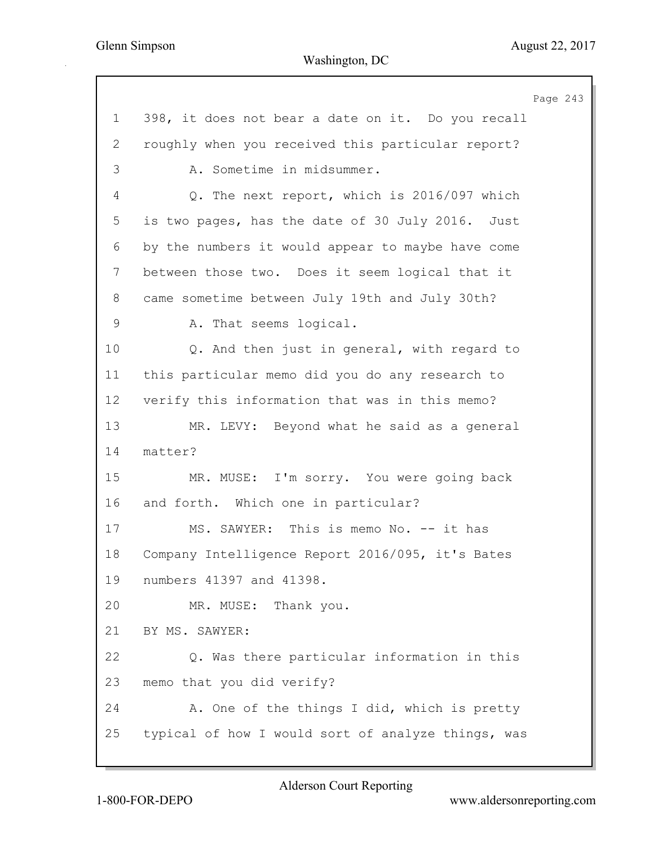Page 243 1 398, it does not bear a date on it. Do you recall 2 roughly when you received this particular report? 3 A. Sometime in midsummer. 4 Q. The next report, which is 2016/097 which 5 is two pages, has the date of 30 July 2016. Just 6 by the numbers it would appear to maybe have come 7 between those two. Does it seem logical that it 8 came sometime between July 19th and July 30th? 9 A. That seems logical. 10 Q. And then just in general, with regard to 11 this particular memo did you do any research to 12 verify this information that was in this memo? 13 MR. LEVY: Beyond what he said as a general 14 matter? 15 MR. MUSE: I'm sorry. You were going back 16 and forth. Which one in particular? 17 MS. SAWYER: This is memo No. -- it has 18 Company Intelligence Report 2016/095, it's Bates 19 numbers 41397 and 41398. 20 MR. MUSE: Thank you. 21 BY MS. SAWYER: 22 Q. Was there particular information in this 23 memo that you did verify? 24 A. One of the things I did, which is pretty 25 typical of how I would sort of analyze things, was

1-800-FOR-DEPO www.aldersonreporting.com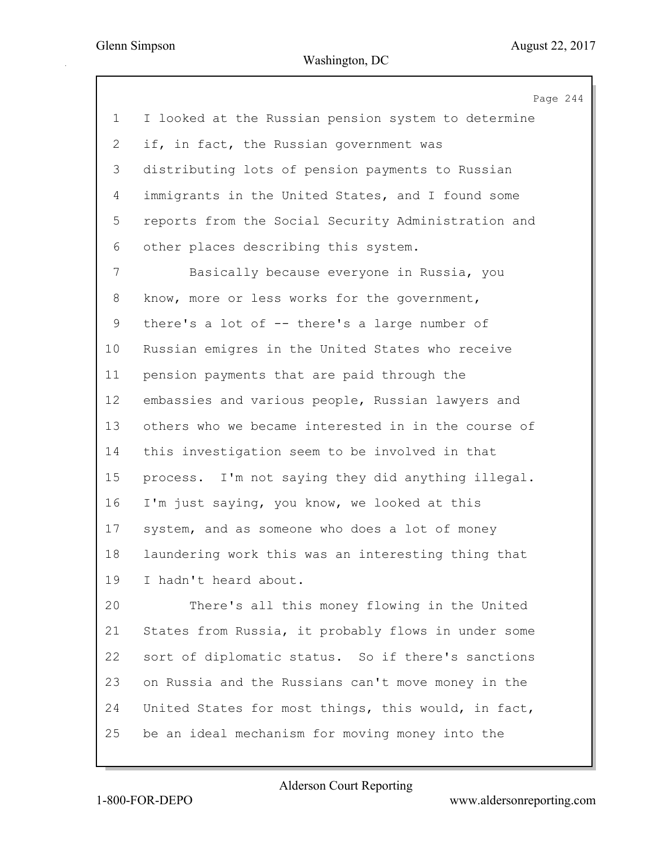Page 244 1 I looked at the Russian pension system to determine 2 if, in fact, the Russian government was 3 distributing lots of pension payments to Russian 4 immigrants in the United States, and I found some 5 reports from the Social Security Administration and 6 other places describing this system. 7 Basically because everyone in Russia, you 8 know, more or less works for the government, 9 there's a lot of -- there's a large number of 10 Russian emigres in the United States who receive 11 pension payments that are paid through the 12 embassies and various people, Russian lawyers and 13 others who we became interested in in the course of 14 this investigation seem to be involved in that 15 process. I'm not saying they did anything illegal. 16 I'm just saying, you know, we looked at this 17 system, and as someone who does a lot of money 18 laundering work this was an interesting thing that 19 I hadn't heard about. 20 There's all this money flowing in the United 21 States from Russia, it probably flows in under some 22 sort of diplomatic status. So if there's sanctions

24 United States for most things, this would, in fact, 25 be an ideal mechanism for moving money into the

23 on Russia and the Russians can't move money in the

Alderson Court Reporting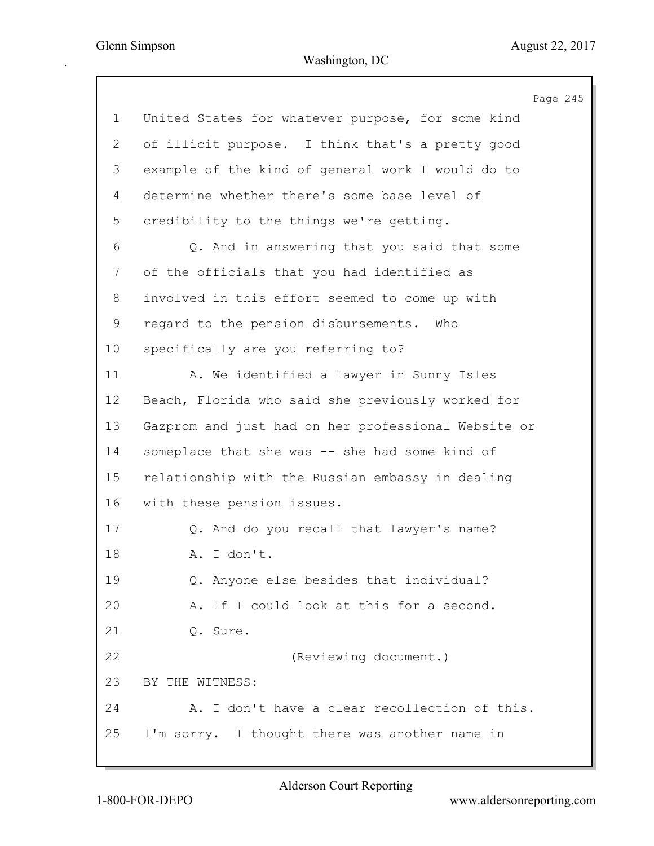Page 245 1 United States for whatever purpose, for some kind 2 of illicit purpose. I think that's a pretty good 3 example of the kind of general work I would do to 4 determine whether there's some base level of 5 credibility to the things we're getting. 6 Q. And in answering that you said that some 7 of the officials that you had identified as 8 involved in this effort seemed to come up with 9 regard to the pension disbursements. Who 10 specifically are you referring to? 11 A. We identified a lawyer in Sunny Isles 12 Beach, Florida who said she previously worked for 13 Gazprom and just had on her professional Website or 14 someplace that she was -- she had some kind of 15 relationship with the Russian embassy in dealing 16 with these pension issues. 17 Q. And do you recall that lawyer's name? 18 A. I don't. 19 Q. Anyone else besides that individual? 20 A. If I could look at this for a second. 21 Q. Sure. 22 (Reviewing document.) 23 BY THE WITNESS: 24 A. I don't have a clear recollection of this. 25 I'm sorry. I thought there was another name in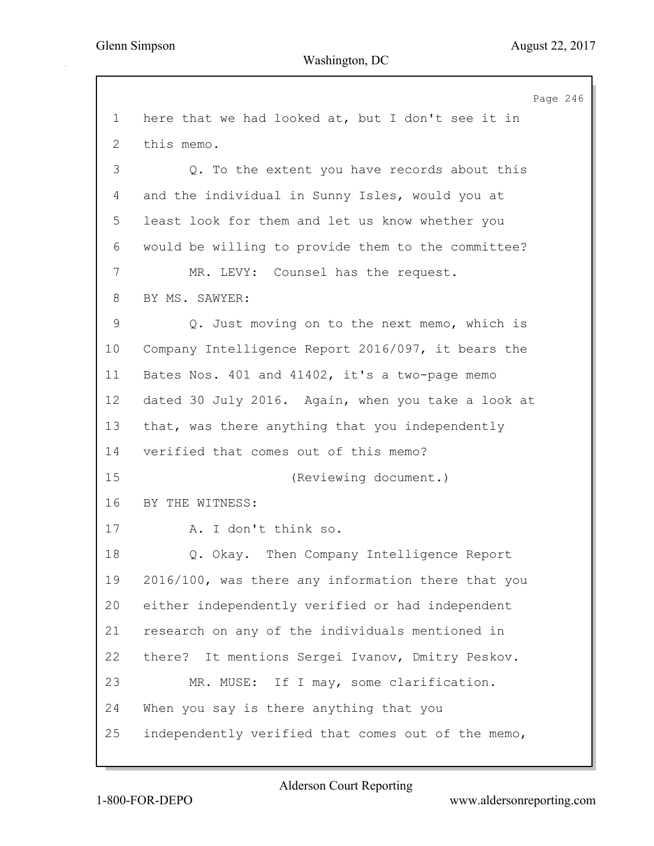Page 246 1 here that we had looked at, but I don't see it in 2 this memo. 3 Q. To the extent you have records about this 4 and the individual in Sunny Isles, would you at 5 least look for them and let us know whether you 6 would be willing to provide them to the committee? 7 MR. LEVY: Counsel has the request. 8 BY MS. SAWYER: 9 Q. Just moving on to the next memo, which is 10 Company Intelligence Report 2016/097, it bears the 11 Bates Nos. 401 and 41402, it's a two-page memo 12 dated 30 July 2016. Again, when you take a look at 13 that, was there anything that you independently 14 verified that comes out of this memo? 15 (Reviewing document.) 16 BY THE WITNESS: 17 A. I don't think so. 18 Q. Okay. Then Company Intelligence Report 19 2016/100, was there any information there that you 20 either independently verified or had independent 21 research on any of the individuals mentioned in 22 there? It mentions Sergei Ivanov, Dmitry Peskov. 23 MR. MUSE: If I may, some clarification. 24 When you say is there anything that you 25 independently verified that comes out of the memo,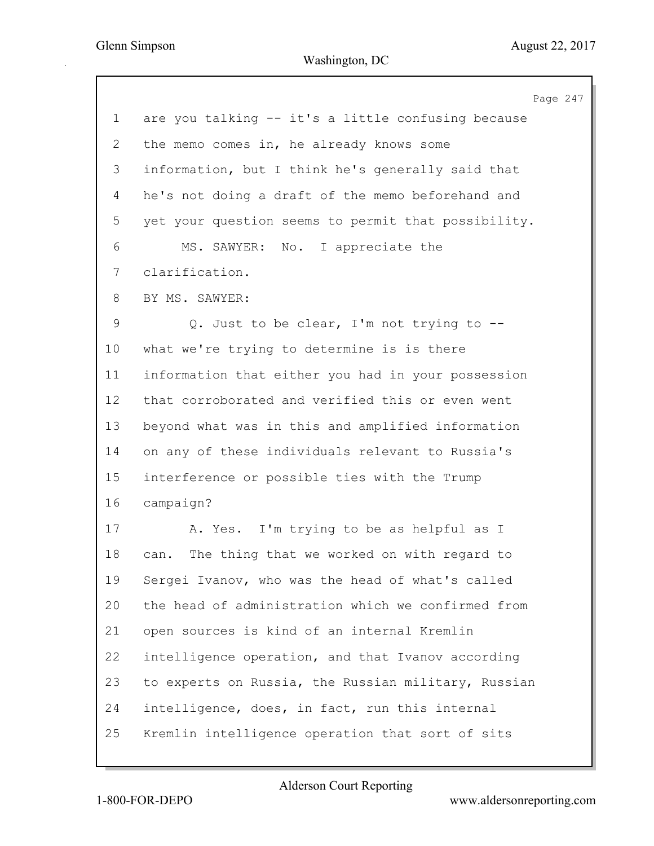|                | Page 247                                            |
|----------------|-----------------------------------------------------|
| 1              | are you talking -- it's a little confusing because  |
| $\overline{2}$ | the memo comes in, he already knows some            |
| 3              | information, but I think he's generally said that   |
| 4              | he's not doing a draft of the memo beforehand and   |
| 5              | yet your question seems to permit that possibility. |
| 6              | MS. SAWYER: No. I appreciate the                    |
| 7              | clarification.                                      |
| 8              | BY MS. SAWYER:                                      |
| $\mathsf 9$    | Q. Just to be clear, I'm not trying to --           |
| 10             | what we're trying to determine is is there          |
| 11             | information that either you had in your possession  |
| 12             | that corroborated and verified this or even went    |
| 13             | beyond what was in this and amplified information   |
| 14             | on any of these individuals relevant to Russia's    |
| 15             | interference or possible ties with the Trump        |
| 16             | campaign?                                           |
| 17             | A. Yes. I'm trying to be as helpful as I            |
| 18             | The thing that we worked on with regard to<br>can.  |
| 19             | Sergei Ivanov, who was the head of what's called    |
| 20             | the head of administration which we confirmed from  |
| 21             | open sources is kind of an internal Kremlin         |
| 22             | intelligence operation, and that Ivanov according   |
| 23             | to experts on Russia, the Russian military, Russian |
| 24             | intelligence, does, in fact, run this internal      |
| 25             | Kremlin intelligence operation that sort of sits    |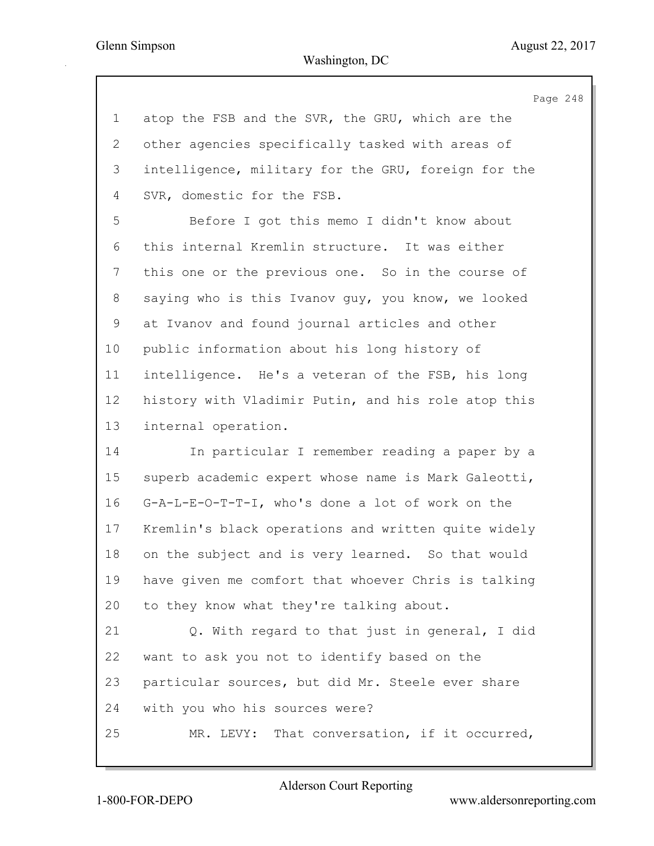Page 248 1 atop the FSB and the SVR, the GRU, which are the 2 other agencies specifically tasked with areas of 3 intelligence, military for the GRU, foreign for the 4 SVR, domestic for the FSB. 5 Before I got this memo I didn't know about 6 this internal Kremlin structure. It was either 7 this one or the previous one. So in the course of 8 saying who is this Ivanov guy, you know, we looked 9 at Ivanov and found journal articles and other 10 public information about his long history of 11 intelligence. He's a veteran of the FSB, his long 12 history with Vladimir Putin, and his role atop this 13 internal operation. 14 In particular I remember reading a paper by a 15 superb academic expert whose name is Mark Galeotti, 16 G-A-L-E-O-T-T-I, who's done a lot of work on the 17 Kremlin's black operations and written quite widely 18 on the subject and is very learned. So that would 19 have given me comfort that whoever Chris is talking 20 to they know what they're talking about. 21 Q. With regard to that just in general, I did 22 want to ask you not to identify based on the 23 particular sources, but did Mr. Steele ever share 24 with you who his sources were? 25 MR. LEVY: That conversation, if it occurred,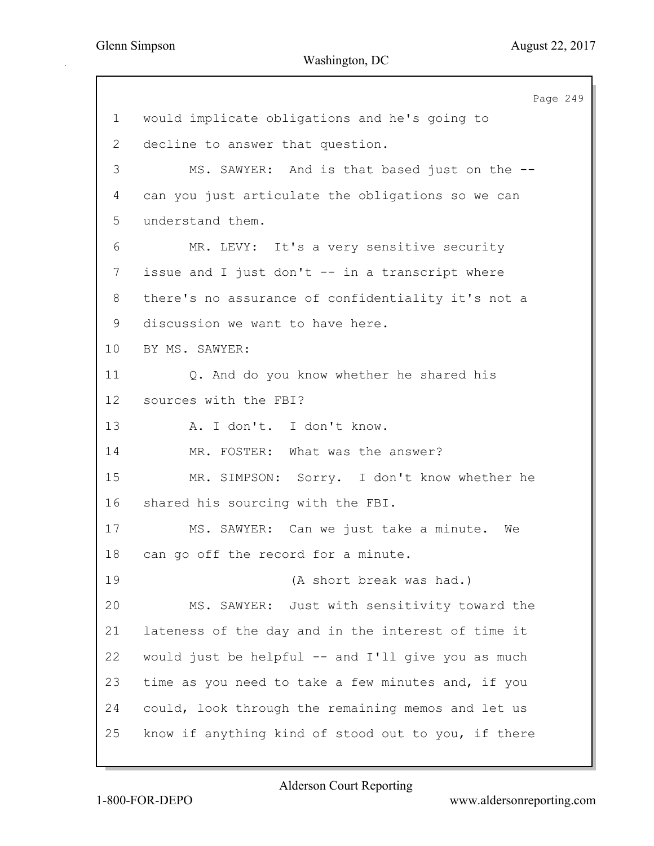Page 249 1 would implicate obligations and he's going to 2 decline to answer that question. 3 MS. SAWYER: And is that based just on the -- 4 can you just articulate the obligations so we can 5 understand them. 6 MR. LEVY: It's a very sensitive security 7 issue and I just don't -- in a transcript where 8 there's no assurance of confidentiality it's not a 9 discussion we want to have here. 10 BY MS. SAWYER: 11 Q. And do you know whether he shared his 12 sources with the FBI? 13 A. I don't. I don't know. 14 MR. FOSTER: What was the answer? 15 MR. SIMPSON: Sorry. I don't know whether he 16 shared his sourcing with the FBI. 17 MS. SAWYER: Can we just take a minute. We 18 can go off the record for a minute. 19 (A short break was had.) 20 MS. SAWYER: Just with sensitivity toward the 21 lateness of the day and in the interest of time it 22 would just be helpful -- and I'll give you as much 23 time as you need to take a few minutes and, if you 24 could, look through the remaining memos and let us 25 know if anything kind of stood out to you, if there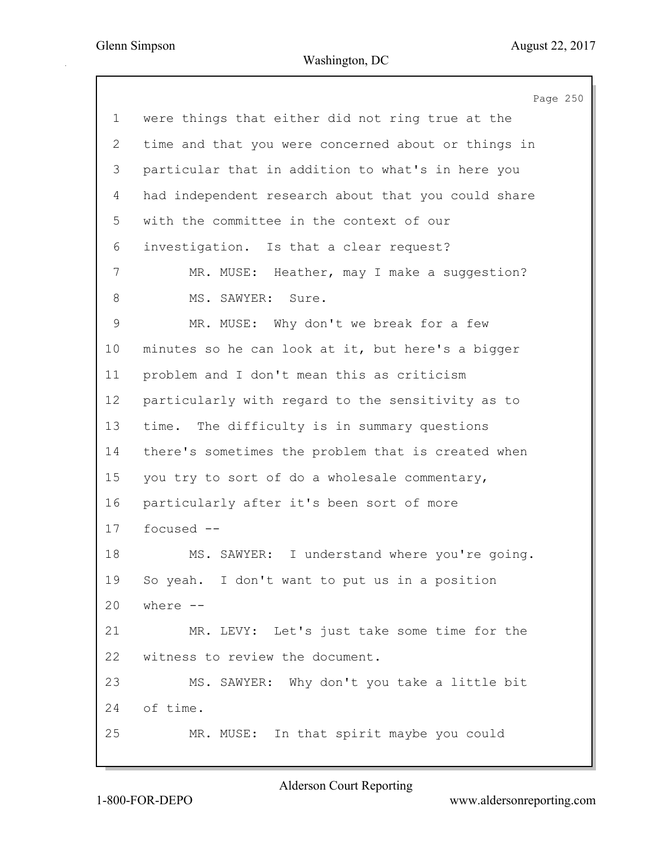Page 250 1 were things that either did not ring true at the 2 time and that you were concerned about or things in 3 particular that in addition to what's in here you 4 had independent research about that you could share 5 with the committee in the context of our 6 investigation. Is that a clear request? 7 MR. MUSE: Heather, may I make a suggestion? 8 MS. SAWYER: Sure. 9 MR. MUSE: Why don't we break for a few 10 minutes so he can look at it, but here's a bigger 11 problem and I don't mean this as criticism 12 particularly with regard to the sensitivity as to 13 time. The difficulty is in summary questions 14 there's sometimes the problem that is created when 15 you try to sort of do a wholesale commentary, 16 particularly after it's been sort of more 17 focused -- 18 MS. SAWYER: I understand where you're going. 19 So yeah. I don't want to put us in a position 20 where -- 21 MR. LEVY: Let's just take some time for the 22 witness to review the document. 23 MS. SAWYER: Why don't you take a little bit 24 of time. 25 MR. MUSE: In that spirit maybe you could

Alderson Court Reporting

1-800-FOR-DEPO www.aldersonreporting.com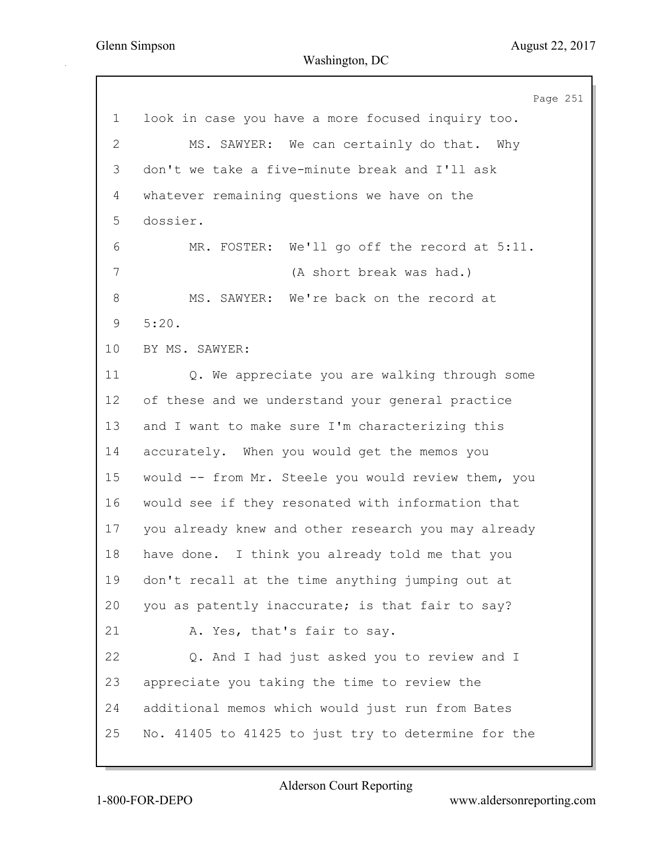|                | Page 251                                            |
|----------------|-----------------------------------------------------|
| $\mathbf 1$    | look in case you have a more focused inquiry too.   |
| $\overline{2}$ | MS. SAWYER: We can certainly do that. Why           |
| 3              | don't we take a five-minute break and I'll ask      |
| 4              | whatever remaining questions we have on the         |
| 5              | dossier.                                            |
| 6              | We'll go off the record at 5:11.<br>MR. FOSTER:     |
| 7              | (A short break was had.)                            |
| 8              | MS. SAWYER: We're back on the record at             |
| 9              | 5:20.                                               |
| 10             | BY MS. SAWYER:                                      |
| 11             | Q. We appreciate you are walking through some       |
| 12             | of these and we understand your general practice    |
| 13             | and I want to make sure I'm characterizing this     |
| 14             | accurately. When you would get the memos you        |
| 15             | would -- from Mr. Steele you would review them, you |
| 16             | would see if they resonated with information that   |
| 17             | you already knew and other research you may already |
| 18             | have done.<br>I think you already told me that you  |
| 19             | don't recall at the time anything jumping out at    |
| 20             | you as patently inaccurate; is that fair to say?    |
| 21             | A. Yes, that's fair to say.                         |
| 22             | Q. And I had just asked you to review and I         |
| 23             | appreciate you taking the time to review the        |
| 24             | additional memos which would just run from Bates    |
| 25             | No. 41405 to 41425 to just try to determine for the |
|                |                                                     |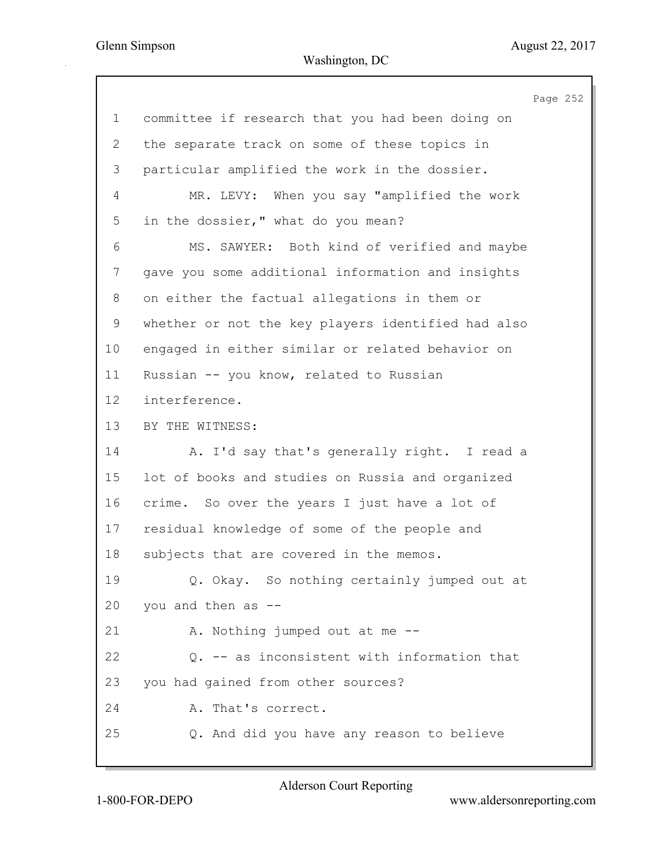Page 252 1 committee if research that you had been doing on 2 the separate track on some of these topics in 3 particular amplified the work in the dossier. 4 MR. LEVY: When you say "amplified the work 5 in the dossier," what do you mean? 6 MS. SAWYER: Both kind of verified and maybe 7 gave you some additional information and insights 8 on either the factual allegations in them or 9 whether or not the key players identified had also 10 engaged in either similar or related behavior on 11 Russian -- you know, related to Russian 12 interference. 13 BY THE WITNESS: 14 A. I'd say that's generally right. I read a 15 lot of books and studies on Russia and organized 16 crime. So over the years I just have a lot of 17 residual knowledge of some of the people and 18 subjects that are covered in the memos. 19 Q. Okay. So nothing certainly jumped out at 20 you and then as -- 21 A. Nothing jumped out at me --22 Q. -- as inconsistent with information that 23 you had gained from other sources? 24 A. That's correct. 25 Q. And did you have any reason to believe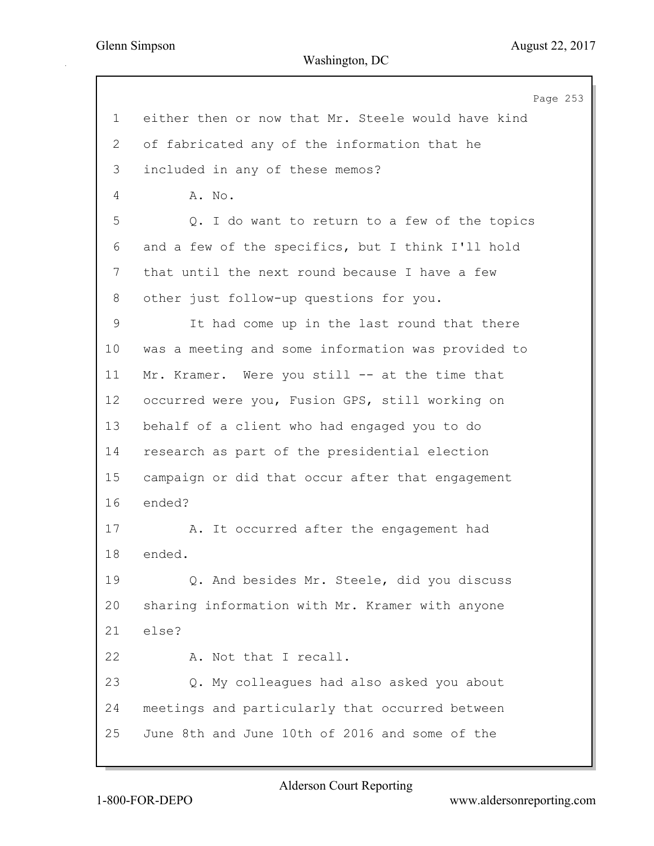Page 253 1 either then or now that Mr. Steele would have kind 2 of fabricated any of the information that he 3 included in any of these memos? 4 A. No. 5 Q. I do want to return to a few of the topics 6 and a few of the specifics, but I think I'll hold 7 that until the next round because I have a few 8 other just follow-up questions for you. 9 It had come up in the last round that there 10 was a meeting and some information was provided to 11 Mr. Kramer. Were you still -- at the time that 12 occurred were you, Fusion GPS, still working on 13 behalf of a client who had engaged you to do 14 research as part of the presidential election 15 campaign or did that occur after that engagement 16 ended? 17 A. It occurred after the engagement had 18 ended. 19 Q. And besides Mr. Steele, did you discuss 20 sharing information with Mr. Kramer with anyone 21 else? 22 A. Not that I recall. 23 Q. My colleagues had also asked you about 24 meetings and particularly that occurred between 25 June 8th and June 10th of 2016 and some of the

Alderson Court Reporting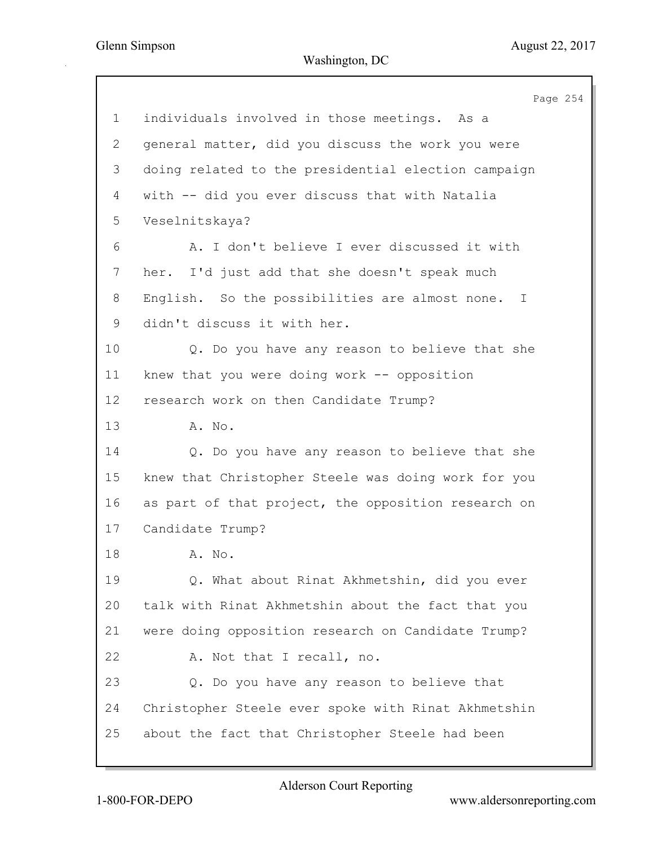Page 254 1 individuals involved in those meetings. As a 2 general matter, did you discuss the work you were 3 doing related to the presidential election campaign 4 with -- did you ever discuss that with Natalia 5 Veselnitskaya? 6 A. I don't believe I ever discussed it with 7 her. I'd just add that she doesn't speak much 8 English. So the possibilities are almost none. I 9 didn't discuss it with her. 10 Q. Do you have any reason to believe that she 11 knew that you were doing work -- opposition 12 research work on then Candidate Trump? 13 A. No. 14 Q. Do you have any reason to believe that she 15 knew that Christopher Steele was doing work for you 16 as part of that project, the opposition research on 17 Candidate Trump? 18 A. No. 19 Q. What about Rinat Akhmetshin, did you ever 20 talk with Rinat Akhmetshin about the fact that you 21 were doing opposition research on Candidate Trump? 22 A. Not that I recall, no. 23 Q. Do you have any reason to believe that 24 Christopher Steele ever spoke with Rinat Akhmetshin 25 about the fact that Christopher Steele had been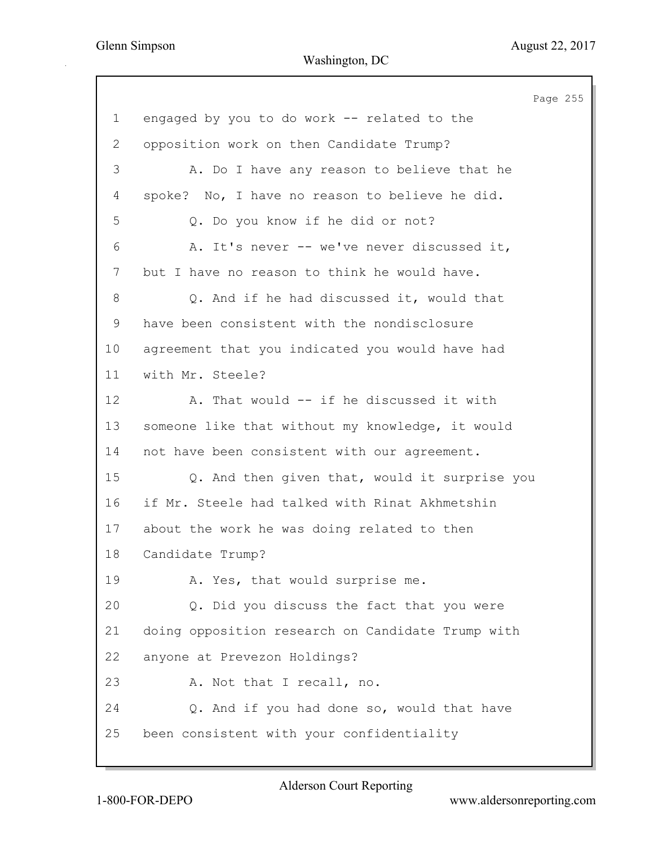Page 255 1 engaged by you to do work -- related to the 2 opposition work on then Candidate Trump? 3 A. Do I have any reason to believe that he 4 spoke? No, I have no reason to believe he did. 5 Q. Do you know if he did or not? 6 A. It's never -- we've never discussed it, 7 but I have no reason to think he would have. 8 Q. And if he had discussed it, would that 9 have been consistent with the nondisclosure 10 agreement that you indicated you would have had 11 with Mr. Steele? 12 A. That would -- if he discussed it with 13 someone like that without my knowledge, it would 14 not have been consistent with our agreement. 15 Q. And then given that, would it surprise you 16 if Mr. Steele had talked with Rinat Akhmetshin 17 about the work he was doing related to then 18 Candidate Trump? 19 A. Yes, that would surprise me. 20 Q. Did you discuss the fact that you were 21 doing opposition research on Candidate Trump with 22 anyone at Prevezon Holdings? 23 A. Not that I recall, no. 24 Q. And if you had done so, would that have 25 been consistent with your confidentiality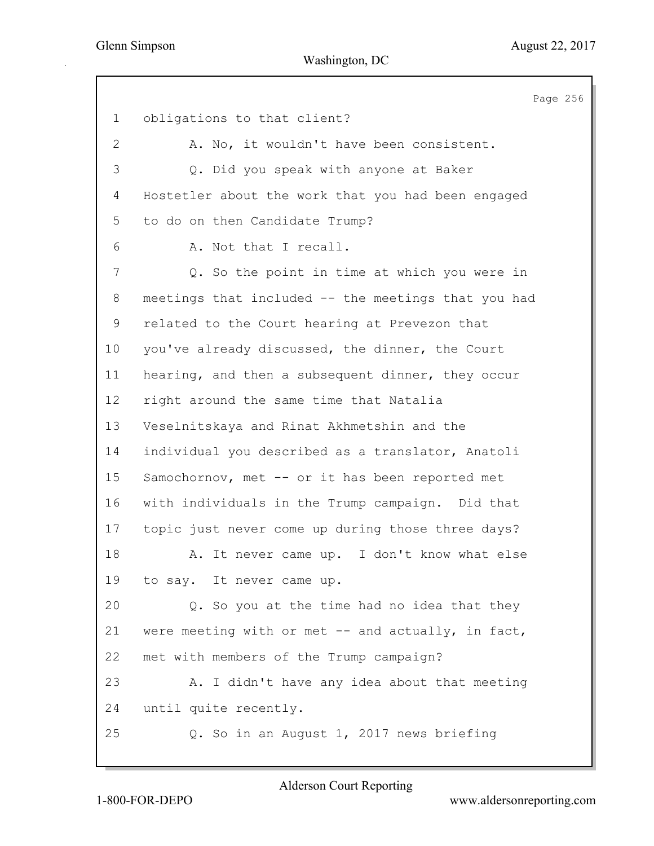Page 256 1 obligations to that client? 2 A. No, it wouldn't have been consistent. 3 Q. Did you speak with anyone at Baker 4 Hostetler about the work that you had been engaged 5 to do on then Candidate Trump? 6 A. Not that I recall. 7 Q. So the point in time at which you were in 8 meetings that included -- the meetings that you had 9 related to the Court hearing at Prevezon that 10 you've already discussed, the dinner, the Court 11 hearing, and then a subsequent dinner, they occur 12 right around the same time that Natalia 13 Veselnitskaya and Rinat Akhmetshin and the 14 individual you described as a translator, Anatoli 15 Samochornov, met -- or it has been reported met 16 with individuals in the Trump campaign. Did that 17 topic just never come up during those three days? 18 A. It never came up. I don't know what else 19 to say. It never came up. 20 Q. So you at the time had no idea that they 21 were meeting with or met -- and actually, in fact, 22 met with members of the Trump campaign? 23 A. I didn't have any idea about that meeting 24 until quite recently. 25 Q. So in an August 1, 2017 news briefing

Alderson Court Reporting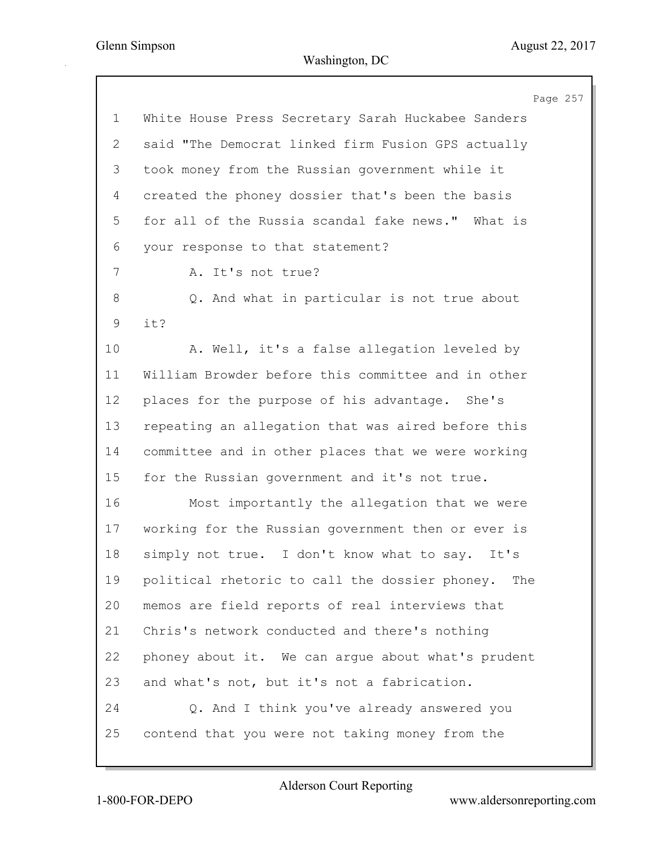|                | Page 257                                           |
|----------------|----------------------------------------------------|
| $\mathbf 1$    | White House Press Secretary Sarah Huckabee Sanders |
| $\overline{2}$ | said "The Democrat linked firm Fusion GPS actually |
| 3              | took money from the Russian government while it    |
| 4              | created the phoney dossier that's been the basis   |
| 5              | for all of the Russia scandal fake news." What is  |
| 6              | your response to that statement?                   |
| 7              | A. It's not true?                                  |
| 8              | Q. And what in particular is not true about        |
| 9              | it?                                                |
| 10             | A. Well, it's a false allegation leveled by        |
| 11             | William Browder before this committee and in other |
| 12             | places for the purpose of his advantage. She's     |
| 13             | repeating an allegation that was aired before this |
| 14             | committee and in other places that we were working |
| 15             | for the Russian government and it's not true.      |
| 16             | Most importantly the allegation that we were       |
| 17             | working for the Russian government then or ever is |
| 18             | simply not true. I don't know what to say.<br>It's |
| 19             | political rhetoric to call the dossier phoney. The |
| 20             | memos are field reports of real interviews that    |
| 21             | Chris's network conducted and there's nothing      |
| 22             | phoney about it. We can argue about what's prudent |
| 23             | and what's not, but it's not a fabrication.        |
| 24             | Q. And I think you've already answered you         |
| 25             | contend that you were not taking money from the    |
|                |                                                    |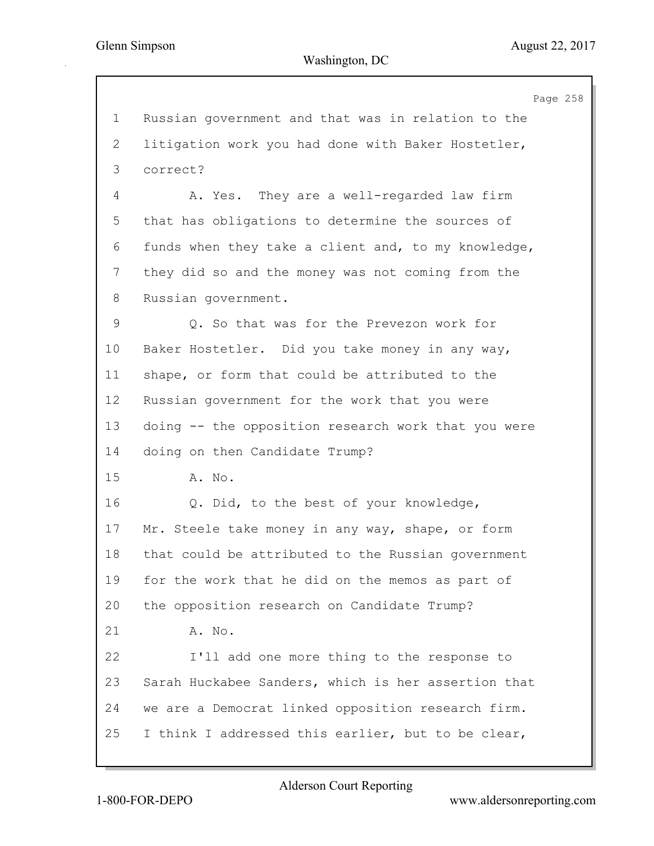Page 258 1 Russian government and that was in relation to the 2 litigation work you had done with Baker Hostetler, 3 correct? 4 A. Yes. They are a well-regarded law firm 5 that has obligations to determine the sources of 6 funds when they take a client and, to my knowledge, 7 they did so and the money was not coming from the 8 Russian government. 9 Q. So that was for the Prevezon work for 10 Baker Hostetler. Did you take money in any way, 11 shape, or form that could be attributed to the 12 Russian government for the work that you were 13 doing -- the opposition research work that you were 14 doing on then Candidate Trump? 15 A. No. 16 Q. Did, to the best of your knowledge, 17 Mr. Steele take money in any way, shape, or form 18 that could be attributed to the Russian government 19 for the work that he did on the memos as part of 20 the opposition research on Candidate Trump? 21 A. No. 22 I'll add one more thing to the response to 23 Sarah Huckabee Sanders, which is her assertion that 24 we are a Democrat linked opposition research firm. 25 I think I addressed this earlier, but to be clear,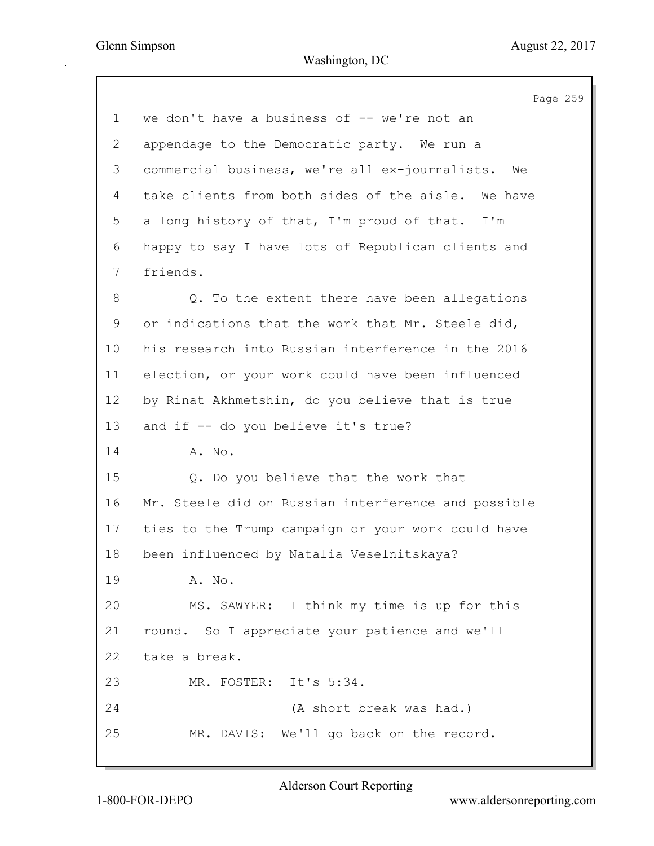|             | Page 259                                            |
|-------------|-----------------------------------------------------|
| $\mathbf 1$ | we don't have a business of -- we're not an         |
| 2           | appendage to the Democratic party. We run a         |
| 3           | commercial business, we're all ex-journalists. We   |
| 4           | take clients from both sides of the aisle. We have  |
| 5           | a long history of that, I'm proud of that. I'm      |
| 6           | happy to say I have lots of Republican clients and  |
| 7           | friends.                                            |
| 8           | Q. To the extent there have been allegations        |
| 9           | or indications that the work that Mr. Steele did,   |
| 10          | his research into Russian interference in the 2016  |
| 11          | election, or your work could have been influenced   |
| 12          | by Rinat Akhmetshin, do you believe that is true    |
| 13          | and if -- do you believe it's true?                 |
| 14          | A. No.                                              |
| 15          | Q. Do you believe that the work that                |
| 16          | Mr. Steele did on Russian interference and possible |
| 17          | ties to the Trump campaign or your work could have  |
| 18          | been influenced by Natalia Veselnitskaya?           |
| 19          | A. No.                                              |
| 20          | MS. SAWYER: I think my time is up for this          |
| 21          | round. So I appreciate your patience and we'll      |
| 22          | take a break.                                       |
| 23          | MR. FOSTER: It's 5:34.                              |
| 24          | (A short break was had.)                            |
| 25          | MR. DAVIS: We'll go back on the record.             |
|             |                                                     |

Alderson Court Reporting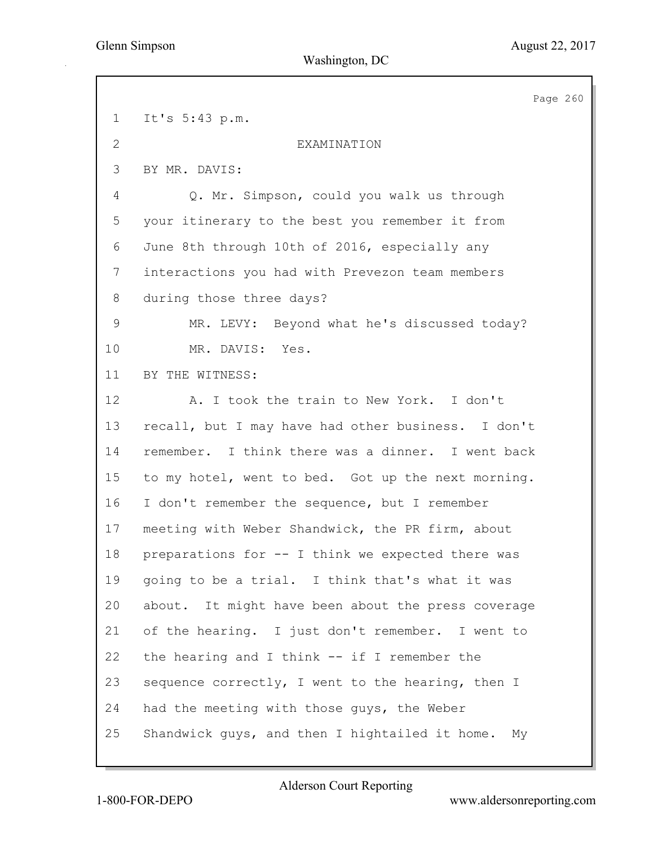Page 260 1 It's 5:43 p.m. 2 EXAMINATION 3 BY MR. DAVIS: 4 Q. Mr. Simpson, could you walk us through 5 your itinerary to the best you remember it from 6 June 8th through 10th of 2016, especially any 7 interactions you had with Prevezon team members 8 during those three days? 9 MR. LEVY: Beyond what he's discussed today? 10 MR. DAVIS: Yes. 11 BY THE WITNESS: 12 A. I took the train to New York. I don't 13 recall, but I may have had other business. I don't 14 remember. I think there was a dinner. I went back 15 to my hotel, went to bed. Got up the next morning. 16 I don't remember the sequence, but I remember 17 meeting with Weber Shandwick, the PR firm, about 18 preparations for -- I think we expected there was 19 going to be a trial. I think that's what it was 20 about. It might have been about the press coverage 21 of the hearing. I just don't remember. I went to 22 the hearing and I think -- if I remember the 23 sequence correctly, I went to the hearing, then I 24 had the meeting with those guys, the Weber 25 Shandwick guys, and then I hightailed it home. My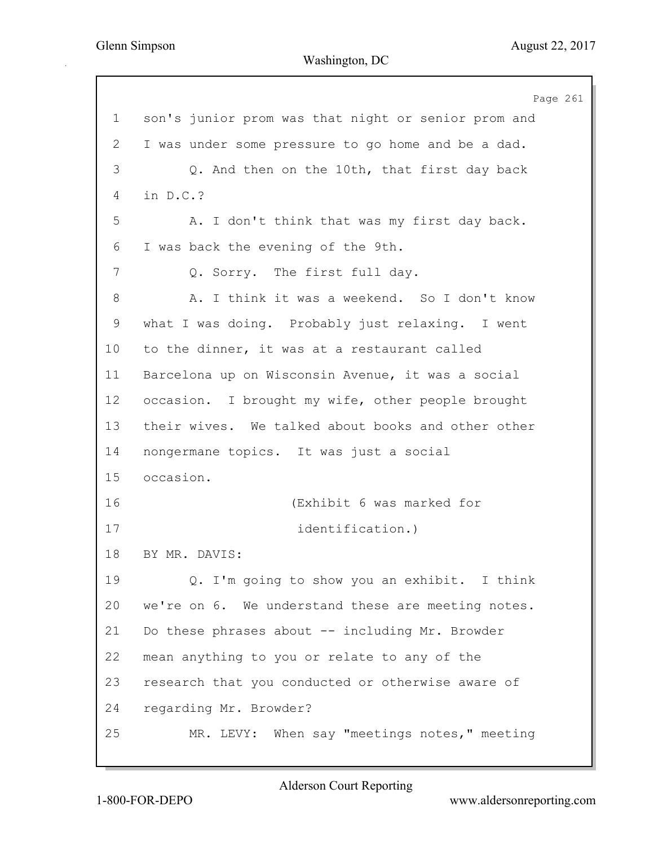Page 261 1 son's junior prom was that night or senior prom and 2 I was under some pressure to go home and be a dad. 3 Q. And then on the 10th, that first day back 4 in D.C.? 5 A. I don't think that was my first day back. 6 I was back the evening of the 9th. 7 Q. Sorry. The first full day. 8 A. I think it was a weekend. So I don't know 9 what I was doing. Probably just relaxing. I went 10 to the dinner, it was at a restaurant called 11 Barcelona up on Wisconsin Avenue, it was a social 12 occasion. I brought my wife, other people brought 13 their wives. We talked about books and other other 14 nongermane topics. It was just a social 15 occasion. 16 (Exhibit 6 was marked for 17 identification.) 18 BY MR. DAVIS: 19 Q. I'm going to show you an exhibit. I think 20 we're on 6. We understand these are meeting notes. 21 Do these phrases about -- including Mr. Browder 22 mean anything to you or relate to any of the 23 research that you conducted or otherwise aware of 24 regarding Mr. Browder? 25 MR. LEVY: When say "meetings notes," meeting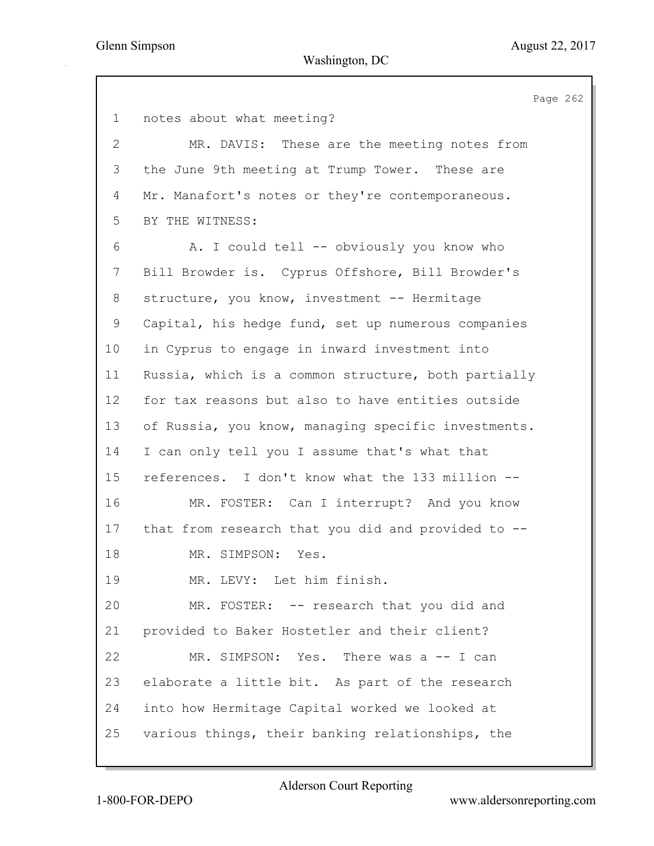Page 262 1 notes about what meeting? 2 MR. DAVIS: These are the meeting notes from 3 the June 9th meeting at Trump Tower. These are 4 Mr. Manafort's notes or they're contemporaneous. 5 BY THE WITNESS: 6 A. I could tell -- obviously you know who 7 Bill Browder is. Cyprus Offshore, Bill Browder's 8 structure, you know, investment -- Hermitage 9 Capital, his hedge fund, set up numerous companies 10 in Cyprus to engage in inward investment into 11 Russia, which is a common structure, both partially 12 for tax reasons but also to have entities outside 13 of Russia, you know, managing specific investments. 14 I can only tell you I assume that's what that 15 references. I don't know what the 133 million -- 16 MR. FOSTER: Can I interrupt? And you know 17 that from research that you did and provided to -- 18 MR. SIMPSON: Yes. 19 MR. LEVY: Let him finish. 20 MR. FOSTER: -- research that you did and 21 provided to Baker Hostetler and their client? 22 MR. SIMPSON: Yes. There was a -- I can 23 elaborate a little bit. As part of the research 24 into how Hermitage Capital worked we looked at 25 various things, their banking relationships, the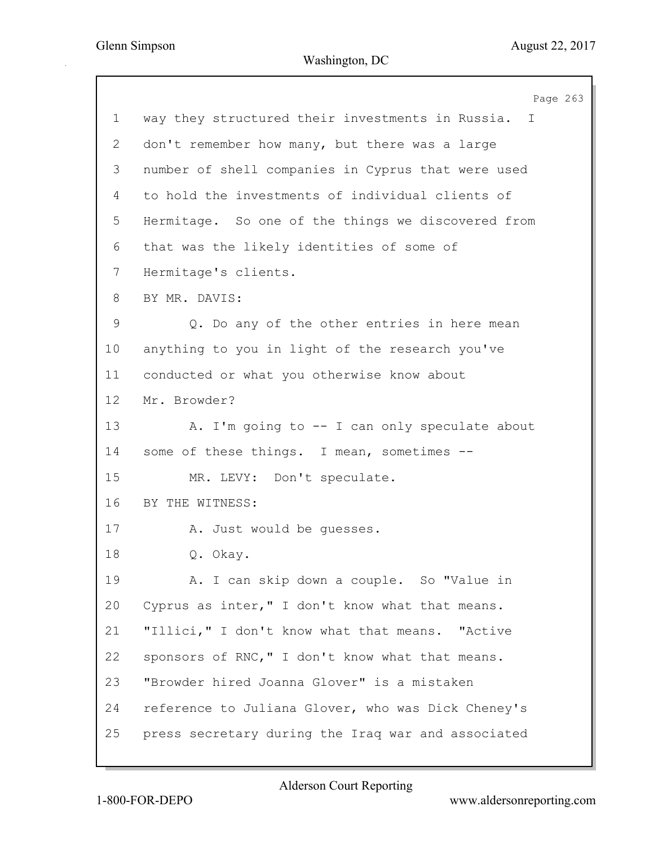Page 263 1 way they structured their investments in Russia. I 2 don't remember how many, but there was a large 3 number of shell companies in Cyprus that were used 4 to hold the investments of individual clients of 5 Hermitage. So one of the things we discovered from 6 that was the likely identities of some of 7 Hermitage's clients. 8 BY MR. DAVIS: 9 Q. Do any of the other entries in here mean 10 anything to you in light of the research you've 11 conducted or what you otherwise know about 12 Mr. Browder? 13 A. I'm going to -- I can only speculate about 14 some of these things. I mean, sometimes -- 15 MR. LEVY: Don't speculate. 16 BY THE WITNESS: 17 A. Just would be guesses. 18 Q. Okay. 19 A. I can skip down a couple. So "Value in 20 Cyprus as inter," I don't know what that means. 21 "Illici," I don't know what that means. "Active 22 sponsors of RNC," I don't know what that means. 23 "Browder hired Joanna Glover" is a mistaken 24 reference to Juliana Glover, who was Dick Cheney's 25 press secretary during the Iraq war and associated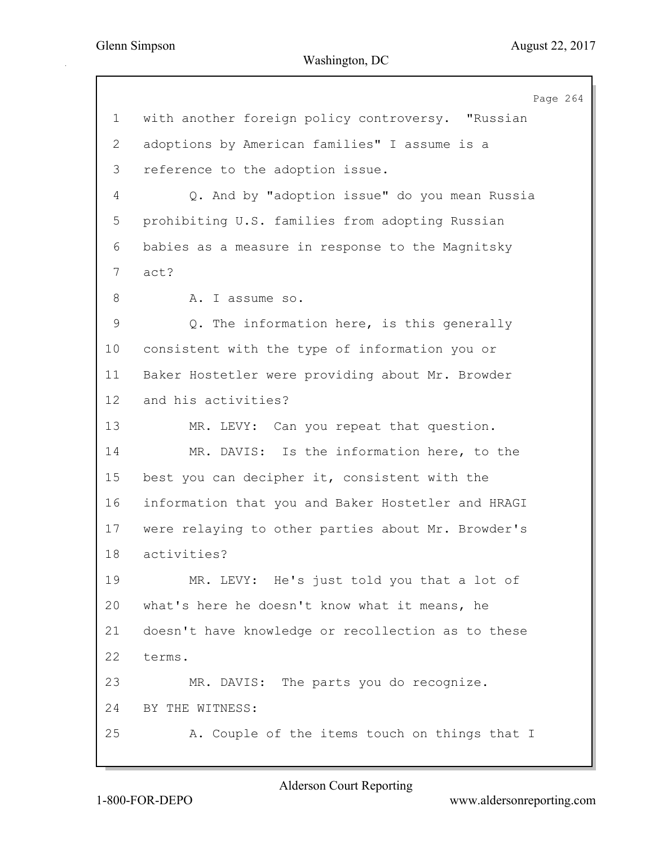Page 264 1 with another foreign policy controversy. "Russian 2 adoptions by American families" I assume is a 3 reference to the adoption issue. 4 Q. And by "adoption issue" do you mean Russia 5 prohibiting U.S. families from adopting Russian 6 babies as a measure in response to the Magnitsky 7 act? 8 A. I assume so. 9 Q. The information here, is this generally 10 consistent with the type of information you or 11 Baker Hostetler were providing about Mr. Browder 12 and his activities? 13 MR. LEVY: Can you repeat that question. 14 MR. DAVIS: Is the information here, to the 15 best you can decipher it, consistent with the 16 information that you and Baker Hostetler and HRAGI 17 were relaying to other parties about Mr. Browder's 18 activities? 19 MR. LEVY: He's just told you that a lot of 20 what's here he doesn't know what it means, he 21 doesn't have knowledge or recollection as to these 22 terms. 23 MR. DAVIS: The parts you do recognize. 24 BY THE WITNESS: 25 A. Couple of the items touch on things that I

1-800-FOR-DEPO www.aldersonreporting.com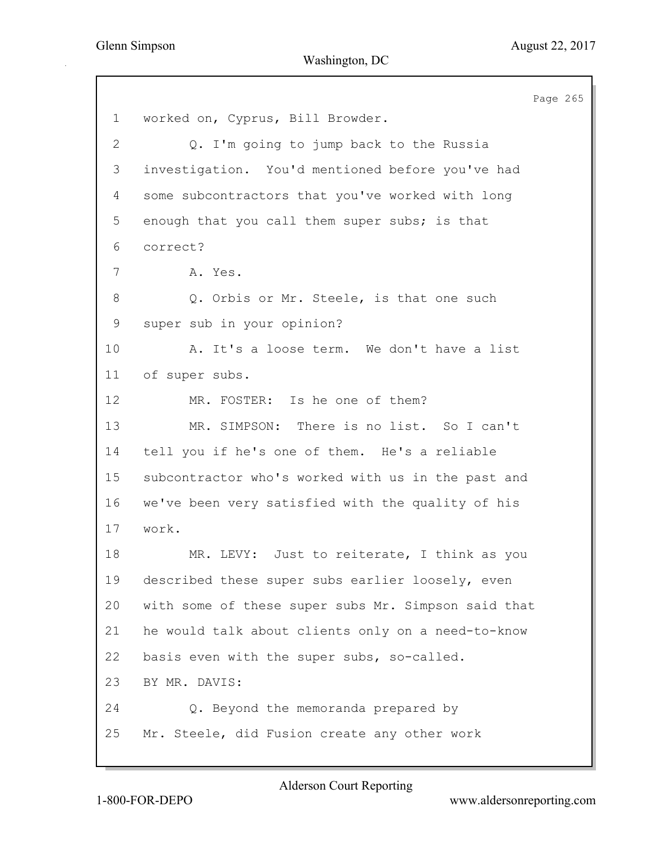Page 265 1 worked on, Cyprus, Bill Browder. 2 Q. I'm going to jump back to the Russia 3 investigation. You'd mentioned before you've had 4 some subcontractors that you've worked with long 5 enough that you call them super subs; is that 6 correct? 7 A. Yes. 8 Q. Orbis or Mr. Steele, is that one such 9 super sub in your opinion? 10 A. It's a loose term. We don't have a list 11 of super subs. 12 MR. FOSTER: Is he one of them? 13 MR. SIMPSON: There is no list. So I can't 14 tell you if he's one of them. He's a reliable 15 subcontractor who's worked with us in the past and 16 we've been very satisfied with the quality of his 17 work. 18 MR. LEVY: Just to reiterate, I think as you 19 described these super subs earlier loosely, even 20 with some of these super subs Mr. Simpson said that 21 he would talk about clients only on a need-to-know 22 basis even with the super subs, so-called. 23 BY MR. DAVIS: 24 Q. Beyond the memoranda prepared by 25 Mr. Steele, did Fusion create any other work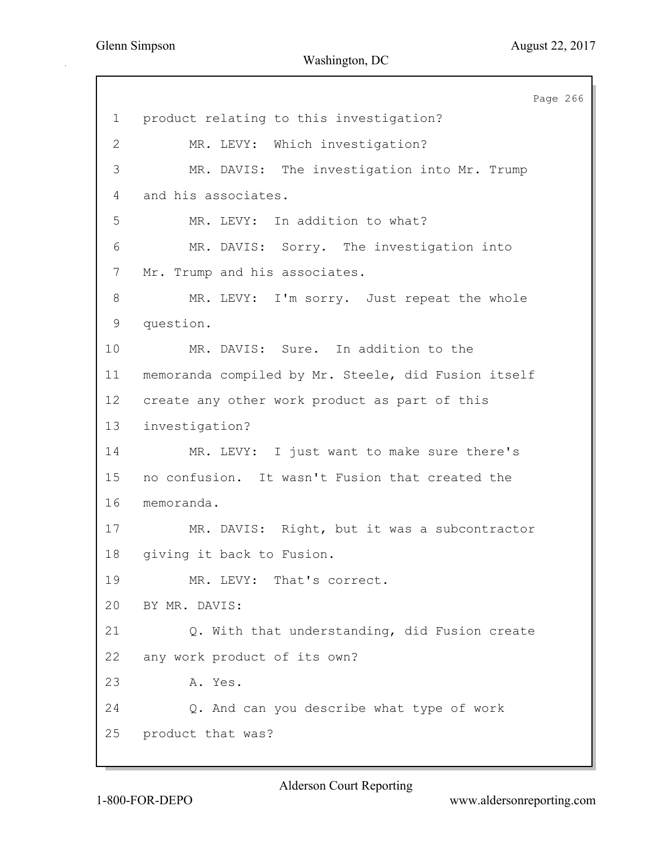Page 266 1 product relating to this investigation? 2 MR. LEVY: Which investigation? 3 MR. DAVIS: The investigation into Mr. Trump 4 and his associates. 5 MR. LEVY: In addition to what? 6 MR. DAVIS: Sorry. The investigation into 7 Mr. Trump and his associates. 8 MR. LEVY: I'm sorry. Just repeat the whole 9 question. 10 MR. DAVIS: Sure. In addition to the 11 memoranda compiled by Mr. Steele, did Fusion itself 12 create any other work product as part of this 13 investigation? 14 MR. LEVY: I just want to make sure there's 15 no confusion. It wasn't Fusion that created the 16 memoranda. 17 MR. DAVIS: Right, but it was a subcontractor 18 giving it back to Fusion. 19 MR. LEVY: That's correct. 20 BY MR. DAVIS: 21 Q. With that understanding, did Fusion create 22 any work product of its own? 23 A. Yes. 24 Q. And can you describe what type of work 25 product that was?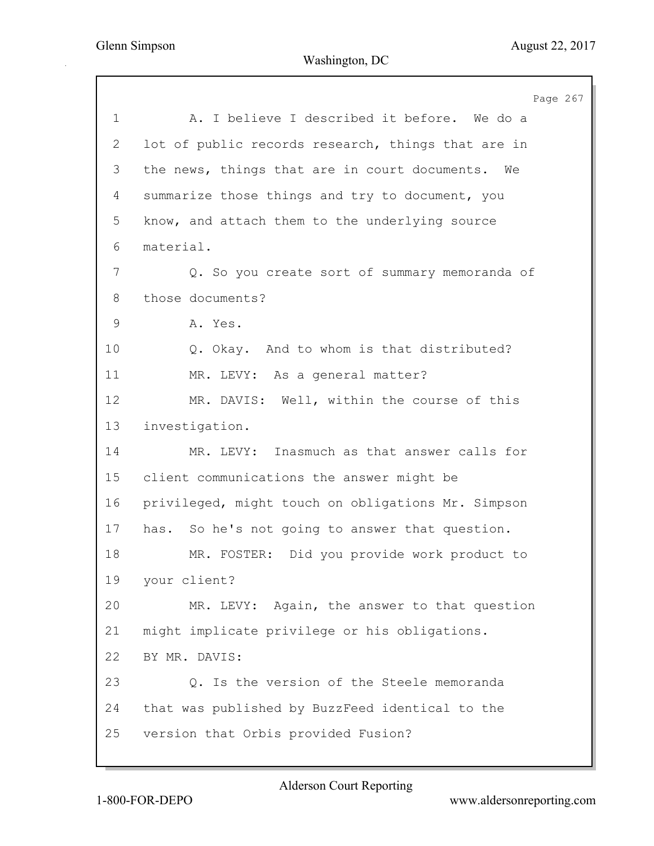Page 267 1 A. I believe I described it before. We do a 2 lot of public records research, things that are in 3 the news, things that are in court documents. We 4 summarize those things and try to document, you 5 know, and attach them to the underlying source 6 material. 7 Q. So you create sort of summary memoranda of 8 those documents? 9 A. Yes. 10 Q. Okay. And to whom is that distributed? 11 MR. LEVY: As a general matter? 12 MR. DAVIS: Well, within the course of this 13 investigation. 14 MR. LEVY: Inasmuch as that answer calls for 15 client communications the answer might be 16 privileged, might touch on obligations Mr. Simpson 17 has. So he's not going to answer that question. 18 MR. FOSTER: Did you provide work product to 19 your client? 20 MR. LEVY: Again, the answer to that question 21 might implicate privilege or his obligations. 22 BY MR. DAVIS: 23 Q. Is the version of the Steele memoranda 24 that was published by BuzzFeed identical to the 25 version that Orbis provided Fusion?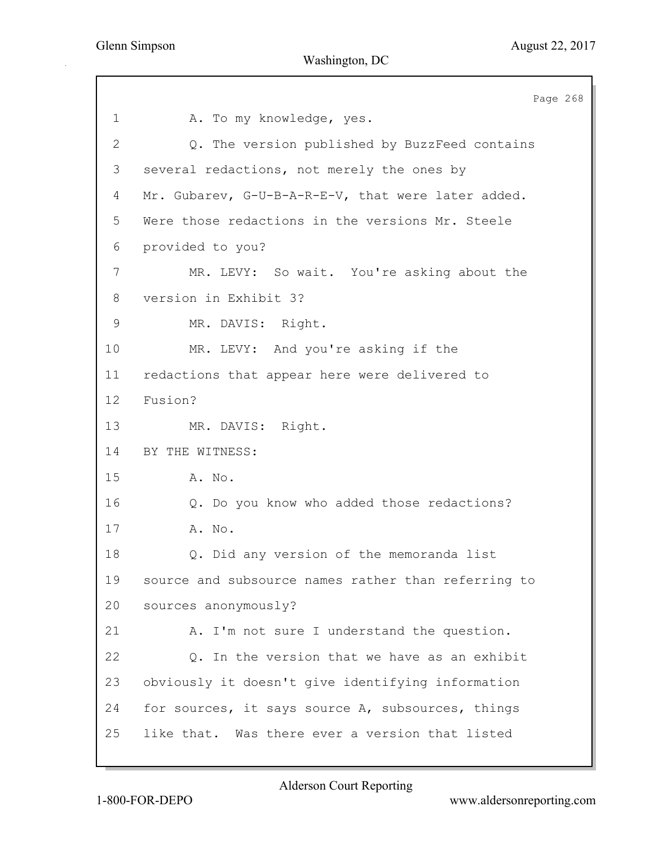Page 268 1 A. To my knowledge, yes. 2 Q. The version published by BuzzFeed contains 3 several redactions, not merely the ones by 4 Mr. Gubarev, G-U-B-A-R-E-V, that were later added. 5 Were those redactions in the versions Mr. Steele 6 provided to you? 7 MR. LEVY: So wait. You're asking about the 8 version in Exhibit 3? 9 MR. DAVIS: Right. 10 MR. LEVY: And you're asking if the 11 redactions that appear here were delivered to 12 Fusion? 13 MR. DAVIS: Right. 14 BY THE WITNESS: 15 A. No. 16 Q. Do you know who added those redactions? 17 A. No. 18 Q. Did any version of the memoranda list 19 source and subsource names rather than referring to 20 sources anonymously? 21 A. I'm not sure I understand the question. 22 Q. In the version that we have as an exhibit 23 obviously it doesn't give identifying information 24 for sources, it says source A, subsources, things 25 like that. Was there ever a version that listed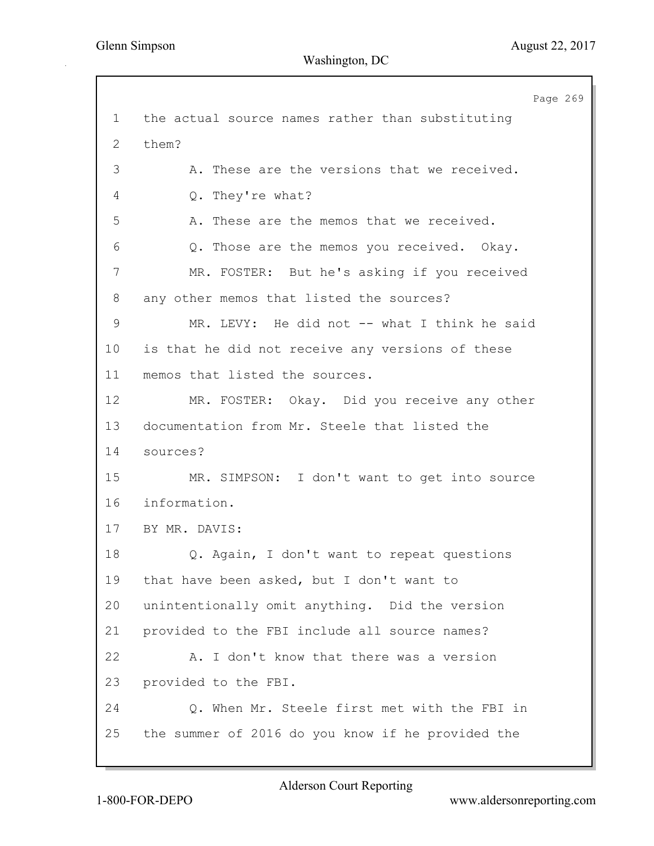Page 269 1 the actual source names rather than substituting 2 them? 3 A. These are the versions that we received. 4 Q. They're what? 5 A. These are the memos that we received. 6 Q. Those are the memos you received. Okay. 7 MR. FOSTER: But he's asking if you received 8 any other memos that listed the sources? 9 MR. LEVY: He did not -- what I think he said 10 is that he did not receive any versions of these 11 memos that listed the sources. 12 MR. FOSTER: Okay. Did you receive any other 13 documentation from Mr. Steele that listed the 14 sources? 15 MR. SIMPSON: I don't want to get into source 16 information. 17 BY MR. DAVIS: 18 Q. Again, I don't want to repeat questions 19 that have been asked, but I don't want to 20 unintentionally omit anything. Did the version 21 provided to the FBI include all source names? 22 A. I don't know that there was a version 23 provided to the FBI. 24 Q. When Mr. Steele first met with the FBI in 25 the summer of 2016 do you know if he provided the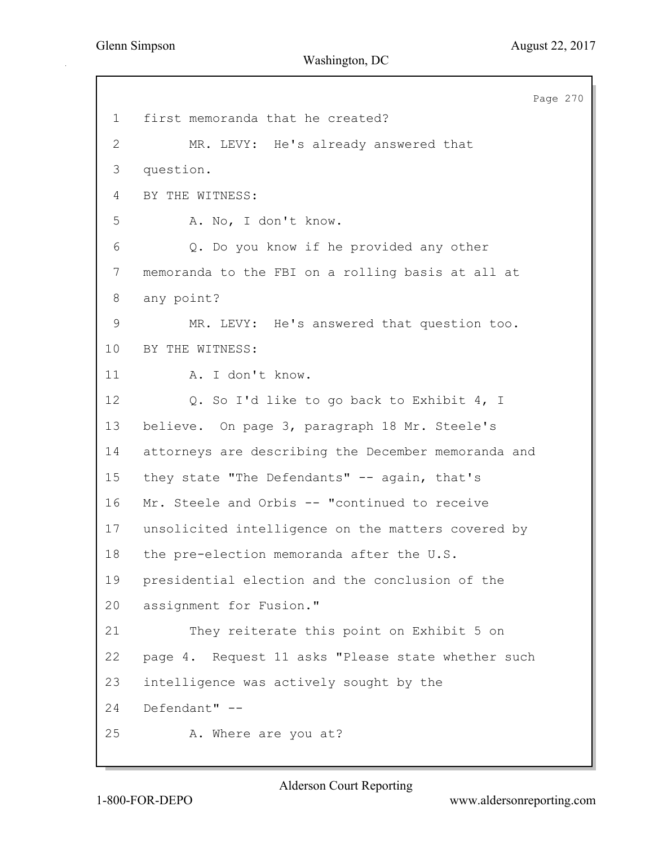Page 270 1 first memoranda that he created? 2 MR. LEVY: He's already answered that 3 question. 4 BY THE WITNESS: 5 A. No, I don't know. 6 Q. Do you know if he provided any other 7 memoranda to the FBI on a rolling basis at all at 8 any point? 9 MR. LEVY: He's answered that question too. 10 BY THE WITNESS: 11 A. I don't know. 12 Q. So I'd like to go back to Exhibit 4, I 13 believe. On page 3, paragraph 18 Mr. Steele's 14 attorneys are describing the December memoranda and 15 they state "The Defendants" -- again, that's 16 Mr. Steele and Orbis -- "continued to receive 17 unsolicited intelligence on the matters covered by 18 the pre-election memoranda after the U.S. 19 presidential election and the conclusion of the 20 assignment for Fusion." 21 They reiterate this point on Exhibit 5 on 22 page 4. Request 11 asks "Please state whether such 23 intelligence was actively sought by the 24 Defendant" -- 25 A. Where are you at?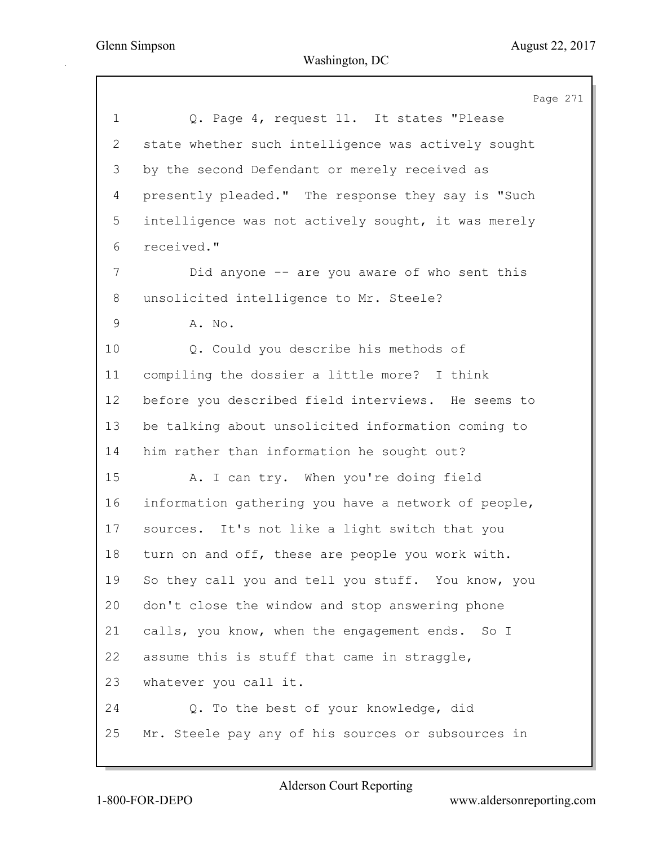Page 271 1 Q. Page 4, request 11. It states "Please 2 state whether such intelligence was actively sought 3 by the second Defendant or merely received as 4 presently pleaded." The response they say is "Such 5 intelligence was not actively sought, it was merely 6 received." 7 Did anyone -- are you aware of who sent this 8 unsolicited intelligence to Mr. Steele? 9 A. No. 10 Q. Could you describe his methods of 11 compiling the dossier a little more? I think 12 before you described field interviews. He seems to 13 be talking about unsolicited information coming to 14 him rather than information he sought out? 15 A. I can try. When you're doing field 16 information gathering you have a network of people, 17 sources. It's not like a light switch that you 18 turn on and off, these are people you work with. 19 So they call you and tell you stuff. You know, you 20 don't close the window and stop answering phone 21 calls, you know, when the engagement ends. So I 22 assume this is stuff that came in straggle, 23 whatever you call it. 24 Q. To the best of your knowledge, did 25 Mr. Steele pay any of his sources or subsources in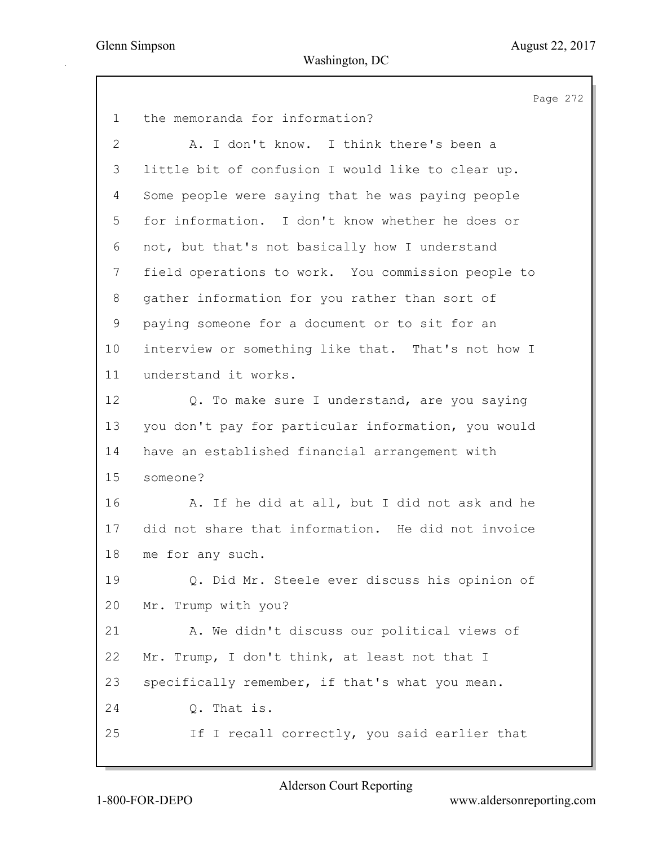Page 272 1 the memoranda for information? 2 A. I don't know. I think there's been a 3 little bit of confusion I would like to clear up. 4 Some people were saying that he was paying people 5 for information. I don't know whether he does or 6 not, but that's not basically how I understand 7 field operations to work. You commission people to 8 gather information for you rather than sort of 9 paying someone for a document or to sit for an 10 interview or something like that. That's not how I 11 understand it works. 12 Q. To make sure I understand, are you saying 13 you don't pay for particular information, you would 14 have an established financial arrangement with 15 someone? 16 A. If he did at all, but I did not ask and he 17 did not share that information. He did not invoice 18 me for any such. 19 Q. Did Mr. Steele ever discuss his opinion of 20 Mr. Trump with you? 21 A. We didn't discuss our political views of 22 Mr. Trump, I don't think, at least not that I 23 specifically remember, if that's what you mean. 24 Q. That is. 25 If I recall correctly, you said earlier that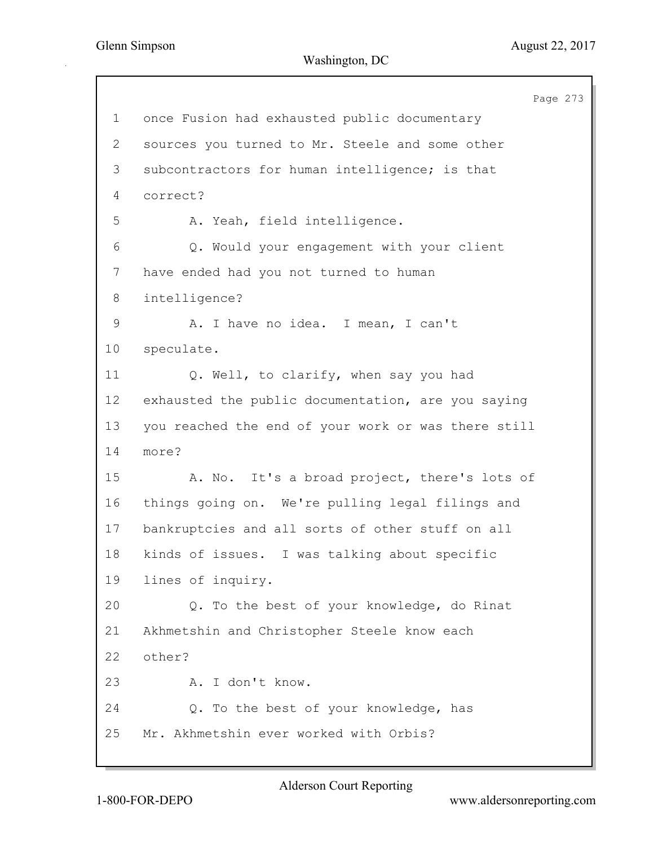|                | Page 273                                            |
|----------------|-----------------------------------------------------|
| $\mathbf 1$    | once Fusion had exhausted public documentary        |
| $\overline{2}$ | sources you turned to Mr. Steele and some other     |
| 3              | subcontractors for human intelligence; is that      |
| 4              | correct?                                            |
| 5              | A. Yeah, field intelligence.                        |
| 6              | Q. Would your engagement with your client           |
| $\overline{7}$ | have ended had you not turned to human              |
| 8              | intelligence?                                       |
| $\mathsf 9$    | A. I have no idea. I mean, I can't                  |
| 10             | speculate.                                          |
| 11             | Q. Well, to clarify, when say you had               |
| 12             | exhausted the public documentation, are you saying  |
| 13             | you reached the end of your work or was there still |
| 14             | more?                                               |
| 15             | A. No. It's a broad project, there's lots of        |
| 16             | things going on. We're pulling legal filings and    |
| 17             | bankruptcies and all sorts of other stuff on all    |
| 18             | kinds of issues. I was talking about specific       |
| 19             | lines of inquiry.                                   |
| 20             | Q. To the best of your knowledge, do Rinat          |
| 21             | Akhmetshin and Christopher Steele know each         |
| 22             | other?                                              |
| 23             | A. I don't know.                                    |
| 24             | Q. To the best of your knowledge, has               |
| 25             | Mr. Akhmetshin ever worked with Orbis?              |
|                |                                                     |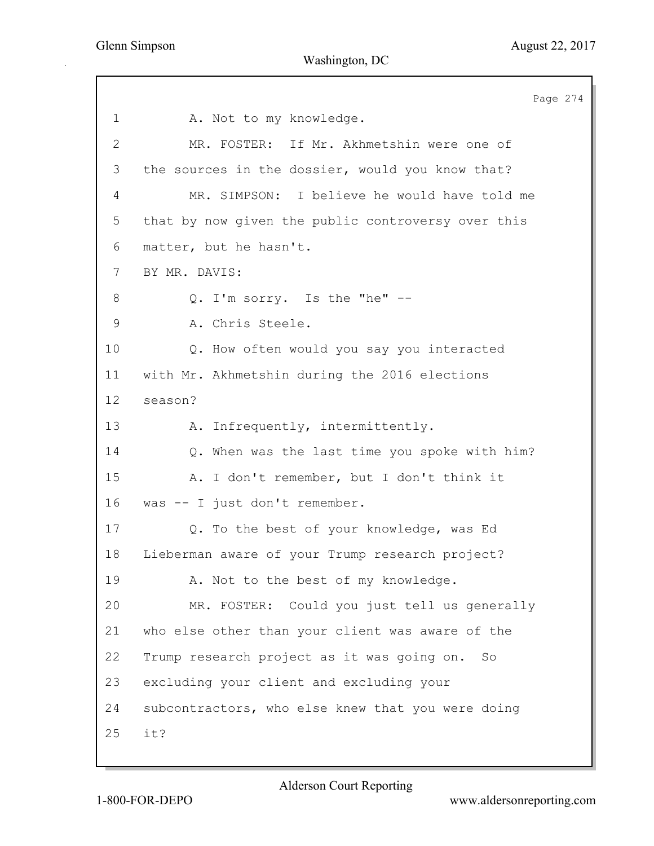Page 274 1 A. Not to my knowledge. 2 MR. FOSTER: If Mr. Akhmetshin were one of 3 the sources in the dossier, would you know that? 4 MR. SIMPSON: I believe he would have told me 5 that by now given the public controversy over this 6 matter, but he hasn't. 7 BY MR. DAVIS: 8 Q. I'm sorry. Is the "he" -- 9 A. Chris Steele. 10 Q. How often would you say you interacted 11 with Mr. Akhmetshin during the 2016 elections 12 season? 13 A. Infrequently, intermittently. 14 Q. When was the last time you spoke with him? 15 A. I don't remember, but I don't think it 16 was -- I just don't remember. 17 Q. To the best of your knowledge, was Ed 18 Lieberman aware of your Trump research project? 19 A. Not to the best of my knowledge. 20 MR. FOSTER: Could you just tell us generally 21 who else other than your client was aware of the 22 Trump research project as it was going on. So 23 excluding your client and excluding your 24 subcontractors, who else knew that you were doing 25 it?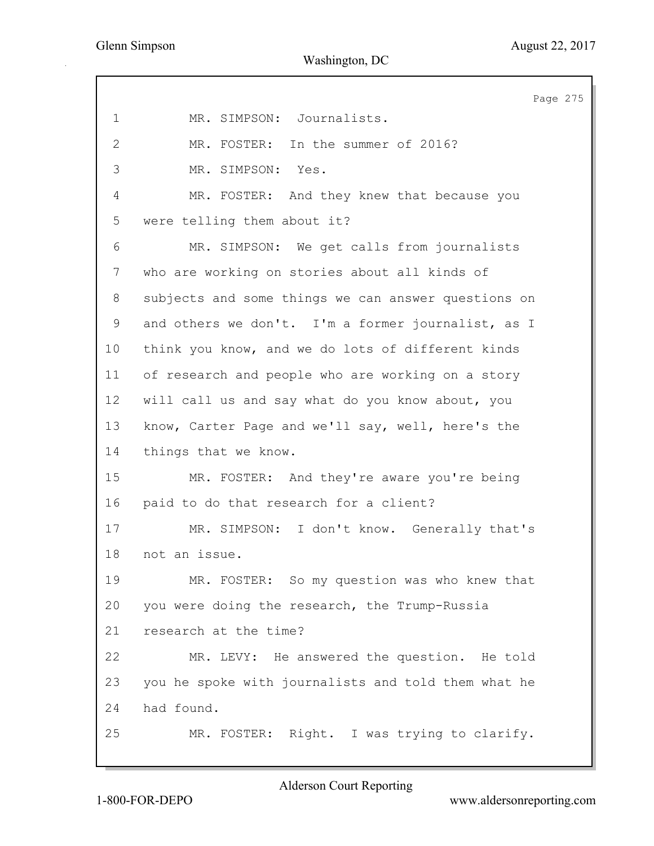Page 275 1 MR. SIMPSON: Journalists. 2 MR. FOSTER: In the summer of 2016? 3 MR. SIMPSON: Yes. 4 MR. FOSTER: And they knew that because you 5 were telling them about it? 6 MR. SIMPSON: We get calls from journalists 7 who are working on stories about all kinds of 8 subjects and some things we can answer questions on 9 and others we don't. I'm a former journalist, as I 10 think you know, and we do lots of different kinds 11 of research and people who are working on a story 12 will call us and say what do you know about, you 13 know, Carter Page and we'll say, well, here's the 14 things that we know. 15 MR. FOSTER: And they're aware you're being 16 paid to do that research for a client? 17 MR. SIMPSON: I don't know. Generally that's 18 not an issue. 19 MR. FOSTER: So my question was who knew that 20 you were doing the research, the Trump-Russia 21 research at the time? 22 MR. LEVY: He answered the question. He told 23 you he spoke with journalists and told them what he 24 had found. 25 MR. FOSTER: Right. I was trying to clarify.

1-800-FOR-DEPO www.aldersonreporting.com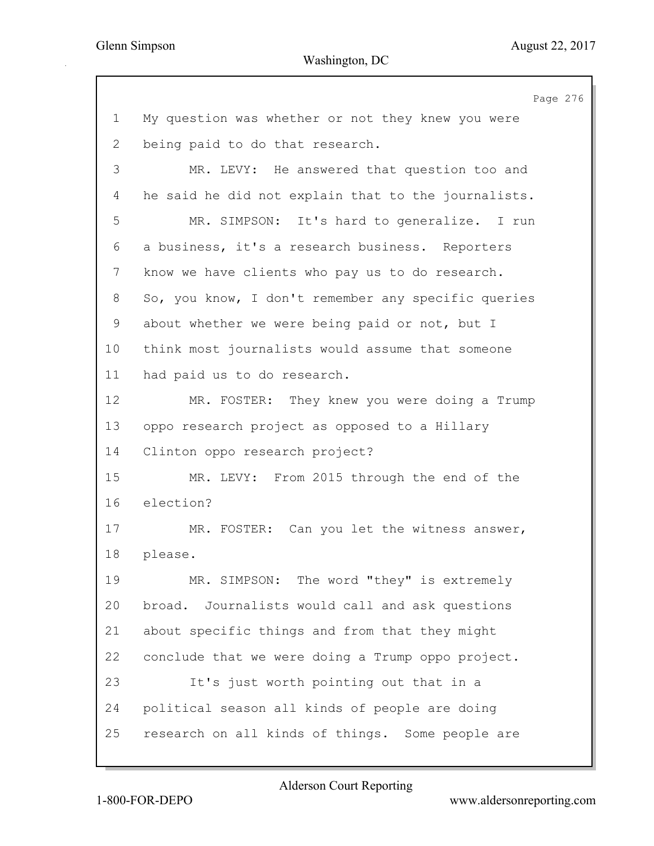Page 276 1 My question was whether or not they knew you were 2 being paid to do that research. 3 MR. LEVY: He answered that question too and 4 he said he did not explain that to the journalists. 5 MR. SIMPSON: It's hard to generalize. I run 6 a business, it's a research business. Reporters 7 know we have clients who pay us to do research. 8 So, you know, I don't remember any specific queries 9 about whether we were being paid or not, but I 10 think most journalists would assume that someone 11 had paid us to do research. 12 MR. FOSTER: They knew you were doing a Trump 13 oppo research project as opposed to a Hillary 14 Clinton oppo research project? 15 MR. LEVY: From 2015 through the end of the 16 election? 17 MR. FOSTER: Can you let the witness answer, 18 please. 19 MR. SIMPSON: The word "they" is extremely 20 broad. Journalists would call and ask questions 21 about specific things and from that they might 22 conclude that we were doing a Trump oppo project. 23 It's just worth pointing out that in a 24 political season all kinds of people are doing 25 research on all kinds of things. Some people are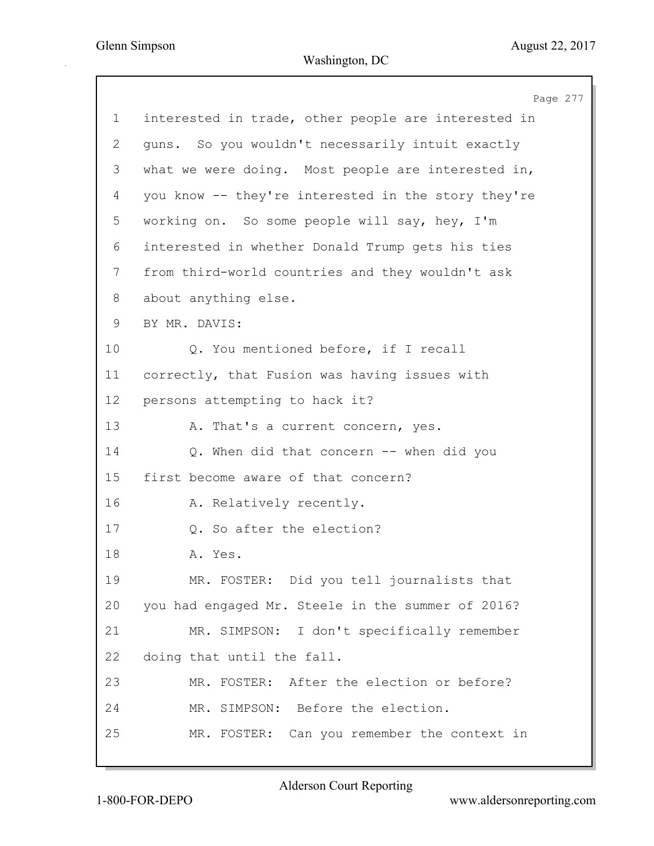Page 277 1 interested in trade, other people are interested in 2 guns. So you wouldn't necessarily intuit exactly 3 what we were doing. Most people are interested in, 4 you know -- they're interested in the story they're 5 working on. So some people will say, hey, I'm 6 interested in whether Donald Trump gets his ties 7 from third-world countries and they wouldn't ask 8 about anything else. 9 BY MR. DAVIS: 10 Q. You mentioned before, if I recall 11 correctly, that Fusion was having issues with 12 persons attempting to hack it? 13 A. That's a current concern, yes. 14 Q. When did that concern -- when did you 15 first become aware of that concern? 16 A. Relatively recently. 17 Q. So after the election? 18 A. Yes. 19 MR. FOSTER: Did you tell journalists that 20 you had engaged Mr. Steele in the summer of 2016? 21 MR. SIMPSON: I don't specifically remember 22 doing that until the fall. 23 MR. FOSTER: After the election or before? 24 MR. SIMPSON: Before the election. 25 MR. FOSTER: Can you remember the context in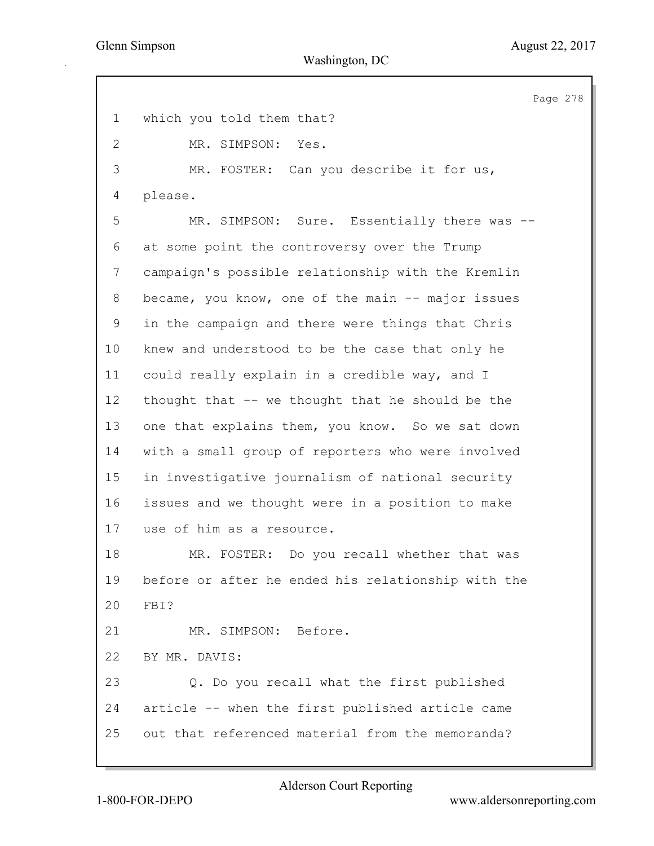Page 278 1 which you told them that? 2 MR. SIMPSON: Yes. 3 MR. FOSTER: Can you describe it for us, 4 please. 5 MR. SIMPSON: Sure. Essentially there was -- 6 at some point the controversy over the Trump 7 campaign's possible relationship with the Kremlin 8 became, you know, one of the main -- major issues 9 in the campaign and there were things that Chris 10 knew and understood to be the case that only he 11 could really explain in a credible way, and I 12 thought that -- we thought that he should be the 13 one that explains them, you know. So we sat down 14 with a small group of reporters who were involved 15 in investigative journalism of national security 16 issues and we thought were in a position to make 17 use of him as a resource. 18 MR. FOSTER: Do you recall whether that was 19 before or after he ended his relationship with the 20 FBI? 21 MR. SIMPSON: Before. 22 BY MR. DAVIS: 23 Q. Do you recall what the first published 24 article -- when the first published article came 25 out that referenced material from the memoranda?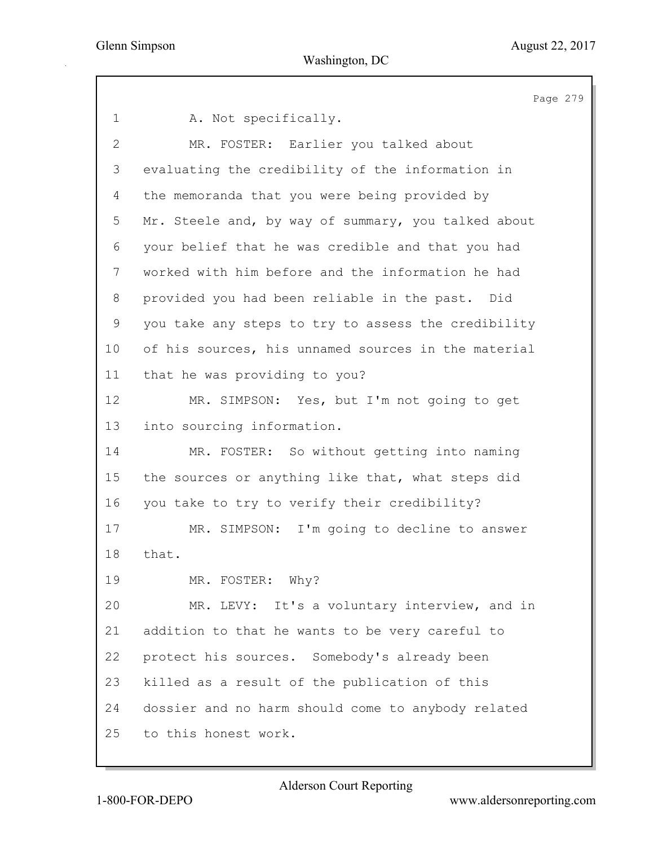Page 279 1 A. Not specifically. 2 MR. FOSTER: Earlier you talked about 3 evaluating the credibility of the information in 4 the memoranda that you were being provided by 5 Mr. Steele and, by way of summary, you talked about 6 your belief that he was credible and that you had 7 worked with him before and the information he had 8 provided you had been reliable in the past. Did 9 you take any steps to try to assess the credibility 10 of his sources, his unnamed sources in the material 11 that he was providing to you? 12 MR. SIMPSON: Yes, but I'm not going to get 13 into sourcing information. 14 MR. FOSTER: So without getting into naming 15 the sources or anything like that, what steps did 16 you take to try to verify their credibility? 17 MR. SIMPSON: I'm going to decline to answer 18 that. 19 MR. FOSTER: Why? 20 MR. LEVY: It's a voluntary interview, and in 21 addition to that he wants to be very careful to 22 protect his sources. Somebody's already been 23 killed as a result of the publication of this 24 dossier and no harm should come to anybody related 25 to this honest work.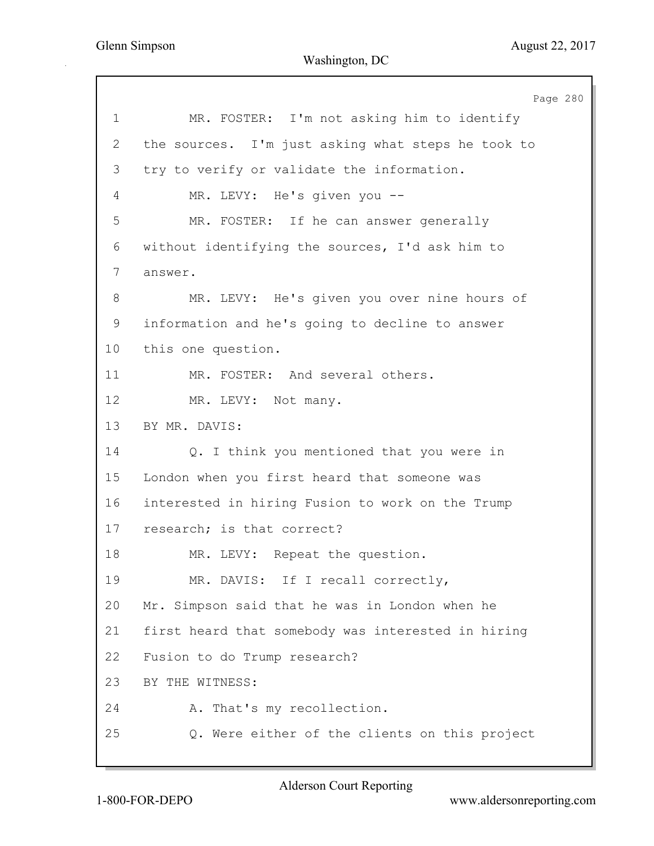Page 280 1 MR. FOSTER: I'm not asking him to identify 2 the sources. I'm just asking what steps he took to 3 try to verify or validate the information. 4 MR. LEVY: He's given you -- 5 MR. FOSTER: If he can answer generally 6 without identifying the sources, I'd ask him to 7 answer. 8 MR. LEVY: He's given you over nine hours of 9 information and he's going to decline to answer 10 this one question. 11 MR. FOSTER: And several others. 12 MR. LEVY: Not many. 13 BY MR. DAVIS: 14 Q. I think you mentioned that you were in 15 London when you first heard that someone was 16 interested in hiring Fusion to work on the Trump 17 research; is that correct? 18 MR. LEVY: Repeat the question. 19 MR. DAVIS: If I recall correctly, 20 Mr. Simpson said that he was in London when he 21 first heard that somebody was interested in hiring 22 Fusion to do Trump research? 23 BY THE WITNESS: 24 A. That's my recollection. 25 Q. Were either of the clients on this project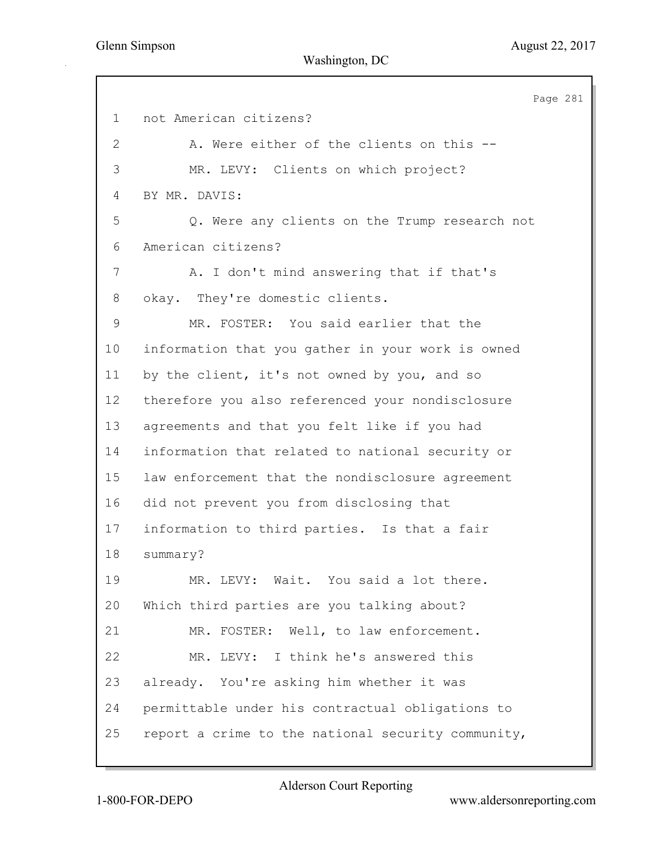Page 281 1 not American citizens? 2 A. Were either of the clients on this -- 3 MR. LEVY: Clients on which project? 4 BY MR. DAVIS: 5 Q. Were any clients on the Trump research not 6 American citizens? 7 A. I don't mind answering that if that's 8 okay. They're domestic clients. 9 MR. FOSTER: You said earlier that the 10 information that you gather in your work is owned 11 by the client, it's not owned by you, and so 12 therefore you also referenced your nondisclosure 13 agreements and that you felt like if you had 14 information that related to national security or 15 law enforcement that the nondisclosure agreement 16 did not prevent you from disclosing that 17 information to third parties. Is that a fair 18 summary? 19 MR. LEVY: Wait. You said a lot there. 20 Which third parties are you talking about? 21 MR. FOSTER: Well, to law enforcement. 22 MR. LEVY: I think he's answered this 23 already. You're asking him whether it was 24 permittable under his contractual obligations to 25 report a crime to the national security community,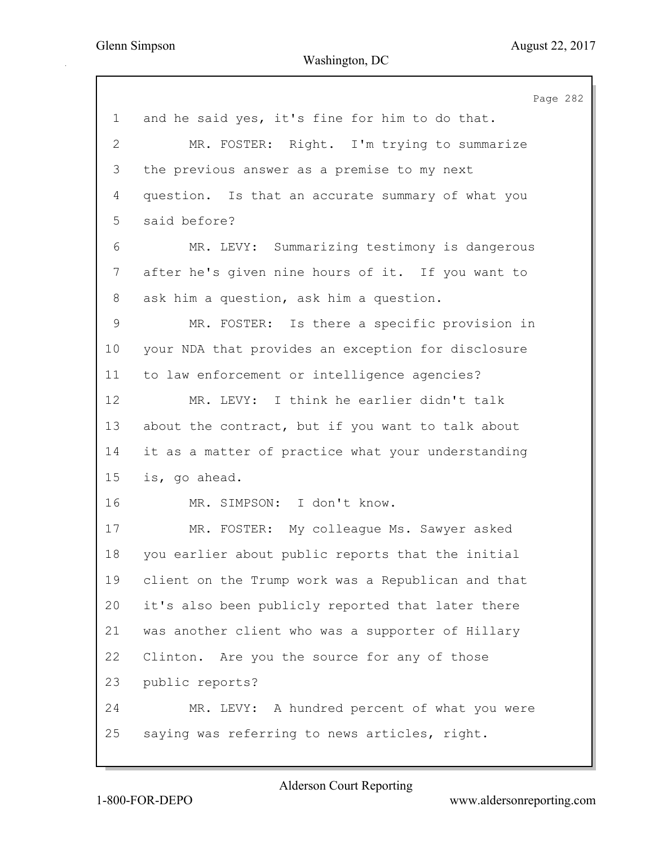Page 282 1 and he said yes, it's fine for him to do that. 2 MR. FOSTER: Right. I'm trying to summarize 3 the previous answer as a premise to my next 4 question. Is that an accurate summary of what you 5 said before? 6 MR. LEVY: Summarizing testimony is dangerous 7 after he's given nine hours of it. If you want to 8 ask him a question, ask him a question. 9 MR. FOSTER: Is there a specific provision in 10 your NDA that provides an exception for disclosure 11 to law enforcement or intelligence agencies? 12 MR. LEVY: I think he earlier didn't talk 13 about the contract, but if you want to talk about 14 it as a matter of practice what your understanding 15 is, go ahead. 16 MR. SIMPSON: I don't know. 17 MR. FOSTER: My colleague Ms. Sawyer asked 18 you earlier about public reports that the initial 19 client on the Trump work was a Republican and that 20 it's also been publicly reported that later there 21 was another client who was a supporter of Hillary 22 Clinton. Are you the source for any of those 23 public reports? 24 MR. LEVY: A hundred percent of what you were 25 saying was referring to news articles, right.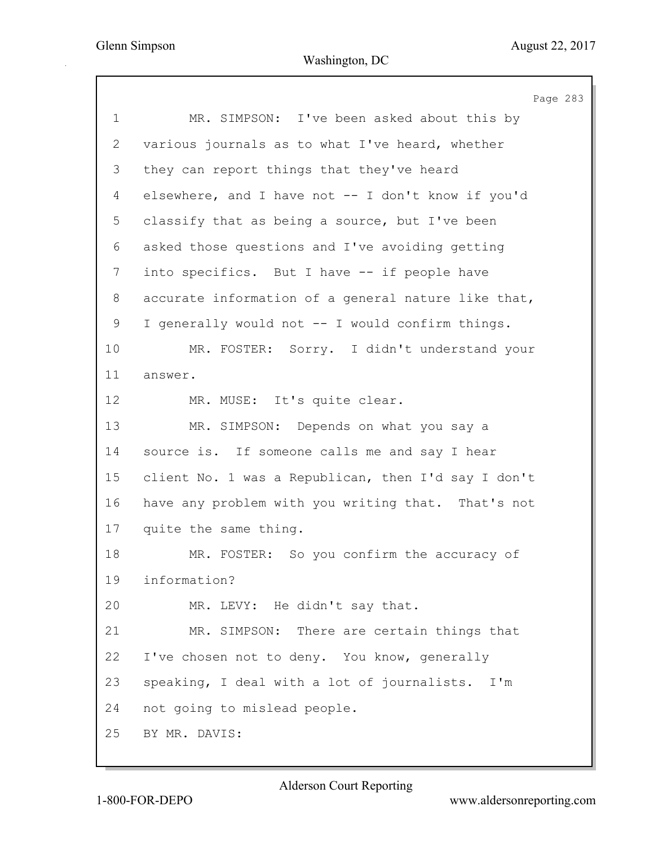Page 283 1 MR. SIMPSON: I've been asked about this by 2 various journals as to what I've heard, whether 3 they can report things that they've heard 4 elsewhere, and I have not -- I don't know if you'd 5 classify that as being a source, but I've been 6 asked those questions and I've avoiding getting 7 into specifics. But I have -- if people have 8 accurate information of a general nature like that, 9 I generally would not -- I would confirm things. 10 MR. FOSTER: Sorry. I didn't understand your 11 answer. 12 MR. MUSE: It's quite clear. 13 MR. SIMPSON: Depends on what you say a 14 source is. If someone calls me and say I hear 15 client No. 1 was a Republican, then I'd say I don't 16 have any problem with you writing that. That's not 17 quite the same thing. 18 MR. FOSTER: So you confirm the accuracy of 19 information? 20 MR. LEVY: He didn't say that. 21 MR. SIMPSON: There are certain things that 22 I've chosen not to deny. You know, generally 23 speaking, I deal with a lot of journalists. I'm 24 not going to mislead people. 25 BY MR. DAVIS: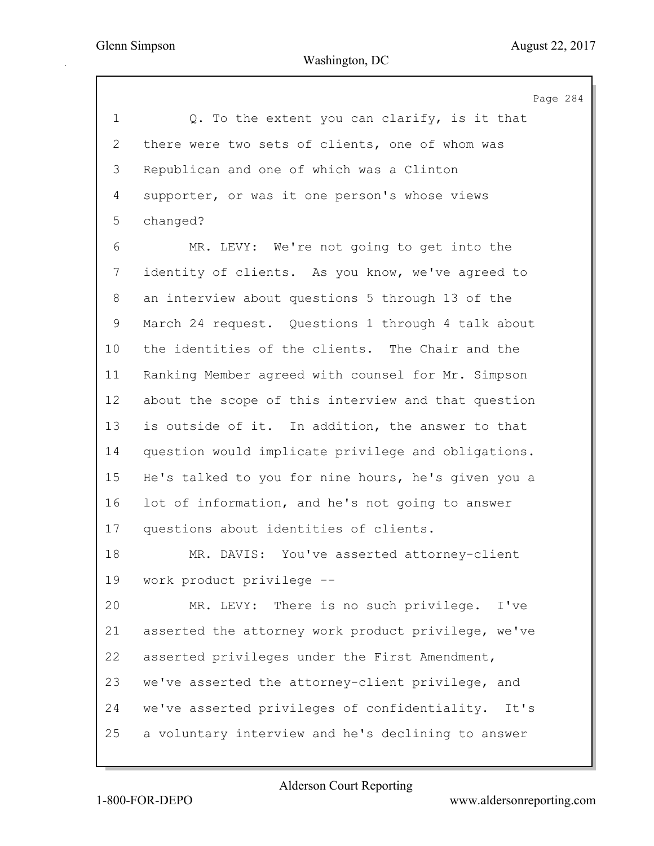Page 284 1 Q. To the extent you can clarify, is it that 2 there were two sets of clients, one of whom was 3 Republican and one of which was a Clinton 4 supporter, or was it one person's whose views 5 changed? 6 MR. LEVY: We're not going to get into the 7 identity of clients. As you know, we've agreed to 8 an interview about questions 5 through 13 of the 9 March 24 request. Questions 1 through 4 talk about 10 the identities of the clients. The Chair and the 11 Ranking Member agreed with counsel for Mr. Simpson 12 about the scope of this interview and that question 13 is outside of it. In addition, the answer to that 14 question would implicate privilege and obligations. 15 He's talked to you for nine hours, he's given you a 16 lot of information, and he's not going to answer 17 questions about identities of clients. 18 MR. DAVIS: You've asserted attorney-client 19 work product privilege -- 20 MR. LEVY: There is no such privilege. I've 21 asserted the attorney work product privilege, we've 22 asserted privileges under the First Amendment, 23 we've asserted the attorney-client privilege, and 24 we've asserted privileges of confidentiality. It's 25 a voluntary interview and he's declining to answer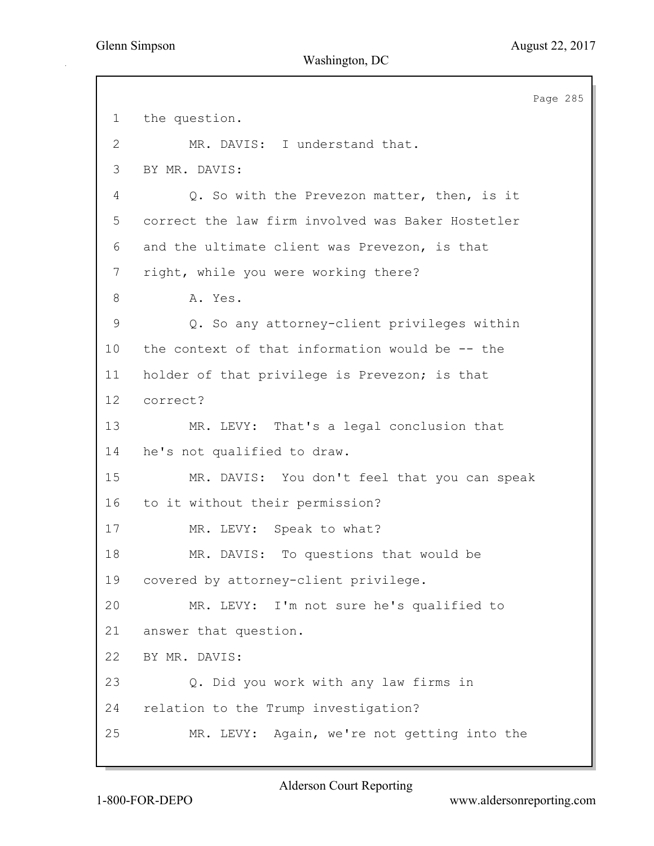Page 285 1 the question. 2 MR. DAVIS: I understand that. 3 BY MR. DAVIS: 4 Q. So with the Prevezon matter, then, is it 5 correct the law firm involved was Baker Hostetler 6 and the ultimate client was Prevezon, is that 7 right, while you were working there? 8 A. Yes. 9 Q. So any attorney-client privileges within 10 the context of that information would be -- the 11 holder of that privilege is Prevezon; is that 12 correct? 13 MR. LEVY: That's a legal conclusion that 14 he's not qualified to draw. 15 MR. DAVIS: You don't feel that you can speak 16 to it without their permission? 17 MR. LEVY: Speak to what? 18 MR. DAVIS: To questions that would be 19 covered by attorney-client privilege. 20 MR. LEVY: I'm not sure he's qualified to 21 answer that question. 22 BY MR. DAVIS: 23 Q. Did you work with any law firms in 24 relation to the Trump investigation? 25 MR. LEVY: Again, we're not getting into the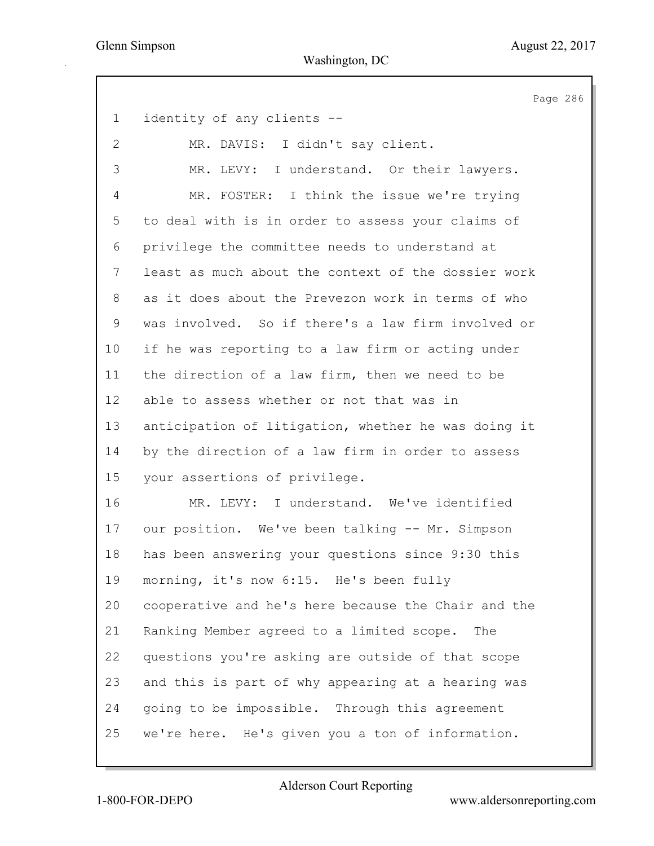Page 286 1 identity of any clients -- 2 MR. DAVIS: I didn't say client. 3 MR. LEVY: I understand. Or their lawyers. 4 MR. FOSTER: I think the issue we're trying 5 to deal with is in order to assess your claims of 6 privilege the committee needs to understand at 7 least as much about the context of the dossier work 8 as it does about the Prevezon work in terms of who 9 was involved. So if there's a law firm involved or 10 if he was reporting to a law firm or acting under 11 the direction of a law firm, then we need to be 12 able to assess whether or not that was in 13 anticipation of litigation, whether he was doing it 14 by the direction of a law firm in order to assess 15 your assertions of privilege. 16 MR. LEVY: I understand. We've identified 17 our position. We've been talking -- Mr. Simpson 18 has been answering your questions since 9:30 this 19 morning, it's now 6:15. He's been fully 20 cooperative and he's here because the Chair and the 21 Ranking Member agreed to a limited scope. The 22 questions you're asking are outside of that scope 23 and this is part of why appearing at a hearing was 24 going to be impossible. Through this agreement 25 we're here. He's given you a ton of information.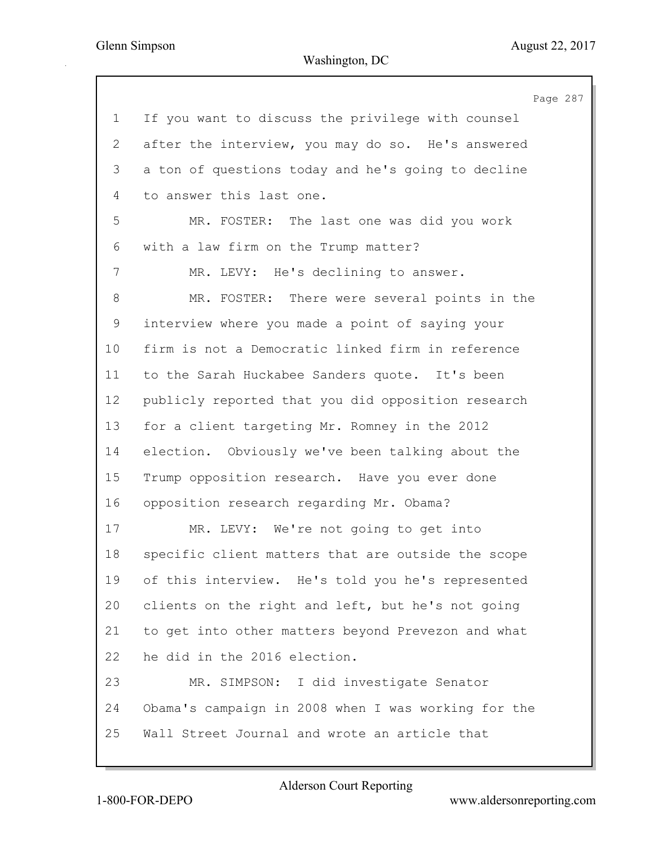Page 287 1 If you want to discuss the privilege with counsel 2 after the interview, you may do so. He's answered 3 a ton of questions today and he's going to decline 4 to answer this last one. 5 MR. FOSTER: The last one was did you work 6 with a law firm on the Trump matter? 7 MR. LEVY: He's declining to answer. 8 MR. FOSTER: There were several points in the 9 interview where you made a point of saying your 10 firm is not a Democratic linked firm in reference 11 to the Sarah Huckabee Sanders quote. It's been 12 publicly reported that you did opposition research 13 for a client targeting Mr. Romney in the 2012 14 election. Obviously we've been talking about the 15 Trump opposition research. Have you ever done 16 opposition research regarding Mr. Obama? 17 MR. LEVY: We're not going to get into 18 specific client matters that are outside the scope 19 of this interview. He's told you he's represented 20 clients on the right and left, but he's not going 21 to get into other matters beyond Prevezon and what 22 he did in the 2016 election. 23 MR. SIMPSON: I did investigate Senator 24 Obama's campaign in 2008 when I was working for the 25 Wall Street Journal and wrote an article that

Alderson Court Reporting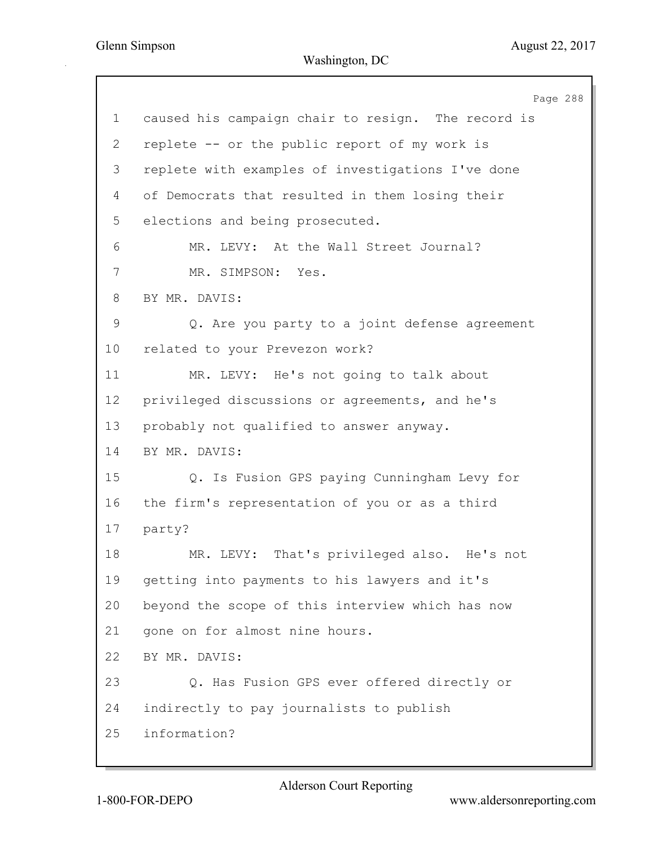Page 288 1 caused his campaign chair to resign. The record is 2 replete -- or the public report of my work is 3 replete with examples of investigations I've done 4 of Democrats that resulted in them losing their 5 elections and being prosecuted. 6 MR. LEVY: At the Wall Street Journal? 7 MR. SIMPSON: Yes. 8 BY MR. DAVIS: 9 Q. Are you party to a joint defense agreement 10 related to your Prevezon work? 11 MR. LEVY: He's not going to talk about 12 privileged discussions or agreements, and he's 13 probably not qualified to answer anyway. 14 BY MR. DAVIS: 15 Q. Is Fusion GPS paying Cunningham Levy for 16 the firm's representation of you or as a third 17 party? 18 MR. LEVY: That's privileged also. He's not 19 getting into payments to his lawyers and it's 20 beyond the scope of this interview which has now 21 gone on for almost nine hours. 22 BY MR. DAVIS: 23 Q. Has Fusion GPS ever offered directly or 24 indirectly to pay journalists to publish 25 information?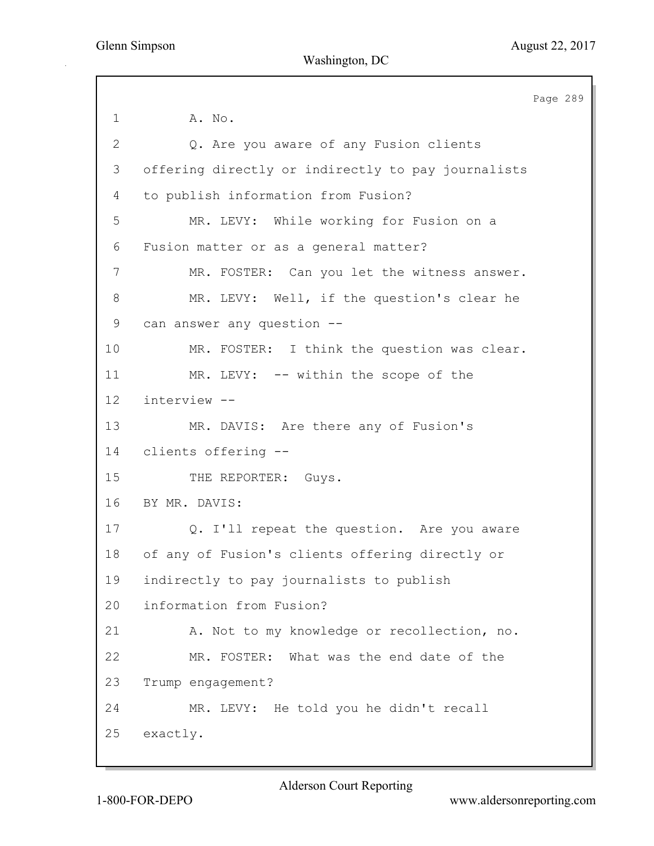Page 289 1 **A. No.** 2 Q. Are you aware of any Fusion clients 3 offering directly or indirectly to pay journalists 4 to publish information from Fusion? 5 MR. LEVY: While working for Fusion on a 6 Fusion matter or as a general matter? 7 MR. FOSTER: Can you let the witness answer. 8 MR. LEVY: Well, if the question's clear he 9 can answer any question -- 10 MR. FOSTER: I think the question was clear. 11 MR. LEVY: -- within the scope of the 12 interview -- 13 MR. DAVIS: Are there any of Fusion's 14 clients offering -- 15 THE REPORTER: Guys. 16 BY MR. DAVIS: 17 Q. I'll repeat the question. Are you aware 18 of any of Fusion's clients offering directly or 19 indirectly to pay journalists to publish 20 information from Fusion? 21 A. Not to my knowledge or recollection, no. 22 MR. FOSTER: What was the end date of the 23 Trump engagement? 24 MR. LEVY: He told you he didn't recall 25 exactly.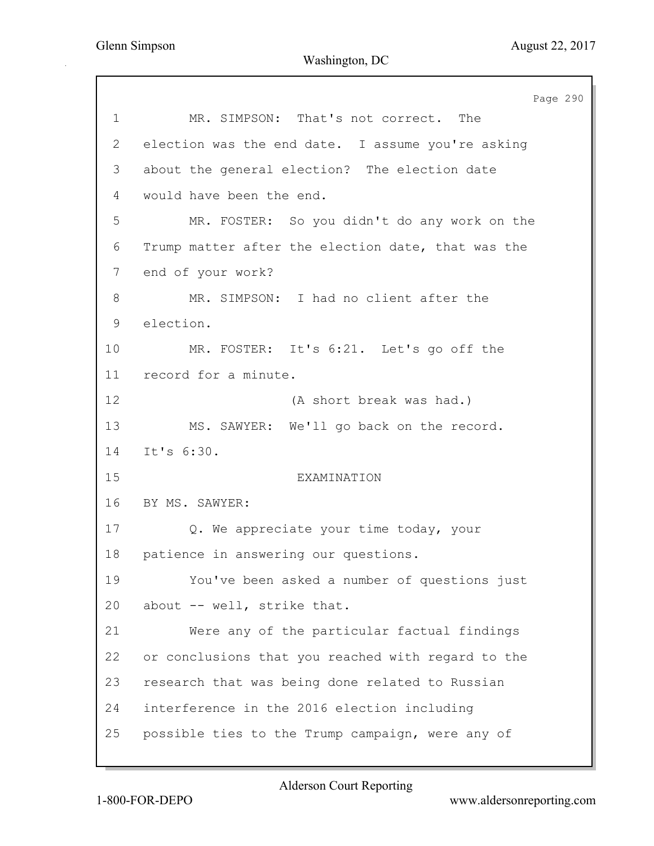Page 290 1 MR. SIMPSON: That's not correct. The 2 election was the end date. I assume you're asking 3 about the general election? The election date 4 would have been the end. 5 MR. FOSTER: So you didn't do any work on the 6 Trump matter after the election date, that was the 7 end of your work? 8 MR. SIMPSON: I had no client after the 9 election. 10 MR. FOSTER: It's 6:21. Let's go off the 11 record for a minute. 12 (A short break was had.) 13 MS. SAWYER: We'll go back on the record. 14 It's 6:30. 15 EXAMINATION 16 BY MS. SAWYER: 17 Q. We appreciate your time today, your 18 patience in answering our questions. 19 You've been asked a number of questions just 20 about -- well, strike that. 21 Were any of the particular factual findings 22 or conclusions that you reached with regard to the 23 research that was being done related to Russian 24 interference in the 2016 election including 25 possible ties to the Trump campaign, were any of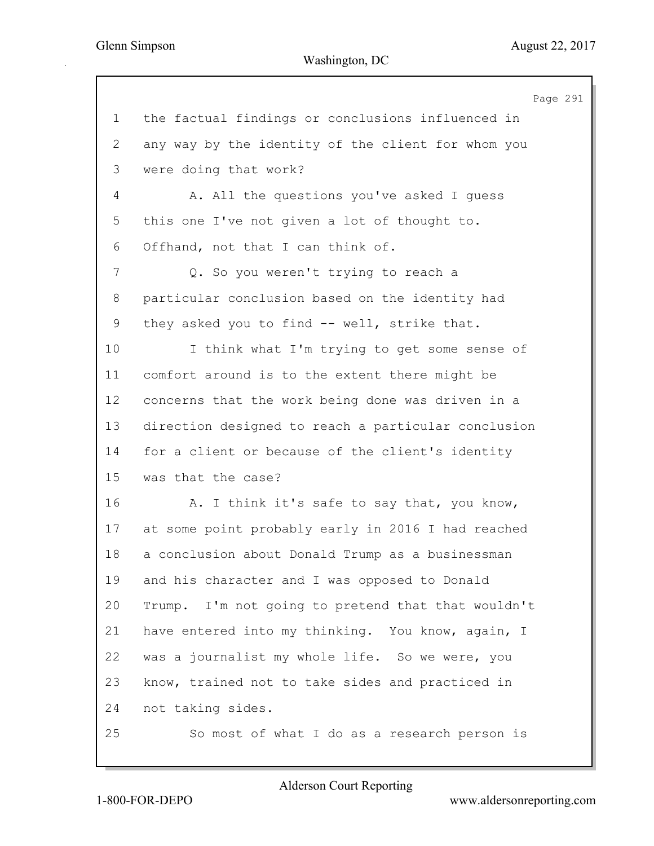Page 291 1 the factual findings or conclusions influenced in 2 any way by the identity of the client for whom you 3 were doing that work? 4 A. All the questions you've asked I guess 5 this one I've not given a lot of thought to. 6 Offhand, not that I can think of. 7 Q. So you weren't trying to reach a 8 particular conclusion based on the identity had 9 they asked you to find -- well, strike that. 10 I think what I'm trying to get some sense of 11 comfort around is to the extent there might be 12 concerns that the work being done was driven in a 13 direction designed to reach a particular conclusion 14 for a client or because of the client's identity 15 was that the case? 16 A. I think it's safe to say that, you know, 17 at some point probably early in 2016 I had reached 18 a conclusion about Donald Trump as a businessman 19 and his character and I was opposed to Donald 20 Trump. I'm not going to pretend that that wouldn't 21 have entered into my thinking. You know, again, I 22 was a journalist my whole life. So we were, you 23 know, trained not to take sides and practiced in 24 not taking sides. 25 So most of what I do as a research person is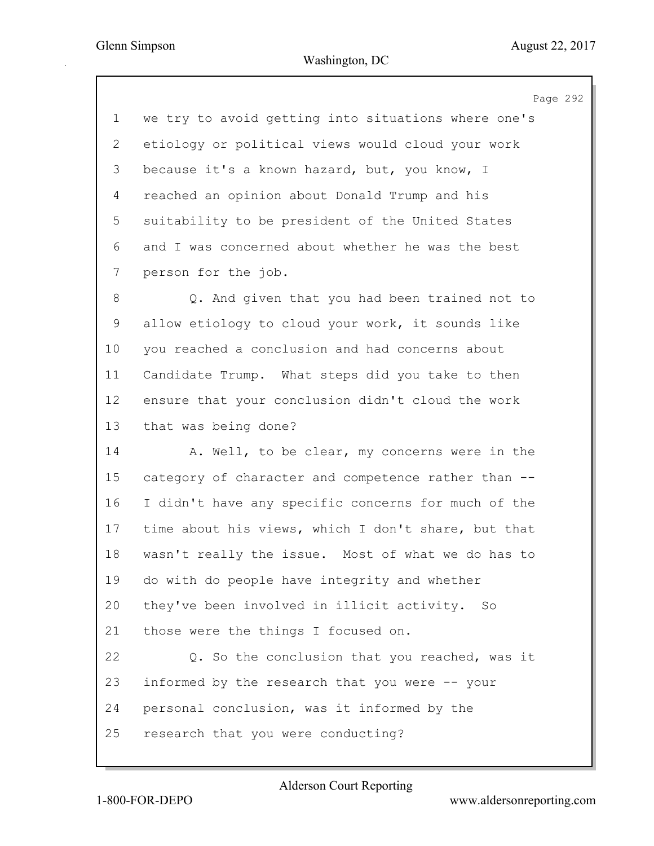Page 292

1 we try to avoid getting into situations where one's 2 etiology or political views would cloud your work 3 because it's a known hazard, but, you know, I 4 reached an opinion about Donald Trump and his 5 suitability to be president of the United States 6 and I was concerned about whether he was the best 7 person for the job.

8 Q. And given that you had been trained not to 9 allow etiology to cloud your work, it sounds like 10 you reached a conclusion and had concerns about 11 Candidate Trump. What steps did you take to then 12 ensure that your conclusion didn't cloud the work 13 that was being done?

14 A. Well, to be clear, my concerns were in the 15 category of character and competence rather than -- 16 I didn't have any specific concerns for much of the 17 time about his views, which I don't share, but that 18 wasn't really the issue. Most of what we do has to 19 do with do people have integrity and whether 20 they've been involved in illicit activity. So 21 those were the things I focused on. 22 Q. So the conclusion that you reached, was it 23 informed by the research that you were -- your 24 personal conclusion, was it informed by the 25 research that you were conducting?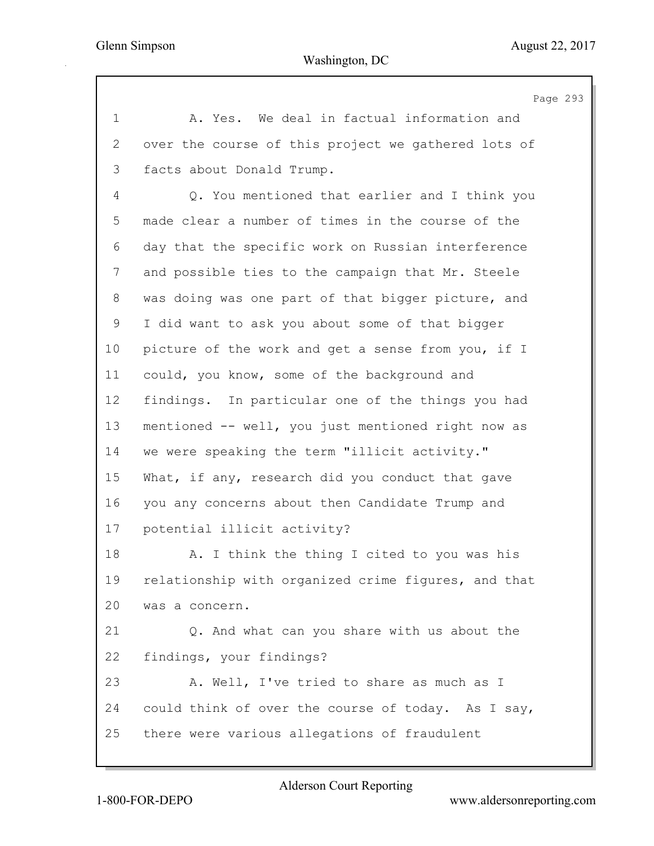Page 293 1 A. Yes. We deal in factual information and 2 over the course of this project we gathered lots of 3 facts about Donald Trump. 4 Q. You mentioned that earlier and I think you 5 made clear a number of times in the course of the 6 day that the specific work on Russian interference 7 and possible ties to the campaign that Mr. Steele 8 was doing was one part of that bigger picture, and 9 I did want to ask you about some of that bigger 10 picture of the work and get a sense from you, if I 11 could, you know, some of the background and 12 findings. In particular one of the things you had 13 mentioned -- well, you just mentioned right now as 14 we were speaking the term "illicit activity." 15 What, if any, research did you conduct that gave 16 you any concerns about then Candidate Trump and 17 potential illicit activity? 18 A. I think the thing I cited to you was his 19 relationship with organized crime figures, and that 20 was a concern. 21 Q. And what can you share with us about the 22 findings, your findings? 23 A. Well, I've tried to share as much as I 24 could think of over the course of today. As I say, 25 there were various allegations of fraudulent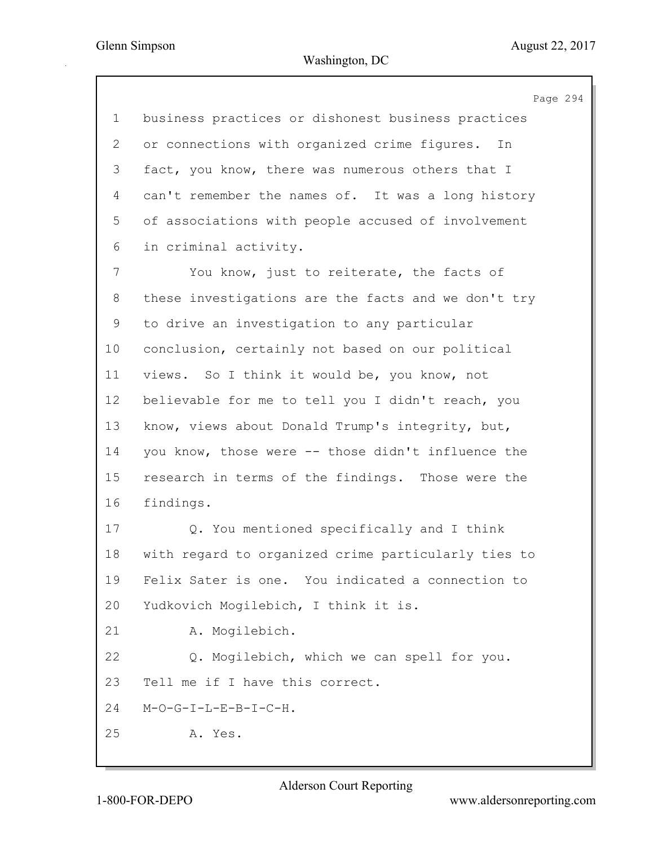|             | Page 294                                            |
|-------------|-----------------------------------------------------|
| $\mathbf 1$ | business practices or dishonest business practices  |
| 2           | or connections with organized crime figures.<br>In  |
| 3           | fact, you know, there was numerous others that I    |
| 4           | can't remember the names of. It was a long history  |
| 5           | of associations with people accused of involvement  |
| 6           | in criminal activity.                               |
| 7           | You know, just to reiterate, the facts of           |
| 8           | these investigations are the facts and we don't try |
| 9           | to drive an investigation to any particular         |
| 10          | conclusion, certainly not based on our political    |
| 11          | views. So I think it would be, you know, not        |
| 12          | believable for me to tell you I didn't reach, you   |
| 13          | know, views about Donald Trump's integrity, but,    |
| 14          | you know, those were -- those didn't influence the  |
| 15          | research in terms of the findings. Those were the   |
| 16          | findings.                                           |
| 17          | Q. You mentioned specifically and I think           |
| 18          | with regard to organized crime particularly ties to |
| 19          | Felix Sater is one. You indicated a connection to   |
| 20          | Yudkovich Mogilebich, I think it is.                |
| 21          | A. Mogilebich.                                      |
| 22          | Q. Mogilebich, which we can spell for you.          |
| 23          | Tell me if I have this correct.                     |
| 24          | $M-O-G-I-L-E-B-I-C-H.$                              |
| 25          | A. Yes.                                             |
|             |                                                     |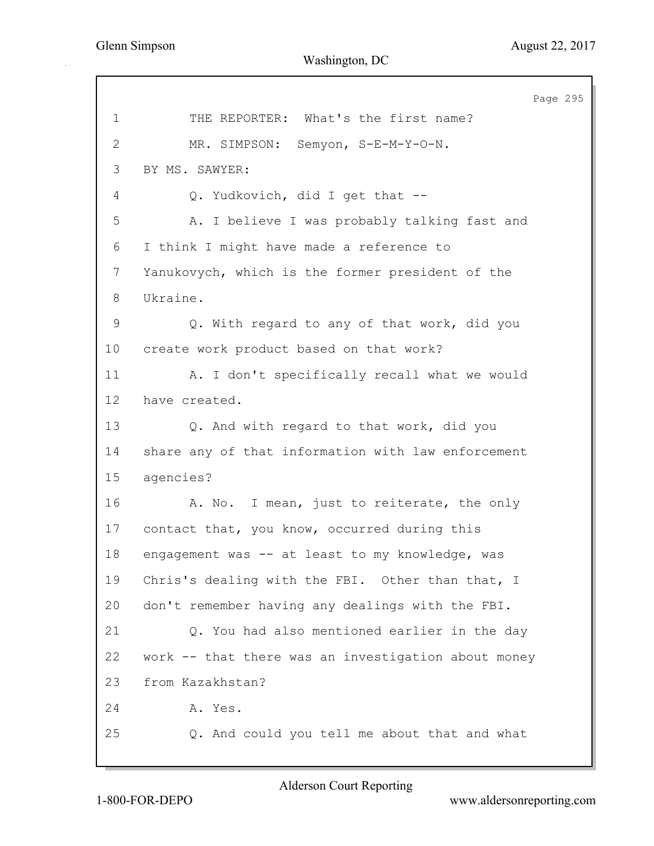Page 295 1 THE REPORTER: What's the first name? 2 MR. SIMPSON: Semyon, S-E-M-Y-O-N. 3 BY MS. SAWYER: 4 Q. Yudkovich, did I get that -- 5 A. I believe I was probably talking fast and 6 I think I might have made a reference to 7 Yanukovych, which is the former president of the 8 Ukraine. 9 Q. With regard to any of that work, did you 10 create work product based on that work? 11 A. I don't specifically recall what we would 12 have created. 13 Q. And with regard to that work, did you 14 share any of that information with law enforcement 15 agencies? 16 A. No. I mean, just to reiterate, the only 17 contact that, you know, occurred during this 18 engagement was -- at least to my knowledge, was 19 Chris's dealing with the FBI. Other than that, I 20 don't remember having any dealings with the FBI. 21 Q. You had also mentioned earlier in the day 22 work -- that there was an investigation about money 23 from Kazakhstan? 24 A. Yes. 25 Q. And could you tell me about that and what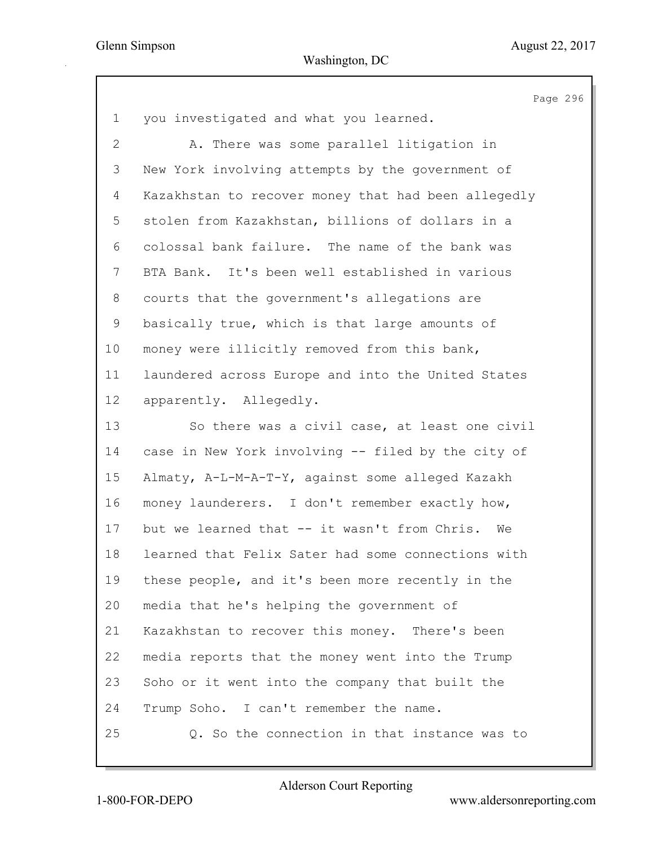|                | Page 296                                            |
|----------------|-----------------------------------------------------|
| $\mathbf 1$    | you investigated and what you learned.              |
| $\overline{2}$ | A. There was some parallel litigation in            |
| 3              | New York involving attempts by the government of    |
| 4              | Kazakhstan to recover money that had been allegedly |
| 5              | stolen from Kazakhstan, billions of dollars in a    |
| 6              | colossal bank failure. The name of the bank was     |
| 7              | BTA Bank. It's been well established in various     |
| 8              | courts that the government's allegations are        |
| 9              | basically true, which is that large amounts of      |
| 10             | money were illicitly removed from this bank,        |
| 11             | laundered across Europe and into the United States  |
| 12             | apparently. Allegedly.                              |
| 13             | So there was a civil case, at least one civil       |
| 14             | case in New York involving -- filed by the city of  |
| 15             | Almaty, A-L-M-A-T-Y, against some alleged Kazakh    |
| 16             | money launderers. I don't remember exactly how,     |
| 17             | but we learned that -- it wasn't from Chris. We     |
| 18             | learned that Felix Sater had some connections with  |
| 19             | these people, and it's been more recently in the    |
| 20             | media that he's helping the government of           |
| 21             | Kazakhstan to recover this money. There's been      |
| 22             | media reports that the money went into the Trump    |
| 23             | Soho or it went into the company that built the     |
| 24             | Trump Soho. I can't remember the name.              |
| 25             | Q. So the connection in that instance was to        |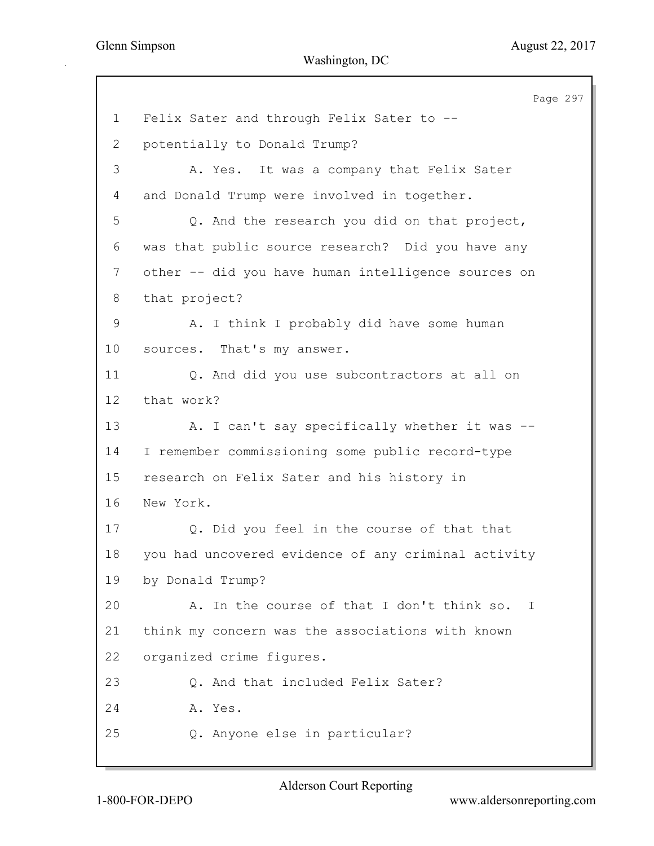Page 297 1 Felix Sater and through Felix Sater to -- 2 potentially to Donald Trump? 3 A. Yes. It was a company that Felix Sater 4 and Donald Trump were involved in together. 5 Q. And the research you did on that project, 6 was that public source research? Did you have any 7 other -- did you have human intelligence sources on 8 that project? 9 A. I think I probably did have some human 10 sources. That's my answer. 11 Q. And did you use subcontractors at all on 12 that work? 13 A. I can't say specifically whether it was --14 I remember commissioning some public record-type 15 research on Felix Sater and his history in 16 New York. 17 Q. Did you feel in the course of that that 18 you had uncovered evidence of any criminal activity 19 by Donald Trump? 20 A. In the course of that I don't think so. I 21 think my concern was the associations with known 22 organized crime figures. 23 Q. And that included Felix Sater? 24 A. Yes. 25 Q. Anyone else in particular?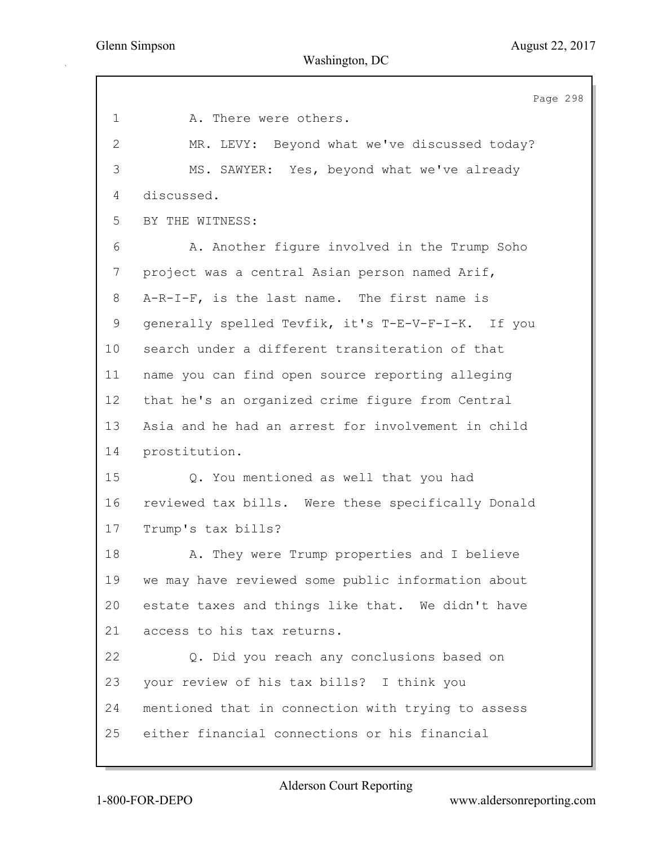Page 298 1 A. There were others. 2 MR. LEVY: Beyond what we've discussed today? 3 MS. SAWYER: Yes, beyond what we've already 4 discussed. 5 BY THE WITNESS: 6 A. Another figure involved in the Trump Soho 7 project was a central Asian person named Arif, 8 A-R-I-F, is the last name. The first name is 9 generally spelled Tevfik, it's T-E-V-F-I-K. If you 10 search under a different transiteration of that 11 name you can find open source reporting alleging 12 that he's an organized crime figure from Central 13 Asia and he had an arrest for involvement in child 14 prostitution. 15 Q. You mentioned as well that you had 16 reviewed tax bills. Were these specifically Donald 17 Trump's tax bills? 18 A. They were Trump properties and I believe 19 we may have reviewed some public information about 20 estate taxes and things like that. We didn't have 21 access to his tax returns. 22 Q. Did you reach any conclusions based on 23 your review of his tax bills? I think you 24 mentioned that in connection with trying to assess 25 either financial connections or his financial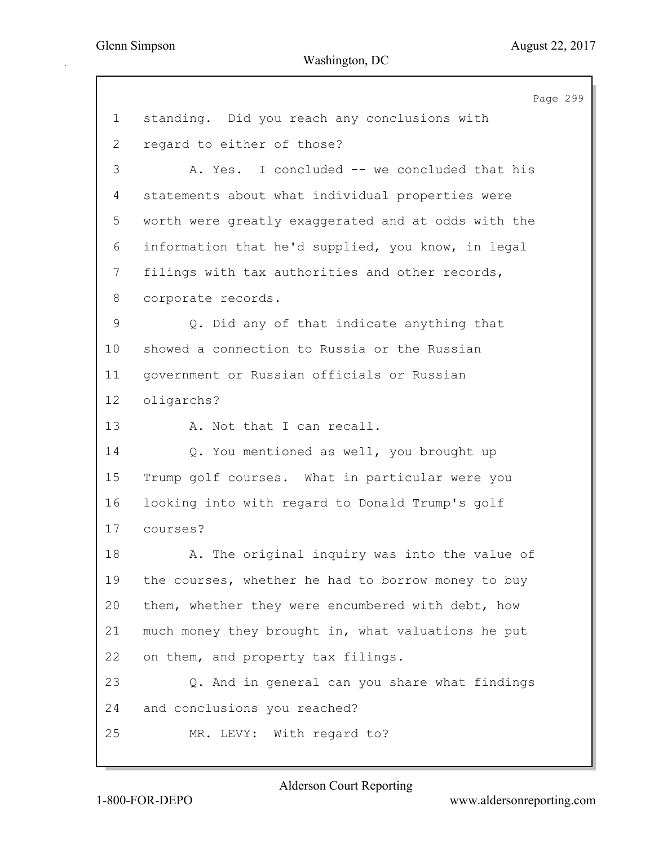Page 299 1 standing. Did you reach any conclusions with 2 regard to either of those? 3 A. Yes. I concluded -- we concluded that his 4 statements about what individual properties were 5 worth were greatly exaggerated and at odds with the 6 information that he'd supplied, you know, in legal 7 filings with tax authorities and other records, 8 corporate records. 9 Q. Did any of that indicate anything that 10 showed a connection to Russia or the Russian 11 government or Russian officials or Russian 12 oligarchs? 13 A. Not that I can recall. 14 Q. You mentioned as well, you brought up 15 Trump golf courses. What in particular were you 16 looking into with regard to Donald Trump's golf 17 courses? 18 A. The original inquiry was into the value of 19 the courses, whether he had to borrow money to buy 20 them, whether they were encumbered with debt, how 21 much money they brought in, what valuations he put 22 on them, and property tax filings. 23 Q. And in general can you share what findings 24 and conclusions you reached? 25 MR. LEVY: With regard to?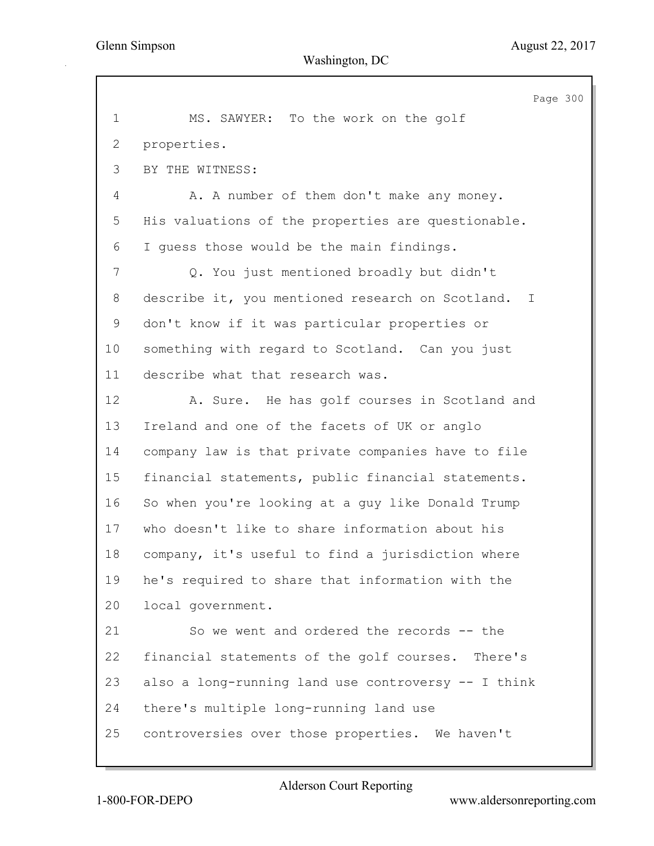Page 300 1 MS. SAWYER: To the work on the golf 2 properties. 3 BY THE WITNESS: 4 A. A number of them don't make any money. 5 His valuations of the properties are questionable. 6 I guess those would be the main findings. 7 Q. You just mentioned broadly but didn't 8 describe it, you mentioned research on Scotland. I 9 don't know if it was particular properties or 10 something with regard to Scotland. Can you just 11 describe what that research was. 12 A. Sure. He has golf courses in Scotland and 13 Ireland and one of the facets of UK or anglo 14 company law is that private companies have to file 15 financial statements, public financial statements. 16 So when you're looking at a guy like Donald Trump 17 who doesn't like to share information about his 18 company, it's useful to find a jurisdiction where 19 he's required to share that information with the 20 local government. 21 So we went and ordered the records -- the 22 financial statements of the golf courses. There's 23 also a long-running land use controversy -- I think 24 there's multiple long-running land use 25 controversies over those properties. We haven't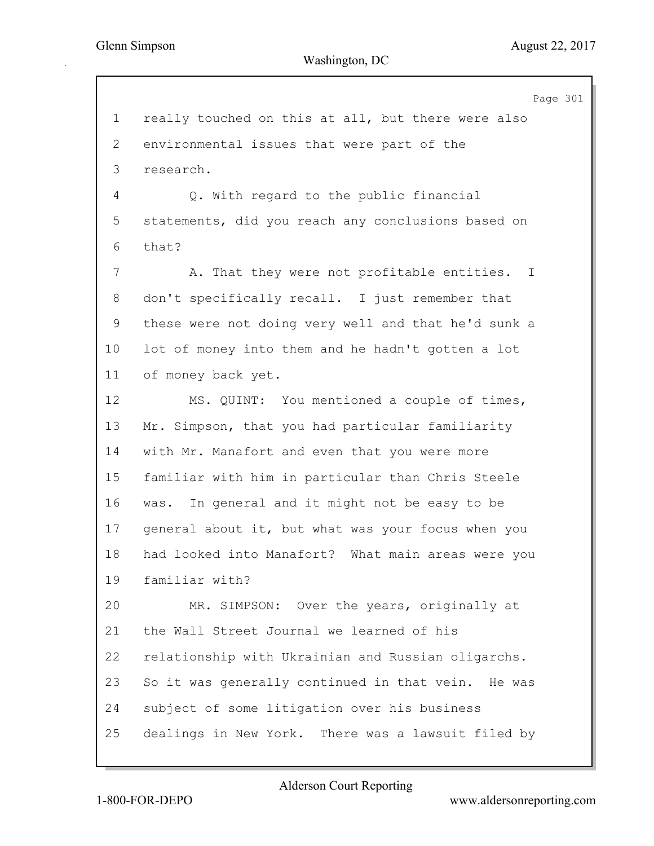Page 301 1 really touched on this at all, but there were also 2 environmental issues that were part of the 3 research. 4 Q. With regard to the public financial 5 statements, did you reach any conclusions based on 6 that? 7 A. That they were not profitable entities. I 8 don't specifically recall. I just remember that 9 these were not doing very well and that he'd sunk a 10 lot of money into them and he hadn't gotten a lot 11 of money back yet. 12 MS. QUINT: You mentioned a couple of times, 13 Mr. Simpson, that you had particular familiarity 14 with Mr. Manafort and even that you were more 15 familiar with him in particular than Chris Steele 16 was. In general and it might not be easy to be 17 general about it, but what was your focus when you 18 had looked into Manafort? What main areas were you 19 familiar with? 20 MR. SIMPSON: Over the years, originally at 21 the Wall Street Journal we learned of his 22 relationship with Ukrainian and Russian oligarchs. 23 So it was generally continued in that vein. He was 24 subject of some litigation over his business 25 dealings in New York. There was a lawsuit filed by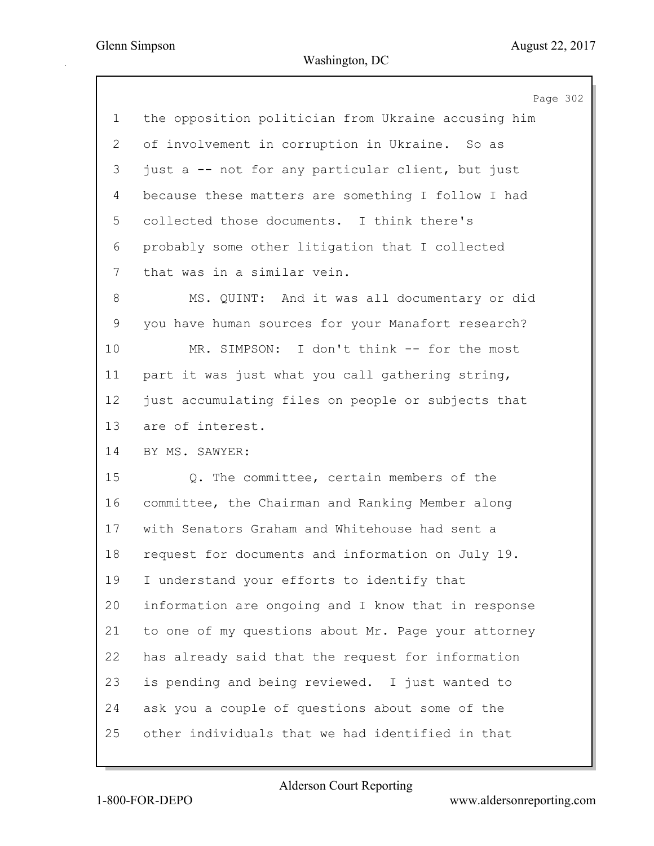|             | Page 302                                            |
|-------------|-----------------------------------------------------|
| 1           | the opposition politician from Ukraine accusing him |
| 2           | of involvement in corruption in Ukraine. So as      |
| 3           | just a -- not for any particular client, but just   |
| 4           | because these matters are something I follow I had  |
| 5           | collected those documents. I think there's          |
| 6           | probably some other litigation that I collected     |
| 7           | that was in a similar vein.                         |
| 8           | MS. QUINT: And it was all documentary or did        |
| $\mathsf 9$ | you have human sources for your Manafort research?  |
| 10          | MR. SIMPSON: I don't think -- for the most          |
| 11          | part it was just what you call gathering string,    |
| 12          | just accumulating files on people or subjects that  |
| 13          | are of interest.                                    |
| 14          | BY MS. SAWYER:                                      |
| 15          | Q. The committee, certain members of the            |
| 16          | committee, the Chairman and Ranking Member along    |
| 17          | with Senators Graham and Whitehouse had sent a      |
| 18          | request for documents and information on July 19.   |
| 19          | I understand your efforts to identify that          |
| 20          | information are ongoing and I know that in response |
| 21          | to one of my questions about Mr. Page your attorney |
| 22          | has already said that the request for information   |
| 23          | is pending and being reviewed. I just wanted to     |
| 24          | ask you a couple of questions about some of the     |
| 25          | other individuals that we had identified in that    |
|             |                                                     |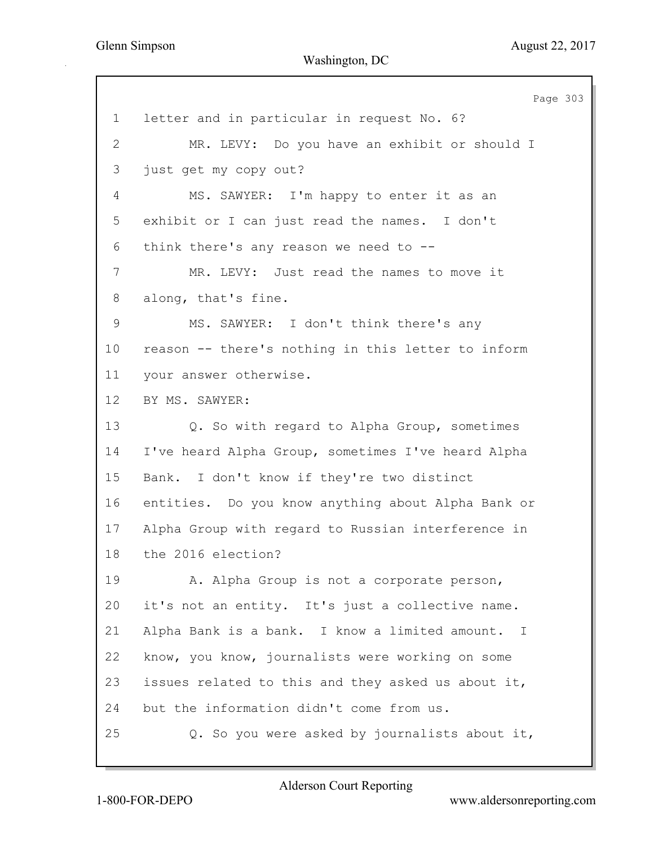|                 | Page 303                                           |
|-----------------|----------------------------------------------------|
| $\mathbf 1$     | letter and in particular in request No. 6?         |
| $\overline{2}$  | MR. LEVY: Do you have an exhibit or should I       |
| 3               | just get my copy out?                              |
| 4               | MS. SAWYER: I'm happy to enter it as an            |
| 5               | exhibit or I can just read the names. I don't      |
| 6               | think there's any reason we need to $-$ -          |
| $7\phantom{.}$  | MR. LEVY: Just read the names to move it           |
| 8               | along, that's fine.                                |
| 9               | MS. SAWYER: I don't think there's any              |
| 10 <sub>o</sub> | reason -- there's nothing in this letter to inform |
| 11              | your answer otherwise.                             |
| 12              | BY MS. SAWYER:                                     |
| 13              | Q. So with regard to Alpha Group, sometimes        |
| 14              | I've heard Alpha Group, sometimes I've heard Alpha |
| 15              | Bank. I don't know if they're two distinct         |
| 16              | entities. Do you know anything about Alpha Bank or |
| 17              | Alpha Group with regard to Russian interference in |
| 18              | the 2016 election?                                 |
| 19              | A. Alpha Group is not a corporate person,          |
| 20              | it's not an entity. It's just a collective name.   |
| 21              | Alpha Bank is a bank. I know a limited amount. I   |
| 22              | know, you know, journalists were working on some   |
| 23              | issues related to this and they asked us about it, |
| 24              | but the information didn't come from us.           |
| 25              | Q. So you were asked by journalists about it,      |
|                 |                                                    |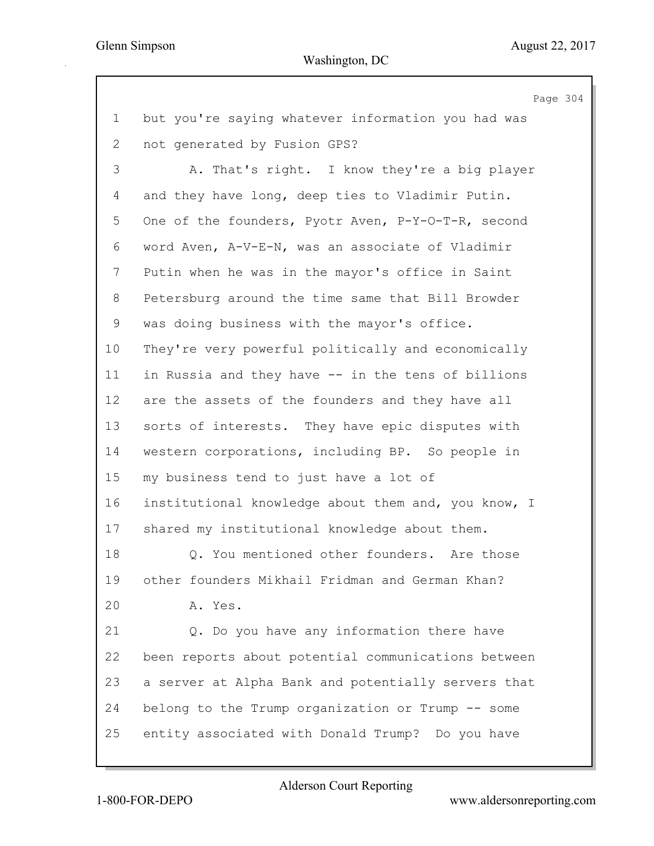Page 304 1 but you're saying whatever information you had was 2 not generated by Fusion GPS? 3 A. That's right. I know they're a big player 4 and they have long, deep ties to Vladimir Putin. 5 One of the founders, Pyotr Aven, P-Y-O-T-R, second 6 word Aven, A-V-E-N, was an associate of Vladimir 7 Putin when he was in the mayor's office in Saint 8 Petersburg around the time same that Bill Browder 9 was doing business with the mayor's office. 10 They're very powerful politically and economically 11 in Russia and they have -- in the tens of billions 12 are the assets of the founders and they have all 13 sorts of interests. They have epic disputes with 14 western corporations, including BP. So people in 15 my business tend to just have a lot of 16 institutional knowledge about them and, you know, I 17 shared my institutional knowledge about them. 18 Q. You mentioned other founders. Are those 19 other founders Mikhail Fridman and German Khan? 20 A. Yes. 21 Q. Do you have any information there have 22 been reports about potential communications between 23 a server at Alpha Bank and potentially servers that 24 belong to the Trump organization or Trump -- some 25 entity associated with Donald Trump? Do you have

Alderson Court Reporting

1-800-FOR-DEPO www.aldersonreporting.com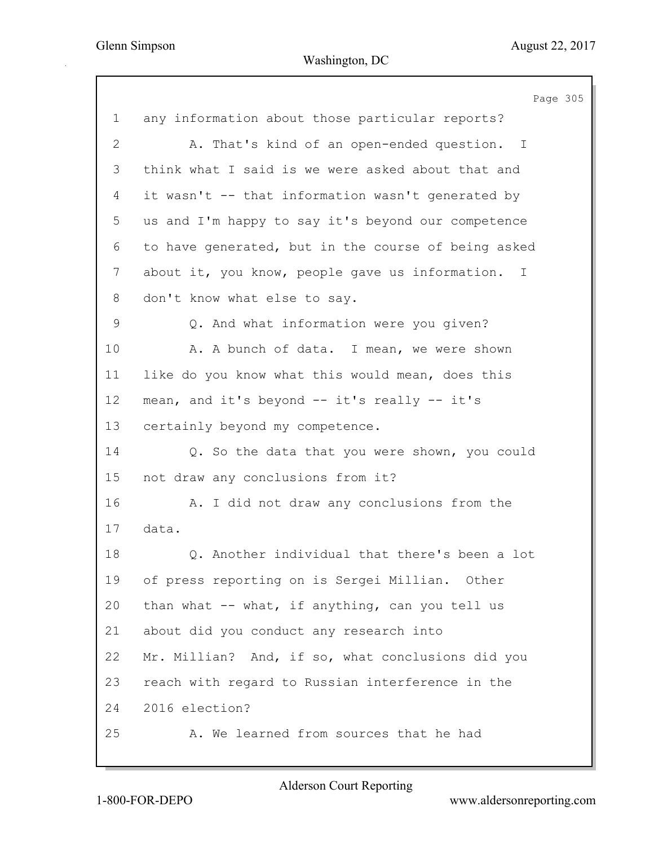|                | Page 305                                            |
|----------------|-----------------------------------------------------|
| $\mathbf 1$    | any information about those particular reports?     |
| $\overline{2}$ | A. That's kind of an open-ended question. I         |
| 3              | think what I said is we were asked about that and   |
| 4              | it wasn't -- that information wasn't generated by   |
| 5              | us and I'm happy to say it's beyond our competence  |
| 6              | to have generated, but in the course of being asked |
| $\overline{7}$ | about it, you know, people gave us information. I   |
| 8              | don't know what else to say.                        |
| 9              | Q. And what information were you given?             |
| 10             | A. A bunch of data. I mean, we were shown           |
| 11             | like do you know what this would mean, does this    |
| 12             | mean, and it's beyond $--$ it's really $--$ it's    |
| 13             | certainly beyond my competence.                     |
| 14             | Q. So the data that you were shown, you could       |
| 15             | not draw any conclusions from it?                   |
| 16             | A. I did not draw any conclusions from the          |
| 17             | data.                                               |
| 18             | Q. Another individual that there's been a lot       |
| 19             | of press reporting on is Sergei Millian. Other      |
| 20             | than what -- what, if anything, can you tell us     |
| 21             | about did you conduct any research into             |
| 22             | Mr. Millian? And, if so, what conclusions did you   |
| 23             | reach with regard to Russian interference in the    |
| 24             | 2016 election?                                      |
| 25             | A. We learned from sources that he had              |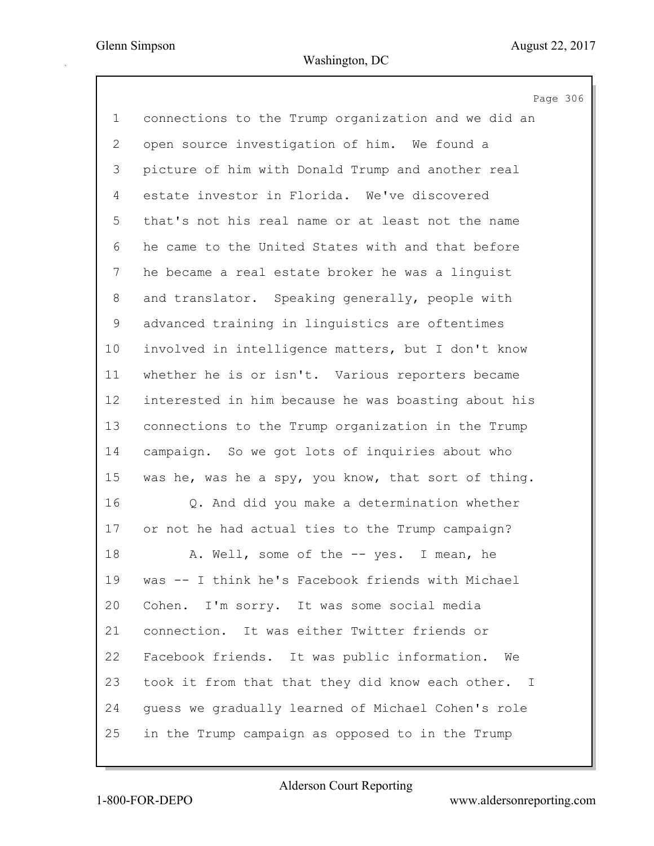Page 306

| $\mathbf 1$  | connections to the Trump organization and we did an |
|--------------|-----------------------------------------------------|
| $\mathbf{2}$ | open source investigation of him. We found a        |
| 3            | picture of him with Donald Trump and another real   |
| 4            | estate investor in Florida. We've discovered        |
| 5            | that's not his real name or at least not the name   |
| 6            | he came to the United States with and that before   |
| 7            | he became a real estate broker he was a linguist    |
| 8            | and translator. Speaking generally, people with     |
| 9            | advanced training in linguistics are oftentimes     |
| 10           | involved in intelligence matters, but I don't know  |
| 11           | whether he is or isn't. Various reporters became    |
| 12           | interested in him because he was boasting about his |
| 13           | connections to the Trump organization in the Trump  |
| 14           | campaign. So we got lots of inquiries about who     |
| 15           | was he, was he a spy, you know, that sort of thing. |
| 16           | Q. And did you make a determination whether         |
| 17           | or not he had actual ties to the Trump campaign?    |
| 18           | A. Well, some of the -- yes. I mean, he             |
| 19           | was -- I think he's Facebook friends with Michael   |
| 20           | Cohen. I'm sorry. It was some social media          |
| 21           | connection. It was either Twitter friends or        |
| 22           | Facebook friends. It was public information.<br>We  |
| 23           | took it from that that they did know each other. I  |
| 24           | quess we gradually learned of Michael Cohen's role  |
| 25           | in the Trump campaign as opposed to in the Trump    |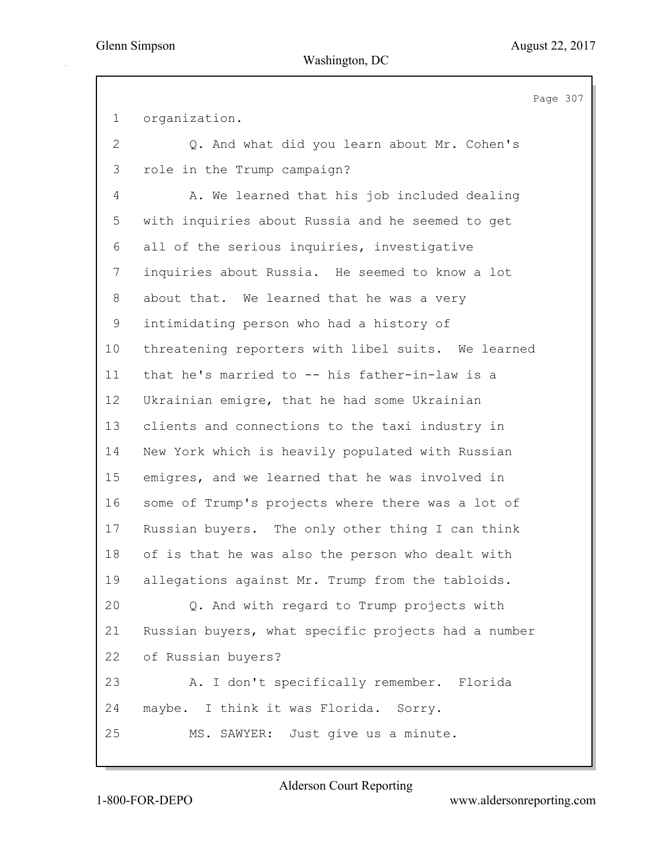Page 307 1 organization. 2 Q. And what did you learn about Mr. Cohen's 3 role in the Trump campaign? 4 A. We learned that his job included dealing 5 with inquiries about Russia and he seemed to get 6 all of the serious inquiries, investigative 7 inquiries about Russia. He seemed to know a lot 8 about that. We learned that he was a very 9 intimidating person who had a history of 10 threatening reporters with libel suits. We learned 11 that he's married to -- his father-in-law is a 12 Ukrainian emigre, that he had some Ukrainian 13 clients and connections to the taxi industry in 14 New York which is heavily populated with Russian 15 emigres, and we learned that he was involved in 16 some of Trump's projects where there was a lot of 17 Russian buyers. The only other thing I can think 18 of is that he was also the person who dealt with 19 allegations against Mr. Trump from the tabloids. 20 Q. And with regard to Trump projects with 21 Russian buyers, what specific projects had a number 22 of Russian buyers? 23 A. I don't specifically remember. Florida 24 maybe. I think it was Florida. Sorry. 25 MS. SAWYER: Just give us a minute.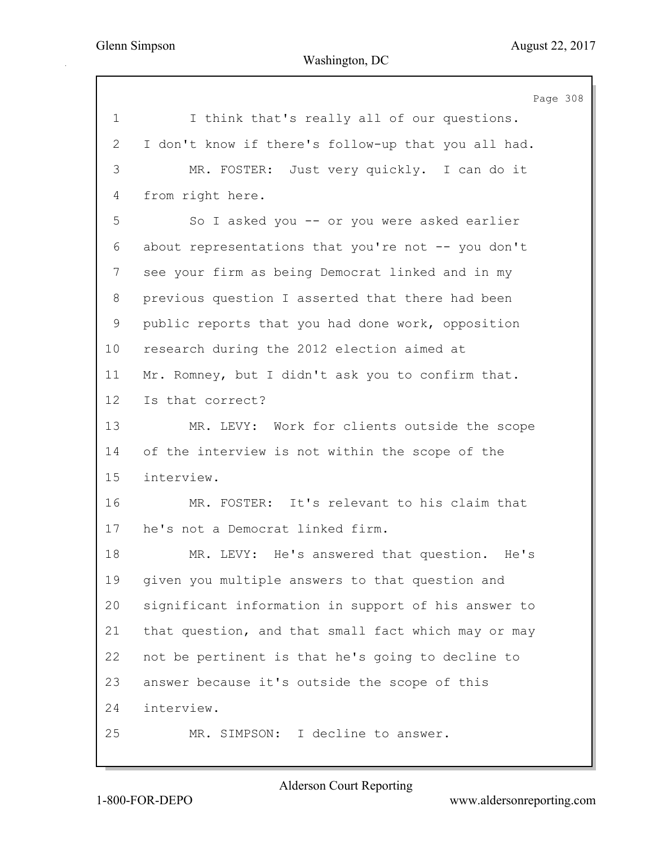|              | Page 308                                            |
|--------------|-----------------------------------------------------|
| $\mathbf 1$  | I think that's really all of our questions.         |
| $\mathbf{2}$ | I don't know if there's follow-up that you all had. |
| 3            | MR. FOSTER: Just very quickly. I can do it          |
| 4            | from right here.                                    |
| 5            | So I asked you -- or you were asked earlier         |
| 6            | about representations that you're not -- you don't  |
| 7            | see your firm as being Democrat linked and in my    |
| 8            | previous question I asserted that there had been    |
| 9            | public reports that you had done work, opposition   |
| 10           | research during the 2012 election aimed at          |
| 11           | Mr. Romney, but I didn't ask you to confirm that.   |
| 12           | Is that correct?                                    |
| 13           | MR. LEVY: Work for clients outside the scope        |
| 14           | of the interview is not within the scope of the     |
| 15           | interview.                                          |
| 16           | MR. FOSTER: It's relevant to his claim that         |
| 17           | he's not a Democrat linked firm.                    |
| 18           | MR. LEVY: He's answered that question.<br>He's      |
| 19           | given you multiple answers to that question and     |
| 20           | significant information in support of his answer to |
| 21           | that question, and that small fact which may or may |
| 22           | not be pertinent is that he's going to decline to   |
| 23           | answer because it's outside the scope of this       |
| 24           | interview.                                          |
| 25           | MR. SIMPSON: I decline to answer.                   |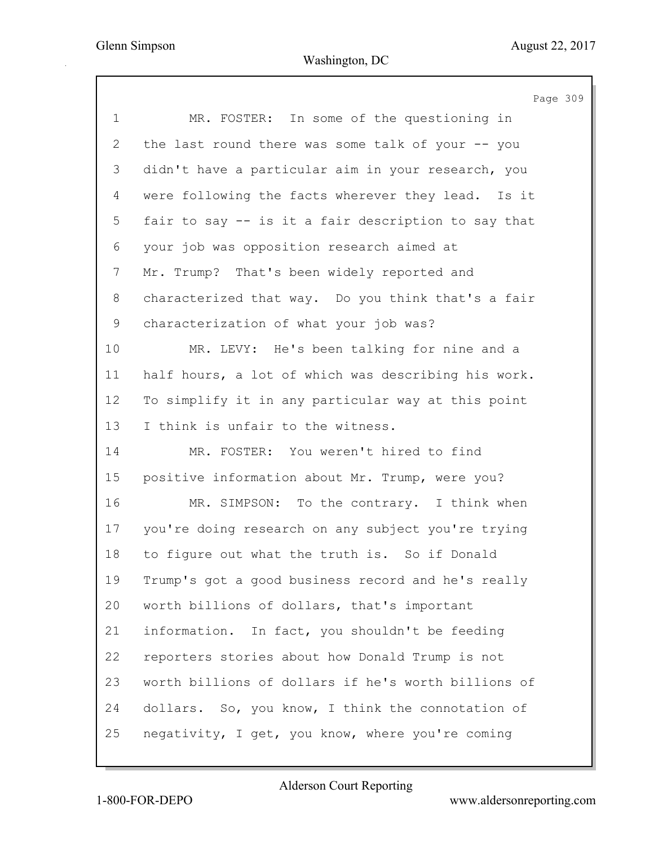Page 309 1 MR. FOSTER: In some of the questioning in 2 the last round there was some talk of your -- you 3 didn't have a particular aim in your research, you 4 were following the facts wherever they lead. Is it 5 fair to say -- is it a fair description to say that 6 your job was opposition research aimed at 7 Mr. Trump? That's been widely reported and 8 characterized that way. Do you think that's a fair 9 characterization of what your job was? 10 MR. LEVY: He's been talking for nine and a 11 half hours, a lot of which was describing his work. 12 To simplify it in any particular way at this point 13 I think is unfair to the witness. 14 MR. FOSTER: You weren't hired to find 15 positive information about Mr. Trump, were you? 16 MR. SIMPSON: To the contrary. I think when 17 you're doing research on any subject you're trying 18 to figure out what the truth is. So if Donald 19 Trump's got a good business record and he's really 20 worth billions of dollars, that's important 21 information. In fact, you shouldn't be feeding 22 reporters stories about how Donald Trump is not 23 worth billions of dollars if he's worth billions of 24 dollars. So, you know, I think the connotation of 25 negativity, I get, you know, where you're coming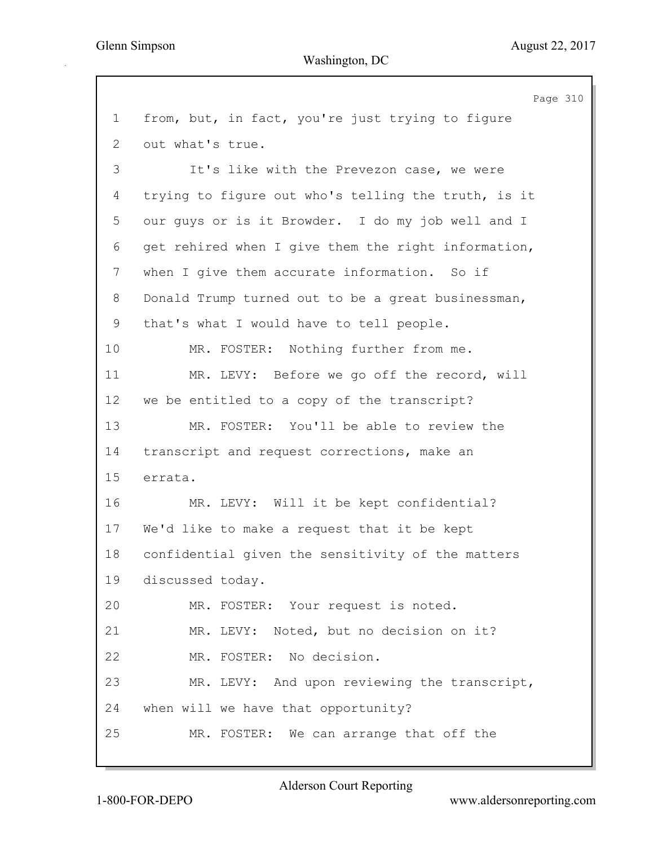Page 310 1 from, but, in fact, you're just trying to figure 2 out what's true. 3 It's like with the Prevezon case, we were 4 trying to figure out who's telling the truth, is it 5 our guys or is it Browder. I do my job well and I 6 get rehired when I give them the right information, 7 when I give them accurate information. So if 8 Donald Trump turned out to be a great businessman, 9 that's what I would have to tell people. 10 MR. FOSTER: Nothing further from me. 11 MR. LEVY: Before we go off the record, will 12 we be entitled to a copy of the transcript? 13 MR. FOSTER: You'll be able to review the 14 transcript and request corrections, make an 15 errata. 16 MR. LEVY: Will it be kept confidential? 17 We'd like to make a request that it be kept 18 confidential given the sensitivity of the matters 19 discussed today. 20 MR. FOSTER: Your request is noted. 21 MR. LEVY: Noted, but no decision on it? 22 MR. FOSTER: No decision. 23 MR. LEVY: And upon reviewing the transcript, 24 when will we have that opportunity? 25 MR. FOSTER: We can arrange that off the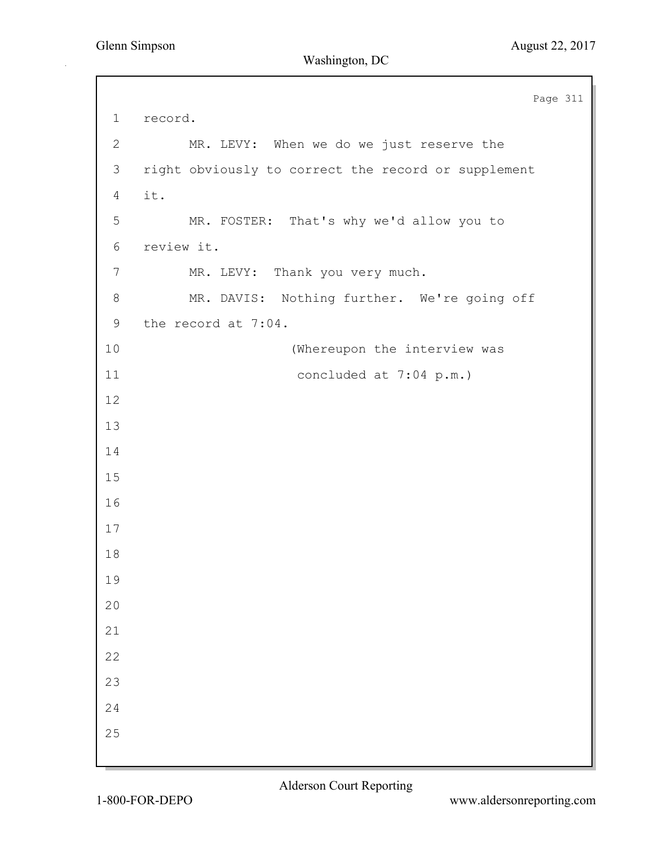Page 311 1 record. 2 MR. LEVY: When we do we just reserve the 3 right obviously to correct the record or supplement 4 it. 5 MR. FOSTER: That's why we'd allow you to 6 review it. 7 MR. LEVY: Thank you very much. 8 MR. DAVIS: Nothing further. We're going off 9 the record at 7:04. 10 (Whereupon the interview was 11 concluded at 7:04 p.m.) 12 13 14 15 16 17 18 19 20 21 22 23 24 25